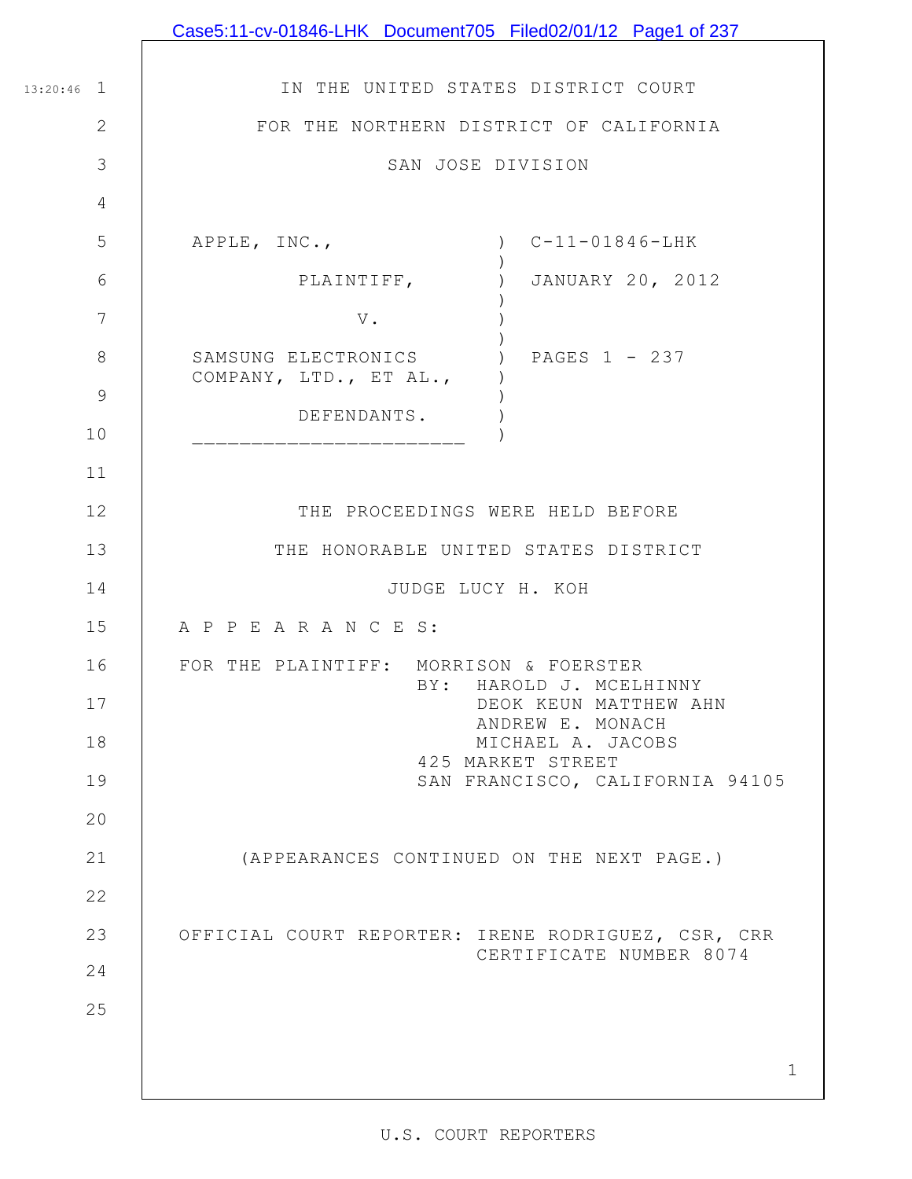|                | Case5:11-cv-01846-LHK Document705 Filed02/01/12 Page1 of 237                      |
|----------------|-----------------------------------------------------------------------------------|
|                |                                                                                   |
| $13:20:46$ 1   | IN THE UNITED STATES DISTRICT COURT                                               |
| 2              | FOR THE NORTHERN DISTRICT OF CALIFORNIA                                           |
| 3              | SAN JOSE DIVISION                                                                 |
| $\overline{4}$ |                                                                                   |
| 5              | APPLE, INC.,<br>$C-11-01846-LHK$                                                  |
| 6              | JANUARY 20, 2012<br>$\left( \begin{array}{c} 1 \end{array} \right)$<br>PLAINTIFF, |
| $\overline{7}$ | $\mathbf V$ .                                                                     |
| 8              | ) PAGES 1 - 237<br>SAMSUNG ELECTRONICS<br>COMPANY, LTD., ET AL.,                  |
| $\overline{9}$ | DEFENDANTS.                                                                       |
| 10             |                                                                                   |
| 11             |                                                                                   |
| 12             | THE PROCEEDINGS WERE HELD BEFORE                                                  |
| 13             | THE HONORABLE UNITED STATES DISTRICT                                              |
| 14             | JUDGE LUCY H. KOH                                                                 |
| 15             | A P P E A R A N C E S:                                                            |
| 16             | FOR THE PLAINTIFF: MORRISON & FOERSTER<br>BY: HAROLD J. MCELHINNY                 |
| 17             | DEOK KEUN MATTHEW AHN<br>ANDREW E. MONACH                                         |
| 18             | MICHAEL A. JACOBS<br>425 MARKET STREET                                            |
| 19             | SAN FRANCISCO, CALIFORNIA 94105                                                   |
| 20             |                                                                                   |
| 21             | (APPEARANCES CONTINUED ON THE NEXT PAGE.)                                         |
| 22             |                                                                                   |
| 23             | OFFICIAL COURT REPORTER: IRENE RODRIGUEZ, CSR, CRR<br>CERTIFICATE NUMBER 8074     |
| 24             |                                                                                   |
| 25             |                                                                                   |
|                |                                                                                   |
|                | $\mathbf 1$                                                                       |

 $\mathbf l$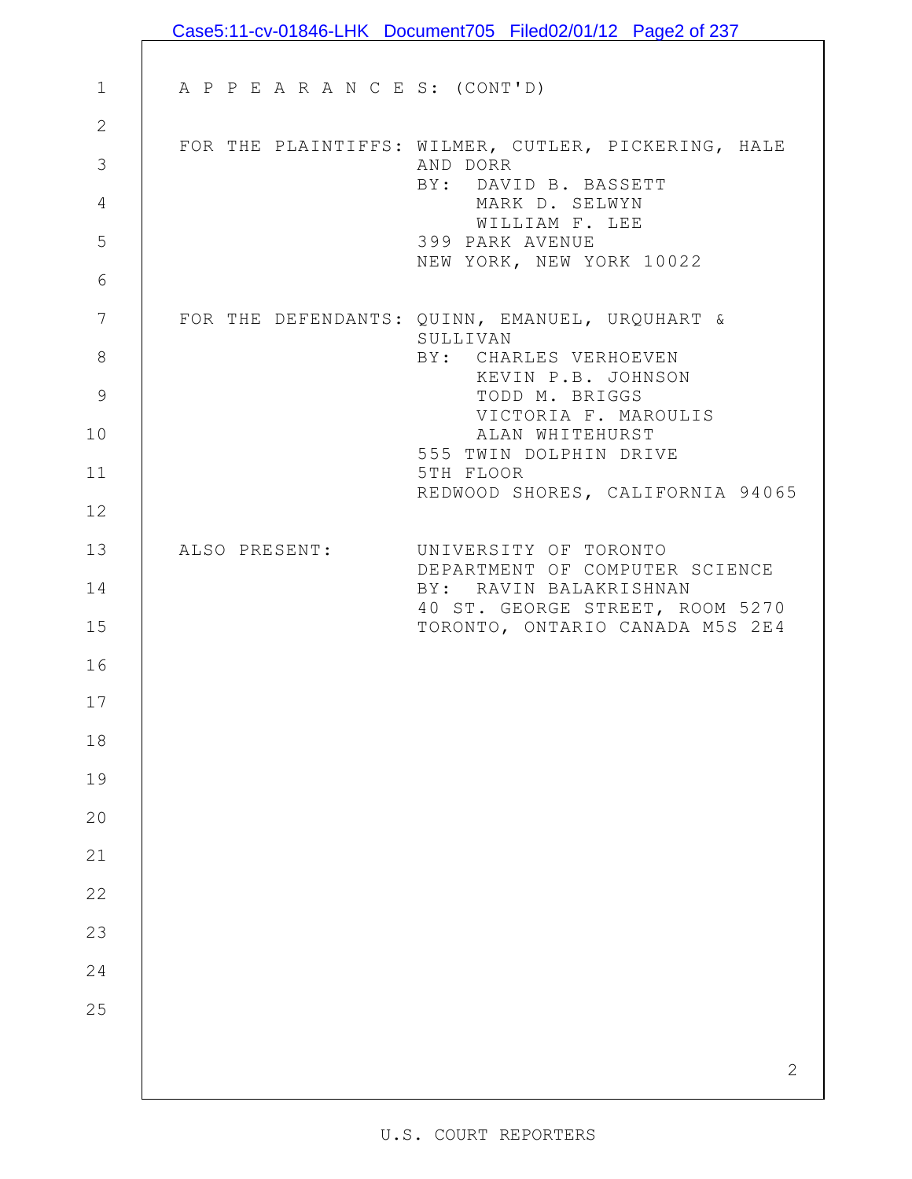|               |                                 | Case5:11-cv-01846-LHK Document705 Filed02/01/12 Page2 of 237       |
|---------------|---------------------------------|--------------------------------------------------------------------|
|               |                                 |                                                                    |
| $\mathbf{1}$  | A P P E A R A N C E S: (CONT'D) |                                                                    |
| $\mathbf{2}$  |                                 | FOR THE PLAINTIFFS: WILMER, CUTLER, PICKERING, HALE                |
| 3             |                                 | AND DORR<br>BY: DAVID B. BASSETT                                   |
| 4             |                                 | MARK D. SELWYN                                                     |
| 5             |                                 | WILLIAM F. LEE<br>399 PARK AVENUE                                  |
| 6             |                                 | NEW YORK, NEW YORK 10022                                           |
| 7             |                                 | FOR THE DEFENDANTS: QUINN, EMANUEL, URQUHART &                     |
| $\,8\,$       |                                 | SULLIVAN<br>BY: CHARLES VERHOEVEN                                  |
| $\mathcal{G}$ |                                 | KEVIN P.B. JOHNSON<br>TODD M. BRIGGS                               |
| 10            |                                 | VICTORIA F. MAROULIS<br>ALAN WHITEHURST                            |
| 11            |                                 | 555 TWIN DOLPHIN DRIVE<br>5TH FLOOR                                |
| 12            |                                 | REDWOOD SHORES, CALIFORNIA 94065                                   |
| 13            | ALSO PRESENT:                   | UNIVERSITY OF TORONTO                                              |
| 14            |                                 | DEPARTMENT OF COMPUTER SCIENCE<br>BY: RAVIN BALAKRISHNAN           |
| 15            |                                 | 40 ST. GEORGE STREET, ROOM 5270<br>TORONTO, ONTARIO CANADA M5S 2E4 |
| 16            |                                 |                                                                    |
| 17            |                                 |                                                                    |
| 18            |                                 |                                                                    |
| 19            |                                 |                                                                    |
| 20            |                                 |                                                                    |
| 21            |                                 |                                                                    |
| 22            |                                 |                                                                    |
| 23            |                                 |                                                                    |
| 24            |                                 |                                                                    |
| 25            |                                 |                                                                    |
|               |                                 |                                                                    |
|               |                                 | $\mathbf{2}$                                                       |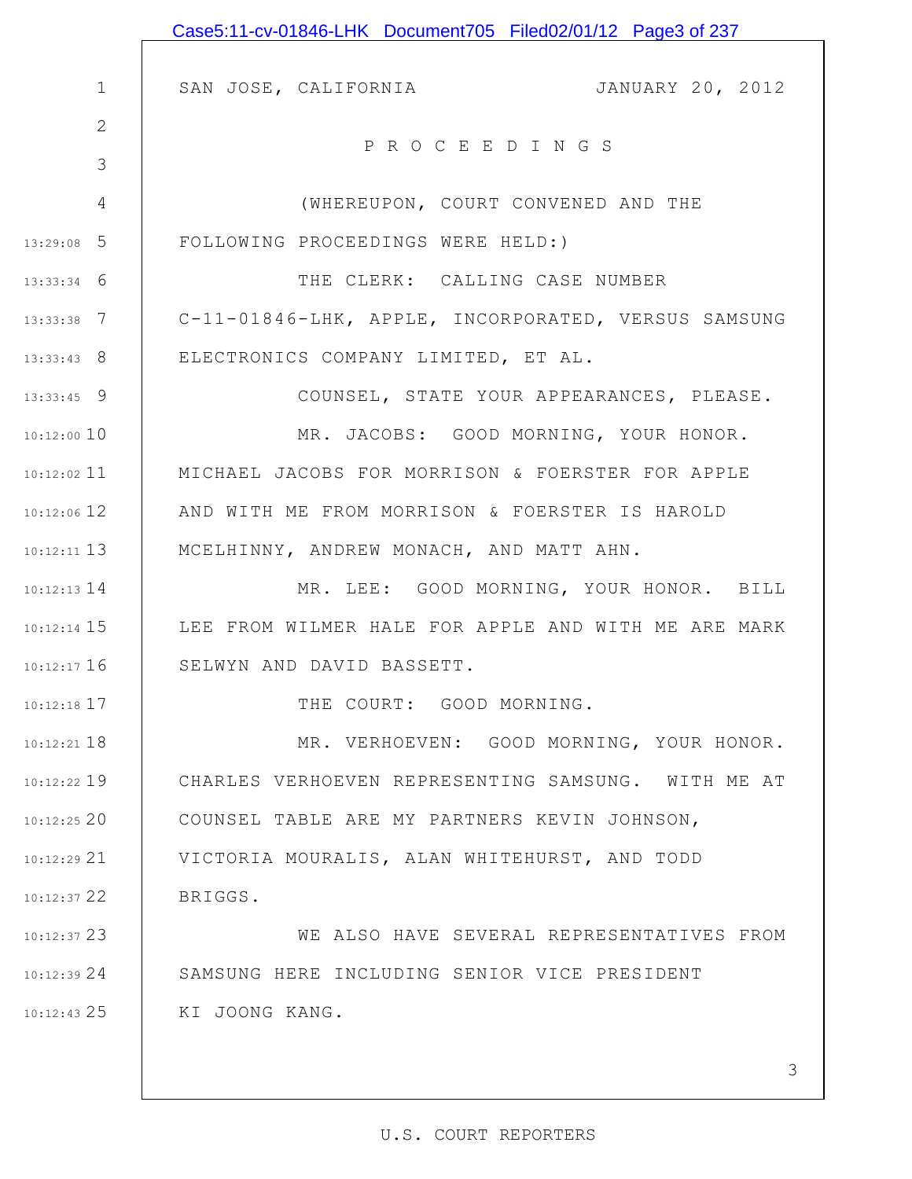|               | Case5:11-cv-01846-LHK Document705 Filed02/01/12 Page3 of 237 |
|---------------|--------------------------------------------------------------|
|               |                                                              |
| $\mathbf 1$   | JANUARY 20, 2012<br>SAN JOSE, CALIFORNIA                     |
| $\mathbf{2}$  | PROCEEDINGS                                                  |
| 3             |                                                              |
| 4             | (WHEREUPON, COURT CONVENED AND THE                           |
| $13:29:08$ 5  | FOLLOWING PROCEEDINGS WERE HELD:)                            |
| $13:33:34$ 6  | THE CLERK: CALLING CASE NUMBER                               |
| $13:33:38$ 7  | C-11-01846-LHK, APPLE, INCORPORATED, VERSUS SAMSUNG          |
| $13:33:43$ 8  | ELECTRONICS COMPANY LIMITED, ET AL.                          |
| $13:33:45$ 9  | COUNSEL, STATE YOUR APPEARANCES, PLEASE.                     |
| $10:12:00$ 10 | MR. JACOBS: GOOD MORNING, YOUR HONOR.                        |
| $10:12:02$ 11 | MICHAEL JACOBS FOR MORRISON & FOERSTER FOR APPLE             |
| $10:12:06$ 12 | AND WITH ME FROM MORRISON & FOERSTER IS HAROLD               |
| $10:12:11$ 13 | MCELHINNY, ANDREW MONACH, AND MATT AHN.                      |
| $10:12:13$ 14 | MR. LEE: GOOD MORNING, YOUR HONOR. BILL                      |
| $10:12:14$ 15 | LEE FROM WILMER HALE FOR APPLE AND WITH ME ARE MARK          |
| 10:12:17 16   | SELWYN AND DAVID BASSETT.                                    |
| $10:12:18$ 17 | THE COURT: GOOD MORNING.                                     |
| $10:12:21$ 18 | MR. VERHOEVEN: GOOD MORNING, YOUR HONOR.                     |
| $10:12:22$ 19 | CHARLES VERHOEVEN REPRESENTING SAMSUNG. WITH ME AT           |
| 10:12:2520    | COUNSEL TABLE ARE MY PARTNERS KEVIN JOHNSON,                 |
| 10:12:2921    | VICTORIA MOURALIS, ALAN WHITEHURST, AND TODD                 |
| $10:12:37$ 22 | BRIGGS.                                                      |
| 10:12:37 23   | WE ALSO HAVE SEVERAL REPRESENTATIVES FROM                    |
| 10:12:3924    | SAMSUNG HERE INCLUDING SENIOR VICE PRESIDENT                 |
| $10:12:43$ 25 | KI JOONG KANG.                                               |
|               |                                                              |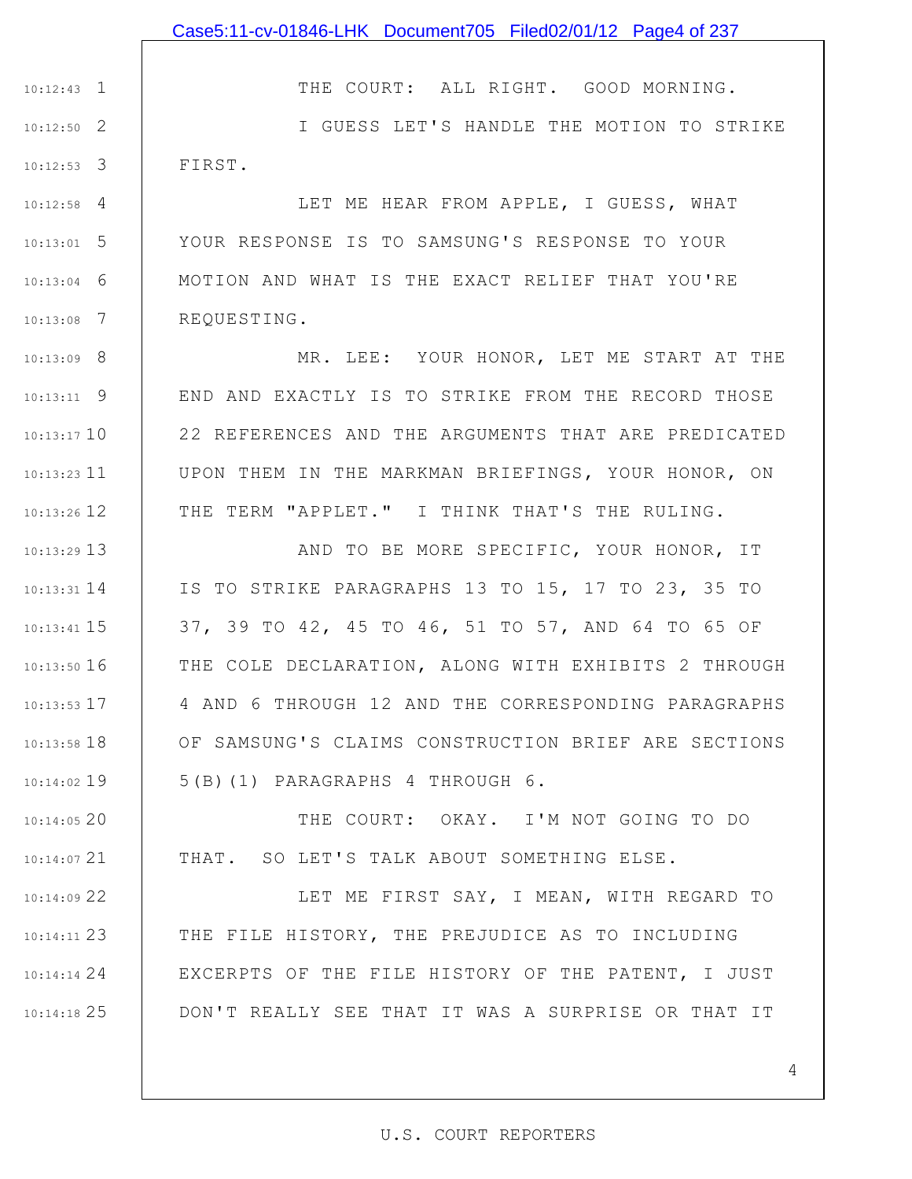1 10:12:43 2 10:12:50 3 10:12:53 THE COURT: ALL RIGHT. GOOD MORNING.

I GUESS LET'S HANDLE THE MOTION TO STRIKE FIRST.

4 10:12:58 5 10:13:01 6 10:13:04 7 10:13:08 LET ME HEAR FROM APPLE, I GUESS, WHAT YOUR RESPONSE IS TO SAMSUNG'S RESPONSE TO YOUR MOTION AND WHAT IS THE EXACT RELIEF THAT YOU'RE REQUESTING.

8 10:13:09 9 10:13:11 10 10:13:17 10:13:23 11 12 10:13:26 MR. LEE: YOUR HONOR, LET ME START AT THE END AND EXACTLY IS TO STRIKE FROM THE RECORD THOSE 22 REFERENCES AND THE ARGUMENTS THAT ARE PREDICATED UPON THEM IN THE MARKMAN BRIEFINGS, YOUR HONOR, ON THE TERM "APPLET." I THINK THAT'S THE RULING.

13 10:13:29 14 10:13:31 15 10:13:41 16 10:13:50 17 10:13:53 18 10:13:58 19 10:14:02 AND TO BE MORE SPECIFIC, YOUR HONOR, IT IS TO STRIKE PARAGRAPHS 13 TO 15, 17 TO 23, 35 TO 37, 39 TO 42, 45 TO 46, 51 TO 57, AND 64 TO 65 OF THE COLE DECLARATION, ALONG WITH EXHIBITS 2 THROUGH 4 AND 6 THROUGH 12 AND THE CORRESPONDING PARAGRAPHS OF SAMSUNG'S CLAIMS CONSTRUCTION BRIEF ARE SECTIONS 5(B)(1) PARAGRAPHS 4 THROUGH 6.

20 10:14:05 21 10:14:07 THE COURT: OKAY. I'M NOT GOING TO DO THAT. SO LET'S TALK ABOUT SOMETHING ELSE.

22 10:14:09 23 10:14:11 24 10:14:14 25 10:14:18 LET ME FIRST SAY, I MEAN, WITH REGARD TO THE FILE HISTORY, THE PREJUDICE AS TO INCLUDING EXCERPTS OF THE FILE HISTORY OF THE PATENT, I JUST DON'T REALLY SEE THAT IT WAS A SURPRISE OR THAT IT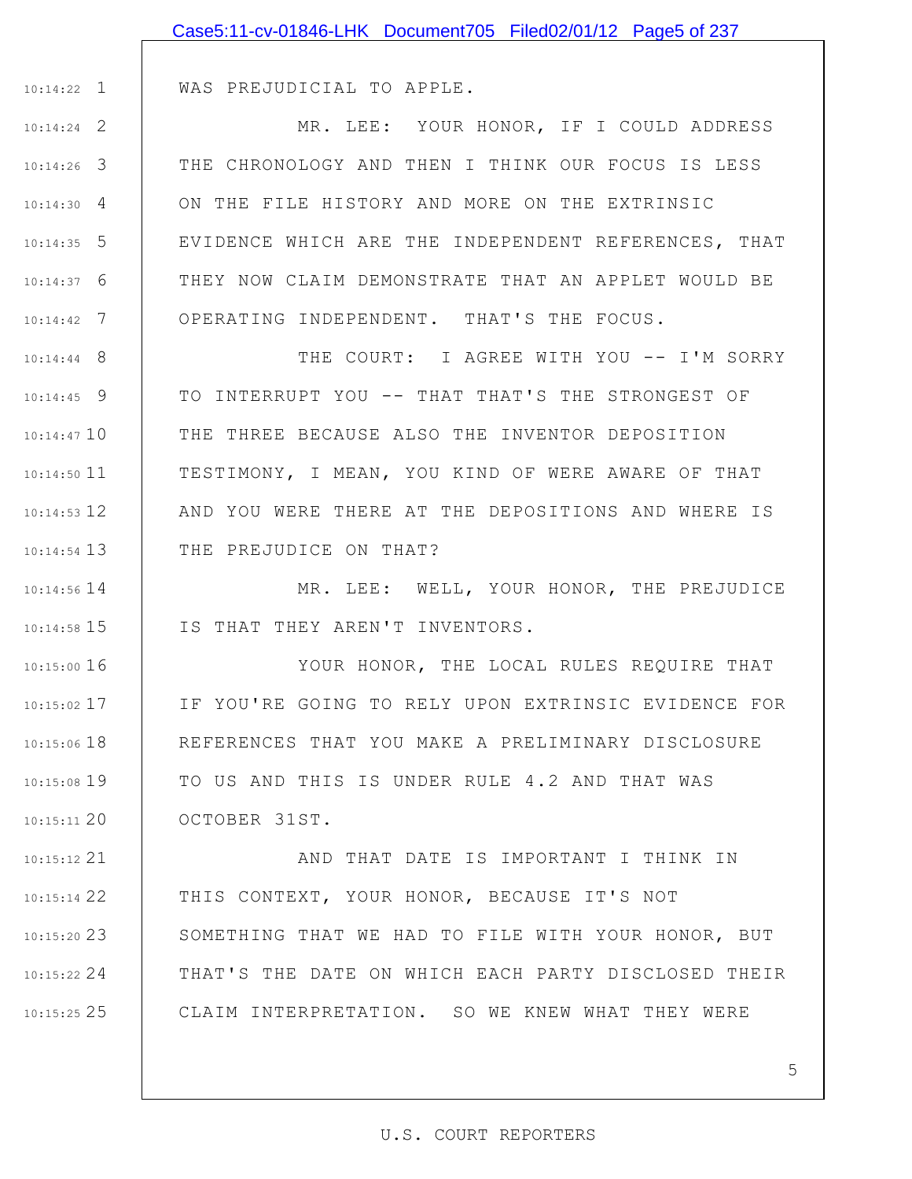|               | Case5:11-cv-01846-LHK Document705 Filed02/01/12 Page5 of 237 |
|---------------|--------------------------------------------------------------|
|               |                                                              |
|               | 10:14:22 1   WAS PREJUDICIAL TO APPLE.                       |
| $10:14:24$ 2  | MR. LEE: YOUR HONOR, IF I COULD ADDRESS                      |
| $10:14:26$ 3  | THE CHRONOLOGY AND THEN I THINK OUR FOCUS IS LESS            |
| $10:14:30$ 4  | ON THE FILE HISTORY AND MORE ON THE EXTRINSIC                |
| $10:14:35$ 5  | EVIDENCE WHICH ARE THE INDEPENDENT REFERENCES, THAT          |
| $10:14:37$ 6  | THEY NOW CLAIM DEMONSTRATE THAT AN APPLET WOULD BE           |
| $10:14:42$ 7  | OPERATING INDEPENDENT. THAT'S THE FOCUS.                     |
| $10:14:44$ 8  | THE COURT: I AGREE WITH YOU -- I'M SORRY                     |
| $10:14:45$ 9  | TO INTERRUPT YOU -- THAT THAT'S THE STRONGEST OF             |
| $10:14:47$ 10 | THE THREE BECAUSE ALSO THE INVENTOR DEPOSITION               |
| $10:14:50$ 11 | TESTIMONY, I MEAN, YOU KIND OF WERE AWARE OF THAT            |
| $10:14:53$ 12 | AND YOU WERE THERE AT THE DEPOSITIONS AND WHERE IS           |
| $10:14:54$ 13 | THE PREJUDICE ON THAT?                                       |
| $10:14:56$ 14 | MR. LEE: WELL, YOUR HONOR, THE PREJUDICE                     |
| $10:14:58$ 15 | IS THAT THEY AREN'T INVENTORS.                               |
| $10:15:00$ 16 | YOUR HONOR, THE LOCAL RULES REQUIRE THAT                     |
| $10:15:02$ 17 | IF YOU'RE GOING TO RELY UPON EXTRINSIC EVIDENCE FOR          |
| $10:15:06$ 18 | REFERENCES THAT YOU MAKE A PRELIMINARY DISCLOSURE            |
| 10:15:08 19   | TO US AND THIS IS UNDER RULE 4.2 AND THAT WAS                |
| $10:15:11$ 20 | OCTOBER 31ST.                                                |
| $10:15:12$ 21 | AND THAT DATE IS IMPORTANT I THINK IN                        |
| $10:15:14$ 22 | THIS CONTEXT, YOUR HONOR, BECAUSE IT'S NOT                   |
| $10:15:20$ 23 | SOMETHING THAT WE HAD TO FILE WITH YOUR HONOR, BUT           |
| $10:15:22$ 24 | THAT'S THE DATE ON WHICH EACH PARTY DISCLOSED THEIR          |

CLAIM INTERPRETATION. SO WE KNEW WHAT THEY WERE

25 10:15:25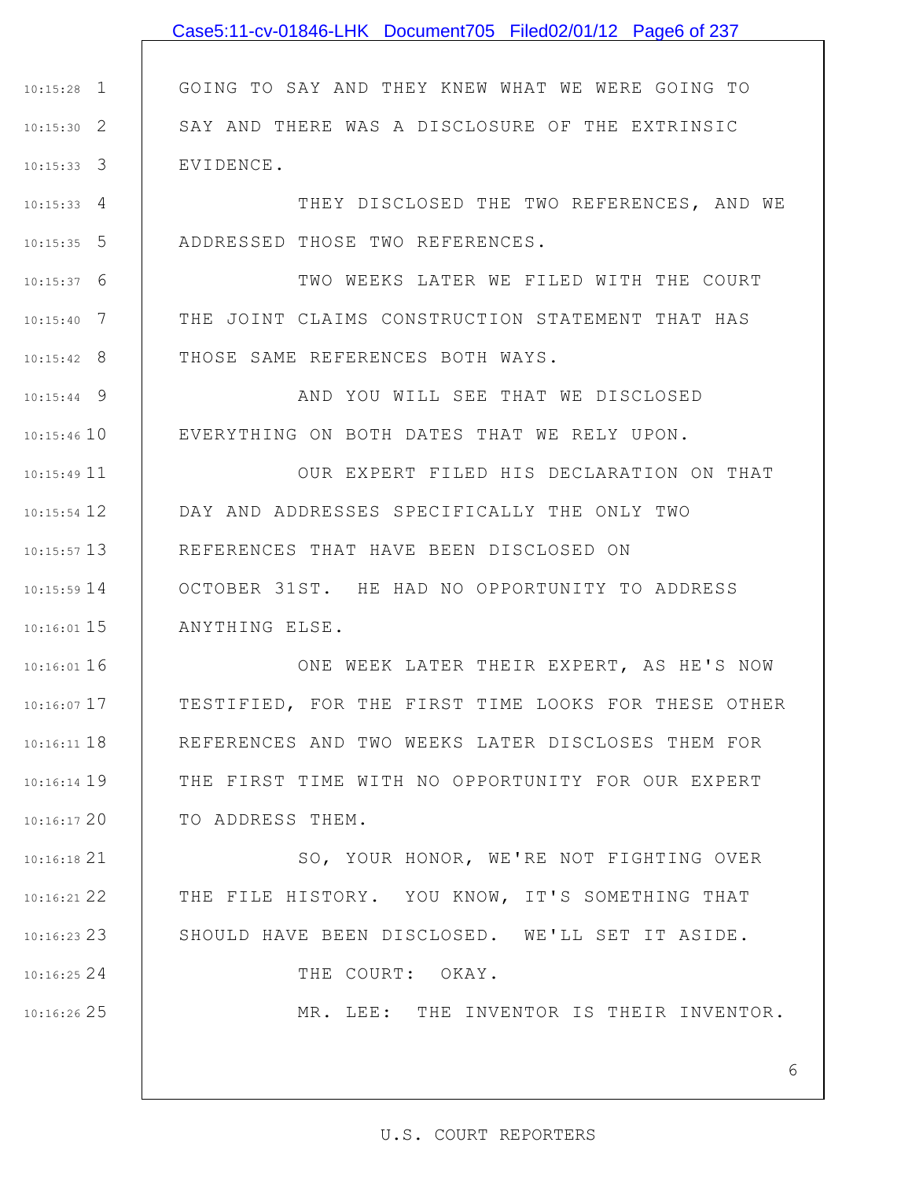|               | Case5:11-cv-01846-LHK Document705 Filed02/01/12 Page6 of 237 |
|---------------|--------------------------------------------------------------|
|               |                                                              |
| $10:15:28$ 1  | GOING TO SAY AND THEY KNEW WHAT WE WERE GOING TO             |
| $10:15:30$ 2  | SAY AND THERE WAS A DISCLOSURE OF THE EXTRINSIC              |
| $10:15:33$ 3  | EVIDENCE.                                                    |
| $10:15:33$ 4  | THEY DISCLOSED THE TWO REFERENCES, AND WE                    |
| $10:15:35$ 5  | ADDRESSED THOSE TWO REFERENCES.                              |
| $10:15:37$ 6  | TWO WEEKS LATER WE FILED WITH THE COURT                      |
| $10:15:40$ 7  | THE JOINT CLAIMS CONSTRUCTION STATEMENT THAT HAS             |
| $10:15:42$ 8  | THOSE SAME REFERENCES BOTH WAYS.                             |
| $10:15:44$ 9  | AND YOU WILL SEE THAT WE DISCLOSED                           |
| $10:15:46$ 10 | EVERYTHING ON BOTH DATES THAT WE RELY UPON.                  |
| $10:15:49$ 11 | OUR EXPERT FILED HIS DECLARATION ON THAT                     |
| $10:15:54$ 12 | DAY AND ADDRESSES SPECIFICALLY THE ONLY TWO                  |
| $10:15:57$ 13 | REFERENCES THAT HAVE BEEN DISCLOSED ON                       |
| $10:15:59$ 14 | OCTOBER 31ST. HE HAD NO OPPORTUNITY TO ADDRESS               |
| $10:16:01$ 15 | ANYTHING ELSE.                                               |
| $10:16:01$ 16 | ONE WEEK LATER THEIR EXPERT, AS HE'S NOW                     |
| $10:16:07$ 17 | TESTIFIED, FOR THE FIRST TIME LOOKS FOR THESE OTHER          |
| $10:16:11$ 18 | REFERENCES AND TWO WEEKS LATER DISCLOSES THEM FOR            |
| $10:16:14$ 19 | THE FIRST TIME WITH NO OPPORTUNITY FOR OUR EXPERT            |
| 10:16:1720    | TO ADDRESS THEM.                                             |
| 10:16:18 21   | SO, YOUR HONOR, WE'RE NOT FIGHTING OVER                      |
| 10:16:21 22   | THE FILE HISTORY. YOU KNOW, IT'S SOMETHING THAT              |
| $10:16:23$ 23 | SHOULD HAVE BEEN DISCLOSED. WE'LL SET IT ASIDE.              |
| $10:16:25$ 24 | THE COURT: OKAY.                                             |
| 10:16:26 25   | MR. LEE: THE INVENTOR IS THEIR INVENTOR.                     |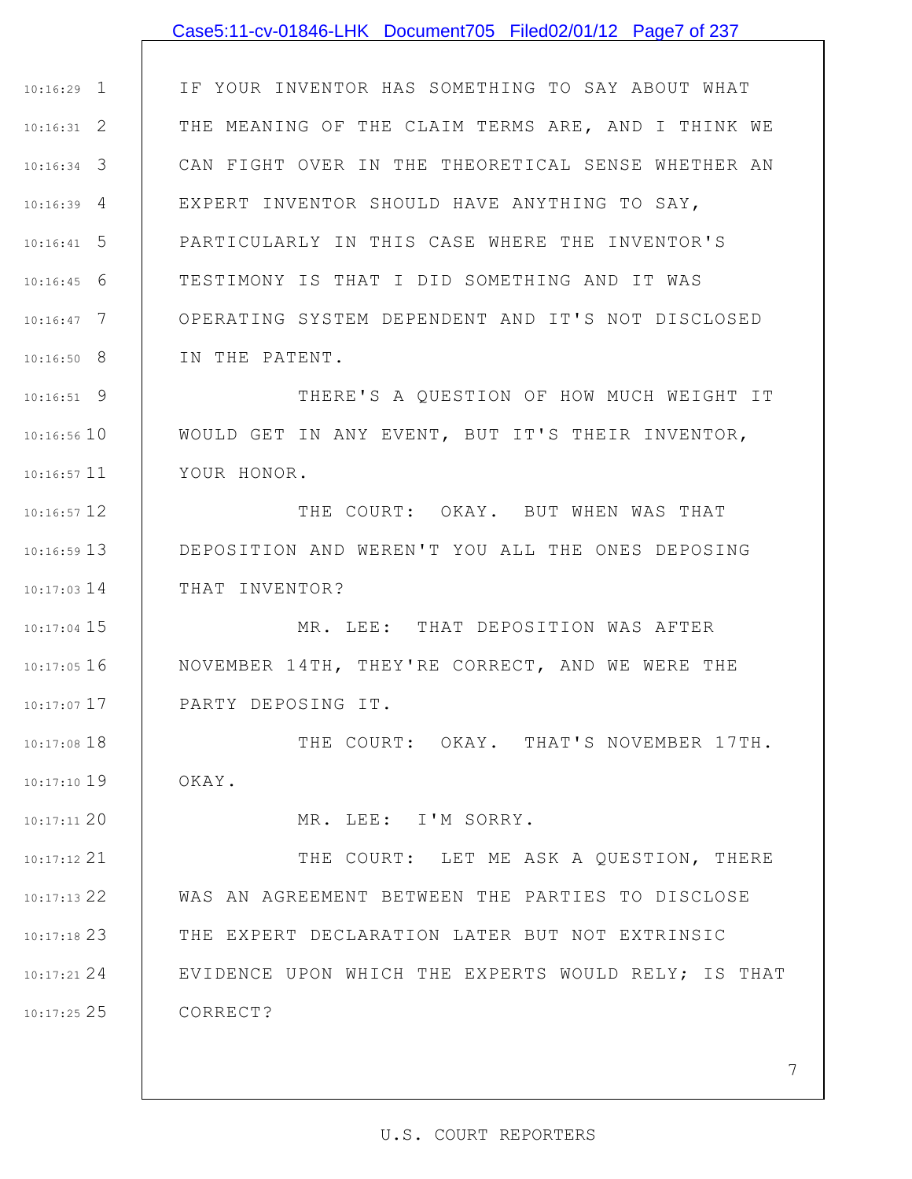## Case5:11-cv-01846-LHK Document705 Filed02/01/12 Page7 of 237

1 10:16:29 2 10:16:31 3 10:16:34 4 10:16:39 5 10:16:41 6 10:16:45 7 10:16:47 8 10:16:50 IF YOUR INVENTOR HAS SOMETHING TO SAY ABOUT WHAT THE MEANING OF THE CLAIM TERMS ARE, AND I THINK WE CAN FIGHT OVER IN THE THEORETICAL SENSE WHETHER AN EXPERT INVENTOR SHOULD HAVE ANYTHING TO SAY, PARTICULARLY IN THIS CASE WHERE THE INVENTOR'S TESTIMONY IS THAT I DID SOMETHING AND IT WAS OPERATING SYSTEM DEPENDENT AND IT'S NOT DISCLOSED IN THE PATENT.

9 10:16:51 10 10:16:56 10:16:57 11 THERE'S A QUESTION OF HOW MUCH WEIGHT IT WOULD GET IN ANY EVENT, BUT IT'S THEIR INVENTOR, YOUR HONOR.

12 10:16:57 13 10:16:59 14 10:17:03 THE COURT: OKAY. BUT WHEN WAS THAT DEPOSITION AND WEREN'T YOU ALL THE ONES DEPOSING THAT INVENTOR?

15 10:17:04 16 10:17:05 10:17:07 17 MR. LEE: THAT DEPOSITION WAS AFTER NOVEMBER 14TH, THEY'RE CORRECT, AND WE WERE THE PARTY DEPOSING IT.

18 10:17:08 19 10:17:10 THE COURT: OKAY. THAT'S NOVEMBER 17TH. OKAY.

MR. LEE: I'M SORRY.

20 10:17:11

21 10:17:12 22 10:17:13 23 10:17:18 24 10:17:21 25 10:17:25 THE COURT: LET ME ASK A QUESTION, THERE WAS AN AGREEMENT BETWEEN THE PARTIES TO DISCLOSE THE EXPERT DECLARATION LATER BUT NOT EXTRINSIC EVIDENCE UPON WHICH THE EXPERTS WOULD RELY; IS THAT CORRECT?

#### U.S. COURT REPORTERS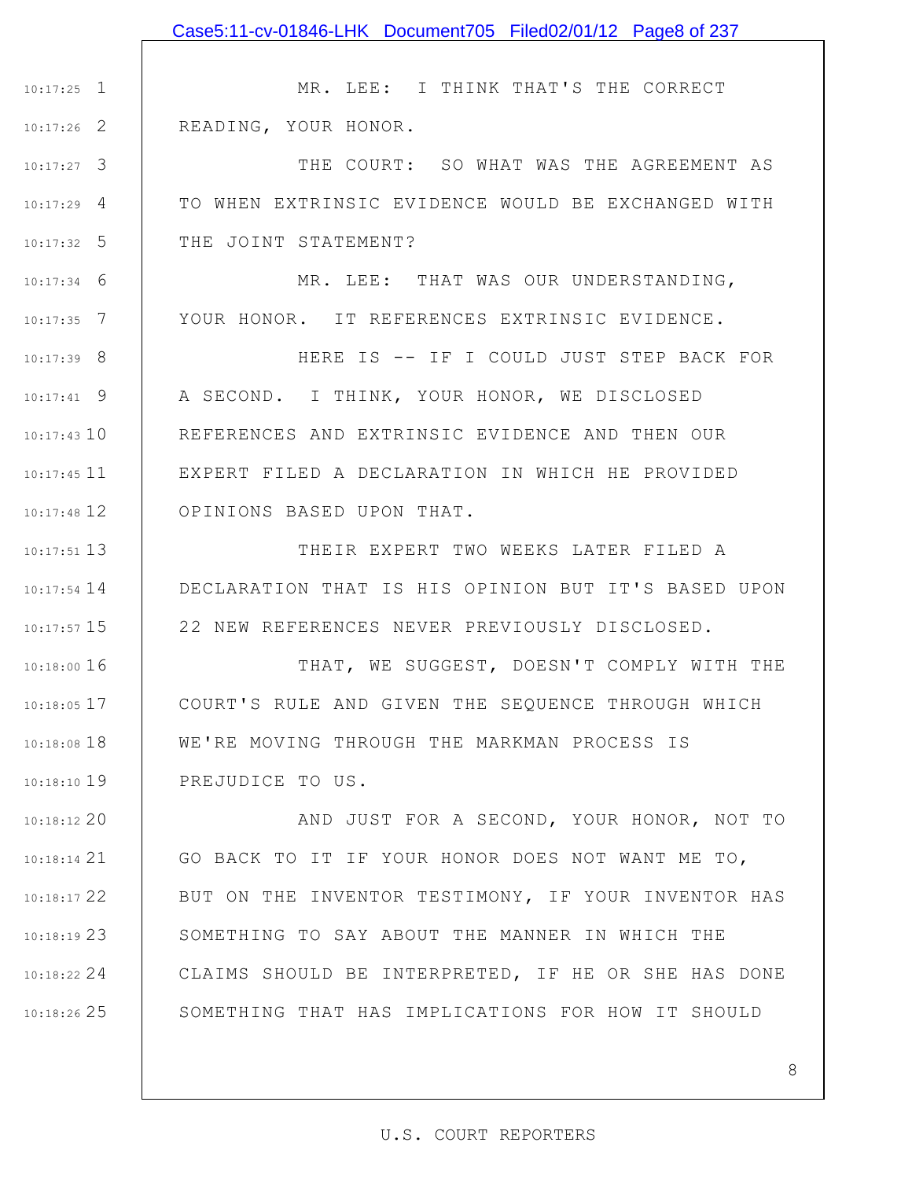1 10:17:25 2 10:17:26 3 10:17:27 4 10:17:29 5 10:17:32 6 10:17:34 7 10:17:35 8 10:17:39 9 10:17:41 10 10:17:43 10:17:45 11 12 10:17:48 13 10:17:51 14 10:17:54 15 10:17:57 16 10:18:00 17 10:18:05 18 10:18:08 19 10:18:10 20 10:18:12 21 10:18:14 22 10:18:17 23 10:18:19 24 10:18:22 25 10:18:26 MR. LEE: I THINK THAT'S THE CORRECT READING, YOUR HONOR. THE COURT: SO WHAT WAS THE AGREEMENT AS TO WHEN EXTRINSIC EVIDENCE WOULD BE EXCHANGED WITH THE JOINT STATEMENT? MR. LEE: THAT WAS OUR UNDERSTANDING, YOUR HONOR. IT REFERENCES EXTRINSIC EVIDENCE. HERE IS -- IF I COULD JUST STEP BACK FOR A SECOND. I THINK, YOUR HONOR, WE DISCLOSED REFERENCES AND EXTRINSIC EVIDENCE AND THEN OUR EXPERT FILED A DECLARATION IN WHICH HE PROVIDED OPINIONS BASED UPON THAT. THEIR EXPERT TWO WEEKS LATER FILED A DECLARATION THAT IS HIS OPINION BUT IT'S BASED UPON 22 NEW REFERENCES NEVER PREVIOUSLY DISCLOSED. THAT, WE SUGGEST, DOESN'T COMPLY WITH THE COURT'S RULE AND GIVEN THE SEQUENCE THROUGH WHICH WE'RE MOVING THROUGH THE MARKMAN PROCESS IS PREJUDICE TO US. AND JUST FOR A SECOND, YOUR HONOR, NOT TO GO BACK TO IT IF YOUR HONOR DOES NOT WANT ME TO, BUT ON THE INVENTOR TESTIMONY, IF YOUR INVENTOR HAS SOMETHING TO SAY ABOUT THE MANNER IN WHICH THE CLAIMS SHOULD BE INTERPRETED, IF HE OR SHE HAS DONE SOMETHING THAT HAS IMPLICATIONS FOR HOW IT SHOULD Case5:11-cv-01846-LHK Document705 Filed02/01/12 Page8 of 237

#### U.S. COURT REPORTERS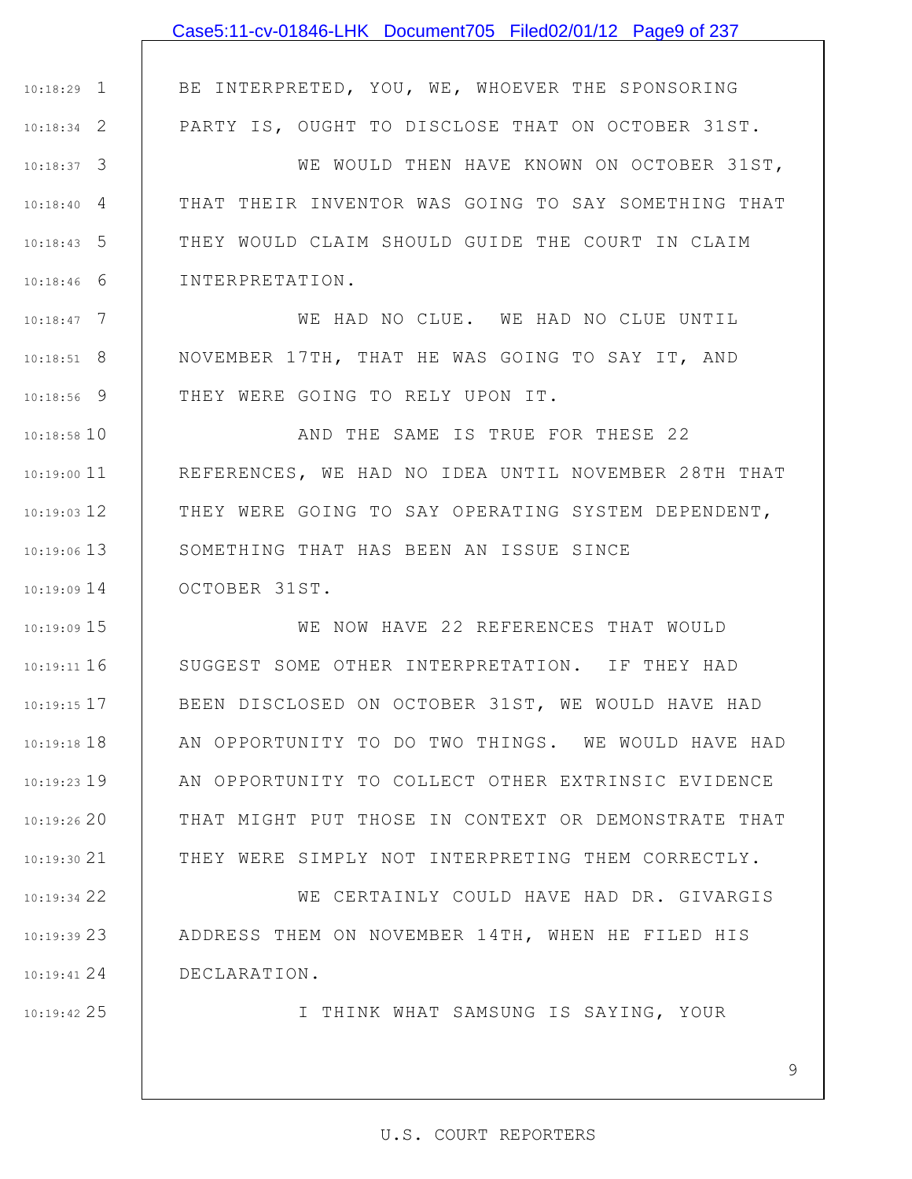|               | Case5:11-cv-01846-LHK Document705 Filed02/01/12 Page9 of 237 |
|---------------|--------------------------------------------------------------|
|               |                                                              |
| $10:18:29$ 1  | BE INTERPRETED, YOU, WE, WHOEVER THE SPONSORING              |
| $10:18:34$ 2  | PARTY IS, OUGHT TO DISCLOSE THAT ON OCTOBER 31ST.            |
| $10:18:37$ 3  | WE WOULD THEN HAVE KNOWN ON OCTOBER 31ST,                    |
| $10:18:40$ 4  | THAT THEIR INVENTOR WAS GOING TO SAY SOMETHING THAT          |
| $10:18:43$ 5  | THEY WOULD CLAIM SHOULD GUIDE THE COURT IN CLAIM             |
| $10:18:46$ 6  | INTERPRETATION.                                              |
| $10:18:47$ 7  | WE HAD NO CLUE. WE HAD NO CLUE UNTIL                         |
| $10:18:51$ 8  | NOVEMBER 17TH, THAT HE WAS GOING TO SAY IT, AND              |
| $10:18:56$ 9  | THEY WERE GOING TO RELY UPON IT.                             |
| $10:18:58$ 10 | AND THE SAME IS TRUE FOR THESE 22                            |
| $10:19:00$ 11 | REFERENCES, WE HAD NO IDEA UNTIL NOVEMBER 28TH THAT          |
| $10:19:03$ 12 | THEY WERE GOING TO SAY OPERATING SYSTEM DEPENDENT,           |
| $10:19:06$ 13 | SOMETHING THAT HAS BEEN AN ISSUE SINCE                       |
| $10:19:09$ 14 | OCTOBER 31ST.                                                |
| $10:19:09$ 15 | WE NOW HAVE 22 REFERENCES THAT WOULD                         |
| 10:19:11 16   | SUGGEST SOME OTHER INTERPRETATION. IF THEY HAD               |
| $10:19:15$ 17 | BEEN DISCLOSED ON OCTOBER 31ST, WE WOULD HAVE HAD            |
| $10:19:18$ 18 | AN OPPORTUNITY TO DO TWO THINGS. WE WOULD HAVE HAD           |
| $10:19:23$ 19 | AN OPPORTUNITY TO COLLECT OTHER EXTRINSIC EVIDENCE           |
| 10:19:2620    | THAT MIGHT PUT THOSE IN CONTEXT OR DEMONSTRATE THAT          |
| 10:19:30 21   | THEY WERE SIMPLY NOT INTERPRETING THEM CORRECTLY.            |
| 10:19:34 22   | WE CERTAINLY COULD HAVE HAD DR. GIVARGIS                     |
| 10:19:3923    | ADDRESS THEM ON NOVEMBER 14TH, WHEN HE FILED HIS             |
| $10:19:41$ 24 | DECLARATION.                                                 |
| 10:19:42 25   | I THINK WHAT SAMSUNG IS SAYING, YOUR                         |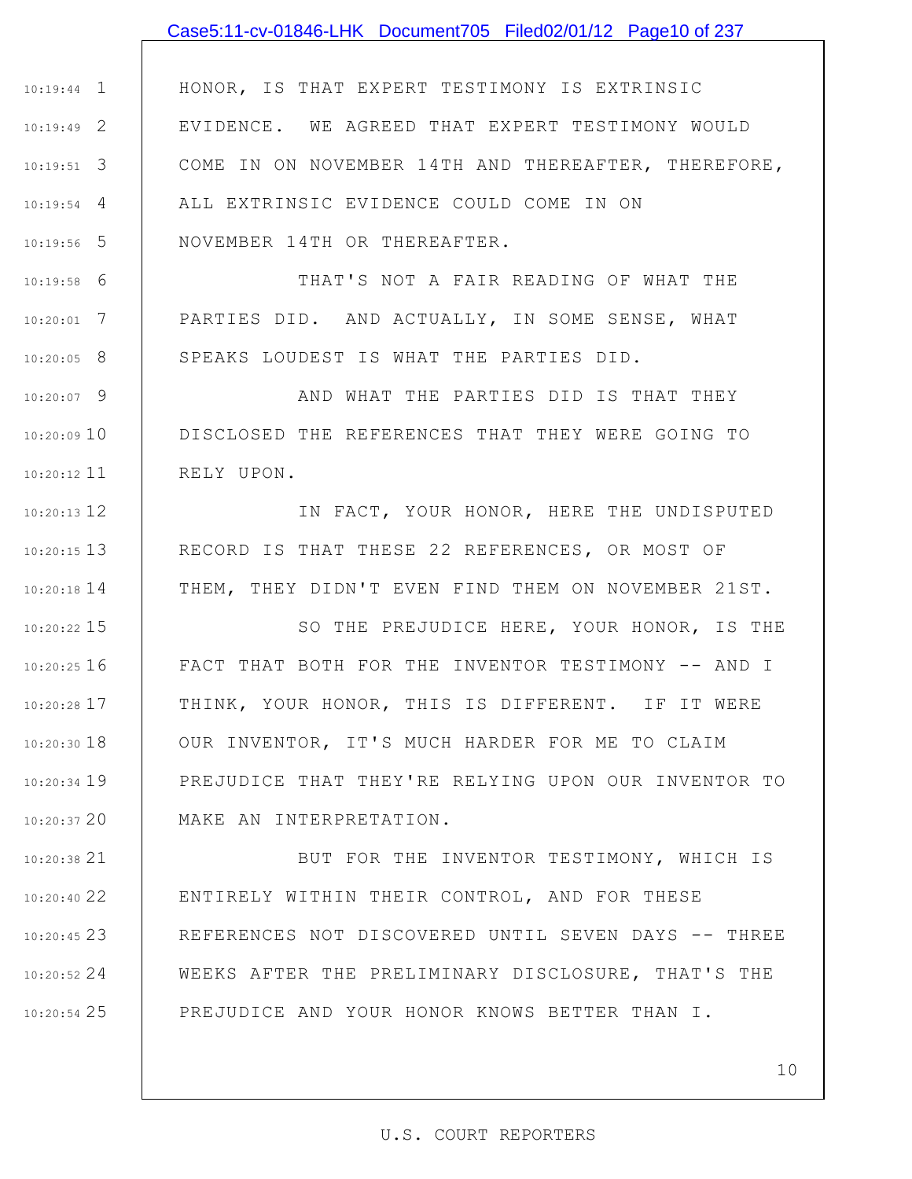# 1 10:19:44 2 10:19:49 HONOR, IS THAT EXPERT TESTIMONY IS EXTRINSIC EVIDENCE. WE AGREED THAT EXPERT TESTIMONY WOULD Case5:11-cv-01846-LHK Document705 Filed02/01/12 Page10 of 237

COME IN ON NOVEMBER 14TH AND THEREAFTER, THEREFORE,

3 10:19:51 4 10:19:54 5 10:19:56 ALL EXTRINSIC EVIDENCE COULD COME IN ON NOVEMBER 14TH OR THEREAFTER.

6 10:19:58 7 10:20:01 8 10:20:05 THAT'S NOT A FAIR READING OF WHAT THE PARTIES DID. AND ACTUALLY, IN SOME SENSE, WHAT SPEAKS LOUDEST IS WHAT THE PARTIES DID.

9 10:20:07 10 10:20:09 11 10:20:12 AND WHAT THE PARTIES DID IS THAT THEY DISCLOSED THE REFERENCES THAT THEY WERE GOING TO RELY UPON.

12 10:20:13 13 10:20:15 14 10:20:18 IN FACT, YOUR HONOR, HERE THE UNDISPUTED RECORD IS THAT THESE 22 REFERENCES, OR MOST OF THEM, THEY DIDN'T EVEN FIND THEM ON NOVEMBER 21ST.

15 10:20:22 16 10:20:25 17 10:20:28 18 10:20:30 19 10:20:34 20 10:20:37 SO THE PREJUDICE HERE, YOUR HONOR, IS THE FACT THAT BOTH FOR THE INVENTOR TESTIMONY -- AND I THINK, YOUR HONOR, THIS IS DIFFERENT. IF IT WERE OUR INVENTOR, IT'S MUCH HARDER FOR ME TO CLAIM PREJUDICE THAT THEY'RE RELYING UPON OUR INVENTOR TO MAKE AN INTERPRETATION.

21 10:20:38 22 10:20:40 23 10:20:45 24 10:20:52 25 10:20:54 BUT FOR THE INVENTOR TESTIMONY, WHICH IS ENTIRELY WITHIN THEIR CONTROL, AND FOR THESE REFERENCES NOT DISCOVERED UNTIL SEVEN DAYS -- THREE WEEKS AFTER THE PRELIMINARY DISCLOSURE, THAT'S THE PREJUDICE AND YOUR HONOR KNOWS BETTER THAN I.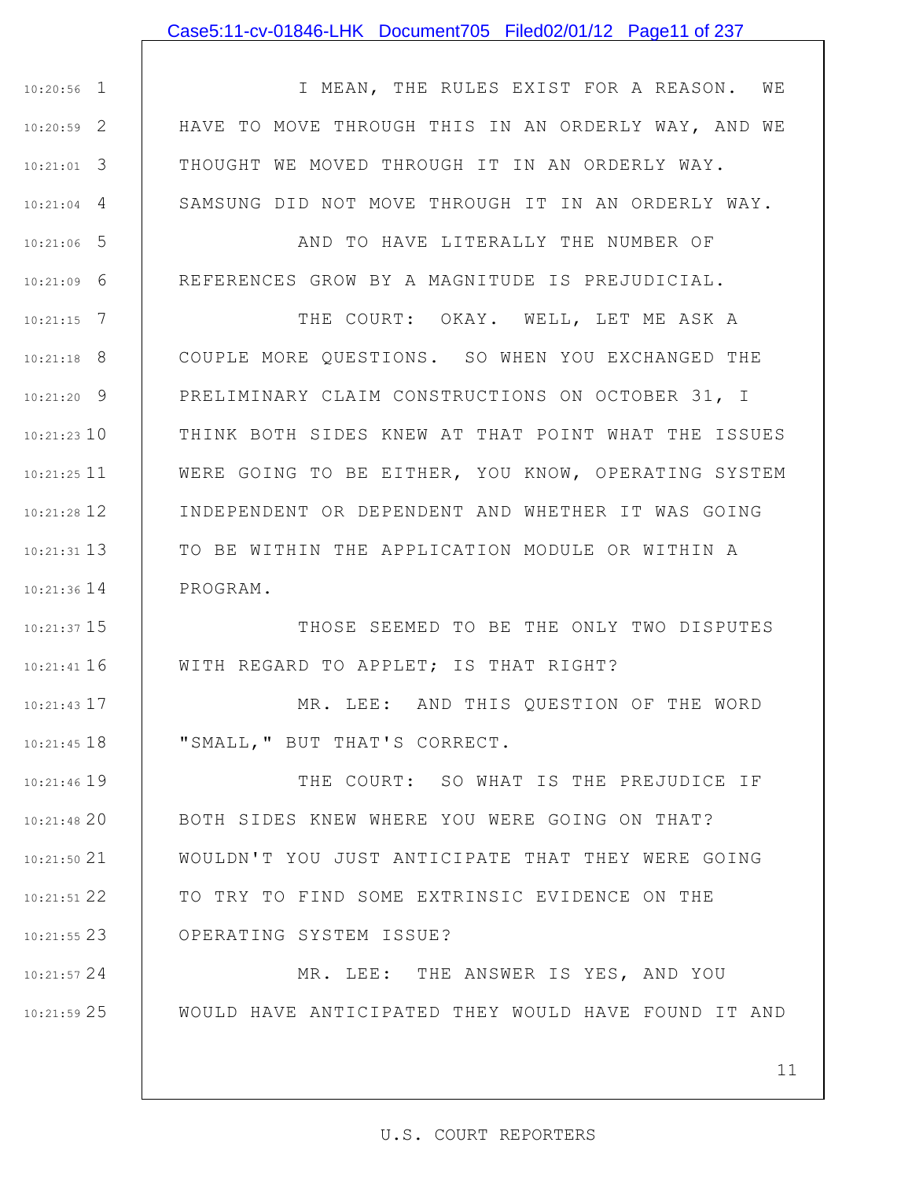### Case5:11-cv-01846-LHK Document705 Filed02/01/12 Page11 of 237

1 10:20:56 2 10:20:59 3 10:21:01 4 10:21:04 I MEAN, THE RULES EXIST FOR A REASON. WE HAVE TO MOVE THROUGH THIS IN AN ORDERLY WAY, AND WE THOUGHT WE MOVED THROUGH IT IN AN ORDERLY WAY. SAMSUNG DID NOT MOVE THROUGH IT IN AN ORDERLY WAY.

5 10:21:06 6 10:21:09 AND TO HAVE LITERALLY THE NUMBER OF REFERENCES GROW BY A MAGNITUDE IS PREJUDICIAL.

7 10:21:15 8 10:21:18 9 10:21:20 10 10:21:23 10:21:25 11 12 10:21:28 13 10:21:31 14 10:21:36 THE COURT: OKAY. WELL, LET ME ASK A COUPLE MORE QUESTIONS. SO WHEN YOU EXCHANGED THE PRELIMINARY CLAIM CONSTRUCTIONS ON OCTOBER 31, I THINK BOTH SIDES KNEW AT THAT POINT WHAT THE ISSUES WERE GOING TO BE EITHER, YOU KNOW, OPERATING SYSTEM INDEPENDENT OR DEPENDENT AND WHETHER IT WAS GOING TO BE WITHIN THE APPLICATION MODULE OR WITHIN A PROGRAM.

15 10:21:37 16 10:21:41 THOSE SEEMED TO BE THE ONLY TWO DISPUTES WITH REGARD TO APPLET; IS THAT RIGHT?

> MR. LEE: AND THIS QUESTION OF THE WORD "SMALL," BUT THAT'S CORRECT.

17 10:21:43

18 10:21:45

19 10:21:46 20 10:21:48 21 10:21:50 22 10:21:51 23 10:21:55 THE COURT: SO WHAT IS THE PREJUDICE IF BOTH SIDES KNEW WHERE YOU WERE GOING ON THAT? WOULDN'T YOU JUST ANTICIPATE THAT THEY WERE GOING TO TRY TO FIND SOME EXTRINSIC EVIDENCE ON THE OPERATING SYSTEM ISSUE?

24 10:21:57 25 10:21:59 MR. LEE: THE ANSWER IS YES, AND YOU WOULD HAVE ANTICIPATED THEY WOULD HAVE FOUND IT AND

11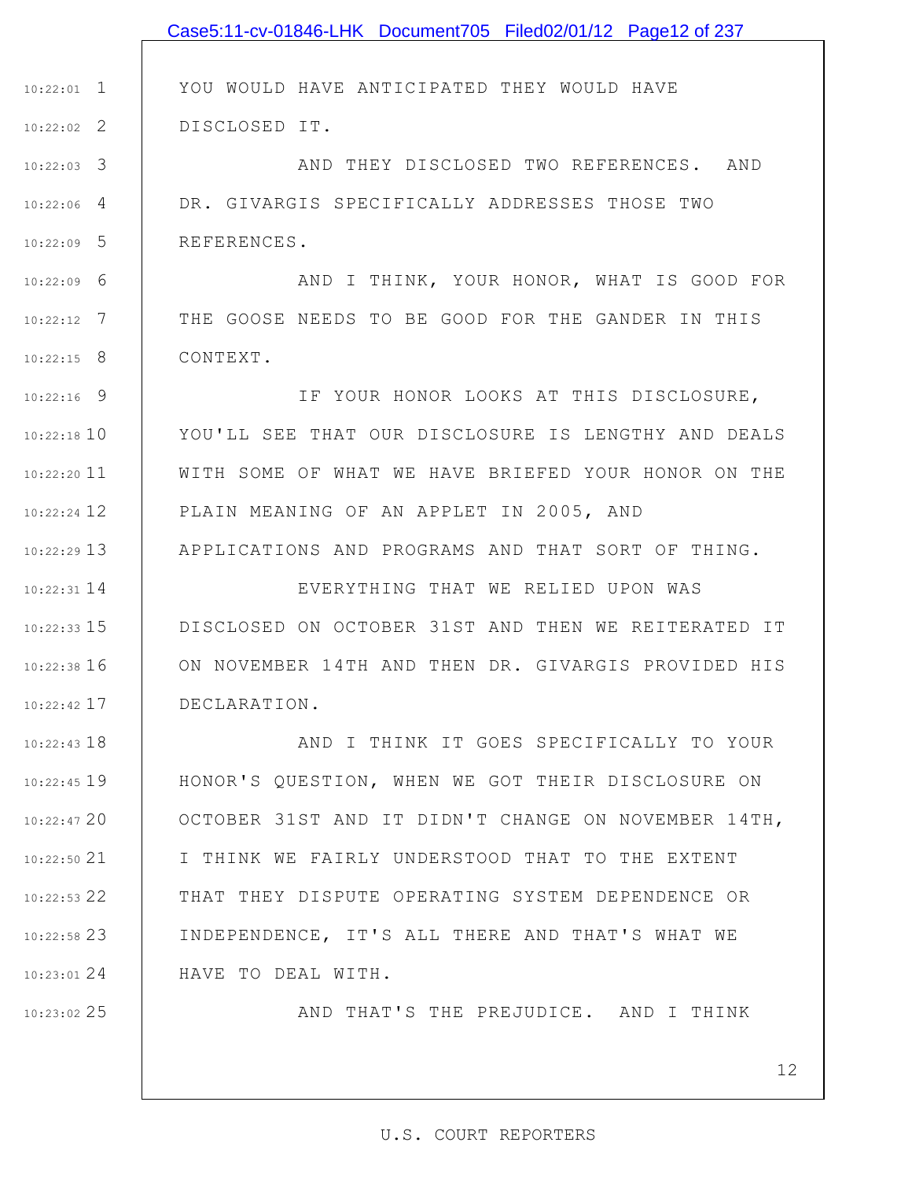|               | Case5:11-cv-01846-LHK Document705 Filed02/01/12 Page12 of 237 |
|---------------|---------------------------------------------------------------|
|               |                                                               |
| $10:22:01$ 1  | YOU WOULD HAVE ANTICIPATED THEY WOULD HAVE                    |
| $10:22:02$ 2  | DISCLOSED IT.                                                 |
| $10:22:03$ 3  | AND THEY DISCLOSED TWO REFERENCES. AND                        |
| $10:22:06$ 4  | DR. GIVARGIS SPECIFICALLY ADDRESSES THOSE TWO                 |
| $10:22:09$ 5  | REFERENCES.                                                   |
| $10:22:09$ 6  | AND I THINK, YOUR HONOR, WHAT IS GOOD FOR                     |
| $10:22:12$ 7  | THE GOOSE NEEDS TO BE GOOD FOR THE GANDER IN THIS             |
| $10:22:15$ 8  | CONTEXT.                                                      |
| $10:22:16$ 9  | IF YOUR HONOR LOOKS AT THIS DISCLOSURE,                       |
| $10:22:18$ 10 | YOU'LL SEE THAT OUR DISCLOSURE IS LENGTHY AND DEALS           |
| $10:22:20$ 11 | WITH SOME OF WHAT WE HAVE BRIEFED YOUR HONOR ON THE           |
| $10:22:24$ 12 | PLAIN MEANING OF AN APPLET IN 2005, AND                       |
| $10:22:29$ 13 | APPLICATIONS AND PROGRAMS AND THAT SORT OF THING.             |
| $10:22:31$ 14 | EVERYTHING THAT WE RELIED UPON WAS                            |
| $10:22:33$ 15 | DISCLOSED ON OCTOBER 31ST AND THEN WE REITERATED IT           |
| $10:22:38$ 16 | ON NOVEMBER 14TH AND THEN DR. GIVARGIS PROVIDED HIS           |
| $10:22:42$ 17 | DECLARATION.                                                  |
| $10:22:43$ 18 | AND I THINK IT GOES SPECIFICALLY TO YOUR                      |
| $10:22:45$ 19 | HONOR'S QUESTION, WHEN WE GOT THEIR DISCLOSURE ON             |
| $10:22:47$ 20 | OCTOBER 31ST AND IT DIDN'T CHANGE ON NOVEMBER 14TH,           |
| $10:22:50$ 21 | I THINK WE FAIRLY UNDERSTOOD THAT TO THE EXTENT               |
| $10:22:53$ 22 | THAT THEY DISPUTE OPERATING SYSTEM DEPENDENCE OR              |
| $10:22:58$ 23 | INDEPENDENCE, IT'S ALL THERE AND THAT'S WHAT WE               |
| $10:23:01$ 24 | HAVE TO DEAL WITH.                                            |
| $10:23:02$ 25 | AND THAT'S THE PREJUDICE. AND I THINK                         |

12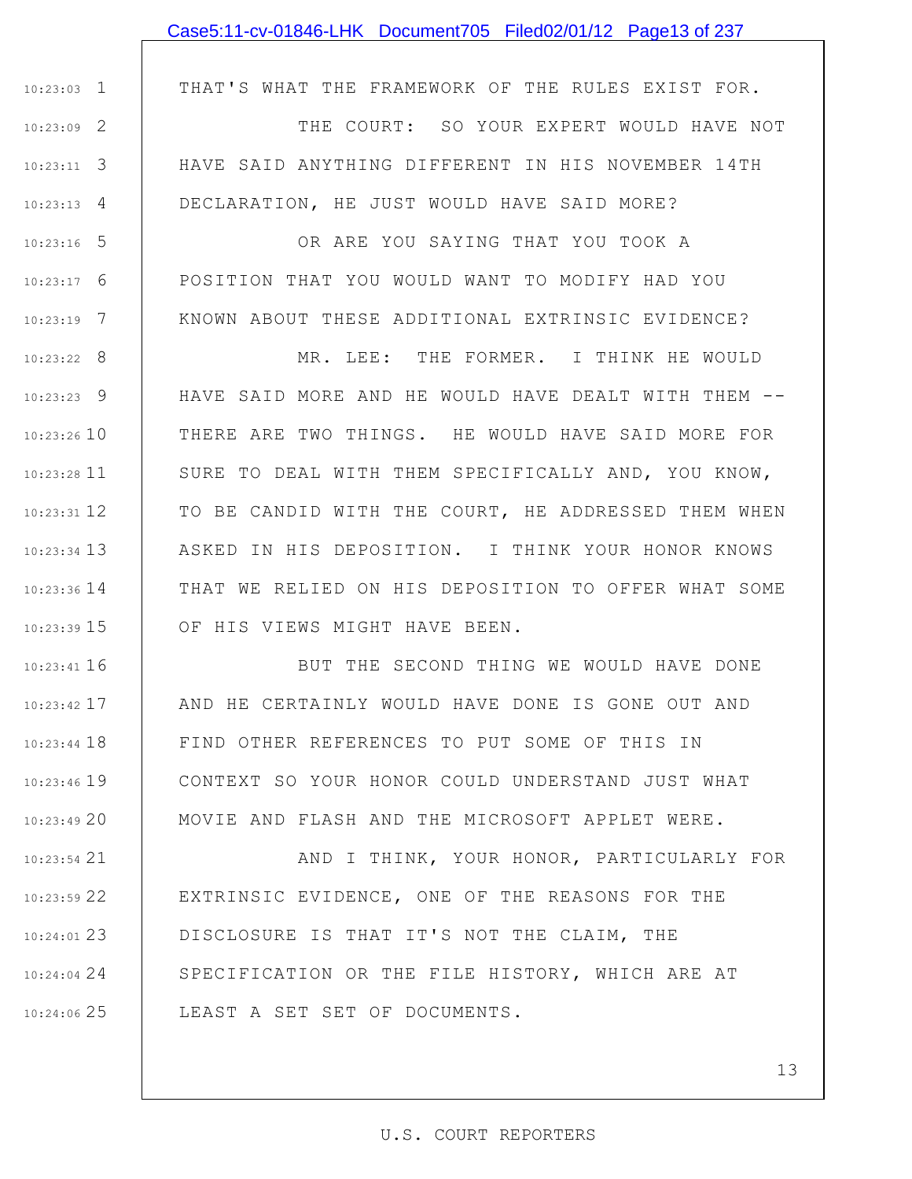### Case5:11-cv-01846-LHK Document705 Filed02/01/12 Page13 of 237

THAT'S WHAT THE FRAMEWORK OF THE RULES EXIST FOR.

1 10:23:03

5 10:23:16

6 10:23:17

7 10:23:19

2 10:23:09 3 10:23:11 4 10:23:13 THE COURT: SO YOUR EXPERT WOULD HAVE NOT HAVE SAID ANYTHING DIFFERENT IN HIS NOVEMBER 14TH DECLARATION, HE JUST WOULD HAVE SAID MORE?

> OR ARE YOU SAYING THAT YOU TOOK A POSITION THAT YOU WOULD WANT TO MODIFY HAD YOU KNOWN ABOUT THESE ADDITIONAL EXTRINSIC EVIDENCE?

8 10:23:22 9 10:23:23 10 10:23:26 11 10:23:28 12 10:23:31 13 10:23:34 14 10:23:36 15 10:23:39 MR. LEE: THE FORMER. I THINK HE WOULD HAVE SAID MORE AND HE WOULD HAVE DEALT WITH THEM -- THERE ARE TWO THINGS. HE WOULD HAVE SAID MORE FOR SURE TO DEAL WITH THEM SPECIFICALLY AND, YOU KNOW, TO BE CANDID WITH THE COURT, HE ADDRESSED THEM WHEN ASKED IN HIS DEPOSITION. I THINK YOUR HONOR KNOWS THAT WE RELIED ON HIS DEPOSITION TO OFFER WHAT SOME OF HIS VIEWS MIGHT HAVE BEEN.

16 10:23:41 17 10:23:42 18 10:23:44 19 10:23:46 20 10:23:49 BUT THE SECOND THING WE WOULD HAVE DONE AND HE CERTAINLY WOULD HAVE DONE IS GONE OUT AND FIND OTHER REFERENCES TO PUT SOME OF THIS IN CONTEXT SO YOUR HONOR COULD UNDERSTAND JUST WHAT MOVIE AND FLASH AND THE MICROSOFT APPLET WERE.

21 10:23:54 22 10:23:59 23 10:24:01 DISCLOSURE IS THAT IT'S NOT THE CLAIM, THE 24 10:24:04 25 10:24:06 AND I THINK, YOUR HONOR, PARTICULARLY FOR EXTRINSIC EVIDENCE, ONE OF THE REASONS FOR THE SPECIFICATION OR THE FILE HISTORY, WHICH ARE AT LEAST A SET SET OF DOCUMENTS.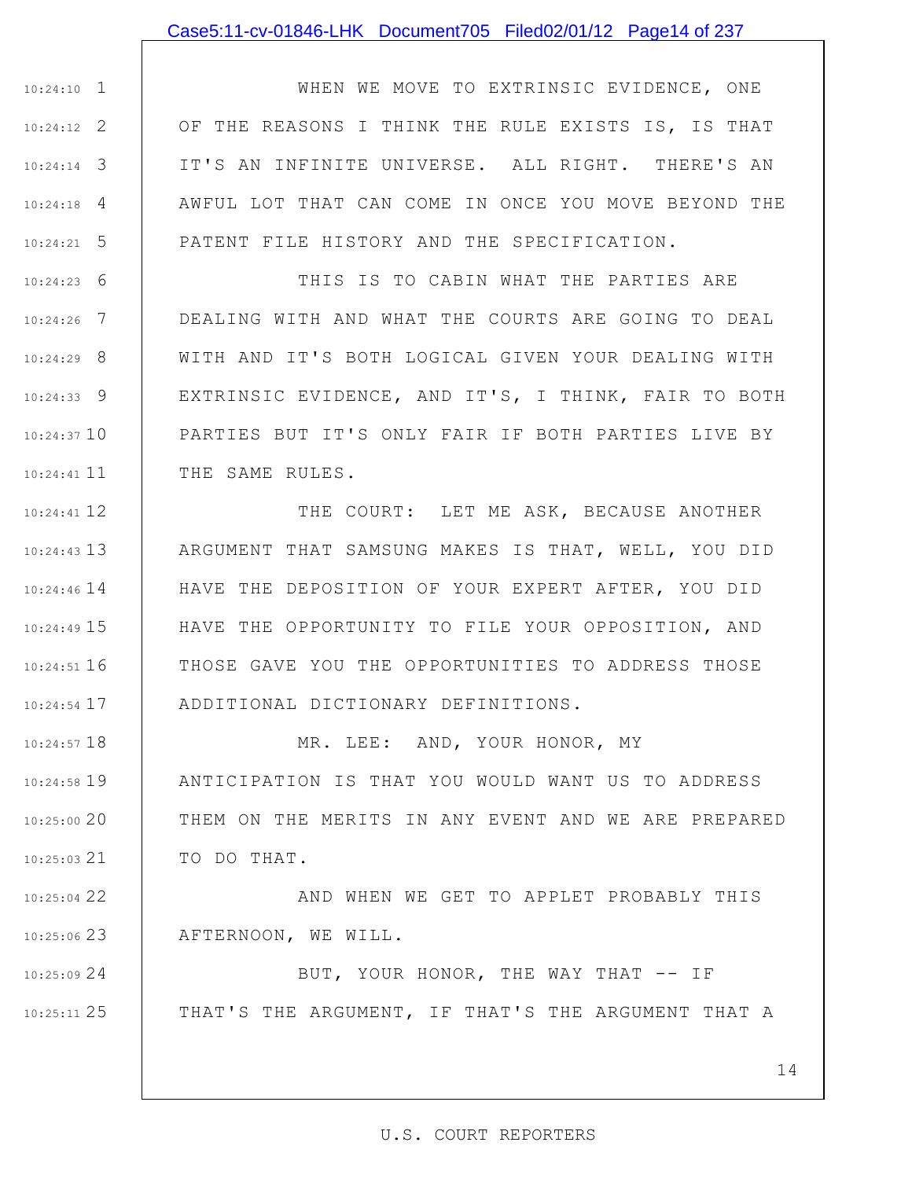#### Case5:11-cv-01846-LHK Document705 Filed02/01/12 Page14 of 237

1 10:24:10 2 10:24:12 3 10:24:14 4 10:24:18 5 10:24:21 WHEN WE MOVE TO EXTRINSIC EVIDENCE, ONE OF THE REASONS I THINK THE RULE EXISTS IS, IS THAT IT'S AN INFINITE UNIVERSE. ALL RIGHT. THERE'S AN AWFUL LOT THAT CAN COME IN ONCE YOU MOVE BEYOND THE PATENT FILE HISTORY AND THE SPECIFICATION.

6 10:24:23 7 10:24:26 8 10:24:29 9 10:24:33 10 10:24:37 10:24:41 11 THIS IS TO CABIN WHAT THE PARTIES ARE DEALING WITH AND WHAT THE COURTS ARE GOING TO DEAL WITH AND IT'S BOTH LOGICAL GIVEN YOUR DEALING WITH EXTRINSIC EVIDENCE, AND IT'S, I THINK, FAIR TO BOTH PARTIES BUT IT'S ONLY FAIR IF BOTH PARTIES LIVE BY THE SAME RULES.

12 10:24:41 13 10:24:43 10:24:46 14 15 10:24:49 16 10:24:51 17 10:24:54 THE COURT: LET ME ASK, BECAUSE ANOTHER ARGUMENT THAT SAMSUNG MAKES IS THAT, WELL, YOU DID HAVE THE DEPOSITION OF YOUR EXPERT AFTER, YOU DID HAVE THE OPPORTUNITY TO FILE YOUR OPPOSITION, AND THOSE GAVE YOU THE OPPORTUNITIES TO ADDRESS THOSE ADDITIONAL DICTIONARY DEFINITIONS.

18 10:24:57 19 10:24:58 20 10:25:00 21 10:25:03 MR. LEE: AND, YOUR HONOR, MY ANTICIPATION IS THAT YOU WOULD WANT US TO ADDRESS THEM ON THE MERITS IN ANY EVENT AND WE ARE PREPARED TO DO THAT.

22 10:25:04 23 10:25:06 AND WHEN WE GET TO APPLET PROBABLY THIS AFTERNOON, WE WILL.

24 10:25:09 25 10:25:11 BUT, YOUR HONOR, THE WAY THAT -- IF THAT'S THE ARGUMENT, IF THAT'S THE ARGUMENT THAT A

14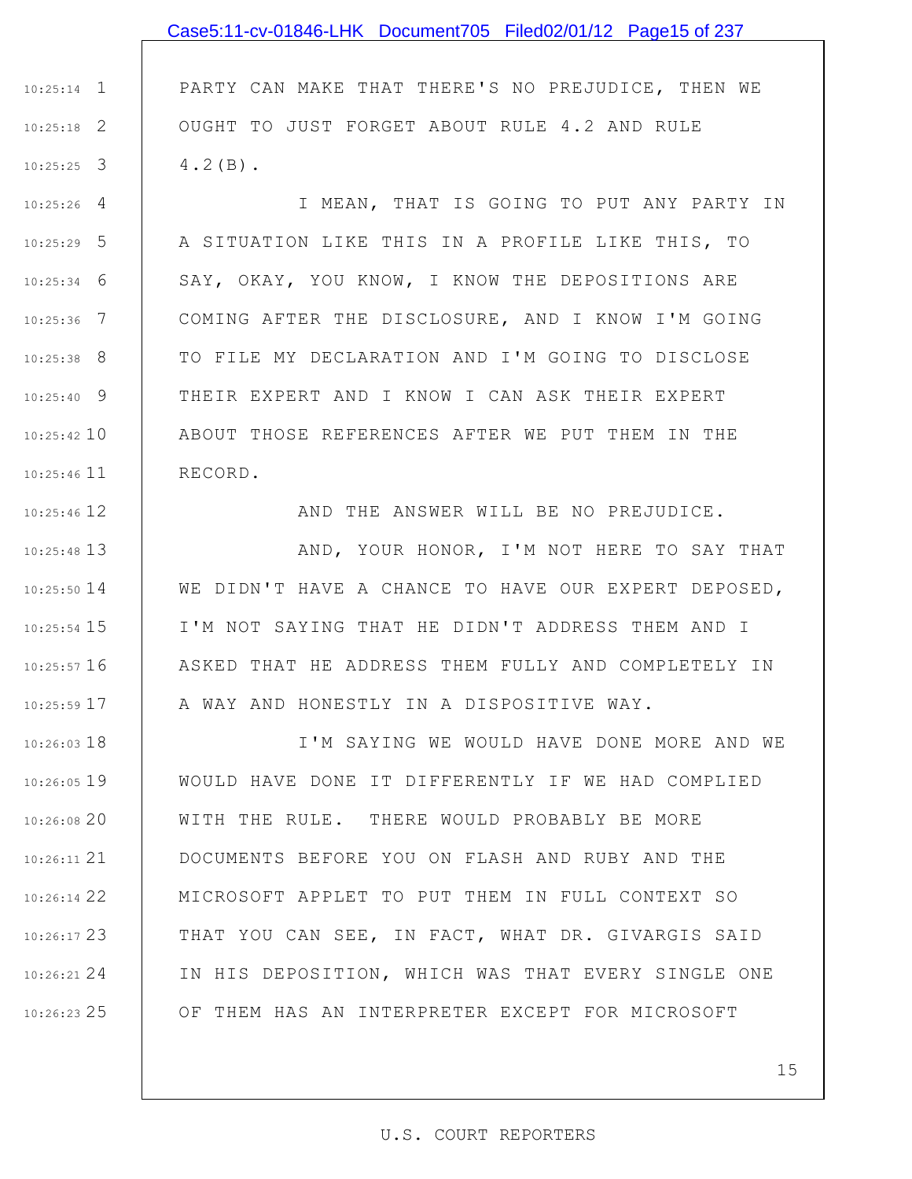## 1 10:25:14 2 10:25:18 3 10:25:25 4 10:25:26 5 10:25:29 6 10:25:34 7 10:25:36 8 10:25:38 9 10:25:40 10 10:25:42 10:25:46 11 12 10:25:46 13 10:25:48 14 10:25:50 PARTY CAN MAKE THAT THERE'S NO PREJUDICE, THEN WE OUGHT TO JUST FORGET ABOUT RULE 4.2 AND RULE 4.2(B). I MEAN, THAT IS GOING TO PUT ANY PARTY IN A SITUATION LIKE THIS IN A PROFILE LIKE THIS, TO SAY, OKAY, YOU KNOW, I KNOW THE DEPOSITIONS ARE COMING AFTER THE DISCLOSURE, AND I KNOW I'M GOING TO FILE MY DECLARATION AND I'M GOING TO DISCLOSE THEIR EXPERT AND I KNOW I CAN ASK THEIR EXPERT ABOUT THOSE REFERENCES AFTER WE PUT THEM IN THE RECORD. AND THE ANSWER WILL BE NO PREJUDICE. AND, YOUR HONOR, I'M NOT HERE TO SAY THAT WE DIDN'T HAVE A CHANCE TO HAVE OUR EXPERT DEPOSED, Case5:11-cv-01846-LHK Document705 Filed02/01/12 Page15 of 237

15 10:25:54 16 10:25:57 17 10:25:59 I'M NOT SAYING THAT HE DIDN'T ADDRESS THEM AND I ASKED THAT HE ADDRESS THEM FULLY AND COMPLETELY IN A WAY AND HONESTLY IN A DISPOSITIVE WAY.

18 10:26:03 19 10:26:05 20 10:26:08 21 10:26:11 22 10:26:14 23 10:26:17 24 10:26:21 25 10:26:23 I'M SAYING WE WOULD HAVE DONE MORE AND WE WOULD HAVE DONE IT DIFFERENTLY IF WE HAD COMPLIED WITH THE RULE. THERE WOULD PROBABLY BE MORE DOCUMENTS BEFORE YOU ON FLASH AND RUBY AND THE MICROSOFT APPLET TO PUT THEM IN FULL CONTEXT SO THAT YOU CAN SEE, IN FACT, WHAT DR. GIVARGIS SAID IN HIS DEPOSITION, WHICH WAS THAT EVERY SINGLE ONE OF THEM HAS AN INTERPRETER EXCEPT FOR MICROSOFT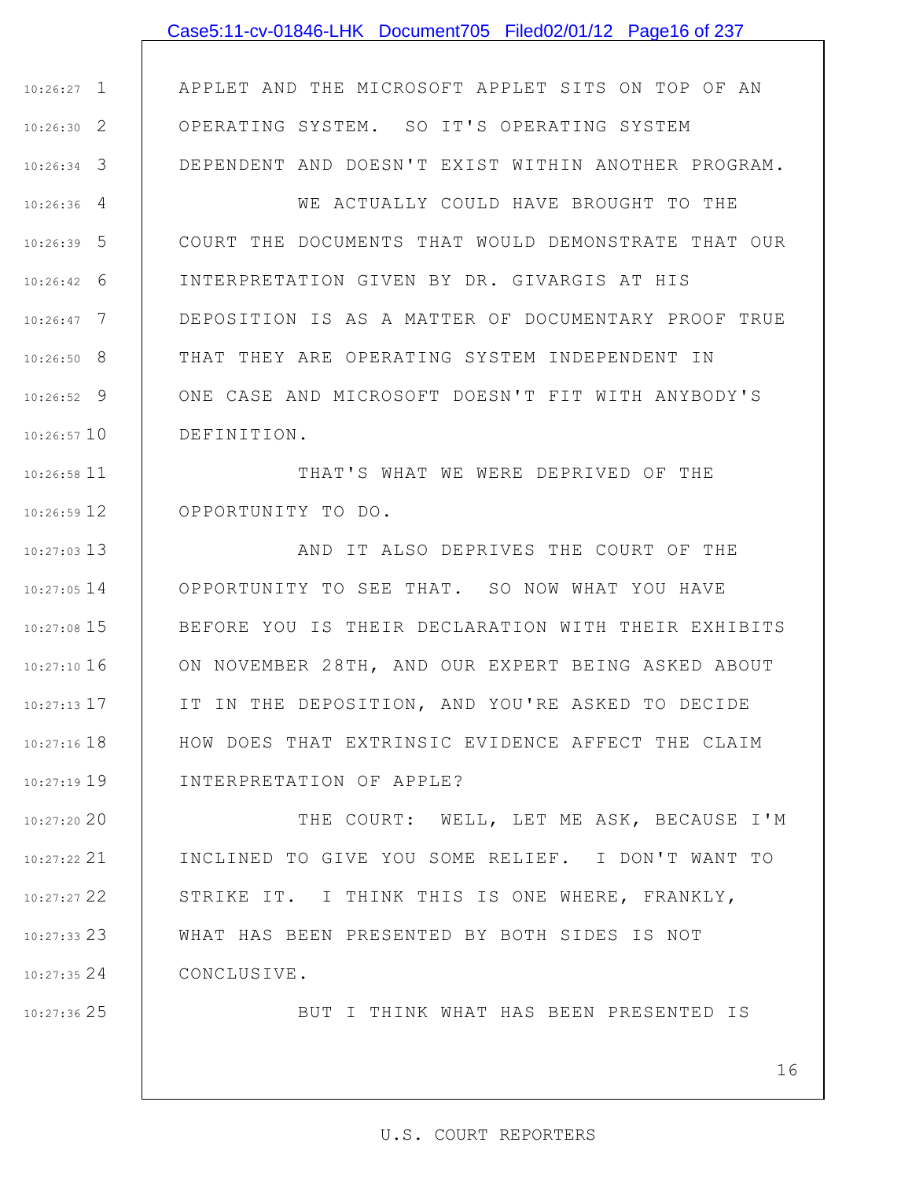## Case5:11-cv-01846-LHK Document705 Filed02/01/12 Page16 of 237

1 10:26:27 2 10:26:30 3 10:26:34 APPLET AND THE MICROSOFT APPLET SITS ON TOP OF AN OPERATING SYSTEM. SO IT'S OPERATING SYSTEM DEPENDENT AND DOESN'T EXIST WITHIN ANOTHER PROGRAM.

4 10:26:36 5 10:26:39 6 10:26:42 7 10:26:47 8 10:26:50 9 10:26:52 10 10:26:57 WE ACTUALLY COULD HAVE BROUGHT TO THE COURT THE DOCUMENTS THAT WOULD DEMONSTRATE THAT OUR INTERPRETATION GIVEN BY DR. GIVARGIS AT HIS DEPOSITION IS AS A MATTER OF DOCUMENTARY PROOF TRUE THAT THEY ARE OPERATING SYSTEM INDEPENDENT IN ONE CASE AND MICROSOFT DOESN'T FIT WITH ANYBODY'S DEFINITION.

11 10:26:58 12 10:26:59 THAT'S WHAT WE WERE DEPRIVED OF THE OPPORTUNITY TO DO.

13 10:27:03 14 10:27:05 15 10:27:08 16 10:27:10 17 10:27:13 18 10:27:16 19 10:27:19 AND IT ALSO DEPRIVES THE COURT OF THE OPPORTUNITY TO SEE THAT. SO NOW WHAT YOU HAVE BEFORE YOU IS THEIR DECLARATION WITH THEIR EXHIBITS ON NOVEMBER 28TH, AND OUR EXPERT BEING ASKED ABOUT IT IN THE DEPOSITION, AND YOU'RE ASKED TO DECIDE HOW DOES THAT EXTRINSIC EVIDENCE AFFECT THE CLAIM INTERPRETATION OF APPLE?

20 10:27:20 21 10:27:22 22 10:27:27 23 10:27:33 24 10:27:35 THE COURT: WELL, LET ME ASK, BECAUSE I'M INCLINED TO GIVE YOU SOME RELIEF. I DON'T WANT TO STRIKE IT. I THINK THIS IS ONE WHERE, FRANKLY, WHAT HAS BEEN PRESENTED BY BOTH SIDES IS NOT CONCLUSIVE.

25 10:27:36

BUT I THINK WHAT HAS BEEN PRESENTED IS

16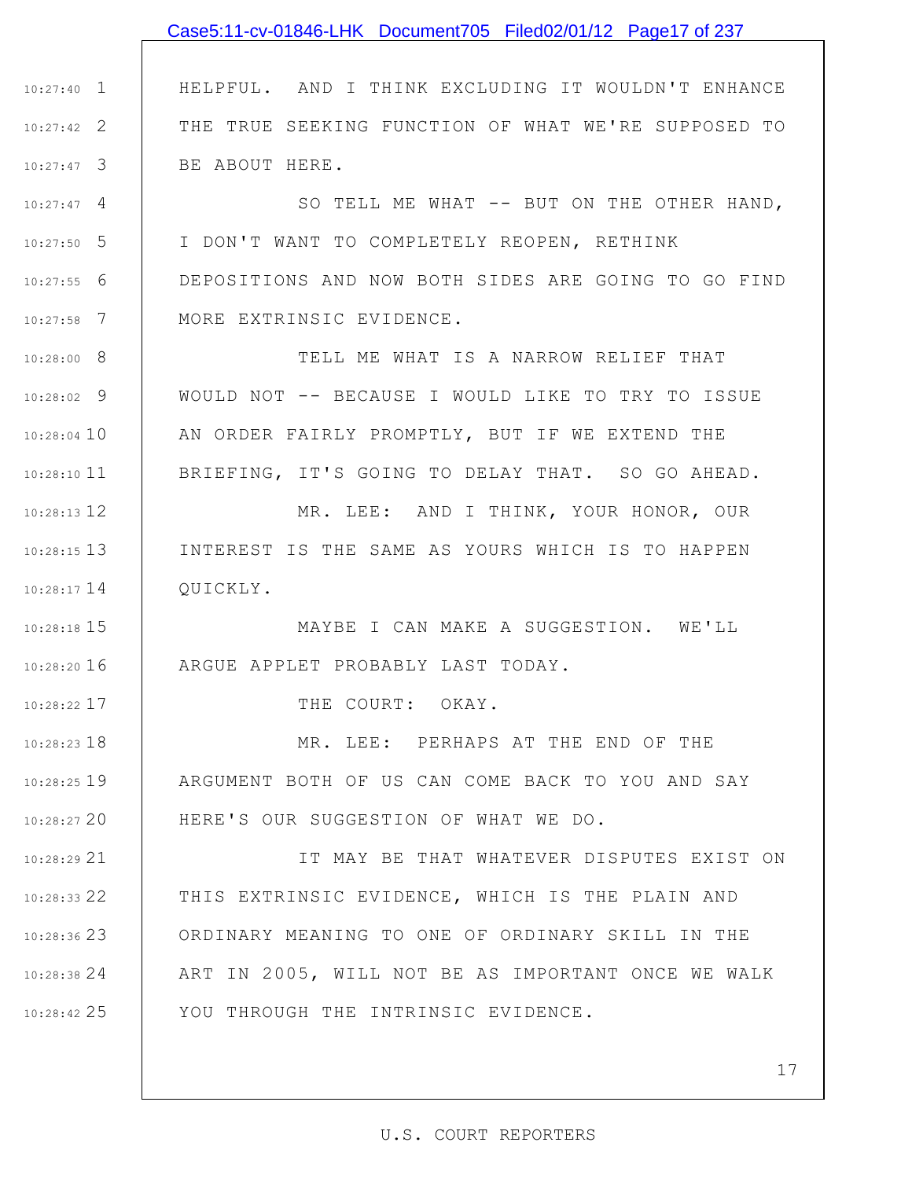## 1 10:27:40 2 10:27:42 3 10:27:47 4 10:27:47 5 10:27:50 6 10:27:55 7 10:27:58 8 10:28:00 9 10:28:02 10 10:28:04 10:28:10 11 12 10:28:13 13 10:28:15 14 10:28:17 15 10:28:18 16 10:28:20 17 10:28:22 18 10:28:23 19 10:28:25 20 10:28:27 21 10:28:29 22 10:28:33 23 10:28:36 24 10:28:38 25 10:28:42 HELPFUL. AND I THINK EXCLUDING IT WOULDN'T ENHANCE THE TRUE SEEKING FUNCTION OF WHAT WE'RE SUPPOSED TO BE ABOUT HERE. SO TELL ME WHAT -- BUT ON THE OTHER HAND, I DON'T WANT TO COMPLETELY REOPEN, RETHINK DEPOSITIONS AND NOW BOTH SIDES ARE GOING TO GO FIND MORE EXTRINSIC EVIDENCE. TELL ME WHAT IS A NARROW RELIEF THAT WOULD NOT -- BECAUSE I WOULD LIKE TO TRY TO ISSUE AN ORDER FAIRLY PROMPTLY, BUT IF WE EXTEND THE BRIEFING, IT'S GOING TO DELAY THAT. SO GO AHEAD. MR. LEE: AND I THINK, YOUR HONOR, OUR INTEREST IS THE SAME AS YOURS WHICH IS TO HAPPEN QUICKLY. MAYBE I CAN MAKE A SUGGESTION. WE'LL ARGUE APPLET PROBABLY LAST TODAY. THE COURT: OKAY. MR. LEE: PERHAPS AT THE END OF THE ARGUMENT BOTH OF US CAN COME BACK TO YOU AND SAY HERE'S OUR SUGGESTION OF WHAT WE DO. IT MAY BE THAT WHATEVER DISPUTES EXIST ON THIS EXTRINSIC EVIDENCE, WHICH IS THE PLAIN AND ORDINARY MEANING TO ONE OF ORDINARY SKILL IN THE ART IN 2005, WILL NOT BE AS IMPORTANT ONCE WE WALK YOU THROUGH THE INTRINSIC EVIDENCE. Case5:11-cv-01846-LHK Document705 Filed02/01/12 Page17 of 237

#### U.S. COURT REPORTERS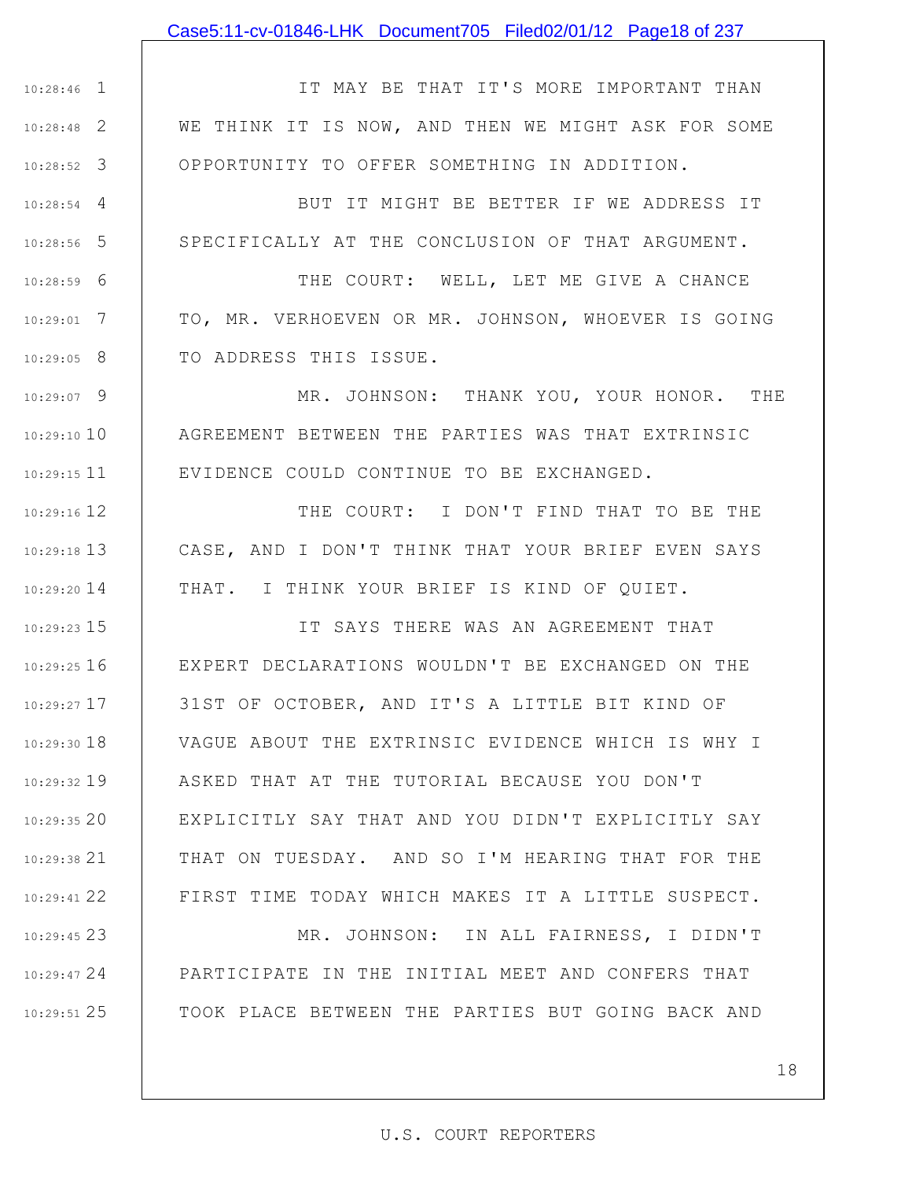#### Case5:11-cv-01846-LHK Document705 Filed02/01/12 Page18 of 237

1 10:28:46 2 10:28:48 3 10:28:52 IT MAY BE THAT IT'S MORE IMPORTANT THAN WE THINK IT IS NOW, AND THEN WE MIGHT ASK FOR SOME OPPORTUNITY TO OFFER SOMETHING IN ADDITION.

4 10:28:54

5 10:28:56

6 10:28:59

7 10:29:01

8 10:29:05

BUT IT MIGHT BE BETTER IF WE ADDRESS IT SPECIFICALLY AT THE CONCLUSION OF THAT ARGUMENT.

THE COURT: WELL, LET ME GIVE A CHANCE TO, MR. VERHOEVEN OR MR. JOHNSON, WHOEVER IS GOING TO ADDRESS THIS ISSUE.

9 10:29:07 10 10:29:10 11 10:29:15 MR. JOHNSON: THANK YOU, YOUR HONOR. THE AGREEMENT BETWEEN THE PARTIES WAS THAT EXTRINSIC EVIDENCE COULD CONTINUE TO BE EXCHANGED.

12 10:29:16 13 10:29:18 14 10:29:20 THE COURT: I DON'T FIND THAT TO BE THE CASE, AND I DON'T THINK THAT YOUR BRIEF EVEN SAYS THAT. I THINK YOUR BRIEF IS KIND OF QUIET.

15 10:29:23 16 10:29:25 17 10:29:27 18 10:29:30 19 10:29:32 20 10:29:35 21 10:29:38 22 10:29:41 IT SAYS THERE WAS AN AGREEMENT THAT EXPERT DECLARATIONS WOULDN'T BE EXCHANGED ON THE 31ST OF OCTOBER, AND IT'S A LITTLE BIT KIND OF VAGUE ABOUT THE EXTRINSIC EVIDENCE WHICH IS WHY I ASKED THAT AT THE TUTORIAL BECAUSE YOU DON'T EXPLICITLY SAY THAT AND YOU DIDN'T EXPLICITLY SAY THAT ON TUESDAY. AND SO I'M HEARING THAT FOR THE FIRST TIME TODAY WHICH MAKES IT A LITTLE SUSPECT.

23 10:29:45 24 10:29:47 25 10:29:51 MR. JOHNSON: IN ALL FAIRNESS, I DIDN'T PARTICIPATE IN THE INITIAL MEET AND CONFERS THAT TOOK PLACE BETWEEN THE PARTIES BUT GOING BACK AND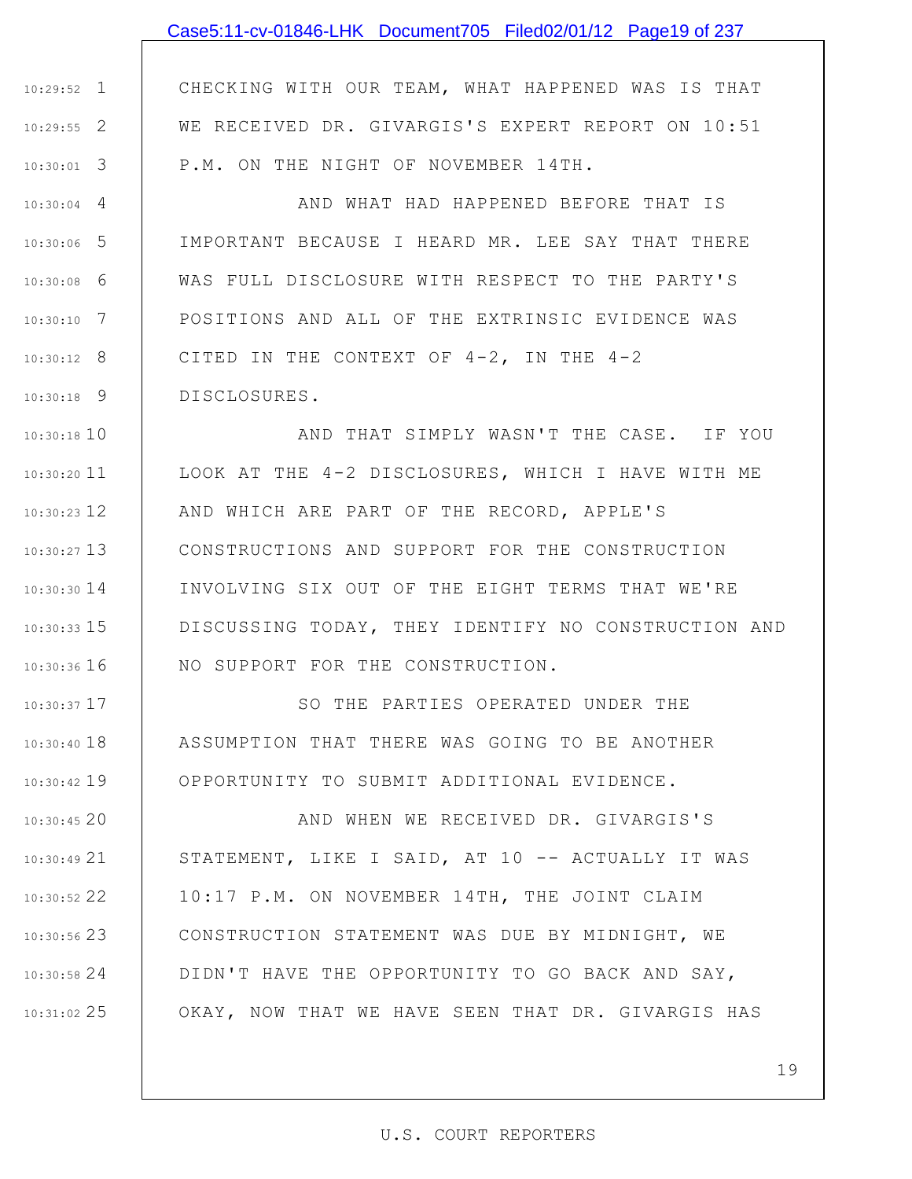## Case5:11-cv-01846-LHK Document705 Filed02/01/12 Page19 of 237

1 10:29:52 2 10:29:55 3 10:30:01 CHECKING WITH OUR TEAM, WHAT HAPPENED WAS IS THAT WE RECEIVED DR. GIVARGIS'S EXPERT REPORT ON 10:51 P.M. ON THE NIGHT OF NOVEMBER 14TH.

4 10:30:04 5 10:30:06 6 10:30:08 7 10:30:10 8 10:30:12 9 10:30:18 AND WHAT HAD HAPPENED BEFORE THAT IS IMPORTANT BECAUSE I HEARD MR. LEE SAY THAT THERE WAS FULL DISCLOSURE WITH RESPECT TO THE PARTY'S POSITIONS AND ALL OF THE EXTRINSIC EVIDENCE WAS CITED IN THE CONTEXT OF 4-2, IN THE 4-2 DISCLOSURES.

10 10:30:18 11 10:30:20 10:30:23 12 | AND WHICH ARE PART OF THE RECORD, APPLE'S 13 10:30:27 14 10:30:30 15 10:30:33 16 10:30:36 AND THAT SIMPLY WASN'T THE CASE. IF YOU LOOK AT THE 4-2 DISCLOSURES, WHICH I HAVE WITH ME CONSTRUCTIONS AND SUPPORT FOR THE CONSTRUCTION INVOLVING SIX OUT OF THE EIGHT TERMS THAT WE'RE DISCUSSING TODAY, THEY IDENTIFY NO CONSTRUCTION AND NO SUPPORT FOR THE CONSTRUCTION.

17 10:30:37 18 10:30:40 19 10:30:42 SO THE PARTIES OPERATED UNDER THE ASSUMPTION THAT THERE WAS GOING TO BE ANOTHER OPPORTUNITY TO SUBMIT ADDITIONAL EVIDENCE.

20 10:30:45 21 10:30:49 22 10:30:52 10:30:56 23 | CONSTRUCTION STATEMENT WAS DUE BY MIDNIGHT, WE 24 10:30:58 25 10:31:02 AND WHEN WE RECEIVED DR. GIVARGIS'S STATEMENT, LIKE I SAID, AT 10 -- ACTUALLY IT WAS 10:17 P.M. ON NOVEMBER 14TH, THE JOINT CLAIM DIDN'T HAVE THE OPPORTUNITY TO GO BACK AND SAY, OKAY, NOW THAT WE HAVE SEEN THAT DR. GIVARGIS HAS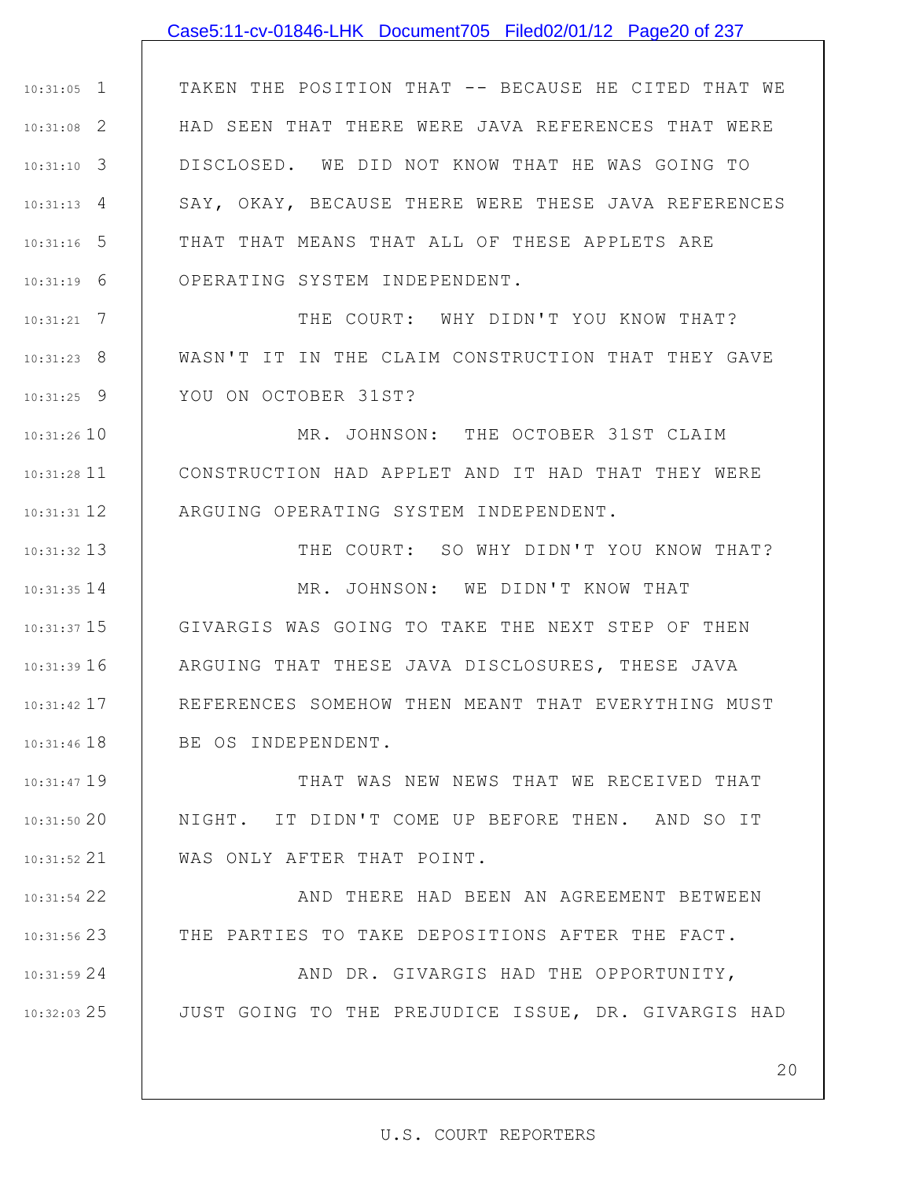#### Case5:11-cv-01846-LHK Document705 Filed02/01/12 Page20 of 237

1 10:31:05 2 10:31:08 3 10:31:10 4 10:31:13 5 10:31:16 6 10:31:19 TAKEN THE POSITION THAT -- BECAUSE HE CITED THAT WE HAD SEEN THAT THERE WERE JAVA REFERENCES THAT WERE DISCLOSED. WE DID NOT KNOW THAT HE WAS GOING TO SAY, OKAY, BECAUSE THERE WERE THESE JAVA REFERENCES THAT THAT MEANS THAT ALL OF THESE APPLETS ARE OPERATING SYSTEM INDEPENDENT.

7 10:31:21 8 10:31:23 9 10:31:25 THE COURT: WHY DIDN'T YOU KNOW THAT? WASN'T IT IN THE CLAIM CONSTRUCTION THAT THEY GAVE YOU ON OCTOBER 31ST?

10 10:31:26 10:31:28 11 12 10:31:31 MR. JOHNSON: THE OCTOBER 31ST CLAIM CONSTRUCTION HAD APPLET AND IT HAD THAT THEY WERE ARGUING OPERATING SYSTEM INDEPENDENT.

13 10:31:32 14 10:31:35 15 10:31:37 16 10:31:39 17 10:31:42 18 10:31:46 THE COURT: SO WHY DIDN'T YOU KNOW THAT? MR. JOHNSON: WE DIDN'T KNOW THAT GIVARGIS WAS GOING TO TAKE THE NEXT STEP OF THEN ARGUING THAT THESE JAVA DISCLOSURES, THESE JAVA REFERENCES SOMEHOW THEN MEANT THAT EVERYTHING MUST BE OS INDEPENDENT.

19 10:31:47 20 10:31:50 21 10:31:52 THAT WAS NEW NEWS THAT WE RECEIVED THAT NIGHT. IT DIDN'T COME UP BEFORE THEN. AND SO IT WAS ONLY AFTER THAT POINT.

22 10:31:54

23 10:31:56

AND THERE HAD BEEN AN AGREEMENT BETWEEN THE PARTIES TO TAKE DEPOSITIONS AFTER THE FACT.

24 10:31:59 25 10:32:03 AND DR. GIVARGIS HAD THE OPPORTUNITY, JUST GOING TO THE PREJUDICE ISSUE, DR. GIVARGIS HAD

20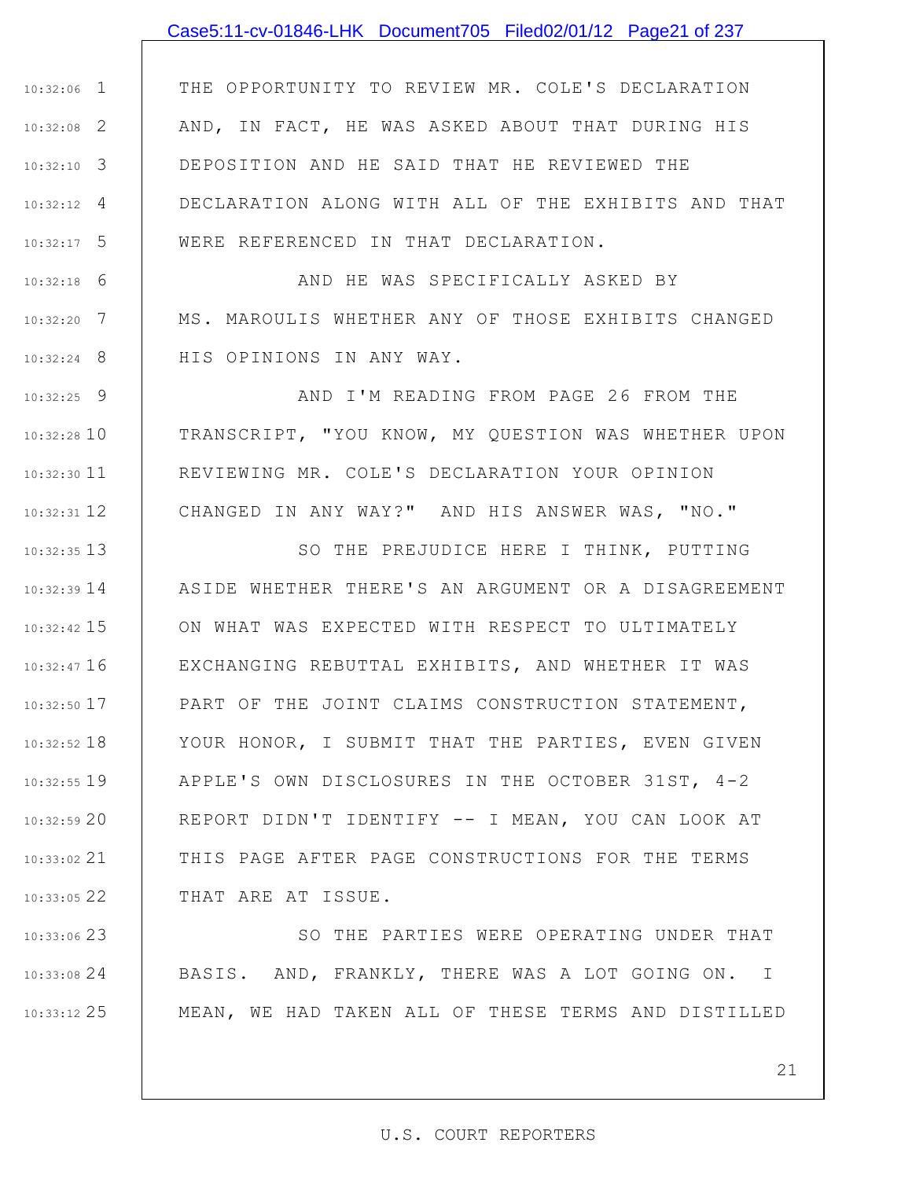### Case5:11-cv-01846-LHK Document705 Filed02/01/12 Page21 of 237

1 10:32:06 2 10:32:08 3 10:32:10 4 10:32:12 5 10:32:17 THE OPPORTUNITY TO REVIEW MR. COLE'S DECLARATION AND, IN FACT, HE WAS ASKED ABOUT THAT DURING HIS DEPOSITION AND HE SAID THAT HE REVIEWED THE DECLARATION ALONG WITH ALL OF THE EXHIBITS AND THAT WERE REFERENCED IN THAT DECLARATION.

6 10:32:18 7 10:32:20 8 10:32:24 AND HE WAS SPECIFICALLY ASKED BY MS. MAROULIS WHETHER ANY OF THOSE EXHIBITS CHANGED HIS OPINIONS IN ANY WAY.

9 10:32:25 10 10:32:28 10:32:30 11 12 10:32:31 AND I'M READING FROM PAGE 26 FROM THE TRANSCRIPT, "YOU KNOW, MY QUESTION WAS WHETHER UPON REVIEWING MR. COLE'S DECLARATION YOUR OPINION CHANGED IN ANY WAY?" AND HIS ANSWER WAS, "NO."

13 10:32:35 14 10:32:39 15 10:32:42 16 10:32:47 17 10:32:50 18 10:32:52 19 10:32:55 20 10:32:59 21 10:33:02 22 10:33:05 SO THE PREJUDICE HERE I THINK, PUTTING ASIDE WHETHER THERE'S AN ARGUMENT OR A DISAGREEMENT ON WHAT WAS EXPECTED WITH RESPECT TO ULTIMATELY EXCHANGING REBUTTAL EXHIBITS, AND WHETHER IT WAS PART OF THE JOINT CLAIMS CONSTRUCTION STATEMENT, YOUR HONOR, I SUBMIT THAT THE PARTIES, EVEN GIVEN APPLE'S OWN DISCLOSURES IN THE OCTOBER 31ST, 4-2 REPORT DIDN'T IDENTIFY -- I MEAN, YOU CAN LOOK AT THIS PAGE AFTER PAGE CONSTRUCTIONS FOR THE TERMS THAT ARE AT ISSUE.

23 10:33:06 24 10:33:08 25 10:33:12 SO THE PARTIES WERE OPERATING UNDER THAT BASIS. AND, FRANKLY, THERE WAS A LOT GOING ON. I MEAN, WE HAD TAKEN ALL OF THESE TERMS AND DISTILLED

21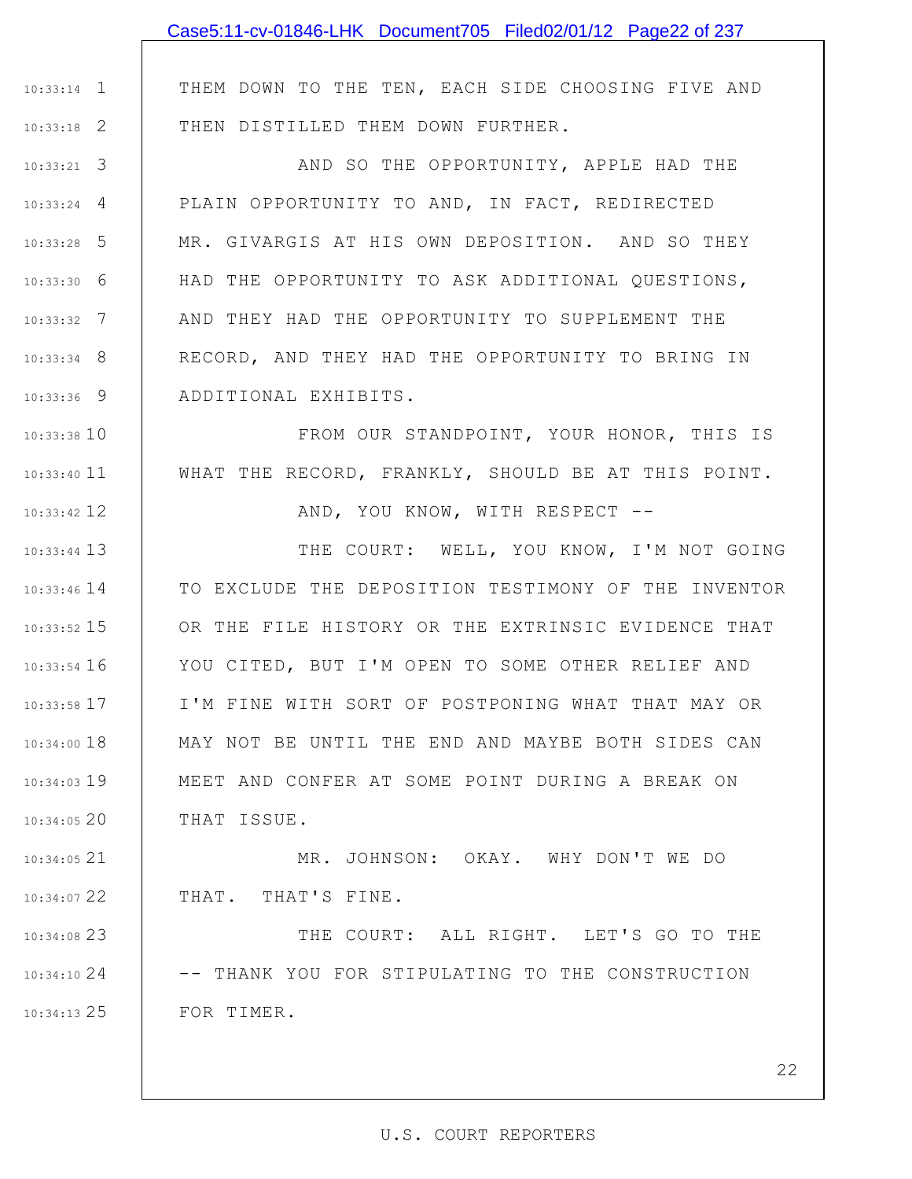|               | Case5:11-cv-01846-LHK Document705 Filed02/01/12 Page22 of 237 |
|---------------|---------------------------------------------------------------|
|               |                                                               |
| $10:33:14$ 1  | THEM DOWN TO THE TEN, EACH SIDE CHOOSING FIVE AND             |
| $10:33:18$ 2  | THEN DISTILLED THEM DOWN FURTHER.                             |
| $10:33:21$ 3  | AND SO THE OPPORTUNITY, APPLE HAD THE                         |
| $10:33:24$ 4  | PLAIN OPPORTUNITY TO AND, IN FACT, REDIRECTED                 |
| $10:33:28$ 5  | MR. GIVARGIS AT HIS OWN DEPOSITION. AND SO THEY               |
| $10:33:30$ 6  | HAD THE OPPORTUNITY TO ASK ADDITIONAL QUESTIONS,              |
| $10:33:32$ 7  | AND THEY HAD THE OPPORTUNITY TO SUPPLEMENT THE                |
| $10:33:34$ 8  | RECORD, AND THEY HAD THE OPPORTUNITY TO BRING IN              |
| $10:33:36$ 9  | ADDITIONAL EXHIBITS.                                          |
| $10:33:38$ 10 | FROM OUR STANDPOINT, YOUR HONOR, THIS IS                      |
| $10:33:40$ 11 | WHAT THE RECORD, FRANKLY, SHOULD BE AT THIS POINT.            |
| $10:33:42$ 12 | AND, YOU KNOW, WITH RESPECT --                                |
| $10:33:44$ 13 | THE COURT: WELL, YOU KNOW, I'M NOT GOING                      |
| $10:33:46$ 14 | TO EXCLUDE THE DEPOSITION TESTIMONY OF THE INVENTOR           |
| $10:33:52$ 15 | OR THE FILE HISTORY OR THE EXTRINSIC EVIDENCE THAT            |
| $10:33:54$ 16 | YOU CITED, BUT I'M OPEN TO SOME OTHER RELIEF AND              |
| $10:33:58$ 17 | I'M FINE WITH SORT OF POSTPONING WHAT THAT MAY OR             |
| $10:34:00$ 18 | MAY NOT BE UNTIL THE END AND MAYBE BOTH SIDES CAN             |
| $10:34:03$ 19 | MEET AND CONFER AT SOME POINT DURING A BREAK ON               |
| 10:34:0520    | THAT ISSUE.                                                   |
| $10:34:05$ 21 | MR. JOHNSON: OKAY. WHY DON'T WE DO                            |
| $10:34:07$ 22 | THAT. THAT'S FINE.                                            |
| 10:34:08 23   | THE COURT: ALL RIGHT. LET'S GO TO THE                         |
| 10:34:1024    | -- THANK YOU FOR STIPULATING TO THE CONSTRUCTION              |
| $10:34:13$ 25 | FOR TIMER.                                                    |
|               |                                                               |
|               | 22                                                            |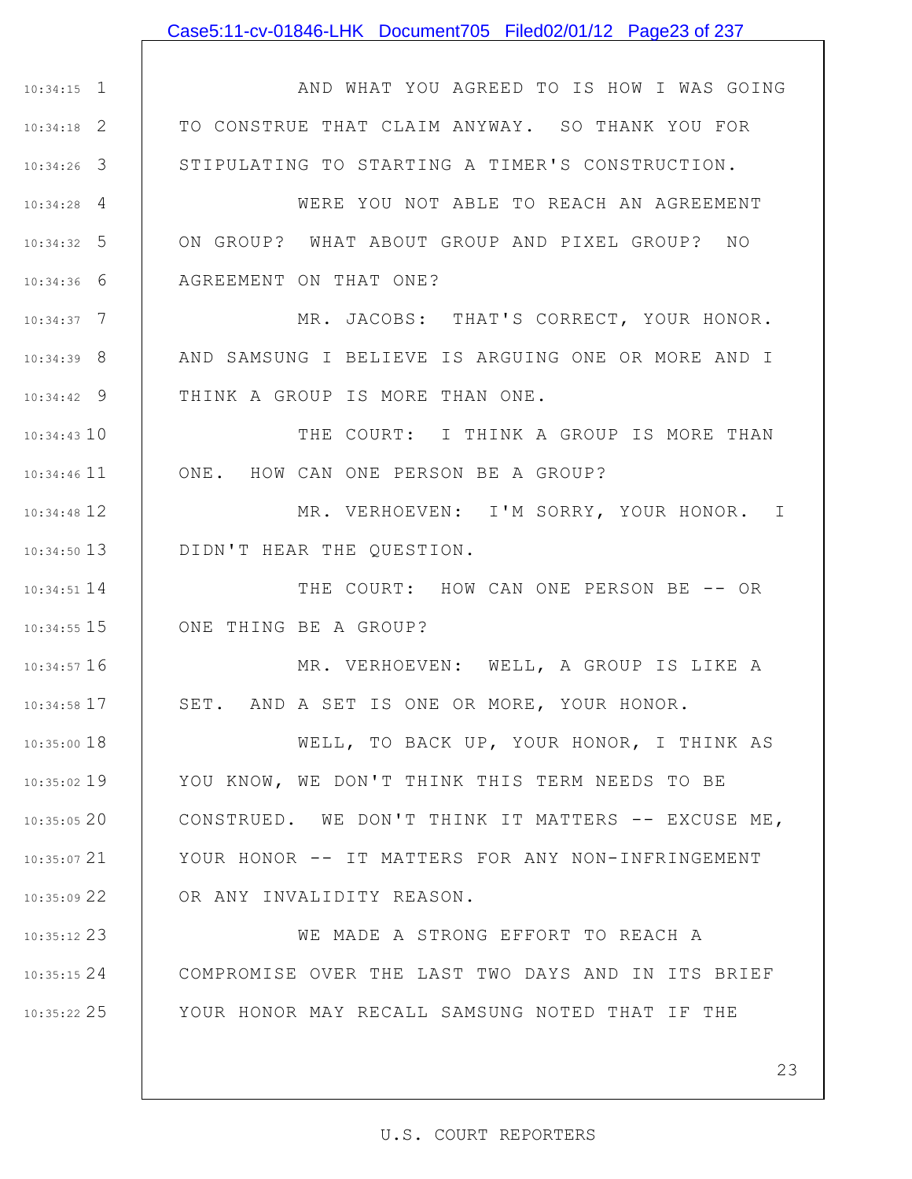### Case5:11-cv-01846-LHK Document705 Filed02/01/12 Page23 of 237

1 10:34:15 2 10:34:18 3 10:34:26 4 10:34:28 5 10:34:32 6 10:34:36 7 10:34:37 8 10:34:39 9 10:34:42 10 10:34:43 10:34:46 11 12 10:34:48 13 10:34:50 14 10:34:51 15 10:34:55 16 10:34:57 17 10:34:58 18 10:35:00 19 10:35:02 20 10:35:05 21 10:35:07 22 10:35:09 23 10:35:12 24 10:35:15 25 10:35:22 AND WHAT YOU AGREED TO IS HOW I WAS GOING TO CONSTRUE THAT CLAIM ANYWAY. SO THANK YOU FOR STIPULATING TO STARTING A TIMER'S CONSTRUCTION. WERE YOU NOT ABLE TO REACH AN AGREEMENT ON GROUP? WHAT ABOUT GROUP AND PIXEL GROUP? NO AGREEMENT ON THAT ONE? MR. JACOBS: THAT'S CORRECT, YOUR HONOR. AND SAMSUNG I BELIEVE IS ARGUING ONE OR MORE AND I THINK A GROUP IS MORE THAN ONE. THE COURT: I THINK A GROUP IS MORE THAN ONE. HOW CAN ONE PERSON BE A GROUP? MR. VERHOEVEN: I'M SORRY, YOUR HONOR. I DIDN'T HEAR THE QUESTION. THE COURT: HOW CAN ONE PERSON BE -- OR ONE THING BE A GROUP? MR. VERHOEVEN: WELL, A GROUP IS LIKE A SET. AND A SET IS ONE OR MORE, YOUR HONOR. WELL, TO BACK UP, YOUR HONOR, I THINK AS YOU KNOW, WE DON'T THINK THIS TERM NEEDS TO BE CONSTRUED. WE DON'T THINK IT MATTERS -- EXCUSE ME, YOUR HONOR -- IT MATTERS FOR ANY NON-INFRINGEMENT OR ANY INVALIDITY REASON. WE MADE A STRONG EFFORT TO REACH A COMPROMISE OVER THE LAST TWO DAYS AND IN ITS BRIEF YOUR HONOR MAY RECALL SAMSUNG NOTED THAT IF THE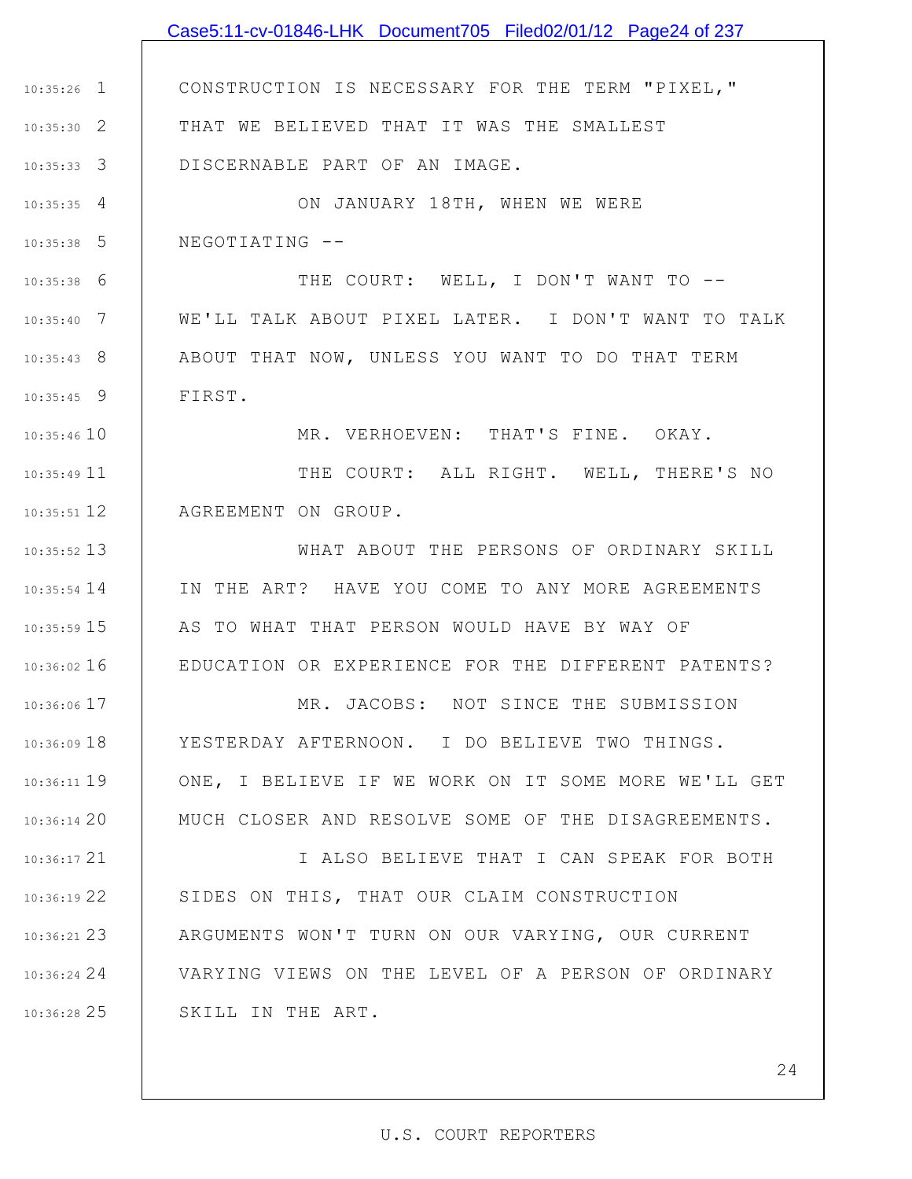1 10:35:26 2 10:35:30 3 10:35:33 4 10:35:35 5 10:35:38 6 10:35:38 7 10:35:40 8 10:35:43 9 10:35:45 10 10:35:46 10:35:49 11 12 10:35:51 13 10:35:52 14 10:35:54 15 10:35:59 16 10:36:02 17 10:36:06 18 10:36:09 19 10:36:11 20 10:36:14 21 10:36:17 22 10:36:19 23 10:36:21 24 10:36:24 25 10:36:28 CONSTRUCTION IS NECESSARY FOR THE TERM "PIXEL," THAT WE BELIEVED THAT IT WAS THE SMALLEST DISCERNABLE PART OF AN IMAGE. ON JANUARY 18TH, WHEN WE WERE NEGOTIATING -- THE COURT: WELL, I DON'T WANT TO --WE'LL TALK ABOUT PIXEL LATER. I DON'T WANT TO TALK ABOUT THAT NOW, UNLESS YOU WANT TO DO THAT TERM FIRST. MR. VERHOEVEN: THAT'S FINE. OKAY. THE COURT: ALL RIGHT. WELL, THERE'S NO AGREEMENT ON GROUP. WHAT ABOUT THE PERSONS OF ORDINARY SKILL IN THE ART? HAVE YOU COME TO ANY MORE AGREEMENTS AS TO WHAT THAT PERSON WOULD HAVE BY WAY OF EDUCATION OR EXPERIENCE FOR THE DIFFERENT PATENTS? MR. JACOBS: NOT SINCE THE SUBMISSION YESTERDAY AFTERNOON. I DO BELIEVE TWO THINGS. ONE, I BELIEVE IF WE WORK ON IT SOME MORE WE'LL GET MUCH CLOSER AND RESOLVE SOME OF THE DISAGREEMENTS. I ALSO BELIEVE THAT I CAN SPEAK FOR BOTH SIDES ON THIS, THAT OUR CLAIM CONSTRUCTION ARGUMENTS WON'T TURN ON OUR VARYING, OUR CURRENT VARYING VIEWS ON THE LEVEL OF A PERSON OF ORDINARY SKILL IN THE ART. Case5:11-cv-01846-LHK Document705 Filed02/01/12 Page24 of 237

#### U.S. COURT REPORTERS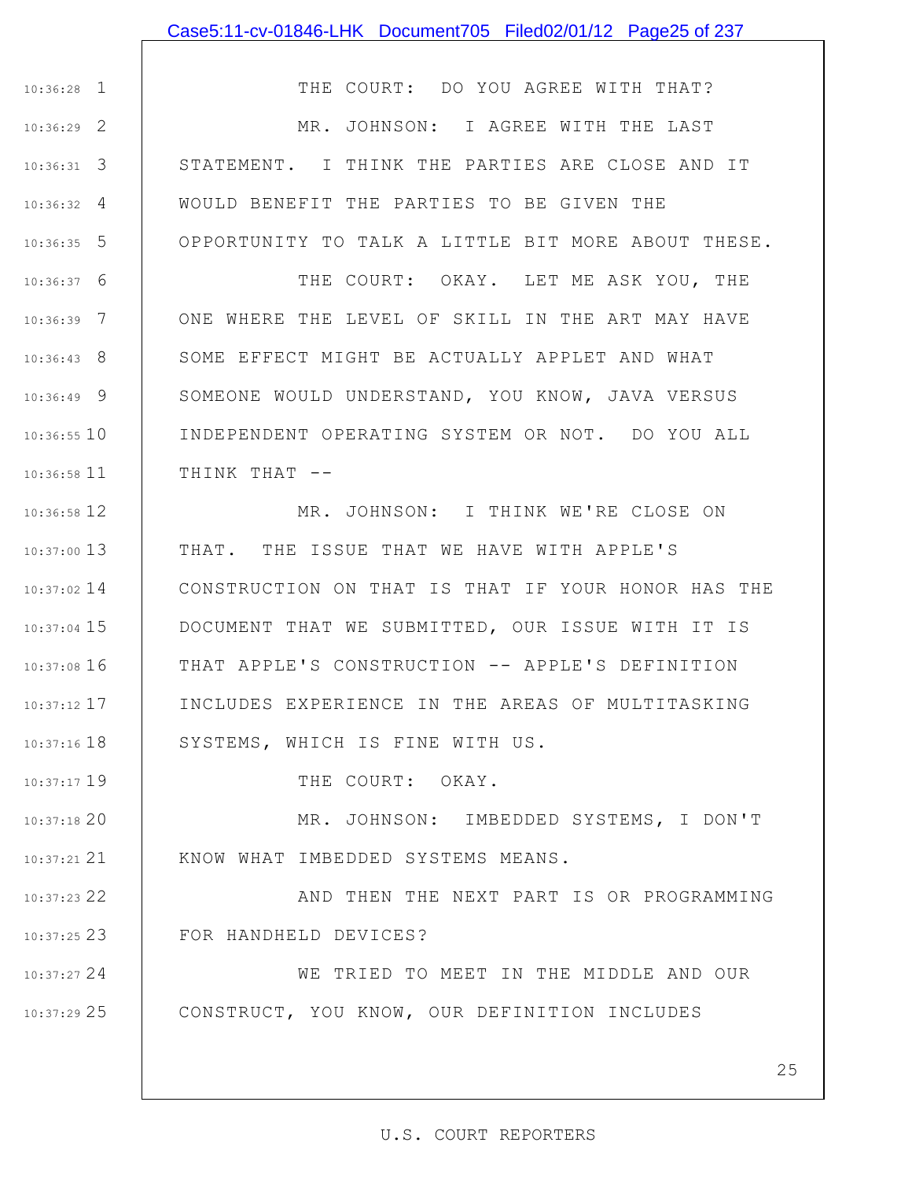### Case5:11-cv-01846-LHK Document705 Filed02/01/12 Page25 of 237

1 10:36:28 2 10:36:29 3 10:36:31 4 10:36:32 5 10:36:35 THE COURT: DO YOU AGREE WITH THAT? MR. JOHNSON: I AGREE WITH THE LAST STATEMENT. I THINK THE PARTIES ARE CLOSE AND IT WOULD BENEFIT THE PARTIES TO BE GIVEN THE OPPORTUNITY TO TALK A LITTLE BIT MORE ABOUT THESE.

6 10:36:37 7 10:36:39 8 10:36:43 9 10:36:49 10 10:36:55 11 10:36:58 THE COURT: OKAY. LET ME ASK YOU, THE ONE WHERE THE LEVEL OF SKILL IN THE ART MAY HAVE SOME EFFECT MIGHT BE ACTUALLY APPLET AND WHAT SOMEONE WOULD UNDERSTAND, YOU KNOW, JAVA VERSUS INDEPENDENT OPERATING SYSTEM OR NOT. DO YOU ALL THINK THAT --

12 10:36:58 13 10:37:00 10:37:02 14 | CONSTRUCTION ON THAT IS THAT IF YOUR HONOR HAS THE 15 10:37:04 16 10:37:08 17 10:37:12 18 10:37:16 MR. JOHNSON: I THINK WE'RE CLOSE ON THAT. THE ISSUE THAT WE HAVE WITH APPLE'S DOCUMENT THAT WE SUBMITTED, OUR ISSUE WITH IT IS THAT APPLE'S CONSTRUCTION -- APPLE'S DEFINITION INCLUDES EXPERIENCE IN THE AREAS OF MULTITASKING SYSTEMS, WHICH IS FINE WITH US.

THE COURT: OKAY.

19 10:37:17

20 10:37:18

21 10:37:21 KNOW WHAT IMBEDDED SYSTEMS MEANS.

22 10:37:23

23 10:37:25

AND THEN THE NEXT PART IS OR PROGRAMMING FOR HANDHELD DEVICES?

MR. JOHNSON: IMBEDDED SYSTEMS, I DON'T

24 10:37:27 25 10:37:29 WE TRIED TO MEET IN THE MIDDLE AND OUR CONSTRUCT, YOU KNOW, OUR DEFINITION INCLUDES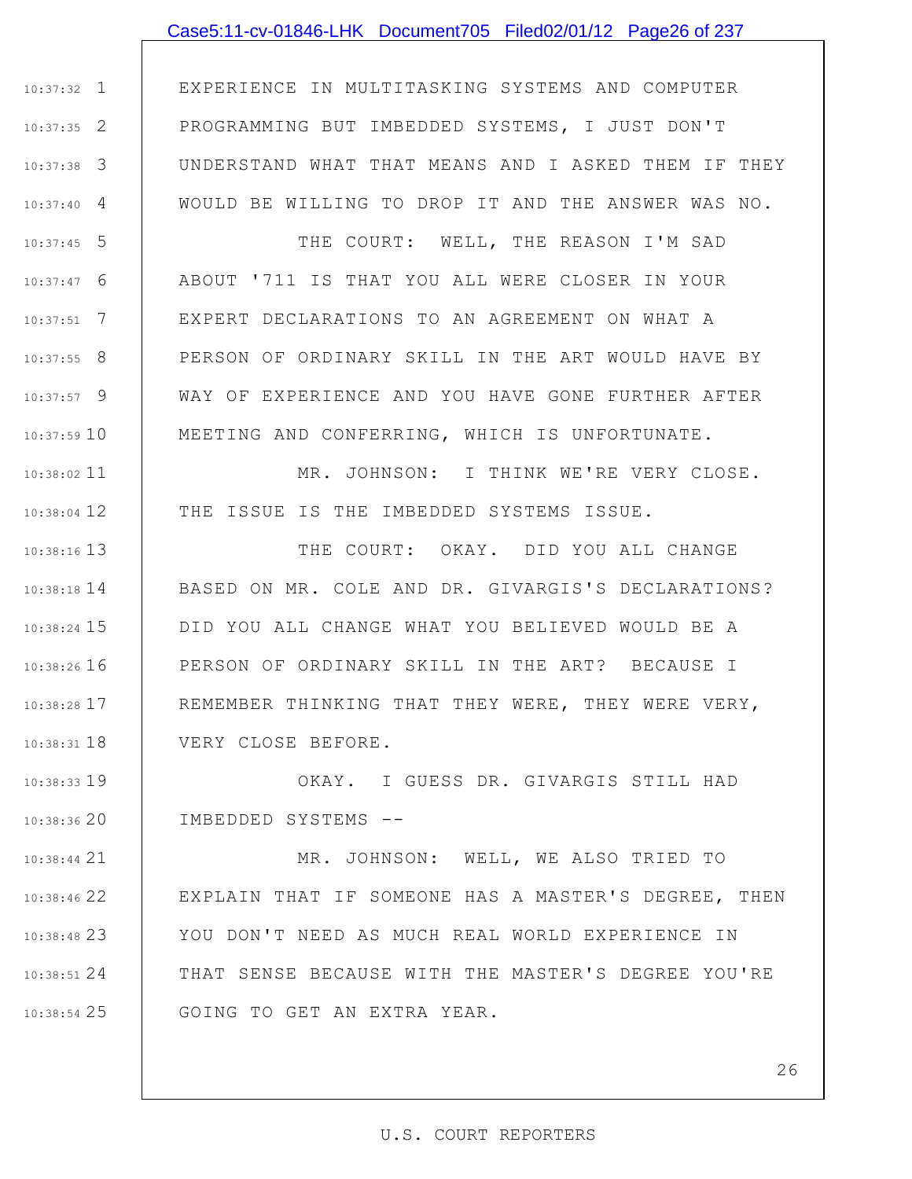### Case5:11-cv-01846-LHK Document705 Filed02/01/12 Page26 of 237

1 10:37:32 2 10:37:35 3 10:37:38 4 10:37:40 EXPERIENCE IN MULTITASKING SYSTEMS AND COMPUTER PROGRAMMING BUT IMBEDDED SYSTEMS, I JUST DON'T UNDERSTAND WHAT THAT MEANS AND I ASKED THEM IF THEY WOULD BE WILLING TO DROP IT AND THE ANSWER WAS NO.

5 10:37:45 6 10:37:47 7 10:37:51 8 10:37:55 9 10:37:57 10 10:37:59 THE COURT: WELL, THE REASON I'M SAD ABOUT '711 IS THAT YOU ALL WERE CLOSER IN YOUR EXPERT DECLARATIONS TO AN AGREEMENT ON WHAT A PERSON OF ORDINARY SKILL IN THE ART WOULD HAVE BY WAY OF EXPERIENCE AND YOU HAVE GONE FURTHER AFTER MEETING AND CONFERRING, WHICH IS UNFORTUNATE.

11 10:38:02 12 10:38:04 MR. JOHNSON: I THINK WE'RE VERY CLOSE. THE ISSUE IS THE IMBEDDED SYSTEMS ISSUE.

13 10:38:16 14 10:38:18 15 10:38:24 16 10:38:26 17 10:38:28 18 10:38:31 THE COURT: OKAY. DID YOU ALL CHANGE BASED ON MR. COLE AND DR. GIVARGIS'S DECLARATIONS? DID YOU ALL CHANGE WHAT YOU BELIEVED WOULD BE A PERSON OF ORDINARY SKILL IN THE ART? BECAUSE I REMEMBER THINKING THAT THEY WERE, THEY WERE VERY, VERY CLOSE BEFORE.

19 10:38:33 20 10:38:36 OKAY. I GUESS DR. GIVARGIS STILL HAD IMBEDDED SYSTEMS --

21 10:38:44 22 10:38:46 23 10:38:48 24 10:38:51 25 10:38:54 MR. JOHNSON: WELL, WE ALSO TRIED TO EXPLAIN THAT IF SOMEONE HAS A MASTER'S DEGREE, THEN YOU DON'T NEED AS MUCH REAL WORLD EXPERIENCE IN THAT SENSE BECAUSE WITH THE MASTER'S DEGREE YOU'RE GOING TO GET AN EXTRA YEAR.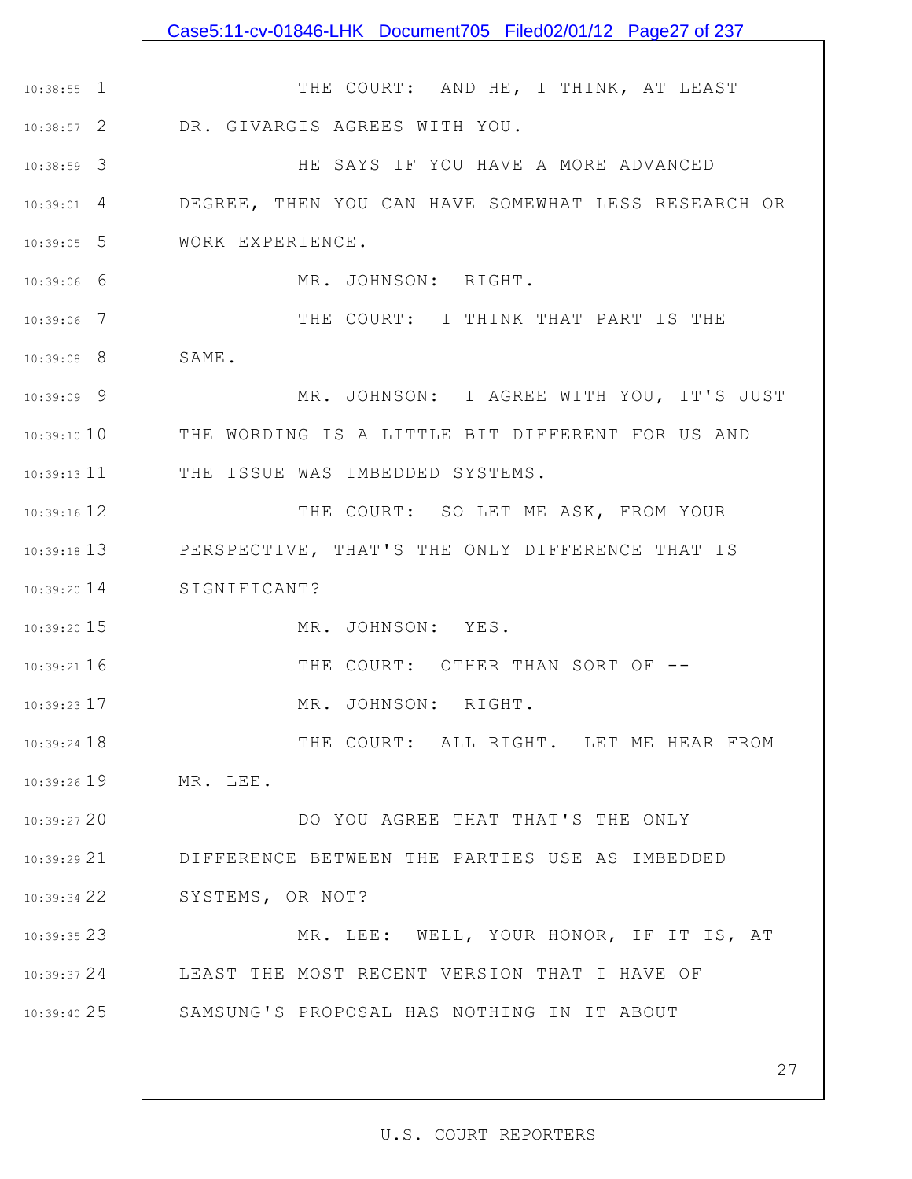|                 | Case5:11-cv-01846-LHK Document705 Filed02/01/12 Page27 of 237 |
|-----------------|---------------------------------------------------------------|
|                 |                                                               |
| $10:38:55$ 1    | THE COURT: AND HE, I THINK, AT LEAST                          |
| $10:38:57$ 2    | DR. GIVARGIS AGREES WITH YOU.                                 |
| $10:38:59$ 3    | HE SAYS IF YOU HAVE A MORE ADVANCED                           |
| $10:39:01$ 4    | DEGREE, THEN YOU CAN HAVE SOMEWHAT LESS RESEARCH OR           |
| $10:39:05$ 5    | WORK EXPERIENCE.                                              |
| $10:39:06$ 6    | MR. JOHNSON: RIGHT.                                           |
| $10:39:06$ 7    | THE COURT: I THINK THAT PART IS THE                           |
| $10:39:08$ 8    | SAME.                                                         |
| $10:39:09$ 9    | MR. JOHNSON: I AGREE WITH YOU, IT'S JUST                      |
| $10:39:10$ $10$ | THE WORDING IS A LITTLE BIT DIFFERENT FOR US AND              |
|                 | 10:39:13 11   THE ISSUE WAS IMBEDDED SYSTEMS.                 |
| $10:39:16$ 12   | THE COURT: SO LET ME ASK, FROM YOUR                           |
| $10:39:18$ 13   | PERSPECTIVE, THAT'S THE ONLY DIFFERENCE THAT IS               |
| $10:39:20$ 14   | SIGNIFICANT?                                                  |
| $10:39:20$ 15   | MR. JOHNSON: YES.                                             |
| $10:39:21$ 16   | THE COURT: OTHER THAN SORT OF --                              |
| $10:39:23$ 17   | MR. JOHNSON: RIGHT.                                           |
| $10:39:24$ 18   | THE COURT: ALL RIGHT. LET ME HEAR FROM                        |
| $10:39:26$ 19   | MR. LEE.                                                      |
| 10:39:2720      | DO YOU AGREE THAT THAT'S THE ONLY                             |
| 10:39:29 21     | DIFFERENCE BETWEEN THE PARTIES USE AS IMBEDDED                |
| 10:39:3422      | SYSTEMS, OR NOT?                                              |
| 10:39:35 23     | MR. LEE: WELL, YOUR HONOR, IF IT IS, AT                       |
| 10:39:37 24     | LEAST THE MOST RECENT VERSION THAT I HAVE OF                  |
| $10:39:40$ 25   | SAMSUNG'S PROPOSAL HAS NOTHING IN IT ABOUT                    |
|                 |                                                               |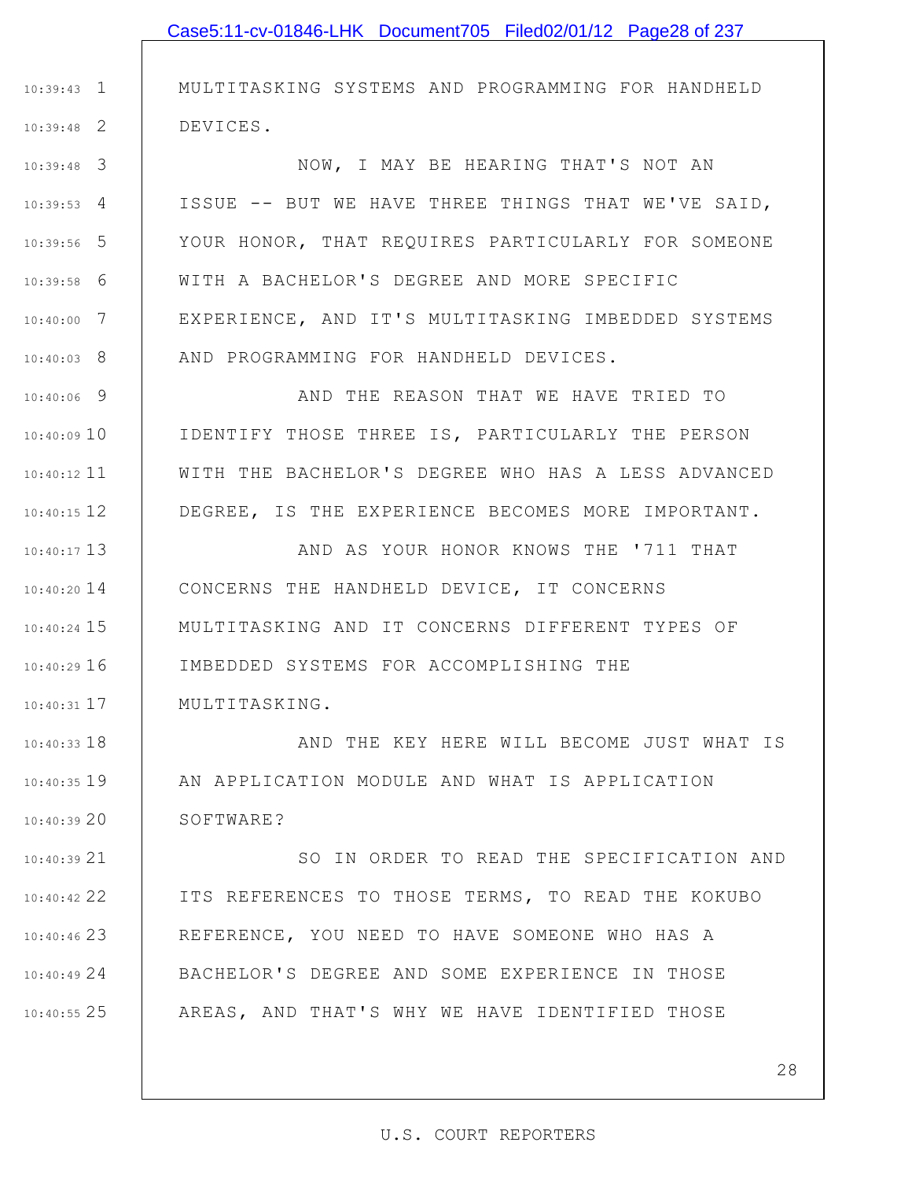3 10:39:48 4 10:39:53 5 10:39:56 6 10:39:58 7 10:40:00 8 10:40:03 ISSUE -- BUT WE HAVE THREE THINGS THAT WE'VE SAID, YOUR HONOR, THAT REQUIRES PARTICULARLY FOR SOMEONE WITH A BACHELOR'S DEGREE AND MORE SPECIFIC EXPERIENCE, AND IT'S MULTITASKING IMBEDDED SYSTEMS AND PROGRAMMING FOR HANDHELD DEVICES.

1 10:39:43

2 10:39:48

9 10:40:06 10 10:40:09 11 10:40:12 12 10:40:15 AND THE REASON THAT WE HAVE TRIED TO IDENTIFY THOSE THREE IS, PARTICULARLY THE PERSON WITH THE BACHELOR'S DEGREE WHO HAS A LESS ADVANCED DEGREE, IS THE EXPERIENCE BECOMES MORE IMPORTANT.

13 10:40:17 14 10:40:20 15 10:40:24 16 10:40:29 17 10:40:31 AND AS YOUR HONOR KNOWS THE '711 THAT CONCERNS THE HANDHELD DEVICE, IT CONCERNS MULTITASKING AND IT CONCERNS DIFFERENT TYPES OF IMBEDDED SYSTEMS FOR ACCOMPLISHING THE MULTITASKING.

18 10:40:33 19 10:40:35 20 10:40:39 AND THE KEY HERE WILL BECOME JUST WHAT IS AN APPLICATION MODULE AND WHAT IS APPLICATION SOFTWARE?

21 10:40:39 22 10:40:42 23 10:40:46 24 10:40:49 25 10:40:55 SO IN ORDER TO READ THE SPECIFICATION AND ITS REFERENCES TO THOSE TERMS, TO READ THE KOKUBO REFERENCE, YOU NEED TO HAVE SOMEONE WHO HAS A BACHELOR'S DEGREE AND SOME EXPERIENCE IN THOSE AREAS, AND THAT'S WHY WE HAVE IDENTIFIED THOSE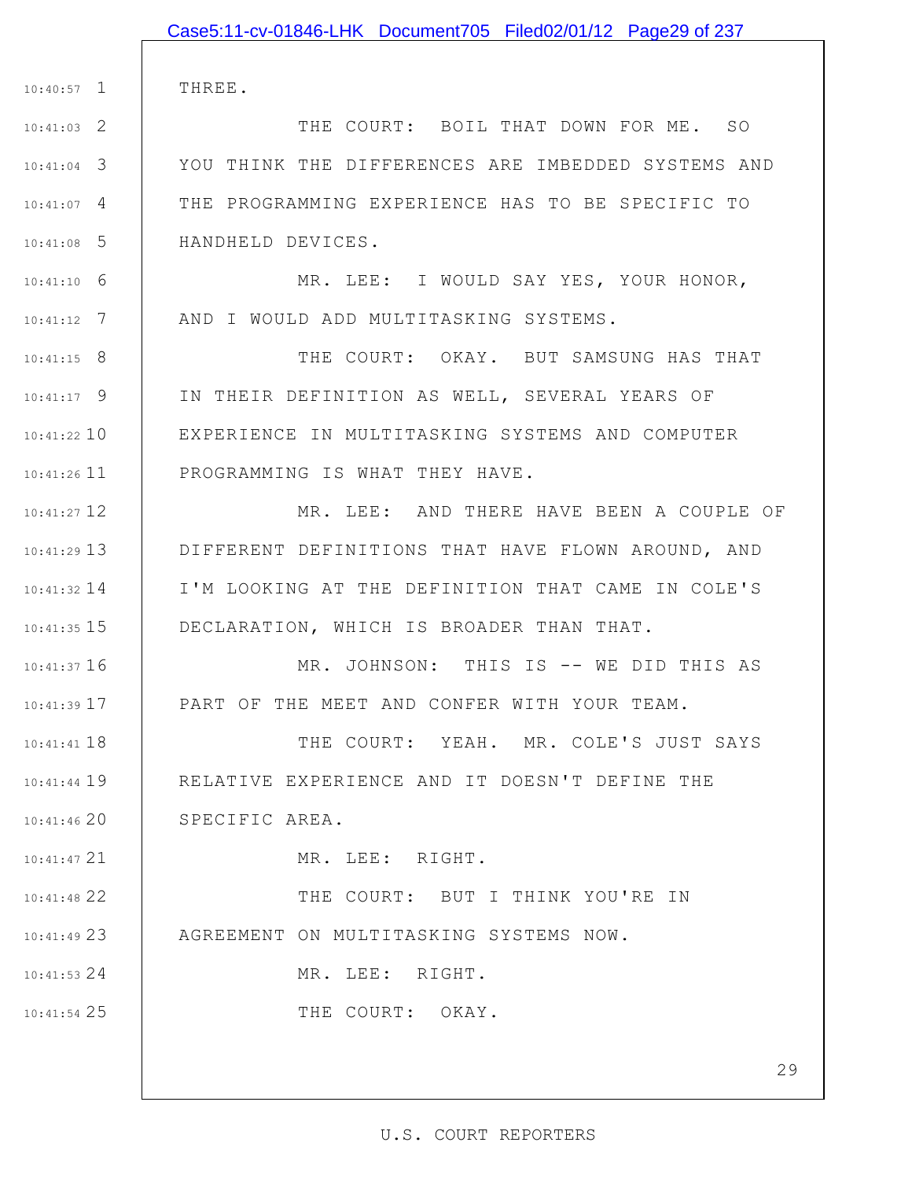|                 | Case5:11-cv-01846-LHK Document705 Filed02/01/12 Page29 of 237 |
|-----------------|---------------------------------------------------------------|
|                 |                                                               |
| $10:40:57$ 1    | THREE.                                                        |
| $10:41:03$ 2    | THE COURT: BOIL THAT DOWN FOR ME. SO                          |
| $10:41:04$ 3    | YOU THINK THE DIFFERENCES ARE IMBEDDED SYSTEMS AND            |
| $10:41:07$ 4    | THE PROGRAMMING EXPERIENCE HAS TO BE SPECIFIC TO              |
| $10:41:08$ 5    | HANDHELD DEVICES.                                             |
| $10:41:10$ 6    | MR. LEE: I WOULD SAY YES, YOUR HONOR,                         |
| $10:41:12$ 7    | AND I WOULD ADD MULTITASKING SYSTEMS.                         |
| $10:41:15$ 8    | THE COURT: OKAY. BUT SAMSUNG HAS THAT                         |
| $10:41:17$ 9    | IN THEIR DEFINITION AS WELL, SEVERAL YEARS OF                 |
| $10:41:22$ 10   | EXPERIENCE IN MULTITASKING SYSTEMS AND COMPUTER               |
| $10:41:26$ $11$ | PROGRAMMING IS WHAT THEY HAVE.                                |
| $10:41:27$ 12   | MR. LEE: AND THERE HAVE BEEN A COUPLE OF                      |
| $10:41:29$ 13   | DIFFERENT DEFINITIONS THAT HAVE FLOWN AROUND, AND             |
| $10:41:32$ 14   | I'M LOOKING AT THE DEFINITION THAT CAME IN COLE'S             |
| $10:41:35$ 15   | DECLARATION, WHICH IS BROADER THAN THAT.                      |
| $10:41:37$ 16   | MR. JOHNSON: THIS IS -- WE DID THIS AS                        |
| $10:41:39$ $17$ | PART OF THE MEET AND CONFER WITH YOUR TEAM.                   |
| $10:41:41$ 18   | THE COURT: YEAH. MR. COLE'S JUST SAYS                         |
| $10:41:44$ $19$ | RELATIVE EXPERIENCE AND IT DOESN'T DEFINE THE                 |
| $10:41:46$ 20   | SPECIFIC AREA.                                                |
| $10:41:47$ 21   | MR. LEE: RIGHT.                                               |
| 10:41:48 22     | THE COURT: BUT I THINK YOU'RE IN                              |
| $10:41:49$ 23   | AGREEMENT ON MULTITASKING SYSTEMS NOW.                        |
| $10:41:53$ 24   | MR. LEE: RIGHT.                                               |
| $10:41:54$ 25   | THE COURT: OKAY.                                              |
|                 |                                                               |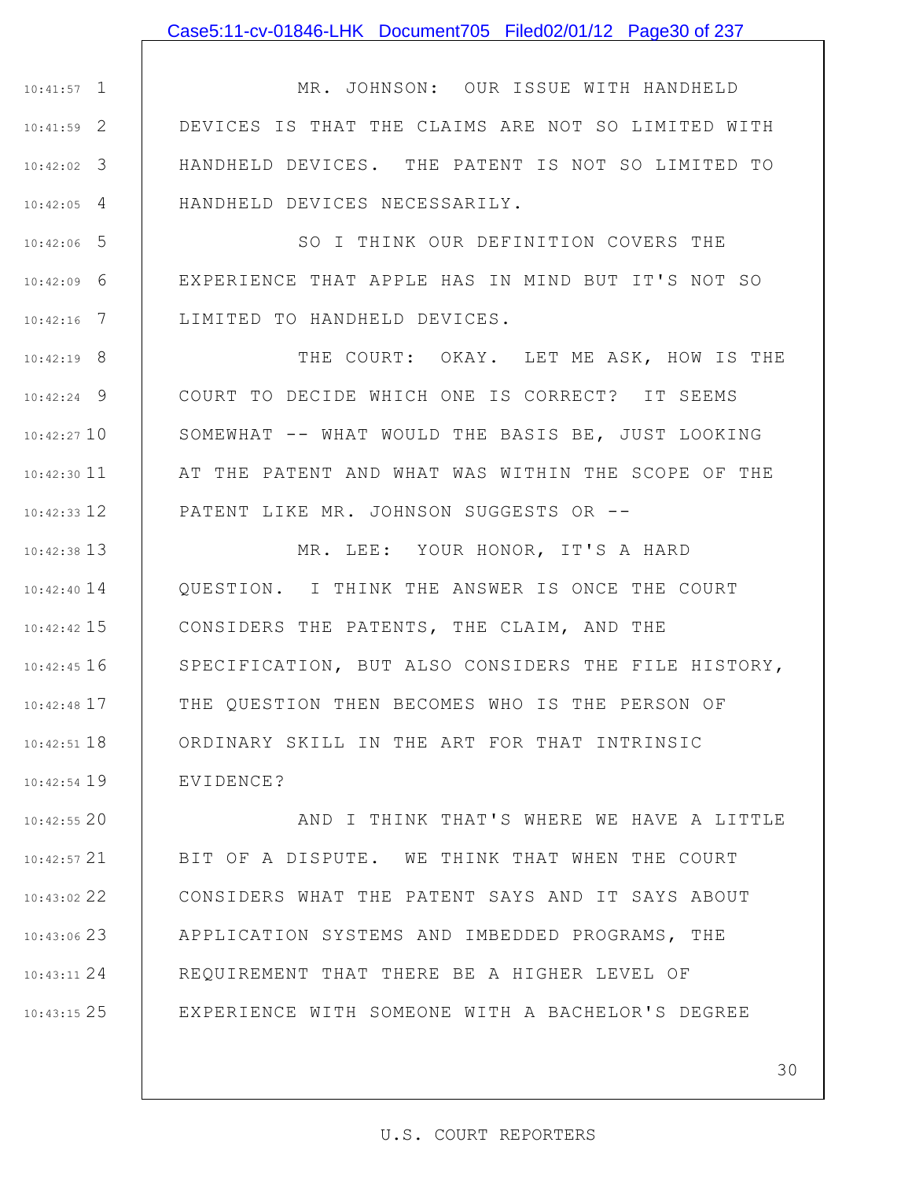#### Case5:11-cv-01846-LHK Document705 Filed02/01/12 Page30 of 237

1 10:41:57 2 10:41:59 3 10:42:02 4 10:42:05 MR. JOHNSON: OUR ISSUE WITH HANDHELD DEVICES IS THAT THE CLAIMS ARE NOT SO LIMITED WITH HANDHELD DEVICES. THE PATENT IS NOT SO LIMITED TO HANDHELD DEVICES NECESSARILY.

5 10:42:06 6 10:42:09 7 10:42:16 SO I THINK OUR DEFINITION COVERS THE EXPERIENCE THAT APPLE HAS IN MIND BUT IT'S NOT SO LIMITED TO HANDHELD DEVICES.

8 10:42:19 9 10:42:24 10 10:42:27 11 10:42:30 12 10:42:33 THE COURT: OKAY. LET ME ASK, HOW IS THE COURT TO DECIDE WHICH ONE IS CORRECT? IT SEEMS SOMEWHAT -- WHAT WOULD THE BASIS BE, JUST LOOKING AT THE PATENT AND WHAT WAS WITHIN THE SCOPE OF THE PATENT LIKE MR. JOHNSON SUGGESTS OR --

13 10:42:38 10:42:40 14 15 10:42:42 16 10:42:45 17 10:42:48 18 10:42:51 19 10:42:54 MR. LEE: YOUR HONOR, IT'S A HARD QUESTION. I THINK THE ANSWER IS ONCE THE COURT CONSIDERS THE PATENTS, THE CLAIM, AND THE SPECIFICATION, BUT ALSO CONSIDERS THE FILE HISTORY, THE QUESTION THEN BECOMES WHO IS THE PERSON OF ORDINARY SKILL IN THE ART FOR THAT INTRINSIC EVIDENCE?

20 10:42:55 21 10:42:57 22 10:43:02 23 10:43:06 24 10:43:11 25 10:43:15 AND I THINK THAT'S WHERE WE HAVE A LITTLE BIT OF A DISPUTE. WE THINK THAT WHEN THE COURT CONSIDERS WHAT THE PATENT SAYS AND IT SAYS ABOUT APPLICATION SYSTEMS AND IMBEDDED PROGRAMS, THE REQUIREMENT THAT THERE BE A HIGHER LEVEL OF EXPERIENCE WITH SOMEONE WITH A BACHELOR'S DEGREE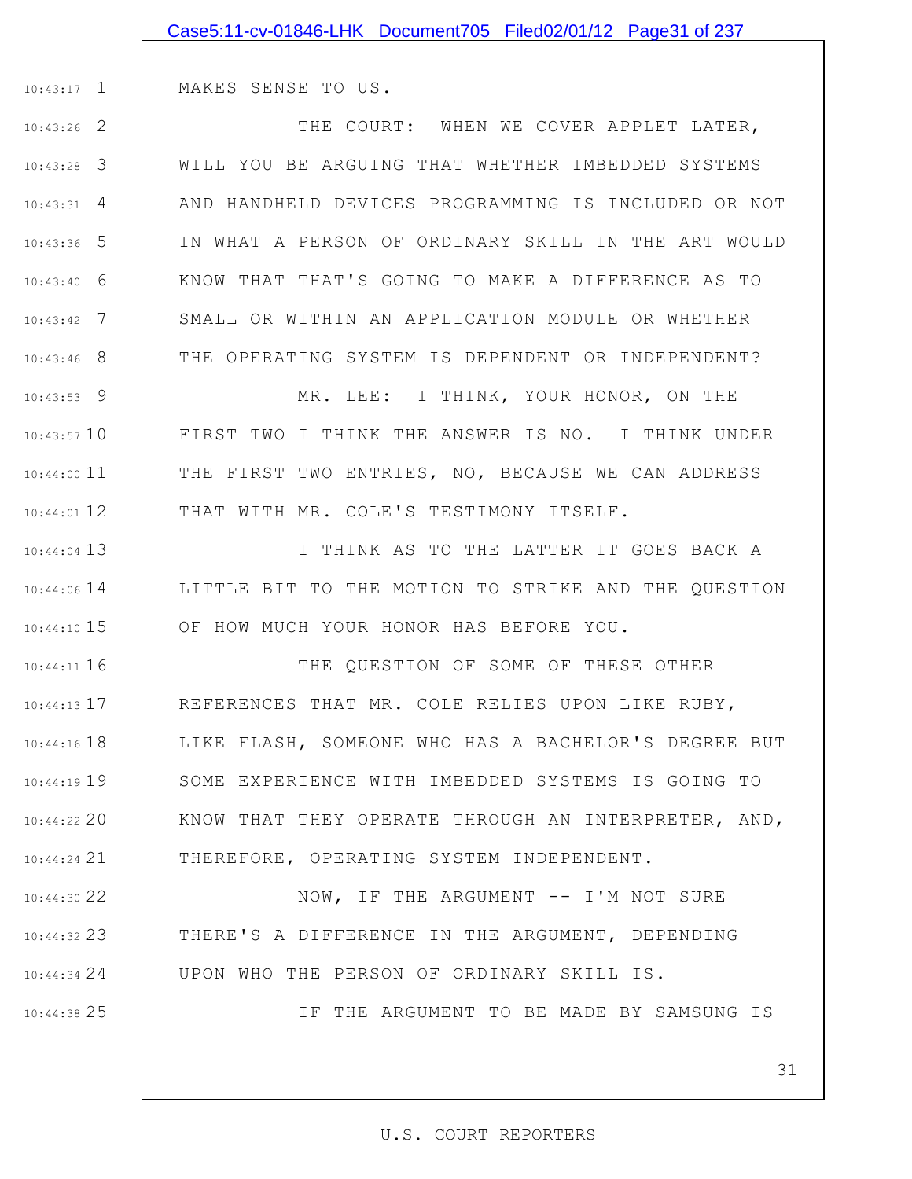|                 | Case5:11-cv-01846-LHK Document705 Filed02/01/12 Page31 of 237 |
|-----------------|---------------------------------------------------------------|
|                 |                                                               |
| $10:43:17$ 1    | MAKES SENSE TO US.                                            |
| $10:43:26$ 2    | THE COURT: WHEN WE COVER APPLET LATER,                        |
| $10:43:28$ 3    | WILL YOU BE ARGUING THAT WHETHER IMBEDDED SYSTEMS             |
| $10:43:31$ 4    | AND HANDHELD DEVICES PROGRAMMING IS INCLUDED OR NOT           |
| $10:43:36$ 5    | IN WHAT A PERSON OF ORDINARY SKILL IN THE ART WOULD           |
| $10:43:40$ 6    | KNOW THAT THAT'S GOING TO MAKE A DIFFERENCE AS TO             |
| $10:43:42$ 7    | SMALL OR WITHIN AN APPLICATION MODULE OR WHETHER              |
| $10:43:46$ 8    | THE OPERATING SYSTEM IS DEPENDENT OR INDEPENDENT?             |
| $10:43:53$ 9    | MR. LEE: I THINK, YOUR HONOR, ON THE                          |
| $10:43:57$ 10   | FIRST TWO I THINK THE ANSWER IS NO. I THINK UNDER             |
| $10:44:00$ 11   | THE FIRST TWO ENTRIES, NO, BECAUSE WE CAN ADDRESS             |
| $10:44:01$ 12   | THAT WITH MR. COLE'S TESTIMONY ITSELF.                        |
| $10:44:04$ 13   | I THINK AS TO THE LATTER IT GOES BACK A                       |
| $10:44:06$ 14   | LITTLE BIT TO THE MOTION TO STRIKE AND THE QUESTION           |
| $10:44:10$ 15   | OF HOW MUCH YOUR HONOR HAS BEFORE YOU.                        |
| $10:44:11$ 16   | THE OUESTION OF SOME OF THESE OTHER                           |
| $10:44:13$ $17$ | REFERENCES THAT MR. COLE RELIES UPON LIKE RUBY,               |
| $10:44:16$ $18$ | LIKE FLASH, SOMEONE WHO HAS A BACHELOR'S DEGREE BUT           |
| $10:44:19$ 19   | SOME EXPERIENCE WITH IMBEDDED SYSTEMS IS GOING TO             |
| $10:44:22$ 20   | KNOW THAT THEY OPERATE THROUGH AN INTERPRETER, AND,           |
| $10:44:24$ 21   | THEREFORE, OPERATING SYSTEM INDEPENDENT.                      |
| $10:44:30$ 22   | NOW, IF THE ARGUMENT -- I'M NOT SURE                          |
| $10:44:32$ 23   | THERE'S A DIFFERENCE IN THE ARGUMENT, DEPENDING               |
| 10:44:34 24     | UPON WHO THE PERSON OF ORDINARY SKILL IS.                     |
| $10:44:38$ 25   | IF THE ARGUMENT TO BE MADE BY SAMSUNG IS                      |
|                 |                                                               |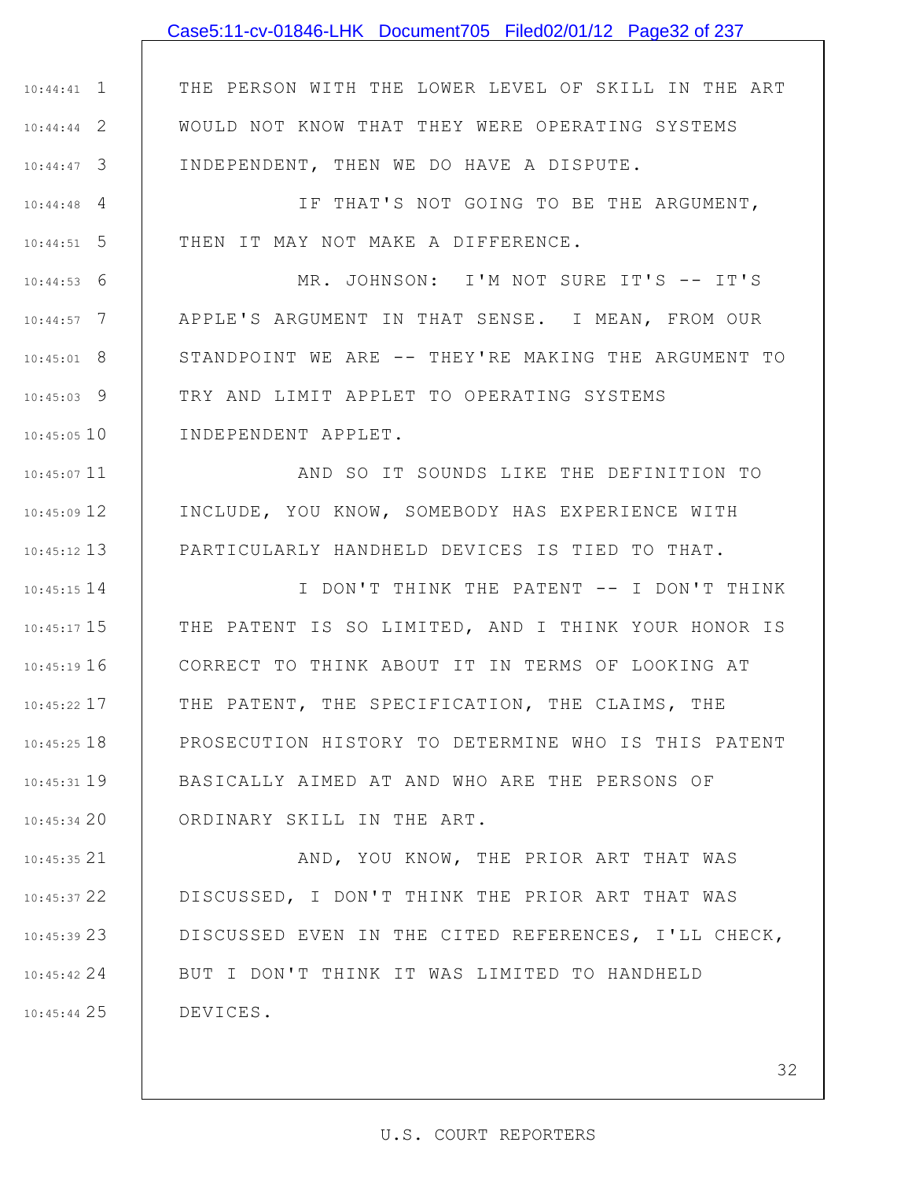### Case5:11-cv-01846-LHK Document705 Filed02/01/12 Page32 of 237

1 10:44:41 2 10:44:44 3 10:44:47 THE PERSON WITH THE LOWER LEVEL OF SKILL IN THE ART WOULD NOT KNOW THAT THEY WERE OPERATING SYSTEMS INDEPENDENT, THEN WE DO HAVE A DISPUTE.

4 10:44:48 5 10:44:51 IF THAT'S NOT GOING TO BE THE ARGUMENT, THEN IT MAY NOT MAKE A DIFFERENCE.

6 10:44:53 7 10:44:57 8 10:45:01 9 10:45:03 10 10:45:05 MR. JOHNSON: I'M NOT SURE IT'S -- IT'S APPLE'S ARGUMENT IN THAT SENSE. I MEAN, FROM OUR STANDPOINT WE ARE -- THEY'RE MAKING THE ARGUMENT TO TRY AND LIMIT APPLET TO OPERATING SYSTEMS INDEPENDENT APPLET.

10:45:07 11 12 10:45:09 13 10:45:12 AND SO IT SOUNDS LIKE THE DEFINITION TO INCLUDE, YOU KNOW, SOMEBODY HAS EXPERIENCE WITH PARTICULARLY HANDHELD DEVICES IS TIED TO THAT.

14 10:45:15 15 10:45:17 16 10:45:19 17 10:45:22 18 10:45:25 19 10:45:31 20 10:45:34 I DON'T THINK THE PATENT -- I DON'T THINK THE PATENT IS SO LIMITED, AND I THINK YOUR HONOR IS CORRECT TO THINK ABOUT IT IN TERMS OF LOOKING AT THE PATENT, THE SPECIFICATION, THE CLAIMS, THE PROSECUTION HISTORY TO DETERMINE WHO IS THIS PATENT BASICALLY AIMED AT AND WHO ARE THE PERSONS OF ORDINARY SKILL IN THE ART.

21 10:45:35 22 10:45:37 23 10:45:39 24 10:45:42 25 10:45:44 AND, YOU KNOW, THE PRIOR ART THAT WAS DISCUSSED, I DON'T THINK THE PRIOR ART THAT WAS DISCUSSED EVEN IN THE CITED REFERENCES, I'LL CHECK, BUT I DON'T THINK IT WAS LIMITED TO HANDHELD DEVICES.

#### U.S. COURT REPORTERS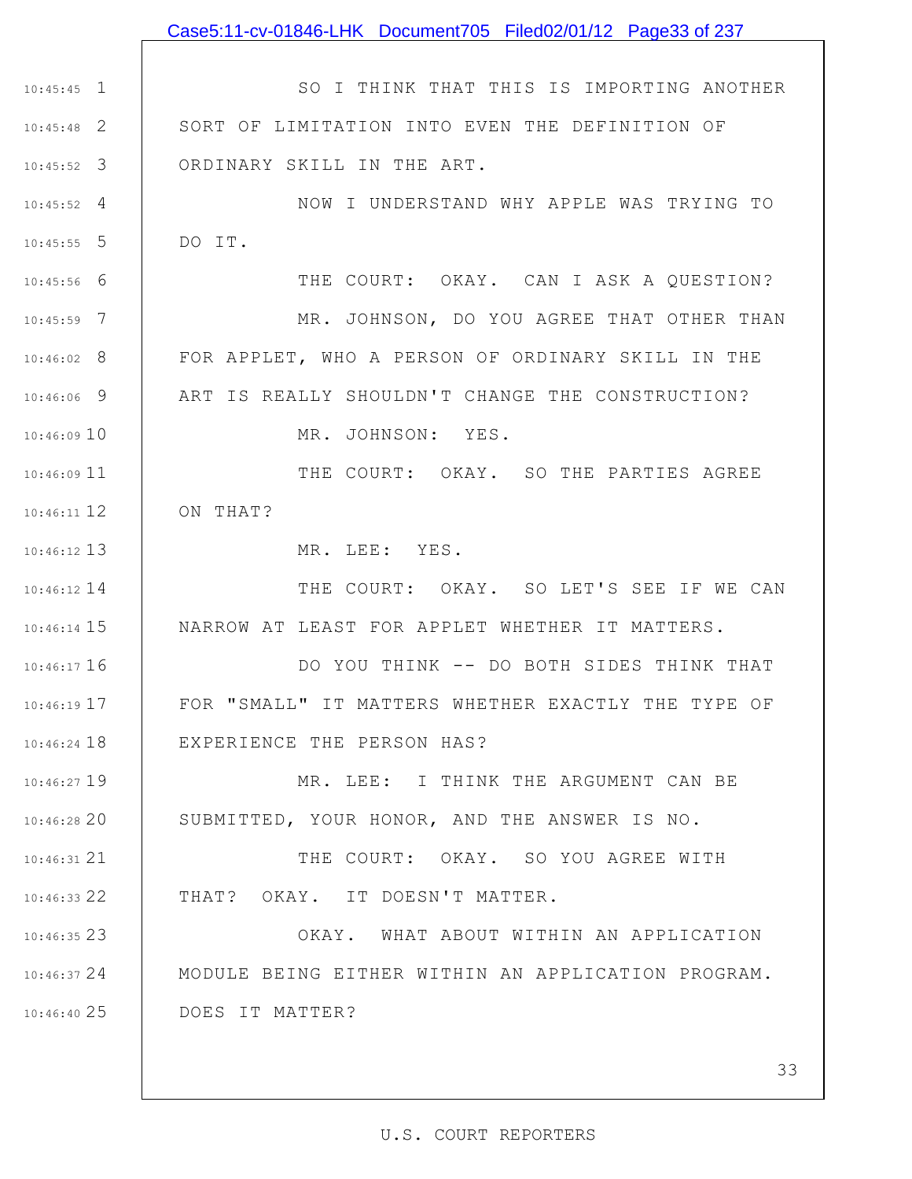|               | Case5:11-cv-01846-LHK Document705 Filed02/01/12 Page33 of 237 |
|---------------|---------------------------------------------------------------|
|               |                                                               |
| $10:45:45$ 1  | SO I THINK THAT THIS IS IMPORTING ANOTHER                     |
| $10:45:48$ 2  | SORT OF LIMITATION INTO EVEN THE DEFINITION OF                |
| $10:45:52$ 3  | ORDINARY SKILL IN THE ART.                                    |
| $10:45:52$ 4  | NOW I UNDERSTAND WHY APPLE WAS TRYING TO                      |
| $10:45:55$ 5  | DO IT.                                                        |
| $10:45:56$ 6  | THE COURT: OKAY. CAN I ASK A QUESTION?                        |
| $10:45:59$ 7  | MR. JOHNSON, DO YOU AGREE THAT OTHER THAN                     |
| $10:46:02$ 8  | FOR APPLET, WHO A PERSON OF ORDINARY SKILL IN THE             |
| $10:46:06$ 9  | ART IS REALLY SHOULDN'T CHANGE THE CONSTRUCTION?              |
| 10:46:0910    | MR. JOHNSON: YES.                                             |
| $10:46:09$ 11 | THE COURT: OKAY. SO THE PARTIES AGREE                         |
| $10:46:11$ 12 | ON THAT?                                                      |
| $10:46:12$ 13 | MR. LEE: YES.                                                 |
| $10:46:12$ 14 | THE COURT: OKAY. SO LET'S SEE IF WE CAN                       |
| $10:46:14$ 15 | NARROW AT LEAST FOR APPLET WHETHER IT MATTERS.                |
| $10:46:17$ 16 | DO YOU THINK -- DO BOTH SIDES THINK THAT                      |
| 10:46:19 17   | FOR "SMALL" IT MATTERS WHETHER EXACTLY THE TYPE OF            |
| $10:46:24$ 18 | EXPERIENCE THE PERSON HAS?                                    |
| $10:46:27$ 19 | MR. LEE: I THINK THE ARGUMENT CAN BE                          |
| 10:46:2820    | SUBMITTED, YOUR HONOR, AND THE ANSWER IS NO.                  |
| $10:46:31$ 21 | THE COURT: OKAY. SO YOU AGREE WITH                            |
| $10:46:33$ 22 | THAT? OKAY. IT DOESN'T MATTER.                                |
| $10:46:35$ 23 | OKAY. WHAT ABOUT WITHIN AN APPLICATION                        |
| 10:46:3724    | MODULE BEING EITHER WITHIN AN APPLICATION PROGRAM.            |
| 10:46:4025    | DOES IT MATTER?                                               |
|               |                                                               |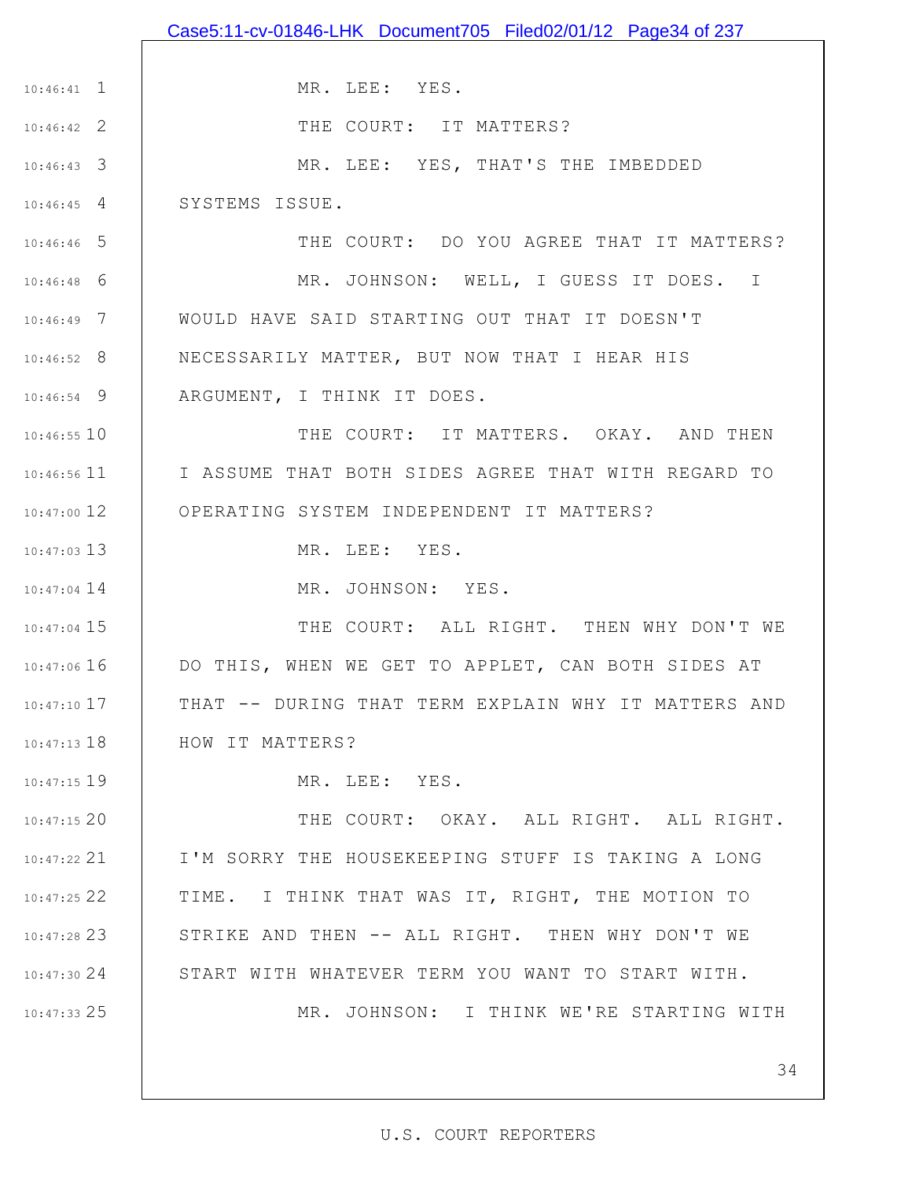|                 | Case5:11-cv-01846-LHK Document705 Filed02/01/12 Page34 of 237 |
|-----------------|---------------------------------------------------------------|
|                 |                                                               |
| $10:46:41$ 1    | MR. LEE: YES.                                                 |
| $10:46:42$ 2    | THE COURT: IT MATTERS?                                        |
| $10:46:43$ 3    | MR. LEE: YES, THAT'S THE IMBEDDED                             |
| $10:46:45$ 4    | SYSTEMS ISSUE.                                                |
| $10:46:46$ 5    | THE COURT: DO YOU AGREE THAT IT MATTERS?                      |
| $10:46:48$ 6    | MR. JOHNSON: WELL, I GUESS IT DOES. I                         |
| $10:46:49$ 7    | WOULD HAVE SAID STARTING OUT THAT IT DOESN'T                  |
| $10:46:52$ 8    | NECESSARILY MATTER, BUT NOW THAT I HEAR HIS                   |
| $10:46:54$ 9    | ARGUMENT, I THINK IT DOES.                                    |
| $10:46:55$ 10   | THE COURT: IT MATTERS. OKAY. AND THEN                         |
| $10:46:56$ 11   | I I ASSUME THAT BOTH SIDES AGREE THAT WITH REGARD TO          |
| $10:47:00$ 12   | OPERATING SYSTEM INDEPENDENT IT MATTERS?                      |
| $10:47:03$ 13   | MR. LEE: YES.                                                 |
| $10:47:04$ 14   | MR. JOHNSON: YES.                                             |
| $10:47:04$ 15   | THE COURT: ALL RIGHT. THEN WHY DON'T WE                       |
| $10:47:06$ 16   | DO THIS, WHEN WE GET TO APPLET, CAN BOTH SIDES AT             |
| $10:47:10$ 17   | THAT -- DURING THAT TERM EXPLAIN WHY IT MATTERS AND           |
| $10:47:13$ $18$ | HOW IT MATTERS?                                               |
| $10:47:15$ 19   | MR. LEE: YES.                                                 |
| 10:47:1520      | THE COURT: OKAY. ALL RIGHT. ALL RIGHT.                        |
| $10:47:22$ 21   | I'M SORRY THE HOUSEKEEPING STUFF IS TAKING A LONG             |
| $10:47:25$ 22   | TIME. I THINK THAT WAS IT, RIGHT, THE MOTION TO               |
| $10:47:28$ 23   | STRIKE AND THEN -- ALL RIGHT. THEN WHY DON'T WE               |
| 10:47:3024      | START WITH WHATEVER TERM YOU WANT TO START WITH.              |
| 10:47:33 25     | MR. JOHNSON: I THINK WE'RE STARTING WITH                      |
|                 |                                                               |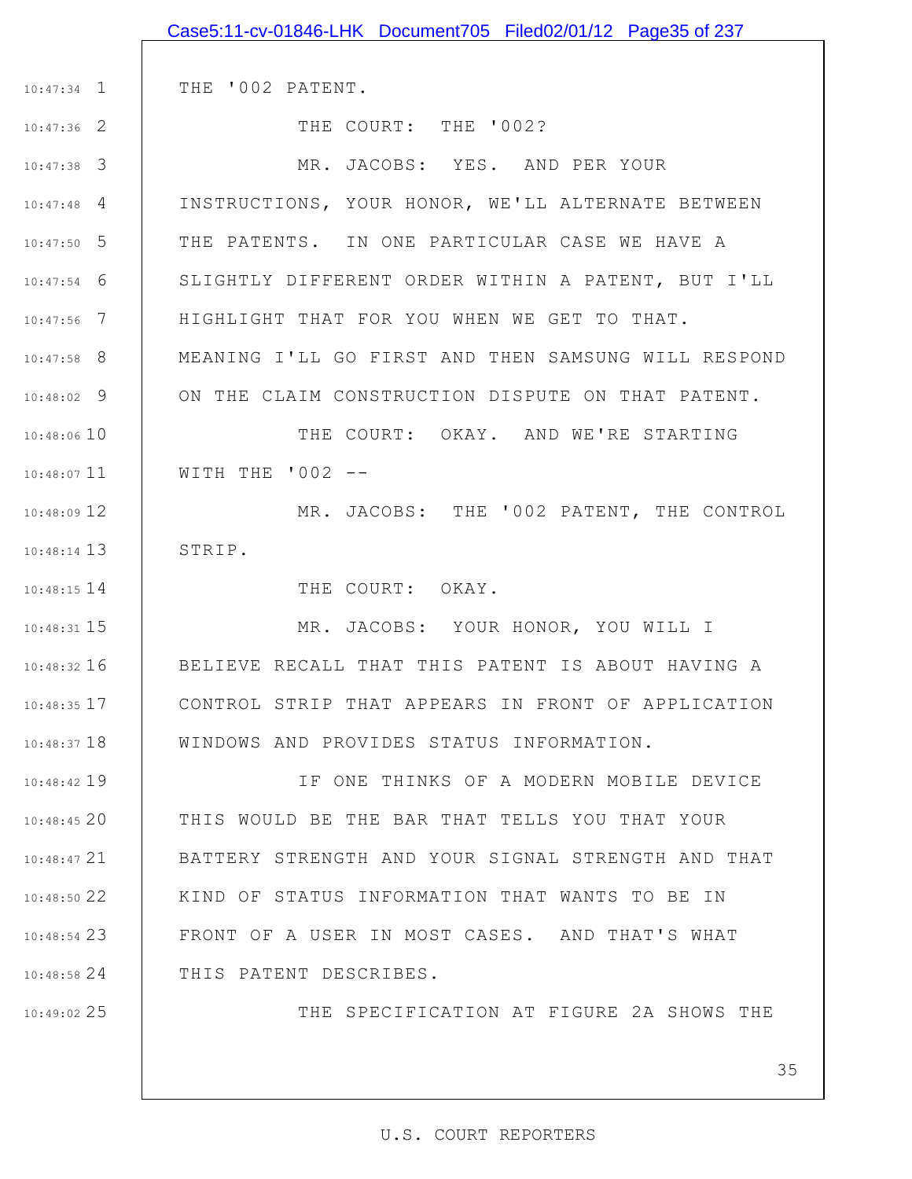|               | Case5:11-cv-01846-LHK Document705 Filed02/01/12 Page35 of 237 |
|---------------|---------------------------------------------------------------|
|               |                                                               |
| $10:47:34$ 1  | THE '002 PATENT.                                              |
| $10:47:36$ 2  | THE COURT: THE '002?                                          |
| $10:47:38$ 3  | MR. JACOBS: YES. AND PER YOUR                                 |
| $10:47:48$ 4  | INSTRUCTIONS, YOUR HONOR, WE'LL ALTERNATE BETWEEN             |
| $10:47:50$ 5  | THE PATENTS. IN ONE PARTICULAR CASE WE HAVE A                 |
| $10:47:54$ 6  | SLIGHTLY DIFFERENT ORDER WITHIN A PATENT, BUT I'LL            |
| $10:47:56$ 7  | HIGHLIGHT THAT FOR YOU WHEN WE GET TO THAT.                   |
| $10:47:58$ 8  | MEANING I'LL GO FIRST AND THEN SAMSUNG WILL RESPOND           |
| $10:48:02$ 9  | ON THE CLAIM CONSTRUCTION DISPUTE ON THAT PATENT.             |
| 10:48:06 10   | THE COURT: OKAY. AND WE'RE STARTING                           |
| $10:48:07$ 11 | WITH THE $'002 - -$                                           |
| $10:48:09$ 12 | MR. JACOBS: THE '002 PATENT, THE CONTROL                      |
| $10:48:14$ 13 | STRIP.                                                        |
| $10:48:15$ 14 | THE COURT: OKAY.                                              |
| $10:48:31$ 15 | MR. JACOBS: YOUR HONOR, YOU WILL I                            |
| $10:48:32$ 16 | BELIEVE RECALL THAT THIS PATENT IS ABOUT HAVING A             |
| $10:48:35$ 17 | CONTROL STRIP THAT APPEARS IN FRONT OF APPLICATION            |
| $10:48:37$ 18 | WINDOWS AND PROVIDES STATUS INFORMATION.                      |
| $10:48:42$ 19 | IF ONE THINKS OF A MODERN MOBILE DEVICE                       |
| 10:48:4520    | THIS WOULD BE THE BAR THAT TELLS YOU THAT YOUR                |
| $10:48:47$ 21 | BATTERY STRENGTH AND YOUR SIGNAL STRENGTH AND THAT            |
| $10:48:50$ 22 | KIND OF STATUS INFORMATION THAT WANTS TO BE IN                |
| $10:48:54$ 23 | FRONT OF A USER IN MOST CASES. AND THAT'S WHAT                |
| $10:48:58$ 24 | THIS PATENT DESCRIBES.                                        |
| $10:49:02$ 25 | THE SPECIFICATION AT FIGURE 2A SHOWS THE                      |
|               |                                                               |
|               | 35                                                            |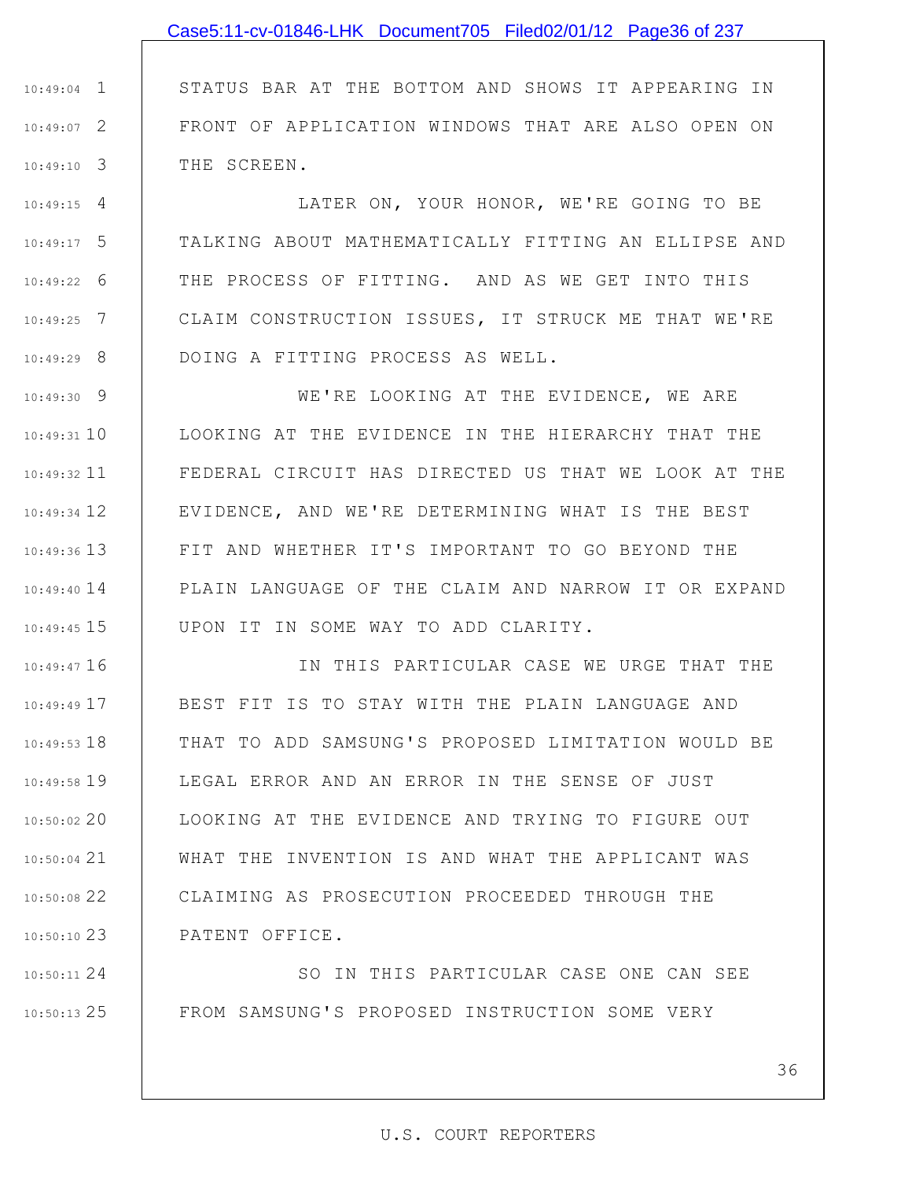1 10:49:04 2 10:49:07 3 10:49:10 STATUS BAR AT THE BOTTOM AND SHOWS IT APPEARING IN FRONT OF APPLICATION WINDOWS THAT ARE ALSO OPEN ON THE SCREEN.

4 10:49:15 5 10:49:17 6 10:49:22 7 10:49:25 8 10:49:29 LATER ON, YOUR HONOR, WE'RE GOING TO BE TALKING ABOUT MATHEMATICALLY FITTING AN ELLIPSE AND THE PROCESS OF FITTING. AND AS WE GET INTO THIS CLAIM CONSTRUCTION ISSUES, IT STRUCK ME THAT WE'RE DOING A FITTING PROCESS AS WELL.

9 10:49:30 10 10:49:31 11 10:49:32 12 10:49:34 13 10:49:36 10:49:40 14 15 10:49:45 WE'RE LOOKING AT THE EVIDENCE, WE ARE LOOKING AT THE EVIDENCE IN THE HIERARCHY THAT THE FEDERAL CIRCUIT HAS DIRECTED US THAT WE LOOK AT THE EVIDENCE, AND WE'RE DETERMINING WHAT IS THE BEST FIT AND WHETHER IT'S IMPORTANT TO GO BEYOND THE PLAIN LANGUAGE OF THE CLAIM AND NARROW IT OR EXPAND UPON IT IN SOME WAY TO ADD CLARITY.

16 10:49:47 17 10:49:49 18 10:49:53 19 10:49:58 20 10:50:02 21 10:50:04 22 10:50:08 23 10:50:10 IN THIS PARTICULAR CASE WE URGE THAT THE BEST FIT IS TO STAY WITH THE PLAIN LANGUAGE AND THAT TO ADD SAMSUNG'S PROPOSED LIMITATION WOULD BE LEGAL ERROR AND AN ERROR IN THE SENSE OF JUST LOOKING AT THE EVIDENCE AND TRYING TO FIGURE OUT WHAT THE INVENTION IS AND WHAT THE APPLICANT WAS CLAIMING AS PROSECUTION PROCEEDED THROUGH THE PATENT OFFICE.

24 10:50:11 25 10:50:13 SO IN THIS PARTICULAR CASE ONE CAN SEE FROM SAMSUNG'S PROPOSED INSTRUCTION SOME VERY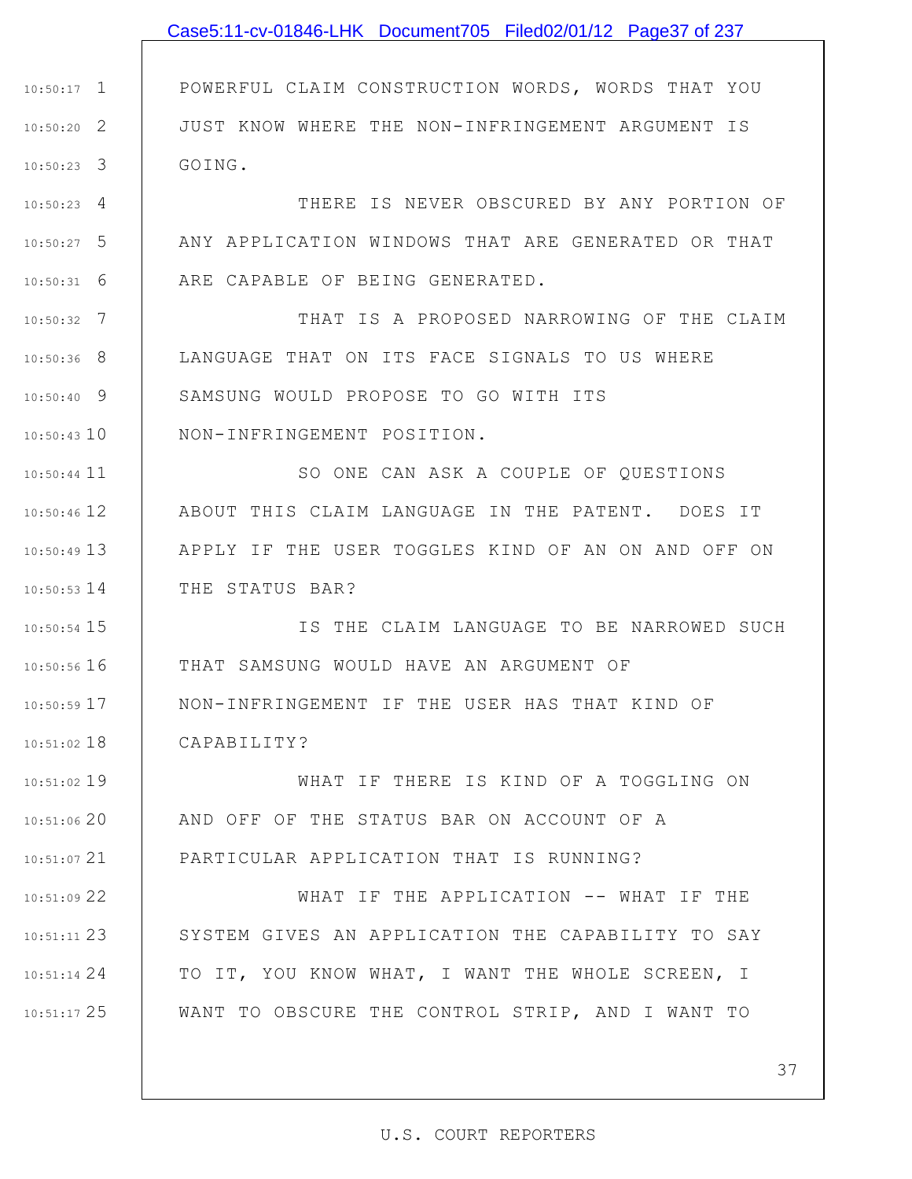|               | Case5:11-cv-01846-LHK Document705 Filed02/01/12 Page37 of 237 |
|---------------|---------------------------------------------------------------|
|               |                                                               |
| $10:50:17$ 1  | POWERFUL CLAIM CONSTRUCTION WORDS, WORDS THAT YOU             |
| $10:50:20$ 2  | JUST KNOW WHERE THE NON-INFRINGEMENT ARGUMENT IS              |
| $10:50:23$ 3  | GOING.                                                        |
| $10:50:23$ 4  | THERE IS NEVER OBSCURED BY ANY PORTION OF                     |
| $10:50:27$ 5  | ANY APPLICATION WINDOWS THAT ARE GENERATED OR THAT            |
| 6<br>10:50:31 | ARE CAPABLE OF BEING GENERATED.                               |
| $10:50:32$ 7  | THAT IS A PROPOSED NARROWING OF THE CLAIM                     |
| $10:50:36$ 8  | LANGUAGE THAT ON ITS FACE SIGNALS TO US WHERE                 |
| $10:50:40$ 9  | SAMSUNG WOULD PROPOSE TO GO WITH ITS                          |
| $10:50:43$ 10 | NON-INFRINGEMENT POSITION.                                    |
| $10:50:44$ 11 | SO ONE CAN ASK A COUPLE OF QUESTIONS                          |
| $10:50:46$ 12 | ABOUT THIS CLAIM LANGUAGE IN THE PATENT. DOES IT              |
| $10:50:49$ 13 | APPLY IF THE USER TOGGLES KIND OF AN ON AND OFF ON            |
| $10:50:53$ 14 | THE STATUS BAR?                                               |
| $10:50:54$ 15 | IS THE CLAIM LANGUAGE TO BE NARROWED SUCH                     |
| 10:50:56 16   | THAT SAMSUNG WOULD HAVE AN ARGUMENT OF                        |
| 10:50:59 17   | NON-INFRINGEMENT IF THE USER HAS THAT KIND OF                 |
| $10:51:02$ 18 | CAPABILITY?                                                   |
| 10:51:02 19   | WHAT IF THERE IS KIND OF A TOGGLING ON                        |
| 10:51:06 20   | AND OFF OF THE STATUS BAR ON ACCOUNT OF A                     |
| $10:51:07$ 21 | PARTICULAR APPLICATION THAT IS RUNNING?                       |
| 10:51:09 22   | WHAT IF THE APPLICATION -- WHAT IF THE                        |
| $10:51:11$ 23 | SYSTEM GIVES AN APPLICATION THE CAPABILITY TO SAY             |
| $10:51:14$ 24 | TO IT, YOU KNOW WHAT, I WANT THE WHOLE SCREEN, I              |
| $10:51:17$ 25 | WANT TO OBSCURE THE CONTROL STRIP, AND I WANT TO              |
|               |                                                               |
|               | 37                                                            |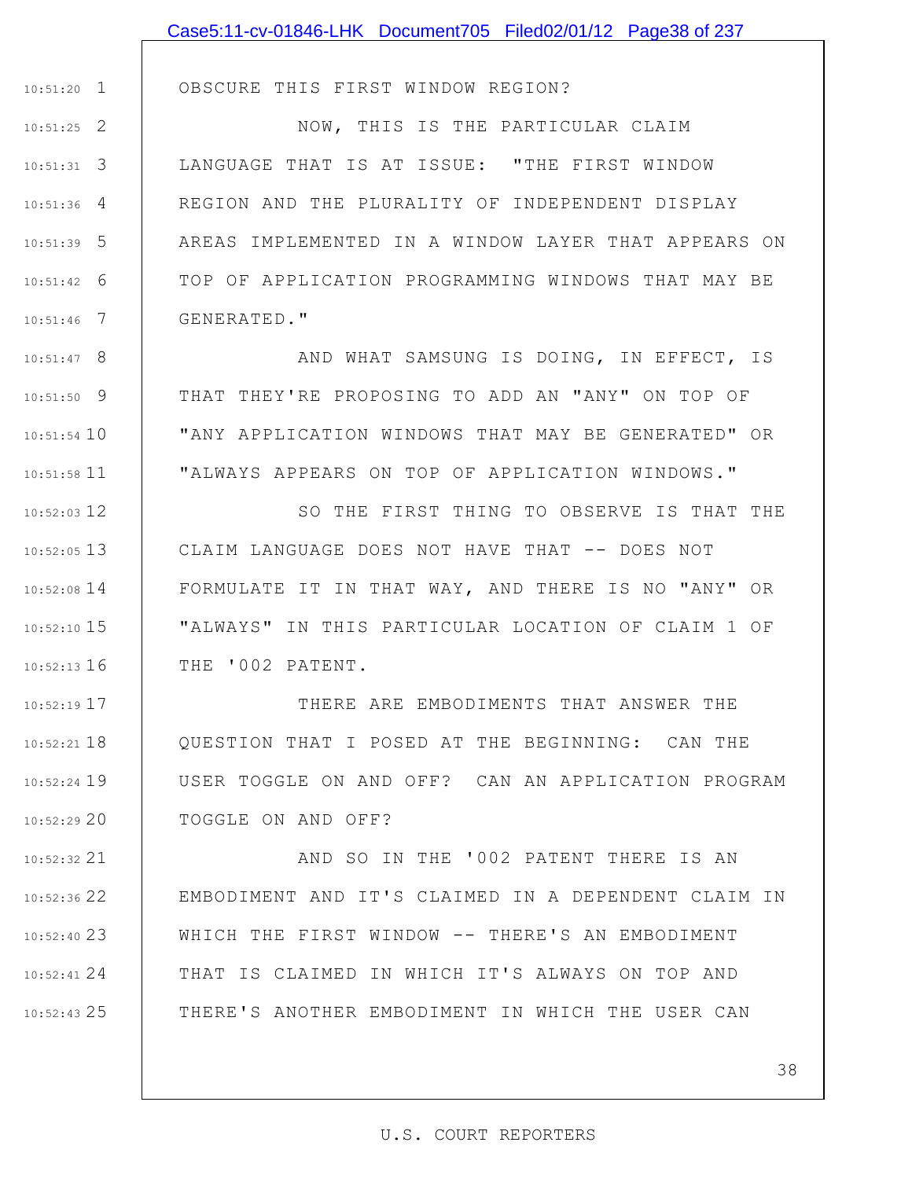|               | Case5:11-cv-01846-LHK Document705 Filed02/01/12 Page38 of 237 |
|---------------|---------------------------------------------------------------|
|               |                                                               |
| $10:51:20$ 1  | OBSCURE THIS FIRST WINDOW REGION?                             |
| $10:51:25$ 2  | NOW, THIS IS THE PARTICULAR CLAIM                             |
| $10:51:31$ 3  | LANGUAGE THAT IS AT ISSUE: "THE FIRST WINDOW                  |
| $10:51:36$ 4  | REGION AND THE PLURALITY OF INDEPENDENT DISPLAY               |
| $10:51:39$ 5  | AREAS IMPLEMENTED IN A WINDOW LAYER THAT APPEARS ON           |
| $10:51:42$ 6  | TOP OF APPLICATION PROGRAMMING WINDOWS THAT MAY BE            |
| $10:51:46$ 7  | GENERATED."                                                   |
| $10:51:47$ 8  | AND WHAT SAMSUNG IS DOING, IN EFFECT, IS                      |
| $10:51:50$ 9  | THAT THEY'RE PROPOSING TO ADD AN "ANY" ON TOP OF              |
| $10:51:54$ 10 | "ANY APPLICATION WINDOWS THAT MAY BE GENERATED" OR            |
| $10:51:58$ 11 | "ALWAYS APPEARS ON TOP OF APPLICATION WINDOWS."               |
| $10:52:03$ 12 | SO THE FIRST THING TO OBSERVE IS THAT THE                     |
| $10:52:05$ 13 | CLAIM LANGUAGE DOES NOT HAVE THAT -- DOES NOT                 |
| $10:52:08$ 14 | FORMULATE IT IN THAT WAY, AND THERE IS NO "ANY" OR            |
| $10:52:10$ 15 | "ALWAYS" IN THIS PARTICULAR LOCATION OF CLAIM 1 OF            |
| $10:52:13$ 16 | THE '002 PATENT.                                              |
| $10:52:19$ 17 | THERE ARE EMBODIMENTS THAT ANSWER THE                         |
| $10:52:21$ 18 | OUESTION THAT I POSED AT THE BEGINNING: CAN THE               |
| $10:52:24$ 19 | USER TOGGLE ON AND OFF? CAN AN APPLICATION PROGRAM            |
| 10:52:2920    | TOGGLE ON AND OFF?                                            |
| $10:52:32$ 21 | AND SO IN THE '002 PATENT THERE IS AN                         |
| $10:52:36$ 22 | EMBODIMENT AND IT'S CLAIMED IN A DEPENDENT CLAIM IN           |
| $10:52:40$ 23 | WHICH THE FIRST WINDOW -- THERE'S AN EMBODIMENT               |
| $10:52:41$ 24 | THAT IS CLAIMED IN WHICH IT'S ALWAYS ON TOP AND               |
| $10:52:43$ 25 | THERE'S ANOTHER EMBODIMENT IN WHICH THE USER CAN              |
|               |                                                               |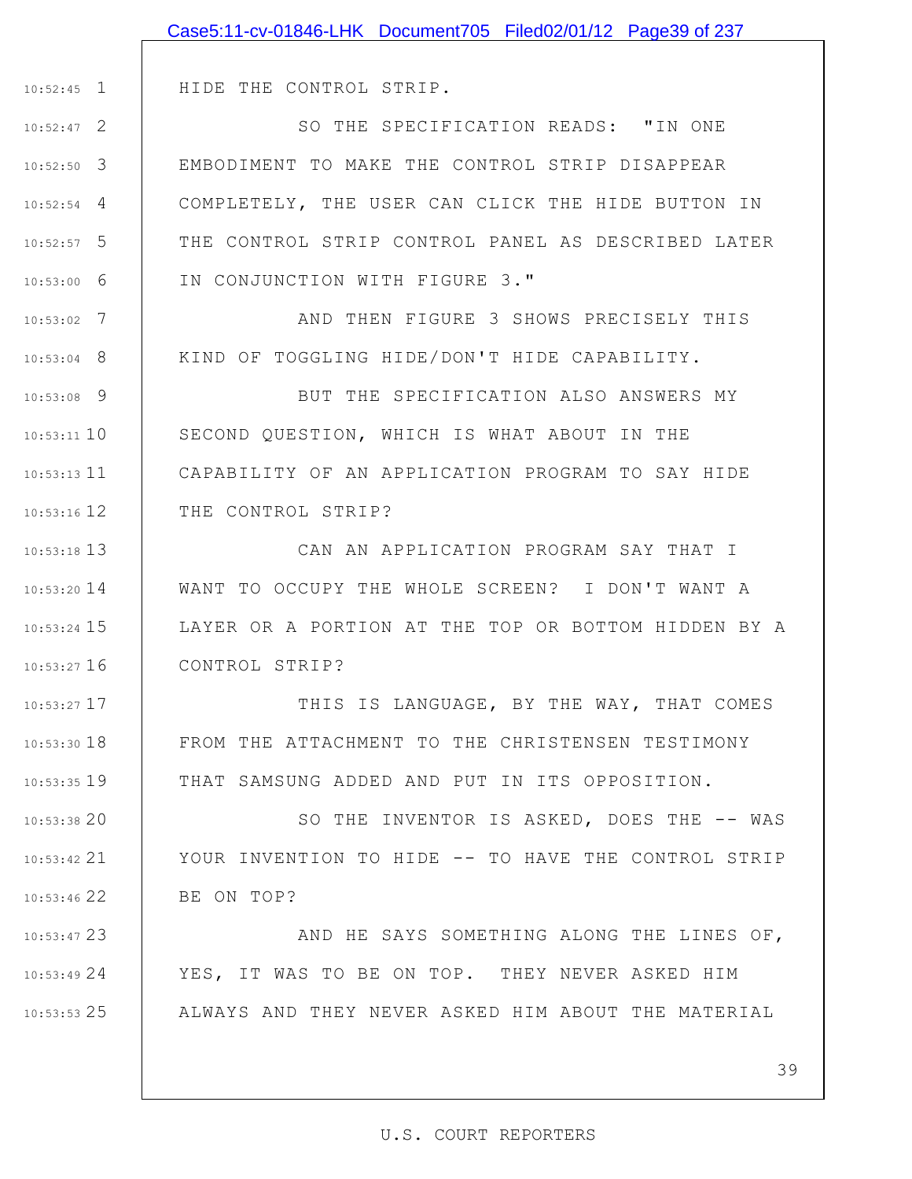|                 | Case5:11-cv-01846-LHK Document705 Filed02/01/12 Page39 of 237 |
|-----------------|---------------------------------------------------------------|
|                 |                                                               |
| $10:52:45$ 1    | HIDE THE CONTROL STRIP.                                       |
| $10:52:47$ 2    | SO THE SPECIFICATION READS: "IN ONE                           |
| $10:52:50$ 3    | EMBODIMENT TO MAKE THE CONTROL STRIP DISAPPEAR                |
| $10:52:54$ 4    | COMPLETELY, THE USER CAN CLICK THE HIDE BUTTON IN             |
| $10:52:57$ 5    | THE CONTROL STRIP CONTROL PANEL AS DESCRIBED LATER            |
| $10:53:00$ 6    | IN CONJUNCTION WITH FIGURE 3."                                |
| - 7<br>10:53:02 | AND THEN FIGURE 3 SHOWS PRECISELY THIS                        |
| $10:53:04$ 8    | KIND OF TOGGLING HIDE/DON'T HIDE CAPABILITY.                  |
| $10:53:08$ 9    | BUT THE SPECIFICATION ALSO ANSWERS MY                         |
| $10:53:11$ 10   | SECOND QUESTION, WHICH IS WHAT ABOUT IN THE                   |
| $10:53:13$ $11$ | CAPABILITY OF AN APPLICATION PROGRAM TO SAY HIDE              |
| $10:53:16$ 12   | THE CONTROL STRIP?                                            |
| $10:53:18$ 13   | CAN AN APPLICATION PROGRAM SAY THAT I                         |
| $10:53:20$ 14   | WANT TO OCCUPY THE WHOLE SCREEN? I DON'T WANT A               |
| $10:53:24$ 15   | LAYER OR A PORTION AT THE TOP OR BOTTOM HIDDEN BY A           |
| $10:53:27$ 16   | CONTROL STRIP?                                                |
| $10:53:27$ 17   | THIS IS LANGUAGE, BY THE WAY, THAT COMES                      |
| $10:53:30$ 18   | FROM THE ATTACHMENT TO THE CHRISTENSEN TESTIMONY              |
| 10:53:35 19     | THAT SAMSUNG ADDED AND PUT IN ITS OPPOSITION.                 |
| 10:53:3820      | SO THE INVENTOR IS ASKED, DOES THE -- WAS                     |
| $10:53:42$ 21   | YOUR INVENTION TO HIDE -- TO HAVE THE CONTROL STRIP           |
| 10:53:46 22     | BE ON TOP?                                                    |
| 10:53:47 23     | AND HE SAYS SOMETHING ALONG THE LINES OF,                     |
| 10:53:4924      | YES, IT WAS TO BE ON TOP. THEY NEVER ASKED HIM                |
| $10:53:53$ 25   | ALWAYS AND THEY NEVER ASKED HIM ABOUT THE MATERIAL            |
|                 |                                                               |
|                 | 39                                                            |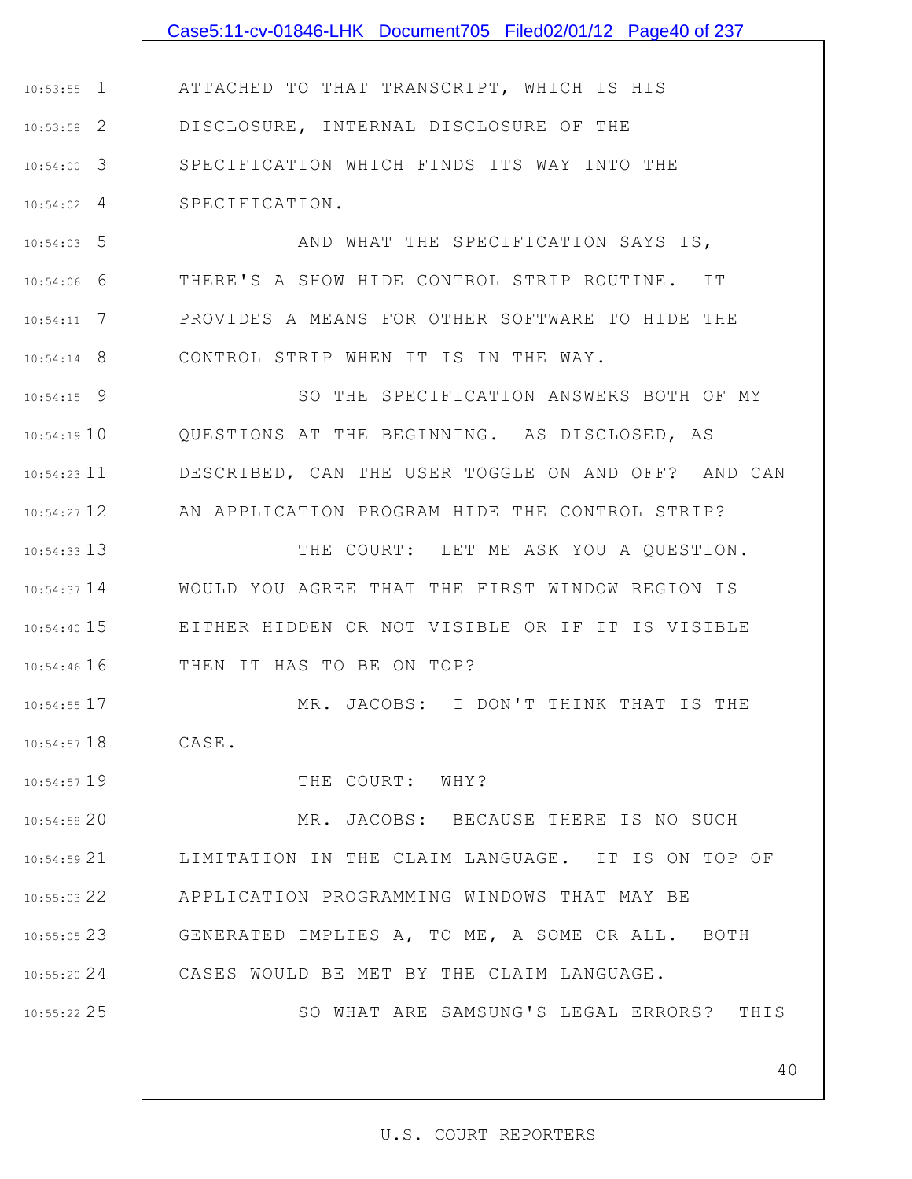1 10:53:55 2 10:53:58 3 10:54:00 4 10:54:02 5 10:54:03 6 10:54:06 7 10:54:11 8 10:54:14 9 10:54:15 10 10:54:19 11 10:54:23 12 10:54:27 13 10:54:33 14 10:54:37 15 10:54:40 16 10:54:46 17 10:54:55 18 10:54:57 19 10:54:57 20 10:54:58 21 10:54:59 22 10:55:03 23 10:55:05 24 10:55:20 25 10:55:22 ATTACHED TO THAT TRANSCRIPT, WHICH IS HIS DISCLOSURE, INTERNAL DISCLOSURE OF THE SPECIFICATION WHICH FINDS ITS WAY INTO THE SPECIFICATION. AND WHAT THE SPECIFICATION SAYS IS, THERE'S A SHOW HIDE CONTROL STRIP ROUTINE. IT PROVIDES A MEANS FOR OTHER SOFTWARE TO HIDE THE CONTROL STRIP WHEN IT IS IN THE WAY. SO THE SPECIFICATION ANSWERS BOTH OF MY QUESTIONS AT THE BEGINNING. AS DISCLOSED, AS DESCRIBED, CAN THE USER TOGGLE ON AND OFF? AND CAN AN APPLICATION PROGRAM HIDE THE CONTROL STRIP? THE COURT: LET ME ASK YOU A QUESTION. WOULD YOU AGREE THAT THE FIRST WINDOW REGION IS EITHER HIDDEN OR NOT VISIBLE OR IF IT IS VISIBLE THEN IT HAS TO BE ON TOP? MR. JACOBS: I DON'T THINK THAT IS THE CASE. THE COURT: WHY? MR. JACOBS: BECAUSE THERE IS NO SUCH LIMITATION IN THE CLAIM LANGUAGE. IT IS ON TOP OF APPLICATION PROGRAMMING WINDOWS THAT MAY BE GENERATED IMPLIES A, TO ME, A SOME OR ALL. BOTH CASES WOULD BE MET BY THE CLAIM LANGUAGE. SO WHAT ARE SAMSUNG'S LEGAL ERRORS? THIS Case5:11-cv-01846-LHK Document705 Filed02/01/12 Page40 of 237

40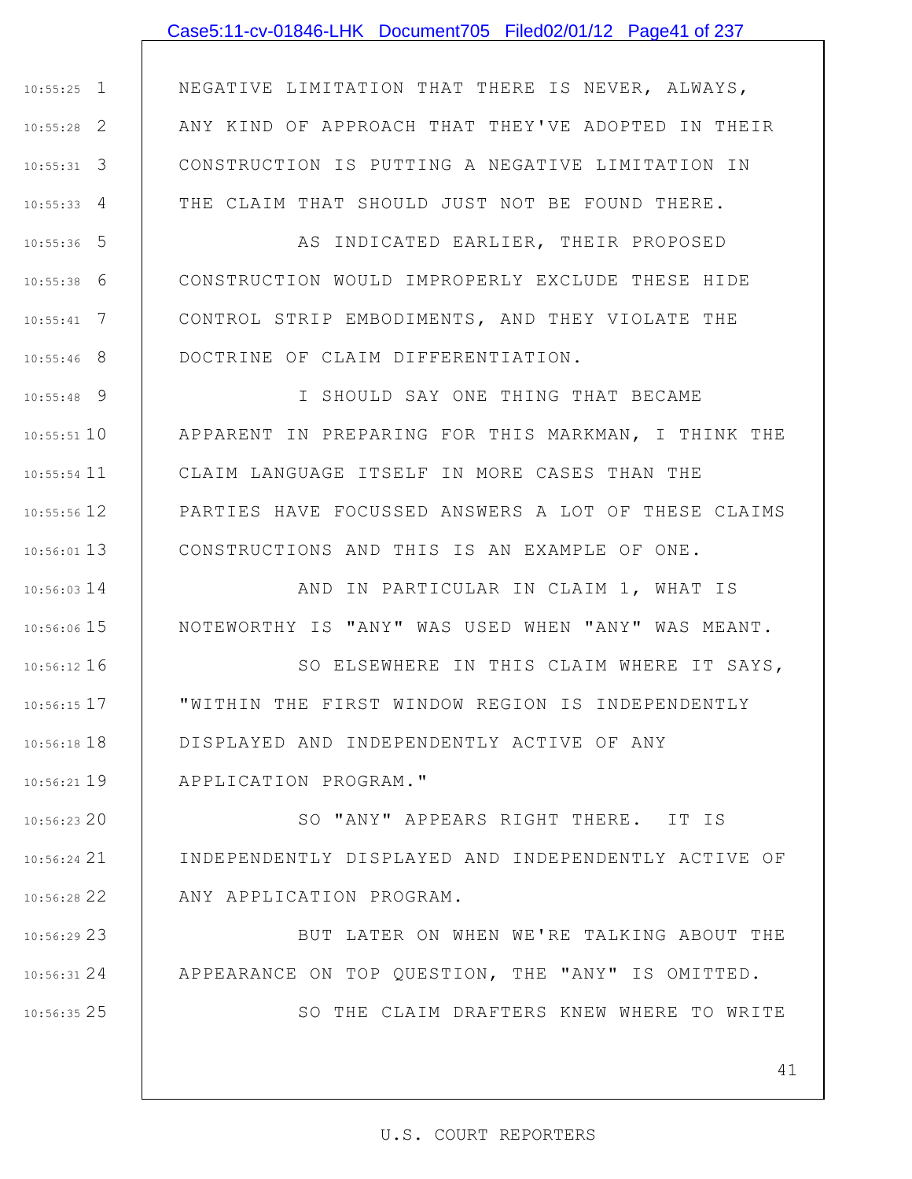## Case5:11-cv-01846-LHK Document705 Filed02/01/12 Page41 of 237

1 10:55:25 2 10:55:28 3 10:55:31 4 10:55:33 NEGATIVE LIMITATION THAT THERE IS NEVER, ALWAYS, ANY KIND OF APPROACH THAT THEY'VE ADOPTED IN THEIR CONSTRUCTION IS PUTTING A NEGATIVE LIMITATION IN THE CLAIM THAT SHOULD JUST NOT BE FOUND THERE.

5 10:55:36 6 10:55:38 7 10:55:41 8 10:55:46 AS INDICATED EARLIER, THEIR PROPOSED CONSTRUCTION WOULD IMPROPERLY EXCLUDE THESE HIDE CONTROL STRIP EMBODIMENTS, AND THEY VIOLATE THE DOCTRINE OF CLAIM DIFFERENTIATION.

9 10:55:48 10 10:55:51 11 10:55:54 12 10:55:56 13 10:56:01 I SHOULD SAY ONE THING THAT BECAME APPARENT IN PREPARING FOR THIS MARKMAN, I THINK THE CLAIM LANGUAGE ITSELF IN MORE CASES THAN THE PARTIES HAVE FOCUSSED ANSWERS A LOT OF THESE CLAIMS CONSTRUCTIONS AND THIS IS AN EXAMPLE OF ONE.

14 10:56:03 15 10:56:06 AND IN PARTICULAR IN CLAIM 1, WHAT IS NOTEWORTHY IS "ANY" WAS USED WHEN "ANY" WAS MEANT.

16 10:56:12 17 10:56:15 18 10:56:18 19 10:56:21 SO ELSEWHERE IN THIS CLAIM WHERE IT SAYS, "WITHIN THE FIRST WINDOW REGION IS INDEPENDENTLY DISPLAYED AND INDEPENDENTLY ACTIVE OF ANY APPLICATION PROGRAM."

20 10:56:23 21 10:56:24 22 10:56:28 SO "ANY" APPEARS RIGHT THERE. IT IS INDEPENDENTLY DISPLAYED AND INDEPENDENTLY ACTIVE OF ANY APPLICATION PROGRAM.

23 10:56:29 24 10:56:31 BUT LATER ON WHEN WE'RE TALKING ABOUT THE APPEARANCE ON TOP QUESTION, THE "ANY" IS OMITTED.

25 10:56:35

SO THE CLAIM DRAFTERS KNEW WHERE TO WRITE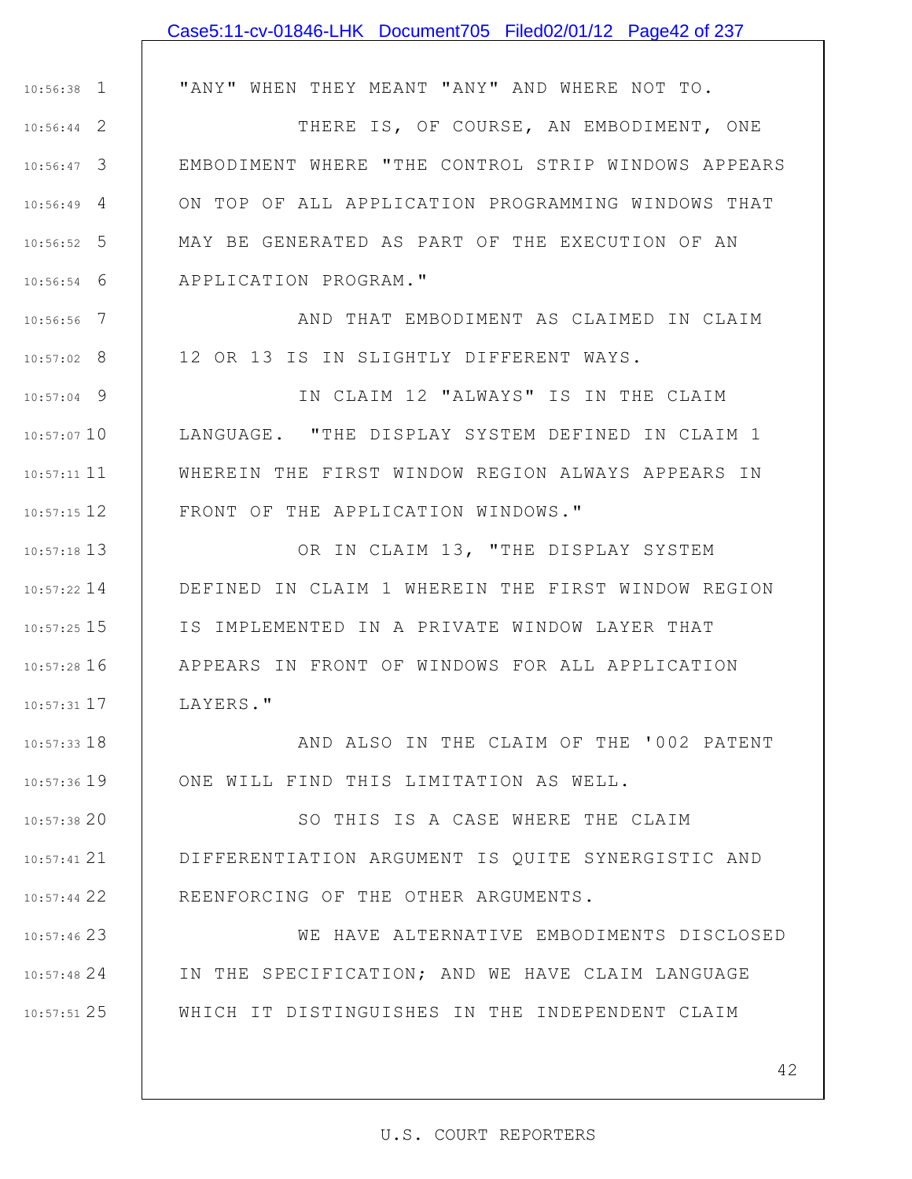|               | Case5:11-cv-01846-LHK Document705 Filed02/01/12 Page42 of 237 |
|---------------|---------------------------------------------------------------|
|               |                                                               |
| $10:56:38$ 1  | "ANY" WHEN THEY MEANT "ANY" AND WHERE NOT TO.                 |
| $10:56:44$ 2  | THERE IS, OF COURSE, AN EMBODIMENT, ONE                       |
| $10:56:47$ 3  | EMBODIMENT WHERE "THE CONTROL STRIP WINDOWS APPEARS           |
| $10:56:49$ 4  | ON TOP OF ALL APPLICATION PROGRAMMING WINDOWS THAT            |
| $10:56:52$ 5  | MAY BE GENERATED AS PART OF THE EXECUTION OF AN               |
| $10:56:54$ 6  | APPLICATION PROGRAM."                                         |
| $10:56:56$ 7  | AND THAT EMBODIMENT AS CLAIMED IN CLAIM                       |
| $10:57:02$ 8  | 12 OR 13 IS IN SLIGHTLY DIFFERENT WAYS.                       |
| $10:57:04$ 9  | IN CLAIM 12 "ALWAYS" IS IN THE CLAIM                          |
| $10:57:07$ 10 | LANGUAGE. "THE DISPLAY SYSTEM DEFINED IN CLAIM 1              |
| $10:57:11$ 11 | WHEREIN THE FIRST WINDOW REGION ALWAYS APPEARS IN             |
| $10:57:15$ 12 | FRONT OF THE APPLICATION WINDOWS."                            |
| $10:57:18$ 13 | OR IN CLAIM 13, "THE DISPLAY SYSTEM                           |
| $10:57:22$ 14 | DEFINED IN CLAIM 1 WHEREIN THE FIRST WINDOW REGION            |
| $10:57:25$ 15 | IS IMPLEMENTED IN A PRIVATE WINDOW LAYER THAT                 |
| $10:57:28$ 16 | APPEARS IN FRONT OF WINDOWS FOR ALL APPLICATION               |
| $10:57:31$ 17 | LAYERS."                                                      |
| $10:57:33$ 18 | AND ALSO IN THE CLAIM OF THE '002 PATENT                      |
| 10:57:36 19   | ONE WILL FIND THIS LIMITATION AS WELL.                        |
| 10:57:38 20   | SO THIS IS A CASE WHERE THE CLAIM                             |
| $10:57:41$ 21 | DIFFERENTIATION ARGUMENT IS QUITE SYNERGISTIC AND             |
| 10:57:44 22   | REENFORCING OF THE OTHER ARGUMENTS.                           |
| $10:57:46$ 23 | WE HAVE ALTERNATIVE EMBODIMENTS DISCLOSED                     |
| 10:57:48 24   | IN THE SPECIFICATION; AND WE HAVE CLAIM LANGUAGE              |
| 10:57:51 25   | WHICH IT DISTINGUISHES IN THE INDEPENDENT CLAIM               |
|               |                                                               |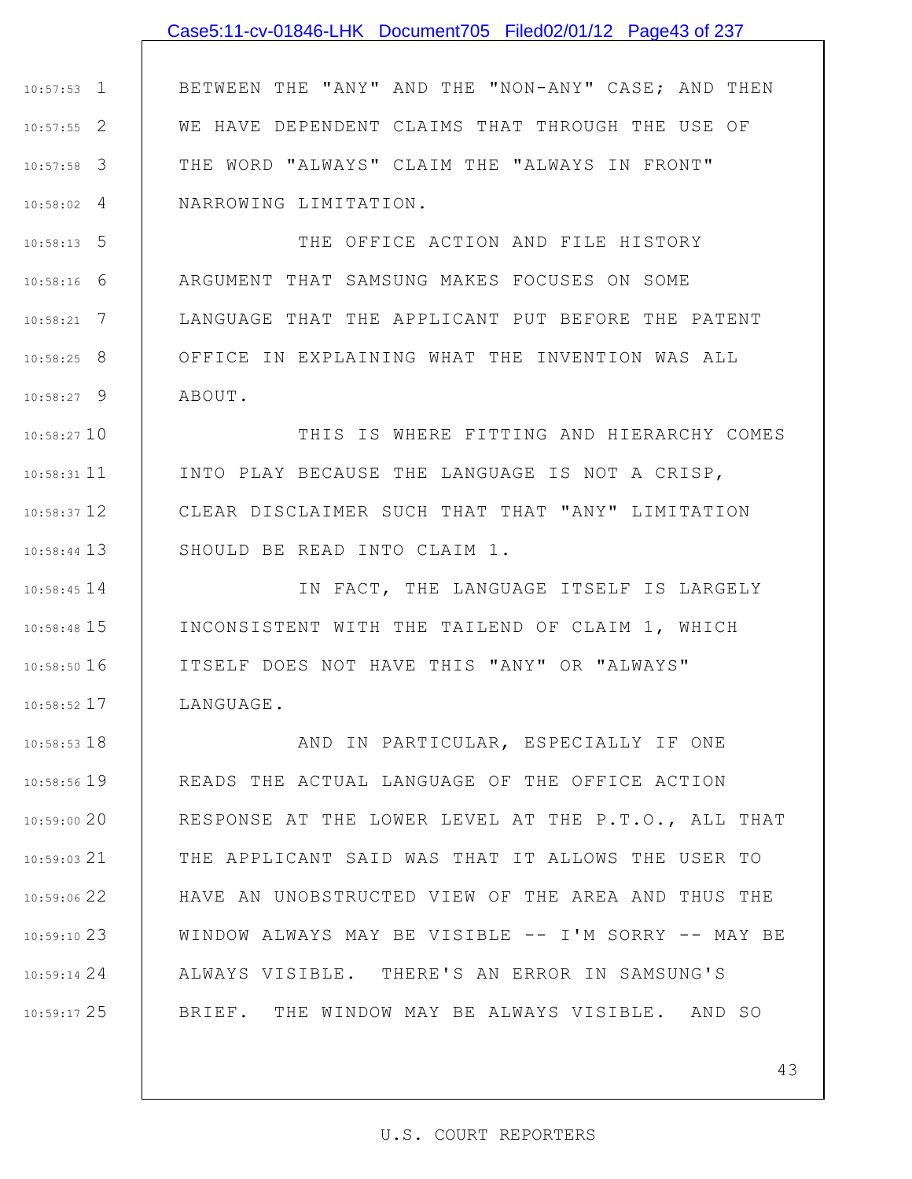## Case5:11-cv-01846-LHK Document705 Filed02/01/12 Page43 of 237

1 10:57:53 2 10:57:55 3 10:57:58 4 10:58:02 BETWEEN THE "ANY" AND THE "NON-ANY" CASE; AND THEN WE HAVE DEPENDENT CLAIMS THAT THROUGH THE USE OF THE WORD "ALWAYS" CLAIM THE "ALWAYS IN FRONT" NARROWING LIMITATION.

5 10:58:13 6 10:58:16 7 10:58:21 8 10:58:25 9 10:58:27 THE OFFICE ACTION AND FILE HISTORY ARGUMENT THAT SAMSUNG MAKES FOCUSES ON SOME LANGUAGE THAT THE APPLICANT PUT BEFORE THE PATENT OFFICE IN EXPLAINING WHAT THE INVENTION WAS ALL ABOUT.

10 10:58:27 10:58:31 11 12 10:58:37 13 10:58:44 THIS IS WHERE FITTING AND HIERARCHY COMES INTO PLAY BECAUSE THE LANGUAGE IS NOT A CRISP, CLEAR DISCLAIMER SUCH THAT THAT "ANY" LIMITATION SHOULD BE READ INTO CLAIM 1.

14 10:58:45 15 10:58:48 16 10:58:50 17 10:58:52 IN FACT, THE LANGUAGE ITSELF IS LARGELY INCONSISTENT WITH THE TAILEND OF CLAIM 1, WHICH ITSELF DOES NOT HAVE THIS "ANY" OR "ALWAYS" LANGUAGE.

18 10:58:53 19 10:58:56 20 10:59:00 21 10:59:03 22 10:59:06 23 10:59:10 24 10:59:14 25 10:59:17 AND IN PARTICULAR, ESPECIALLY IF ONE READS THE ACTUAL LANGUAGE OF THE OFFICE ACTION RESPONSE AT THE LOWER LEVEL AT THE P.T.O., ALL THAT THE APPLICANT SAID WAS THAT IT ALLOWS THE USER TO HAVE AN UNOBSTRUCTED VIEW OF THE AREA AND THUS THE WINDOW ALWAYS MAY BE VISIBLE -- I'M SORRY -- MAY BE ALWAYS VISIBLE. THERE'S AN ERROR IN SAMSUNG'S BRIEF. THE WINDOW MAY BE ALWAYS VISIBLE. AND SO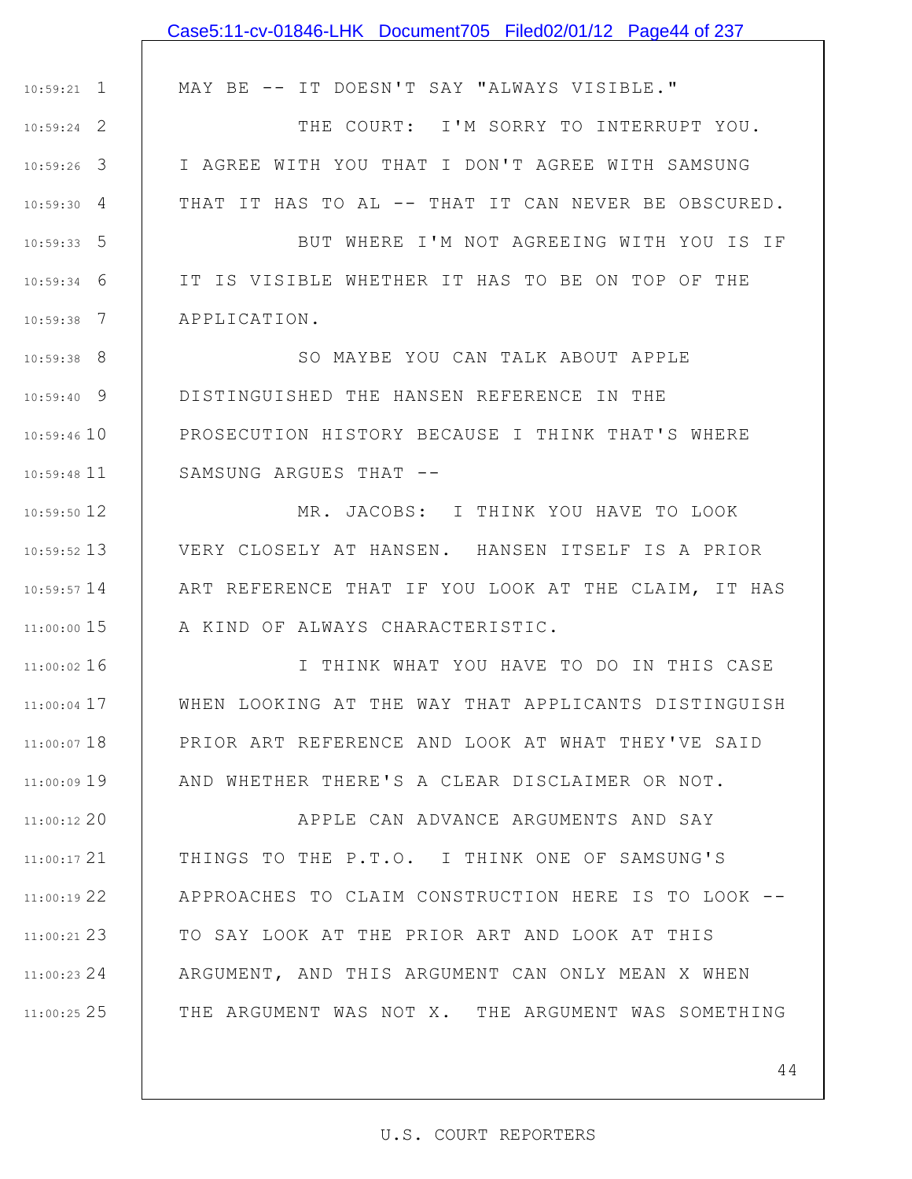|                 | Case5:11-cv-01846-LHK Document705 Filed02/01/12 Page44 of 237 |
|-----------------|---------------------------------------------------------------|
|                 |                                                               |
| $10:59:21$ 1    | MAY BE -- IT DOESN'T SAY "ALWAYS VISIBLE."                    |
| $10:59:24$ 2    | THE COURT: I'M SORRY TO INTERRUPT YOU.                        |
| $10:59:26$ 3    | I AGREE WITH YOU THAT I DON'T AGREE WITH SAMSUNG              |
| $10:59:30$ 4    | THAT IT HAS TO AL -- THAT IT CAN NEVER BE OBSCURED.           |
| $10:59:33$ 5    | BUT WHERE I'M NOT AGREEING WITH YOU IS IF                     |
| 6<br>10:59:34   | IT IS VISIBLE WHETHER IT HAS TO BE ON TOP OF THE              |
| - 7<br>10:59:38 | APPLICATION.                                                  |
| $10:59:38$ 8    | SO MAYBE YOU CAN TALK ABOUT APPLE                             |
| $10:59:40$ 9    | DISTINGUISHED THE HANSEN REFERENCE IN THE                     |
| $10:59:46$ 10   | PROSECUTION HISTORY BECAUSE I THINK THAT'S WHERE              |
| $10:59:48$ 11   | SAMSUNG ARGUES THAT --                                        |
| $10:59:50$ 12   | MR. JACOBS: I THINK YOU HAVE TO LOOK                          |
| $10:59:52$ 13   | VERY CLOSELY AT HANSEN. HANSEN ITSELF IS A PRIOR              |
| $10:59:57$ 14   | ART REFERENCE THAT IF YOU LOOK AT THE CLAIM, IT HAS           |
| 11:00:00 15     | A KIND OF ALWAYS CHARACTERISTIC.                              |
| $11:00:02$ 16   | I THINK WHAT YOU HAVE TO DO IN THIS CASE                      |
| $11:00:04$ 17   | WHEN LOOKING AT THE WAY THAT APPLICANTS DISTINGUISH           |
| $11:00:07$ 18   | PRIOR ART REFERENCE AND LOOK AT WHAT THEY'VE SAID             |
| $11:00:09$ 19   | AND WHETHER THERE'S A CLEAR DISCLAIMER OR NOT.                |
| $11:00:12$ 20   | APPLE CAN ADVANCE ARGUMENTS AND SAY                           |
| $11:00:17$ 21   | THINGS TO THE P.T.O. I THINK ONE OF SAMSUNG'S                 |
| $11:00:19$ 22   | APPROACHES TO CLAIM CONSTRUCTION HERE IS TO LOOK --           |
| $11:00:21$ 23   | TO SAY LOOK AT THE PRIOR ART AND LOOK AT THIS                 |
| $11:00:23$ 24   | ARGUMENT, AND THIS ARGUMENT CAN ONLY MEAN X WHEN              |
| $11:00:25$ 25   | THE ARGUMENT WAS NOT X. THE ARGUMENT WAS SOMETHING            |
|                 |                                                               |
|                 | 44                                                            |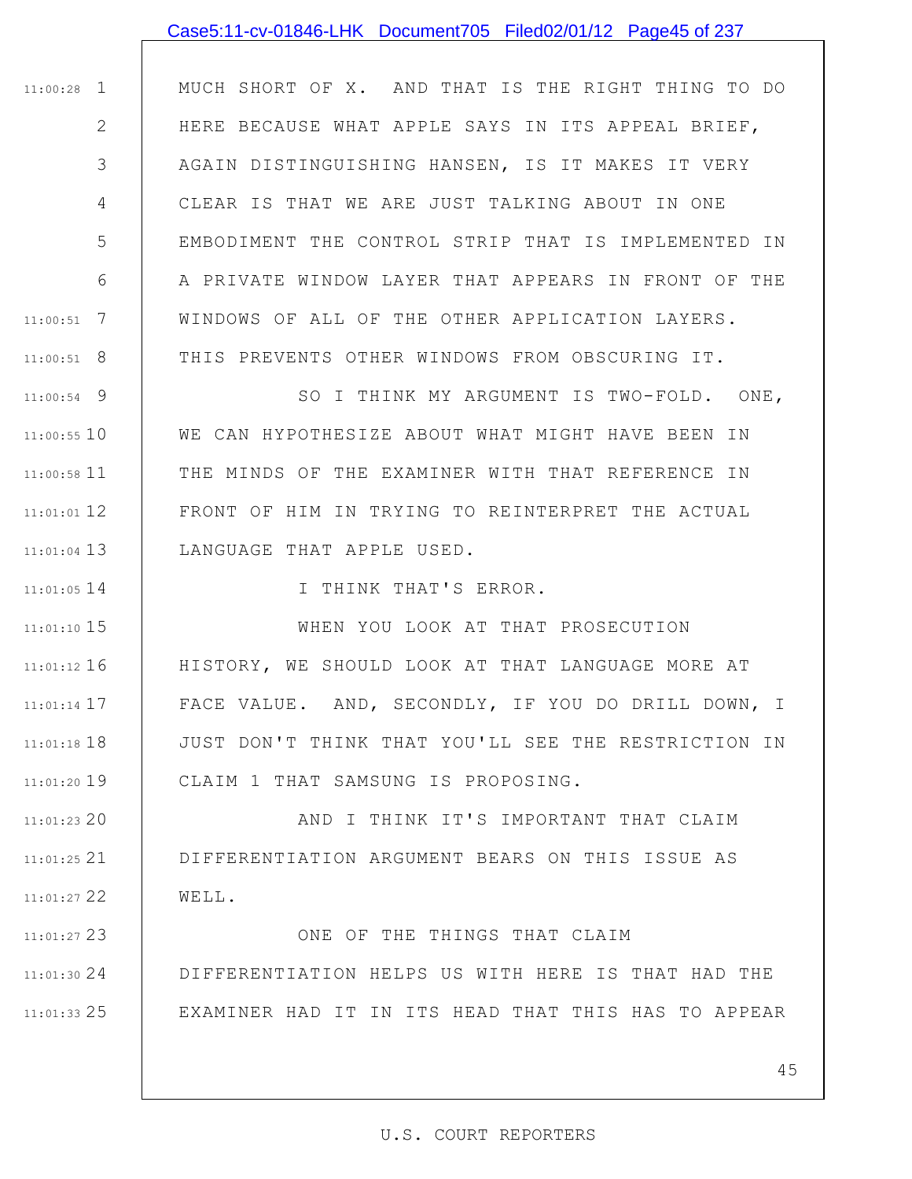|                | Case5:11-cv-01846-LHK Document705 Filed02/01/12 Page45 of 237 |
|----------------|---------------------------------------------------------------|
|                |                                                               |
| $11:00:28$ 1   | MUCH SHORT OF X. AND THAT IS THE RIGHT THING TO DO            |
| $\overline{2}$ | HERE BECAUSE WHAT APPLE SAYS IN ITS APPEAL BRIEF,             |
| 3              | AGAIN DISTINGUISHING HANSEN, IS IT MAKES IT VERY              |
| 4              | CLEAR IS THAT WE ARE JUST TALKING ABOUT IN ONE                |
| 5              | EMBODIMENT THE CONTROL STRIP THAT IS IMPLEMENTED IN           |
| 6              | A PRIVATE WINDOW LAYER THAT APPEARS IN FRONT OF THE           |
| $11:00:51$ 7   | WINDOWS OF ALL OF THE OTHER APPLICATION LAYERS.               |
| $11:00:51$ 8   | THIS PREVENTS OTHER WINDOWS FROM OBSCURING IT.                |
| $11:00:54$ 9   | SO I THINK MY ARGUMENT IS TWO-FOLD. ONE,                      |
| $11:00:55$ 10  | WE CAN HYPOTHESIZE ABOUT WHAT MIGHT HAVE BEEN IN              |
| $11:00:58$ 11  | THE MINDS OF THE EXAMINER WITH THAT REFERENCE IN              |
| $11:01:01$ 12  | FRONT OF HIM IN TRYING TO REINTERPRET THE ACTUAL              |
| $11:01:04$ 13  | LANGUAGE THAT APPLE USED.                                     |
| $11:01:05$ 14  | I THINK THAT'S ERROR.                                         |
| $11:01:10$ 15  | WHEN YOU LOOK AT THAT PROSECUTION                             |
| $11:01:12$ 16  | HISTORY, WE SHOULD LOOK AT THAT LANGUAGE MORE AT              |
| $11:01:14$ 17  | FACE VALUE. AND, SECONDLY, IF YOU DO DRILL DOWN, I            |
| $11:01:18$ 18  | JUST DON'T THINK THAT YOU'LL SEE THE RESTRICTION IN           |
| $11:01:20$ 19  | CLAIM 1 THAT SAMSUNG IS PROPOSING.                            |
| $11:01:23$ 20  | AND I THINK IT'S IMPORTANT THAT CLAIM                         |
| $11:01:25$ 21  | DIFFERENTIATION ARGUMENT BEARS ON THIS ISSUE AS               |
| $11:01:27$ 22  | WELL.                                                         |
| $11:01:27$ 23  | ONE OF THE THINGS THAT CLAIM                                  |
| 11:01:30 24    | DIFFERENTIATION HELPS US WITH HERE IS THAT HAD THE            |
| $11:01:33$ 25  | EXAMINER HAD IT IN ITS HEAD THAT THIS HAS TO APPEAR           |
|                |                                                               |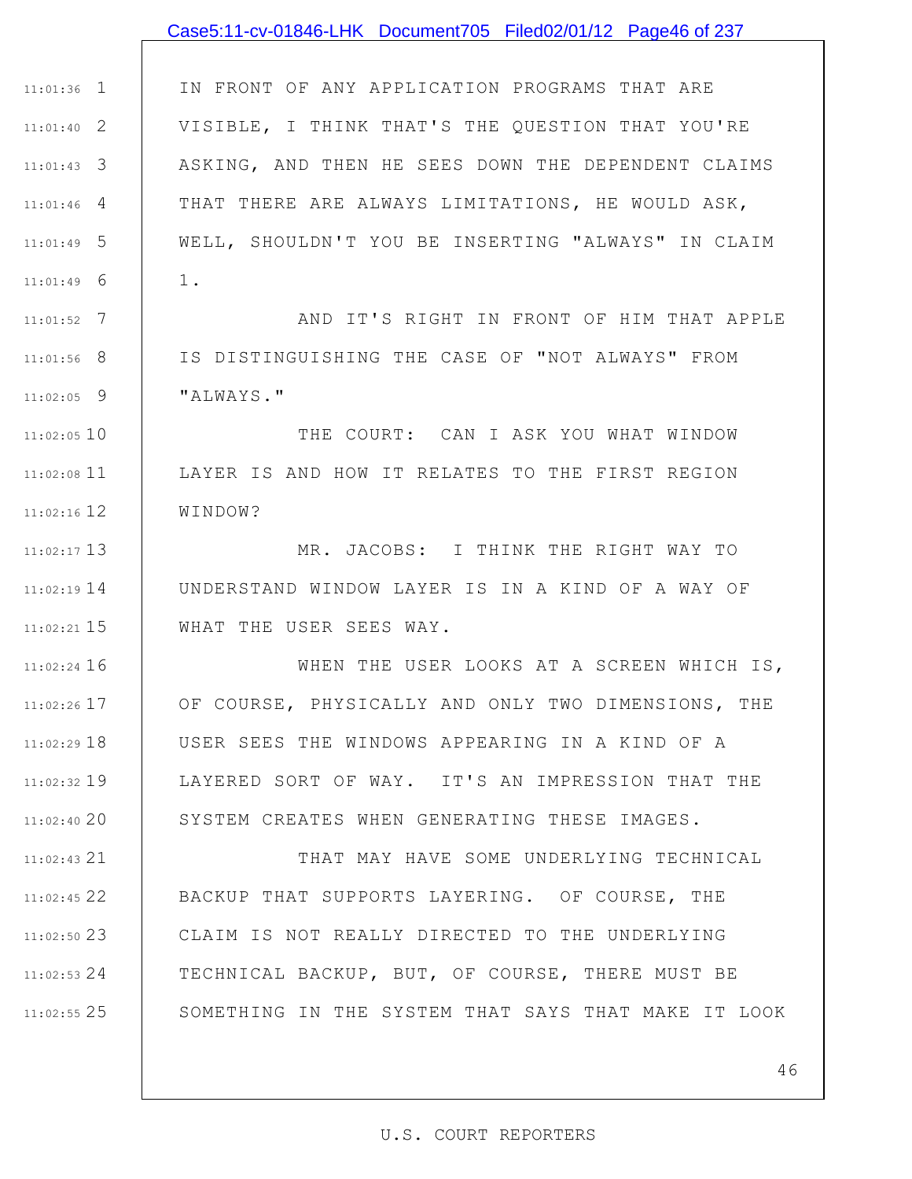# 1 11:01:36 2 11:01:40 3 11:01:43 4 11:01:46 5 11:01:49 6 11:01:49 7 11:01:52 8 11:01:56 9 11:02:05 11:02:05 10 11 11:02:08 12 11:02:16 13 11:02:17 14 11:02:19 15 11:02:21 11:02:24 16 17 11:02:26 11:02:29 18 IN FRONT OF ANY APPLICATION PROGRAMS THAT ARE VISIBLE, I THINK THAT'S THE QUESTION THAT YOU'RE ASKING, AND THEN HE SEES DOWN THE DEPENDENT CLAIMS THAT THERE ARE ALWAYS LIMITATIONS, HE WOULD ASK, WELL, SHOULDN'T YOU BE INSERTING "ALWAYS" IN CLAIM 1. AND IT'S RIGHT IN FRONT OF HIM THAT APPLE IS DISTINGUISHING THE CASE OF "NOT ALWAYS" FROM "ALWAYS." THE COURT: CAN I ASK YOU WHAT WINDOW LAYER IS AND HOW IT RELATES TO THE FIRST REGION WINDOW? MR. JACOBS: I THINK THE RIGHT WAY TO UNDERSTAND WINDOW LAYER IS IN A KIND OF A WAY OF WHAT THE USER SEES WAY. WHEN THE USER LOOKS AT A SCREEN WHICH IS, OF COURSE, PHYSICALLY AND ONLY TWO DIMENSIONS, THE USER SEES THE WINDOWS APPEARING IN A KIND OF A Case5:11-cv-01846-LHK Document705 Filed02/01/12 Page46 of 237

11:02:32 19 20 11:02:40 LAYERED SORT OF WAY. IT'S AN IMPRESSION THAT THE SYSTEM CREATES WHEN GENERATING THESE IMAGES.

21 11:02:43 22 11:02:45 23 11:02:50 24 11:02:53 25 11:02:55 THAT MAY HAVE SOME UNDERLYING TECHNICAL BACKUP THAT SUPPORTS LAYERING. OF COURSE, THE CLAIM IS NOT REALLY DIRECTED TO THE UNDERLYING TECHNICAL BACKUP, BUT, OF COURSE, THERE MUST BE SOMETHING IN THE SYSTEM THAT SAYS THAT MAKE IT LOOK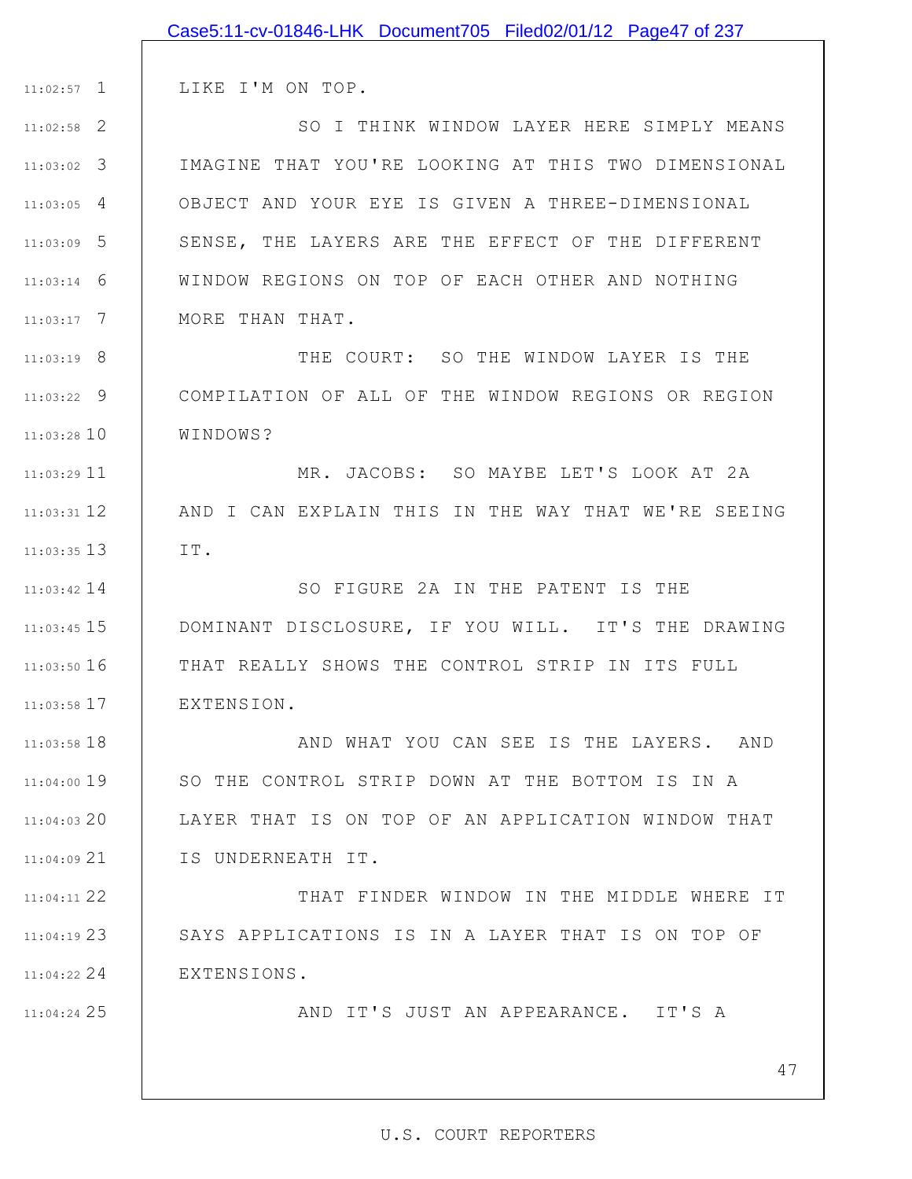|               | Case5:11-cv-01846-LHK Document705 Filed02/01/12 Page47 of 237 |
|---------------|---------------------------------------------------------------|
|               |                                                               |
| $11:02:57$ 1  | LIKE I'M ON TOP.                                              |
| $11:02:58$ 2  | SO I THINK WINDOW LAYER HERE SIMPLY MEANS                     |
| $11:03:02$ 3  | IMAGINE THAT YOU'RE LOOKING AT THIS TWO DIMENSIONAL           |
| $11:03:05$ 4  | OBJECT AND YOUR EYE IS GIVEN A THREE-DIMENSIONAL              |
| $11:03:09$ 5  | SENSE, THE LAYERS ARE THE EFFECT OF THE DIFFERENT             |
| $11:03:14$ 6  | WINDOW REGIONS ON TOP OF EACH OTHER AND NOTHING               |
| $11:03:17$ 7  | MORE THAN THAT.                                               |
| $11:03:19$ 8  | THE COURT: SO THE WINDOW LAYER IS THE                         |
| $11:03:22$ 9  | COMPILATION OF ALL OF THE WINDOW REGIONS OR REGION            |
| $11:03:28$ 10 | WINDOWS?                                                      |
| $11:03:29$ 11 | MR. JACOBS: SO MAYBE LET'S LOOK AT 2A                         |
| $11:03:31$ 12 | AND I CAN EXPLAIN THIS IN THE WAY THAT WE'RE SEEING           |
| $11:03:35$ 13 | IT.                                                           |
| $11:03:42$ 14 | SO FIGURE 2A IN THE PATENT IS THE                             |
| $11:03:45$ 15 | DOMINANT DISCLOSURE, IF YOU WILL. IT'S THE DRAWING            |
| $11:03:50$ 16 | THAT REALLY SHOWS THE CONTROL STRIP IN ITS FULL               |
| $11:03:58$ 17 | EXTENSION.                                                    |
| $11:03:58$ 18 | AND WHAT YOU CAN SEE IS THE LAYERS. AND                       |
| $11:04:00$ 19 | SO THE CONTROL STRIP DOWN AT THE BOTTOM IS IN A               |
| $11:04:03$ 20 | LAYER THAT IS ON TOP OF AN APPLICATION WINDOW THAT            |
| $11:04:09$ 21 | IS UNDERNEATH IT.                                             |
| 11:04:11 22   | THAT FINDER WINDOW IN THE MIDDLE WHERE IT                     |
| $11:04:19$ 23 | SAYS APPLICATIONS IS IN A LAYER THAT IS ON TOP OF             |
| $11:04:22$ 24 | EXTENSIONS.                                                   |
| 11:04:24 25   | AND IT'S JUST AN APPEARANCE. IT'S A                           |
|               |                                                               |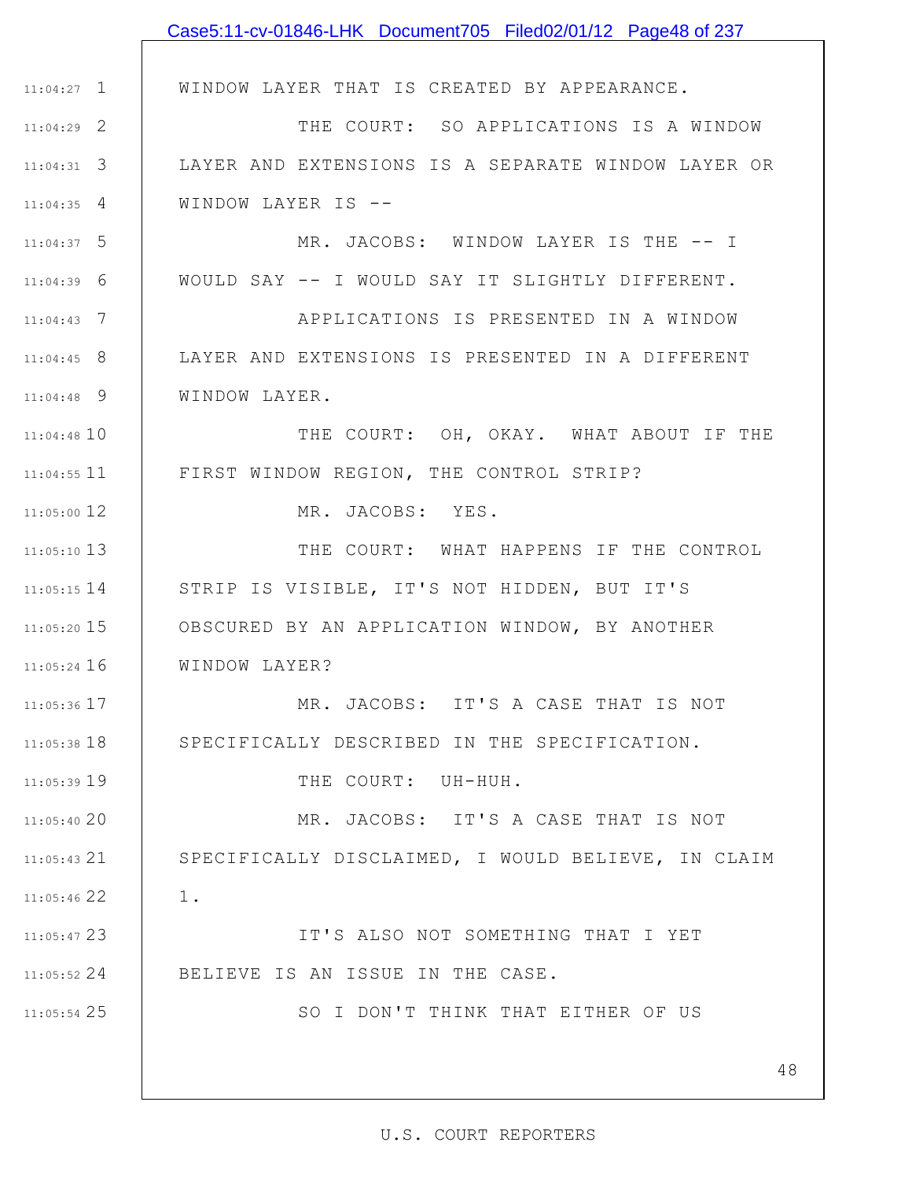|               | Case5:11-cv-01846-LHK Document705 Filed02/01/12 Page48 of 237 |
|---------------|---------------------------------------------------------------|
|               |                                                               |
| $11:04:27$ 1  | WINDOW LAYER THAT IS CREATED BY APPEARANCE.                   |
| $11:04:29$ 2  | THE COURT: SO APPLICATIONS IS A WINDOW                        |
| $11:04:31$ 3  | LAYER AND EXTENSIONS IS A SEPARATE WINDOW LAYER OR            |
| $11:04:35$ 4  | WINDOW LAYER IS --                                            |
| $11:04:37$ 5  | MR. JACOBS: WINDOW LAYER IS THE -- I                          |
| $11:04:39$ 6  | WOULD SAY -- I WOULD SAY IT SLIGHTLY DIFFERENT.               |
| $11:04:43$ 7  | APPLICATIONS IS PRESENTED IN A WINDOW                         |
| $11:04:45$ 8  | LAYER AND EXTENSIONS IS PRESENTED IN A DIFFERENT              |
| $11:04:48$ 9  | WINDOW LAYER.                                                 |
| $11:04:48$ 10 | THE COURT: OH, OKAY. WHAT ABOUT IF THE                        |
| $11:04:55$ 11 | FIRST WINDOW REGION, THE CONTROL STRIP?                       |
| 11:05:00 12   | MR. JACOBS: YES.                                              |
| 11:05:10 13   | THE COURT: WHAT HAPPENS IF THE CONTROL                        |
| $11:05:15$ 14 | STRIP IS VISIBLE, IT'S NOT HIDDEN, BUT IT'S                   |
| $11:05:20$ 15 | OBSCURED BY AN APPLICATION WINDOW, BY ANOTHER                 |
| $11:05:24$ 16 | WINDOW LAYER?                                                 |
| $11:05:36$ 17 | MR. JACOBS: IT'S A CASE THAT IS NOT                           |
| $11:05:38$ 18 | SPECIFICALLY DESCRIBED IN THE SPECIFICATION.                  |
| 11:05:39 19   | THE COURT: UH-HUH.                                            |
| 11:05:4020    | MR. JACOBS: IT'S A CASE THAT IS NOT                           |
| $11:05:43$ 21 | SPECIFICALLY DISCLAIMED, I WOULD BELIEVE, IN CLAIM            |
| 11:05:46 22   | $1$ .                                                         |
| 11:05:47 23   | IT'S ALSO NOT SOMETHING THAT I YET                            |
| $11:05:52$ 24 | BELIEVE IS AN ISSUE IN THE CASE.                              |
| $11:05:54$ 25 | SO I DON'T THINK THAT EITHER OF US                            |
|               |                                                               |
|               | 48                                                            |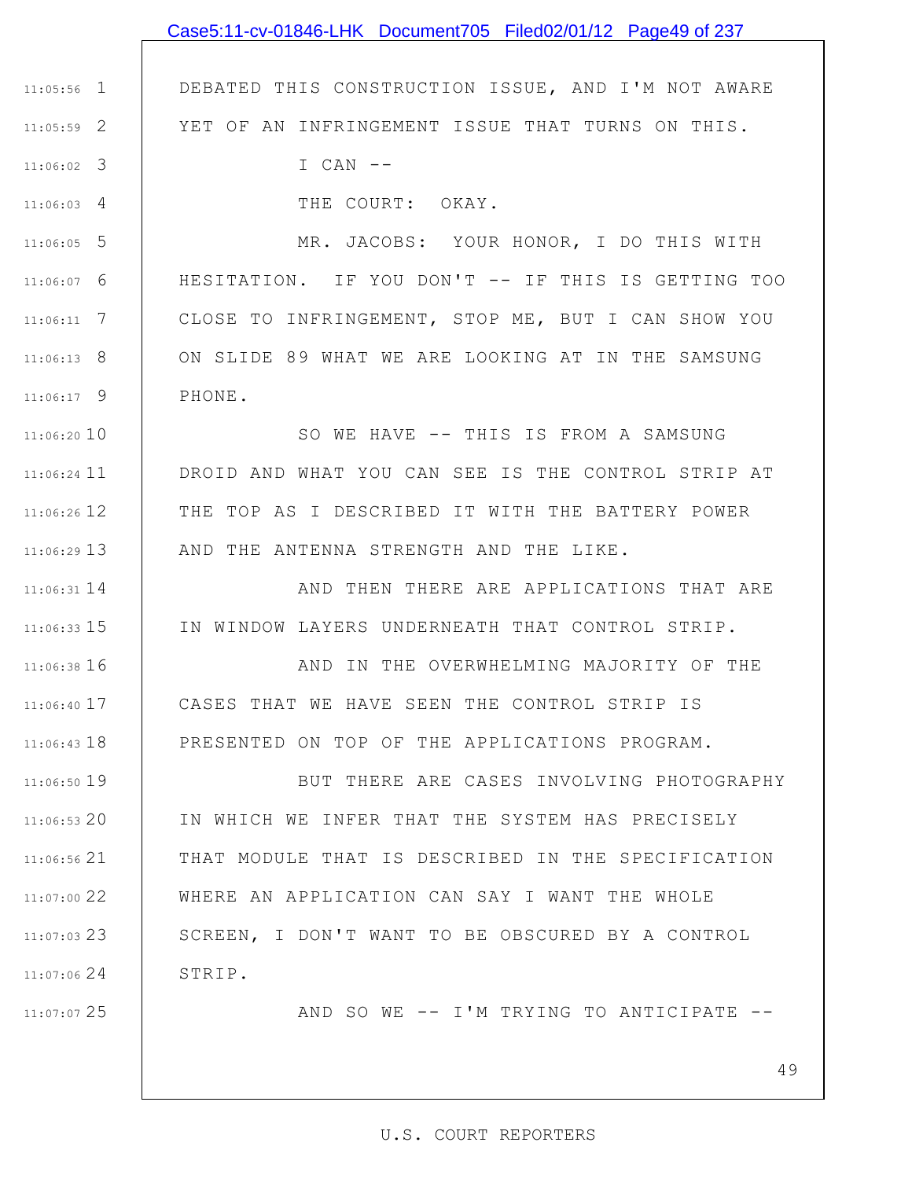## 1 11:05:56 2 11:05:59 3 11:06:02 4 11:06:03 5 11:06:05 6 11:06:07 7 11:06:11 8 11:06:13 9 11:06:17 10 11:06:20 11 11:06:24 12 11:06:26 13 11:06:29 14 11:06:31 15 11:06:33 11:06:38 16 17 11:06:40 11:06:43 18 11:06:50 19 20 11:06:53 21 11:06:56 22 11:07:00 23 11:07:03 24 11:07:06 25 11:07:07 DEBATED THIS CONSTRUCTION ISSUE, AND I'M NOT AWARE YET OF AN INFRINGEMENT ISSUE THAT TURNS ON THIS. I CAN -- THE COURT: OKAY. MR. JACOBS: YOUR HONOR, I DO THIS WITH HESITATION. IF YOU DON'T -- IF THIS IS GETTING TOO CLOSE TO INFRINGEMENT, STOP ME, BUT I CAN SHOW YOU ON SLIDE 89 WHAT WE ARE LOOKING AT IN THE SAMSUNG PHONE. SO WE HAVE -- THIS IS FROM A SAMSUNG DROID AND WHAT YOU CAN SEE IS THE CONTROL STRIP AT THE TOP AS I DESCRIBED IT WITH THE BATTERY POWER AND THE ANTENNA STRENGTH AND THE LIKE. AND THEN THERE ARE APPLICATIONS THAT ARE IN WINDOW LAYERS UNDERNEATH THAT CONTROL STRIP. AND IN THE OVERWHELMING MAJORITY OF THE CASES THAT WE HAVE SEEN THE CONTROL STRIP IS PRESENTED ON TOP OF THE APPLICATIONS PROGRAM. BUT THERE ARE CASES INVOLVING PHOTOGRAPHY IN WHICH WE INFER THAT THE SYSTEM HAS PRECISELY THAT MODULE THAT IS DESCRIBED IN THE SPECIFICATION WHERE AN APPLICATION CAN SAY I WANT THE WHOLE SCREEN, I DON'T WANT TO BE OBSCURED BY A CONTROL STRIP. AND SO WE -- I'M TRYING TO ANTICIPATE -- Case5:11-cv-01846-LHK Document705 Filed02/01/12 Page49 of 237

#### U.S. COURT REPORTERS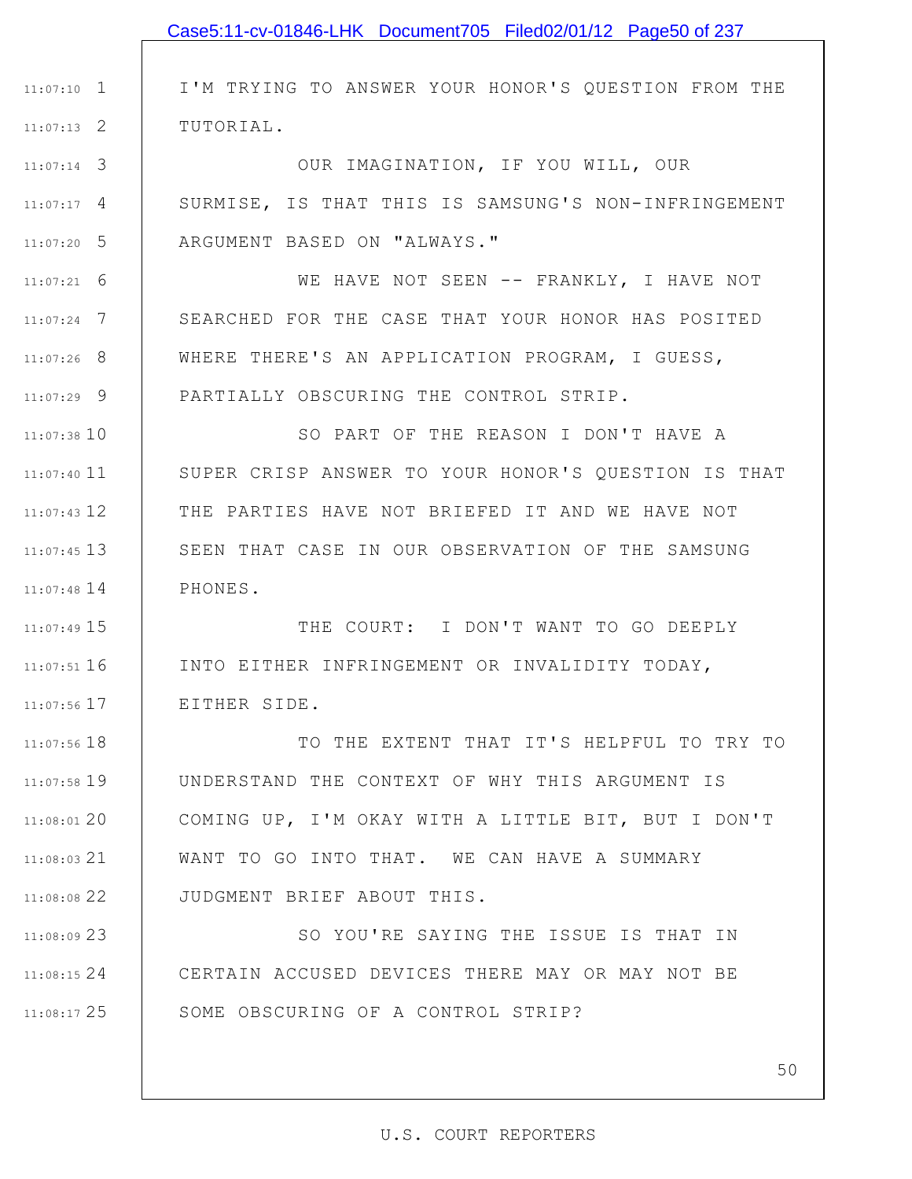|               | Case5:11-cv-01846-LHK Document705 Filed02/01/12 Page50 of 237 |
|---------------|---------------------------------------------------------------|
|               |                                                               |
| $11:07:10$ 1  | I'M TRYING TO ANSWER YOUR HONOR'S QUESTION FROM THE           |
| $11:07:13$ 2  | TUTORIAL.                                                     |
| $11:07:14$ 3  | OUR IMAGINATION, IF YOU WILL, OUR                             |
| $11:07:17$ 4  | SURMISE, IS THAT THIS IS SAMSUNG'S NON-INFRINGEMENT           |
| $11:07:20$ 5  | ARGUMENT BASED ON "ALWAYS."                                   |
| $11:07:21$ 6  | WE HAVE NOT SEEN -- FRANKLY, I HAVE NOT                       |
| $11:07:24$ 7  | SEARCHED FOR THE CASE THAT YOUR HONOR HAS POSITED             |
| $11:07:26$ 8  | WHERE THERE'S AN APPLICATION PROGRAM, I GUESS,                |
| $11:07:29$ 9  | PARTIALLY OBSCURING THE CONTROL STRIP.                        |
| $11:07:38$ 10 | SO PART OF THE REASON I DON'T HAVE A                          |
| $11:07:40$ 11 | SUPER CRISP ANSWER TO YOUR HONOR'S QUESTION IS THAT           |
| $11:07:43$ 12 | THE PARTIES HAVE NOT BRIEFED IT AND WE HAVE NOT               |
| $11:07:45$ 13 | SEEN THAT CASE IN OUR OBSERVATION OF THE SAMSUNG              |
| $11:07:48$ 14 | PHONES.                                                       |
| 11:07:49 15   | THE COURT: I DON'T WANT TO GO DEEPLY                          |
| $11:07:51$ 16 | INTO EITHER INFRINGEMENT OR INVALIDITY TODAY,                 |
| $11:07:56$ 17 | EITHER SIDE.                                                  |
| $11:07:56$ 18 | TO THE EXTENT THAT IT'S HELPFUL TO TRY TO                     |
| $11:07:58$ 19 | UNDERSTAND THE CONTEXT OF WHY THIS ARGUMENT IS                |
| $11:08:01$ 20 | COMING UP, I'M OKAY WITH A LITTLE BIT, BUT I DON'T            |
| $11:08:03$ 21 | WANT TO GO INTO THAT. WE CAN HAVE A SUMMARY                   |
| 11:08:0822    | JUDGMENT BRIEF ABOUT THIS.                                    |
| 11:08:0923    | SO YOU'RE SAYING THE ISSUE IS THAT IN                         |
| 11:08:15 24   | CERTAIN ACCUSED DEVICES THERE MAY OR MAY NOT BE               |
| $11:08:17$ 25 | SOME OBSCURING OF A CONTROL STRIP?                            |
|               |                                                               |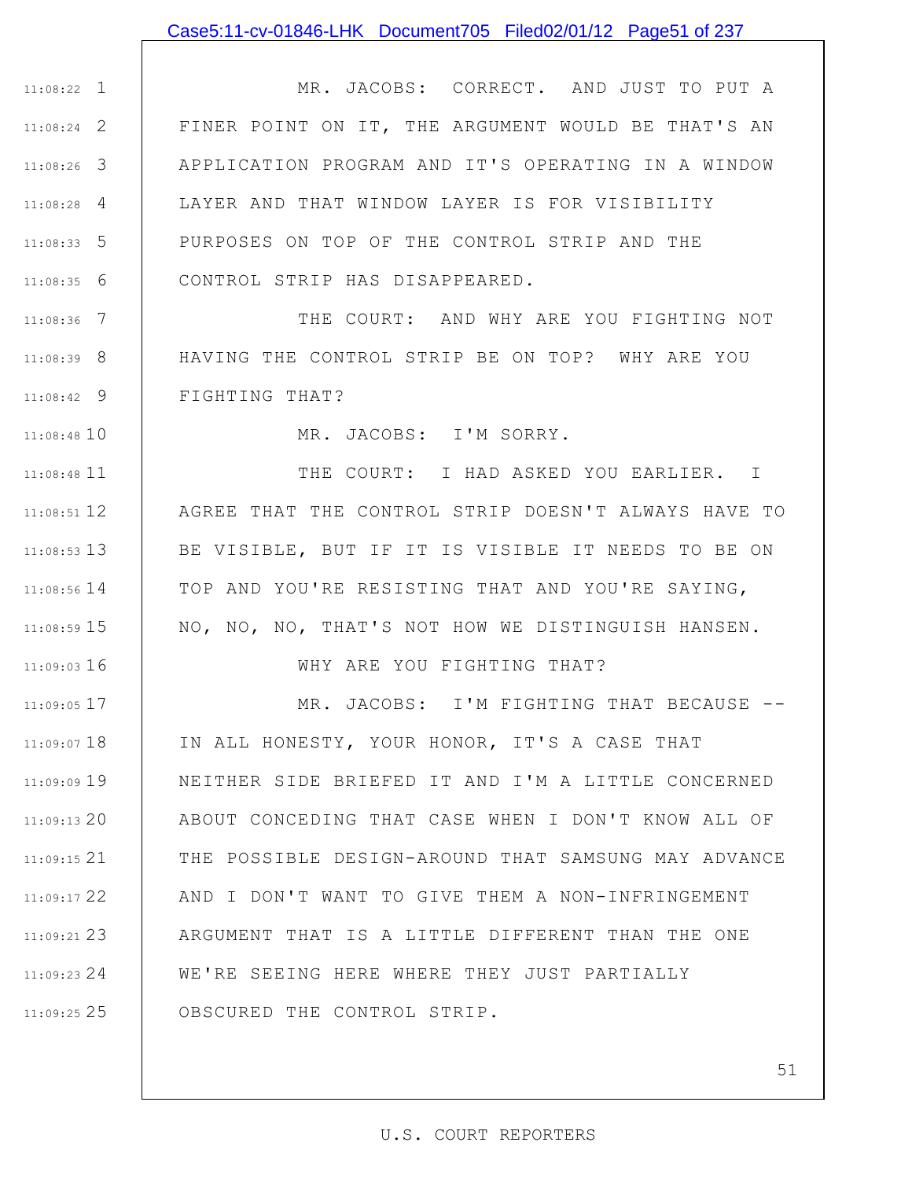### Case5:11-cv-01846-LHK Document705 Filed02/01/12 Page51 of 237

1 11:08:22 2 11:08:24 3 11:08:26 4 11:08:28 5 11:08:33 6 11:08:35 MR. JACOBS: CORRECT. AND JUST TO PUT A FINER POINT ON IT, THE ARGUMENT WOULD BE THAT'S AN APPLICATION PROGRAM AND IT'S OPERATING IN A WINDOW LAYER AND THAT WINDOW LAYER IS FOR VISIBILITY PURPOSES ON TOP OF THE CONTROL STRIP AND THE CONTROL STRIP HAS DISAPPEARED.

7 11:08:36 8 11:08:39 9 11:08:42 THE COURT: AND WHY ARE YOU FIGHTING NOT HAVING THE CONTROL STRIP BE ON TOP? WHY ARE YOU FIGHTING THAT?

11:08:48 10

11:09:03 16

MR. JACOBS: I'M SORRY.

11 11:08:48 12 11:08:51 13 11:08:53 14 11:08:56 15 11:08:59 THE COURT: I HAD ASKED YOU EARLIER. I AGREE THAT THE CONTROL STRIP DOESN'T ALWAYS HAVE TO BE VISIBLE, BUT IF IT IS VISIBLE IT NEEDS TO BE ON TOP AND YOU'RE RESISTING THAT AND YOU'RE SAYING, NO, NO, NO, THAT'S NOT HOW WE DISTINGUISH HANSEN.

WHY ARE YOU FIGHTING THAT?

17 11:09:05 11:09:07 18 11:09:09 19 20 11:09:13 21 11:09:15 22 11:09:17 23 11:09:21 24 11:09:23 25 11:09:25 MR. JACOBS: I'M FIGHTING THAT BECAUSE --IN ALL HONESTY, YOUR HONOR, IT'S A CASE THAT NEITHER SIDE BRIEFED IT AND I'M A LITTLE CONCERNED ABOUT CONCEDING THAT CASE WHEN I DON'T KNOW ALL OF THE POSSIBLE DESIGN-AROUND THAT SAMSUNG MAY ADVANCE AND I DON'T WANT TO GIVE THEM A NON-INFRINGEMENT ARGUMENT THAT IS A LITTLE DIFFERENT THAN THE ONE WE'RE SEEING HERE WHERE THEY JUST PARTIALLY OBSCURED THE CONTROL STRIP.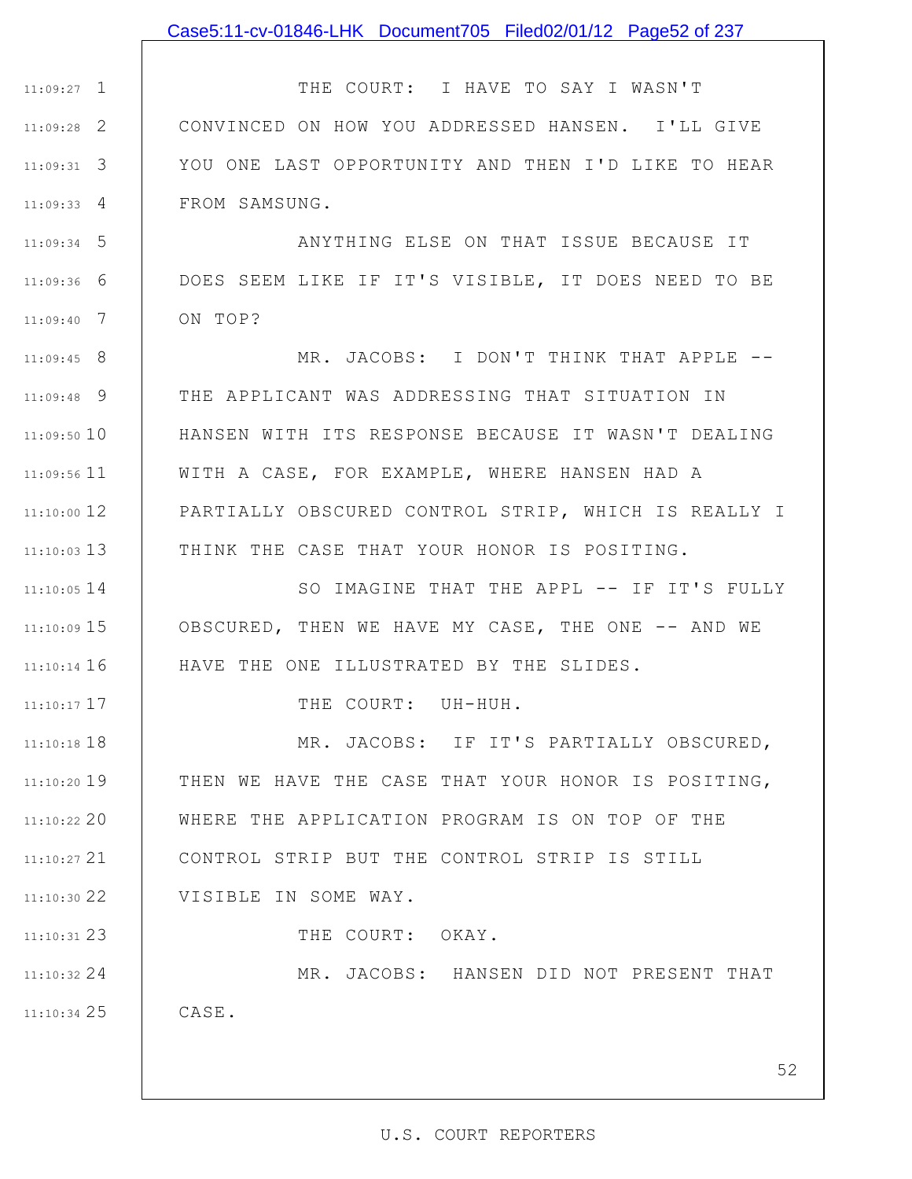## Case5:11-cv-01846-LHK Document705 Filed02/01/12 Page52 of 237

1 11:09:27 2 11:09:28 3 11:09:31 4 11:09:33 THE COURT: I HAVE TO SAY I WASN'T CONVINCED ON HOW YOU ADDRESSED HANSEN. I'LL GIVE YOU ONE LAST OPPORTUNITY AND THEN I'D LIKE TO HEAR FROM SAMSUNG.

5 11:09:34 6 11:09:36 7 11:09:40 ANYTHING ELSE ON THAT ISSUE BECAUSE IT DOES SEEM LIKE IF IT'S VISIBLE, IT DOES NEED TO BE ON TOP?

8 11:09:45 9 11:09:48 10 11:09:50 11 11:09:56 12 11:10:00 13 11:10:03 MR. JACOBS: I DON'T THINK THAT APPLE -- THE APPLICANT WAS ADDRESSING THAT SITUATION IN HANSEN WITH ITS RESPONSE BECAUSE IT WASN'T DEALING WITH A CASE, FOR EXAMPLE, WHERE HANSEN HAD A PARTIALLY OBSCURED CONTROL STRIP, WHICH IS REALLY I THINK THE CASE THAT YOUR HONOR IS POSITING.

14 11:10:05 15 11:10:09 11:10:14 16 SO IMAGINE THAT THE APPL -- IF IT'S FULLY OBSCURED, THEN WE HAVE MY CASE, THE ONE -- AND WE HAVE THE ONE ILLUSTRATED BY THE SLIDES.

THE COURT: UH-HUH.

17 11:10:17

11:10:18 18 11:10:20 19 20 11:10:22 21 11:10:27 22 11:10:30 23 11:10:31 24 11:10:32 25 11:10:34 MR. JACOBS: IF IT'S PARTIALLY OBSCURED, THEN WE HAVE THE CASE THAT YOUR HONOR IS POSITING, WHERE THE APPLICATION PROGRAM IS ON TOP OF THE CONTROL STRIP BUT THE CONTROL STRIP IS STILL VISIBLE IN SOME WAY. THE COURT: OKAY. MR. JACOBS: HANSEN DID NOT PRESENT THAT CASE.

52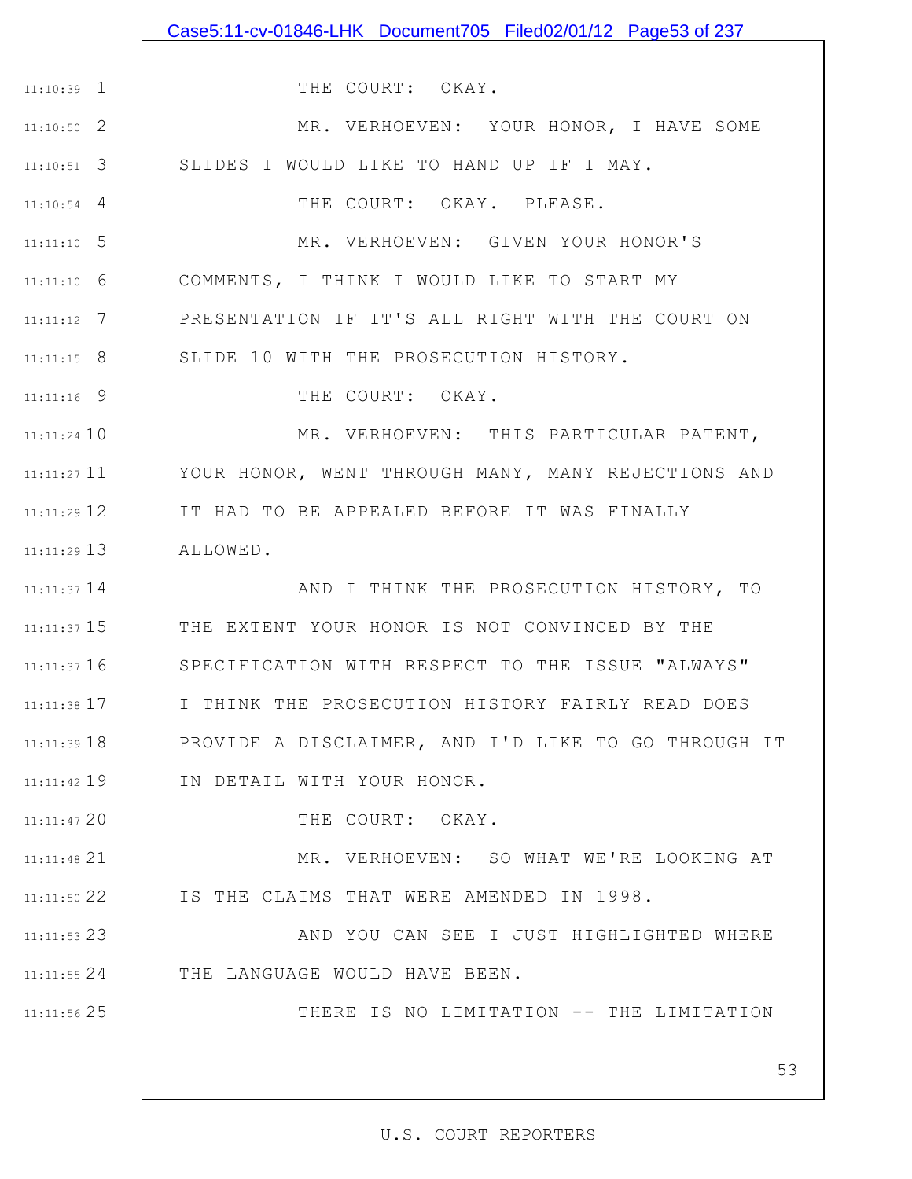|                 | Case5:11-cv-01846-LHK Document705 Filed02/01/12 Page53 of 237 |
|-----------------|---------------------------------------------------------------|
|                 |                                                               |
| $11:10:39$ 1    | THE COURT: OKAY.                                              |
| $11:10:50$ 2    | MR. VERHOEVEN: YOUR HONOR, I HAVE SOME                        |
| $11:10:51$ 3    | SLIDES I WOULD LIKE TO HAND UP IF I MAY.                      |
| $11:10:54$ 4    | THE COURT: OKAY. PLEASE.                                      |
| $11:11:10$ 5    | MR. VERHOEVEN: GIVEN YOUR HONOR'S                             |
| $11:11:10$ 6    | COMMENTS, I THINK I WOULD LIKE TO START MY                    |
| $11:11:12$ 7    | PRESENTATION IF IT'S ALL RIGHT WITH THE COURT ON              |
| $11:11:15$ 8    | SLIDE 10 WITH THE PROSECUTION HISTORY.                        |
| $11:11:16$ 9    | THE COURT: OKAY.                                              |
| $11:11:24$ 10   | MR. VERHOEVEN: THIS PARTICULAR PATENT,                        |
| $11:11:27$ 11   | YOUR HONOR, WENT THROUGH MANY, MANY REJECTIONS AND            |
| $11:11:29$ 12   | IT HAD TO BE APPEALED BEFORE IT WAS FINALLY                   |
| $11:11:29$ 13   | ALLOWED.                                                      |
| $11:11:37$ 14   | AND I THINK THE PROSECUTION HISTORY, TO                       |
| $11:11:37$ $15$ | THE EXTENT YOUR HONOR IS NOT CONVINCED BY THE                 |
| $11:11:37$ 16   | SPECIFICATION WITH RESPECT TO THE ISSUE "ALWAYS"              |
| $11:11:38$ 17   | I THINK THE PROSECUTION HISTORY FAIRLY READ DOES              |
| $11:11:39$ 18   | PROVIDE A DISCLAIMER, AND I'D LIKE TO GO THROUGH IT           |
| $11:11:42$ 19   | IN DETAIL WITH YOUR HONOR.                                    |
| $11:11:47$ 20   | THE COURT: OKAY.                                              |
| 11:11:48 21     | MR. VERHOEVEN: SO WHAT WE'RE LOOKING AT                       |
| 11:11:50 22     | IS THE CLAIMS THAT WERE AMENDED IN 1998.                      |
| 11:11:53 23     | AND YOU CAN SEE I JUST HIGHLIGHTED WHERE                      |
| $11:11:55$ 24   | THE LANGUAGE WOULD HAVE BEEN.                                 |
| 11:11:56 25     | THERE IS NO LIMITATION -- THE LIMITATION                      |
|                 |                                                               |
|                 | 53                                                            |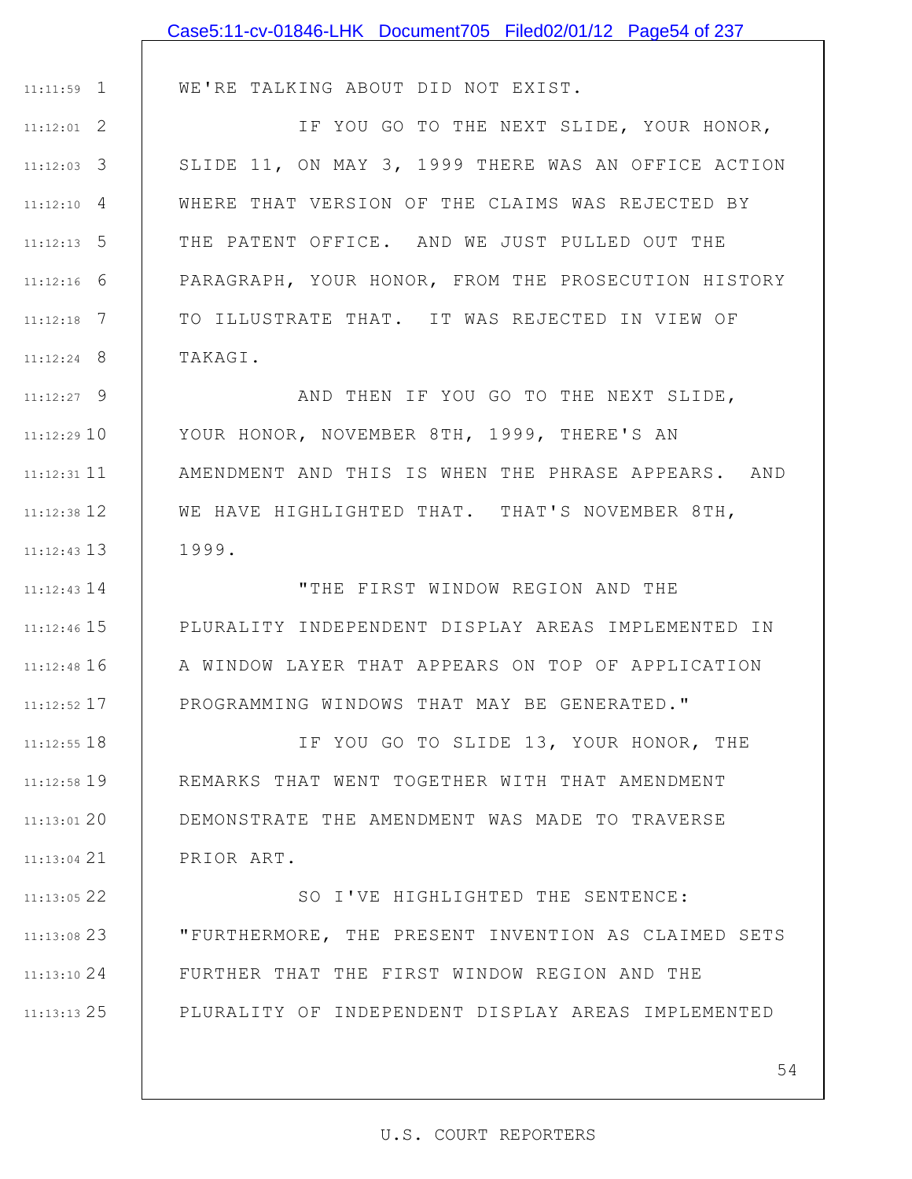|               | Case5:11-cv-01846-LHK Document705 Filed02/01/12 Page54 of 237 |
|---------------|---------------------------------------------------------------|
|               |                                                               |
| $11:11:59$ 1  | WE'RE TALKING ABOUT DID NOT EXIST.                            |
| $11:12:01$ 2  | IF YOU GO TO THE NEXT SLIDE, YOUR HONOR,                      |
| $11:12:03$ 3  | SLIDE 11, ON MAY 3, 1999 THERE WAS AN OFFICE ACTION           |
| $11:12:10$ 4  | WHERE THAT VERSION OF THE CLAIMS WAS REJECTED BY              |
| $11:12:13$ 5  | THE PATENT OFFICE. AND WE JUST PULLED OUT THE                 |
| $11:12:16$ 6  | PARAGRAPH, YOUR HONOR, FROM THE PROSECUTION HISTORY           |
| $11:12:18$ 7  | TO ILLUSTRATE THAT. IT WAS REJECTED IN VIEW OF                |
| $11:12:24$ 8  | TAKAGI.                                                       |
| $11:12:27$ 9  | AND THEN IF YOU GO TO THE NEXT SLIDE,                         |
| 11:12:2910    | YOUR HONOR, NOVEMBER 8TH, 1999, THERE'S AN                    |
| $11:12:31$ 11 | AMENDMENT AND THIS IS WHEN THE PHRASE APPEARS. AND            |
| $11:12:38$ 12 | WE HAVE HIGHLIGHTED THAT. THAT'S NOVEMBER 8TH,                |
| $11:12:43$ 13 | 1999.                                                         |
| $11:12:43$ 14 | "THE FIRST WINDOW REGION AND THE                              |
| $11:12:46$ 15 | PLURALITY INDEPENDENT DISPLAY AREAS IMPLEMENTED IN            |
| $11:12:48$ 16 | A WINDOW LAYER THAT APPEARS ON TOP OF APPLICATION             |
| 11:12:52 17   | PROGRAMMING WINDOWS THAT MAY BE GENERATED."                   |
| $11:12:55$ 18 | IF YOU GO TO SLIDE 13, YOUR HONOR, THE                        |
| $11:12:58$ 19 | REMARKS THAT WENT TOGETHER WITH THAT AMENDMENT                |
| $11:13:01$ 20 | DEMONSTRATE THE AMENDMENT WAS MADE TO TRAVERSE                |
| $11:13:04$ 21 | PRIOR ART.                                                    |
| 11:13:05 22   | SO I'VE HIGHLIGHTED THE SENTENCE:                             |
| $11:13:08$ 23 | "FURTHERMORE, THE PRESENT INVENTION AS CLAIMED SETS           |
| 11:13:10 24   | FURTHER THAT THE FIRST WINDOW REGION AND THE                  |
| $11:13:13$ 25 | PLURALITY OF INDEPENDENT DISPLAY AREAS IMPLEMENTED            |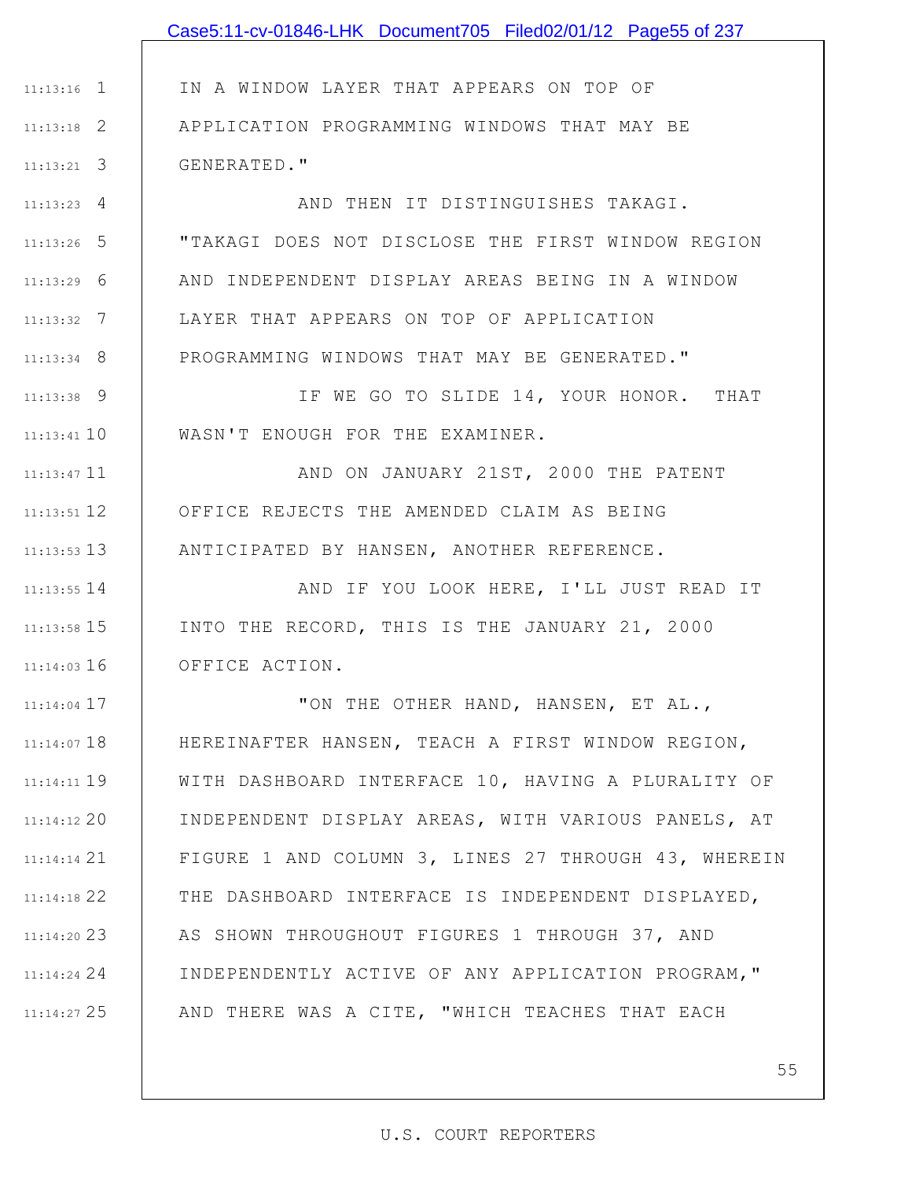|               | Case5:11-cv-01846-LHK Document705 Filed02/01/12 Page55 of 237 |
|---------------|---------------------------------------------------------------|
|               |                                                               |
| $11:13:16$ 1  | IN A WINDOW LAYER THAT APPEARS ON TOP OF                      |
| $11:13:18$ 2  | APPLICATION PROGRAMMING WINDOWS THAT MAY BE                   |
| $11:13:21$ 3  | GENERATED."                                                   |
| $11:13:23$ 4  | AND THEN IT DISTINGUISHES TAKAGI.                             |
| $11:13:26$ 5  | "TAKAGI DOES NOT DISCLOSE THE FIRST WINDOW REGION             |
| $11:13:29$ 6  | AND INDEPENDENT DISPLAY AREAS BEING IN A WINDOW               |
| $11:13:32$ 7  | LAYER THAT APPEARS ON TOP OF APPLICATION                      |
| $11:13:34$ 8  | PROGRAMMING WINDOWS THAT MAY BE GENERATED."                   |
| $11:13:38$ 9  | IF WE GO TO SLIDE 14, YOUR HONOR. THAT                        |
| $11:13:41$ 10 | WASN'T ENOUGH FOR THE EXAMINER.                               |
| $11:13:47$ 11 | AND ON JANUARY 21ST, 2000 THE PATENT                          |
| $11:13:51$ 12 | OFFICE REJECTS THE AMENDED CLAIM AS BEING                     |
| $11:13:53$ 13 | ANTICIPATED BY HANSEN, ANOTHER REFERENCE.                     |
| $11:13:55$ 14 | AND IF YOU LOOK HERE, I'LL JUST READ IT                       |
| $11:13:58$ 15 | INTO THE RECORD, THIS IS THE JANUARY 21, 2000                 |
| $11:14:03$ 16 | OFFICE ACTION.                                                |
| $11:14:04$ 17 | "ON THE OTHER HAND, HANSEN, ET AL.,                           |
| $11:14:07$ 18 | HEREINAFTER HANSEN, TEACH A FIRST WINDOW REGION,              |
| $11:14:11$ 19 | WITH DASHBOARD INTERFACE 10, HAVING A PLURALITY OF            |
| $11:14:12$ 20 | INDEPENDENT DISPLAY AREAS, WITH VARIOUS PANELS, AT            |
| $11:14:14$ 21 | FIGURE 1 AND COLUMN 3, LINES 27 THROUGH 43, WHEREIN           |
| 11:14:18 22   | THE DASHBOARD INTERFACE IS INDEPENDENT DISPLAYED,             |
| 11:14:20 23   | AS SHOWN THROUGHOUT FIGURES 1 THROUGH 37, AND                 |
| 11:14:24 24   | INDEPENDENTLY ACTIVE OF ANY APPLICATION PROGRAM, "            |
| 11:14:27 25   | AND THERE WAS A CITE, "WHICH TEACHES THAT EACH                |
|               |                                                               |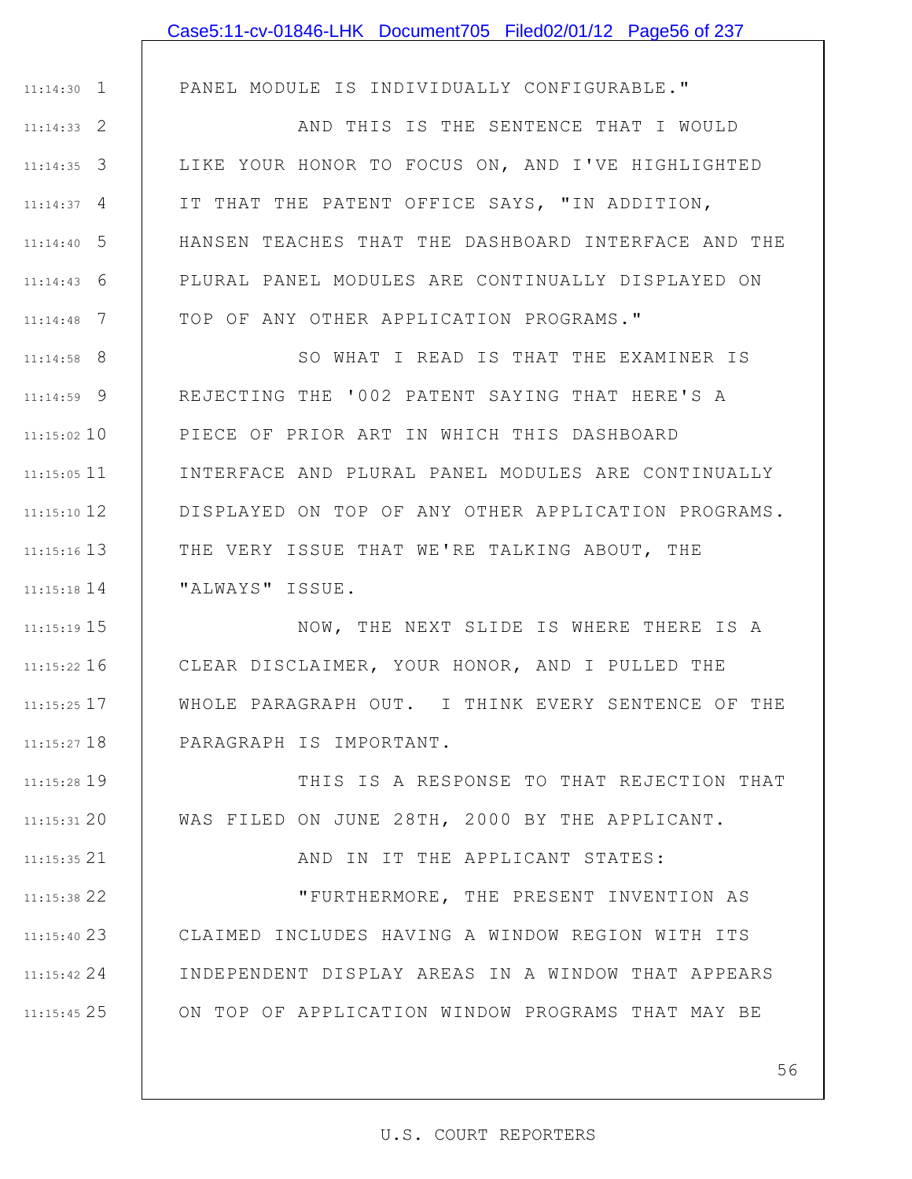|               | Case5:11-cv-01846-LHK Document705 Filed02/01/12 Page56 of 237 |
|---------------|---------------------------------------------------------------|
|               |                                                               |
| $11:14:30$ 1  | PANEL MODULE IS INDIVIDUALLY CONFIGURABLE."                   |
| $11:14:33$ 2  | AND THIS IS THE SENTENCE THAT I WOULD                         |
| $11:14:35$ 3  | LIKE YOUR HONOR TO FOCUS ON, AND I'VE HIGHLIGHTED             |
| $11:14:37$ 4  | IT THAT THE PATENT OFFICE SAYS, "IN ADDITION,                 |
| $11:14:40$ 5  | HANSEN TEACHES THAT THE DASHBOARD INTERFACE AND THE           |
| $11:14:43$ 6  | PLURAL PANEL MODULES ARE CONTINUALLY DISPLAYED ON             |
| $11:14:48$ 7  | TOP OF ANY OTHER APPLICATION PROGRAMS."                       |
| $11:14:58$ 8  | SO WHAT I READ IS THAT THE EXAMINER IS                        |
| $11:14:59$ 9  | REJECTING THE '002 PATENT SAYING THAT HERE'S A                |
| $11:15:02$ 10 | PIECE OF PRIOR ART IN WHICH THIS DASHBOARD                    |
| $11:15:05$ 11 | INTERFACE AND PLURAL PANEL MODULES ARE CONTINUALLY            |
| $11:15:10$ 12 | DISPLAYED ON TOP OF ANY OTHER APPLICATION PROGRAMS.           |
| $11:15:16$ 13 | THE VERY ISSUE THAT WE'RE TALKING ABOUT, THE                  |
| $11:15:18$ 14 | "ALWAYS" ISSUE.                                               |
| $11:15:19$ 15 | NOW, THE NEXT SLIDE IS WHERE THERE IS A                       |
| $11:15:22$ 16 | CLEAR DISCLAIMER, YOUR HONOR, AND I PULLED THE                |
| $11:15:25$ 17 | WHOLE PARAGRAPH OUT. I THINK EVERY SENTENCE OF THE            |
| $11:15:27$ 18 | PARAGRAPH IS IMPORTANT.                                       |
| $11:15:28$ 19 | THIS IS A RESPONSE TO THAT REJECTION THAT                     |
| 11:15:3120    | WAS FILED ON JUNE 28TH, 2000 BY THE APPLICANT.                |
| $11:15:35$ 21 | AND IN IT THE APPLICANT STATES:                               |
| $11:15:38$ 22 | "FURTHERMORE, THE PRESENT INVENTION AS                        |
| $11:15:40$ 23 | CLAIMED INCLUDES HAVING A WINDOW REGION WITH ITS              |
| $11:15:42$ 24 | INDEPENDENT DISPLAY AREAS IN A WINDOW THAT APPEARS            |
| $11:15:45$ 25 | ON TOP OF APPLICATION WINDOW PROGRAMS THAT MAY BE             |
|               | 56                                                            |
|               |                                                               |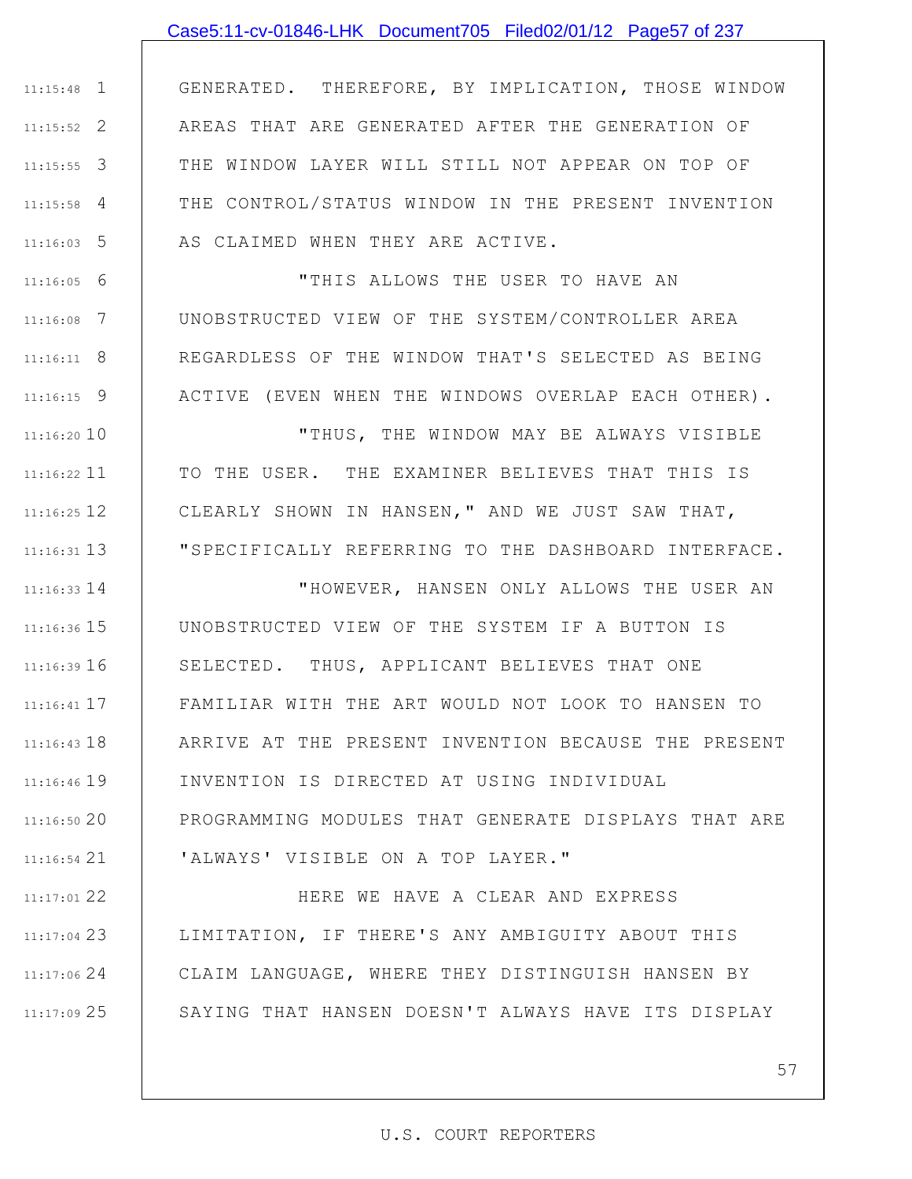## Case5:11-cv-01846-LHK Document705 Filed02/01/12 Page57 of 237

1 11:15:48 2 11:15:52 3 11:15:55 4 11:15:58 5 11:16:03 GENERATED. THEREFORE, BY IMPLICATION, THOSE WINDOW AREAS THAT ARE GENERATED AFTER THE GENERATION OF THE WINDOW LAYER WILL STILL NOT APPEAR ON TOP OF THE CONTROL/STATUS WINDOW IN THE PRESENT INVENTION AS CLAIMED WHEN THEY ARE ACTIVE.

6 11:16:05 7 11:16:08 8 11:16:11 9 11:16:15 "THIS ALLOWS THE USER TO HAVE AN UNOBSTRUCTED VIEW OF THE SYSTEM/CONTROLLER AREA REGARDLESS OF THE WINDOW THAT'S SELECTED AS BEING ACTIVE (EVEN WHEN THE WINDOWS OVERLAP EACH OTHER).

11:16:20 10 11 11:16:22 12 11:16:25 13 11:16:31 "THUS, THE WINDOW MAY BE ALWAYS VISIBLE TO THE USER. THE EXAMINER BELIEVES THAT THIS IS CLEARLY SHOWN IN HANSEN," AND WE JUST SAW THAT, "SPECIFICALLY REFERRING TO THE DASHBOARD INTERFACE.

14 11:16:33 11:16:36 15 11:16:39 16 17 11:16:41 11:16:43 18 11:16:46 19 20 11:16:50 21 11:16:54 "HOWEVER, HANSEN ONLY ALLOWS THE USER AN UNOBSTRUCTED VIEW OF THE SYSTEM IF A BUTTON IS SELECTED. THUS, APPLICANT BELIEVES THAT ONE FAMILIAR WITH THE ART WOULD NOT LOOK TO HANSEN TO ARRIVE AT THE PRESENT INVENTION BECAUSE THE PRESENT INVENTION IS DIRECTED AT USING INDIVIDUAL PROGRAMMING MODULES THAT GENERATE DISPLAYS THAT ARE 'ALWAYS' VISIBLE ON A TOP LAYER."

22 11:17:01 23 11:17:04 24 11:17:06 25 11:17:09 HERE WE HAVE A CLEAR AND EXPRESS LIMITATION, IF THERE'S ANY AMBIGUITY ABOUT THIS CLAIM LANGUAGE, WHERE THEY DISTINGUISH HANSEN BY SAYING THAT HANSEN DOESN'T ALWAYS HAVE ITS DISPLAY

#### U.S. COURT REPORTERS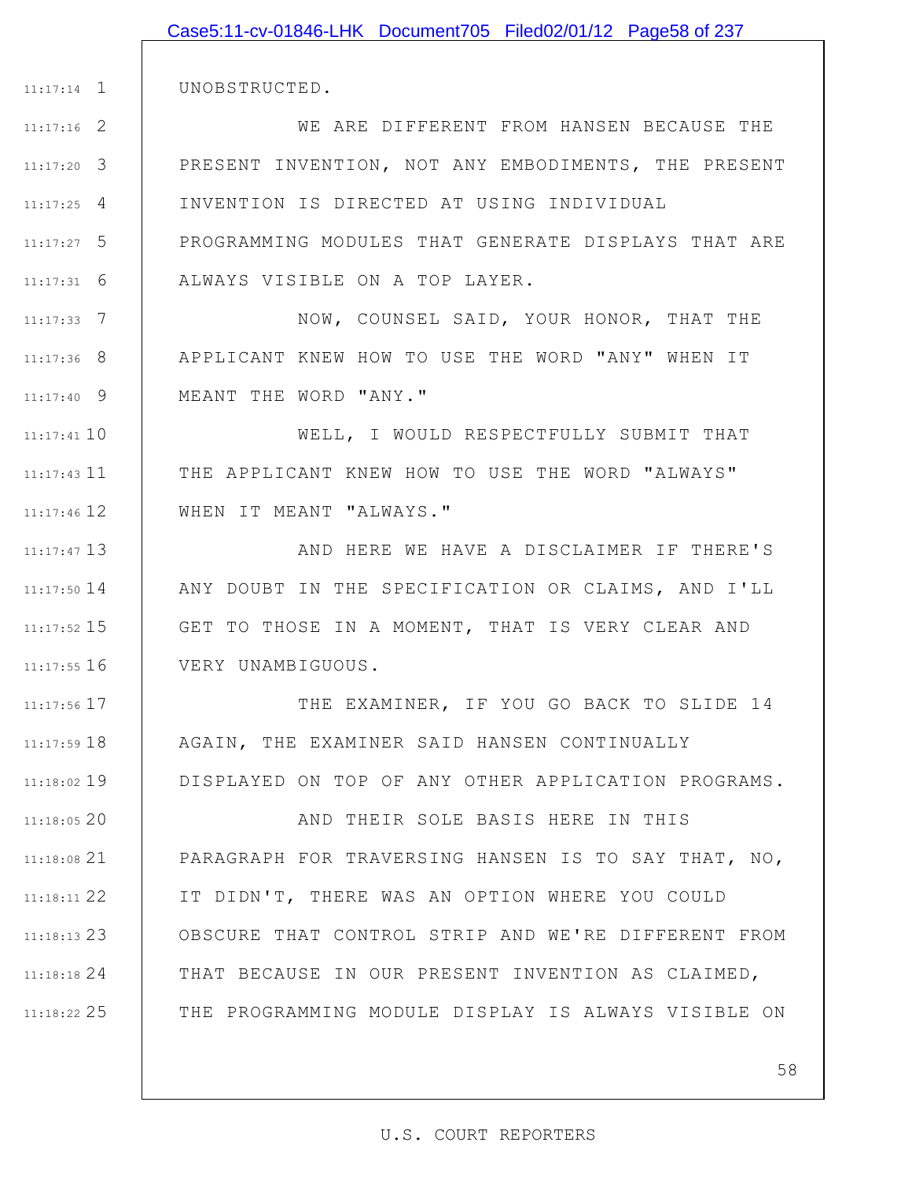|               | Case5:11-cv-01846-LHK Document705 Filed02/01/12 Page58 of 237 |
|---------------|---------------------------------------------------------------|
|               |                                                               |
| $11:17:14$ 1  | UNOBSTRUCTED.                                                 |
| $11:17:16$ 2  | WE ARE DIFFERENT FROM HANSEN BECAUSE THE                      |
| $11:17:20$ 3  | PRESENT INVENTION, NOT ANY EMBODIMENTS, THE PRESENT           |
| $11:17:25$ 4  | INVENTION IS DIRECTED AT USING INDIVIDUAL                     |
| $11:17:27$ 5  | PROGRAMMING MODULES THAT GENERATE DISPLAYS THAT ARE           |
| $11:17:31$ 6  | ALWAYS VISIBLE ON A TOP LAYER.                                |
| $11:17:33$ 7  | NOW, COUNSEL SAID, YOUR HONOR, THAT THE                       |
| $11:17:36$ 8  | APPLICANT KNEW HOW TO USE THE WORD "ANY" WHEN IT              |
| $11:17:40$ 9  | MEANT THE WORD "ANY."                                         |
| $11:17:41$ 10 | WELL, I WOULD RESPECTFULLY SUBMIT THAT                        |
| $11:17:43$ 11 | THE APPLICANT KNEW HOW TO USE THE WORD "ALWAYS"               |
| $11:17:46$ 12 | WHEN IT MEANT "ALWAYS."                                       |
| $11:17:47$ 13 | AND HERE WE HAVE A DISCLAIMER IF THERE'S                      |
| $11:17:50$ 14 | ANY DOUBT IN THE SPECIFICATION OR CLAIMS, AND I'LL            |
| $11:17:52$ 15 | GET TO THOSE IN A MOMENT, THAT IS VERY CLEAR AND              |
| $11:17:55$ 16 | VERY UNAMBIGUOUS.                                             |
| $11:17:56$ 17 | THE EXAMINER, IF YOU GO BACK TO SLIDE 14                      |
| 11:17:59 18   | AGAIN, THE EXAMINER SAID HANSEN CONTINUALLY                   |
| 11:18:02 19   | DISPLAYED ON TOP OF ANY OTHER APPLICATION PROGRAMS.           |
| 11:18:0520    | AND THEIR SOLE BASIS HERE IN THIS                             |
| $11:18:08$ 21 | PARAGRAPH FOR TRAVERSING HANSEN IS TO SAY THAT, NO,           |
| $11:18:11$ 22 | IT DIDN'T, THERE WAS AN OPTION WHERE YOU COULD                |
| $11:18:13$ 23 | OBSCURE THAT CONTROL STRIP AND WE'RE DIFFERENT FROM           |
| $11:18:18$ 24 | THAT BECAUSE IN OUR PRESENT INVENTION AS CLAIMED,             |
| $11:18:22$ 25 | THE PROGRAMMING MODULE DISPLAY IS ALWAYS VISIBLE ON           |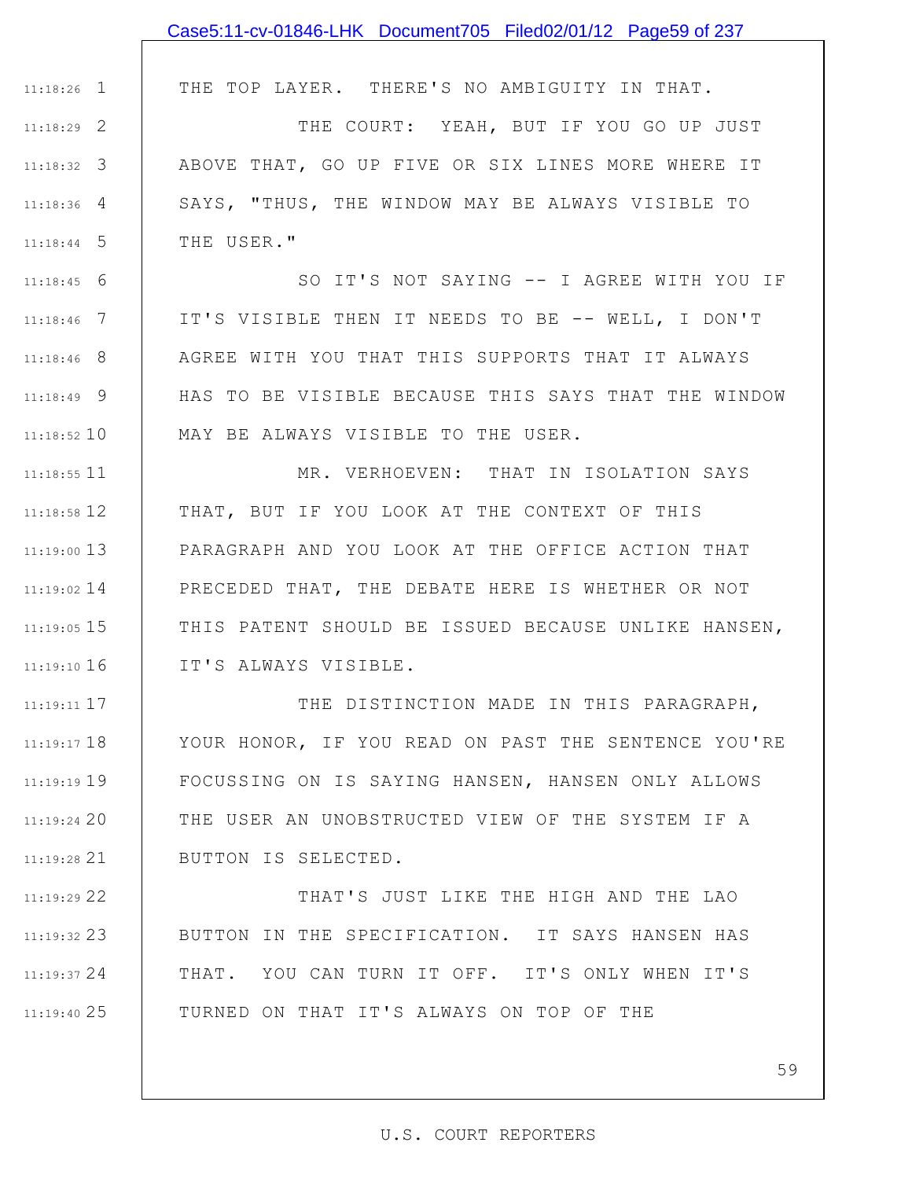|               | Case5:11-cv-01846-LHK Document705 Filed02/01/12 Page59 of 237 |
|---------------|---------------------------------------------------------------|
|               |                                                               |
| $11:18:26$ 1  | THE TOP LAYER. THERE'S NO AMBIGUITY IN THAT.                  |
| $11:18:29$ 2  | THE COURT: YEAH, BUT IF YOU GO UP JUST                        |
| $11:18:32$ 3  | ABOVE THAT, GO UP FIVE OR SIX LINES MORE WHERE IT             |
| $11:18:36$ 4  | SAYS, "THUS, THE WINDOW MAY BE ALWAYS VISIBLE TO              |
| $11:18:44$ 5  | THE USER."                                                    |
| $11:18:45$ 6  | SO IT'S NOT SAYING -- I AGREE WITH YOU IF                     |
| $11:18:46$ 7  | IT'S VISIBLE THEN IT NEEDS TO BE -- WELL, I DON'T             |
| $11:18:46$ 8  | AGREE WITH YOU THAT THIS SUPPORTS THAT IT ALWAYS              |
| $11:18:49$ 9  | HAS TO BE VISIBLE BECAUSE THIS SAYS THAT THE WINDOW           |
| $11:18:52$ 10 | MAY BE ALWAYS VISIBLE TO THE USER.                            |
| $11:18:55$ 11 | MR. VERHOEVEN: THAT IN ISOLATION SAYS                         |
| $11:18:58$ 12 | THAT, BUT IF YOU LOOK AT THE CONTEXT OF THIS                  |
| $11:19:00$ 13 | PARAGRAPH AND YOU LOOK AT THE OFFICE ACTION THAT              |
| $11:19:02$ 14 | PRECEDED THAT, THE DEBATE HERE IS WHETHER OR NOT              |
| 11:19:05 15   | THIS PATENT SHOULD BE ISSUED BECAUSE UNLIKE HANSEN,           |
| $11:19:10$ 16 | IT'S ALWAYS VISIBLE.                                          |
| $11:19:11$ 17 | THE DISTINCTION MADE IN THIS PARAGRAPH,                       |
| $11:19:17$ 18 | YOUR HONOR, IF YOU READ ON PAST THE SENTENCE YOU'RE           |
| $11:19:19$ 19 | FOCUSSING ON IS SAYING HANSEN, HANSEN ONLY ALLOWS             |
| 11:19:2420    | THE USER AN UNOBSTRUCTED VIEW OF THE SYSTEM IF A              |
| $11:19:28$ 21 | BUTTON IS SELECTED.                                           |
| 11:19:29 22   | THAT'S JUST LIKE THE HIGH AND THE LAO                         |
| $11:19:32$ 23 | BUTTON IN THE SPECIFICATION. IT SAYS HANSEN HAS               |

TURNED ON THAT IT'S ALWAYS ON TOP OF THE

24 11:19:37

25 11:19:40

59

THAT. YOU CAN TURN IT OFF. IT'S ONLY WHEN IT'S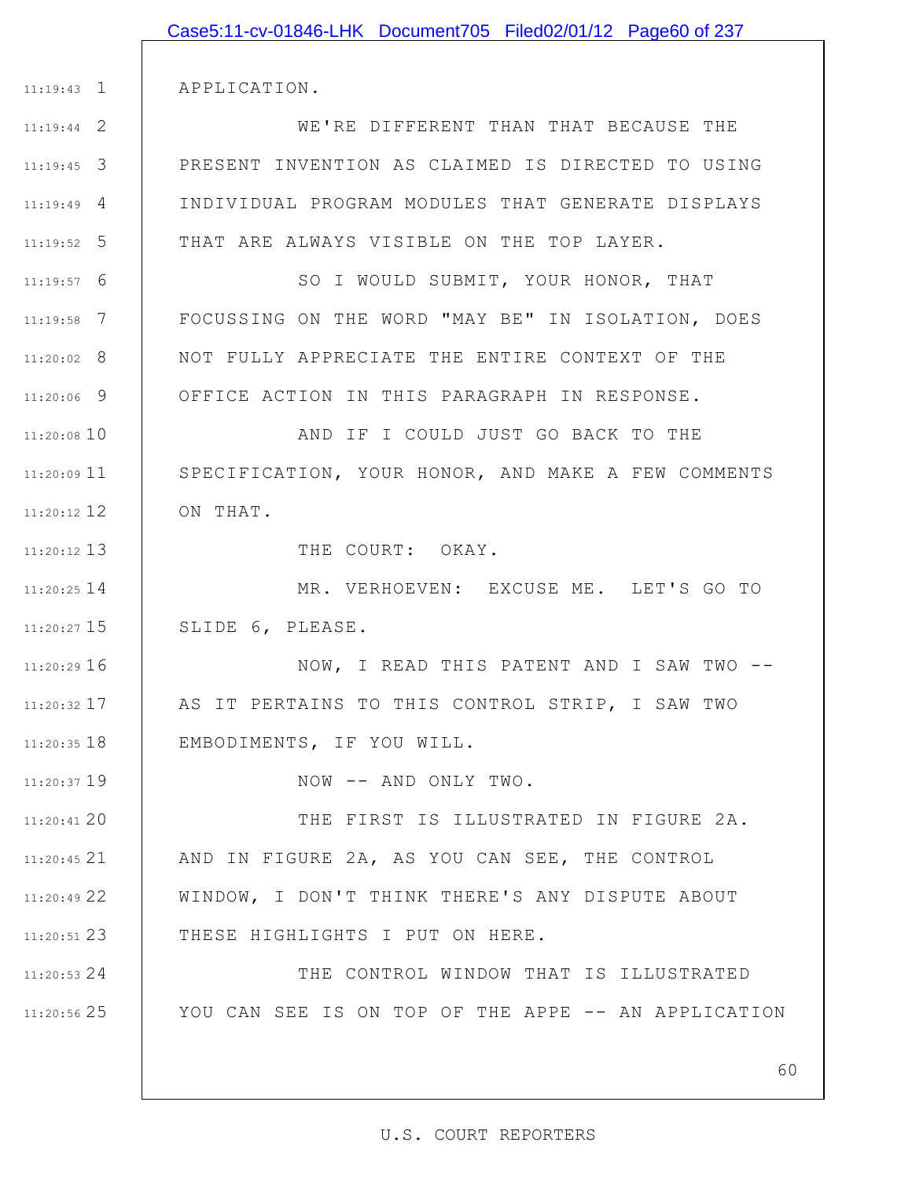|               | Case5:11-cv-01846-LHK Document705 Filed02/01/12 Page60 of 237 |
|---------------|---------------------------------------------------------------|
|               |                                                               |
| $11:19:43$ 1  | APPLICATION.                                                  |
| $11:19:44$ 2  | WE'RE DIFFERENT THAN THAT BECAUSE THE                         |
| $11:19:45$ 3  | PRESENT INVENTION AS CLAIMED IS DIRECTED TO USING             |
| $11:19:49$ 4  | INDIVIDUAL PROGRAM MODULES THAT GENERATE DISPLAYS             |
| $11:19:52$ 5  | THAT ARE ALWAYS VISIBLE ON THE TOP LAYER.                     |
| $11:19:57$ 6  | SO I WOULD SUBMIT, YOUR HONOR, THAT                           |
| $11:19:58$ 7  | FOCUSSING ON THE WORD "MAY BE" IN ISOLATION, DOES             |
| $11:20:02$ 8  | NOT FULLY APPRECIATE THE ENTIRE CONTEXT OF THE                |
| $11:20:06$ 9  | OFFICE ACTION IN THIS PARAGRAPH IN RESPONSE.                  |
| 11:20:08 10   | AND IF I COULD JUST GO BACK TO THE                            |
| $11:20:09$ 11 | SPECIFICATION, YOUR HONOR, AND MAKE A FEW COMMENTS            |
| 11:20:12 12   | ON THAT.                                                      |
| $11:20:12$ 13 | THE COURT: OKAY.                                              |
| 11:20:25 14   | MR. VERHOEVEN: EXCUSE ME. LET'S GO TO                         |
| $11:20:27$ 15 | SLIDE 6, PLEASE.                                              |
| $11:20:29$ 16 | NOW, I READ THIS PATENT AND I SAW TWO --                      |
| $11:20:32$ 17 | AS IT PERTAINS TO THIS CONTROL STRIP, I SAW TWO               |
| $11:20:35$ 18 | EMBODIMENTS, IF YOU WILL.                                     |
| 11:20:37 19   | NOW -- AND ONLY TWO.                                          |
| 11:20:41 20   | THE FIRST IS ILLUSTRATED IN FIGURE 2A.                        |
| 11:20:45 21   | AND IN FIGURE 2A, AS YOU CAN SEE, THE CONTROL                 |
| 11:20:49 22   | WINDOW, I DON'T THINK THERE'S ANY DISPUTE ABOUT               |
| $11:20:51$ 23 | THESE HIGHLIGHTS I PUT ON HERE.                               |
| $11:20:53$ 24 | THE CONTROL WINDOW THAT IS ILLUSTRATED                        |
| 11:20:56 25   | YOU CAN SEE IS ON TOP OF THE APPE -- AN APPLICATION           |
|               |                                                               |
|               | 60                                                            |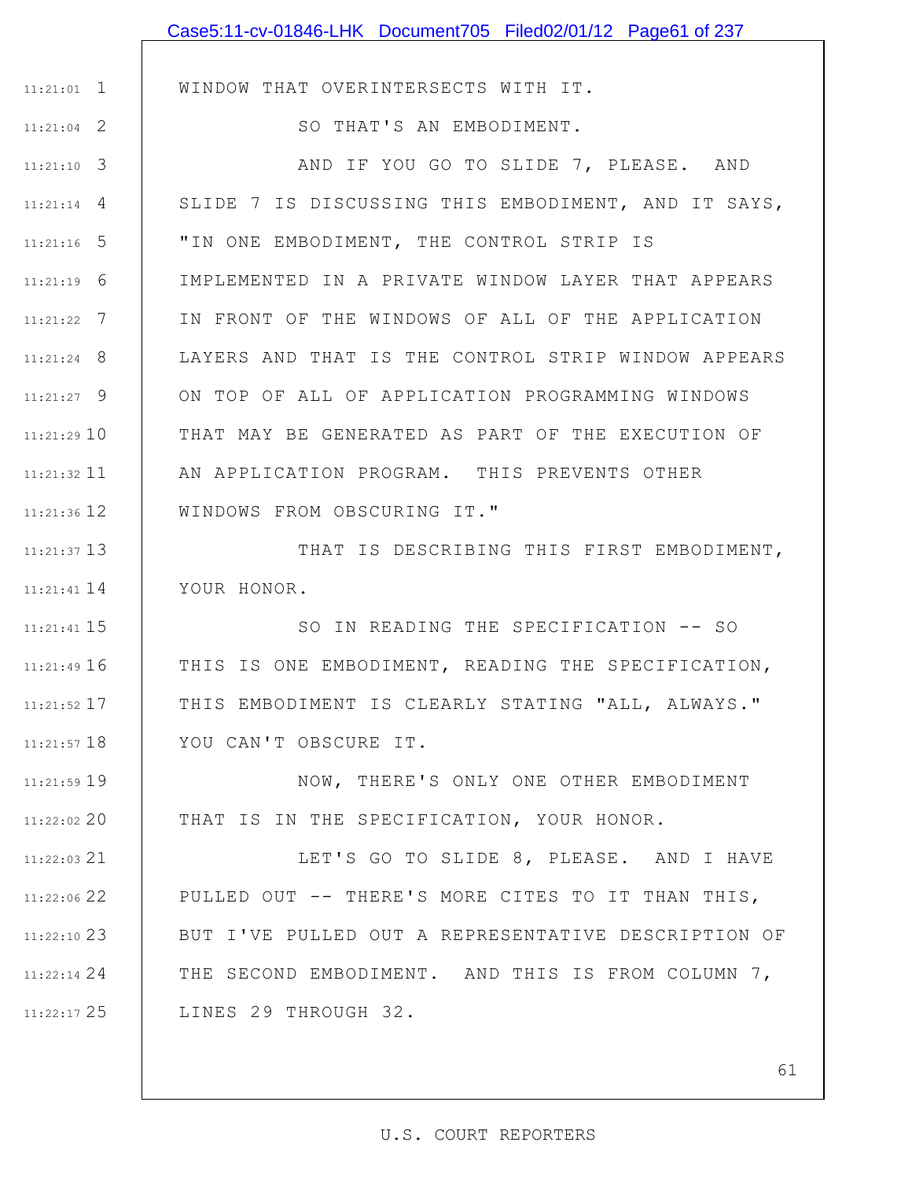|                 | Case5:11-cv-01846-LHK Document705 Filed02/01/12 Page61 of 237 |
|-----------------|---------------------------------------------------------------|
|                 |                                                               |
| $11:21:01$ 1    | WINDOW THAT OVERINTERSECTS WITH IT.                           |
| $11:21:04$ 2    | SO THAT'S AN EMBODIMENT.                                      |
| $11:21:10$ 3    | AND IF YOU GO TO SLIDE 7, PLEASE. AND                         |
| $11:21:14$ 4    | SLIDE 7 IS DISCUSSING THIS EMBODIMENT, AND IT SAYS,           |
| $11:21:16$ 5    | "IN ONE EMBODIMENT, THE CONTROL STRIP IS                      |
| $11:21:19$ 6    | IMPLEMENTED IN A PRIVATE WINDOW LAYER THAT APPEARS            |
| $11:21:22$ 7    | IN FRONT OF THE WINDOWS OF ALL OF THE APPLICATION             |
| $11:21:24$ 8    | LAYERS AND THAT IS THE CONTROL STRIP WINDOW APPEARS           |
| $11:21:27$ 9    | ON TOP OF ALL OF APPLICATION PROGRAMMING WINDOWS              |
| $11:21:29$ 10   | THAT MAY BE GENERATED AS PART OF THE EXECUTION OF             |
| $11:21:32$ 11   | AN APPLICATION PROGRAM. THIS PREVENTS OTHER                   |
| 11:21:36 12     | WINDOWS FROM OBSCURING IT."                                   |
| $11:21:37$ 13   | THAT IS DESCRIBING THIS FIRST EMBODIMENT,                     |
| $11:21:41$ $14$ | YOUR HONOR.                                                   |
| $11:21:41$ 15   | SO IN READING THE SPECIFICATION -- SO                         |
| $11:21:49$ 16   | THIS IS ONE EMBODIMENT, READING THE SPECIFICATION,            |
| 11:21:52 17     | THIS EMBODIMENT IS CLEARLY STATING "ALL, ALWAYS."             |
| $11:21:57$ 18   | YOU CAN'T OBSCURE IT.                                         |
| 11:21:59 19     | NOW, THERE'S ONLY ONE OTHER EMBODIMENT                        |
| 11:22:02 20     | THAT IS IN THE SPECIFICATION, YOUR HONOR.                     |
| $11:22:03$ 21   | LET'S GO TO SLIDE 8, PLEASE. AND I HAVE                       |
| 11:22:06 22     | PULLED OUT -- THERE'S MORE CITES TO IT THAN THIS,             |
| 11:22:10 23     | BUT I'VE PULLED OUT A REPRESENTATIVE DESCRIPTION OF           |
| $11:22:14$ 24   | THE SECOND EMBODIMENT. AND THIS IS FROM COLUMN 7,             |
| 11:22:17 25     | LINES 29 THROUGH 32.                                          |
|                 |                                                               |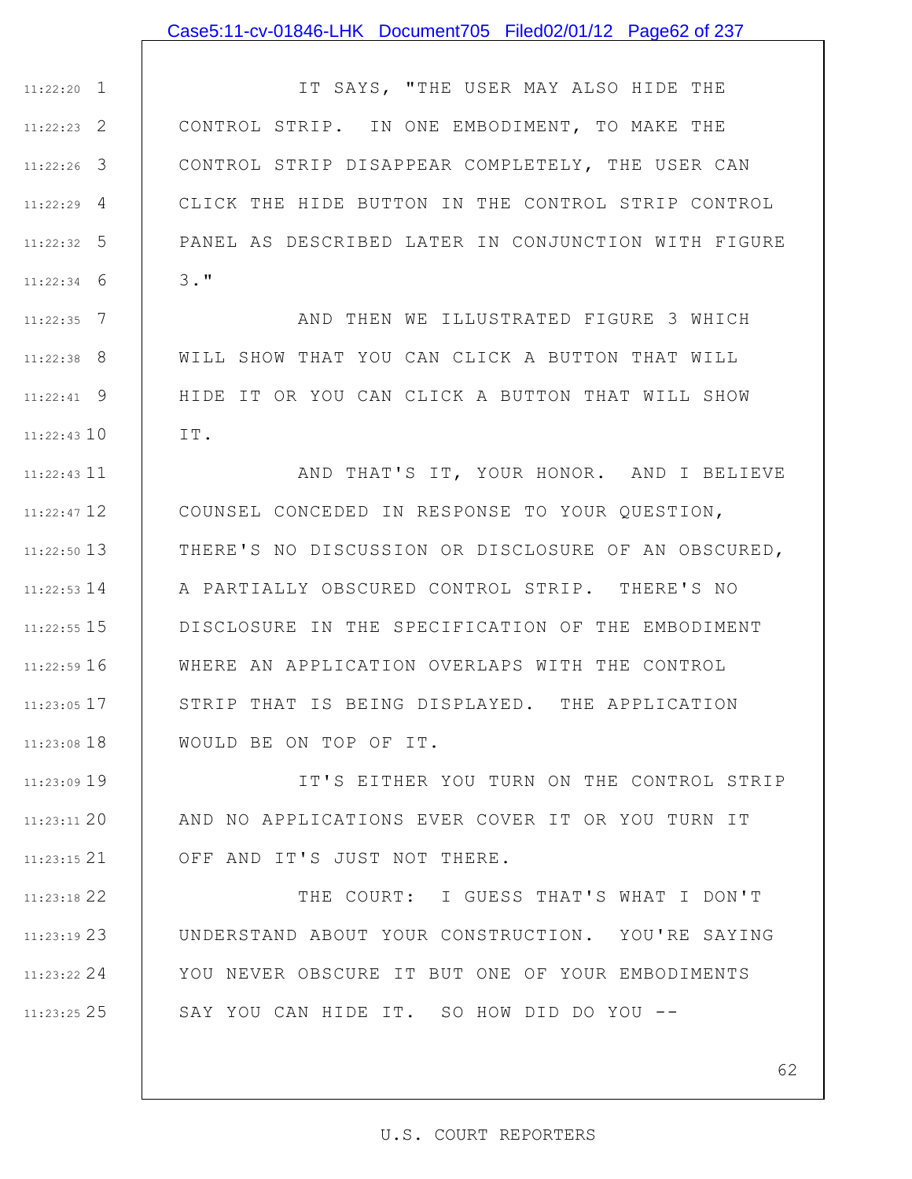### Case5:11-cv-01846-LHK Document705 Filed02/01/12 Page62 of 237

1 11:22:20 2 11:22:23 3 11:22:26 4 11:22:29 5 11:22:32 6 11:22:34 IT SAYS, "THE USER MAY ALSO HIDE THE CONTROL STRIP. IN ONE EMBODIMENT, TO MAKE THE CONTROL STRIP DISAPPEAR COMPLETELY, THE USER CAN CLICK THE HIDE BUTTON IN THE CONTROL STRIP CONTROL PANEL AS DESCRIBED LATER IN CONJUNCTION WITH FIGURE 3."

7 11:22:35 8 11:22:38 9 11:22:41 11:22:43 10 AND THEN WE ILLUSTRATED FIGURE 3 WHICH WILL SHOW THAT YOU CAN CLICK A BUTTON THAT WILL HIDE IT OR YOU CAN CLICK A BUTTON THAT WILL SHOW IT.

11 11:22:43 12 11:22:47 13 11:22:50 11:22:53 14 | A PARTIALLY OBSCURED CONTROL STRIP. THERE'S NO 15 11:22:55 16 11:22:59 17 11:23:05 11:23:08 18 AND THAT'S IT, YOUR HONOR. AND I BELIEVE COUNSEL CONCEDED IN RESPONSE TO YOUR QUESTION, THERE'S NO DISCUSSION OR DISCLOSURE OF AN OBSCURED, DISCLOSURE IN THE SPECIFICATION OF THE EMBODIMENT WHERE AN APPLICATION OVERLAPS WITH THE CONTROL STRIP THAT IS BEING DISPLAYED. THE APPLICATION WOULD BE ON TOP OF IT.

11:23:09 19 20 11:23:11 21 11:23:15 IT'S EITHER YOU TURN ON THE CONTROL STRIP AND NO APPLICATIONS EVER COVER IT OR YOU TURN IT OFF AND IT'S JUST NOT THERE.

22 11:23:18 23 11:23:19 24 11:23:22 25 11:23:25 THE COURT: I GUESS THAT'S WHAT I DON'T UNDERSTAND ABOUT YOUR CONSTRUCTION. YOU'RE SAYING YOU NEVER OBSCURE IT BUT ONE OF YOUR EMBODIMENTS SAY YOU CAN HIDE IT. SO HOW DID DO YOU --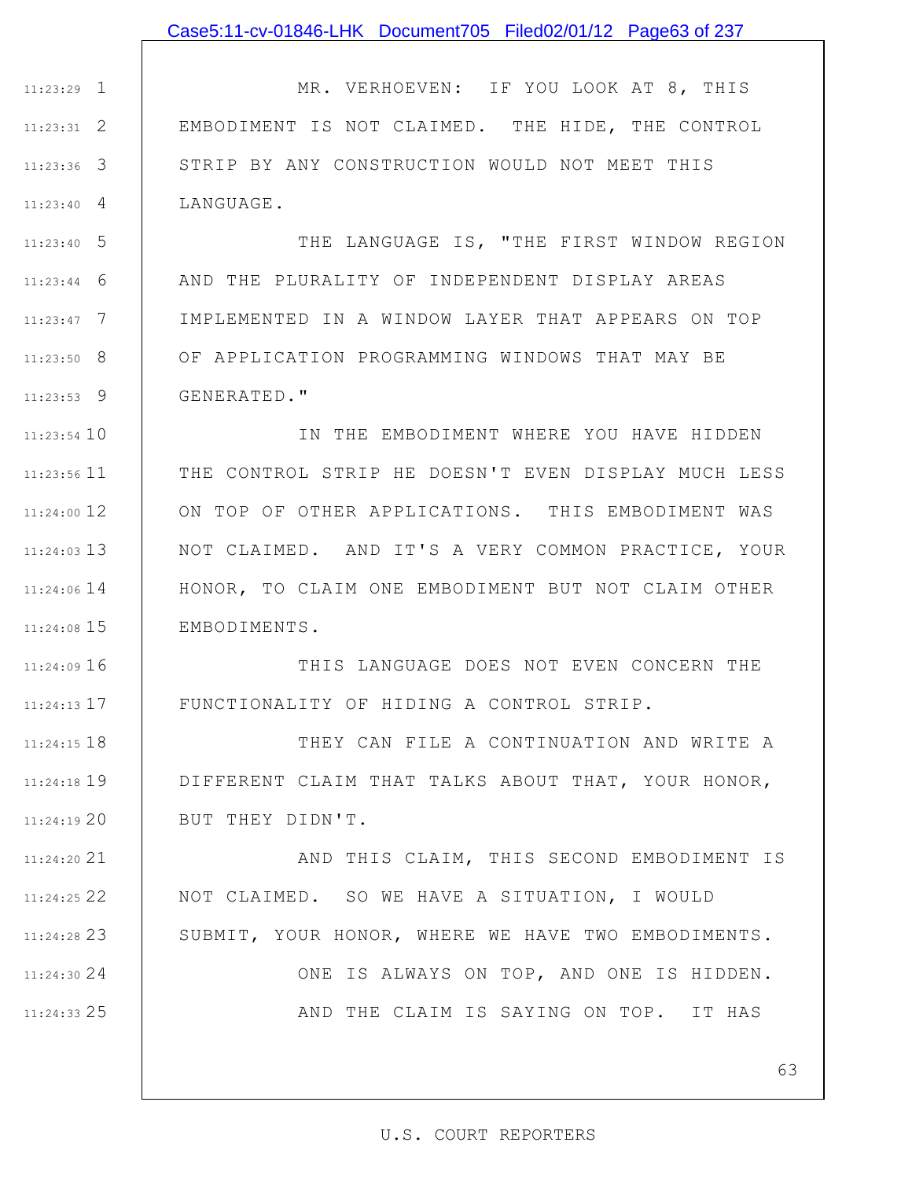1 11:23:29 2 11:23:31 3 11:23:36 4 11:23:40 MR. VERHOEVEN: IF YOU LOOK AT 8, THIS EMBODIMENT IS NOT CLAIMED. THE HIDE, THE CONTROL STRIP BY ANY CONSTRUCTION WOULD NOT MEET THIS LANGUAGE.

5 11:23:40 6 11:23:44 7 11:23:47 8 11:23:50 9 11:23:53 THE LANGUAGE IS, "THE FIRST WINDOW REGION AND THE PLURALITY OF INDEPENDENT DISPLAY AREAS IMPLEMENTED IN A WINDOW LAYER THAT APPEARS ON TOP OF APPLICATION PROGRAMMING WINDOWS THAT MAY BE GENERATED."

11:23:54 10 11 11:23:56 12 11:24:00 13 11:24:03 14 11:24:06 15 11:24:08 IN THE EMBODIMENT WHERE YOU HAVE HIDDEN THE CONTROL STRIP HE DOESN'T EVEN DISPLAY MUCH LESS ON TOP OF OTHER APPLICATIONS. THIS EMBODIMENT WAS NOT CLAIMED. AND IT'S A VERY COMMON PRACTICE, YOUR HONOR, TO CLAIM ONE EMBODIMENT BUT NOT CLAIM OTHER EMBODIMENTS.

16 11:24:09 17 11:24:13 THIS LANGUAGE DOES NOT EVEN CONCERN THE FUNCTIONALITY OF HIDING A CONTROL STRIP.

11:24:15 18 19 11:24:18 20 11:24:19 THEY CAN FILE A CONTINUATION AND WRITE A DIFFERENT CLAIM THAT TALKS ABOUT THAT, YOUR HONOR, BUT THEY DIDN'T.

21 11:24:20 22 11:24:25 23 11:24:28 AND THIS CLAIM, THIS SECOND EMBODIMENT IS NOT CLAIMED. SO WE HAVE A SITUATION, I WOULD SUBMIT, YOUR HONOR, WHERE WE HAVE TWO EMBODIMENTS.

24 11:24:30

25 11:24:33

ONE IS ALWAYS ON TOP, AND ONE IS HIDDEN. AND THE CLAIM IS SAYING ON TOP. IT HAS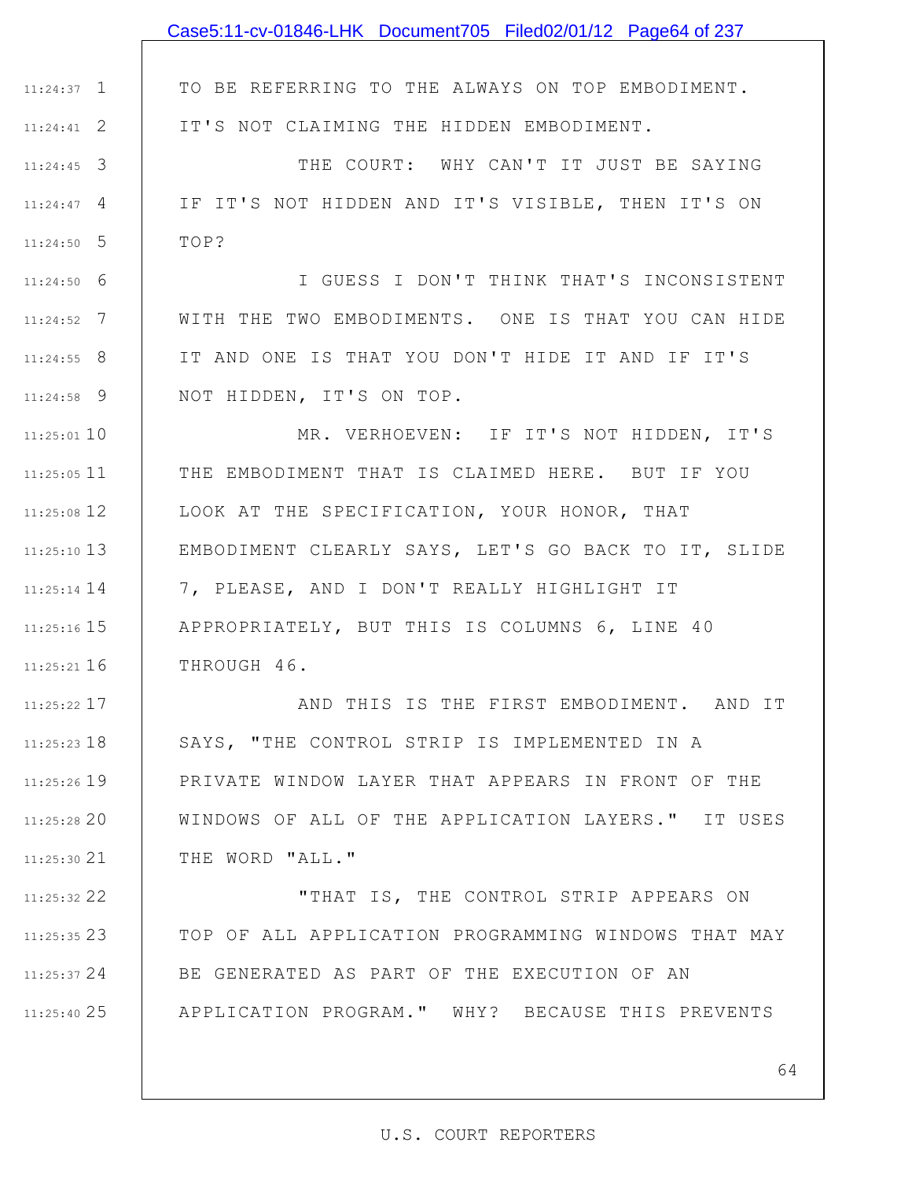|               | Case5:11-cv-01846-LHK Document705 Filed02/01/12 Page64 of 237 |
|---------------|---------------------------------------------------------------|
|               |                                                               |
| $11:24:37$ 1  | TO BE REFERRING TO THE ALWAYS ON TOP EMBODIMENT.              |
| $11:24:41$ 2  | IT'S NOT CLAIMING THE HIDDEN EMBODIMENT.                      |
| $11:24:45$ 3  | THE COURT: WHY CAN'T IT JUST BE SAYING                        |
| $11:24:47$ 4  | IF IT'S NOT HIDDEN AND IT'S VISIBLE, THEN IT'S ON             |
| $11:24:50$ 5  | TOP?                                                          |
| $11:24:50$ 6  | I GUESS I DON'T THINK THAT'S INCONSISTENT                     |
| $11:24:52$ 7  | WITH THE TWO EMBODIMENTS. ONE IS THAT YOU CAN HIDE            |
| $11:24:55$ 8  | IT AND ONE IS THAT YOU DON'T HIDE IT AND IF IT'S              |
| $11:24:58$ 9  | NOT HIDDEN, IT'S ON TOP.                                      |
| $11:25:01$ 10 | MR. VERHOEVEN: IF IT'S NOT HIDDEN, IT'S                       |
| $11:25:05$ 11 | THE EMBODIMENT THAT IS CLAIMED HERE. BUT IF YOU               |
| $11:25:08$ 12 | LOOK AT THE SPECIFICATION, YOUR HONOR, THAT                   |
| $11:25:10$ 13 | EMBODIMENT CLEARLY SAYS, LET'S GO BACK TO IT, SLIDE           |
| $11:25:14$ 14 | 7, PLEASE, AND I DON'T REALLY HIGHLIGHT IT                    |
| $11:25:16$ 15 | APPROPRIATELY, BUT THIS IS COLUMNS 6, LINE 40                 |
| $11:25:21$ 16 | THROUGH 46.                                                   |
| 11:25:22 17   | AND THIS IS THE FIRST EMBODIMENT. AND IT                      |
| $11:25:23$ 18 | SAYS, "THE CONTROL STRIP IS IMPLEMENTED IN A                  |
| $11:25:26$ 19 | PRIVATE WINDOW LAYER THAT APPEARS IN FRONT OF THE             |
| $11:25:28$ 20 | WINDOWS OF ALL OF THE APPLICATION LAYERS." IT USES            |
| $11:25:30$ 21 | THE WORD "ALL."                                               |
| $11:25:32$ 22 | "THAT IS, THE CONTROL STRIP APPEARS ON                        |
| $11:25:35$ 23 | TOP OF ALL APPLICATION PROGRAMMING WINDOWS THAT MAY           |
| 11:25:37 24   | BE GENERATED AS PART OF THE EXECUTION OF AN                   |
| 11:25:40 25   | APPLICATION PROGRAM." WHY? BECAUSE THIS PREVENTS              |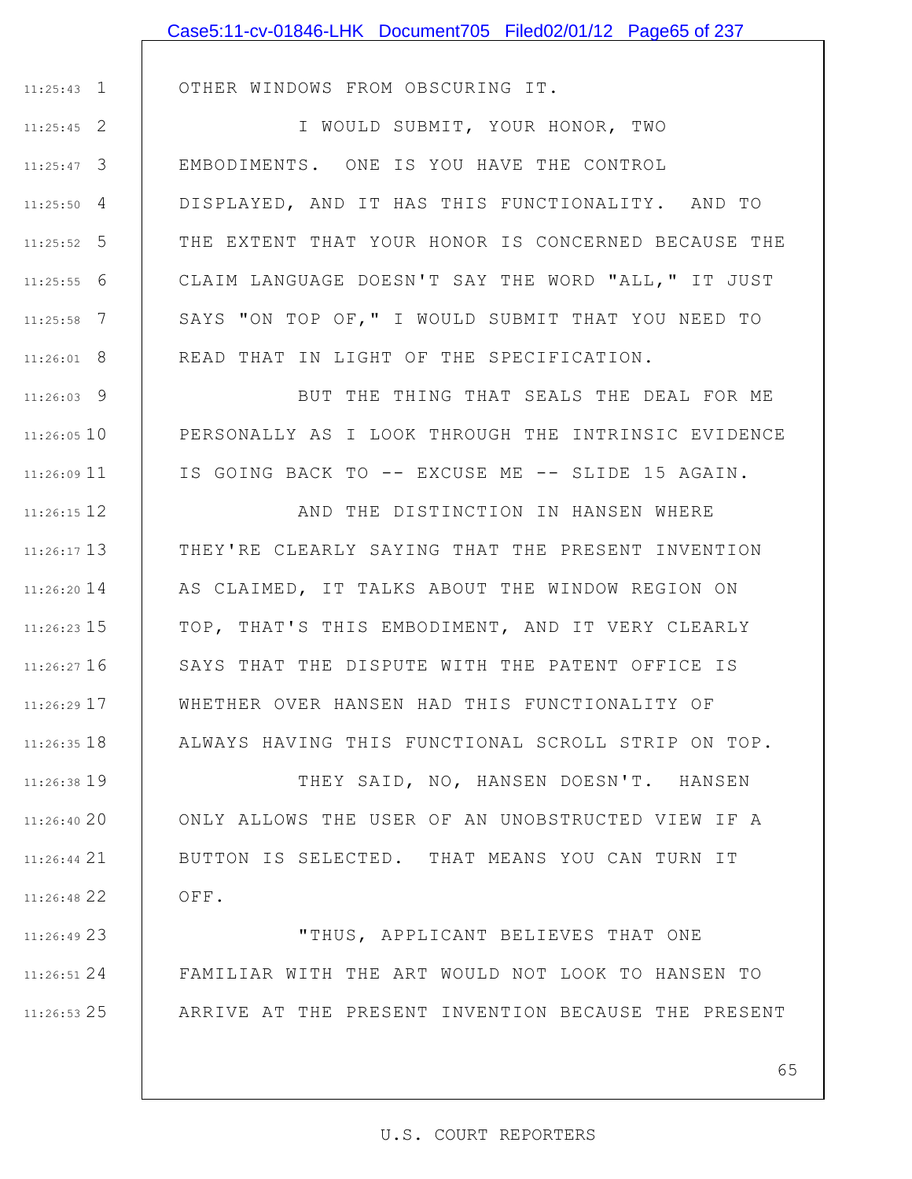|               | Case5:11-cv-01846-LHK Document705 Filed02/01/12 Page65 of 237 |
|---------------|---------------------------------------------------------------|
|               |                                                               |
| $11:25:43$ 1  | OTHER WINDOWS FROM OBSCURING IT.                              |
| $11:25:45$ 2  | I WOULD SUBMIT, YOUR HONOR, TWO                               |
| $11:25:47$ 3  | EMBODIMENTS. ONE IS YOU HAVE THE CONTROL                      |
| $11:25:50$ 4  | DISPLAYED, AND IT HAS THIS FUNCTIONALITY. AND TO              |
| $11:25:52$ 5  | THE EXTENT THAT YOUR HONOR IS CONCERNED BECAUSE THE           |
| $11:25:55$ 6  | CLAIM LANGUAGE DOESN'T SAY THE WORD "ALL, " IT JUST           |
| $11:25:58$ 7  | SAYS "ON TOP OF," I WOULD SUBMIT THAT YOU NEED TO             |
| $11:26:01$ 8  | READ THAT IN LIGHT OF THE SPECIFICATION.                      |
| $11:26:03$ 9  | BUT THE THING THAT SEALS THE DEAL FOR ME                      |
| $11:26:05$ 10 | PERSONALLY AS I LOOK THROUGH THE INTRINSIC EVIDENCE           |
| $11:26:09$ 11 | IS GOING BACK TO -- EXCUSE ME -- SLIDE 15 AGAIN.              |
| 11:26:15 12   | AND THE DISTINCTION IN HANSEN WHERE                           |
| $11:26:17$ 13 | THEY'RE CLEARLY SAYING THAT THE PRESENT INVENTION             |
| $11:26:20$ 14 | AS CLAIMED, IT TALKS ABOUT THE WINDOW REGION ON               |
| $11:26:23$ 15 | TOP, THAT'S THIS EMBODIMENT, AND IT VERY CLEARLY              |
| $11:26:27$ 16 | SAYS THAT THE DISPUTE WITH THE PATENT OFFICE IS               |
| 11:26:29 17   | WHETHER OVER HANSEN HAD THIS FUNCTIONALITY OF                 |
| $11:26:35$ 18 | ALWAYS HAVING THIS FUNCTIONAL SCROLL STRIP ON TOP.            |
| 11:26:38 19   | THEY SAID, NO, HANSEN DOESN'T. HANSEN                         |
| 11:26:40 20   | ONLY ALLOWS THE USER OF AN UNOBSTRUCTED VIEW IF A             |
| $11:26:44$ 21 | BUTTON IS SELECTED. THAT MEANS YOU CAN TURN IT                |
| 11:26:48 22   | OFF.                                                          |
| 11:26:49 23   | "THUS, APPLICANT BELIEVES THAT ONE                            |
| $11:26:51$ 24 | FAMILIAR WITH THE ART WOULD NOT LOOK TO HANSEN TO             |

25 11:26:53

65

ARRIVE AT THE PRESENT INVENTION BECAUSE THE PRESENT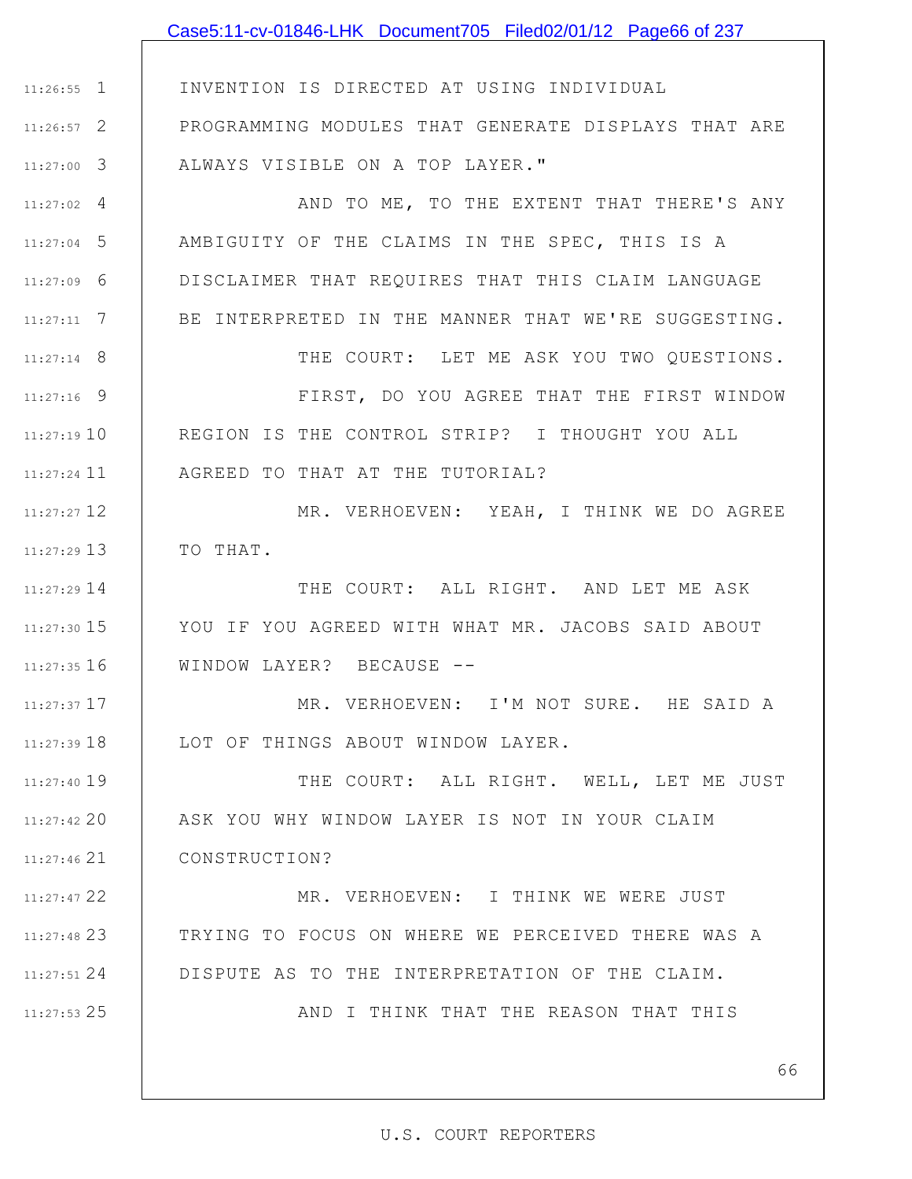|               | Case5:11-cv-01846-LHK Document705 Filed02/01/12 Page66 of 237 |
|---------------|---------------------------------------------------------------|
|               |                                                               |
| $11:26:55$ 1  | INVENTION IS DIRECTED AT USING INDIVIDUAL                     |
| $11:26:57$ 2  | PROGRAMMING MODULES THAT GENERATE DISPLAYS THAT ARE           |
| $11:27:00$ 3  | ALWAYS VISIBLE ON A TOP LAYER."                               |
| $11:27:02$ 4  | AND TO ME, TO THE EXTENT THAT THERE'S ANY                     |
| $11:27:04$ 5  | AMBIGUITY OF THE CLAIMS IN THE SPEC, THIS IS A                |
| $11:27:09$ 6  | DISCLAIMER THAT REQUIRES THAT THIS CLAIM LANGUAGE             |
| $11:27:11$ 7  | BE INTERPRETED IN THE MANNER THAT WE'RE SUGGESTING.           |
| $11:27:14$ 8  | THE COURT: LET ME ASK YOU TWO QUESTIONS.                      |
| $11:27:16$ 9  | FIRST, DO YOU AGREE THAT THE FIRST WINDOW                     |
| 11:27:19 10   | REGION IS THE CONTROL STRIP? I THOUGHT YOU ALL                |
| $11:27:24$ 11 | AGREED TO THAT AT THE TUTORIAL?                               |
| $11:27:27$ 12 | MR. VERHOEVEN: YEAH, I THINK WE DO AGREE                      |
| $11:27:29$ 13 | TO THAT.                                                      |
| $11:27:29$ 14 | THE COURT: ALL RIGHT. AND LET ME ASK                          |
| $11:27:30$ 15 | YOU IF YOU AGREED WITH WHAT MR. JACOBS SAID ABOUT             |
| $11:27:35$ 16 | WINDOW LAYER? BECAUSE --                                      |
| 11:27:37 17   | MR. VERHOEVEN: I'M NOT SURE. HE SAID A                        |
| 11:27:39 18   | LOT OF THINGS ABOUT WINDOW LAYER.                             |
| $11:27:40$ 19 | THE COURT: ALL RIGHT. WELL, LET ME JUST                       |
| $11:27:42$ 20 | ASK YOU WHY WINDOW LAYER IS NOT IN YOUR CLAIM                 |
| $11:27:46$ 21 | CONSTRUCTION?                                                 |
| 11:27:47 22   | MR. VERHOEVEN: I THINK WE WERE JUST                           |
| 11:27:48 23   | TRYING TO FOCUS ON WHERE WE PERCEIVED THERE WAS A             |
| 11:27:51 24   | DISPUTE AS TO THE INTERPRETATION OF THE CLAIM.                |
| 11:27:53 25   | AND I THINK THAT THE REASON THAT THIS                         |
|               |                                                               |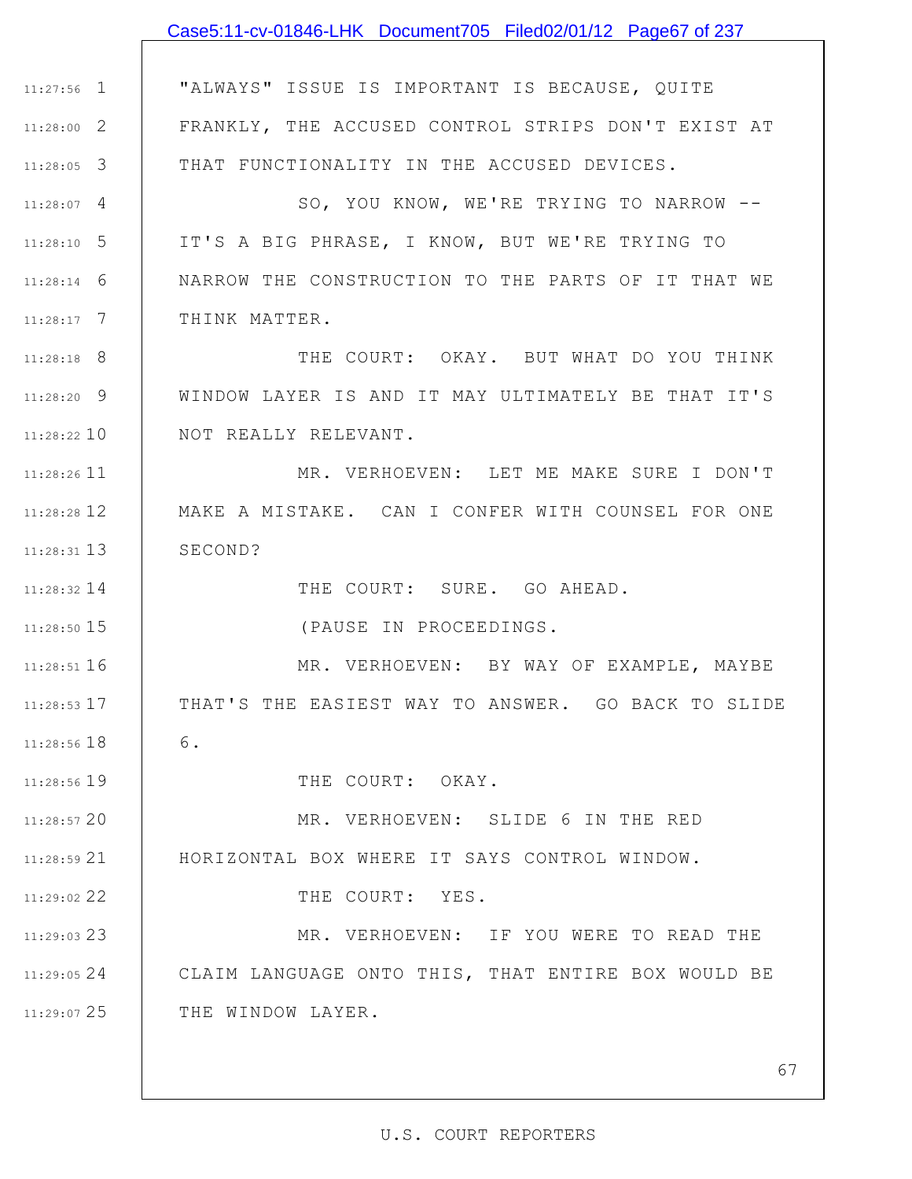|               | Case5:11-cv-01846-LHK Document705 Filed02/01/12 Page67 of 237 |
|---------------|---------------------------------------------------------------|
|               |                                                               |
| $11:27:56$ 1  | "ALWAYS" ISSUE IS IMPORTANT IS BECAUSE, QUITE                 |
| $11:28:00$ 2  | FRANKLY, THE ACCUSED CONTROL STRIPS DON'T EXIST AT            |
| $11:28:05$ 3  | THAT FUNCTIONALITY IN THE ACCUSED DEVICES.                    |
| $11:28:07$ 4  | SO, YOU KNOW, WE'RE TRYING TO NARROW --                       |
| $11:28:10$ 5  | IT'S A BIG PHRASE, I KNOW, BUT WE'RE TRYING TO                |
| $11:28:14$ 6  | NARROW THE CONSTRUCTION TO THE PARTS OF IT THAT WE            |
| $11:28:17$ 7  | THINK MATTER.                                                 |
| $11:28:18$ 8  | THE COURT: OKAY. BUT WHAT DO YOU THINK                        |
| $11:28:20$ 9  | WINDOW LAYER IS AND IT MAY ULTIMATELY BE THAT IT'S            |
| $11:28:22$ 10 | NOT REALLY RELEVANT.                                          |
| $11:28:26$ 11 | MR. VERHOEVEN: LET ME MAKE SURE I DON'T                       |
| 11:28:28 12   | MAKE A MISTAKE. CAN I CONFER WITH COUNSEL FOR ONE             |
| $11:28:31$ 13 | SECOND?                                                       |
| $11:28:32$ 14 | THE COURT: SURE. GO AHEAD.                                    |
| 11:28:50 15   | (PAUSE IN PROCEEDINGS.                                        |
| $11:28:51$ 16 | MR. VERHOEVEN: BY WAY OF EXAMPLE, MAYBE                       |
| $11:28:53$ 17 | THAT'S THE EASIEST WAY TO ANSWER. GO BACK TO SLIDE            |
| $11:28:56$ 18 | 6.                                                            |
| 11:28:56 19   | THE COURT: OKAY.                                              |
| 11:28:57 20   | MR. VERHOEVEN: SLIDE 6 IN THE RED                             |
| $11:28:59$ 21 | HORIZONTAL BOX WHERE IT SAYS CONTROL WINDOW.                  |
| 11:29:02 22   | THE COURT: YES.                                               |
| $11:29:03$ 23 | MR. VERHOEVEN: IF YOU WERE TO READ THE                        |
| 11:29:0524    | CLAIM LANGUAGE ONTO THIS, THAT ENTIRE BOX WOULD BE            |
| 11:29:07 25   | THE WINDOW LAYER.                                             |
|               |                                                               |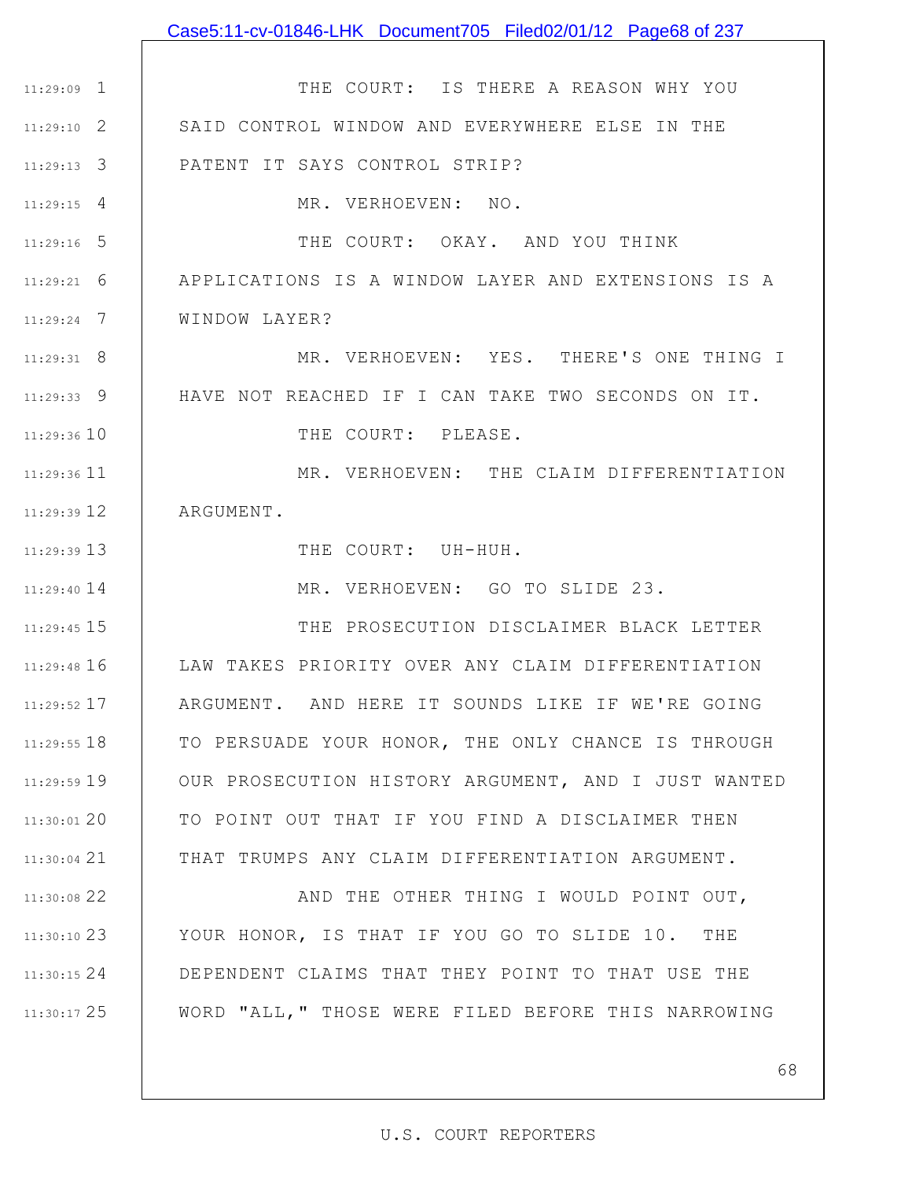| $11:29:09$ 1    | THE COURT: IS THERE A REASON WHY YOU                |
|-----------------|-----------------------------------------------------|
| $11:29:10$ 2    | SAID CONTROL WINDOW AND EVERYWHERE ELSE IN THE      |
| $11:29:13$ 3    | PATENT IT SAYS CONTROL STRIP?                       |
| $11:29:15$ 4    | MR. VERHOEVEN: NO.                                  |
| $11:29:16$ 5    | THE COURT: OKAY. AND YOU THINK                      |
| $11:29:21$ 6    | APPLICATIONS IS A WINDOW LAYER AND EXTENSIONS IS A  |
| $11:29:24$ 7    | WINDOW LAYER?                                       |
| $11:29:31$ 8    | MR. VERHOEVEN: YES. THERE'S ONE THING I             |
| $11:29:33$ 9    | HAVE NOT REACHED IF I CAN TAKE TWO SECONDS ON IT.   |
| $11:29:36$ $10$ | THE COURT: PLEASE.                                  |
| $11:29:36$ 11   | MR. VERHOEVEN: THE CLAIM DIFFERENTIATION            |
| $11:29:39$ $12$ | ARGUMENT.                                           |
| $11:29:39$ 13   | THE COURT: UH-HUH.                                  |
| $11:29:40$ 14   | MR. VERHOEVEN: GO TO SLIDE 23.                      |
| $11:29:45$ 15   | THE PROSECUTION DISCLAIMER BLACK LETTER             |
| 11:29:48 16     | LAW TAKES PRIORITY OVER ANY CLAIM DIFFERENTIATION   |
| $11:29:52$ 17   | ARGUMENT. AND HERE IT SOUNDS LIKE IF WE'RE GOING    |
| $11:29:55$ 18   | TO PERSUADE YOUR HONOR, THE ONLY CHANCE IS THROUGH  |
| 11:29:59 19     | OUR PROSECUTION HISTORY ARGUMENT, AND I JUST WANTED |
| $11:30:01$ 20   | TO POINT OUT THAT IF YOU FIND A DISCLAIMER THEN     |
| $11:30:04$ 21   | THAT TRUMPS ANY CLAIM DIFFERENTIATION ARGUMENT.     |
| 11:30:08 22     | AND THE OTHER THING I WOULD POINT OUT,              |
| $11:30:10$ 23   | YOUR HONOR, IS THAT IF YOU GO TO SLIDE 10. THE      |
| 11:30:15 24     | DEPENDENT CLAIMS THAT THEY POINT TO THAT USE THE    |
| 11:30:17 25     | WORD "ALL, " THOSE WERE FILED BEFORE THIS NARROWING |
|                 |                                                     |

Case5:11-cv-01846-LHK Document705 Filed02/01/12 Page68 of 237

## U.S. COURT REPORTERS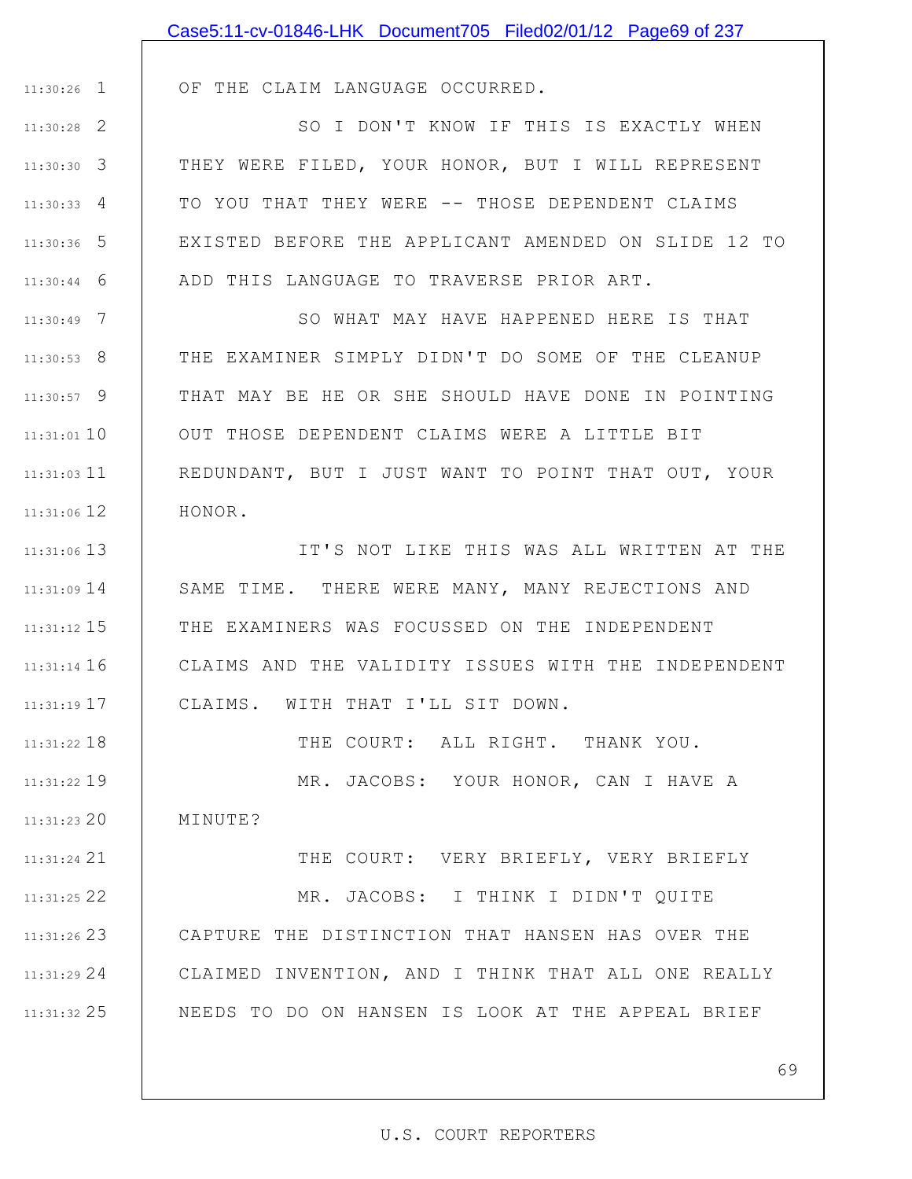|               | Case5:11-cv-01846-LHK Document705 Filed02/01/12 Page69 of 237 |
|---------------|---------------------------------------------------------------|
|               |                                                               |
| $11:30:26$ 1  | OF THE CLAIM LANGUAGE OCCURRED.                               |
| $11:30:28$ 2  | SO I DON'T KNOW IF THIS IS EXACTLY WHEN                       |
| $11:30:30$ 3  | THEY WERE FILED, YOUR HONOR, BUT I WILL REPRESENT             |
| $11:30:33$ 4  | TO YOU THAT THEY WERE -- THOSE DEPENDENT CLAIMS               |
| $11:30:36$ 5  | EXISTED BEFORE THE APPLICANT AMENDED ON SLIDE 12 TO           |
| $11:30:44$ 6  | ADD THIS LANGUAGE TO TRAVERSE PRIOR ART.                      |
| $11:30:49$ 7  | SO WHAT MAY HAVE HAPPENED HERE IS THAT                        |
| $11:30:53$ 8  | THE EXAMINER SIMPLY DIDN'T DO SOME OF THE CLEANUP             |
| $11:30:57$ 9  | THAT MAY BE HE OR SHE SHOULD HAVE DONE IN POINTING            |
| $11:31:01$ 10 | OUT THOSE DEPENDENT CLAIMS WERE A LITTLE BIT                  |
| 11:31:03 11   | REDUNDANT, BUT I JUST WANT TO POINT THAT OUT, YOUR            |
| 11:31:06 12   | HONOR.                                                        |
| 11:31:06 13   | IT'S NOT LIKE THIS WAS ALL WRITTEN AT THE                     |
| $11:31:09$ 14 | SAME TIME. THERE WERE MANY, MANY REJECTIONS AND               |
| $11:31:12$ 15 | THE EXAMINERS WAS FOCUSSED ON THE INDEPENDENT                 |
| $11:31:14$ 16 | CLAIMS AND THE VALIDITY ISSUES WITH THE INDEPENDENT           |
| 11:31:19 17   | CLAIMS. WITH THAT I'LL SIT DOWN.                              |
| $11:31:22$ 18 | THE COURT: ALL RIGHT. THANK YOU.                              |
| 11:31:22 19   | MR. JACOBS: YOUR HONOR, CAN I HAVE A                          |
| $11:31:23$ 20 | MINUTE?                                                       |
| 11:31:24 21   | THE COURT: VERY BRIEFLY, VERY BRIEFLY                         |
| 11:31:25 22   | MR. JACOBS: I THINK I DIDN'T QUITE                            |
| $11:31:26$ 23 | CAPTURE THE DISTINCTION THAT HANSEN HAS OVER THE              |
| $11:31:29$ 24 | CLAIMED INVENTION, AND I THINK THAT ALL ONE REALLY            |
| 11:31:32 25   | NEEDS TO DO ON HANSEN IS LOOK AT THE APPEAL BRIEF             |
|               |                                                               |
|               | 69                                                            |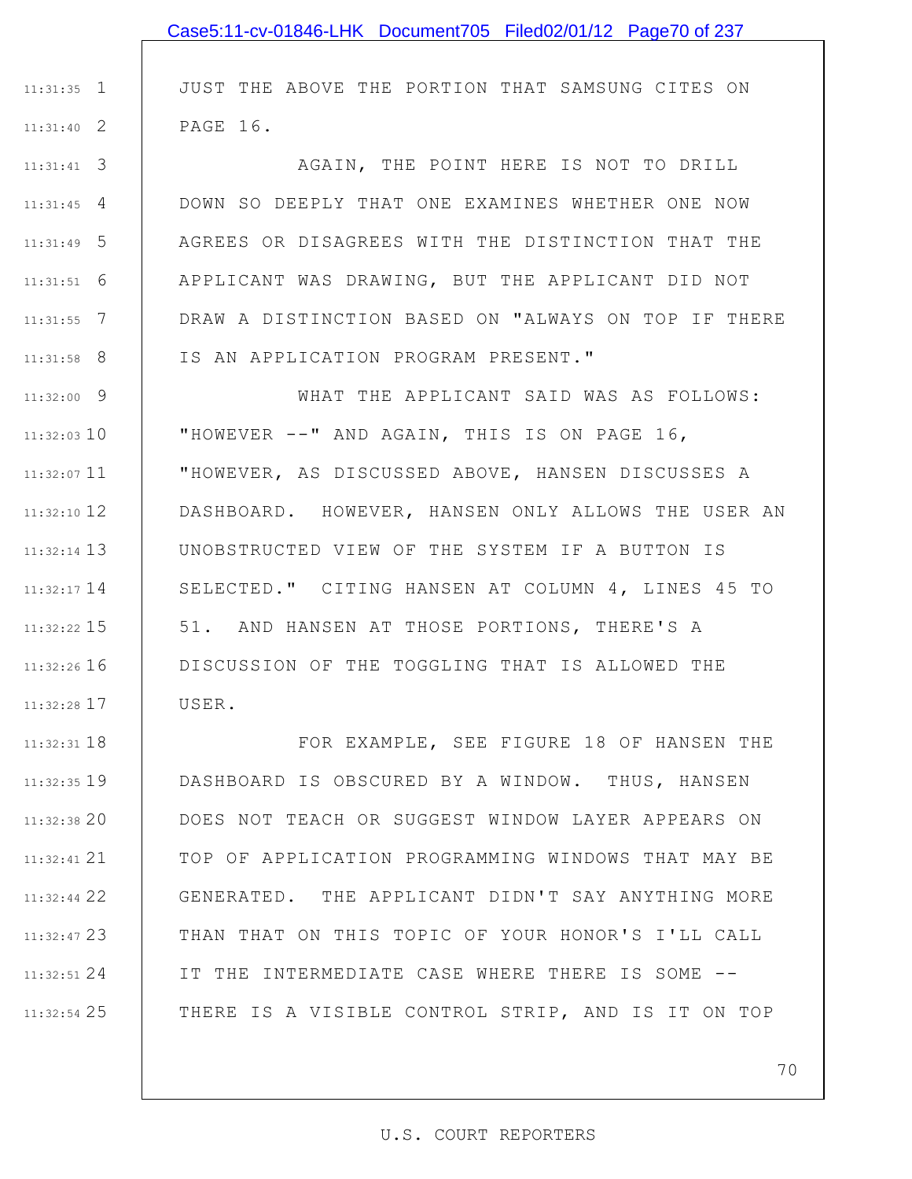|                 | Case5:11-cv-01846-LHK Document705 Filed02/01/12 Page70 of 237 |
|-----------------|---------------------------------------------------------------|
|                 |                                                               |
| $11:31:35$ 1    | JUST THE ABOVE THE PORTION THAT SAMSUNG CITES ON              |
| $11:31:40$ 2    | PAGE 16.                                                      |
| $11:31:41$ 3    | AGAIN, THE POINT HERE IS NOT TO DRILL                         |
| $11:31:45$ 4    | DOWN SO DEEPLY THAT ONE EXAMINES WHETHER ONE NOW              |
| $11:31:49$ 5    | AGREES OR DISAGREES WITH THE DISTINCTION THAT THE             |
| $11:31:51$ 6    | APPLICANT WAS DRAWING, BUT THE APPLICANT DID NOT              |
| $11:31:55$ 7    | DRAW A DISTINCTION BASED ON "ALWAYS ON TOP IF THERE           |
| $11:31:58$ 8    | IS AN APPLICATION PROGRAM PRESENT."                           |
| $11:32:00$ 9    | WHAT THE APPLICANT SAID WAS AS FOLLOWS:                       |
| $11:32:03$ 10   | "HOWEVER --" AND AGAIN, THIS IS ON PAGE 16,                   |
| $11:32:07$ 11   | "HOWEVER, AS DISCUSSED ABOVE, HANSEN DISCUSSES A              |
| $11:32:10$ 12   | DASHBOARD. HOWEVER, HANSEN ONLY ALLOWS THE USER AN            |
| $11:32:14$ 13   | UNOBSTRUCTED VIEW OF THE SYSTEM IF A BUTTON IS                |
| $11:32:17$ 14   | SELECTED." CITING HANSEN AT COLUMN 4, LINES 45 TO             |
| $11:32:22$ 15   | 51. AND HANSEN AT THOSE PORTIONS, THERE'S A                   |
| $11:32:26$ 16   | DISCUSSION OF THE TOGGLING THAT IS ALLOWED THE                |
| 11:32:28 17     | USER.                                                         |
| $11:32:31$ $18$ | FOR EXAMPLE, SEE FIGURE 18 OF HANSEN THE                      |
| $11:32:35$ 19   | DASHBOARD IS OBSCURED BY A WINDOW. THUS, HANSEN               |
| $11:32:38$ 20   | DOES NOT TEACH OR SUGGEST WINDOW LAYER APPEARS ON             |
| 11:32:41 21     | TOP OF APPLICATION PROGRAMMING WINDOWS THAT MAY BE            |
| $11:32:44$ 22   | GENERATED. THE APPLICANT DIDN'T SAY ANYTHING MORE             |
| 11:32:47 23     | THAN THAT ON THIS TOPIC OF YOUR HONOR'S I'LL CALL             |
| $11:32:51$ 24   | IT THE INTERMEDIATE CASE WHERE THERE IS SOME --               |
| $11:32:54$ 25   | THERE IS A VISIBLE CONTROL STRIP, AND IS IT ON TOP            |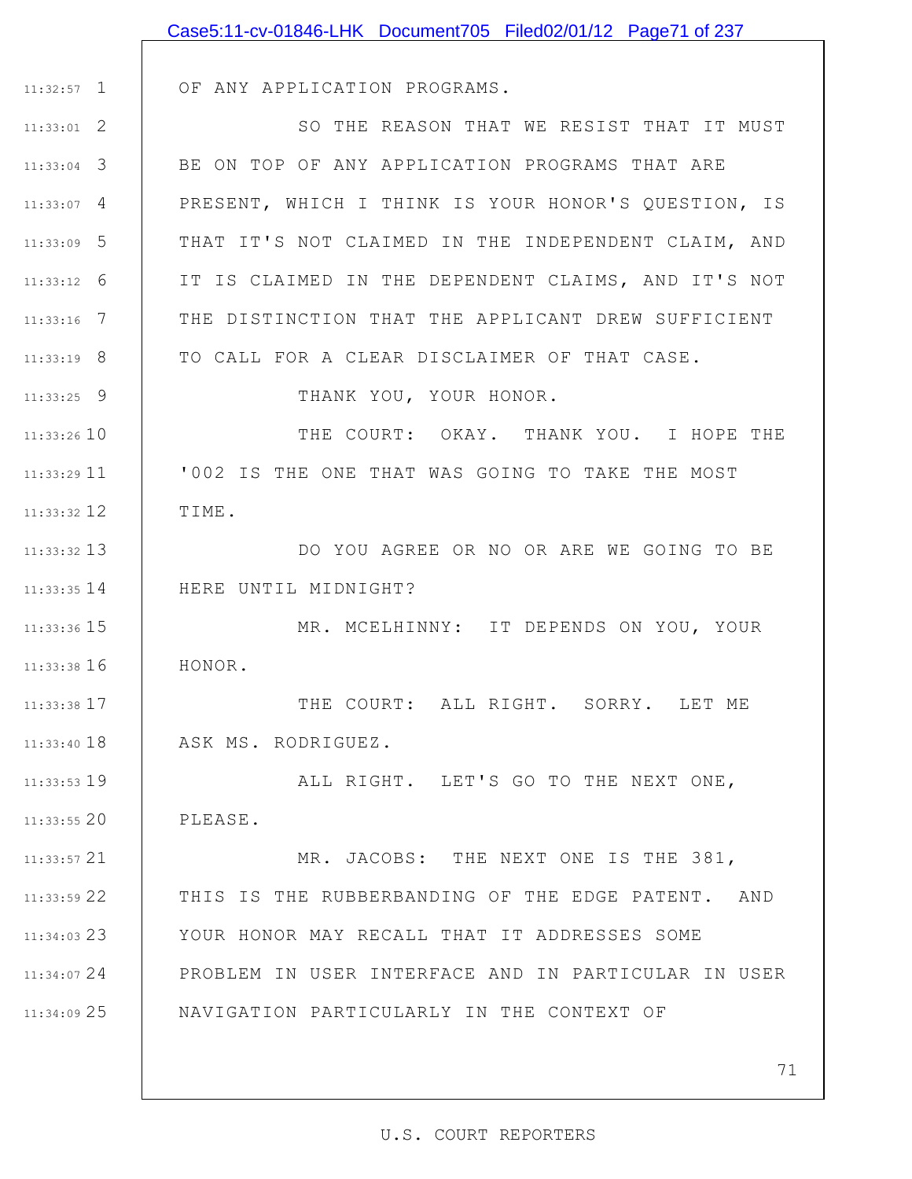|               | Case5:11-cv-01846-LHK Document705 Filed02/01/12 Page71 of 237 |
|---------------|---------------------------------------------------------------|
|               |                                                               |
| $11:32:57$ 1  | OF ANY APPLICATION PROGRAMS.                                  |
| $11:33:01$ 2  | SO THE REASON THAT WE RESIST THAT IT MUST                     |
| $11:33:04$ 3  | BE ON TOP OF ANY APPLICATION PROGRAMS THAT ARE                |
| $11:33:07$ 4  | PRESENT, WHICH I THINK IS YOUR HONOR'S QUESTION, IS           |
| $11:33:09$ 5  | THAT IT'S NOT CLAIMED IN THE INDEPENDENT CLAIM, AND           |
| $11:33:12$ 6  | IT IS CLAIMED IN THE DEPENDENT CLAIMS, AND IT'S NOT           |
| $11:33:16$ 7  | THE DISTINCTION THAT THE APPLICANT DREW SUFFICIENT            |
| $11:33:19$ 8  | TO CALL FOR A CLEAR DISCLAIMER OF THAT CASE.                  |
| $11:33:25$ 9  | THANK YOU, YOUR HONOR.                                        |
| 11:33:2610    | THE COURT: OKAY. THANK YOU. I HOPE THE                        |
| $11:33:29$ 11 | '002 IS THE ONE THAT WAS GOING TO TAKE THE MOST               |
| $11:33:32$ 12 | TIME.                                                         |
| 11:33:32 13   | DO YOU AGREE OR NO OR ARE WE GOING TO BE                      |
| $11:33:35$ 14 | HERE UNTIL MIDNIGHT?                                          |
| $11:33:36$ 15 | MR. MCELHINNY: IT DEPENDS ON YOU, YOUR                        |
| 11:33:38 16   | HONOR.                                                        |
| 11:33:38 17   | THE COURT: ALL RIGHT. SORRY. LET ME                           |
| $11:33:40$ 18 | ASK MS. RODRIGUEZ.                                            |
| $11:33:53$ 19 | ALL RIGHT. LET'S GO TO THE NEXT ONE,                          |
| $11:33:55$ 20 | PLEASE.                                                       |
| $11:33:57$ 21 | MR. JACOBS: THE NEXT ONE IS THE 381,                          |
| 11:33:59 22   | THIS IS THE RUBBERBANDING OF THE EDGE PATENT. AND             |
| $11:34:03$ 23 | YOUR HONOR MAY RECALL THAT IT ADDRESSES SOME                  |
| $11:34:07$ 24 | PROBLEM IN USER INTERFACE AND IN PARTICULAR IN USER           |
| 11:34:09 25   | NAVIGATION PARTICULARLY IN THE CONTEXT OF                     |
|               |                                                               |
|               | 71                                                            |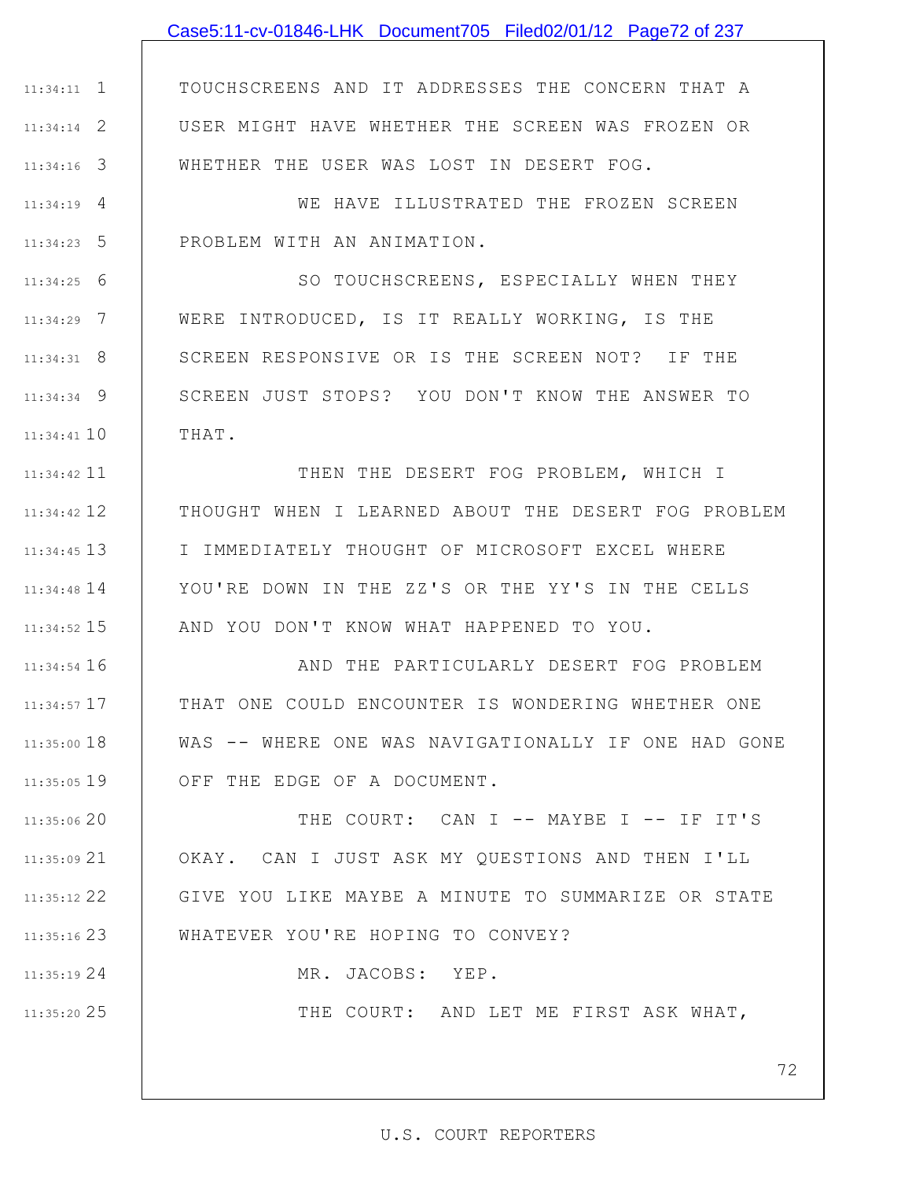# 1 11:34:11 2 11:34:14 3 11:34:16 4 11:34:19 5 11:34:23 6 11:34:25 7 11:34:29 8 11:34:31 9 11:34:34 11:34:41 10 11 11:34:42 12 11:34:42 13 11:34:45 11:34:48 14 15 11:34:52 11:34:54 16 17 11:34:57 11:35:00 18 11:35:05 19 20 11:35:06 21 11:35:09 22 11:35:12 23 11:35:16 24 11:35:19 TOUCHSCREENS AND IT ADDRESSES THE CONCERN THAT A USER MIGHT HAVE WHETHER THE SCREEN WAS FROZEN OR WHETHER THE USER WAS LOST IN DESERT FOG. WE HAVE ILLUSTRATED THE FROZEN SCREEN PROBLEM WITH AN ANIMATION. SO TOUCHSCREENS, ESPECIALLY WHEN THEY WERE INTRODUCED, IS IT REALLY WORKING, IS THE SCREEN RESPONSIVE OR IS THE SCREEN NOT? IF THE SCREEN JUST STOPS? YOU DON'T KNOW THE ANSWER TO THAT. THEN THE DESERT FOG PROBLEM, WHICH I THOUGHT WHEN I LEARNED ABOUT THE DESERT FOG PROBLEM I IMMEDIATELY THOUGHT OF MICROSOFT EXCEL WHERE YOU'RE DOWN IN THE ZZ'S OR THE YY'S IN THE CELLS AND YOU DON'T KNOW WHAT HAPPENED TO YOU. AND THE PARTICULARLY DESERT FOG PROBLEM THAT ONE COULD ENCOUNTER IS WONDERING WHETHER ONE WAS -- WHERE ONE WAS NAVIGATIONALLY IF ONE HAD GONE OFF THE EDGE OF A DOCUMENT. THE COURT: CAN I -- MAYBE I -- IF IT'S OKAY. CAN I JUST ASK MY QUESTIONS AND THEN I'LL GIVE YOU LIKE MAYBE A MINUTE TO SUMMARIZE OR STATE WHATEVER YOU'RE HOPING TO CONVEY? MR. JACOBS: YEP. Case5:11-cv-01846-LHK Document705 Filed02/01/12 Page72 of 237

25 11:35:20

THE COURT: AND LET ME FIRST ASK WHAT,

72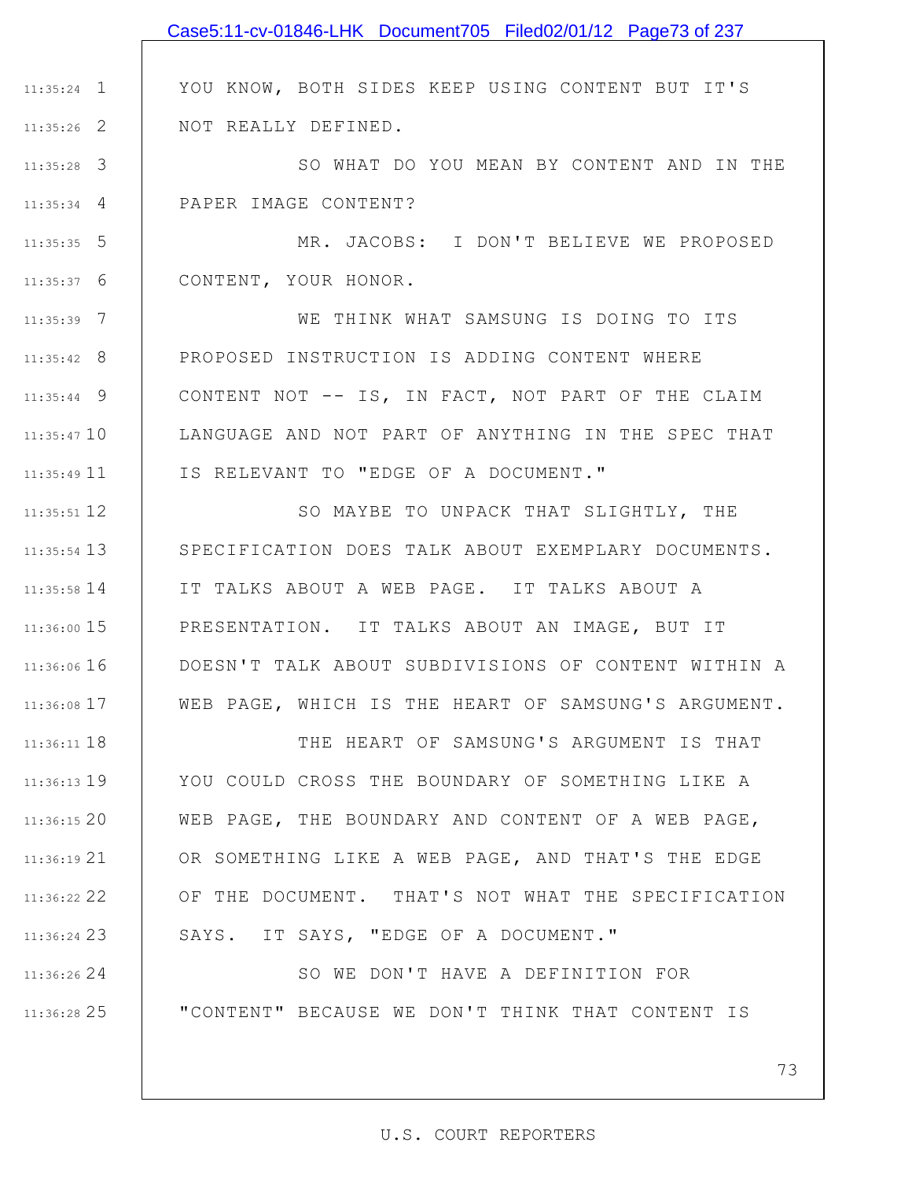# Case5:11-cv-01846-LHK Document705 Filed02/01/12 Page73 of 237

YOU KNOW, BOTH SIDES KEEP USING CONTENT BUT IT'S NOT REALLY DEFINED.

3 11:35:28 4 11:35:34 SO WHAT DO YOU MEAN BY CONTENT AND IN THE PAPER IMAGE CONTENT?

1 11:35:24

2 11:35:26

24 11:36:26

25 11:36:28

5 11:35:35 6 11:35:37 MR. JACOBS: I DON'T BELIEVE WE PROPOSED CONTENT, YOUR HONOR.

7 11:35:39 8 11:35:42 9 11:35:44 11:35:47 10 11 11:35:49 WE THINK WHAT SAMSUNG IS DOING TO ITS PROPOSED INSTRUCTION IS ADDING CONTENT WHERE CONTENT NOT -- IS, IN FACT, NOT PART OF THE CLAIM LANGUAGE AND NOT PART OF ANYTHING IN THE SPEC THAT IS RELEVANT TO "EDGE OF A DOCUMENT."

12 11:35:51 13 11:35:54 14 11:35:58 15 11:36:00 11:36:06 16 17 11:36:08 SO MAYBE TO UNPACK THAT SLIGHTLY, THE SPECIFICATION DOES TALK ABOUT EXEMPLARY DOCUMENTS. IT TALKS ABOUT A WEB PAGE. IT TALKS ABOUT A PRESENTATION. IT TALKS ABOUT AN IMAGE, BUT IT DOESN'T TALK ABOUT SUBDIVISIONS OF CONTENT WITHIN A WEB PAGE, WHICH IS THE HEART OF SAMSUNG'S ARGUMENT.

11:36:11 18 11:36:13 19 20 11:36:15 21 11:36:19 22 11:36:22 23 11:36:24 THE HEART OF SAMSUNG'S ARGUMENT IS THAT YOU COULD CROSS THE BOUNDARY OF SOMETHING LIKE A WEB PAGE, THE BOUNDARY AND CONTENT OF A WEB PAGE, OR SOMETHING LIKE A WEB PAGE, AND THAT'S THE EDGE OF THE DOCUMENT. THAT'S NOT WHAT THE SPECIFICATION SAYS. IT SAYS, "EDGE OF A DOCUMENT."

> SO WE DON'T HAVE A DEFINITION FOR "CONTENT" BECAUSE WE DON'T THINK THAT CONTENT IS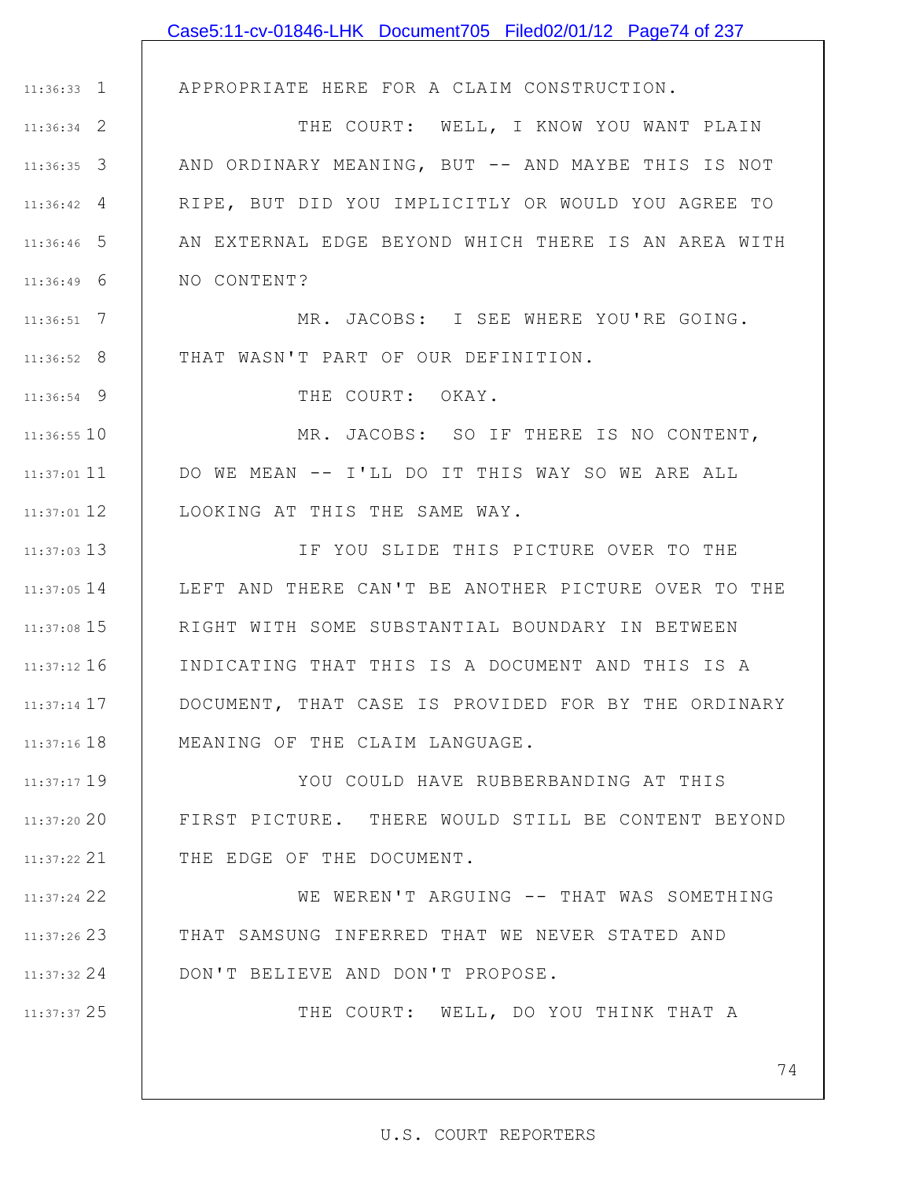|                    | Case5:11-cv-01846-LHK Document705 Filed02/01/12 Page74 of 237 |
|--------------------|---------------------------------------------------------------|
|                    |                                                               |
| $11:36:33$ 1       | APPROPRIATE HERE FOR A CLAIM CONSTRUCTION.                    |
| $11:36:34$ 2       | THE COURT: WELL, I KNOW YOU WANT PLAIN                        |
| $11:36:35$ 3       | AND ORDINARY MEANING, BUT -- AND MAYBE THIS IS NOT            |
| $11:36:42 \quad 4$ | RIPE, BUT DID YOU IMPLICITLY OR WOULD YOU AGREE TO            |
| $11:36:46$ 5       | AN EXTERNAL EDGE BEYOND WHICH THERE IS AN AREA WITH           |
| $11:36:49$ 6       | NO CONTENT?                                                   |
| $11:36:51$ 7       | MR. JACOBS: I SEE WHERE YOU'RE GOING.                         |
| $11:36:52$ 8       | THAT WASN'T PART OF OUR DEFINITION.                           |
| $11:36:54$ 9       | THE COURT: OKAY.                                              |
| $11:36:55$ 10      | MR. JACOBS: SO IF THERE IS NO CONTENT,                        |
| $11:37:01$ 11      | DO WE MEAN -- I'LL DO IT THIS WAY SO WE ARE ALL               |
| $11:37:01$ 12      | LOOKING AT THIS THE SAME WAY.                                 |
| $11:37:03$ 13      | IF YOU SLIDE THIS PICTURE OVER TO THE                         |
| $11:37:05$ 14      | LEFT AND THERE CAN'T BE ANOTHER PICTURE OVER TO THE           |
| 11:37:08 15        | RIGHT WITH SOME SUBSTANTIAL BOUNDARY IN BETWEEN               |
| $11:37:12$ 16      | INDICATING THAT THIS IS A DOCUMENT AND THIS IS A              |
| $11:37:14$ 17      | DOCUMENT, THAT CASE IS PROVIDED FOR BY THE ORDINARY           |
| $11:37:16$ $18$    | MEANING OF THE CLAIM LANGUAGE.                                |
| 11:37:17 19        | YOU COULD HAVE RUBBERBANDING AT THIS                          |
| $11:37:20$ 20      | FIRST PICTURE. THERE WOULD STILL BE CONTENT BEYOND            |
| $11:37:22$ 21      | THE EDGE OF THE DOCUMENT.                                     |
| 11:37:24 22        | WE WEREN'T ARGUING -- THAT WAS SOMETHING                      |
| $11:37:26$ 23      | THAT SAMSUNG INFERRED THAT WE NEVER STATED AND                |
| $11:37:32$ 24      | DON'T BELIEVE AND DON'T PROPOSE.                              |
| 11:37:37 25        | THE COURT: WELL, DO YOU THINK THAT A                          |
|                    |                                                               |
|                    | 74                                                            |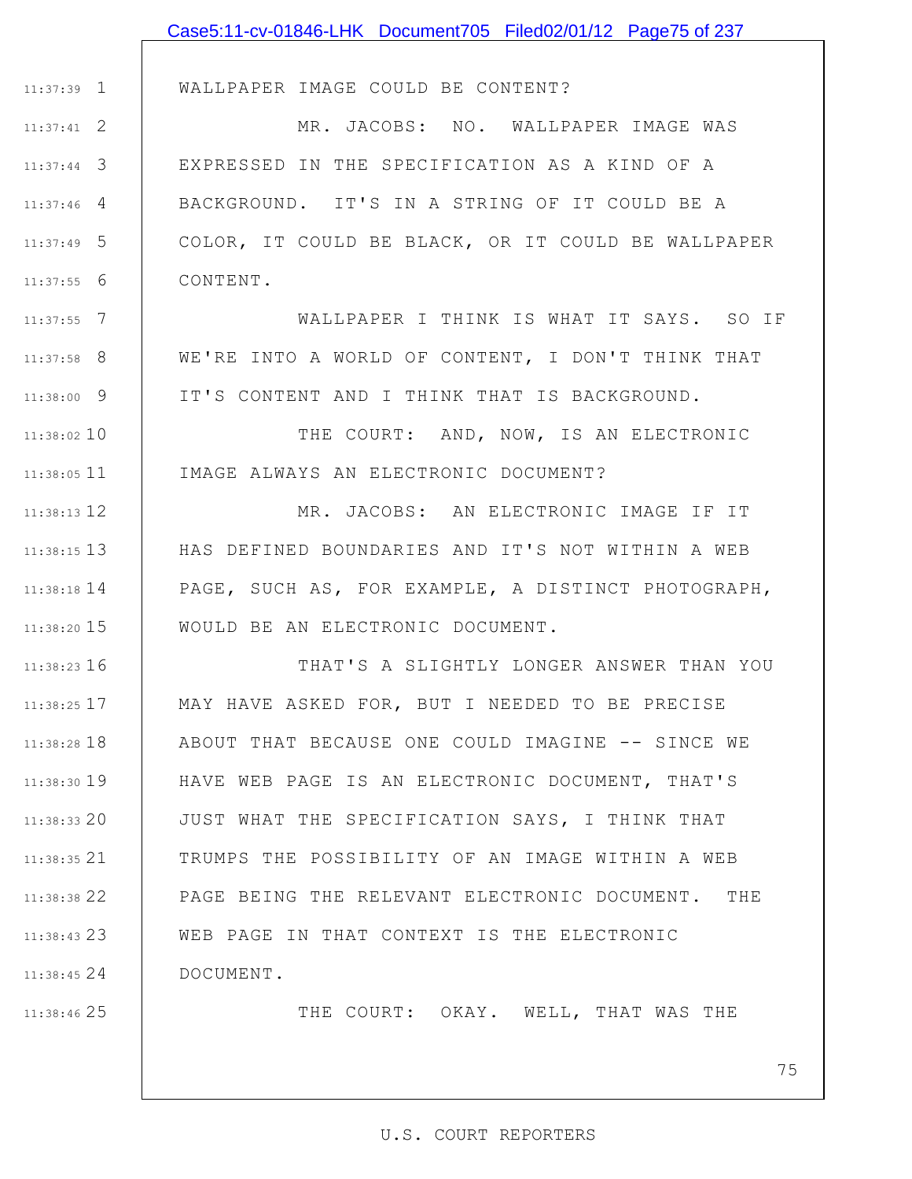|               | Case5:11-cv-01846-LHK Document705 Filed02/01/12 Page75 of 237 |
|---------------|---------------------------------------------------------------|
|               |                                                               |
| 11:37:39 1    | WALLPAPER IMAGE COULD BE CONTENT?                             |
| $11:37:41$ 2  | MR. JACOBS: NO. WALLPAPER IMAGE WAS                           |
| $11:37:44$ 3  | EXPRESSED IN THE SPECIFICATION AS A KIND OF A                 |
| $11:37:46$ 4  | BACKGROUND. IT'S IN A STRING OF IT COULD BE A                 |
| $11:37:49$ 5  | COLOR, IT COULD BE BLACK, OR IT COULD BE WALLPAPER            |
| $11:37:55$ 6  | CONTENT.                                                      |
| $11:37:55$ 7  | WALLPAPER I THINK IS WHAT IT SAYS. SO IF                      |
| $11:37:58$ 8  | WE'RE INTO A WORLD OF CONTENT, I DON'T THINK THAT             |
| $11:38:00$ 9  | IT'S CONTENT AND I THINK THAT IS BACKGROUND.                  |
| 11:38:02 10   | THE COURT: AND, NOW, IS AN ELECTRONIC                         |
| $11:38:05$ 11 | IMAGE ALWAYS AN ELECTRONIC DOCUMENT?                          |
| $11:38:13$ 12 | MR. JACOBS: AN ELECTRONIC IMAGE IF IT                         |
| $11:38:15$ 13 | HAS DEFINED BOUNDARIES AND IT'S NOT WITHIN A WEB              |
| $11:38:18$ 14 | PAGE, SUCH AS, FOR EXAMPLE, A DISTINCT PHOTOGRAPH,            |
| $11:38:20$ 15 | WOULD BE AN ELECTRONIC DOCUMENT.                              |
| $11:38:23$ 16 | THAT'S A SLIGHTLY LONGER ANSWER THAN YOU                      |
| $11:38:25$ 17 | MAY HAVE ASKED FOR, BUT I NEEDED TO BE PRECISE                |
| $11:38:28$ 18 | ABOUT THAT BECAUSE ONE COULD IMAGINE -- SINCE WE              |
| 11:38:30 19   | HAVE WEB PAGE IS AN ELECTRONIC DOCUMENT, THAT'S               |
| $11:38:33$ 20 | JUST WHAT THE SPECIFICATION SAYS, I THINK THAT                |
| $11:38:35$ 21 | TRUMPS THE POSSIBILITY OF AN IMAGE WITHIN A WEB               |
| 11:38:38 22   | PAGE BEING THE RELEVANT ELECTRONIC DOCUMENT. THE              |
| 11:38:43 23   | WEB PAGE IN THAT CONTEXT IS THE ELECTRONIC                    |
| 11:38:45 24   | DOCUMENT.                                                     |
| 11:38:46 25   | THE COURT: OKAY. WELL, THAT WAS THE                           |
|               |                                                               |
|               | 75                                                            |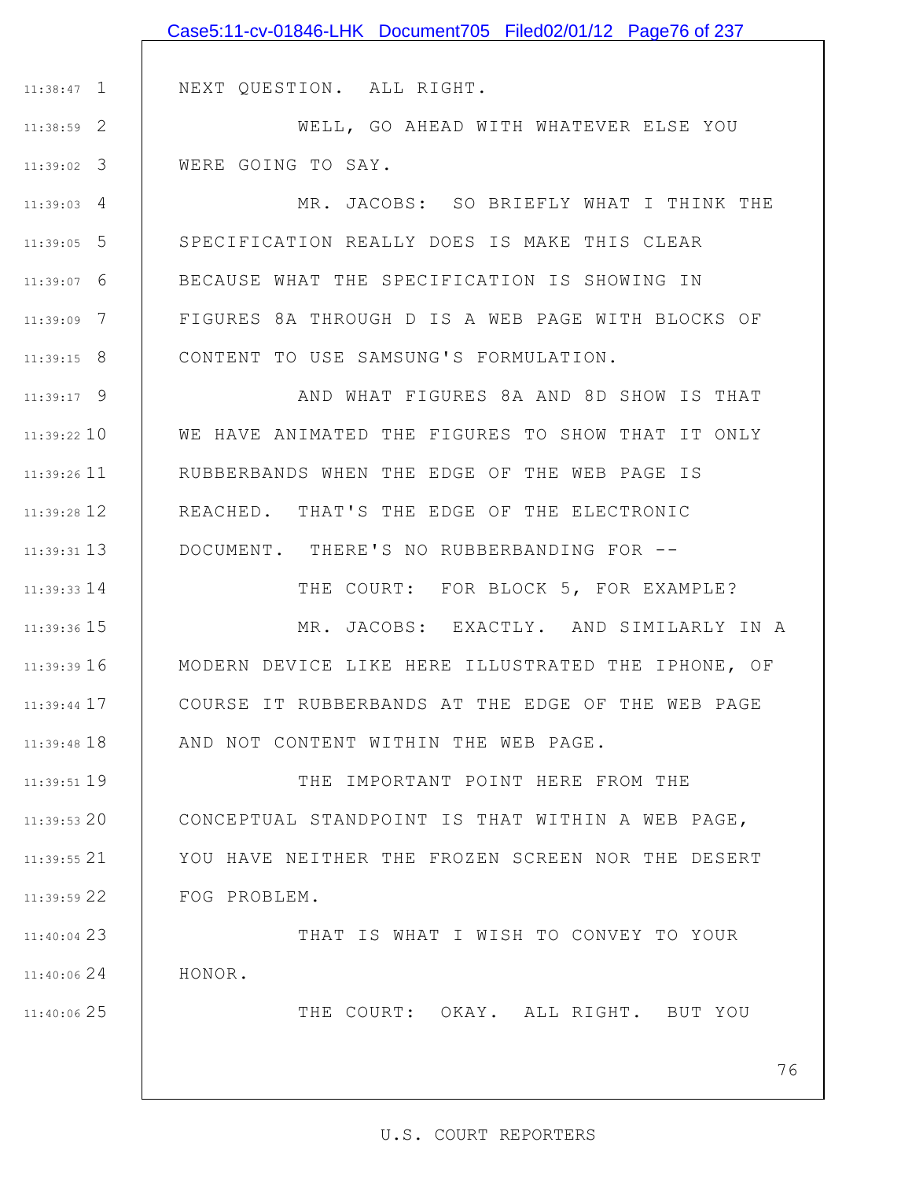|               | Case5:11-cv-01846-LHK Document705 Filed02/01/12 Page76 of 237 |
|---------------|---------------------------------------------------------------|
|               |                                                               |
| $11:38:47$ 1  | NEXT QUESTION. ALL RIGHT.                                     |
| 11:38:59 2    | WELL, GO AHEAD WITH WHATEVER ELSE YOU                         |
| $11:39:02$ 3  | WERE GOING TO SAY.                                            |
| $11:39:03$ 4  | MR. JACOBS: SO BRIEFLY WHAT I THINK THE                       |
| $11:39:05$ 5  | SPECIFICATION REALLY DOES IS MAKE THIS CLEAR                  |
| $11:39:07$ 6  | BECAUSE WHAT THE SPECIFICATION IS SHOWING IN                  |
| 11:39:09 7    | FIGURES 8A THROUGH D IS A WEB PAGE WITH BLOCKS OF             |
| $11:39:15$ 8  | CONTENT TO USE SAMSUNG'S FORMULATION.                         |
| $11:39:17$ 9  | AND WHAT FIGURES 8A AND 8D SHOW IS THAT                       |
| $11:39:22$ 10 | WE HAVE ANIMATED THE FIGURES TO SHOW THAT IT ONLY             |
| $11:39:26$ 11 | RUBBERBANDS WHEN THE EDGE OF THE WEB PAGE IS                  |
| 11:39:28 12   | REACHED. THAT'S THE EDGE OF THE ELECTRONIC                    |
| $11:39:31$ 13 | DOCUMENT. THERE'S NO RUBBERBANDING FOR --                     |
| $11:39:33$ 14 | THE COURT: FOR BLOCK 5, FOR EXAMPLE?                          |
| 11:39:36 15   | MR. JACOBS: EXACTLY. AND SIMILARLY IN A                       |
| 11:39:39 16   | MODERN DEVICE LIKE HERE ILLUSTRATED THE IPHONE, OF            |
| $11:39:44$ 17 | COURSE IT RUBBERBANDS AT THE EDGE OF THE WEB PAGE             |
| $11:39:48$ 18 | AND NOT CONTENT WITHIN THE WEB PAGE.                          |
| $11:39:51$ 19 | THE IMPORTANT POINT HERE FROM THE                             |
| $11:39:53$ 20 | CONCEPTUAL STANDPOINT IS THAT WITHIN A WEB PAGE,              |
| $11:39:55$ 21 | YOU HAVE NEITHER THE FROZEN SCREEN NOR THE DESERT             |
| $11:39:59$ 22 | FOG PROBLEM.                                                  |
| $11:40:04$ 23 | THAT IS WHAT I WISH TO CONVEY TO YOUR                         |
| 11:40:0624    | HONOR.                                                        |
| 11:40:06 25   | THE COURT: OKAY. ALL RIGHT. BUT YOU                           |
|               |                                                               |
|               |                                                               |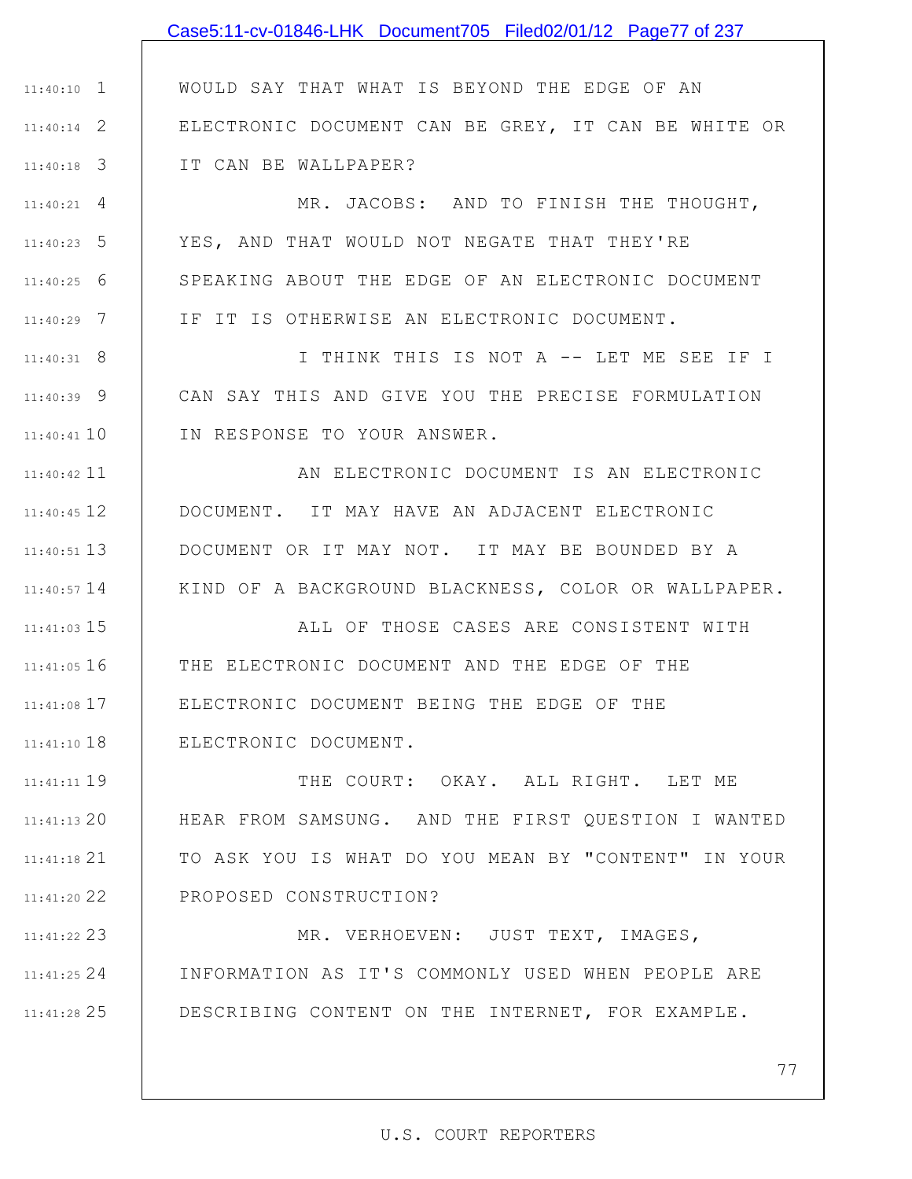|               | Case5:11-cv-01846-LHK Document705 Filed02/01/12 Page77 of 237 |
|---------------|---------------------------------------------------------------|
|               |                                                               |
| $11:40:10$ 1  | WOULD SAY THAT WHAT IS BEYOND THE EDGE OF AN                  |
| $11:40:14$ 2  | ELECTRONIC DOCUMENT CAN BE GREY, IT CAN BE WHITE OR           |
| $11:40:18$ 3  | IT CAN BE WALLPAPER?                                          |
| $11:40:21$ 4  | MR. JACOBS: AND TO FINISH THE THOUGHT,                        |
| $11:40:23$ 5  | YES, AND THAT WOULD NOT NEGATE THAT THEY'RE                   |
| $11:40:25$ 6  | SPEAKING ABOUT THE EDGE OF AN ELECTRONIC DOCUMENT             |
| $11:40:29$ 7  | IF IT IS OTHERWISE AN ELECTRONIC DOCUMENT.                    |
| $11:40:31$ 8  | I THINK THIS IS NOT A -- LET ME SEE IF I                      |
| $11:40:39$ 9  | CAN SAY THIS AND GIVE YOU THE PRECISE FORMULATION             |
| $11:40:41$ 10 | IN RESPONSE TO YOUR ANSWER.                                   |
| $11:40:42$ 11 | AN ELECTRONIC DOCUMENT IS AN ELECTRONIC                       |
| $11:40:45$ 12 | DOCUMENT. IT MAY HAVE AN ADJACENT ELECTRONIC                  |
| $11:40:51$ 13 | DOCUMENT OR IT MAY NOT. IT MAY BE BOUNDED BY A                |
| $11:40:57$ 14 | KIND OF A BACKGROUND BLACKNESS, COLOR OR WALLPAPER.           |
| $11:41:03$ 15 | ALL OF THOSE CASES ARE CONSISTENT WITH                        |
| $11:41:05$ 16 | THE ELECTRONIC DOCUMENT AND THE EDGE OF THE                   |
| 11:41:08 17   | ELECTRONIC DOCUMENT BEING THE EDGE OF THE                     |
| $11:41:10$ 18 | ELECTRONIC DOCUMENT.                                          |
| 11:41:11 19   | THE COURT: OKAY. ALL RIGHT. LET ME                            |
| $11:41:13$ 20 | HEAR FROM SAMSUNG. AND THE FIRST QUESTION I WANTED            |
| $11:41:18$ 21 | TO ASK YOU IS WHAT DO YOU MEAN BY "CONTENT" IN YOUR           |
| 11:41:20 22   | PROPOSED CONSTRUCTION?                                        |
| 11:41:22 23   | MR. VERHOEVEN: JUST TEXT, IMAGES,                             |
| $11:41:25$ 24 | INFORMATION AS IT'S COMMONLY USED WHEN PEOPLE ARE             |

25 11:41:28

77

DESCRIBING CONTENT ON THE INTERNET, FOR EXAMPLE.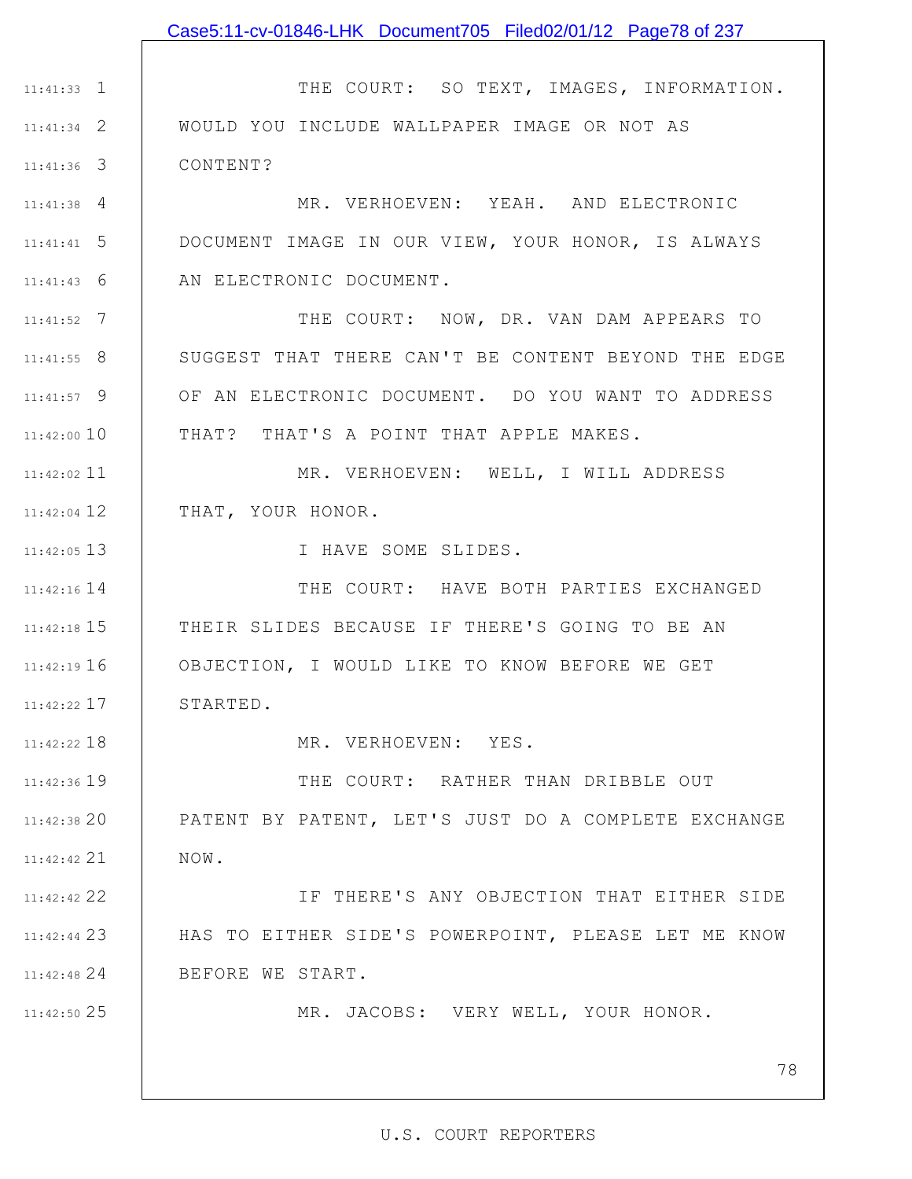|                    | Case5:11-cv-01846-LHK Document705 Filed02/01/12 Page78 of 237 |
|--------------------|---------------------------------------------------------------|
|                    |                                                               |
| $11:41:33$ 1       | THE COURT: SO TEXT, IMAGES, INFORMATION.                      |
| $11:41:34$ 2       | WOULD YOU INCLUDE WALLPAPER IMAGE OR NOT AS                   |
| $11:41:36$ 3       | CONTENT?                                                      |
| $11:41:38$ 4       | MR. VERHOEVEN: YEAH. AND ELECTRONIC                           |
| $11:41:41 \quad 5$ | DOCUMENT IMAGE IN OUR VIEW, YOUR HONOR, IS ALWAYS             |
| $11:41:43$ 6       | AN ELECTRONIC DOCUMENT.                                       |
| $11:41:52$ 7       | THE COURT: NOW, DR. VAN DAM APPEARS TO                        |
| $11:41:55$ 8       | SUGGEST THAT THERE CAN'T BE CONTENT BEYOND THE EDGE           |
| $11:41:57$ 9       | OF AN ELECTRONIC DOCUMENT. DO YOU WANT TO ADDRESS             |
| $11:42:00$ 10      | THAT? THAT'S A POINT THAT APPLE MAKES.                        |
| $11:42:02$ 11      | MR. VERHOEVEN: WELL, I WILL ADDRESS                           |
| $11:42:04$ 12      | THAT, YOUR HONOR.                                             |
| $11:42:05$ 13      | I HAVE SOME SLIDES.                                           |
| $11:42:16$ 14      | THE COURT: HAVE BOTH PARTIES EXCHANGED                        |
| $11:42:18$ 15      | THEIR SLIDES BECAUSE IF THERE'S GOING TO BE AN                |
| $11:42:19$ 16      | OBJECTION, I WOULD LIKE TO KNOW BEFORE WE GET                 |
| $11:42:22$ 17      | STARTED.                                                      |
| 11:42:22 18        | MR. VERHOEVEN: YES.                                           |
| 11:42:36 19        | THE COURT: RATHER THAN DRIBBLE OUT                            |
| 11:42:38 20        | PATENT BY PATENT, LET'S JUST DO A COMPLETE EXCHANGE           |
| 11:42:42 21        | NOW.                                                          |
| 11:42:42 22        | IF THERE'S ANY OBJECTION THAT EITHER SIDE                     |
| $11:42:44$ 23      | HAS TO EITHER SIDE'S POWERPOINT, PLEASE LET ME KNOW           |
| $11:42:48$ 24      | BEFORE WE START.                                              |
| 11:42:50 25        | MR. JACOBS: VERY WELL, YOUR HONOR.                            |
|                    |                                                               |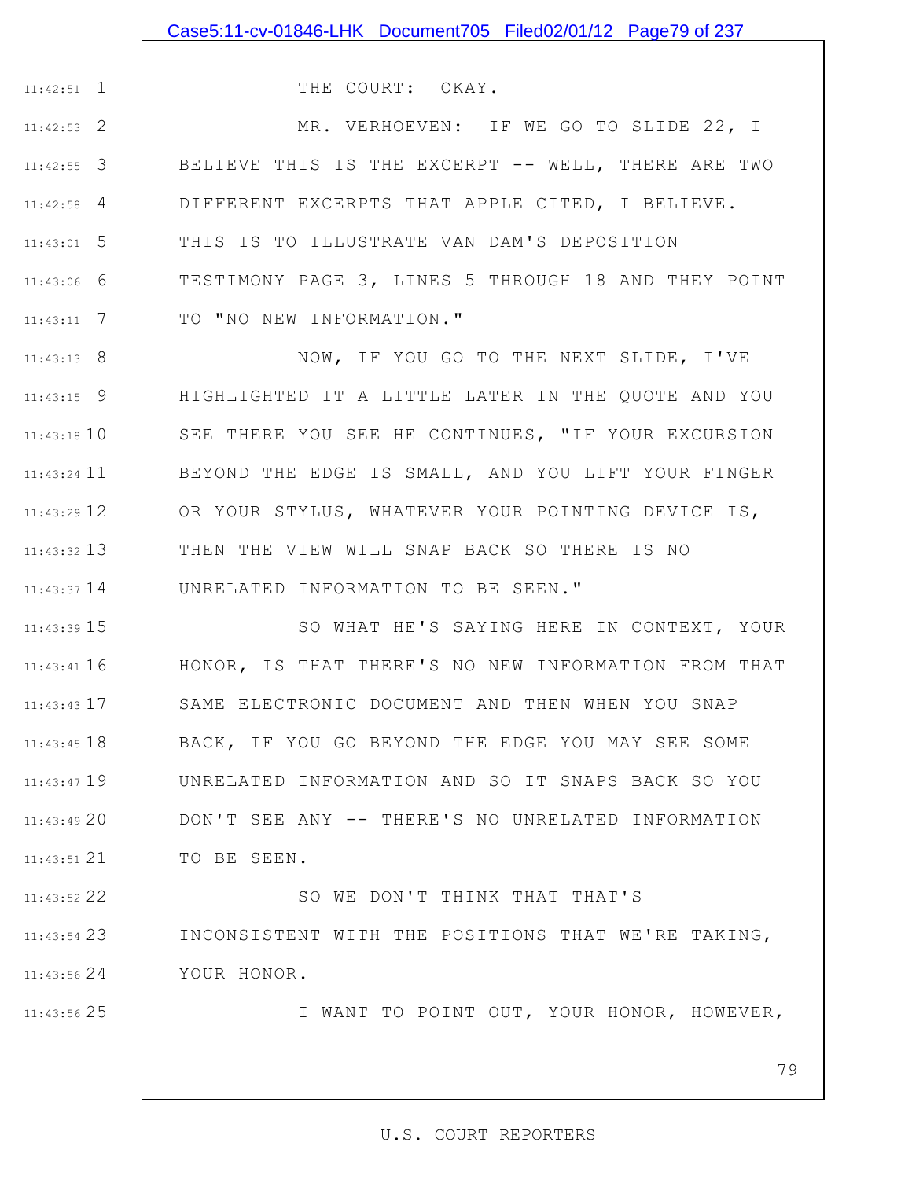1 11:42:51

25 11:43:56

THE COURT: OKAY.

2 11:42:53 3 11:42:55 4 11:42:58 5 11:43:01 6 11:43:06 7 11:43:11 MR. VERHOEVEN: IF WE GO TO SLIDE 22, I BELIEVE THIS IS THE EXCERPT -- WELL, THERE ARE TWO DIFFERENT EXCERPTS THAT APPLE CITED, I BELIEVE. THIS IS TO ILLUSTRATE VAN DAM'S DEPOSITION TESTIMONY PAGE 3, LINES 5 THROUGH 18 AND THEY POINT TO "NO NEW INFORMATION."

8 11:43:13 9 11:43:15 11:43:18 10 11 11:43:24 12 11:43:29 13 11:43:32 14 11:43:37 NOW, IF YOU GO TO THE NEXT SLIDE, I'VE HIGHLIGHTED IT A LITTLE LATER IN THE QUOTE AND YOU SEE THERE YOU SEE HE CONTINUES, "IF YOUR EXCURSION BEYOND THE EDGE IS SMALL, AND YOU LIFT YOUR FINGER OR YOUR STYLUS, WHATEVER YOUR POINTING DEVICE IS, THEN THE VIEW WILL SNAP BACK SO THERE IS NO UNRELATED INFORMATION TO BE SEEN."

15 11:43:39 16 11:43:41 17 11:43:43 11:43:45 18 11:43:47 19 20 11:43:49 21 11:43:51 SO WHAT HE'S SAYING HERE IN CONTEXT, YOUR HONOR, IS THAT THERE'S NO NEW INFORMATION FROM THAT SAME ELECTRONIC DOCUMENT AND THEN WHEN YOU SNAP BACK, IF YOU GO BEYOND THE EDGE YOU MAY SEE SOME UNRELATED INFORMATION AND SO IT SNAPS BACK SO YOU DON'T SEE ANY -- THERE'S NO UNRELATED INFORMATION TO BE SEEN.

22 11:43:52 23 11:43:54 24 11:43:56 SO WE DON'T THINK THAT THAT'S INCONSISTENT WITH THE POSITIONS THAT WE'RE TAKING, YOUR HONOR.

I WANT TO POINT OUT, YOUR HONOR, HOWEVER,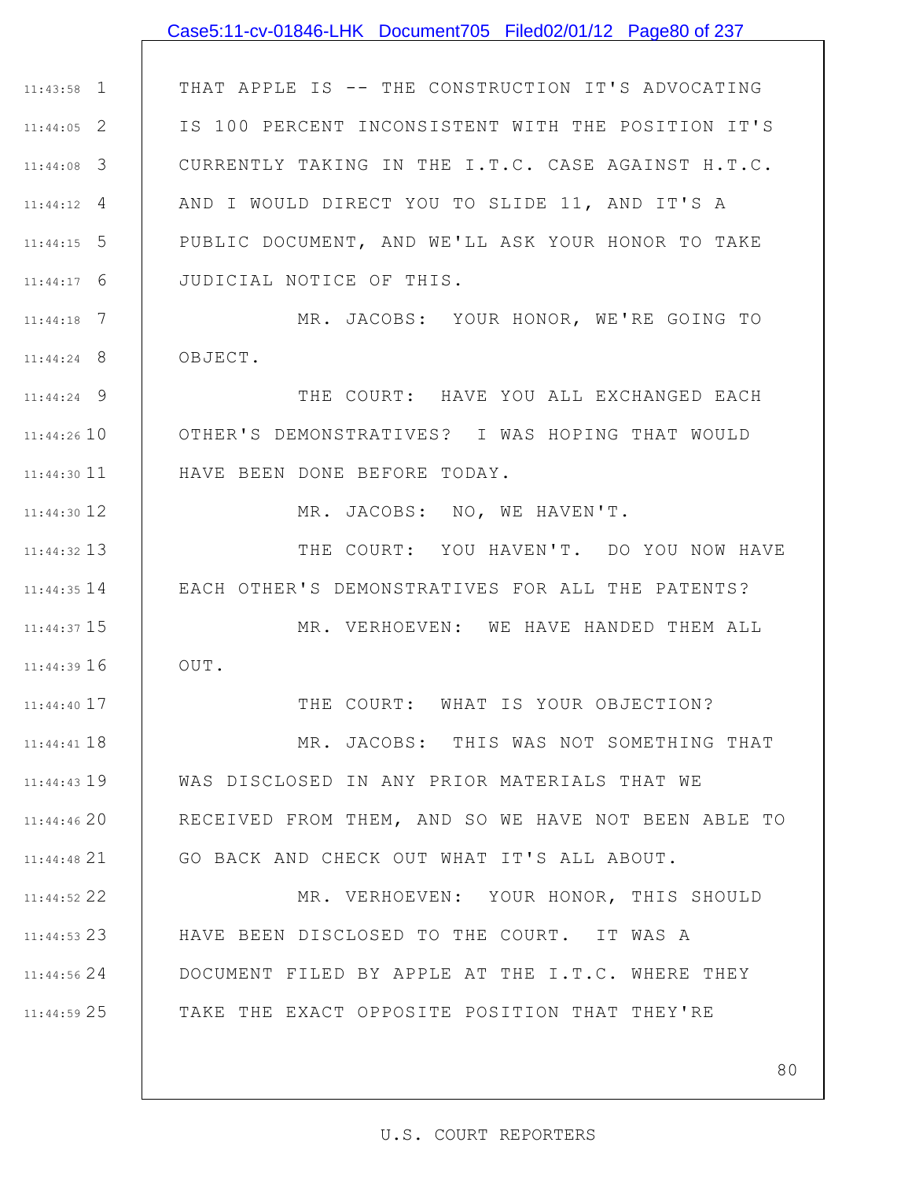# Case5:11-cv-01846-LHK Document705 Filed02/01/12 Page80 of 237

1 11:43:58 2 11:44:05 3 11:44:08 4 11:44:12 5 11:44:15 6 11:44:17 THAT APPLE IS -- THE CONSTRUCTION IT'S ADVOCATING IS 100 PERCENT INCONSISTENT WITH THE POSITION IT'S CURRENTLY TAKING IN THE I.T.C. CASE AGAINST H.T.C. AND I WOULD DIRECT YOU TO SLIDE 11, AND IT'S A PUBLIC DOCUMENT, AND WE'LL ASK YOUR HONOR TO TAKE JUDICIAL NOTICE OF THIS.

7 11:44:18 8 11:44:24 MR. JACOBS: YOUR HONOR, WE'RE GOING TO OBJECT.

9 11:44:24 11:44:26 10 11 11:44:30 THE COURT: HAVE YOU ALL EXCHANGED EACH OTHER'S DEMONSTRATIVES? I WAS HOPING THAT WOULD HAVE BEEN DONE BEFORE TODAY.

12 11:44:30

13 11:44:32

17 11:44:40

MR. JACOBS: NO, WE HAVEN'T.

11:44:35 14 | EACH OTHER'S DEMONSTRATIVES FOR ALL THE PATENTS? THE COURT: YOU HAVEN'T. DO YOU NOW HAVE

15 11:44:37 16 11:44:39 MR. VERHOEVEN: WE HAVE HANDED THEM ALL OUT.

THE COURT: WHAT IS YOUR OBJECTION?

11:44:41 18 11:44:43 19 20 11:44:46 21 11:44:48 MR. JACOBS: THIS WAS NOT SOMETHING THAT WAS DISCLOSED IN ANY PRIOR MATERIALS THAT WE RECEIVED FROM THEM, AND SO WE HAVE NOT BEEN ABLE TO GO BACK AND CHECK OUT WHAT IT'S ALL ABOUT.

22 11:44:52 23 11:44:53 24 11:44:56 25 11:44:59 MR. VERHOEVEN: YOUR HONOR, THIS SHOULD HAVE BEEN DISCLOSED TO THE COURT. IT WAS A DOCUMENT FILED BY APPLE AT THE I.T.C. WHERE THEY TAKE THE EXACT OPPOSITE POSITION THAT THEY'RE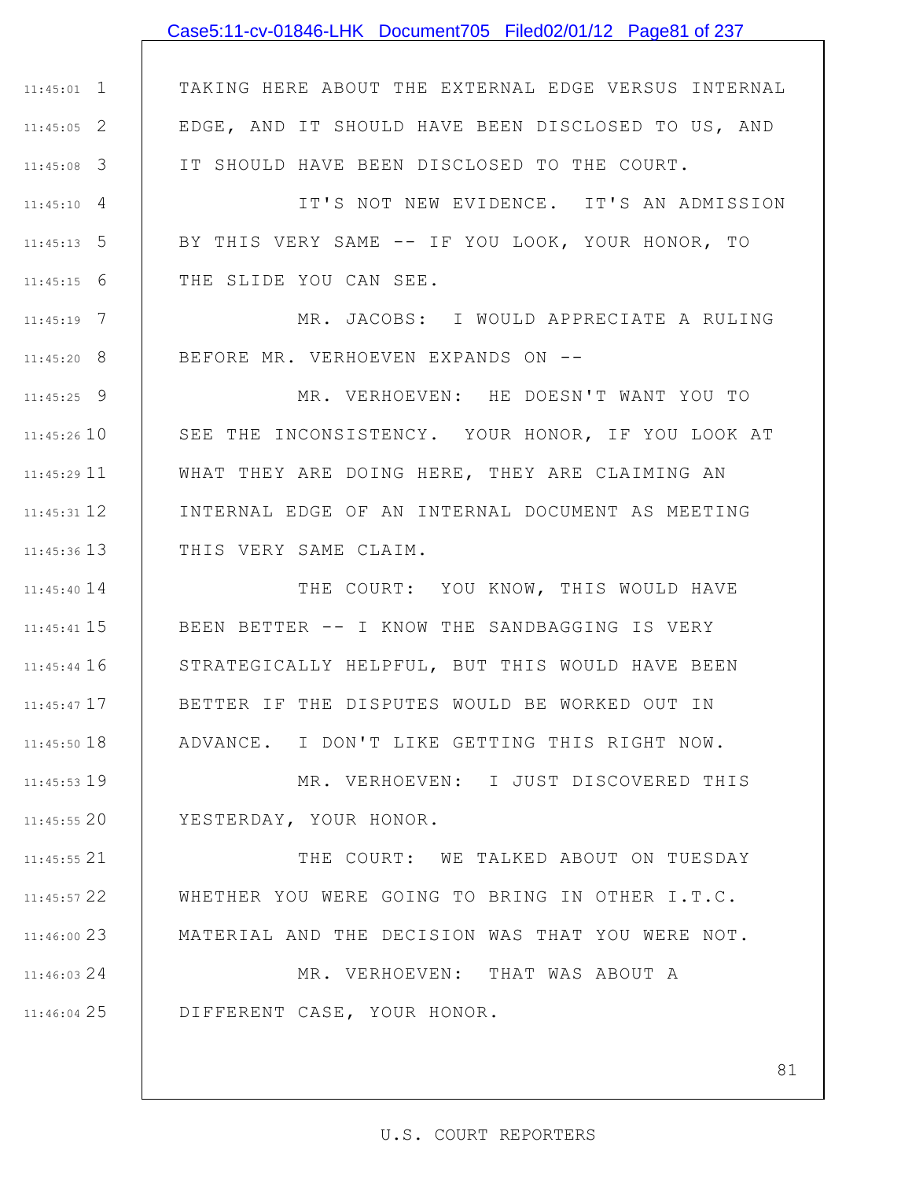## Case5:11-cv-01846-LHK Document705 Filed02/01/12 Page81 of 237

1 11:45:01 2 11:45:05 3 11:45:08 TAKING HERE ABOUT THE EXTERNAL EDGE VERSUS INTERNAL EDGE, AND IT SHOULD HAVE BEEN DISCLOSED TO US, AND IT SHOULD HAVE BEEN DISCLOSED TO THE COURT.

4 11:45:10 5 11:45:13 6 11:45:15 IT'S NOT NEW EVIDENCE. IT'S AN ADMISSION BY THIS VERY SAME -- IF YOU LOOK, YOUR HONOR, TO THE SLIDE YOU CAN SEE.

7 11:45:19 8 11:45:20 MR. JACOBS: I WOULD APPRECIATE A RULING BEFORE MR. VERHOEVEN EXPANDS ON --

9 11:45:25 11:45:26 10 11 11:45:29 12 11:45:31 13 11:45:36 MR. VERHOEVEN: HE DOESN'T WANT YOU TO SEE THE INCONSISTENCY. YOUR HONOR, IF YOU LOOK AT WHAT THEY ARE DOING HERE, THEY ARE CLAIMING AN INTERNAL EDGE OF AN INTERNAL DOCUMENT AS MEETING THIS VERY SAME CLAIM.

14 11:45:40 15 11:45:41 11:45:44 16 17 11:45:47 11:45:50 18 THE COURT: YOU KNOW, THIS WOULD HAVE BEEN BETTER -- I KNOW THE SANDBAGGING IS VERY STRATEGICALLY HELPFUL, BUT THIS WOULD HAVE BEEN BETTER IF THE DISPUTES WOULD BE WORKED OUT IN ADVANCE. I DON'T LIKE GETTING THIS RIGHT NOW.

19 11:45:53 20 11:45:55 MR. VERHOEVEN: I JUST DISCOVERED THIS YESTERDAY, YOUR HONOR.

21 11:45:55 22 11:45:57 23 11:46:00 THE COURT: WE TALKED ABOUT ON TUESDAY WHETHER YOU WERE GOING TO BRING IN OTHER I.T.C. MATERIAL AND THE DECISION WAS THAT YOU WERE NOT.

24 11:46:03 25 11:46:04 MR. VERHOEVEN: THAT WAS ABOUT A DIFFERENT CASE, YOUR HONOR.

#### U.S. COURT REPORTERS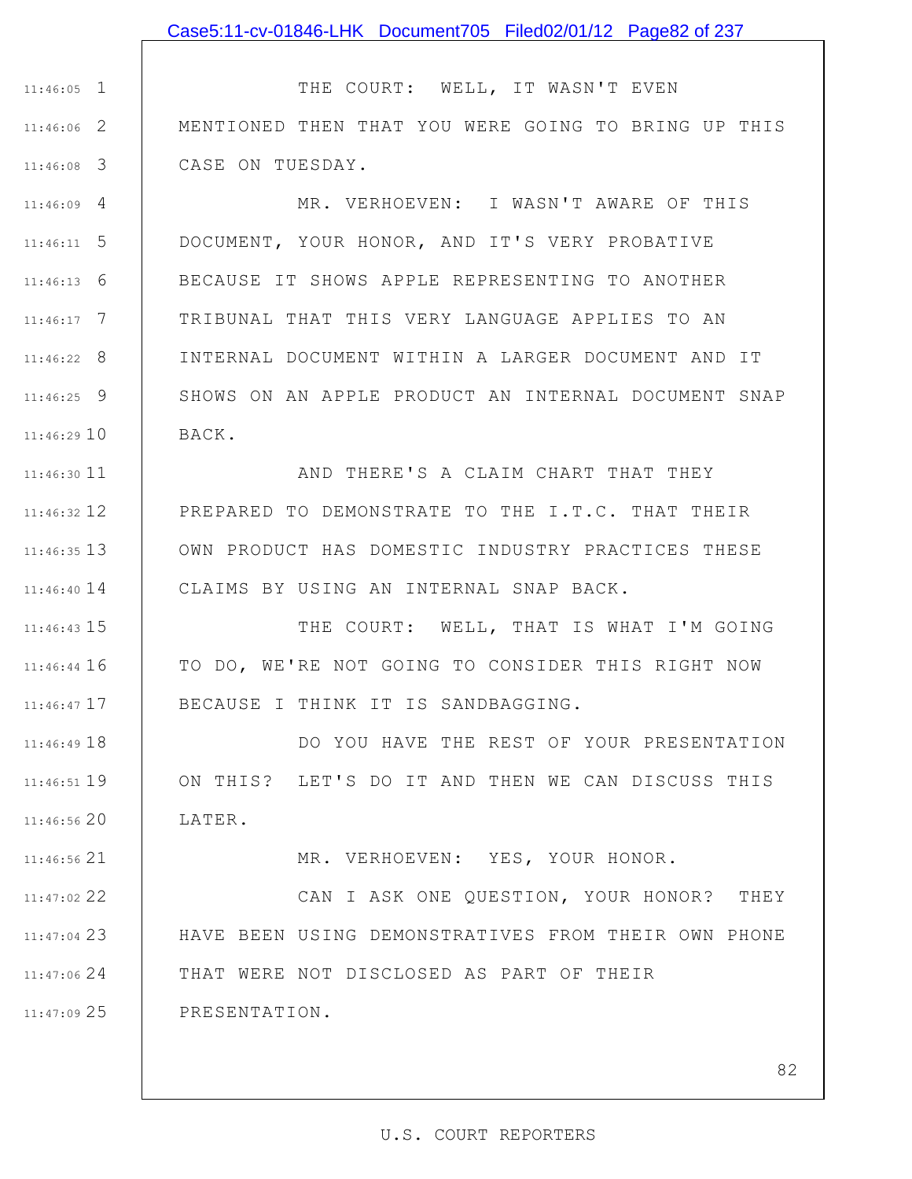1 11:46:05 2 11:46:06 3 11:46:08 THE COURT: WELL, IT WASN'T EVEN MENTIONED THEN THAT YOU WERE GOING TO BRING UP THIS CASE ON TUESDAY.

4 11:46:09 5 11:46:11 6 11:46:13 7 11:46:17 8 11:46:22 9 11:46:25 11:46:29 10 MR. VERHOEVEN: I WASN'T AWARE OF THIS DOCUMENT, YOUR HONOR, AND IT'S VERY PROBATIVE BECAUSE IT SHOWS APPLE REPRESENTING TO ANOTHER TRIBUNAL THAT THIS VERY LANGUAGE APPLIES TO AN INTERNAL DOCUMENT WITHIN A LARGER DOCUMENT AND IT SHOWS ON AN APPLE PRODUCT AN INTERNAL DOCUMENT SNAP BACK.

11 11:46:30 12 11:46:32 13 11:46:35 14 11:46:40 AND THERE'S A CLAIM CHART THAT THEY PREPARED TO DEMONSTRATE TO THE I.T.C. THAT THEIR OWN PRODUCT HAS DOMESTIC INDUSTRY PRACTICES THESE CLAIMS BY USING AN INTERNAL SNAP BACK.

15 11:46:43 11:46:44 16 17 11:46:47 THE COURT: WELL, THAT IS WHAT I'M GOING TO DO, WE'RE NOT GOING TO CONSIDER THIS RIGHT NOW BECAUSE I THINK IT IS SANDBAGGING.

11:46:49 18 19 11:46:51 20 11:46:56 DO YOU HAVE THE REST OF YOUR PRESENTATION ON THIS? LET'S DO IT AND THEN WE CAN DISCUSS THIS LATER.

MR. VERHOEVEN: YES, YOUR HONOR.

22 11:47:02 23 11:47:04 24 11:47:06 25 11:47:09 CAN I ASK ONE QUESTION, YOUR HONOR? THEY HAVE BEEN USING DEMONSTRATIVES FROM THEIR OWN PHONE THAT WERE NOT DISCLOSED AS PART OF THEIR PRESENTATION.

21 11:46:56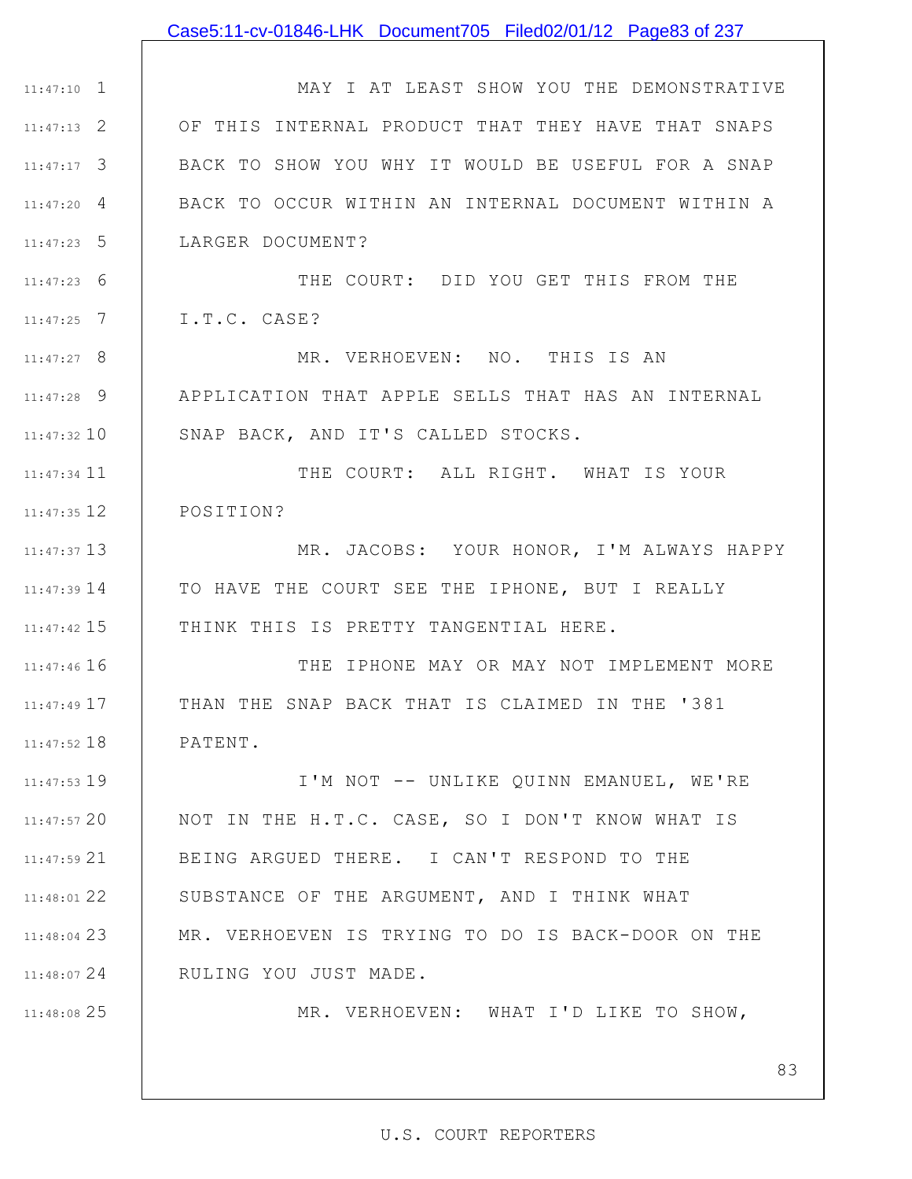### Case5:11-cv-01846-LHK Document705 Filed02/01/12 Page83 of 237

1 11:47:10 2 11:47:13 3 11:47:17 4 11:47:20 5 11:47:23 MAY I AT LEAST SHOW YOU THE DEMONSTRATIVE OF THIS INTERNAL PRODUCT THAT THEY HAVE THAT SNAPS BACK TO SHOW YOU WHY IT WOULD BE USEFUL FOR A SNAP BACK TO OCCUR WITHIN AN INTERNAL DOCUMENT WITHIN A LARGER DOCUMENT?

6 11:47:23 7 11:47:25 THE COURT: DID YOU GET THIS FROM THE I.T.C. CASE?

8 11:47:27 9 11:47:28 11:47:32 10 MR. VERHOEVEN: NO. THIS IS AN APPLICATION THAT APPLE SELLS THAT HAS AN INTERNAL SNAP BACK, AND IT'S CALLED STOCKS.

11 11:47:34 12 11:47:35 THE COURT: ALL RIGHT. WHAT IS YOUR POSITION?

13 11:47:37 14 11:47:39 15 11:47:42 MR. JACOBS: YOUR HONOR, I'M ALWAYS HAPPY TO HAVE THE COURT SEE THE IPHONE, BUT I REALLY THINK THIS IS PRETTY TANGENTIAL HERE.

11:47:46 16 17 11:47:49 11:47:52 18 THE IPHONE MAY OR MAY NOT IMPLEMENT MORE THAN THE SNAP BACK THAT IS CLAIMED IN THE '381 PATENT.

11:47:53 19 20 11:47:57 21 11:47:59 22 11:48:01 23 11:48:04 MR. VERHOEVEN IS TRYING TO DO IS BACK-DOOR ON THE 24 11:48:07 I'M NOT -- UNLIKE QUINN EMANUEL, WE'RE NOT IN THE H.T.C. CASE, SO I DON'T KNOW WHAT IS BEING ARGUED THERE. I CAN'T RESPOND TO THE SUBSTANCE OF THE ARGUMENT, AND I THINK WHAT RULING YOU JUST MADE.

25 11:48:08

MR. VERHOEVEN: WHAT I'D LIKE TO SHOW,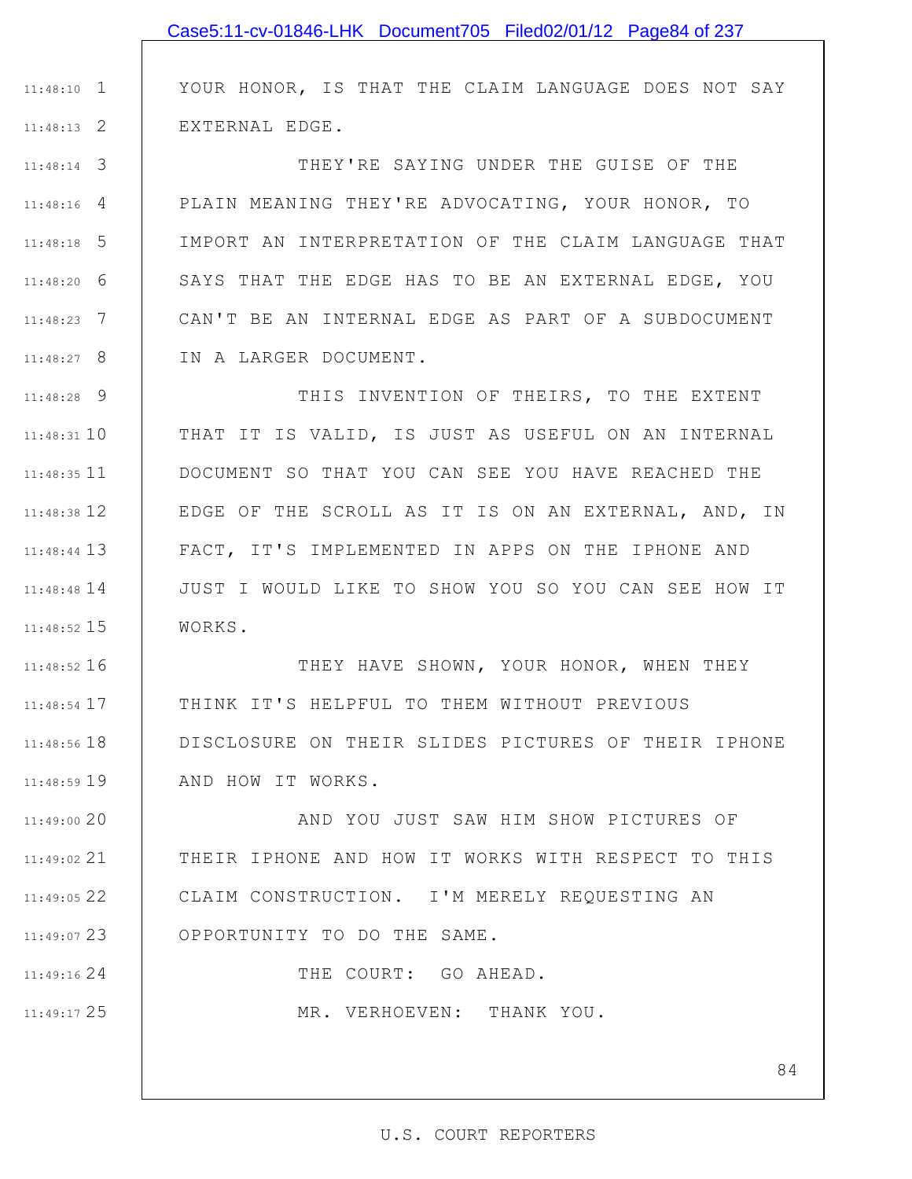YOUR HONOR, IS THAT THE CLAIM LANGUAGE DOES NOT SAY EXTERNAL EDGE.

3 11:48:14 4 11:48:16 5 11:48:18 6 11:48:20 7 11:48:23 8 11:48:27 THEY'RE SAYING UNDER THE GUISE OF THE PLAIN MEANING THEY'RE ADVOCATING, YOUR HONOR, TO IMPORT AN INTERPRETATION OF THE CLAIM LANGUAGE THAT SAYS THAT THE EDGE HAS TO BE AN EXTERNAL EDGE, YOU CAN'T BE AN INTERNAL EDGE AS PART OF A SUBDOCUMENT IN A LARGER DOCUMENT.

9 11:48:28 11:48:31 10 11 11:48:35 12 11:48:38 13 11:48:44 14 11:48:48 15 11:48:52 THIS INVENTION OF THEIRS, TO THE EXTENT THAT IT IS VALID, IS JUST AS USEFUL ON AN INTERNAL DOCUMENT SO THAT YOU CAN SEE YOU HAVE REACHED THE EDGE OF THE SCROLL AS IT IS ON AN EXTERNAL, AND, IN FACT, IT'S IMPLEMENTED IN APPS ON THE IPHONE AND JUST I WOULD LIKE TO SHOW YOU SO YOU CAN SEE HOW IT WORKS.

16 11:48:52 17 11:48:54 11:48:56 18 11:48:59 19 THEY HAVE SHOWN, YOUR HONOR, WHEN THEY THINK IT'S HELPFUL TO THEM WITHOUT PREVIOUS DISCLOSURE ON THEIR SLIDES PICTURES OF THEIR IPHONE AND HOW IT WORKS.

20 11:49:00 21 11:49:02 22 11:49:05 23 11:49:07 AND YOU JUST SAW HIM SHOW PICTURES OF THEIR IPHONE AND HOW IT WORKS WITH RESPECT TO THIS CLAIM CONSTRUCTION. I'M MERELY REQUESTING AN OPPORTUNITY TO DO THE SAME.

THE COURT: GO AHEAD.

MR. VERHOEVEN: THANK YOU.

24 11:49:16

25 11:49:17

1 11:48:10

2 11:48:13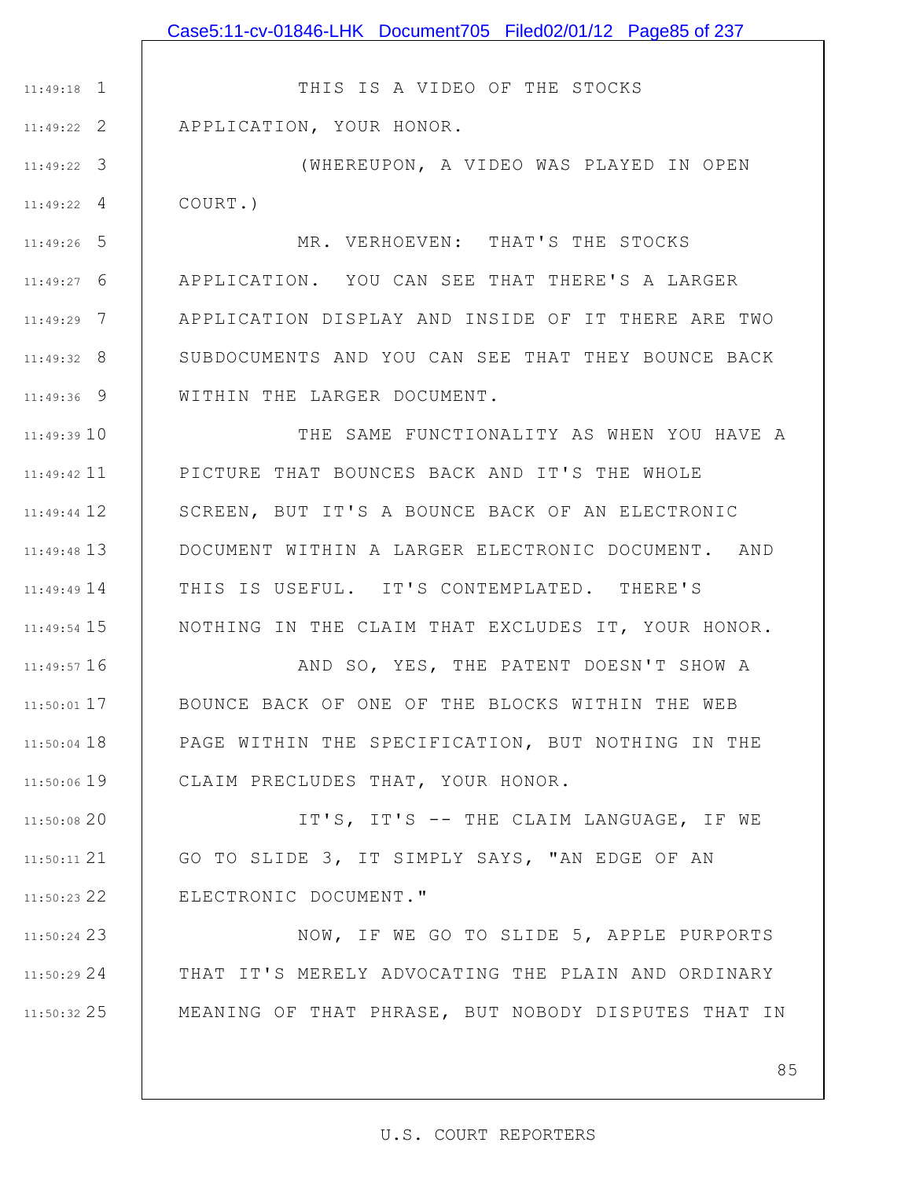1 11:49:18 2 11:49:22 THIS IS A VIDEO OF THE STOCKS APPLICATION, YOUR HONOR.

3 11:49:22 4 11:49:22 (WHEREUPON, A VIDEO WAS PLAYED IN OPEN COURT.)

5 11:49:26 6 11:49:27 7 11:49:29 8 11:49:32 9 11:49:36 MR. VERHOEVEN: THAT'S THE STOCKS APPLICATION. YOU CAN SEE THAT THERE'S A LARGER APPLICATION DISPLAY AND INSIDE OF IT THERE ARE TWO SUBDOCUMENTS AND YOU CAN SEE THAT THEY BOUNCE BACK WITHIN THE LARGER DOCUMENT.

11:49:39 10 11 11:49:42 12 11:49:44 13 11:49:48 14 11:49:49 15 11:49:54 THE SAME FUNCTIONALITY AS WHEN YOU HAVE A PICTURE THAT BOUNCES BACK AND IT'S THE WHOLE SCREEN, BUT IT'S A BOUNCE BACK OF AN ELECTRONIC DOCUMENT WITHIN A LARGER ELECTRONIC DOCUMENT. AND THIS IS USEFUL. IT'S CONTEMPLATED. THERE'S NOTHING IN THE CLAIM THAT EXCLUDES IT, YOUR HONOR.

16 11:49:57 17 11:50:01 11:50:04 18 11:50:06 19 AND SO, YES, THE PATENT DOESN'T SHOW A BOUNCE BACK OF ONE OF THE BLOCKS WITHIN THE WEB PAGE WITHIN THE SPECIFICATION, BUT NOTHING IN THE CLAIM PRECLUDES THAT, YOUR HONOR.

11:50:08 20 21 11:50:11 22 11:50:23 IT'S, IT'S -- THE CLAIM LANGUAGE, IF WE GO TO SLIDE 3, IT SIMPLY SAYS, "AN EDGE OF AN ELECTRONIC DOCUMENT."

23 11:50:24 24 11:50:29 25 11:50:32 NOW, IF WE GO TO SLIDE 5, APPLE PURPORTS THAT IT'S MERELY ADVOCATING THE PLAIN AND ORDINARY MEANING OF THAT PHRASE, BUT NOBODY DISPUTES THAT IN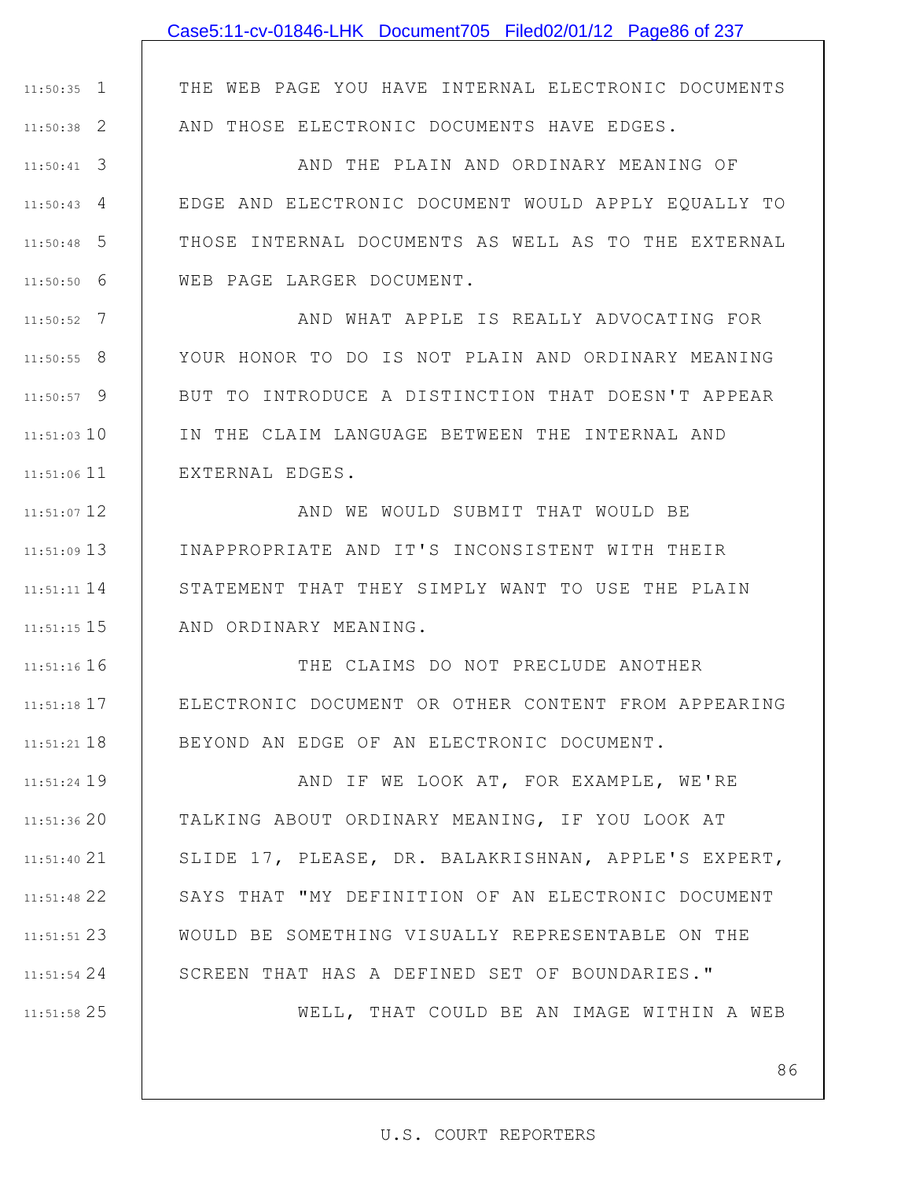1 11:50:35

2 11:50:38

3 11:50:41

4 11:50:43

5 11:50:48

6 11:50:50

7 11:50:52

8 11:50:55

9 11:50:57

11:51:03 10

11 11:51:06

12 11:51:07

13 11:51:09

14 11:51:11

15 11:51:15

11:51:16 16

17 11:51:18

11:51:21 18

19 11:51:24

20 11:51:36

21 11:51:40

22 11:51:48

23 11:51:51

24 11:51:54

25 11:51:58

THE WEB PAGE YOU HAVE INTERNAL ELECTRONIC DOCUMENTS AND THOSE ELECTRONIC DOCUMENTS HAVE EDGES.

AND THE PLAIN AND ORDINARY MEANING OF EDGE AND ELECTRONIC DOCUMENT WOULD APPLY EQUALLY TO THOSE INTERNAL DOCUMENTS AS WELL AS TO THE EXTERNAL WEB PAGE LARGER DOCUMENT.

AND WHAT APPLE IS REALLY ADVOCATING FOR YOUR HONOR TO DO IS NOT PLAIN AND ORDINARY MEANING BUT TO INTRODUCE A DISTINCTION THAT DOESN'T APPEAR IN THE CLAIM LANGUAGE BETWEEN THE INTERNAL AND EXTERNAL EDGES.

AND WE WOULD SUBMIT THAT WOULD BE INAPPROPRIATE AND IT'S INCONSISTENT WITH THEIR STATEMENT THAT THEY SIMPLY WANT TO USE THE PLAIN AND ORDINARY MEANING.

THE CLAIMS DO NOT PRECLUDE ANOTHER ELECTRONIC DOCUMENT OR OTHER CONTENT FROM APPEARING BEYOND AN EDGE OF AN ELECTRONIC DOCUMENT.

AND IF WE LOOK AT, FOR EXAMPLE, WE'RE TALKING ABOUT ORDINARY MEANING, IF YOU LOOK AT SLIDE 17, PLEASE, DR. BALAKRISHNAN, APPLE'S EXPERT, SAYS THAT "MY DEFINITION OF AN ELECTRONIC DOCUMENT WOULD BE SOMETHING VISUALLY REPRESENTABLE ON THE SCREEN THAT HAS A DEFINED SET OF BOUNDARIES."

WELL, THAT COULD BE AN IMAGE WITHIN A WEB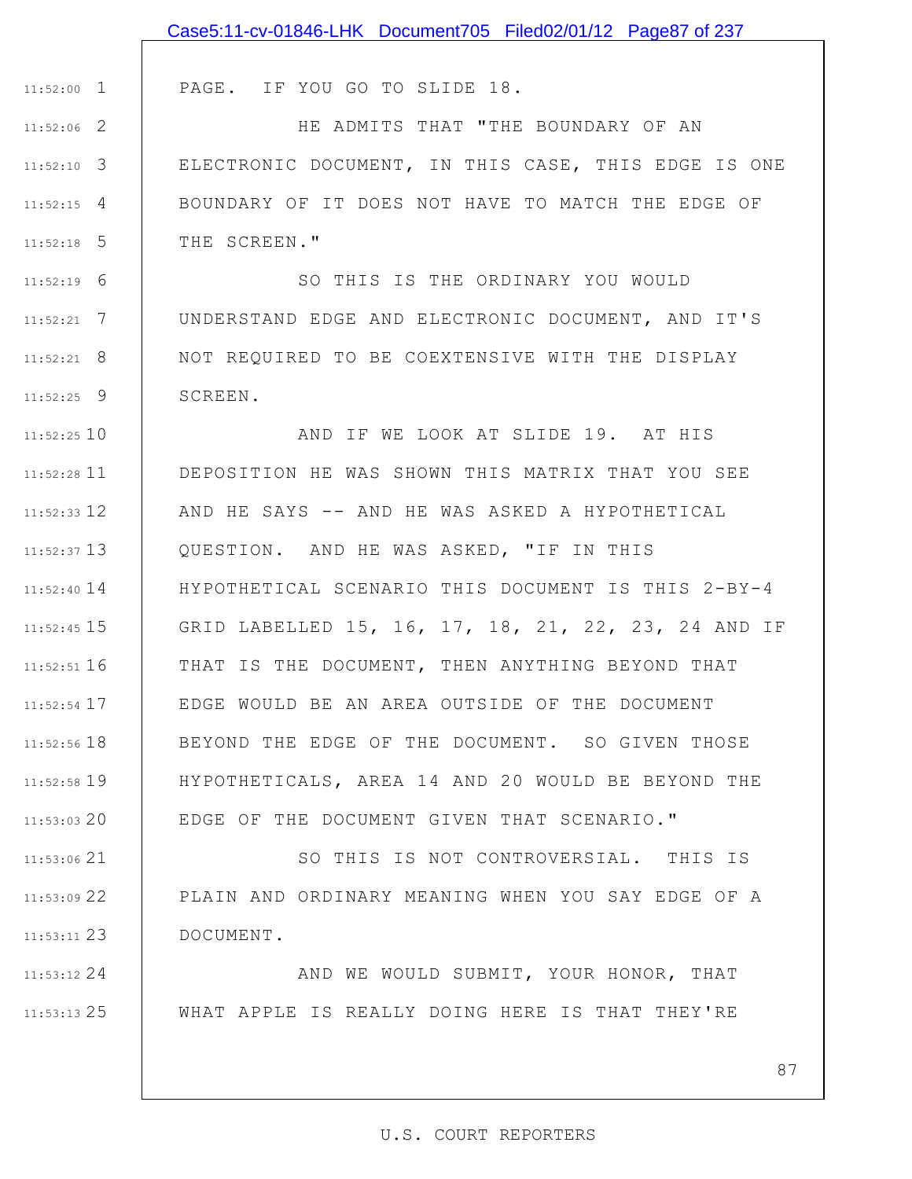|               | Case5:11-cv-01846-LHK Document705 Filed02/01/12 Page87 of 237 |
|---------------|---------------------------------------------------------------|
|               |                                                               |
| $11:52:00$ 1  | PAGE. IF YOU GO TO SLIDE 18.                                  |
| $11:52:06$ 2  | HE ADMITS THAT "THE BOUNDARY OF AN                            |
| $11:52:10$ 3  | ELECTRONIC DOCUMENT, IN THIS CASE, THIS EDGE IS ONE           |
| $11:52:15$ 4  | BOUNDARY OF IT DOES NOT HAVE TO MATCH THE EDGE OF             |
| $11:52:18$ 5  | THE SCREEN."                                                  |
| $11:52:19$ 6  | SO THIS IS THE ORDINARY YOU WOULD                             |
| $11:52:21$ 7  | UNDERSTAND EDGE AND ELECTRONIC DOCUMENT, AND IT'S             |
| $11:52:21$ 8  | NOT REQUIRED TO BE COEXTENSIVE WITH THE DISPLAY               |
| $11:52:25$ 9  | SCREEN.                                                       |
| 11:52:25 10   | AND IF WE LOOK AT SLIDE 19. AT HIS                            |
| $11:52:28$ 11 | DEPOSITION HE WAS SHOWN THIS MATRIX THAT YOU SEE              |
| $11:52:33$ 12 | AND HE SAYS -- AND HE WAS ASKED A HYPOTHETICAL                |
| $11:52:37$ 13 | QUESTION. AND HE WAS ASKED, "IF IN THIS                       |
| $11:52:40$ 14 | HYPOTHETICAL SCENARIO THIS DOCUMENT IS THIS 2-BY-4            |
| 11:52:45 15   | GRID LABELLED 15, 16, 17, 18, 21, 22, 23, 24 AND IF           |
| $11:52:51$ 16 | THAT IS THE DOCUMENT, THEN ANYTHING BEYOND THAT               |
| 11:52:54 17   | EDGE WOULD BE AN AREA OUTSIDE OF THE DOCUMENT                 |
| $11:52:56$ 18 | BEYOND THE EDGE OF THE DOCUMENT. SO GIVEN THOSE               |
| 11:52:58 19   | HYPOTHETICALS, AREA 14 AND 20 WOULD BE BEYOND THE             |
| $11:53:03$ 20 | EDGE OF THE DOCUMENT GIVEN THAT SCENARIO."                    |
| 11:53:06 21   | SO THIS IS NOT CONTROVERSIAL. THIS IS                         |
| 11:53:09 22   | PLAIN AND ORDINARY MEANING WHEN YOU SAY EDGE OF A             |
| 11:53:11 23   | DOCUMENT.                                                     |
| $11:53:12$ 24 | AND WE WOULD SUBMIT, YOUR HONOR, THAT                         |
| $11:53:13$ 25 | WHAT APPLE IS REALLY DOING HERE IS THAT THEY'RE               |
|               |                                                               |
|               | 87                                                            |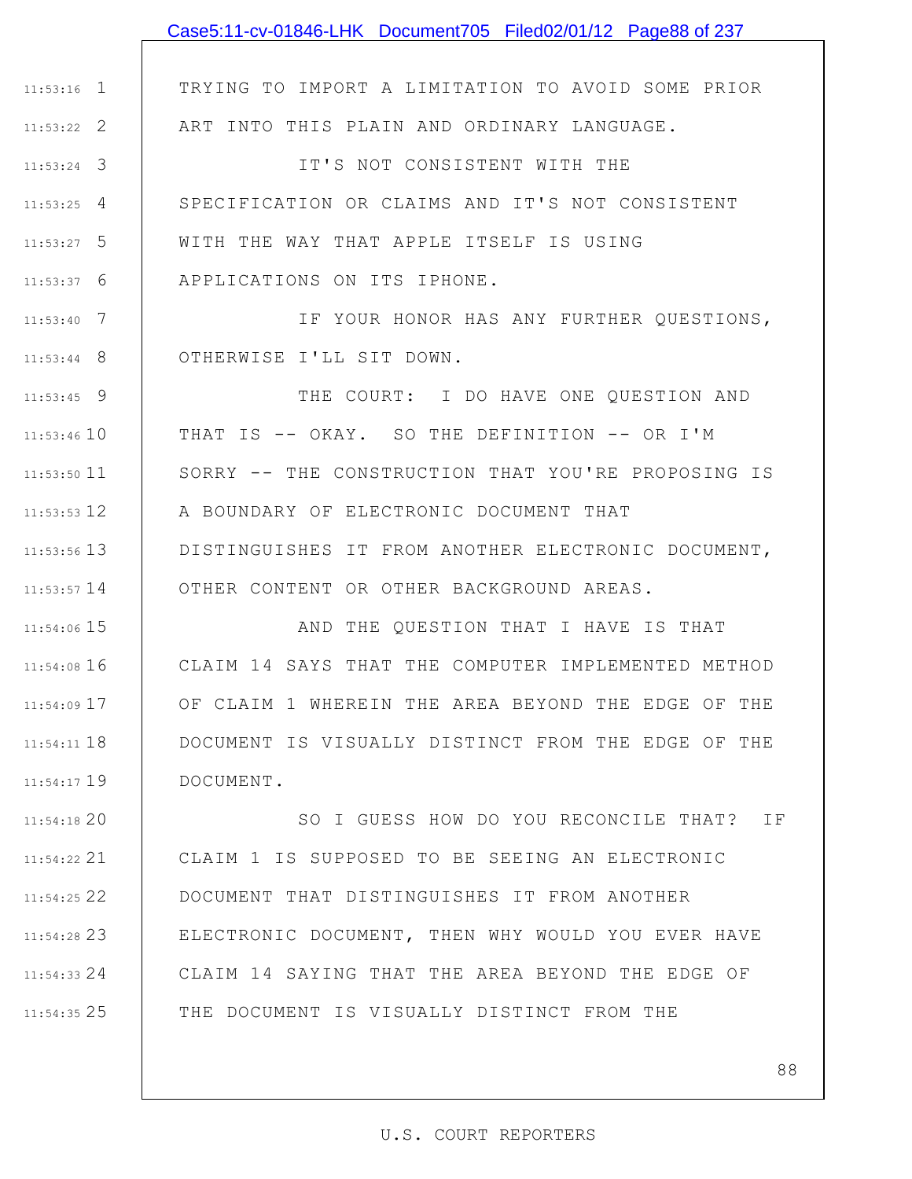|                 | Case5:11-cv-01846-LHK Document705 Filed02/01/12 Page88 of 237 |
|-----------------|---------------------------------------------------------------|
|                 |                                                               |
| $11:53:16$ 1    | TRYING TO IMPORT A LIMITATION TO AVOID SOME PRIOR             |
| $11:53:22$ 2    | ART INTO THIS PLAIN AND ORDINARY LANGUAGE.                    |
| $11:53:24$ 3    | IT'S NOT CONSISTENT WITH THE                                  |
| $11:53:25$ 4    | SPECIFICATION OR CLAIMS AND IT'S NOT CONSISTENT               |
| $11:53:27$ 5    | WITH THE WAY THAT APPLE ITSELF IS USING                       |
| $11:53:37$ 6    | APPLICATIONS ON ITS IPHONE.                                   |
| $11:53:40$ 7    | IF YOUR HONOR HAS ANY FURTHER QUESTIONS,                      |
| $11:53:44$ 8    | OTHERWISE I'LL SIT DOWN.                                      |
| $11:53:45$ 9    | THE COURT: I DO HAVE ONE QUESTION AND                         |
| $11:53:46$ 10   | THAT IS -- OKAY. SO THE DEFINITION -- OR I'M                  |
| $11:53:50$ 11   | SORRY -- THE CONSTRUCTION THAT YOU'RE PROPOSING IS            |
| $11:53:53$ 12   | A BOUNDARY OF ELECTRONIC DOCUMENT THAT                        |
| $11:53:56$ 13   | DISTINGUISHES IT FROM ANOTHER ELECTRONIC DOCUMENT,            |
| $11:53:57$ 14   | OTHER CONTENT OR OTHER BACKGROUND AREAS.                      |
| $11:54:06$ 15   | AND THE QUESTION THAT I HAVE IS THAT                          |
| $11:54:08$ 16   | CLAIM 14 SAYS THAT THE COMPUTER IMPLEMENTED METHOD            |
| 11:54:09 17     | OF CLAIM 1 WHEREIN THE AREA BEYOND THE EDGE OF THE            |
| $11:54:11$ $18$ | DOCUMENT IS VISUALLY DISTINCT FROM THE EDGE OF THE            |
| $11:54:17$ 19   | DOCUMENT.                                                     |
| 11:54:1820      | SO I GUESS HOW DO YOU RECONCILE THAT? IF                      |
| 11:54:22 21     | CLAIM 1 IS SUPPOSED TO BE SEEING AN ELECTRONIC                |
| $11:54:25$ 22   | DOCUMENT THAT DISTINGUISHES IT FROM ANOTHER                   |
| $11:54:28$ 23   | ELECTRONIC DOCUMENT, THEN WHY WOULD YOU EVER HAVE             |
| $11:54:33$ 24   | CLAIM 14 SAYING THAT THE AREA BEYOND THE EDGE OF              |
| 11:54:35 25     | THE DOCUMENT IS VISUALLY DISTINCT FROM THE                    |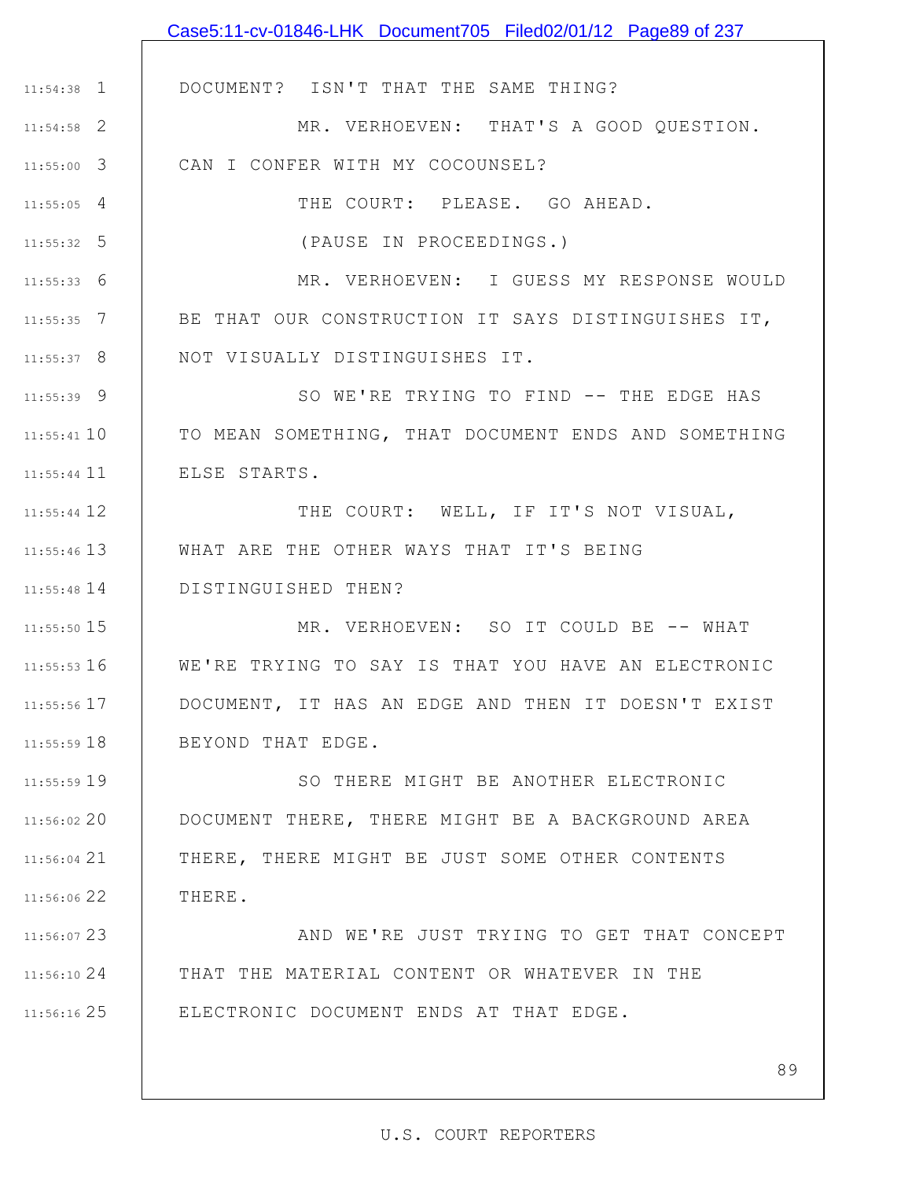|               | Case5:11-cv-01846-LHK Document705 Filed02/01/12 Page89 of 237 |
|---------------|---------------------------------------------------------------|
|               |                                                               |
| $11:54:38$ 1  | DOCUMENT? ISN'T THAT THE SAME THING?                          |
| $11:54:58$ 2  | MR. VERHOEVEN: THAT'S A GOOD QUESTION.                        |
| $11:55:00$ 3  | CAN I CONFER WITH MY COCOUNSEL?                               |
| $11:55:05$ 4  | THE COURT: PLEASE. GO AHEAD.                                  |
| $11:55:32$ 5  | (PAUSE IN PROCEEDINGS.)                                       |
| $11:55:33$ 6  | MR. VERHOEVEN: I GUESS MY RESPONSE WOULD                      |
| $11:55:35$ 7  | BE THAT OUR CONSTRUCTION IT SAYS DISTINGUISHES IT,            |
| $11:55:37$ 8  | NOT VISUALLY DISTINGUISHES IT.                                |
| $11:55:39$ 9  | SO WE'RE TRYING TO FIND -- THE EDGE HAS                       |
| $11:55:41$ 10 | TO MEAN SOMETHING, THAT DOCUMENT ENDS AND SOMETHING           |
| $11:55:44$ 11 | ELSE STARTS.                                                  |
| 11:55:44 12   | THE COURT: WELL, IF IT'S NOT VISUAL,                          |
| $11:55:46$ 13 | WHAT ARE THE OTHER WAYS THAT IT'S BEING                       |
| $11:55:48$ 14 | DISTINGUISHED THEN?                                           |
| 11:55:50 15   | MR. VERHOEVEN: SO IT COULD BE -- WHAT                         |
| $11:55:53$ 16 | WE'RE TRYING TO SAY IS THAT YOU HAVE AN ELECTRONIC            |
| $11:55:56$ 17 | DOCUMENT, IT HAS AN EDGE AND THEN IT DOESN'T EXIST            |
| $11:55:59$ 18 | BEYOND THAT EDGE.                                             |
| 11:55:59 19   | SO THERE MIGHT BE ANOTHER ELECTRONIC                          |
| 11:56:02 20   | DOCUMENT THERE, THERE MIGHT BE A BACKGROUND AREA              |
| $11:56:04$ 21 | THERE, THERE MIGHT BE JUST SOME OTHER CONTENTS                |
| 11:56:06 22   | THERE.                                                        |
| 11:56:07 23   | AND WE'RE JUST TRYING TO GET THAT CONCEPT                     |
| 11:56:1024    | THAT THE MATERIAL CONTENT OR WHATEVER IN THE                  |
| $11:56:16$ 25 | ELECTRONIC DOCUMENT ENDS AT THAT EDGE.                        |
|               |                                                               |
|               | 89                                                            |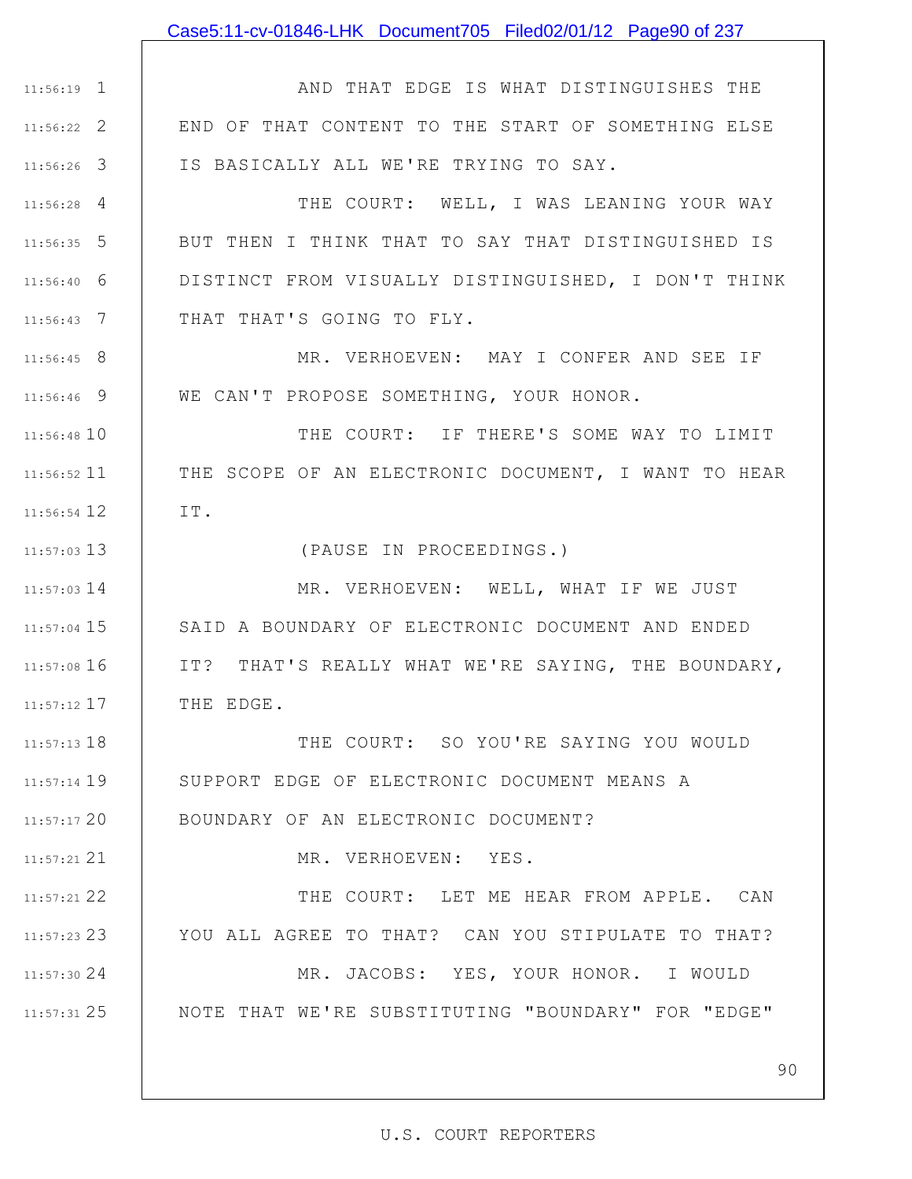### Case5:11-cv-01846-LHK Document705 Filed02/01/12 Page90 of 237

1 11:56:19 2 11:56:22 3 11:56:26 AND THAT EDGE IS WHAT DISTINGUISHES THE END OF THAT CONTENT TO THE START OF SOMETHING ELSE IS BASICALLY ALL WE'RE TRYING TO SAY.

4 11:56:28 5 11:56:35 6 11:56:40 7 11:56:43 THE COURT: WELL, I WAS LEANING YOUR WAY BUT THEN I THINK THAT TO SAY THAT DISTINGUISHED IS DISTINCT FROM VISUALLY DISTINGUISHED, I DON'T THINK THAT THAT'S GOING TO FLY.

8 11:56:45 9 11:56:46 MR. VERHOEVEN: MAY I CONFER AND SEE IF WE CAN'T PROPOSE SOMETHING, YOUR HONOR.

11:56:48 10 11 11:56:52 12 11:56:54 THE COURT: IF THERE'S SOME WAY TO LIMIT THE SCOPE OF AN ELECTRONIC DOCUMENT, I WANT TO HEAR IT.

(PAUSE IN PROCEEDINGS.)

14 11:57:03 15 11:57:04 11:57:08 16 17 11:57:12 MR. VERHOEVEN: WELL, WHAT IF WE JUST SAID A BOUNDARY OF ELECTRONIC DOCUMENT AND ENDED IT? THAT'S REALLY WHAT WE'RE SAYING, THE BOUNDARY, THE EDGE.

13 11:57:03

21 11:57:21

11:57:13 18 11:57:14 19 20 11:57:17 THE COURT: SO YOU'RE SAYING YOU WOULD SUPPORT EDGE OF ELECTRONIC DOCUMENT MEANS A BOUNDARY OF AN ELECTRONIC DOCUMENT?

MR. VERHOEVEN: YES.

22 11:57:21 23 11:57:23 24 11:57:30 25 11:57:31 THE COURT: LET ME HEAR FROM APPLE. CAN YOU ALL AGREE TO THAT? CAN YOU STIPULATE TO THAT? MR. JACOBS: YES, YOUR HONOR. I WOULD NOTE THAT WE'RE SUBSTITUTING "BOUNDARY" FOR "EDGE"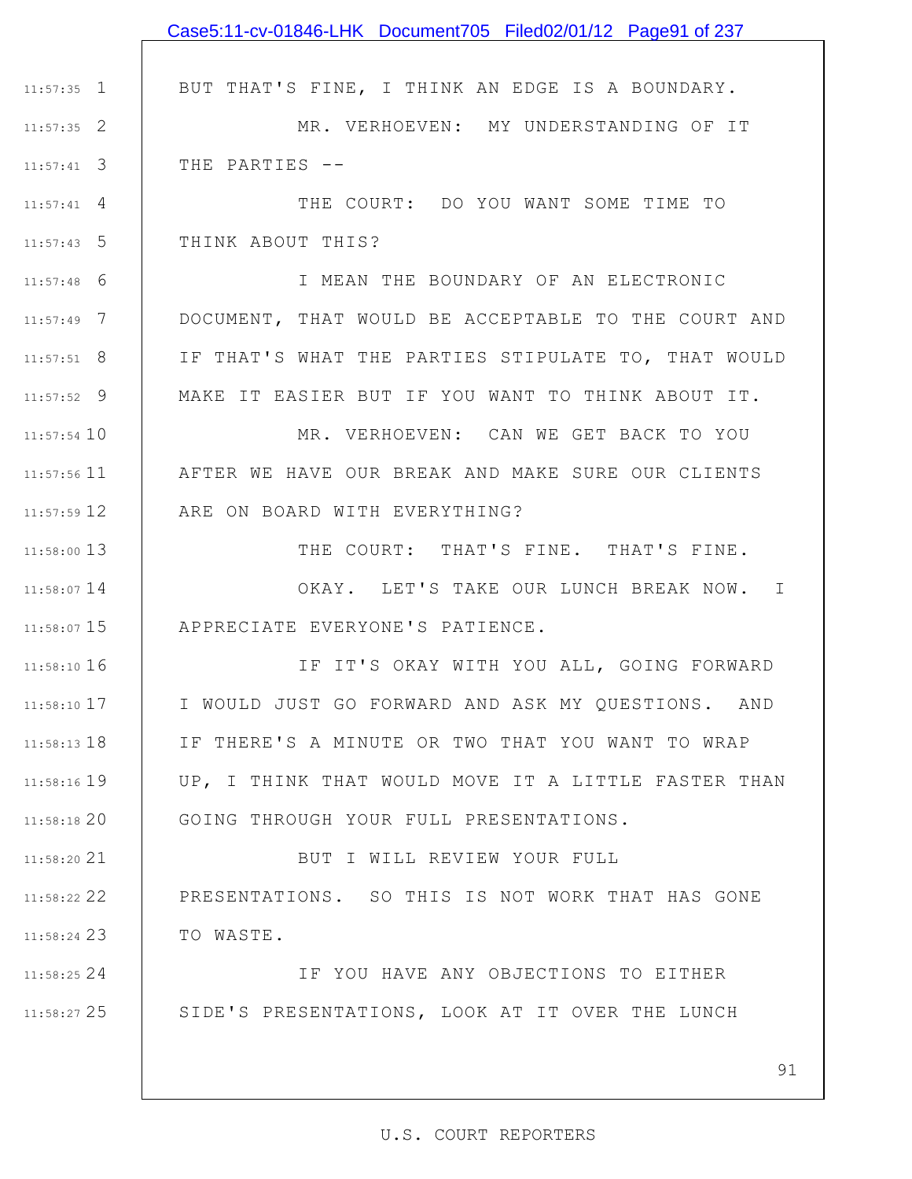|                    | Case5:11-cv-01846-LHK Document705 Filed02/01/12 Page91 of 237 |
|--------------------|---------------------------------------------------------------|
|                    |                                                               |
| $11:57:35$ 1       | BUT THAT'S FINE, I THINK AN EDGE IS A BOUNDARY.               |
| $11:57:35$ 2       | MR. VERHOEVEN: MY UNDERSTANDING OF IT                         |
| $11:57:41$ 3       | THE PARTIES --                                                |
| $11:57:41 \quad 4$ | THE COURT: DO YOU WANT SOME TIME TO                           |
| $11:57:43$ 5       | THINK ABOUT THIS?                                             |
| $11:57:48$ 6       | I MEAN THE BOUNDARY OF AN ELECTRONIC                          |
| $11:57:49$ 7       | DOCUMENT, THAT WOULD BE ACCEPTABLE TO THE COURT AND           |
| $11:57:51$ 8       | IF THAT'S WHAT THE PARTIES STIPULATE TO, THAT WOULD           |
| $11:57:52$ 9       | MAKE IT EASIER BUT IF YOU WANT TO THINK ABOUT IT.             |
| $11:57:54$ 10      | MR. VERHOEVEN: CAN WE GET BACK TO YOU                         |
| $11:57:56$ 11      | AFTER WE HAVE OUR BREAK AND MAKE SURE OUR CLIENTS             |
| 11:57:59 12        | ARE ON BOARD WITH EVERYTHING?                                 |
| 11:58:00 13        | THE COURT: THAT'S FINE. THAT'S FINE.                          |
| 11:58:07 14        | OKAY. LET'S TAKE OUR LUNCH BREAK NOW. I                       |
|                    | 11:58:07 15   APPRECIATE EVERYONE'S PATIENCE.                 |
| 11:58:10 16        | IF IT'S OKAY WITH YOU ALL, GOING FORWARD                      |
| $11:58:10$ 17      | I WOULD JUST GO FORWARD AND ASK MY QUESTIONS. AND             |
| 11:58:13 18        | IF THERE'S A MINUTE OR TWO THAT YOU WANT TO WRAP              |
| 11:58:16 19        | UP, I THINK THAT WOULD MOVE IT A LITTLE FASTER THAN           |
| 11:58:18 20        | GOING THROUGH YOUR FULL PRESENTATIONS.                        |
| 11:58:20 21        | BUT I WILL REVIEW YOUR FULL                                   |
| $11:58:22$ 22      | PRESENTATIONS. SO THIS IS NOT WORK THAT HAS GONE              |
| 11:58:24 23        | TO WASTE.                                                     |
| 11:58:25 24        | IF YOU HAVE ANY OBJECTIONS TO EITHER                          |
|                    | 11:58:27 25   SIDE'S PRESENTATIONS, LOOK AT IT OVER THE LUNCH |
|                    |                                                               |
|                    | 91                                                            |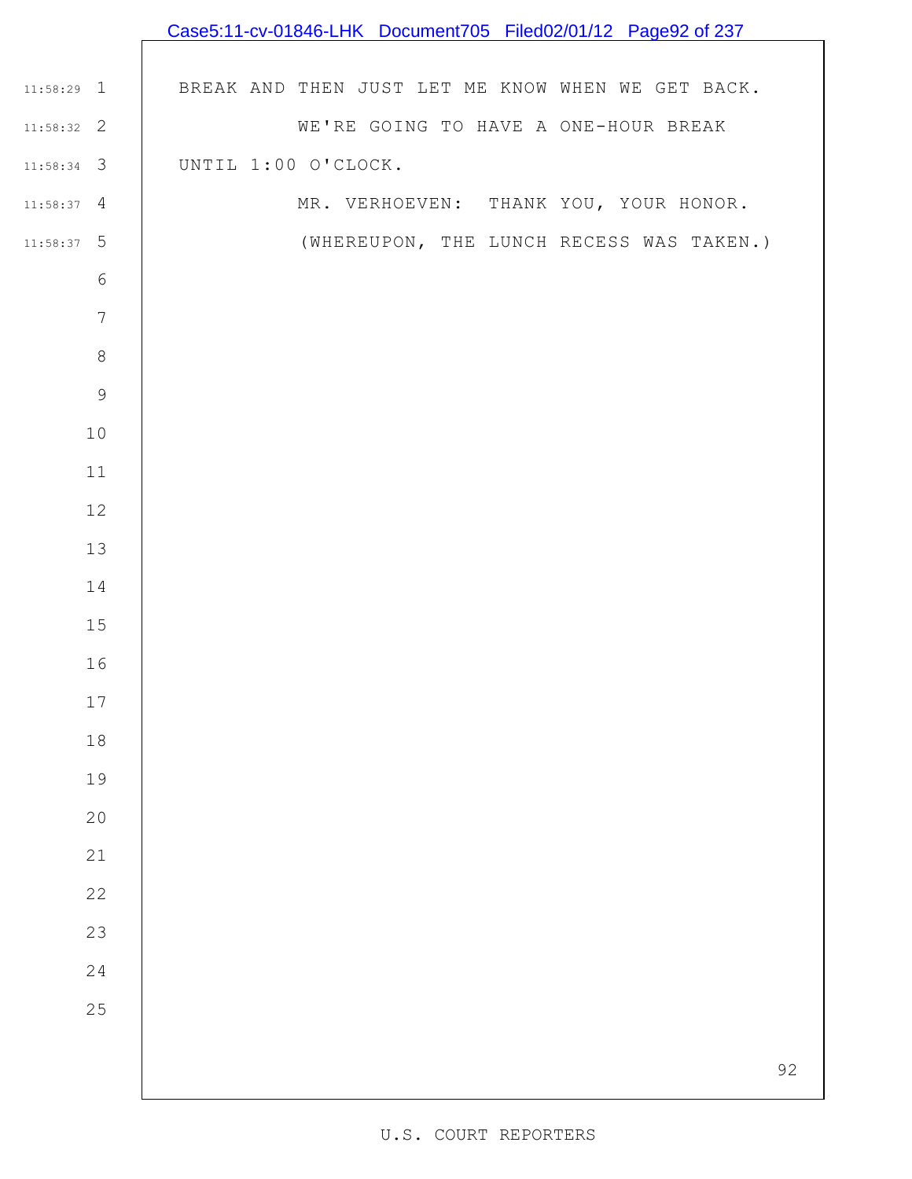|                 | Case5:11-cv-01846-LHK Document705 Filed02/01/12 Page92 of 237 |
|-----------------|---------------------------------------------------------------|
|                 |                                                               |
| $11:58:29$ 1    | BREAK AND THEN JUST LET ME KNOW WHEN WE GET BACK.             |
| $11:58:32$ 2    | WE'RE GOING TO HAVE A ONE-HOUR BREAK                          |
| $11:58:34$ 3    | UNTIL 1:00 O'CLOCK.                                           |
| $11:58:37$ 4    | MR. VERHOEVEN: THANK YOU, YOUR HONOR.                         |
| $11:58:37$ 5    | (WHEREUPON, THE LUNCH RECESS WAS TAKEN.)                      |
| $\sqrt{6}$      |                                                               |
| $7\phantom{.0}$ |                                                               |
| $\,8\,$         |                                                               |
| $\mathsf 9$     |                                                               |
| $10$            |                                                               |
| 11              |                                                               |
| $12$            |                                                               |
| 13              |                                                               |
| 14              |                                                               |
| $15$            |                                                               |
| 16              |                                                               |
| $17\,$          |                                                               |
| $1\,8$          |                                                               |
| 19              |                                                               |
| 20              |                                                               |
| $21$            |                                                               |
| 22              |                                                               |
| 23              |                                                               |
| 24              |                                                               |
| 25              |                                                               |
|                 |                                                               |
|                 | 92                                                            |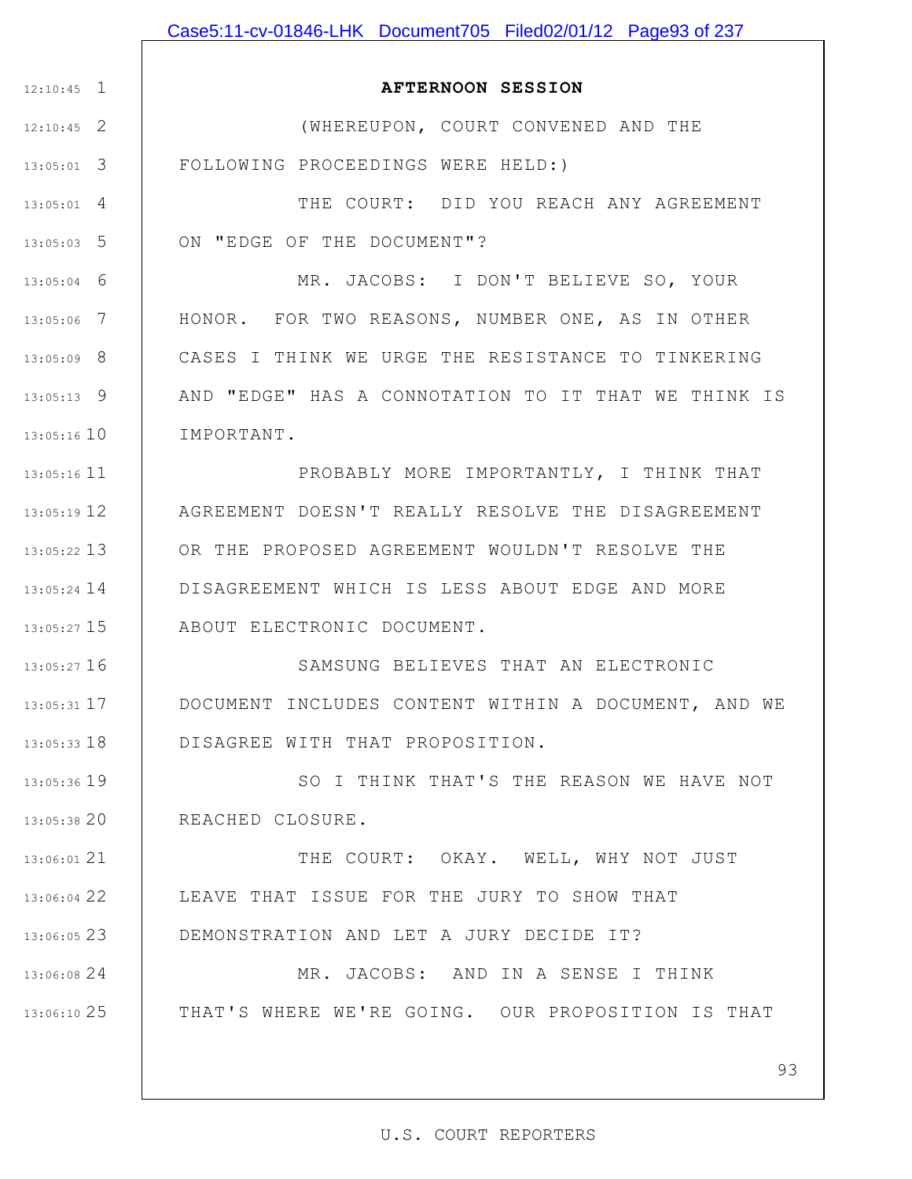|               | Case5:11-cv-01846-LHK Document705 Filed02/01/12 Page93 of 237 |
|---------------|---------------------------------------------------------------|
|               |                                                               |
| $12:10:45$ 1  | <b>AFTERNOON SESSION</b>                                      |
| $12:10:45$ 2  | (WHEREUPON, COURT CONVENED AND THE                            |
| $13:05:01$ 3  | FOLLOWING PROCEEDINGS WERE HELD:)                             |
| $13:05:01$ 4  | THE COURT: DID YOU REACH ANY AGREEMENT                        |
| $13:05:03$ 5  | ON "EDGE OF THE DOCUMENT"?                                    |
| $13:05:04$ 6  | MR. JACOBS: I DON'T BELIEVE SO, YOUR                          |
| $13:05:06$ 7  | HONOR. FOR TWO REASONS, NUMBER ONE, AS IN OTHER               |
| $13:05:09$ 8  | CASES I THINK WE URGE THE RESISTANCE TO TINKERING             |
| $13:05:13$ 9  | AND "EDGE" HAS A CONNOTATION TO IT THAT WE THINK IS           |
| 13:05:16 10   | IMPORTANT.                                                    |
| 13:05:16 11   | PROBABLY MORE IMPORTANTLY, I THINK THAT                       |
| 13:05:19 12   | AGREEMENT DOESN'T REALLY RESOLVE THE DISAGREEMENT             |
| $13:05:22$ 13 | OR THE PROPOSED AGREEMENT WOULDN'T RESOLVE THE                |
| $13:05:24$ 14 | DISAGREEMENT WHICH IS LESS ABOUT EDGE AND MORE                |
| $13:05:27$ 15 | ABOUT ELECTRONIC DOCUMENT.                                    |
| 13:05:27 16   | SAMSUNG BELIEVES THAT AN ELECTRONIC                           |
| 13:05:31 17   | DOCUMENT INCLUDES CONTENT WITHIN A DOCUMENT, AND WE           |
| $13:05:33$ 18 | DISAGREE WITH THAT PROPOSITION.                               |
| 13:05:36 19   | SO I THINK THAT'S THE REASON WE HAVE NOT                      |
| 13:05:38 20   | REACHED CLOSURE.                                              |
| 13:06:01 21   | THE COURT: OKAY. WELL, WHY NOT JUST                           |
| 13:06:04 22   | LEAVE THAT ISSUE FOR THE JURY TO SHOW THAT                    |
| $13:06:05$ 23 | DEMONSTRATION AND LET A JURY DECIDE IT?                       |
| 13:06:08 24   | MR. JACOBS: AND IN A SENSE I THINK                            |
| 13:06:10 25   | THAT'S WHERE WE'RE GOING. OUR PROPOSITION IS THAT             |
|               |                                                               |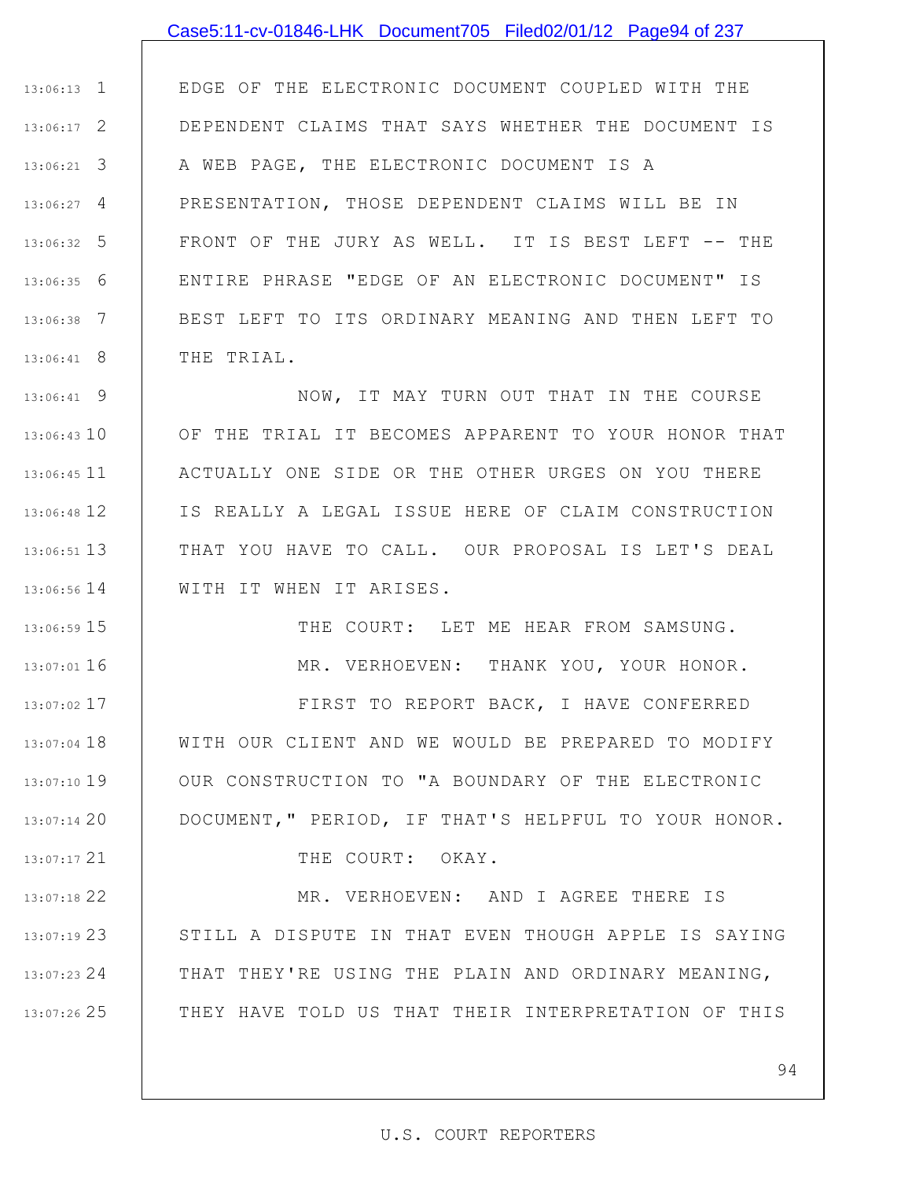#### Case5:11-cv-01846-LHK Document705 Filed02/01/12 Page94 of 237

1 13:06:13 2 13:06:17 3 13:06:21 4 13:06:27 5 13:06:32 6 13:06:35 7 13:06:38 8 13:06:41 EDGE OF THE ELECTRONIC DOCUMENT COUPLED WITH THE DEPENDENT CLAIMS THAT SAYS WHETHER THE DOCUMENT IS A WEB PAGE, THE ELECTRONIC DOCUMENT IS A PRESENTATION, THOSE DEPENDENT CLAIMS WILL BE IN FRONT OF THE JURY AS WELL. IT IS BEST LEFT -- THE ENTIRE PHRASE "EDGE OF AN ELECTRONIC DOCUMENT" IS BEST LEFT TO ITS ORDINARY MEANING AND THEN LEFT TO THE TRIAL.

9 13:06:41 13:06:43 10 11 13:06:45 12 13:06:48 13 13:06:51 14 13:06:56 NOW, IT MAY TURN OUT THAT IN THE COURSE OF THE TRIAL IT BECOMES APPARENT TO YOUR HONOR THAT ACTUALLY ONE SIDE OR THE OTHER URGES ON YOU THERE IS REALLY A LEGAL ISSUE HERE OF CLAIM CONSTRUCTION THAT YOU HAVE TO CALL. OUR PROPOSAL IS LET'S DEAL WITH IT WHEN IT ARISES.

15 13:06:59

16 13:07:01

21 13:07:17

THE COURT: LET ME HEAR FROM SAMSUNG. MR. VERHOEVEN: THANK YOU, YOUR HONOR.

17 13:07:02 18 13:07:04 19 13:07:10 20 13:07:14 FIRST TO REPORT BACK, I HAVE CONFERRED WITH OUR CLIENT AND WE WOULD BE PREPARED TO MODIFY OUR CONSTRUCTION TO "A BOUNDARY OF THE ELECTRONIC DOCUMENT," PERIOD, IF THAT'S HELPFUL TO YOUR HONOR.

THE COURT: OKAY.

22 13:07:18 23 13:07:19 24 13:07:23 25 13:07:26 MR. VERHOEVEN: AND I AGREE THERE IS STILL A DISPUTE IN THAT EVEN THOUGH APPLE IS SAYING THAT THEY'RE USING THE PLAIN AND ORDINARY MEANING, THEY HAVE TOLD US THAT THEIR INTERPRETATION OF THIS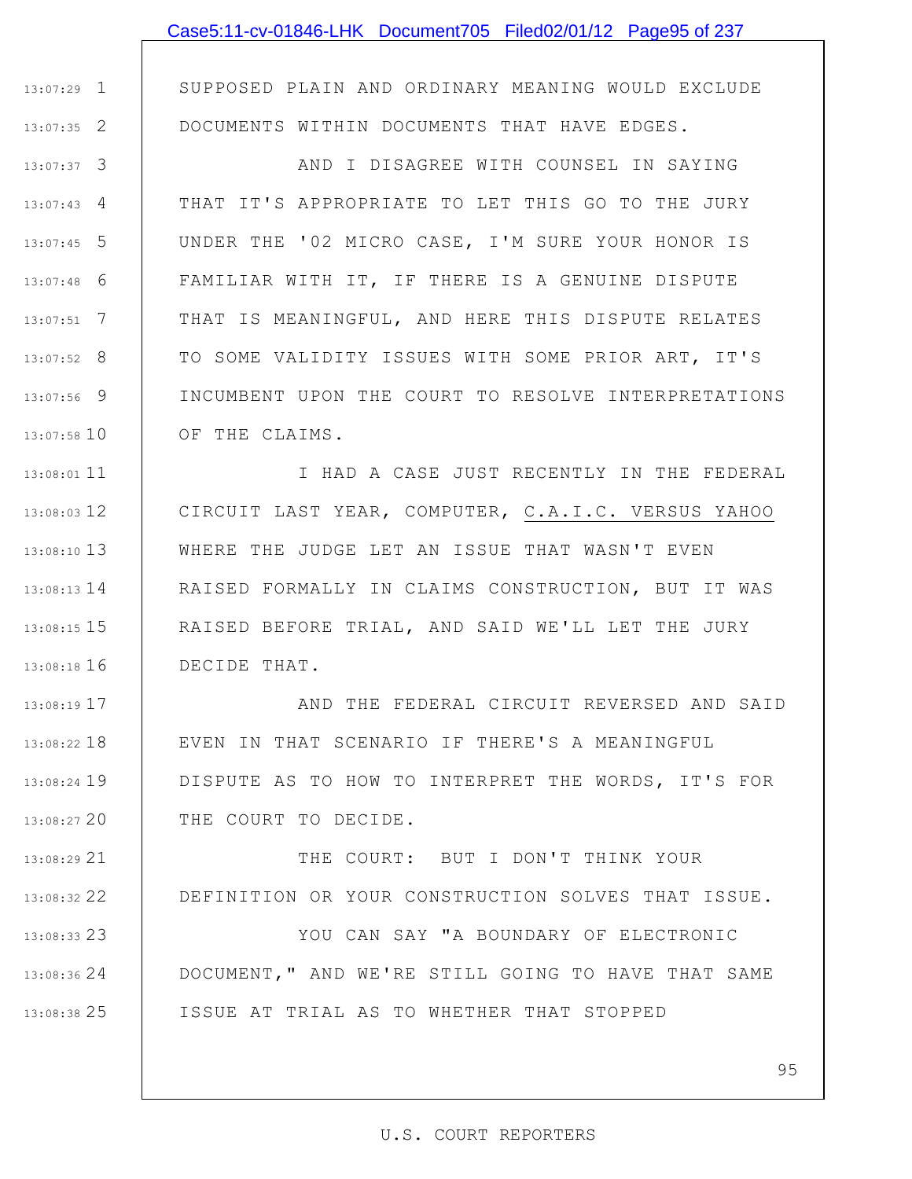|               | Case5:11-cv-01846-LHK Document705 Filed02/01/12 Page95 of 237    |
|---------------|------------------------------------------------------------------|
|               |                                                                  |
| $13:07:29$ 1  | SUPPOSED PLAIN AND ORDINARY MEANING WOULD EXCLUDE                |
| $13:07:35$ 2  | DOCUMENTS WITHIN DOCUMENTS THAT HAVE EDGES.                      |
| $13:07:37$ 3  | AND I DISAGREE WITH COUNSEL IN SAYING                            |
| $13:07:43$ 4  | THAT IT'S APPROPRIATE TO LET THIS GO TO THE JURY                 |
| $13:07:45$ 5  | UNDER THE '02 MICRO CASE, I'M SURE YOUR HONOR IS                 |
| $13:07:48$ 6  | FAMILIAR WITH IT, IF THERE IS A GENUINE DISPUTE                  |
| $13:07:51$ 7  | THAT IS MEANINGFUL, AND HERE THIS DISPUTE RELATES                |
| $13:07:52$ 8  | TO SOME VALIDITY ISSUES WITH SOME PRIOR ART, IT'S                |
| 13:07:56 9    | INCUMBENT UPON THE COURT TO RESOLVE INTERPRETATIONS              |
| 13:07:58 10   | OF THE CLAIMS.                                                   |
| $13:08:01$ 11 | I HAD A CASE JUST RECENTLY IN THE FEDERAL                        |
|               | 13:08:03 12   CIRCUIT LAST YEAR, COMPUTER, C.A.I.C. VERSUS YAHOO |
| 13:08:10 13   | WHERE THE JUDGE LET AN ISSUE THAT WASN'T EVEN                    |
| $13:08:13$ 14 | RAISED FORMALLY IN CLAIMS CONSTRUCTION, BUT IT WAS               |
| $13:08:15$ 15 | RAISED BEFORE TRIAL, AND SAID WE'LL LET THE JURY                 |
|               | 13:08:18 16 DECIDE THAT.                                         |
| $13:08:19$ 17 | AND THE FEDERAL CIRCUIT REVERSED AND SAID                        |
| $13:08:22$ 18 | EVEN IN THAT SCENARIO IF THERE'S A MEANINGFUL                    |
| $13:08:24$ 19 | DISPUTE AS TO HOW TO INTERPRET THE WORDS, IT'S FOR               |
| 13:08:27 20   | THE COURT TO DECIDE.                                             |
| $13:08:29$ 21 | THE COURT: BUT I DON'T THINK YOUR                                |
| 13:08:32 22   | DEFINITION OR YOUR CONSTRUCTION SOLVES THAT ISSUE.               |
| $13:08:33$ 23 | YOU CAN SAY "A BOUNDARY OF ELECTRONIC                            |
| $13:08:36$ 24 | DOCUMENT, " AND WE'RE STILL GOING TO HAVE THAT SAME              |

ISSUE AT TRIAL AS TO WHETHER THAT STOPPED

25 13:08:38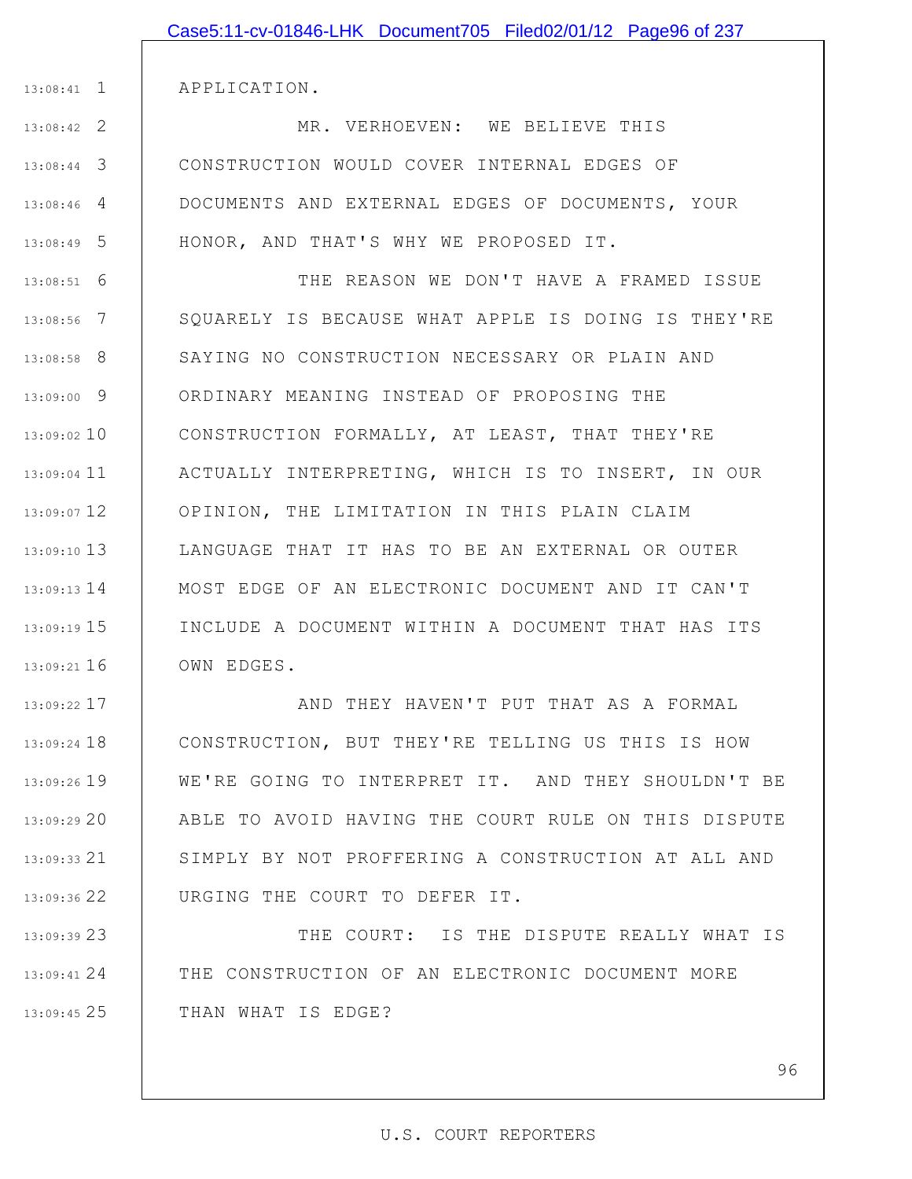|                 | Case5:11-cv-01846-LHK Document705 Filed02/01/12 Page96 of 237 |
|-----------------|---------------------------------------------------------------|
|                 |                                                               |
| $13:08:41$ 1    | APPLICATION.                                                  |
| $13:08:42$ 2    | MR. VERHOEVEN: WE BELIEVE THIS                                |
| $13:08:44$ 3    | CONSTRUCTION WOULD COVER INTERNAL EDGES OF                    |
| $13:08:46$ 4    | DOCUMENTS AND EXTERNAL EDGES OF DOCUMENTS, YOUR               |
| $13:08:49$ 5    | HONOR, AND THAT'S WHY WE PROPOSED IT.                         |
| $13:08:51$ 6    | THE REASON WE DON'T HAVE A FRAMED ISSUE                       |
| $13:08:56$ 7    | SQUARELY IS BECAUSE WHAT APPLE IS DOING IS THEY'RE            |
| $13:08:58$ 8    | SAYING NO CONSTRUCTION NECESSARY OR PLAIN AND                 |
| 13:09:00 9      | ORDINARY MEANING INSTEAD OF PROPOSING THE                     |
| $13:09:02$ 10   | CONSTRUCTION FORMALLY, AT LEAST, THAT THEY'RE                 |
| $13:09:04$ 11   | ACTUALLY INTERPRETING, WHICH IS TO INSERT, IN OUR             |
| $13:09:07$ 12   | OPINION, THE LIMITATION IN THIS PLAIN CLAIM                   |
| $13:09:10$ 13   | LANGUAGE THAT IT HAS TO BE AN EXTERNAL OR OUTER               |
| $13:09:13$ $14$ | MOST EDGE OF AN ELECTRONIC DOCUMENT AND IT CAN'T              |
| $13:09:19$ 15   | INCLUDE A DOCUMENT WITHIN A DOCUMENT THAT HAS ITS             |
| $13:09:21$ 16   | OWN EDGES.                                                    |
| 13:09:22 17     | AND THEY HAVEN'T PUT THAT AS A FORMAL                         |
| 13:09:24 18     | CONSTRUCTION, BUT THEY'RE TELLING US THIS IS HOW              |
| 13:09:26 19     | WE'RE GOING TO INTERPRET IT. AND THEY SHOULDN'T BE            |
| 13:09:29 20     | ABLE TO AVOID HAVING THE COURT RULE ON THIS DISPUTE           |
| $13:09:33$ 21   | SIMPLY BY NOT PROFFERING A CONSTRUCTION AT ALL AND            |
|                 |                                                               |

23 13:09:39 24 13:09:41 25 13:09:45 THE COURT: IS THE DISPUTE REALLY WHAT IS THE CONSTRUCTION OF AN ELECTRONIC DOCUMENT MORE THAN WHAT IS EDGE?

URGING THE COURT TO DEFER IT.

22 13:09:36

96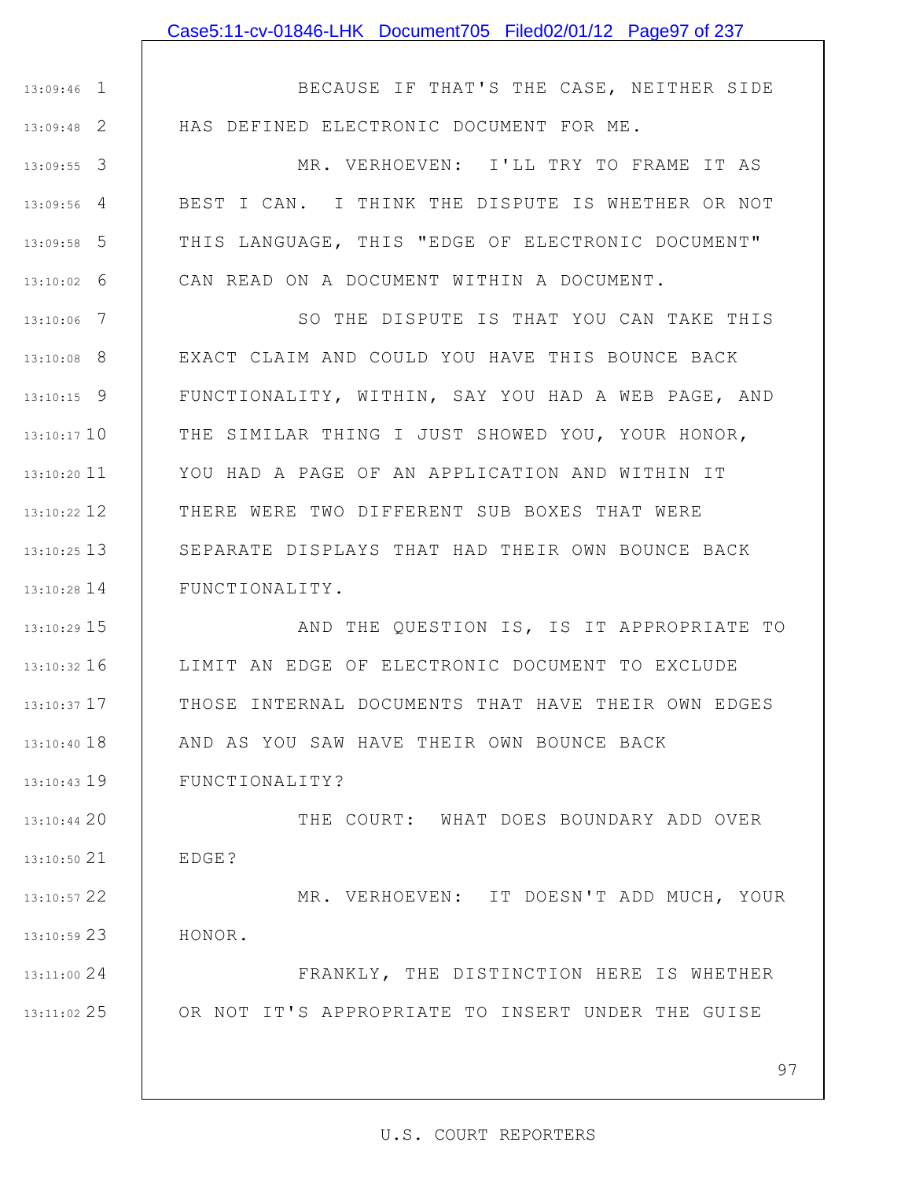1 13:09:46 2 13:09:48

BECAUSE IF THAT'S THE CASE, NEITHER SIDE HAS DEFINED ELECTRONIC DOCUMENT FOR ME.

3 13:09:55 4 13:09:56 5 13:09:58 6 13:10:02 MR. VERHOEVEN: I'LL TRY TO FRAME IT AS BEST I CAN. I THINK THE DISPUTE IS WHETHER OR NOT THIS LANGUAGE, THIS "EDGE OF ELECTRONIC DOCUMENT" CAN READ ON A DOCUMENT WITHIN A DOCUMENT.

7 13:10:06 8 13:10:08 9 13:10:15 13:10:17 10 11 13:10:20 12 13:10:22 13 13:10:25 14 13:10:28 SO THE DISPUTE IS THAT YOU CAN TAKE THIS EXACT CLAIM AND COULD YOU HAVE THIS BOUNCE BACK FUNCTIONALITY, WITHIN, SAY YOU HAD A WEB PAGE, AND THE SIMILAR THING I JUST SHOWED YOU, YOUR HONOR, YOU HAD A PAGE OF AN APPLICATION AND WITHIN IT THERE WERE TWO DIFFERENT SUB BOXES THAT WERE SEPARATE DISPLAYS THAT HAD THEIR OWN BOUNCE BACK FUNCTIONALITY.

15 13:10:29 16 13:10:32 17 13:10:37 18 13:10:40 19 13:10:43 AND THE QUESTION IS, IS IT APPROPRIATE TO LIMIT AN EDGE OF ELECTRONIC DOCUMENT TO EXCLUDE THOSE INTERNAL DOCUMENTS THAT HAVE THEIR OWN EDGES AND AS YOU SAW HAVE THEIR OWN BOUNCE BACK FUNCTIONALITY?

13:10:44 20 21 13:10:50 22 13:10:57 THE COURT: WHAT DOES BOUNDARY ADD OVER EDGE? MR. VERHOEVEN: IT DOESN'T ADD MUCH, YOUR

23 13:10:59 HONOR.

24 13:11:00 25 13:11:02 FRANKLY, THE DISTINCTION HERE IS WHETHER OR NOT IT'S APPROPRIATE TO INSERT UNDER THE GUISE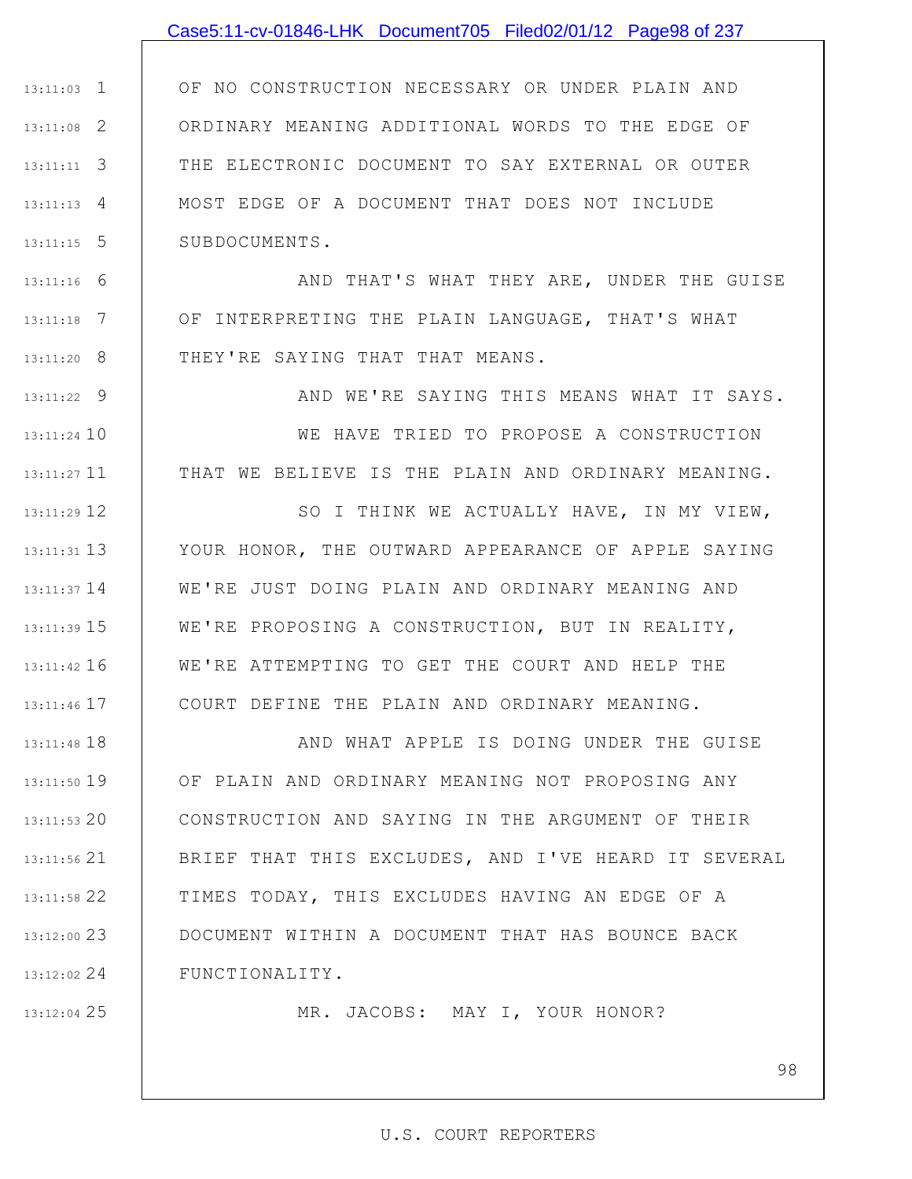### Case5:11-cv-01846-LHK Document705 Filed02/01/12 Page98 of 237

1 13:11:03 2 13:11:08 3 13:11:11 4 13:11:13 5 13:11:15 OF NO CONSTRUCTION NECESSARY OR UNDER PLAIN AND ORDINARY MEANING ADDITIONAL WORDS TO THE EDGE OF THE ELECTRONIC DOCUMENT TO SAY EXTERNAL OR OUTER MOST EDGE OF A DOCUMENT THAT DOES NOT INCLUDE SUBDOCUMENTS.

6 13:11:16 7 13:11:18 8 13:11:20 AND THAT'S WHAT THEY ARE, UNDER THE GUISE OF INTERPRETING THE PLAIN LANGUAGE, THAT'S WHAT THEY'RE SAYING THAT THAT MEANS.

9 13:11:22 13:11:24 10 13:11:27 11 AND WE'RE SAYING THIS MEANS WHAT IT SAYS. WE HAVE TRIED TO PROPOSE A CONSTRUCTION THAT WE BELIEVE IS THE PLAIN AND ORDINARY MEANING.

12 13:11:29 13 13:11:31 13:11:37 14 | WE'RE JUST DOING PLAIN AND ORDINARY MEANING AND 15 13:11:39 16 13:11:42 17 13:11:46 SO I THINK WE ACTUALLY HAVE, IN MY VIEW, YOUR HONOR, THE OUTWARD APPEARANCE OF APPLE SAYING WE'RE PROPOSING A CONSTRUCTION, BUT IN REALITY, WE'RE ATTEMPTING TO GET THE COURT AND HELP THE COURT DEFINE THE PLAIN AND ORDINARY MEANING.

18 13:11:48 19 13:11:50 20 13:11:53 21 13:11:56 22 13:11:58 23 13:12:00 24 13:12:02 AND WHAT APPLE IS DOING UNDER THE GUISE OF PLAIN AND ORDINARY MEANING NOT PROPOSING ANY CONSTRUCTION AND SAYING IN THE ARGUMENT OF THEIR BRIEF THAT THIS EXCLUDES, AND I'VE HEARD IT SEVERAL TIMES TODAY, THIS EXCLUDES HAVING AN EDGE OF A DOCUMENT WITHIN A DOCUMENT THAT HAS BOUNCE BACK FUNCTIONALITY.

25 13:12:04

MR. JACOBS: MAY I, YOUR HONOR?

#### U.S. COURT REPORTERS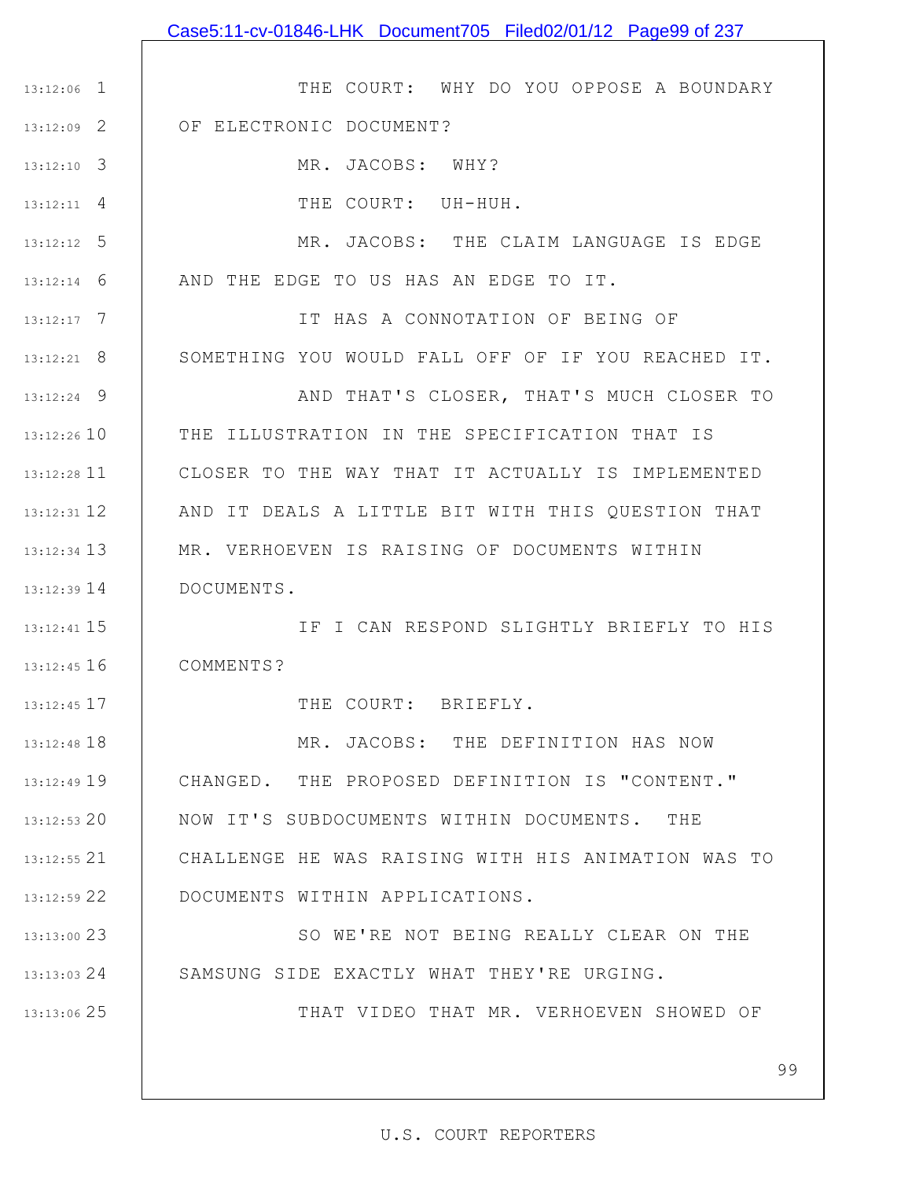1 13:12:06 2 13:12:09 3 13:12:10 4 13:12:11 5 13:12:12 6 13:12:14 7 13:12:17 8 13:12:21 9 13:12:24 13:12:26 10 11 13:12:28 12 13:12:31 13 13:12:34 14 13:12:39 15 13:12:41 16 13:12:45 17 13:12:45 18 13:12:48 19 13:12:49 20 13:12:53 21 13:12:55 22 13:12:59 23 13:13:00 24 13:13:03 25 13:13:06 THE COURT: WHY DO YOU OPPOSE A BOUNDARY OF ELECTRONIC DOCUMENT? MR. JACOBS: WHY? THE COURT: UH-HUH. MR. JACOBS: THE CLAIM LANGUAGE IS EDGE AND THE EDGE TO US HAS AN EDGE TO IT. IT HAS A CONNOTATION OF BEING OF SOMETHING YOU WOULD FALL OFF OF IF YOU REACHED IT. AND THAT'S CLOSER, THAT'S MUCH CLOSER TO THE ILLUSTRATION IN THE SPECIFICATION THAT IS CLOSER TO THE WAY THAT IT ACTUALLY IS IMPLEMENTED AND IT DEALS A LITTLE BIT WITH THIS QUESTION THAT MR. VERHOEVEN IS RAISING OF DOCUMENTS WITHIN DOCUMENTS. IF I CAN RESPOND SLIGHTLY BRIEFLY TO HIS COMMENTS? THE COURT: BRIEFLY. MR. JACOBS: THE DEFINITION HAS NOW CHANGED. THE PROPOSED DEFINITION IS "CONTENT." NOW IT'S SUBDOCUMENTS WITHIN DOCUMENTS. THE CHALLENGE HE WAS RAISING WITH HIS ANIMATION WAS TO DOCUMENTS WITHIN APPLICATIONS. SO WE'RE NOT BEING REALLY CLEAR ON THE SAMSUNG SIDE EXACTLY WHAT THEY'RE URGING. THAT VIDEO THAT MR. VERHOEVEN SHOWED OF

Case5:11-cv-01846-LHK Document705 Filed02/01/12 Page99 of 237

#### U.S. COURT REPORTERS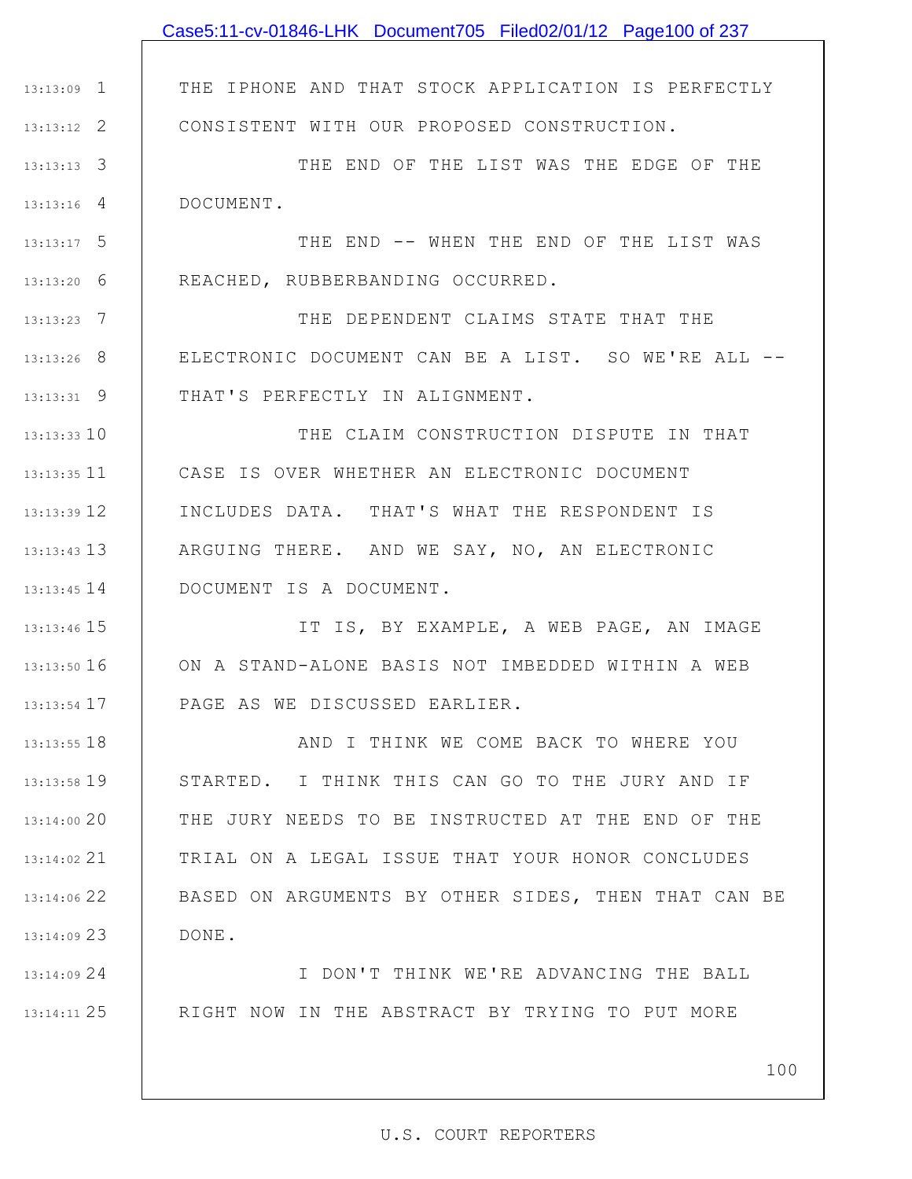|                 | Case5:11-cv-01846-LHK Document705 Filed02/01/12 Page100 of 237 |
|-----------------|----------------------------------------------------------------|
|                 |                                                                |
| $13:13:09$ 1    | THE IPHONE AND THAT STOCK APPLICATION IS PERFECTLY             |
| $13:13:12$ 2    | CONSISTENT WITH OUR PROPOSED CONSTRUCTION.                     |
| $13:13:13$ 3    | THE END OF THE LIST WAS THE EDGE OF THE                        |
| $13:13:16$ 4    | DOCUMENT.                                                      |
| $13:13:17$ 5    | THE END -- WHEN THE END OF THE LIST WAS                        |
| $13:13:20$ 6    | REACHED, RUBBERBANDING OCCURRED.                               |
| $13:13:23$ 7    | THE DEPENDENT CLAIMS STATE THAT THE                            |
| $13:13:26$ 8    | ELECTRONIC DOCUMENT CAN BE A LIST. SO WE'RE ALL --             |
| $13:13:31$ 9    | THAT'S PERFECTLY IN ALIGNMENT.                                 |
| $13:13:33$ 10   | THE CLAIM CONSTRUCTION DISPUTE IN THAT                         |
| $13:13:35$ 11   | CASE IS OVER WHETHER AN ELECTRONIC DOCUMENT                    |
| $13:13:39$ 12   | INCLUDES DATA. THAT'S WHAT THE RESPONDENT IS                   |
| $13:13:43$ $13$ | ARGUING THERE. AND WE SAY, NO, AN ELECTRONIC                   |
| $13:13:45$ $14$ | DOCUMENT IS A DOCUMENT.                                        |
| 13:13:46 15     | IT IS, BY EXAMPLE, A WEB PAGE, AN IMAGE                        |
| $13:13:50$ 16   | ON A STAND-ALONE BASIS NOT IMBEDDED WITHIN A WEB               |
| $13:13:54$ 17   | PAGE AS WE DISCUSSED EARLIER.                                  |
| $13:13:55$ 18   | AND I THINK WE COME BACK TO WHERE YOU                          |
| 13:13:58 19     | STARTED. I THINK THIS CAN GO TO THE JURY AND IF                |
| 13:14:00 20     | THE JURY NEEDS TO BE INSTRUCTED AT THE END OF THE              |
| 13:14:02 21     | TRIAL ON A LEGAL ISSUE THAT YOUR HONOR CONCLUDES               |
| 13:14:06 22     | BASED ON ARGUMENTS BY OTHER SIDES, THEN THAT CAN BE            |
| $13:14:09$ 23   | DONE.                                                          |
| 13:14:09 24     | I DON'T THINK WE'RE ADVANCING THE BALL                         |
| 13:14:11 25     | RIGHT NOW IN THE ABSTRACT BY TRYING TO PUT MORE                |
|                 |                                                                |
|                 | 100                                                            |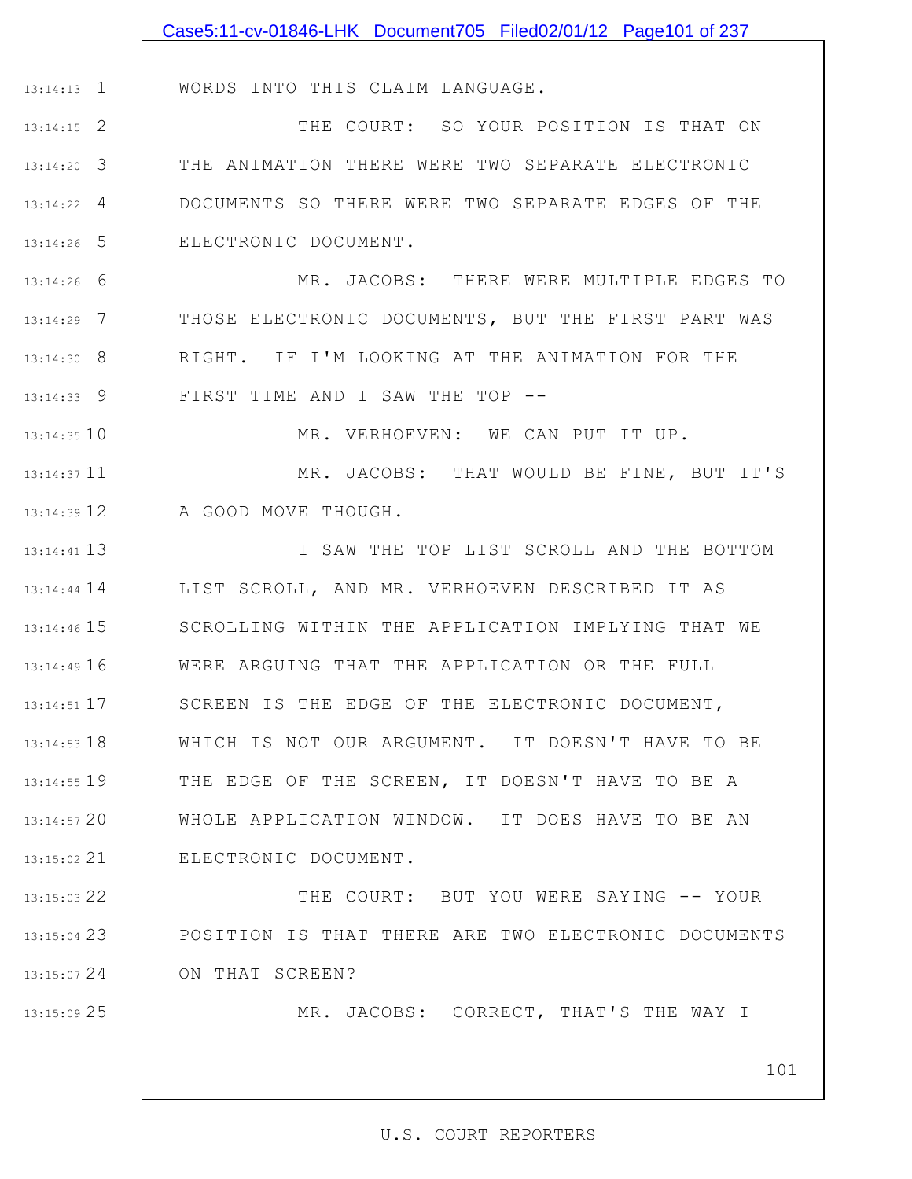|                 | Case5:11-cv-01846-LHK Document705 Filed02/01/12 Page101 of 237 |
|-----------------|----------------------------------------------------------------|
|                 |                                                                |
| $13:14:13$ 1    | WORDS INTO THIS CLAIM LANGUAGE.                                |
| $13:14:15$ 2    | THE COURT: SO YOUR POSITION IS THAT ON                         |
| $13:14:20$ 3    | THE ANIMATION THERE WERE TWO SEPARATE ELECTRONIC               |
| $13:14:22$ 4    | DOCUMENTS SO THERE WERE TWO SEPARATE EDGES OF THE              |
| $13:14:26$ 5    | ELECTRONIC DOCUMENT.                                           |
| $13:14:26$ 6    | MR. JACOBS: THERE WERE MULTIPLE EDGES TO                       |
| $13:14:29$ 7    | THOSE ELECTRONIC DOCUMENTS, BUT THE FIRST PART WAS             |
| 13:14:30 8      | RIGHT. IF I'M LOOKING AT THE ANIMATION FOR THE                 |
| $13:14:33$ 9    | FIRST TIME AND I SAW THE TOP --                                |
| $13:14:35$ 10   | MR. VERHOEVEN: WE CAN PUT IT UP.                               |
| $13:14:37$ 11   | MR. JACOBS: THAT WOULD BE FINE, BUT IT'S                       |
| $13:14:39$ 12   | A GOOD MOVE THOUGH.                                            |
| $13:14:41$ 13   | I SAW THE TOP LIST SCROLL AND THE BOTTOM                       |
| $13:14:44$ 14   | LIST SCROLL, AND MR. VERHOEVEN DESCRIBED IT AS                 |
| 13:14:46 15     | SCROLLING WITHIN THE APPLICATION IMPLYING THAT WE              |
| 13:14:49 16     | WERE ARGUING THAT THE APPLICATION OR THE FULL                  |
| 13:14:51 17     | SCREEN IS THE EDGE OF THE ELECTRONIC DOCUMENT,                 |
| $13:14:53$ $18$ | WHICH IS NOT OUR ARGUMENT. IT DOESN'T HAVE TO BE               |
| 13:14:55 19     | THE EDGE OF THE SCREEN, IT DOESN'T HAVE TO BE A                |
| $13:14:57$ 20   | WHOLE APPLICATION WINDOW. IT DOES HAVE TO BE AN                |
| 13:15:02 21     | ELECTRONIC DOCUMENT.                                           |
| 13:15:03 22     | THE COURT: BUT YOU WERE SAYING -- YOUR                         |
| 13:15:04 23     | POSITION IS THAT THERE ARE TWO ELECTRONIC DOCUMENTS            |
| 13:15:07 24     | ON THAT SCREEN?                                                |
| 13:15:09 25     | MR. JACOBS: CORRECT, THAT'S THE WAY I                          |

101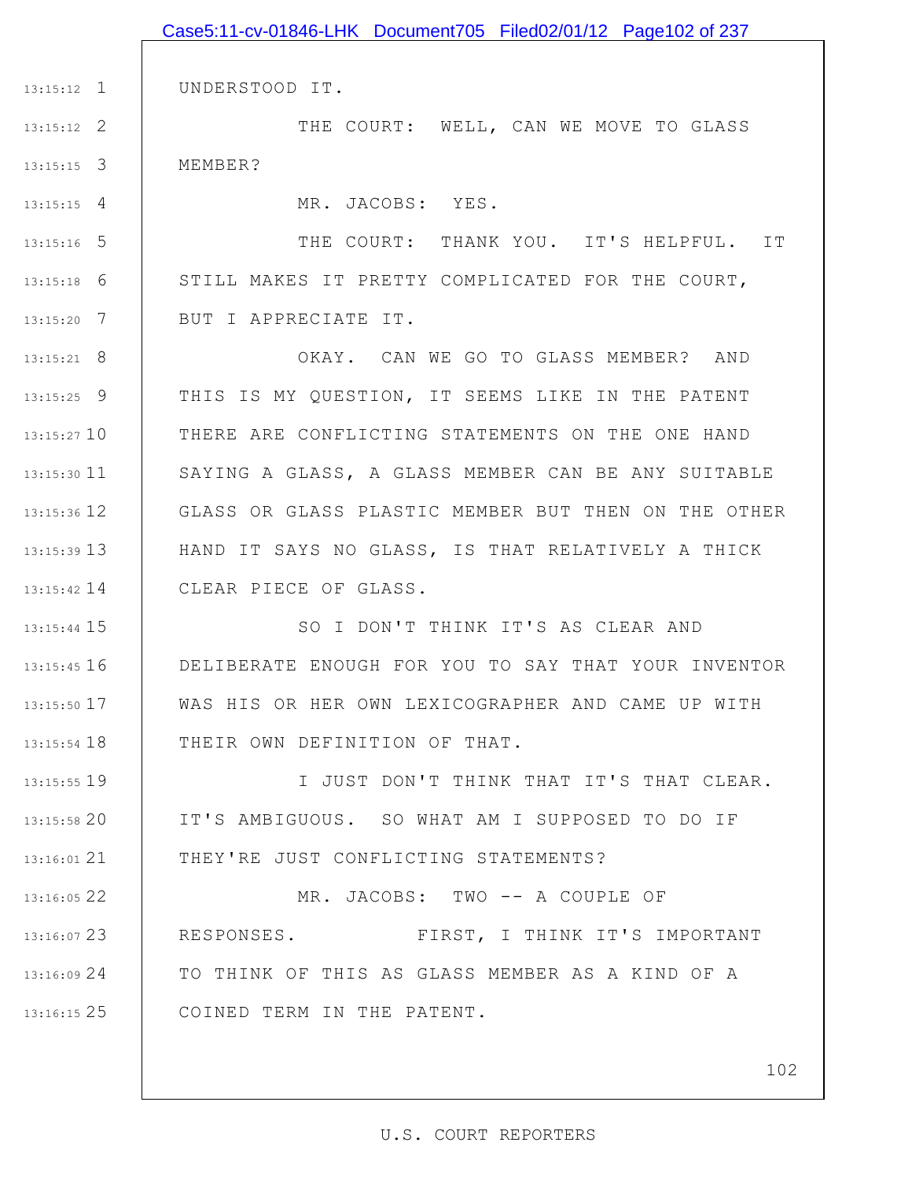|                 | Case5:11-cv-01846-LHK Document705 Filed02/01/12 Page102 of 237 |
|-----------------|----------------------------------------------------------------|
|                 |                                                                |
| $13:15:12$ 1    | UNDERSTOOD IT.                                                 |
| $13:15:12$ 2    | THE COURT: WELL, CAN WE MOVE TO GLASS                          |
| $13:15:15$ 3    | MEMBER?                                                        |
| $13:15:15$ 4    | MR. JACOBS: YES.                                               |
| $13:15:16$ 5    | THE COURT: THANK YOU. IT'S HELPFUL. IT                         |
| $13:15:18$ 6    | STILL MAKES IT PRETTY COMPLICATED FOR THE COURT,               |
| $13:15:20$ 7    | BUT I APPRECIATE IT.                                           |
| $13:15:21$ 8    | OKAY. CAN WE GO TO GLASS MEMBER? AND                           |
| $13:15:25$ 9    | THIS IS MY QUESTION, IT SEEMS LIKE IN THE PATENT               |
| $13:15:27$ 10   | THERE ARE CONFLICTING STATEMENTS ON THE ONE HAND               |
| $13:15:30$ 11   | SAYING A GLASS, A GLASS MEMBER CAN BE ANY SUITABLE             |
| 13:15:36 12     | GLASS OR GLASS PLASTIC MEMBER BUT THEN ON THE OTHER            |
| $13:15:39$ $13$ | HAND IT SAYS NO GLASS, IS THAT RELATIVELY A THICK              |
| $13:15:42$ 14   | CLEAR PIECE OF GLASS.                                          |
| 13:15:44 15     | SO I DON'T THINK IT'S AS CLEAR AND                             |
| 13:15:45 16     | DELIBERATE ENOUGH FOR YOU TO SAY THAT YOUR INVENTOR            |
| 13:15:50 17     | WAS HIS OR HER OWN LEXICOGRAPHER AND CAME UP WITH              |
| 13:15:54 18     | THEIR OWN DEFINITION OF THAT.                                  |
| 13:15:55 19     | I JUST DON'T THINK THAT IT'S THAT CLEAR.                       |
| 13:15:5820      | IT'S AMBIGUOUS. SO WHAT AM I SUPPOSED TO DO IF                 |
| 13:16:01 21     | THEY'RE JUST CONFLICTING STATEMENTS?                           |
| 13:16:05 22     | MR. JACOBS: TWO -- A COUPLE OF                                 |
| 13:16:07 23     | RESPONSES. FIRST, I THINK IT'S IMPORTANT                       |
| 13:16:09 24     | TO THINK OF THIS AS GLASS MEMBER AS A KIND OF A                |
| $13:16:15$ 25   | COINED TERM IN THE PATENT.                                     |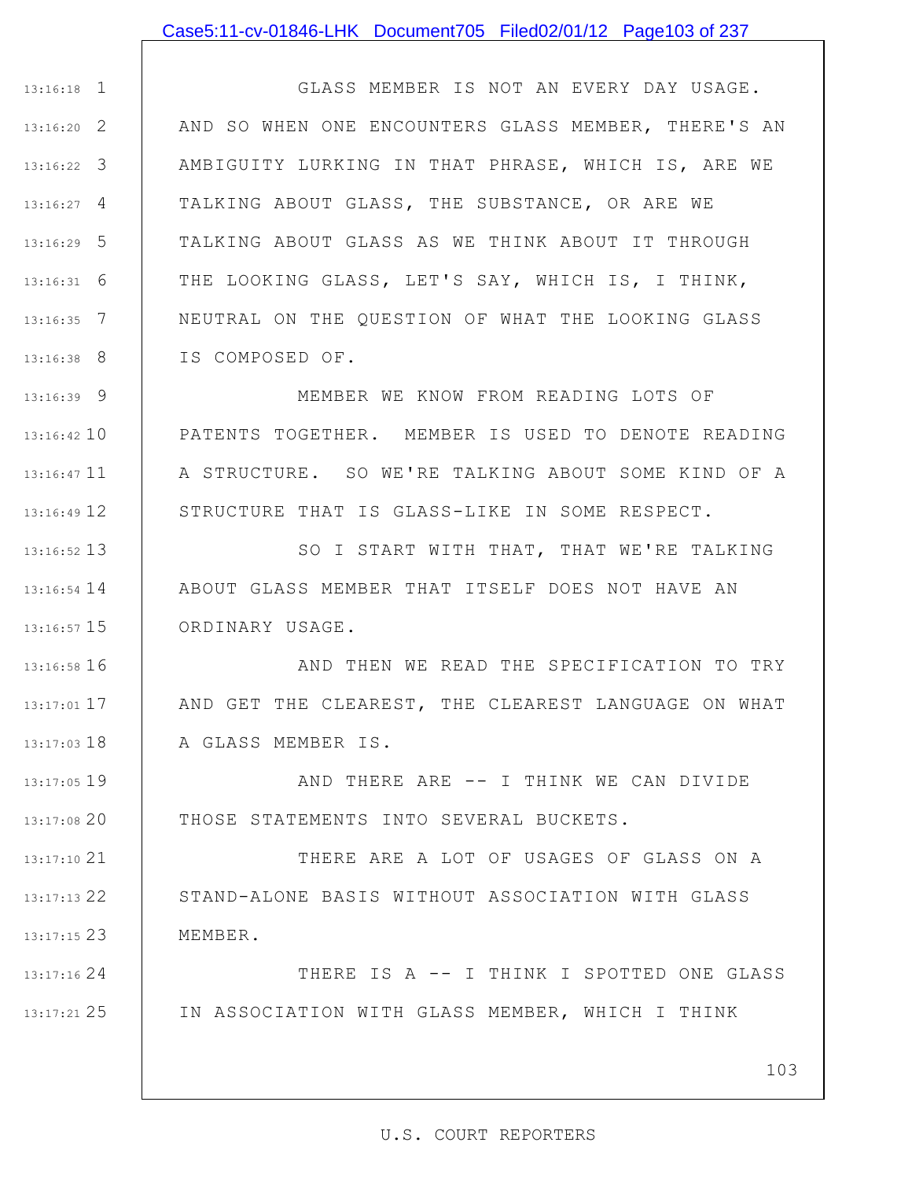### Case5:11-cv-01846-LHK Document705 Filed02/01/12 Page103 of 237

1 13:16:18 2 13:16:20 13:16:22 3 | AMBIGUITY LURKING IN THAT PHRASE, WHICH IS, ARE WE 4 13:16:27 5 13:16:29 6 13:16:31 7 13:16:35 8 13:16:38 GLASS MEMBER IS NOT AN EVERY DAY USAGE. AND SO WHEN ONE ENCOUNTERS GLASS MEMBER, THERE'S AN TALKING ABOUT GLASS, THE SUBSTANCE, OR ARE WE TALKING ABOUT GLASS AS WE THINK ABOUT IT THROUGH THE LOOKING GLASS, LET'S SAY, WHICH IS, I THINK, NEUTRAL ON THE QUESTION OF WHAT THE LOOKING GLASS IS COMPOSED OF.

9 13:16:39 13:16:42 10 13:16:47 11 12 13:16:49 MEMBER WE KNOW FROM READING LOTS OF PATENTS TOGETHER. MEMBER IS USED TO DENOTE READING A STRUCTURE. SO WE'RE TALKING ABOUT SOME KIND OF A STRUCTURE THAT IS GLASS-LIKE IN SOME RESPECT.

13 13:16:52 14 13:16:54 15 13:16:57 SO I START WITH THAT, THAT WE'RE TALKING ABOUT GLASS MEMBER THAT ITSELF DOES NOT HAVE AN ORDINARY USAGE.

16 13:16:58 17 13:17:01 18 13:17:03 AND THEN WE READ THE SPECIFICATION TO TRY AND GET THE CLEAREST, THE CLEAREST LANGUAGE ON WHAT A GLASS MEMBER IS.

19 13:17:05 13:17:08 20 AND THERE ARE -- I THINK WE CAN DIVIDE THOSE STATEMENTS INTO SEVERAL BUCKETS.

21 13:17:10 22 13:17:13 23 13:17:15 THERE ARE A LOT OF USAGES OF GLASS ON A STAND-ALONE BASIS WITHOUT ASSOCIATION WITH GLASS MEMBER.

24 13:17:16 25 13:17:21 THERE IS A -- I THINK I SPOTTED ONE GLASS IN ASSOCIATION WITH GLASS MEMBER, WHICH I THINK

103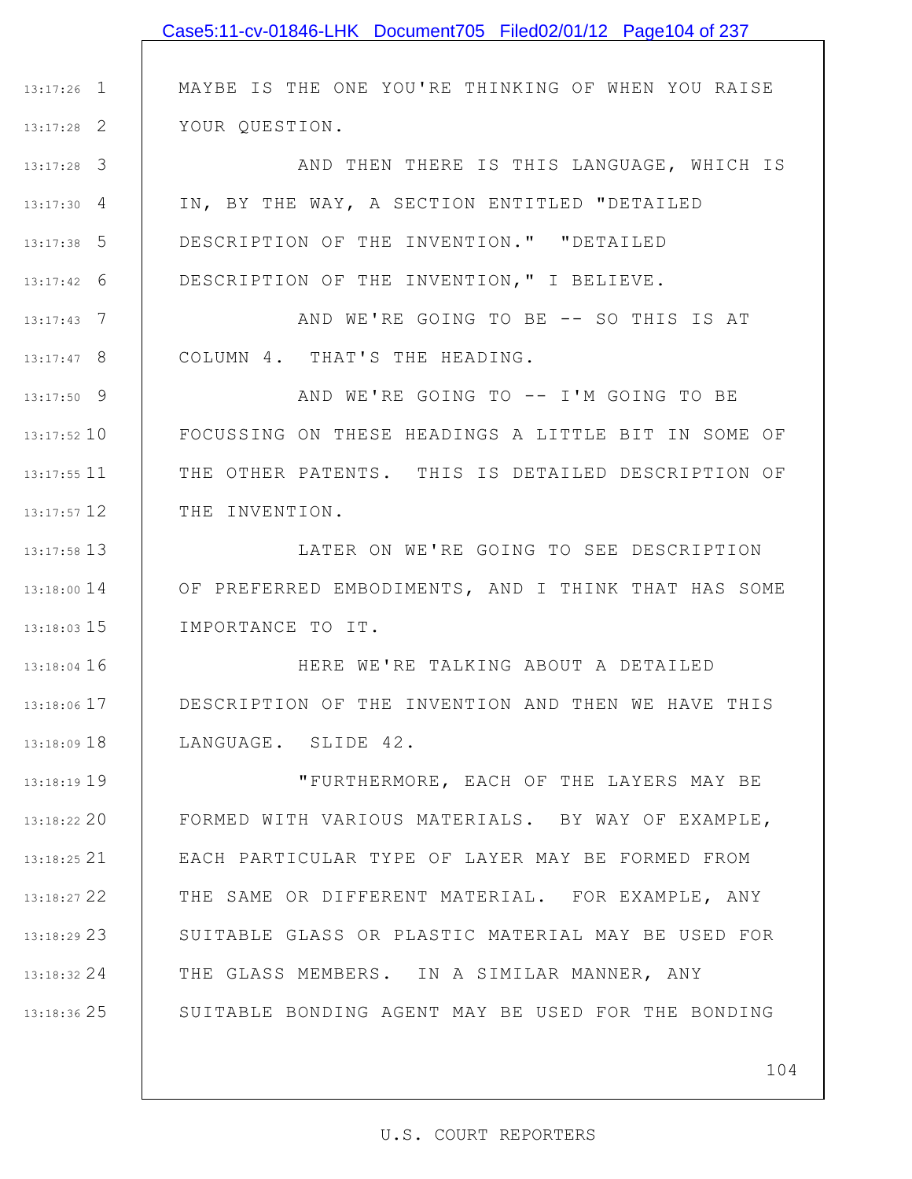|               | Case5:11-cv-01846-LHK Document705 Filed02/01/12 Page104 of 237 |
|---------------|----------------------------------------------------------------|
|               |                                                                |
| $13:17:26$ 1  | MAYBE IS THE ONE YOU'RE THINKING OF WHEN YOU RAISE             |
| $13:17:28$ 2  | YOUR QUESTION.                                                 |
| $13:17:28$ 3  | AND THEN THERE IS THIS LANGUAGE, WHICH IS                      |
| $13:17:30$ 4  | IN, BY THE WAY, A SECTION ENTITLED "DETAILED                   |
| $13:17:38$ 5  | DESCRIPTION OF THE INVENTION." "DETAILED                       |
| $13:17:42$ 6  | DESCRIPTION OF THE INVENTION, " I BELIEVE.                     |
| $13:17:43$ 7  | AND WE'RE GOING TO BE -- SO THIS IS AT                         |
| $13:17:47$ 8  | COLUMN 4. THAT'S THE HEADING.                                  |
| $13:17:50$ 9  | AND WE'RE GOING TO -- I'M GOING TO BE                          |
| 13:17:52 10   | FOCUSSING ON THESE HEADINGS A LITTLE BIT IN SOME OF            |
| 13:17:55 11   | THE OTHER PATENTS. THIS IS DETAILED DESCRIPTION OF             |
| 13:17:57 12   | THE INVENTION.                                                 |
| 13:17:58 13   | LATER ON WE'RE GOING TO SEE DESCRIPTION                        |
| 13:18:00 14   | OF PREFERRED EMBODIMENTS, AND I THINK THAT HAS SOME            |
| $13:18:03$ 15 | IMPORTANCE TO IT.                                              |
| $13:18:04$ 16 | HERE WE'RE TALKING ABOUT A DETAILED                            |
| 13:18:06 17   | DESCRIPTION OF THE INVENTION AND THEN WE HAVE THIS             |
| 13:18:09 18   | LANGUAGE. SLIDE 42.                                            |
| 13:18:19 19   | "FURTHERMORE, EACH OF THE LAYERS MAY BE                        |
| 13:18:22 20   | FORMED WITH VARIOUS MATERIALS. BY WAY OF EXAMPLE,              |
| $13:18:25$ 21 | EACH PARTICULAR TYPE OF LAYER MAY BE FORMED FROM               |
| 13:18:27 22   | THE SAME OR DIFFERENT MATERIAL. FOR EXAMPLE, ANY               |
| 13:18:29 23   | SUITABLE GLASS OR PLASTIC MATERIAL MAY BE USED FOR             |
| 13:18:32 24   | THE GLASS MEMBERS. IN A SIMILAR MANNER, ANY                    |
| 13:18:36 25   | SUITABLE BONDING AGENT MAY BE USED FOR THE BONDING             |
|               |                                                                |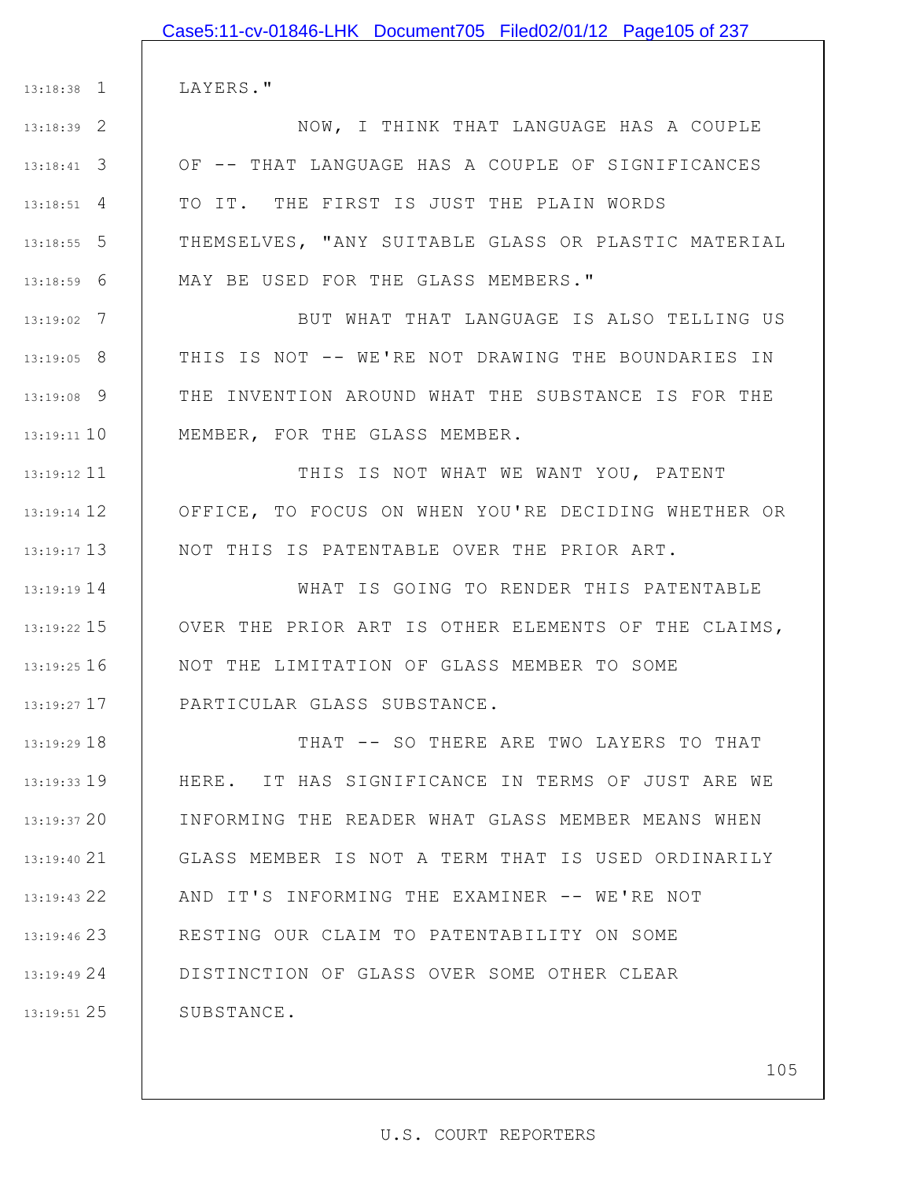|               | Case5:11-cv-01846-LHK Document705 Filed02/01/12 Page105 of 237 |
|---------------|----------------------------------------------------------------|
|               |                                                                |
| $13:18:38$ 1  | LAYERS."                                                       |
| 13:18:39 2    | NOW, I THINK THAT LANGUAGE HAS A COUPLE                        |
| $13:18:41$ 3  | OF -- THAT LANGUAGE HAS A COUPLE OF SIGNIFICANCES              |
| $13:18:51$ 4  | TO IT. THE FIRST IS JUST THE PLAIN WORDS                       |
| $13:18:55$ 5  | THEMSELVES, "ANY SUITABLE GLASS OR PLASTIC MATERIAL            |
| $13:18:59$ 6  | MAY BE USED FOR THE GLASS MEMBERS."                            |
| $13:19:02$ 7  | BUT WHAT THAT LANGUAGE IS ALSO TELLING US                      |
| 13:19:05 8    | THIS IS NOT -- WE'RE NOT DRAWING THE BOUNDARIES IN             |
| 13:19:08 9    | THE INVENTION AROUND WHAT THE SUBSTANCE IS FOR THE             |
| $13:19:11$ 10 | MEMBER, FOR THE GLASS MEMBER.                                  |
| $13:19:12$ 11 | THIS IS NOT WHAT WE WANT YOU, PATENT                           |
| $13:19:14$ 12 | OFFICE, TO FOCUS ON WHEN YOU'RE DECIDING WHETHER OR            |
| $13:19:17$ 13 | NOT THIS IS PATENTABLE OVER THE PRIOR ART.                     |
| $13:19:19$ 14 | WHAT IS GOING TO RENDER THIS PATENTABLE                        |
| $13:19:22$ 15 | OVER THE PRIOR ART IS OTHER ELEMENTS OF THE CLAIMS,            |
| 13:19:25 16   | NOT THE LIMITATION OF GLASS MEMBER TO SOME                     |
| $13:19:27$ 17 | PARTICULAR GLASS SUBSTANCE.                                    |
| 13:19:29 18   | THAT -- SO THERE ARE TWO LAYERS TO THAT                        |
| 13:19:33 19   | HERE. IT HAS SIGNIFICANCE IN TERMS OF JUST ARE WE              |
| 13:19:37 20   | INFORMING THE READER WHAT GLASS MEMBER MEANS WHEN              |
| $13:19:40$ 21 | GLASS MEMBER IS NOT A TERM THAT IS USED ORDINARILY             |

22 13:19:43

23 13:19:46

24 13:19:49

25 13:19:51

SUBSTANCE.

105

AND IT'S INFORMING THE EXAMINER -- WE'RE NOT

RESTING OUR CLAIM TO PATENTABILITY ON SOME

DISTINCTION OF GLASS OVER SOME OTHER CLEAR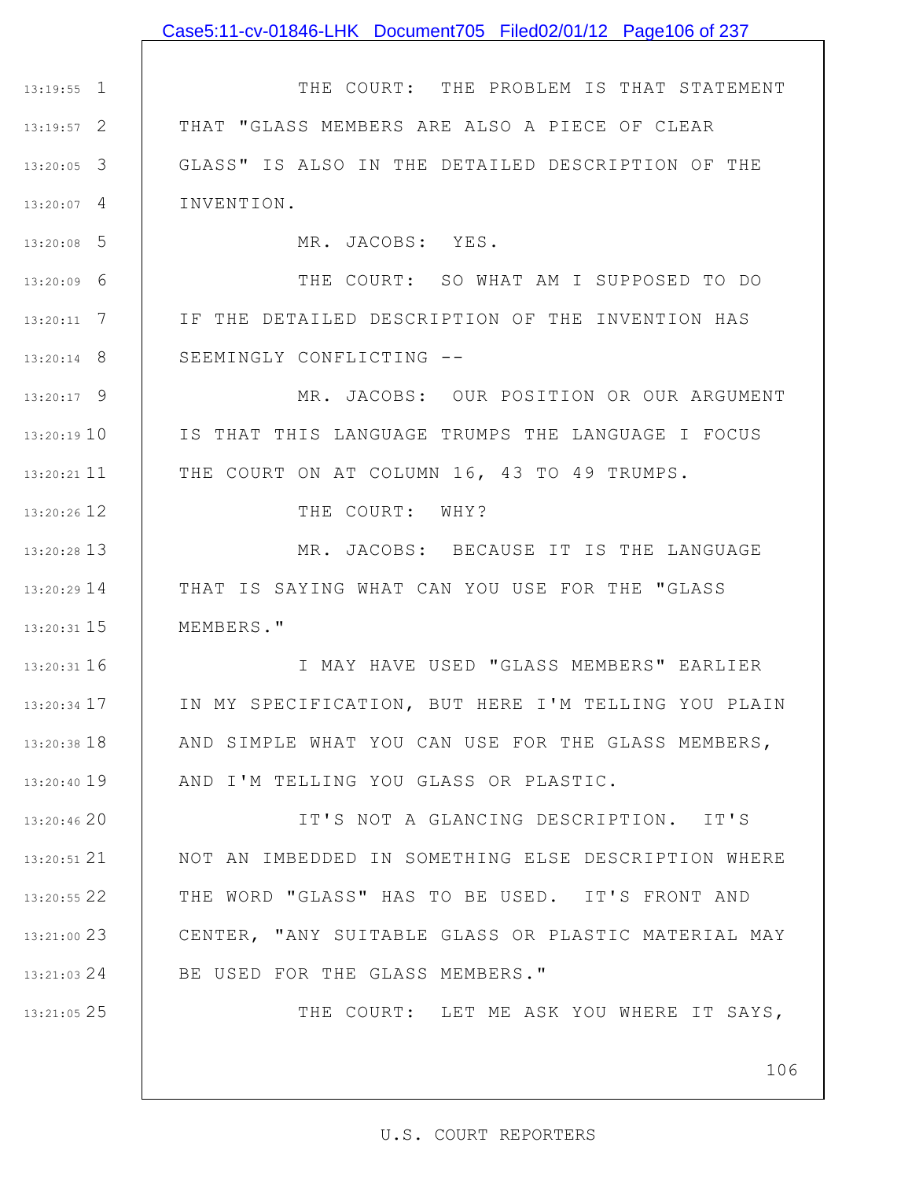### Case5:11-cv-01846-LHK Document705 Filed02/01/12 Page106 of 237

1 13:19:55 2 13:19:57 3 13:20:05 4 13:20:07 THE COURT: THE PROBLEM IS THAT STATEMENT THAT "GLASS MEMBERS ARE ALSO A PIECE OF CLEAR GLASS" IS ALSO IN THE DETAILED DESCRIPTION OF THE INVENTION.

MR. JACOBS: YES.

5 13:20:08

9 13:20:17

13:20:19 10

11 13:20:21

12 13:20:26

25 13:21:05

6 13:20:09 7 13:20:11 8 13:20:14 THE COURT: SO WHAT AM I SUPPOSED TO DO IF THE DETAILED DESCRIPTION OF THE INVENTION HAS SEEMINGLY CONFLICTING --

> MR. JACOBS: OUR POSITION OR OUR ARGUMENT IS THAT THIS LANGUAGE TRUMPS THE LANGUAGE I FOCUS THE COURT ON AT COLUMN 16, 43 TO 49 TRUMPS.

> > THE COURT: WHY?

13 13:20:28 14 13:20:29 15 13:20:31 MR. JACOBS: BECAUSE IT IS THE LANGUAGE THAT IS SAYING WHAT CAN YOU USE FOR THE "GLASS MEMBERS."

16 13:20:31 17 13:20:34 18 13:20:38 19 13:20:40 I MAY HAVE USED "GLASS MEMBERS" EARLIER IN MY SPECIFICATION, BUT HERE I'M TELLING YOU PLAIN AND SIMPLE WHAT YOU CAN USE FOR THE GLASS MEMBERS, AND I'M TELLING YOU GLASS OR PLASTIC.

20 13:20:46 21 13:20:51 22 13:20:55 23 13:21:00 24 13:21:03 IT'S NOT A GLANCING DESCRIPTION. IT'S NOT AN IMBEDDED IN SOMETHING ELSE DESCRIPTION WHERE THE WORD "GLASS" HAS TO BE USED. IT'S FRONT AND CENTER, "ANY SUITABLE GLASS OR PLASTIC MATERIAL MAY BE USED FOR THE GLASS MEMBERS."

THE COURT: LET ME ASK YOU WHERE IT SAYS,

106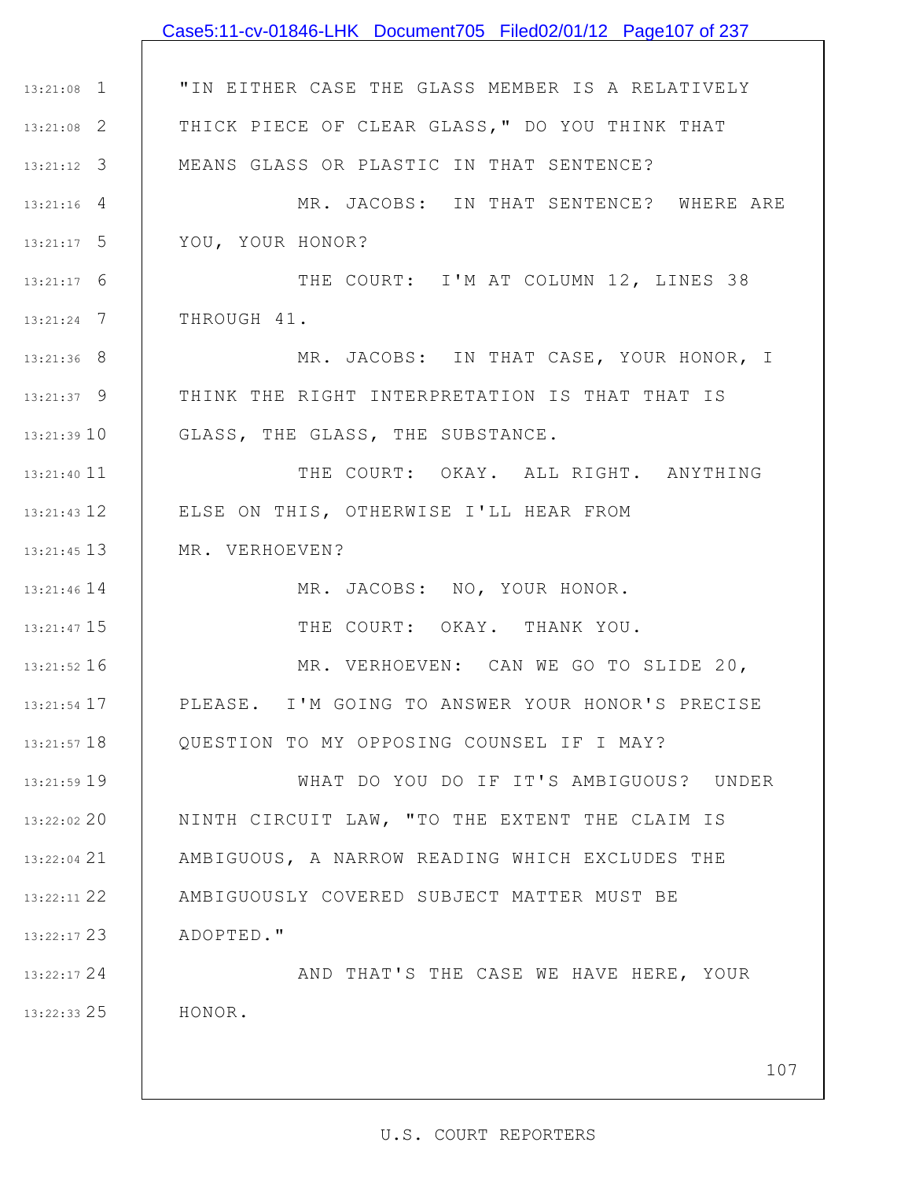|               | Case5:11-cv-01846-LHK Document705 Filed02/01/12 Page107 of 237 |
|---------------|----------------------------------------------------------------|
|               |                                                                |
| $13:21:08$ 1  | "IN EITHER CASE THE GLASS MEMBER IS A RELATIVELY               |
| $13:21:08$ 2  | THICK PIECE OF CLEAR GLASS, " DO YOU THINK THAT                |
| $13:21:12$ 3  | MEANS GLASS OR PLASTIC IN THAT SENTENCE?                       |
| $13:21:16$ 4  | MR. JACOBS: IN THAT SENTENCE? WHERE ARE                        |
| $13:21:17$ 5  | YOU, YOUR HONOR?                                               |
| $13:21:17$ 6  | THE COURT: I'M AT COLUMN 12, LINES 38                          |
| $13:21:24$ 7  | THROUGH 41.                                                    |
| $13:21:36$ 8  | MR. JACOBS: IN THAT CASE, YOUR HONOR, I                        |
| $13:21:37$ 9  | THINK THE RIGHT INTERPRETATION IS THAT THAT IS                 |
| 13:21:3910    | GLASS, THE GLASS, THE SUBSTANCE.                               |
| 13:21:40 11   | THE COURT: OKAY. ALL RIGHT. ANYTHING                           |
| $13:21:43$ 12 | ELSE ON THIS, OTHERWISE I'LL HEAR FROM                         |
| $13:21:45$ 13 | MR. VERHOEVEN?                                                 |
| $13:21:46$ 14 | MR. JACOBS: NO, YOUR HONOR.                                    |
| 13:21:47 15   | THE COURT: OKAY. THANK YOU.                                    |
| 13:21:52 16   | MR. VERHOEVEN: CAN WE GO TO SLIDE 20,                          |
| $13:21:54$ 17 | PLEASE. I'M GOING TO ANSWER YOUR HONOR'S PRECISE               |
| $13:21:57$ 18 | QUESTION TO MY OPPOSING COUNSEL IF I MAY?                      |
| 13:21:59 19   | WHAT DO YOU DO IF IT'S AMBIGUOUS? UNDER                        |
| 13:22:02 20   | NINTH CIRCUIT LAW, "TO THE EXTENT THE CLAIM IS                 |
| 13:22:04 21   | AMBIGUOUS, A NARROW READING WHICH EXCLUDES THE                 |
| 13:22:11 22   | AMBIGUOUSLY COVERED SUBJECT MATTER MUST BE                     |
| $13:22:17$ 23 | ADOPTED."                                                      |
| $13:22:17$ 24 | AND THAT'S THE CASE WE HAVE HERE, YOUR                         |
| $13:22:33$ 25 | HONOR.                                                         |
|               |                                                                |
|               | 107                                                            |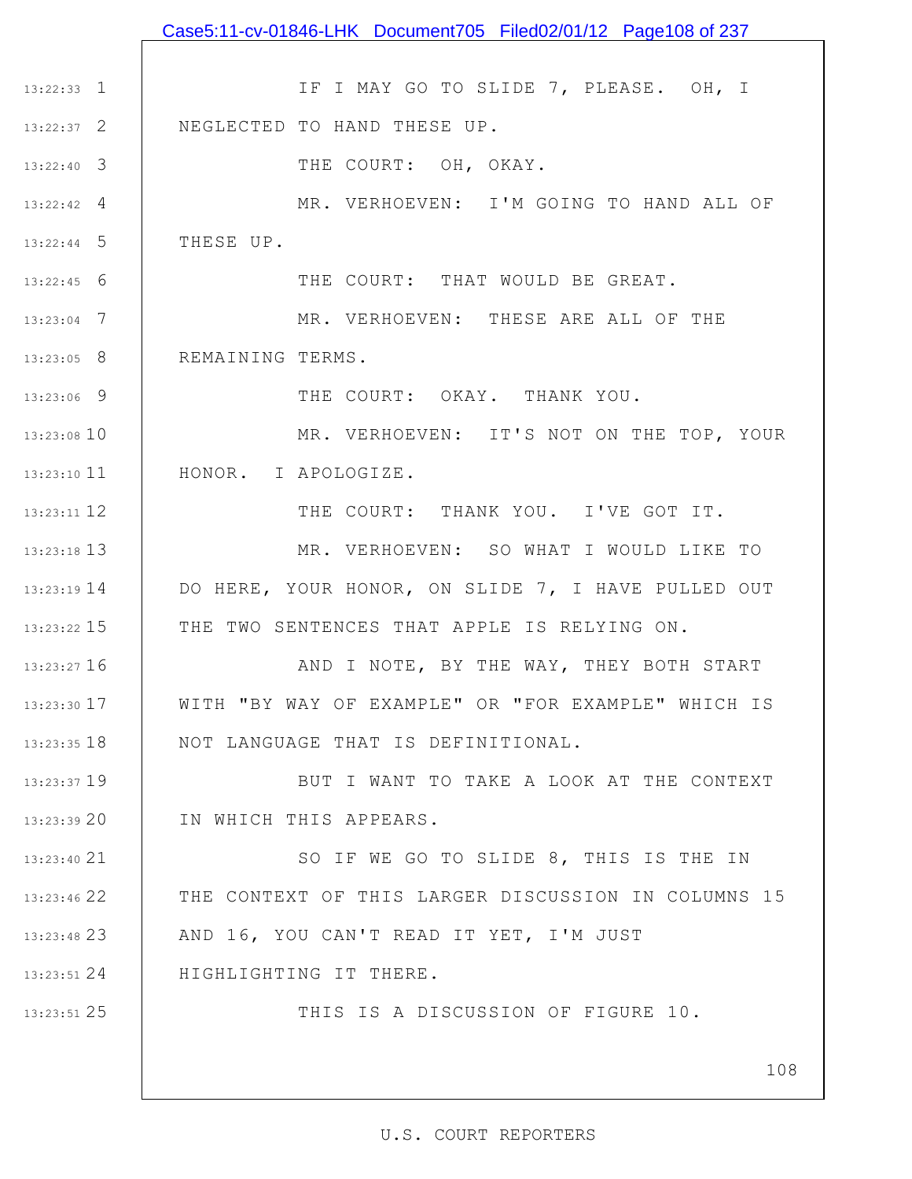|                 | Case5:11-cv-01846-LHK Document705 Filed02/01/12 Page108 of 237 |
|-----------------|----------------------------------------------------------------|
|                 |                                                                |
| $13:22:33$ 1    | IF I MAY GO TO SLIDE 7, PLEASE. OH, I                          |
| $13:22:37$ 2    | NEGLECTED TO HAND THESE UP.                                    |
| $13:22:40$ 3    | THE COURT: OH, OKAY.                                           |
| $13:22:42$ 4    | MR. VERHOEVEN: I'M GOING TO HAND ALL OF                        |
| $13:22:44$ 5    | THESE UP.                                                      |
| $13:22:45$ 6    | THE COURT: THAT WOULD BE GREAT.                                |
| $13:23:04$ 7    | MR. VERHOEVEN: THESE ARE ALL OF THE                            |
| $13:23:05$ 8    | REMAINING TERMS.                                               |
| 13:23:06 9      | THE COURT: OKAY. THANK YOU.                                    |
| 13:23:08 10     | MR. VERHOEVEN: IT'S NOT ON THE TOP, YOUR                       |
| $13:23:10$ 11   | HONOR. I APOLOGIZE.                                            |
| 13:23:11 12     | THE COURT: THANK YOU. I'VE GOT IT.                             |
| 13:23:18 13     | MR. VERHOEVEN: SO WHAT I WOULD LIKE TO                         |
| $13:23:19$ $14$ | DO HERE, YOUR HONOR, ON SLIDE 7, I HAVE PULLED OUT             |
| 13:23:22 15     | THE TWO SENTENCES THAT APPLE IS RELYING ON.                    |
| 13:23:27 16     | AND I NOTE, BY THE WAY, THEY BOTH START                        |
| 13:23:30 17     | WITH "BY WAY OF EXAMPLE" OR "FOR EXAMPLE" WHICH IS             |
| $13:23:35$ 18   | NOT LANGUAGE THAT IS DEFINITIONAL.                             |
| 13:23:37 19     | BUT I WANT TO TAKE A LOOK AT THE CONTEXT                       |
| 13:23:3920      | IN WHICH THIS APPEARS.                                         |
| 13:23:40 21     | SO IF WE GO TO SLIDE 8, THIS IS THE IN                         |
| 13:23:46 22     | THE CONTEXT OF THIS LARGER DISCUSSION IN COLUMNS 15            |
| $13:23:48$ 23   | AND 16, YOU CAN'T READ IT YET, I'M JUST                        |
| $13:23:51$ 24   | HIGHLIGHTING IT THERE.                                         |
| 13:23:51 25     | THIS IS A DISCUSSION OF FIGURE 10.                             |
|                 |                                                                |
|                 | 108                                                            |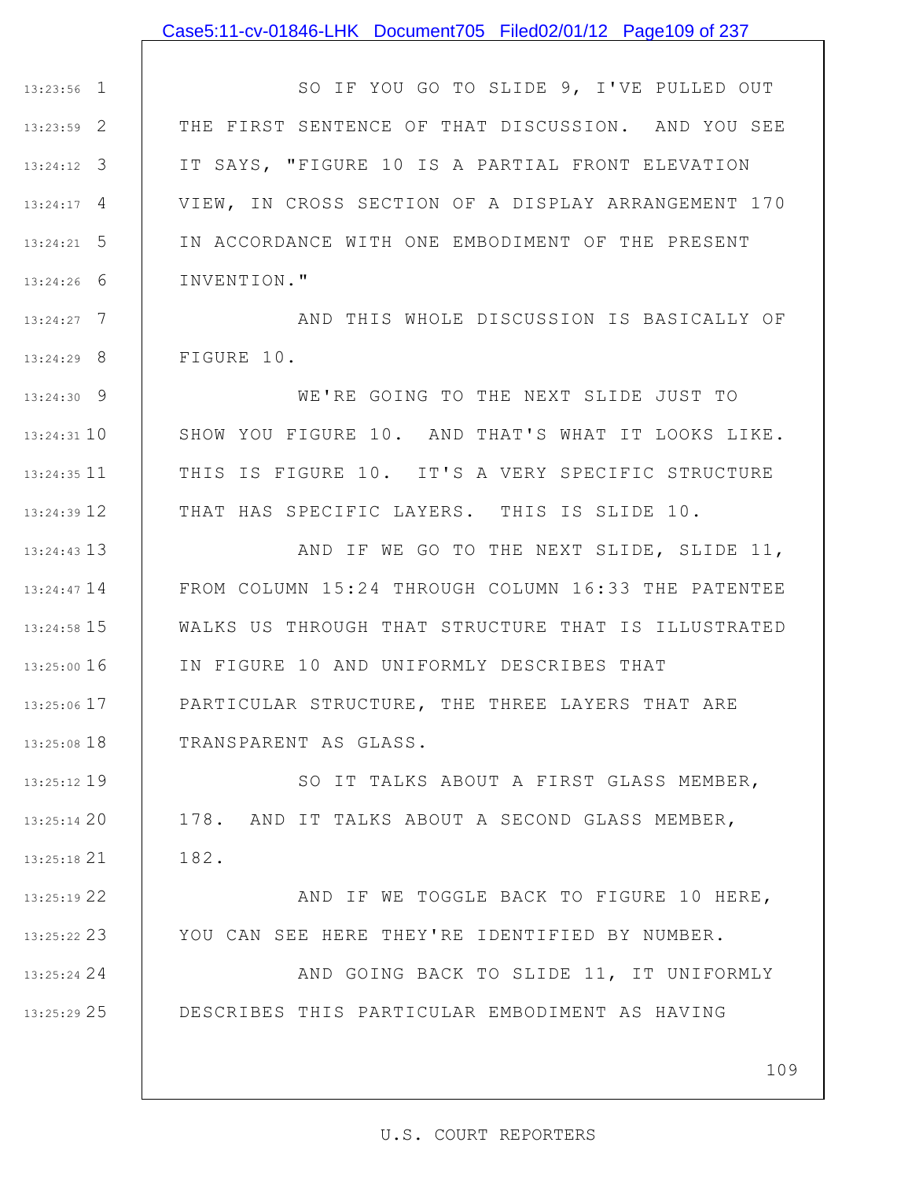## Case5:11-cv-01846-LHK Document705 Filed02/01/12 Page109 of 237

1 13:23:56 2 13:23:59 3 13:24:12 4 13:24:17 5 13:24:21 6 13:24:26 SO IF YOU GO TO SLIDE 9, I'VE PULLED OUT THE FIRST SENTENCE OF THAT DISCUSSION. AND YOU SEE IT SAYS, "FIGURE 10 IS A PARTIAL FRONT ELEVATION VIEW, IN CROSS SECTION OF A DISPLAY ARRANGEMENT 170 IN ACCORDANCE WITH ONE EMBODIMENT OF THE PRESENT INVENTION."

7 13:24:27 8 13:24:29 AND THIS WHOLE DISCUSSION IS BASICALLY OF FIGURE 10.

9 13:24:30 10 13:24:31 11 13:24:35 12 13:24:39 WE'RE GOING TO THE NEXT SLIDE JUST TO SHOW YOU FIGURE 10. AND THAT'S WHAT IT LOOKS LIKE. THIS IS FIGURE 10. IT'S A VERY SPECIFIC STRUCTURE THAT HAS SPECIFIC LAYERS. THIS IS SLIDE 10.

13 13:24:43 13:24:47 14 15 13:24:58 16 13:25:00 17 13:25:06 18 13:25:08 AND IF WE GO TO THE NEXT SLIDE, SLIDE 11, FROM COLUMN 15:24 THROUGH COLUMN 16:33 THE PATENTEE WALKS US THROUGH THAT STRUCTURE THAT IS ILLUSTRATED IN FIGURE 10 AND UNIFORMLY DESCRIBES THAT PARTICULAR STRUCTURE, THE THREE LAYERS THAT ARE TRANSPARENT AS GLASS.

19 13:25:12 20 13:25:14 21 13:25:18 SO IT TALKS ABOUT A FIRST GLASS MEMBER, 178. AND IT TALKS ABOUT A SECOND GLASS MEMBER, 182.

22 13:25:19 23 13:25:22 AND IF WE TOGGLE BACK TO FIGURE 10 HERE, YOU CAN SEE HERE THEY'RE IDENTIFIED BY NUMBER.

24 13:25:24 25 13:25:29 AND GOING BACK TO SLIDE 11, IT UNIFORMLY DESCRIBES THIS PARTICULAR EMBODIMENT AS HAVING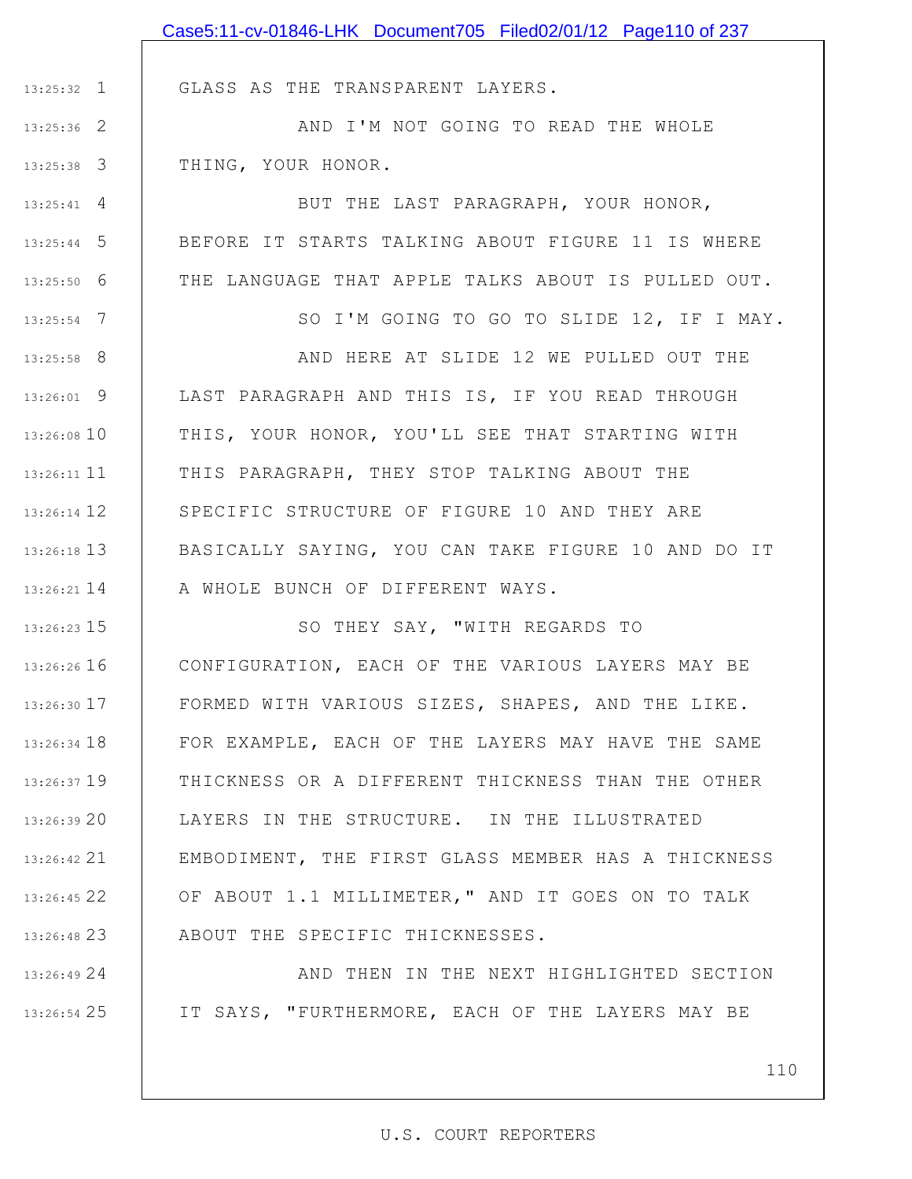|                    | Case5:11-cv-01846-LHK Document705 Filed02/01/12 Page110 of 237 |
|--------------------|----------------------------------------------------------------|
|                    |                                                                |
| $13:25:32$ 1       | GLASS AS THE TRANSPARENT LAYERS.                               |
| $13:25:36$ 2       | AND I'M NOT GOING TO READ THE WHOLE                            |
| $13:25:38$ 3       | THING, YOUR HONOR.                                             |
| $13:25:41 \quad 4$ | BUT THE LAST PARAGRAPH, YOUR HONOR,                            |
| $13:25:44$ 5       | BEFORE IT STARTS TALKING ABOUT FIGURE 11 IS WHERE              |
| $13:25:50$ 6       | THE LANGUAGE THAT APPLE TALKS ABOUT IS PULLED OUT.             |
| $13:25:54$ 7       | SO I'M GOING TO GO TO SLIDE 12, IF I MAY.                      |
| $13:25:58$ 8       | AND HERE AT SLIDE 12 WE PULLED OUT THE                         |
| $13:26:01$ 9       | LAST PARAGRAPH AND THIS IS, IF YOU READ THROUGH                |
| 13:26:08 10        | THIS, YOUR HONOR, YOU'LL SEE THAT STARTING WITH                |
| $13:26:11$ $11$    | THIS PARAGRAPH, THEY STOP TALKING ABOUT THE                    |
| $13:26:14$ 12      | SPECIFIC STRUCTURE OF FIGURE 10 AND THEY ARE                   |
| $13:26:18$ 13      | BASICALLY SAYING, YOU CAN TAKE FIGURE 10 AND DO IT             |
| $13:26:21$ 14      | A WHOLE BUNCH OF DIFFERENT WAYS.                               |
| 13:26:23 15        | SO THEY SAY, "WITH REGARDS TO                                  |
| $13:26:26$ 16      | CONFIGURATION, EACH OF THE VARIOUS LAYERS MAY BE               |
| 13:26:30 17        | FORMED WITH VARIOUS SIZES, SHAPES, AND THE LIKE.               |
| 13:26:34 18        | FOR EXAMPLE, EACH OF THE LAYERS MAY HAVE THE SAME              |
| $13:26:37$ 19      | THICKNESS OR A DIFFERENT THICKNESS THAN THE OTHER              |
| 13:26:39 20        | LAYERS IN THE STRUCTURE. IN THE ILLUSTRATED                    |
| 13:26:42 21        | EMBODIMENT, THE FIRST GLASS MEMBER HAS A THICKNESS             |
| 13:26:45 22        | OF ABOUT 1.1 MILLIMETER," AND IT GOES ON TO TALK               |
| 13:26:48 23        | ABOUT THE SPECIFIC THICKNESSES.                                |
| 13:26:4924         | AND THEN IN THE NEXT HIGHLIGHTED SECTION                       |

IT SAYS, "FURTHERMORE, EACH OF THE LAYERS MAY BE

25 13:26:54

110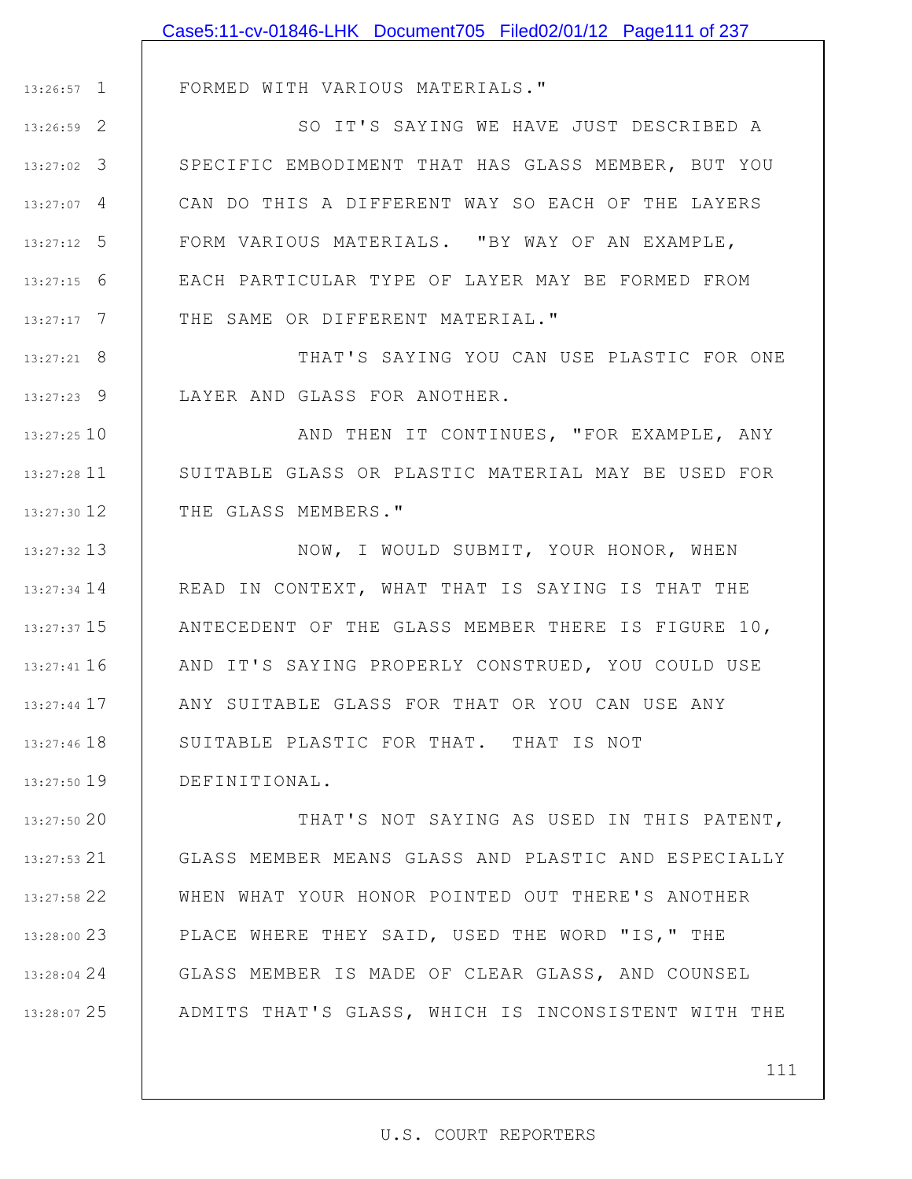|               | Case5:11-cv-01846-LHK Document705 Filed02/01/12 Page111 of 237    |
|---------------|-------------------------------------------------------------------|
|               |                                                                   |
| $13:26:57$ 1  | FORMED WITH VARIOUS MATERIALS."                                   |
| 13:26:59 2    | SO IT'S SAYING WE HAVE JUST DESCRIBED A                           |
| $13:27:02$ 3  | SPECIFIC EMBODIMENT THAT HAS GLASS MEMBER, BUT YOU                |
| $13:27:07$ 4  | CAN DO THIS A DIFFERENT WAY SO EACH OF THE LAYERS                 |
| $13:27:12$ 5  | FORM VARIOUS MATERIALS. "BY WAY OF AN EXAMPLE,                    |
| $13:27:15$ 6  | EACH PARTICULAR TYPE OF LAYER MAY BE FORMED FROM                  |
| $13:27:17$ 7  | THE SAME OR DIFFERENT MATERIAL."                                  |
| $13:27:21$ 8  | THAT'S SAYING YOU CAN USE PLASTIC FOR ONE                         |
| $13:27:23$ 9  | LAYER AND GLASS FOR ANOTHER.                                      |
| $13:27:25$ 10 | AND THEN IT CONTINUES, "FOR EXAMPLE, ANY                          |
| $13:27:28$ 11 | SUITABLE GLASS OR PLASTIC MATERIAL MAY BE USED FOR                |
| $13:27:30$ 12 | THE GLASS MEMBERS."                                               |
| 13:27:32 13   | NOW, I WOULD SUBMIT, YOUR HONOR, WHEN                             |
| 13:27:34 14   | READ IN CONTEXT, WHAT THAT IS SAYING IS THAT THE                  |
|               | $13:27:3715$   ANTECEDENT OF THE GLASS MEMBER THERE IS FIGURE 10, |
| 13:27:41 16   | AND IT'S SAYING PROPERLY CONSTRUED, YOU COULD USE                 |
| $13:27:44$ 17 | ANY SUITABLE GLASS FOR THAT OR YOU CAN USE ANY                    |
| 13:27:46 18   | SUITABLE PLASTIC FOR THAT. THAT IS NOT                            |
| 13:27:50 19   | DEFINITIONAL.                                                     |
| 13:27:50 20   | THAT'S NOT SAYING AS USED IN THIS PATENT,                         |
| $13:27:53$ 21 | GLASS MEMBER MEANS GLASS AND PLASTIC AND ESPECIALLY               |
| 13:27:58 22   | WHEN WHAT YOUR HONOR POINTED OUT THERE'S ANOTHER                  |
| 13:28:00 23   | PLACE WHERE THEY SAID, USED THE WORD "IS," THE                    |
| 13:28:04 24   | GLASS MEMBER IS MADE OF CLEAR GLASS, AND COUNSEL                  |

25 13:28:07 ADMITS THAT'S GLASS, WHICH IS INCONSISTENT WITH THE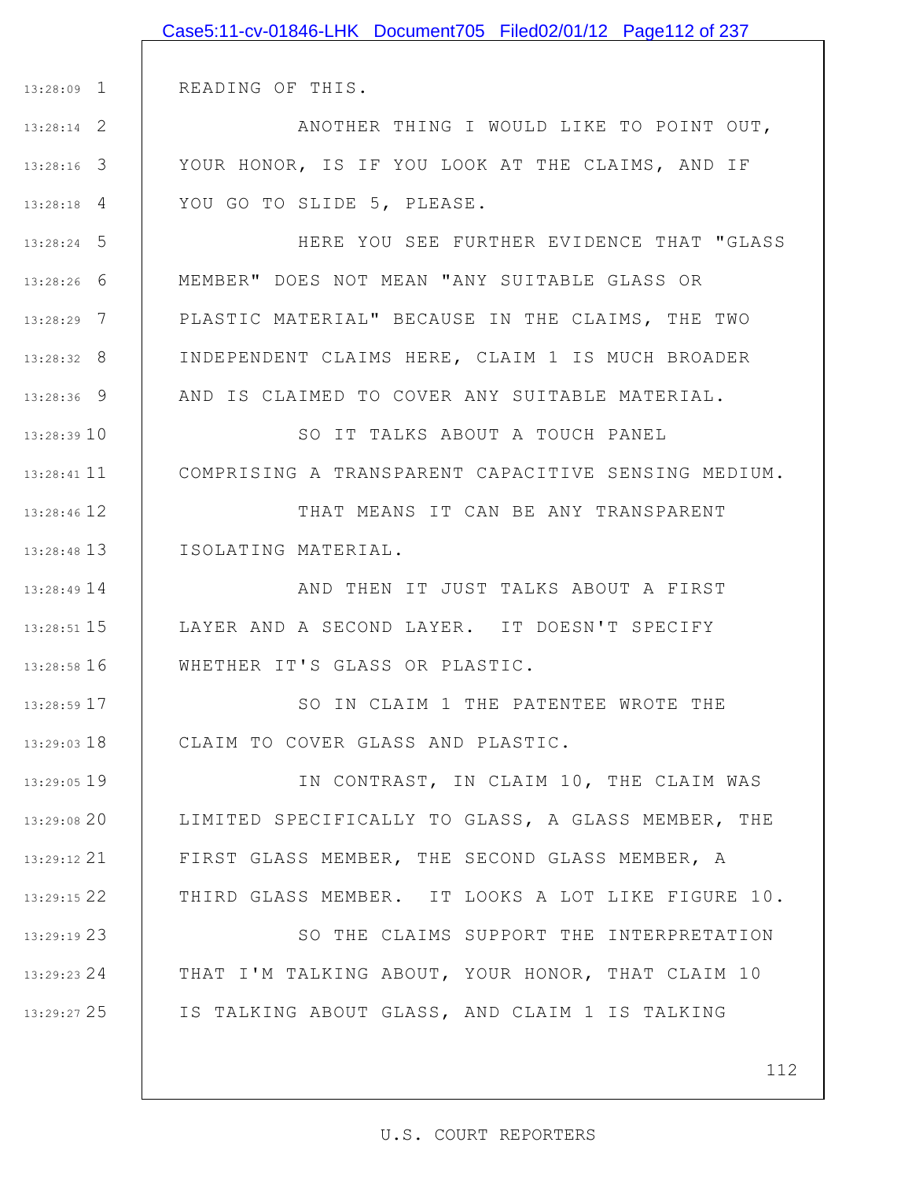|               | Case5:11-cv-01846-LHK Document705 Filed02/01/12 Page112 of 237 |
|---------------|----------------------------------------------------------------|
|               |                                                                |
|               | 13:28:09 1   READING OF THIS.                                  |
| $13:28:14$ 2  | ANOTHER THING I WOULD LIKE TO POINT OUT,                       |
| 13:28:16 3    | YOUR HONOR, IS IF YOU LOOK AT THE CLAIMS, AND IF               |
| $13:28:18$ 4  | YOU GO TO SLIDE 5, PLEASE.                                     |
| $13:28:24$ 5  | HERE YOU SEE FURTHER EVIDENCE THAT "GLASS                      |
| 13:28:26 6    | MEMBER" DOES NOT MEAN "ANY SUITABLE GLASS OR                   |
| 13:28:29 7    | PLASTIC MATERIAL" BECAUSE IN THE CLAIMS, THE TWO               |
| $13:28:32$ 8  | INDEPENDENT CLAIMS HERE, CLAIM 1 IS MUCH BROADER               |
| 13:28:36 9    | AND IS CLAIMED TO COVER ANY SUITABLE MATERIAL.                 |
| 13:28:39 10   | SO IT TALKS ABOUT A TOUCH PANEL                                |
| $13:28:41$ 11 | COMPRISING A TRANSPARENT CAPACITIVE SENSING MEDIUM.            |
| 13:28:46 12   | THAT MEANS IT CAN BE ANY TRANSPARENT                           |
|               | 13:28:48 13   ISOLATING MATERIAL.                              |
| $13:28:49$ 14 | AND THEN IT JUST TALKS ABOUT A FIRST                           |
|               | 13:28:51 15   LAYER AND A SECOND LAYER. IT DOESN'T SPECIFY     |
| $13:28:58$ 16 | WHETHER IT'S GLASS OR PLASTIC.                                 |
| 13:28:59 17   | SO IN CLAIM 1 THE PATENTEE WROTE THE                           |
| $13:29:03$ 18 | CLAIM TO COVER GLASS AND PLASTIC.                              |
| 13:29:05 19   | IN CONTRAST, IN CLAIM 10, THE CLAIM WAS                        |
| 13:29:0820    | LIMITED SPECIFICALLY TO GLASS, A GLASS MEMBER, THE             |
| 13:29:12 21   | FIRST GLASS MEMBER, THE SECOND GLASS MEMBER, A                 |
| 13:29:15 22   | THIRD GLASS MEMBER. IT LOOKS A LOT LIKE FIGURE 10.             |
| 13:29:19 23   | SO THE CLAIMS SUPPORT THE INTERPRETATION                       |
| $13:29:23$ 24 | THAT I'M TALKING ABOUT, YOUR HONOR, THAT CLAIM 10              |
| 13:29:27 25   | IS TALKING ABOUT GLASS, AND CLAIM 1 IS TALKING                 |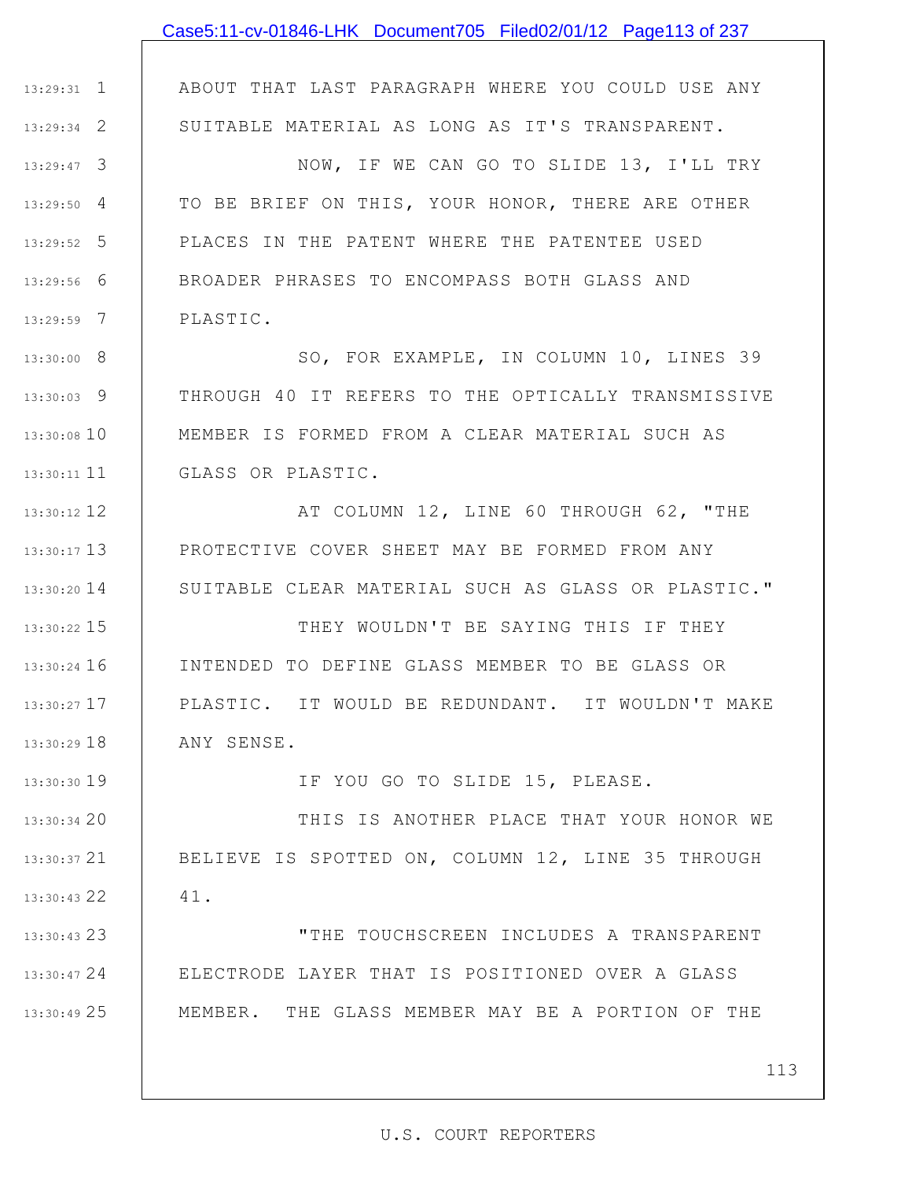|               | Case5:11-cv-01846-LHK Document705 Filed02/01/12 Page113 of 237 |
|---------------|----------------------------------------------------------------|
|               |                                                                |
| $13:29:31$ 1  | ABOUT THAT LAST PARAGRAPH WHERE YOU COULD USE ANY              |
| $13:29:34$ 2  | SUITABLE MATERIAL AS LONG AS IT'S TRANSPARENT.                 |
| $13:29:47$ 3  | NOW, IF WE CAN GO TO SLIDE 13, I'LL TRY                        |
| $13:29:50$ 4  | TO BE BRIEF ON THIS, YOUR HONOR, THERE ARE OTHER               |
| $13:29:52$ 5  | PLACES IN THE PATENT WHERE THE PATENTEE USED                   |
| $13:29:56$ 6  | BROADER PHRASES TO ENCOMPASS BOTH GLASS AND                    |
| $13:29:59$ 7  | PLASTIC.                                                       |
| $13:30:00$ 8  | SO, FOR EXAMPLE, IN COLUMN 10, LINES 39                        |
| $13:30:03$ 9  | THROUGH 40 IT REFERS TO THE OPTICALLY TRANSMISSIVE             |
| 13:30:08 10   | MEMBER IS FORMED FROM A CLEAR MATERIAL SUCH AS                 |
| 13:30:11 11   | GLASS OR PLASTIC.                                              |
| 13:30:12 12   | AT COLUMN 12, LINE 60 THROUGH 62, "THE                         |
| $13:30:17$ 13 | PROTECTIVE COVER SHEET MAY BE FORMED FROM ANY                  |
| $13:30:20$ 14 | SUITABLE CLEAR MATERIAL SUCH AS GLASS OR PLASTIC."             |
| 13:30:22 15   | THEY WOULDN'T BE SAYING THIS IF THEY                           |
| $13:30:24$ 16 | INTENDED TO DEFINE GLASS MEMBER TO BE GLASS OR                 |
| $13:30:27$ 17 | PLASTIC. IT WOULD BE REDUNDANT. IT WOULDN'T MAKE               |
| 13:30:29 18   | ANY SENSE.                                                     |
| 13:30:30 19   | IF YOU GO TO SLIDE 15, PLEASE.                                 |
| 13:30:34 20   | THIS IS ANOTHER PLACE THAT YOUR HONOR WE                       |
| 13:30:37 21   | BELIEVE IS SPOTTED ON, COLUMN 12, LINE 35 THROUGH              |
| 13:30:43 22   | 41.                                                            |
| 13:30:43 23   | "THE TOUCHSCREEN INCLUDES A TRANSPARENT                        |
| 13:30:47 24   | ELECTRODE LAYER THAT IS POSITIONED OVER A GLASS                |
| 13:30:49 25   | MEMBER. THE GLASS MEMBER MAY BE A PORTION OF THE               |
|               |                                                                |
|               | 113                                                            |

 $\mathsf{I}$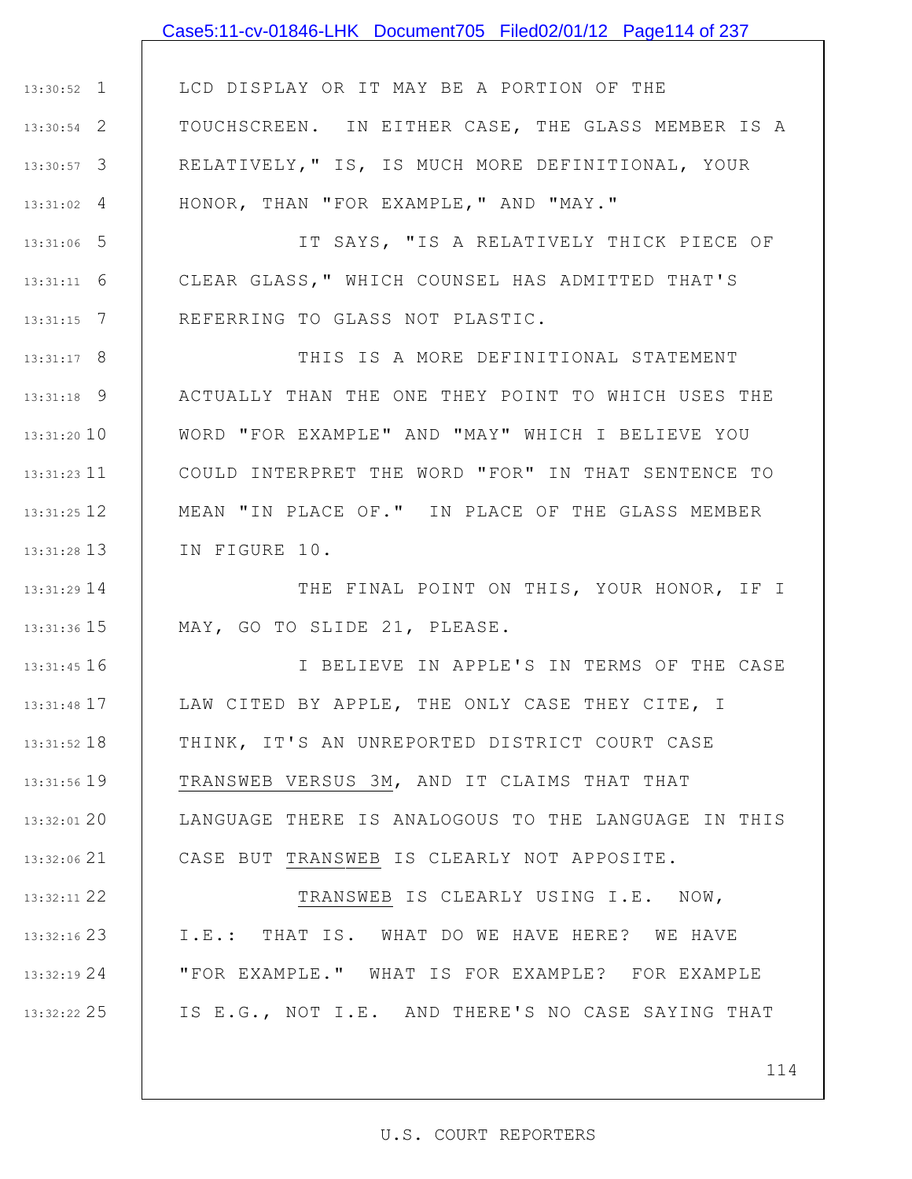## Case5:11-cv-01846-LHK Document705 Filed02/01/12 Page114 of 237

1 13:30:52 2 13:30:54 3 13:30:57 4 13:31:02 LCD DISPLAY OR IT MAY BE A PORTION OF THE TOUCHSCREEN. IN EITHER CASE, THE GLASS MEMBER IS A RELATIVELY," IS, IS MUCH MORE DEFINITIONAL, YOUR HONOR, THAN "FOR EXAMPLE," AND "MAY."

5 13:31:06 6 13:31:11 7 13:31:15 IT SAYS, "IS A RELATIVELY THICK PIECE OF CLEAR GLASS," WHICH COUNSEL HAS ADMITTED THAT'S REFERRING TO GLASS NOT PLASTIC.

8 13:31:17 9 13:31:18 13:31:20 10 11 13:31:23 12 13:31:25 13 13:31:28 THIS IS A MORE DEFINITIONAL STATEMENT ACTUALLY THAN THE ONE THEY POINT TO WHICH USES THE WORD "FOR EXAMPLE" AND "MAY" WHICH I BELIEVE YOU COULD INTERPRET THE WORD "FOR" IN THAT SENTENCE TO MEAN "IN PLACE OF." IN PLACE OF THE GLASS MEMBER IN FIGURE 10.

14 13:31:29 15 13:31:36 THE FINAL POINT ON THIS, YOUR HONOR, IF I MAY, GO TO SLIDE 21, PLEASE.

16 13:31:45 17 13:31:48 18 13:31:52 19 13:31:56 20 13:32:01 21 13:32:06 I BELIEVE IN APPLE'S IN TERMS OF THE CASE LAW CITED BY APPLE, THE ONLY CASE THEY CITE, I THINK, IT'S AN UNREPORTED DISTRICT COURT CASE TRANSWEB VERSUS 3M, AND IT CLAIMS THAT THAT LANGUAGE THERE IS ANALOGOUS TO THE LANGUAGE IN THIS CASE BUT TRANSWEB IS CLEARLY NOT APPOSITE.

22 13:32:11

23 13:32:16

24 13:32:19

25 13:32:22

TRANSWEB IS CLEARLY USING I.E. NOW, I.E.: THAT IS. WHAT DO WE HAVE HERE? WE HAVE "FOR EXAMPLE." WHAT IS FOR EXAMPLE? FOR EXAMPLE IS E.G., NOT I.E. AND THERE'S NO CASE SAYING THAT

114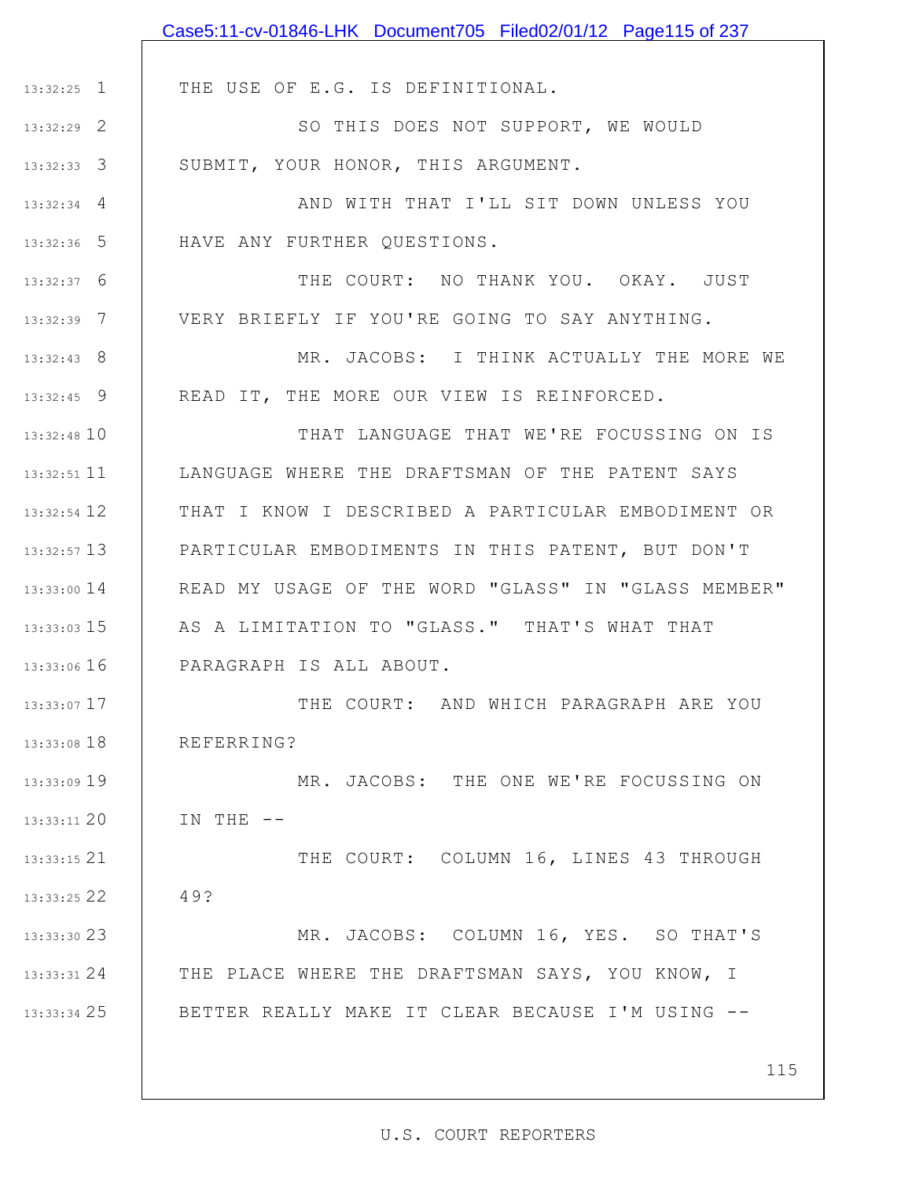|                 | Case5:11-cv-01846-LHK Document705 Filed02/01/12 Page115 of 237 |
|-----------------|----------------------------------------------------------------|
|                 |                                                                |
| $13:32:25$ 1    | THE USE OF E.G. IS DEFINITIONAL.                               |
| $13:32:29$ 2    | SO THIS DOES NOT SUPPORT, WE WOULD                             |
| $13:32:33$ 3    | SUBMIT, YOUR HONOR, THIS ARGUMENT.                             |
| $13:32:34$ 4    | AND WITH THAT I'LL SIT DOWN UNLESS YOU                         |
| $13:32:36$ 5    | HAVE ANY FURTHER QUESTIONS.                                    |
| $13:32:37$ 6    | THE COURT: NO THANK YOU. OKAY. JUST                            |
| $13:32:39$ 7    | VERY BRIEFLY IF YOU'RE GOING TO SAY ANYTHING.                  |
| $13:32:43$ 8    | MR. JACOBS: I THINK ACTUALLY THE MORE WE                       |
| $13:32:45$ 9    | READ IT, THE MORE OUR VIEW IS REINFORCED.                      |
| 13:32:48 10     | THAT LANGUAGE THAT WE'RE FOCUSSING ON IS                       |
| $13:32:51$ 11   | LANGUAGE WHERE THE DRAFTSMAN OF THE PATENT SAYS                |
| 13:32:54 12     | THAT I KNOW I DESCRIBED A PARTICULAR EMBODIMENT OR             |
| $13:32:57$ 13   | PARTICULAR EMBODIMENTS IN THIS PATENT, BUT DON'T               |
| $13:33:00$ $14$ | READ MY USAGE OF THE WORD "GLASS" IN "GLASS MEMBER"            |
| $13:33:03$ 15   | AS A LIMITATION TO "GLASS." THAT'S WHAT THAT                   |
| $13:33:06$ 16   | PARAGRAPH IS ALL ABOUT.                                        |
| 13:33:07 17     | THE COURT: AND WHICH PARAGRAPH ARE YOU                         |
| 13:33:08 18     | REFERRING?                                                     |
| 13:33:09 19     | MR. JACOBS: THE ONE WE'RE FOCUSSING ON                         |
| 13:33:11 20     | IN THE $--$                                                    |
| 13:33:15 21     | THE COURT: COLUMN 16, LINES 43 THROUGH                         |
| 13:33:25 22     | 49?                                                            |
| 13:33:30 23     | MR. JACOBS: COLUMN 16, YES. SO THAT'S                          |
| 13:33:31 24     | THE PLACE WHERE THE DRAFTSMAN SAYS, YOU KNOW, I                |
| 13:33:34 25     | BETTER REALLY MAKE IT CLEAR BECAUSE I'M USING --               |
|                 |                                                                |
|                 | 115                                                            |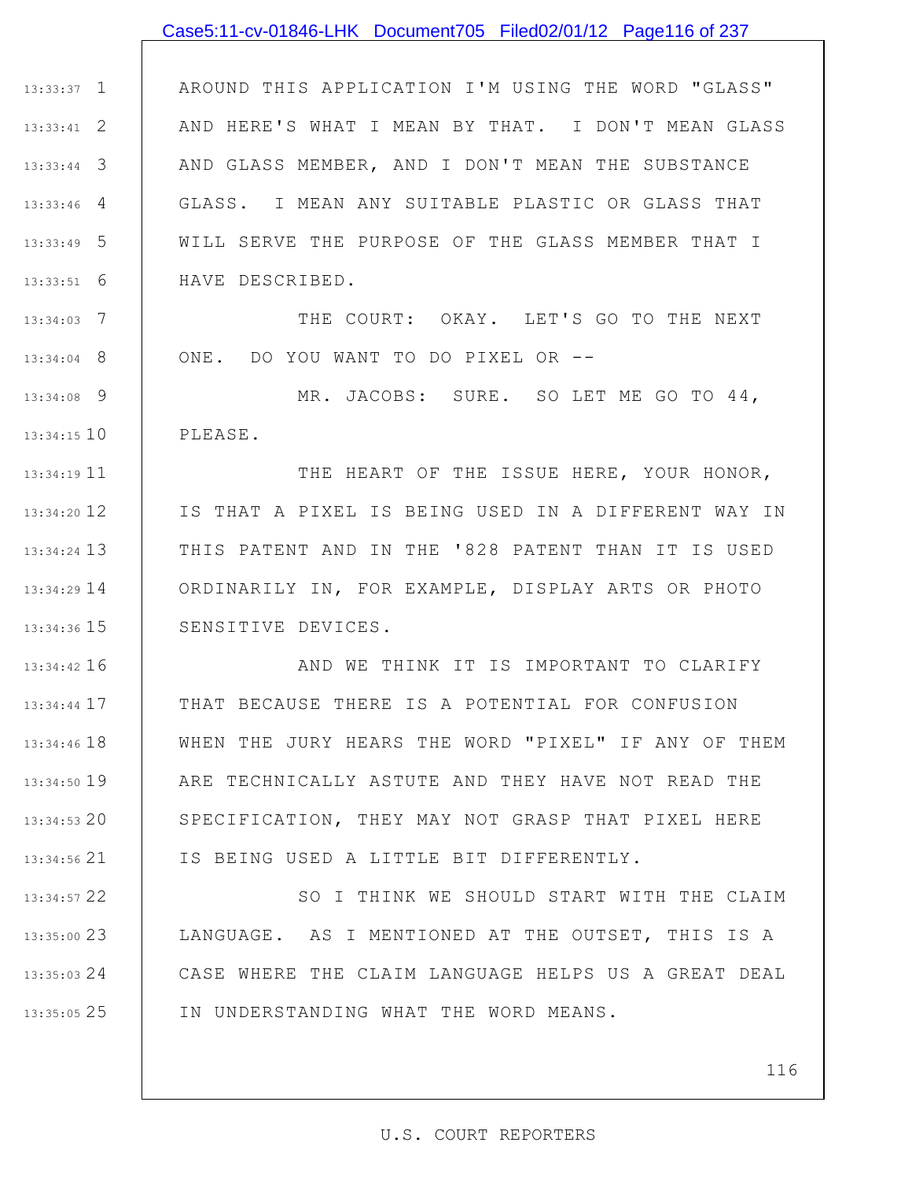### Case5:11-cv-01846-LHK Document705 Filed02/01/12 Page116 of 237

1 13:33:37 2 13:33:41 3 13:33:44 4 13:33:46 5 13:33:49 6 13:33:51 AROUND THIS APPLICATION I'M USING THE WORD "GLASS" AND HERE'S WHAT I MEAN BY THAT. I DON'T MEAN GLASS AND GLASS MEMBER, AND I DON'T MEAN THE SUBSTANCE GLASS. I MEAN ANY SUITABLE PLASTIC OR GLASS THAT WILL SERVE THE PURPOSE OF THE GLASS MEMBER THAT I HAVE DESCRIBED.

7 13:34:03 8 13:34:04 THE COURT: OKAY. LET'S GO TO THE NEXT ONE. DO YOU WANT TO DO PIXEL OR --

9 13:34:08 13:34:15 10 MR. JACOBS: SURE. SO LET ME GO TO 44, PLEASE.

11 13:34:19 12 13:34:20 13 13:34:24 14 13:34:29 15 13:34:36 THE HEART OF THE ISSUE HERE, YOUR HONOR, IS THAT A PIXEL IS BEING USED IN A DIFFERENT WAY IN THIS PATENT AND IN THE '828 PATENT THAN IT IS USED ORDINARILY IN, FOR EXAMPLE, DISPLAY ARTS OR PHOTO SENSITIVE DEVICES.

16 13:34:42 17 13:34:44 18 13:34:46 19 13:34:50 20 13:34:53 21 13:34:56 AND WE THINK IT IS IMPORTANT TO CLARIFY THAT BECAUSE THERE IS A POTENTIAL FOR CONFUSION WHEN THE JURY HEARS THE WORD "PIXEL" IF ANY OF THEM ARE TECHNICALLY ASTUTE AND THEY HAVE NOT READ THE SPECIFICATION, THEY MAY NOT GRASP THAT PIXEL HERE IS BEING USED A LITTLE BIT DIFFERENTLY.

22 13:34:57 23 13:35:00 24 13:35:03 25 13:35:05 SO I THINK WE SHOULD START WITH THE CLAIM LANGUAGE. AS I MENTIONED AT THE OUTSET, THIS IS A CASE WHERE THE CLAIM LANGUAGE HELPS US A GREAT DEAL IN UNDERSTANDING WHAT THE WORD MEANS.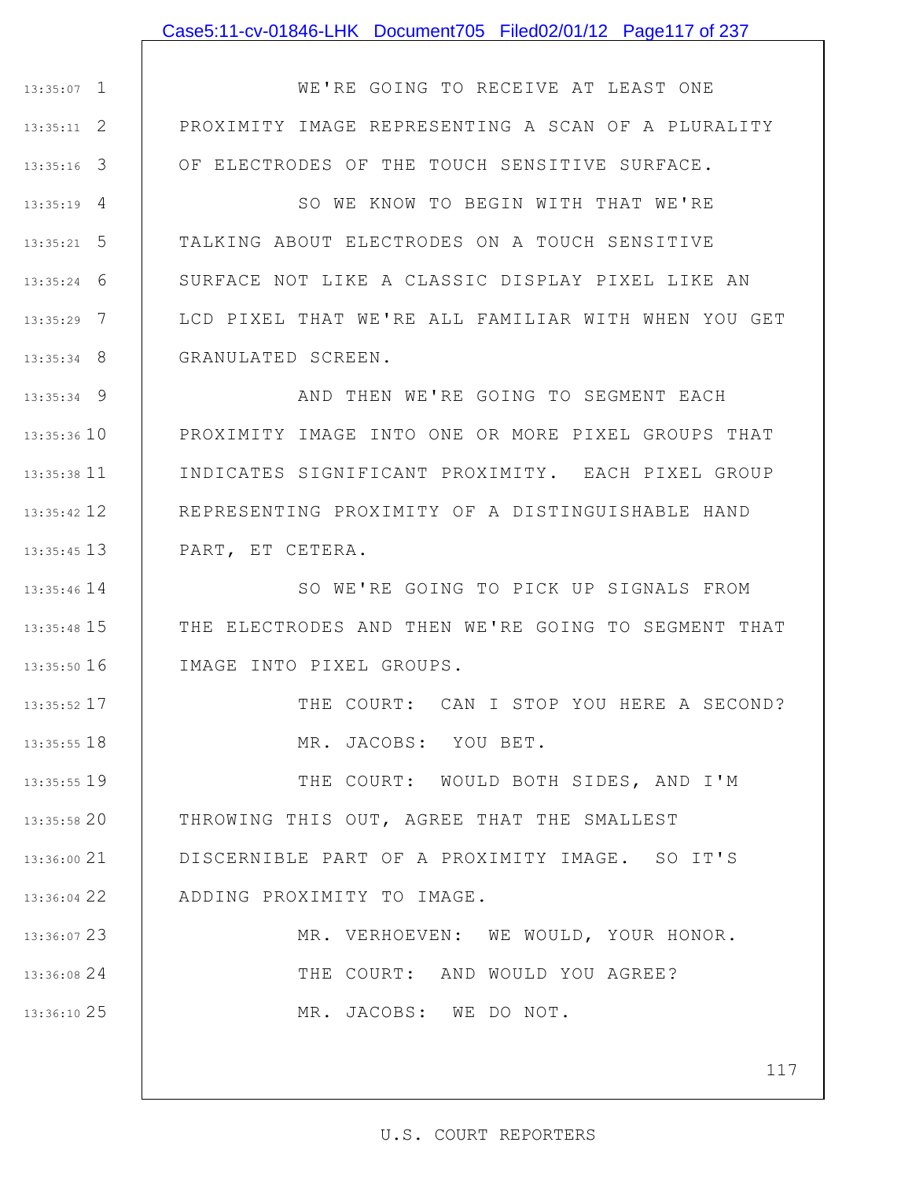### Case5:11-cv-01846-LHK Document705 Filed02/01/12 Page117 of 237

1 13:35:07 2 13:35:11 3 13:35:16 WE'RE GOING TO RECEIVE AT LEAST ONE PROXIMITY IMAGE REPRESENTING A SCAN OF A PLURALITY OF ELECTRODES OF THE TOUCH SENSITIVE SURFACE.

4 13:35:19 5 13:35:21 6 13:35:24 7 13:35:29 8 13:35:34 SO WE KNOW TO BEGIN WITH THAT WE'RE TALKING ABOUT ELECTRODES ON A TOUCH SENSITIVE SURFACE NOT LIKE A CLASSIC DISPLAY PIXEL LIKE AN LCD PIXEL THAT WE'RE ALL FAMILIAR WITH WHEN YOU GET GRANULATED SCREEN.

9 13:35:34 13:35:36 10 11 13:35:38 12 13:35:42 13 13:35:45 AND THEN WE'RE GOING TO SEGMENT EACH PROXIMITY IMAGE INTO ONE OR MORE PIXEL GROUPS THAT INDICATES SIGNIFICANT PROXIMITY. EACH PIXEL GROUP REPRESENTING PROXIMITY OF A DISTINGUISHABLE HAND PART, ET CETERA.

13:35:46 14 15 13:35:48 16 13:35:50 SO WE'RE GOING TO PICK UP SIGNALS FROM THE ELECTRODES AND THEN WE'RE GOING TO SEGMENT THAT IMAGE INTO PIXEL GROUPS.

> THE COURT: CAN I STOP YOU HERE A SECOND? MR. JACOBS: YOU BET.

19 13:35:55 20 13:35:58 21 13:36:00 22 13:36:04 THE COURT: WOULD BOTH SIDES, AND I'M THROWING THIS OUT, AGREE THAT THE SMALLEST DISCERNIBLE PART OF A PROXIMITY IMAGE. SO IT'S ADDING PROXIMITY TO IMAGE.

17 13:35:52

18 13:35:55

23 13:36:07 24 13:36:08 25 13:36:10 MR. VERHOEVEN: WE WOULD, YOUR HONOR. THE COURT: AND WOULD YOU AGREE? MR. JACOBS: WE DO NOT.

117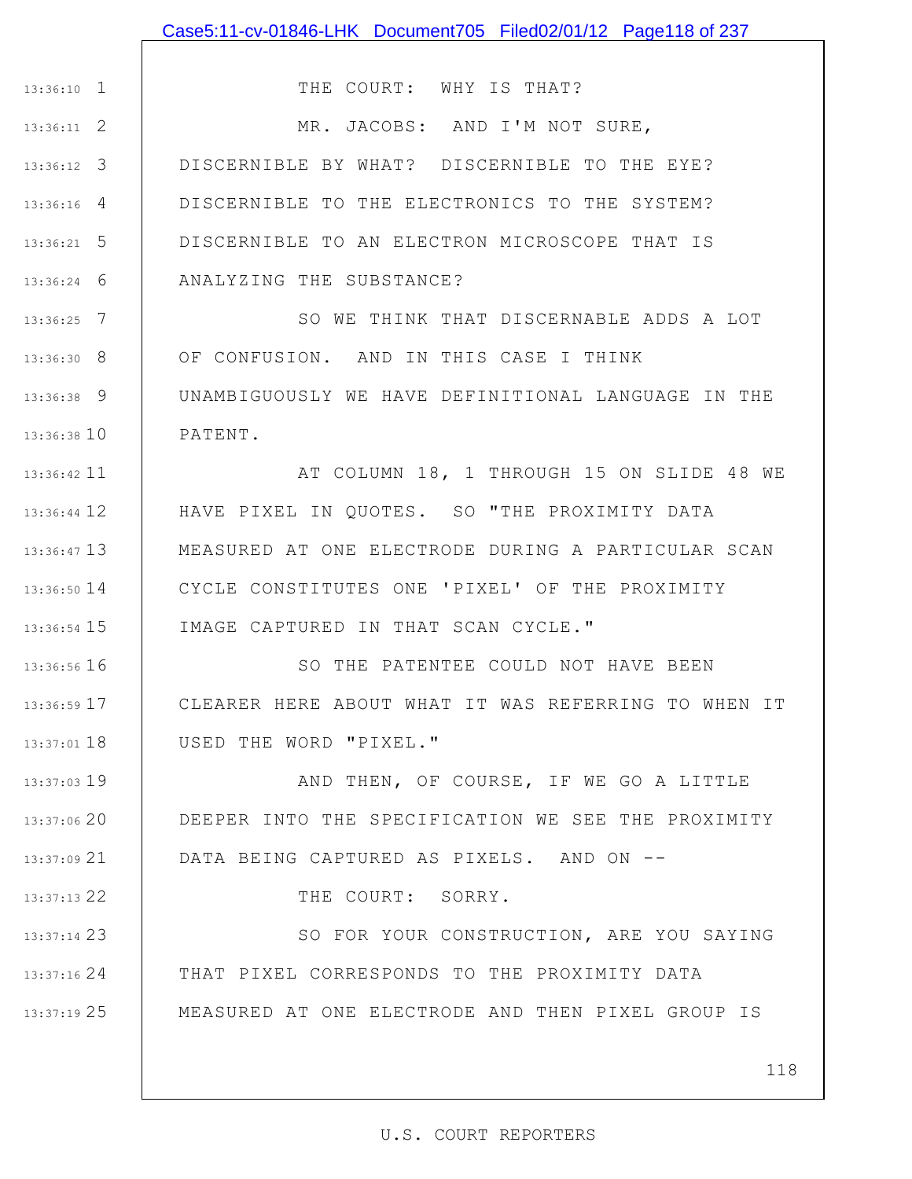|                 | Case5:11-cv-01846-LHK Document705 Filed02/01/12 Page118 of 237 |
|-----------------|----------------------------------------------------------------|
|                 |                                                                |
| $13:36:10$ 1    | THE COURT: WHY IS THAT?                                        |
| $13:36:11$ 2    | MR. JACOBS: AND I'M NOT SURE,                                  |
| $13:36:12$ 3    | DISCERNIBLE BY WHAT? DISCERNIBLE TO THE EYE?                   |
| $13:36:16$ 4    | DISCERNIBLE TO THE ELECTRONICS TO THE SYSTEM?                  |
| $13:36:21$ 5    | DISCERNIBLE TO AN ELECTRON MICROSCOPE THAT IS                  |
| $13:36:24$ 6    | ANALYZING THE SUBSTANCE?                                       |
| $13:36:25$ 7    | SO WE THINK THAT DISCERNABLE ADDS A LOT                        |
| $13:36:30$ 8    | OF CONFUSION. AND IN THIS CASE I THINK                         |
| $13:36:38$ 9    | UNAMBIGUOUSLY WE HAVE DEFINITIONAL LANGUAGE IN THE             |
| 13:36:38 10     | PATENT.                                                        |
| 13:36:42 11     | AT COLUMN 18, 1 THROUGH 15 ON SLIDE 48 WE                      |
| 13:36:44 12     | HAVE PIXEL IN QUOTES. SO "THE PROXIMITY DATA                   |
| 13:36:47 13     | MEASURED AT ONE ELECTRODE DURING A PARTICULAR SCAN             |
| $13:36:50$ $14$ | CYCLE CONSTITUTES ONE 'PIXEL' OF THE PROXIMITY                 |
| $13:36:54$ 15   | IMAGE CAPTURED IN THAT SCAN CYCLE."                            |
| 13:36:56 16     | SO THE PATENTEE COULD NOT HAVE BEEN                            |
| 13:36:59 17     | CLEARER HERE ABOUT WHAT IT WAS REFERRING TO WHEN IT            |
| $13:37:01$ 18   | USED THE WORD "PIXEL."                                         |
| 13:37:03 19     | AND THEN, OF COURSE, IF WE GO A LITTLE                         |
| 13:37:0620      | DEEPER INTO THE SPECIFICATION WE SEE THE PROXIMITY             |
| 13:37:09 21     | DATA BEING CAPTURED AS PIXELS. AND ON --                       |
| 13:37:13 22     | THE COURT: SORRY.                                              |
| 13:37:14 23     | SO FOR YOUR CONSTRUCTION, ARE YOU SAYING                       |
| 13:37:16 24     | THAT PIXEL CORRESPONDS TO THE PROXIMITY DATA                   |
| 13:37:19 25     | MEASURED AT ONE ELECTRODE AND THEN PIXEL GROUP IS              |
|                 |                                                                |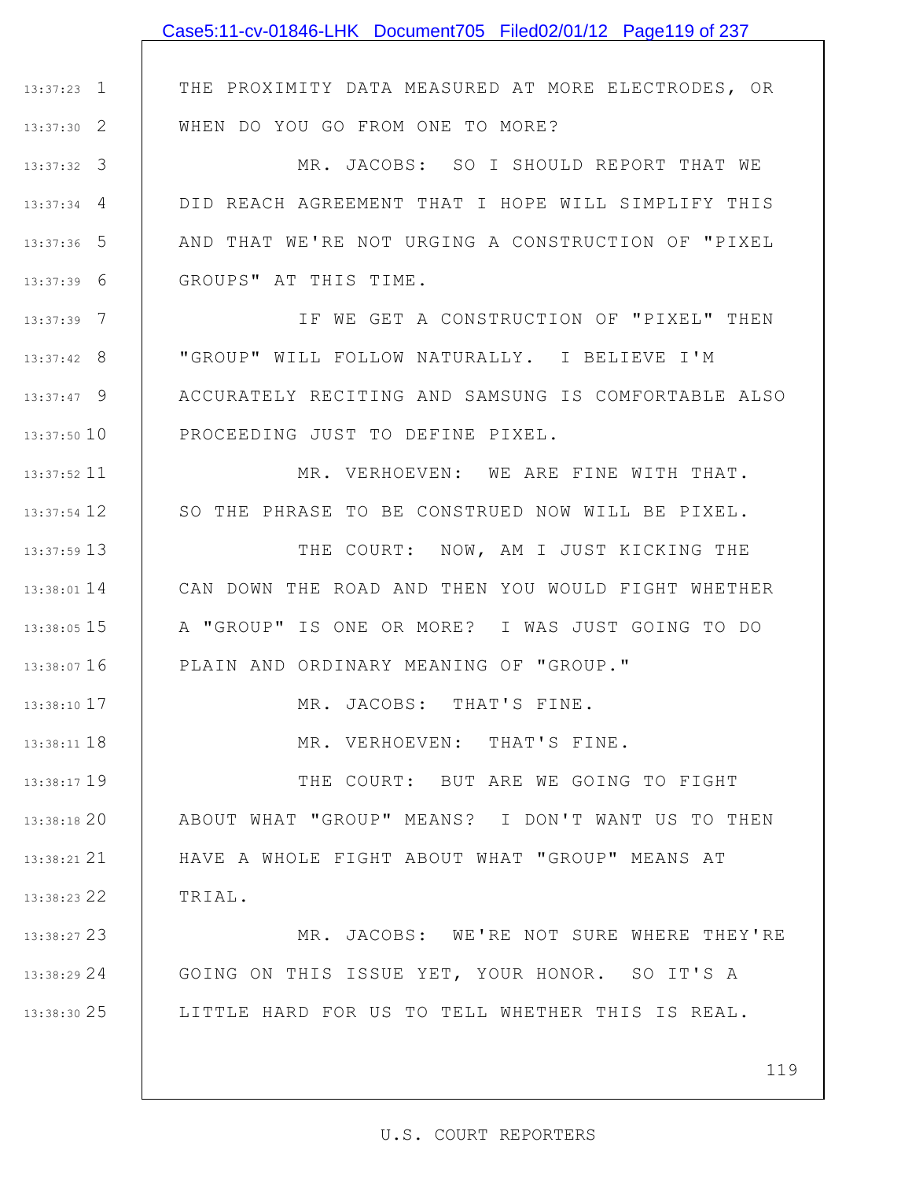|                    | Case5:11-cv-01846-LHK Document705 Filed02/01/12 Page119 of 237 |
|--------------------|----------------------------------------------------------------|
|                    |                                                                |
| $13:37:23$ $\perp$ | THE PROXIMITY DATA MEASURED AT MORE ELECTRODES, OR             |
| $13:37:30$ 2       | WHEN DO YOU GO FROM ONE TO MORE?                               |
| $13:37:32$ 3       | MR. JACOBS: SO I SHOULD REPORT THAT WE                         |
| $13:37:34$ 4       | DID REACH AGREEMENT THAT I HOPE WILL SIMPLIFY THIS             |
| $13:37:36$ 5       | AND THAT WE'RE NOT URGING A CONSTRUCTION OF "PIXEL             |
| $13:37:39$ 6       | GROUPS" AT THIS TIME.                                          |
| $13:37:39$ 7       | IF WE GET A CONSTRUCTION OF "PIXEL" THEN                       |
| $13:37:42$ 8       | "GROUP" WILL FOLLOW NATURALLY. I BELIEVE I'M                   |
| $13:37:47$ 9       | ACCURATELY RECITING AND SAMSUNG IS COMFORTABLE ALSO            |
| 13:37:50 10        | PROCEEDING JUST TO DEFINE PIXEL.                               |
| $13:37:52$ 11      | MR. VERHOEVEN: WE ARE FINE WITH THAT.                          |
| 13:37:54 12        | SO THE PHRASE TO BE CONSTRUED NOW WILL BE PIXEL.               |
| $13:37:59$ 13      | THE COURT: NOW, AM I JUST KICKING THE                          |
| $13:38:01$ 14      | CAN DOWN THE ROAD AND THEN YOU WOULD FIGHT WHETHER             |
| 13:38:05 15        | A "GROUP" IS ONE OR MORE? I WAS JUST GOING TO DO               |
| 13:38:07 16        | PLAIN AND ORDINARY MEANING OF "GROUP."                         |
| 13:38:10 17        | MR. JACOBS: THAT'S FINE.                                       |
| 13:38:11 18        | MR. VERHOEVEN: THAT'S FINE.                                    |
| 13:38:17 19        | THE COURT: BUT ARE WE GOING TO FIGHT                           |
| 13:38:18 20        | ABOUT WHAT "GROUP" MEANS? I DON'T WANT US TO THEN              |
| 13:38:21 21        | HAVE A WHOLE FIGHT ABOUT WHAT "GROUP" MEANS AT                 |
| 13:38:23 22        | TRIAL.                                                         |
| 13:38:27 23        | MR. JACOBS: WE'RE NOT SURE WHERE THEY'RE                       |
| 13:38:29 24        | GOING ON THIS ISSUE YET, YOUR HONOR. SO IT'S A                 |
| 13:38:30 25        | LITTLE HARD FOR US TO TELL WHETHER THIS IS REAL.               |
|                    |                                                                |
|                    | 119                                                            |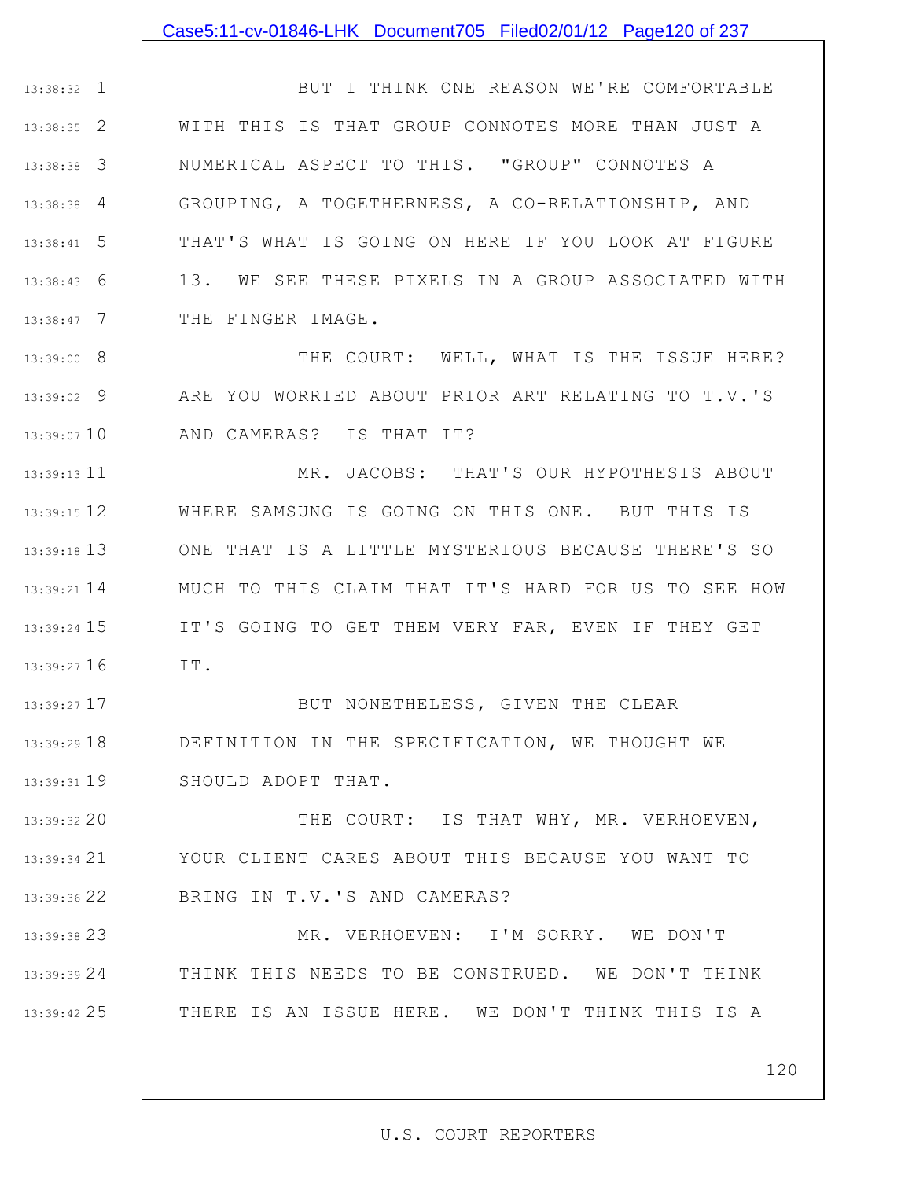### Case5:11-cv-01846-LHK Document705 Filed02/01/12 Page120 of 237

1 13:38:32 2 13:38:35 3 13:38:38 4 13:38:38 5 13:38:41 6 13:38:43 7 13:38:47 BUT I THINK ONE REASON WE'RE COMFORTABLE WITH THIS IS THAT GROUP CONNOTES MORE THAN JUST A NUMERICAL ASPECT TO THIS. "GROUP" CONNOTES A GROUPING, A TOGETHERNESS, A CO-RELATIONSHIP, AND THAT'S WHAT IS GOING ON HERE IF YOU LOOK AT FIGURE 13. WE SEE THESE PIXELS IN A GROUP ASSOCIATED WITH THE FINGER IMAGE.

8 13:39:00 9 13:39:02 13:39:07 10 THE COURT: WELL, WHAT IS THE ISSUE HERE? ARE YOU WORRIED ABOUT PRIOR ART RELATING TO T.V.'S AND CAMERAS? IS THAT IT?

11 13:39:13 12 13:39:15 13 13:39:18 14 13:39:21 15 13:39:24 16 13:39:27 MR. JACOBS: THAT'S OUR HYPOTHESIS ABOUT WHERE SAMSUNG IS GOING ON THIS ONE. BUT THIS IS ONE THAT IS A LITTLE MYSTERIOUS BECAUSE THERE'S SO MUCH TO THIS CLAIM THAT IT'S HARD FOR US TO SEE HOW IT'S GOING TO GET THEM VERY FAR, EVEN IF THEY GET IT.

17 13:39:27 18 13:39:29 19 13:39:31 BUT NONETHELESS, GIVEN THE CLEAR DEFINITION IN THE SPECIFICATION, WE THOUGHT WE SHOULD ADOPT THAT.

20 13:39:32 21 13:39:34 22 13:39:36 THE COURT: IS THAT WHY, MR. VERHOEVEN, YOUR CLIENT CARES ABOUT THIS BECAUSE YOU WANT TO BRING IN T.V.'S AND CAMERAS?

23 13:39:38 24 13:39:39 25 13:39:42 MR. VERHOEVEN: I'M SORRY. WE DON'T THINK THIS NEEDS TO BE CONSTRUED. WE DON'T THINK THERE IS AN ISSUE HERE. WE DON'T THINK THIS IS A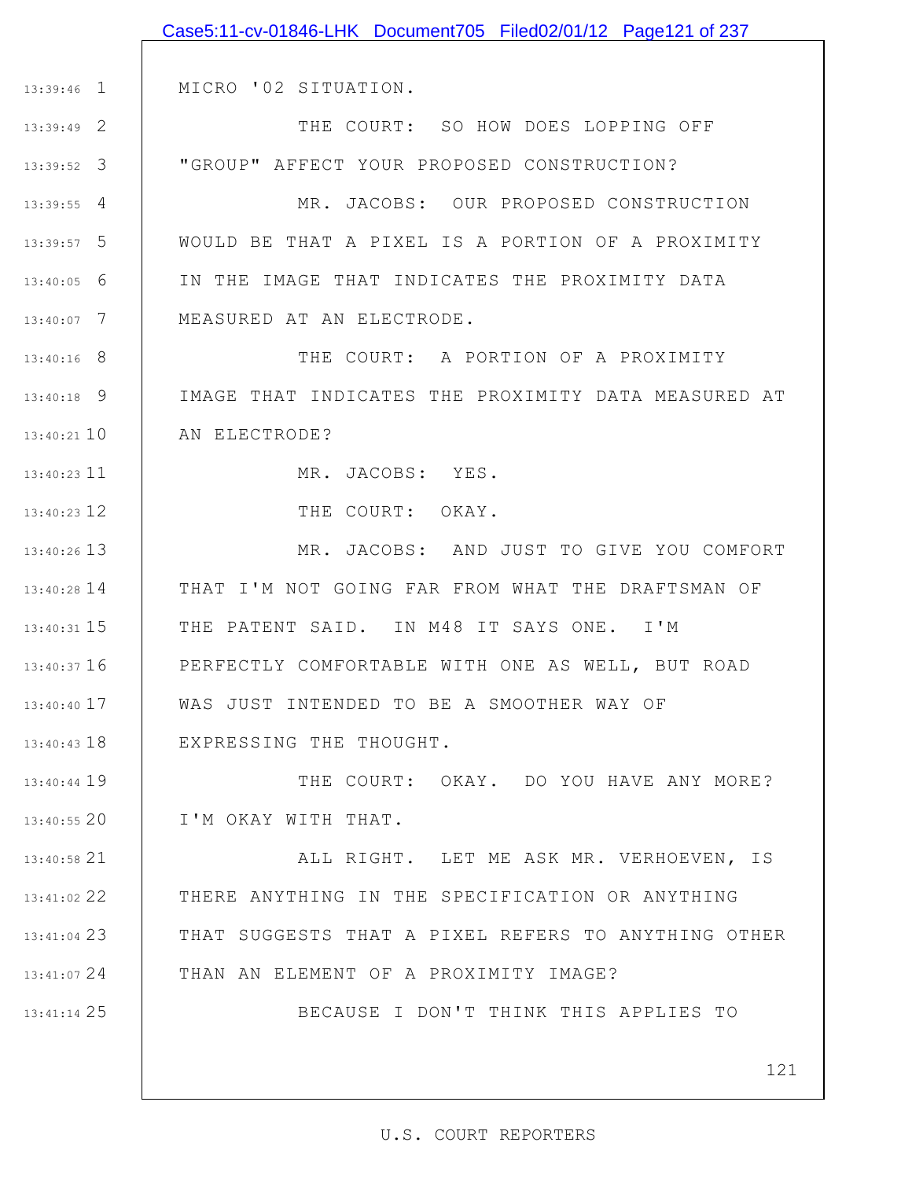|               | Case5:11-cv-01846-LHK Document705 Filed02/01/12 Page121 of 237 |
|---------------|----------------------------------------------------------------|
|               |                                                                |
| $13:39:46$ 1  | MICRO '02 SITUATION.                                           |
| 13:39:49 2    | THE COURT: SO HOW DOES LOPPING OFF                             |
| $13:39:52$ 3  | "GROUP" AFFECT YOUR PROPOSED CONSTRUCTION?                     |
| $13:39:55$ 4  | MR. JACOBS: OUR PROPOSED CONSTRUCTION                          |
| 13:39:57 5    | WOULD BE THAT A PIXEL IS A PORTION OF A PROXIMITY              |
| $13:40:05$ 6  | IN THE IMAGE THAT INDICATES THE PROXIMITY DATA                 |
| $13:40:07$ 7  | MEASURED AT AN ELECTRODE.                                      |
| $13:40:16$ 8  | THE COURT: A PORTION OF A PROXIMITY                            |
| $13:40:18$ 9  | IMAGE THAT INDICATES THE PROXIMITY DATA MEASURED AT            |
| $13:40:21$ 10 | AN ELECTRODE?                                                  |
| $13:40:23$ 11 | MR. JACOBS: YES.                                               |
| 13:40:23 12   | THE COURT: OKAY.                                               |
| $13:40:26$ 13 | MR. JACOBS: AND JUST TO GIVE YOU COMFORT                       |
| $13:40:28$ 14 | THAT I'M NOT GOING FAR FROM WHAT THE DRAFTSMAN OF              |
| $13:40:31$ 15 | THE PATENT SAID. IN M48 IT SAYS ONE. I'M                       |
| $13:40:37$ 16 | PERFECTLY COMFORTABLE WITH ONE AS WELL, BUT ROAD               |
| $13:40:40$ 17 | WAS JUST INTENDED TO BE A SMOOTHER WAY OF                      |
| 13:40:43 18   | EXPRESSING THE THOUGHT.                                        |
| $13:40:44$ 19 | THE COURT: OKAY. DO YOU HAVE ANY MORE?                         |
| $13:40:55$ 20 | I'M OKAY WITH THAT.                                            |
| $13:40:58$ 21 | ALL RIGHT. LET ME ASK MR. VERHOEVEN, IS                        |
| 13:41:02 22   | THERE ANYTHING IN THE SPECIFICATION OR ANYTHING                |
| 13:41:04 23   | THAT SUGGESTS THAT A PIXEL REFERS TO ANYTHING OTHER            |
| 13:41:07 24   | THAN AN ELEMENT OF A PROXIMITY IMAGE?                          |
| 13:41:14 25   | BECAUSE I DON'T THINK THIS APPLIES TO                          |
|               |                                                                |
|               | 121                                                            |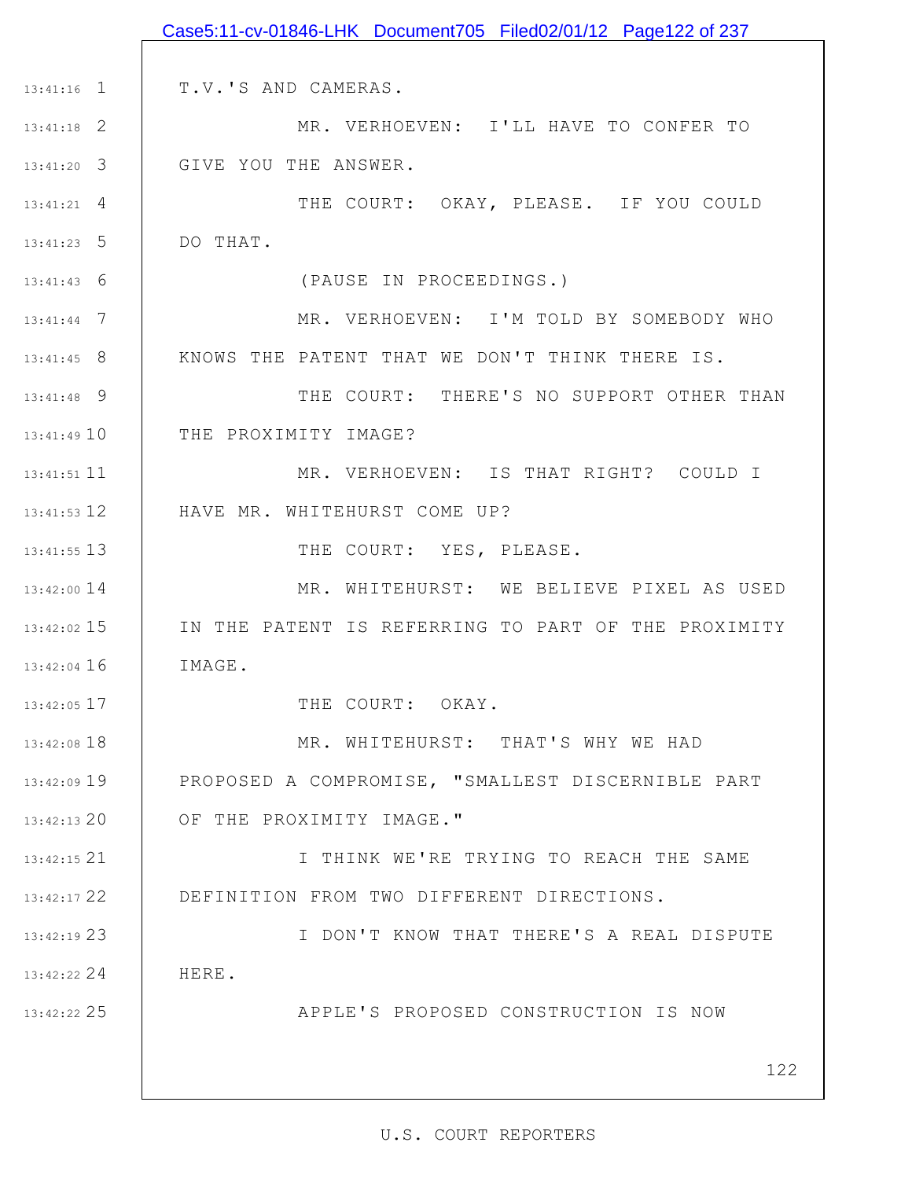|               | Case5:11-cv-01846-LHK Document705 Filed02/01/12 Page122 of 237 |
|---------------|----------------------------------------------------------------|
|               |                                                                |
| $13:41:16$ 1  | T.V.'S AND CAMERAS.                                            |
| $13:41:18$ 2  | MR. VERHOEVEN: I'LL HAVE TO CONFER TO                          |
| $13:41:20$ 3  | GIVE YOU THE ANSWER.                                           |
| $13:41:21$ 4  | THE COURT: OKAY, PLEASE. IF YOU COULD                          |
| $13:41:23$ 5  | DO THAT.                                                       |
| $13:41:43$ 6  | (PAUSE IN PROCEEDINGS.)                                        |
| $13:41:44$ 7  | MR. VERHOEVEN: I'M TOLD BY SOMEBODY WHO                        |
| $13:41:45$ 8  | KNOWS THE PATENT THAT WE DON'T THINK THERE IS.                 |
| 13:41:48 9    | THE COURT: THERE'S NO SUPPORT OTHER THAN                       |
| 13:41:49 10   | THE PROXIMITY IMAGE?                                           |
| 13:41:51 11   | MR. VERHOEVEN: IS THAT RIGHT? COULD I                          |
| 13:41:53 12   | HAVE MR. WHITEHURST COME UP?                                   |
| $13:41:55$ 13 | THE COURT: YES, PLEASE.                                        |
| 13:42:00 14   | MR. WHITEHURST: WE BELIEVE PIXEL AS USED                       |
| $13:42:02$ 15 | IN THE PATENT IS REFERRING TO PART OF THE PROXIMITY            |
| $13:42:04$ 16 | IMAGE.                                                         |
| $13:42:05$ 17 | THE COURT: OKAY.                                               |
| 13:42:08 18   | MR. WHITEHURST: THAT'S WHY WE HAD                              |
| $13:42:09$ 19 | PROPOSED A COMPROMISE, "SMALLEST DISCERNIBLE PART              |
| $13:42:13$ 20 | OF THE PROXIMITY IMAGE."                                       |
| $13:42:15$ 21 | I THINK WE'RE TRYING TO REACH THE SAME                         |
| 13:42:17 22   | DEFINITION FROM TWO DIFFERENT DIRECTIONS.                      |
| 13:42:19 23   | I DON'T KNOW THAT THERE'S A REAL DISPUTE                       |
| $13:42:22$ 24 | HERE.                                                          |
| 13:42:22 25   | APPLE'S PROPOSED CONSTRUCTION IS NOW                           |
|               |                                                                |
|               | 122                                                            |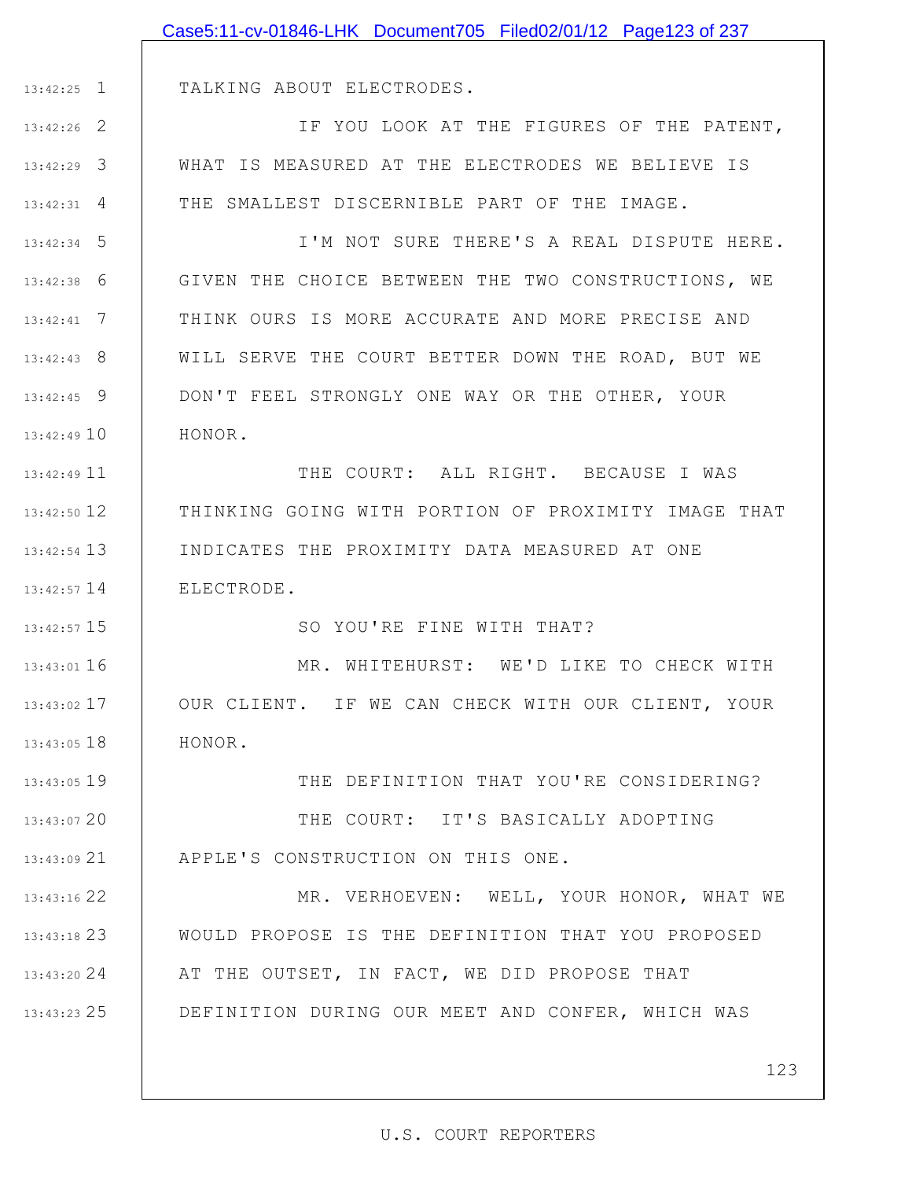|              | Case5:11-cv-01846-LHK Document705 Filed02/01/12 Page123 of 237 |
|--------------|----------------------------------------------------------------|
|              |                                                                |
| 13:42:25 1   | TALKING ABOUT ELECTRODES.                                      |
| 13:42:26 2   | IF YOU LOOK AT THE FIGURES OF THE PATENT,                      |
| 13:42:29 3   | WHAT IS MEASURED AT THE ELECTRODES WE BELIEVE IS               |
| 13:42:31 4   | THE SMALLEST DISCERNIBLE PART OF THE IMAGE.                    |
| $13:42:34$ 5 | I'M NOT SURE THERE'S A REAL DISPUTE HERE.                      |
| 13:42:38 6   | GIVEN THE CHOICE BETWEEN THE TWO CONSTRUCTIONS, WE             |
| $13:42:41$ 7 | THINK OURS IS MORE ACCURATE AND MORE PRECISE AND               |
| 13:42:43 8   | WILL SERVE THE COURT BETTER DOWN THE ROAD, BUT WE              |
| $13:42:45$ 9 | DON'T FEEL STRONGLY ONE WAY OR THE OTHER, YOUR                 |
| 13:42:49 10  | HONOR.                                                         |
| 13:42:49 11  | THE COURT: ALL RIGHT. BECAUSE I WAS                            |
| 13:42:50 12  | THINKING GOING WITH PORTION OF PROXIMITY IMAGE THAT            |
| 13:42:54 13  | INDICATES THE PROXIMITY DATA MEASURED AT ONE                   |
| 13:42:57 14  | ELECTRODE.                                                     |
| 13:42:57 15  | SO YOU'RE FINE WITH THAT?                                      |
| 13:43:01 16  | MR. WHITEHURST: WE'D LIKE TO CHECK WITH                        |
| 13:43:02 17  | OUR CLIENT. IF WE CAN CHECK WITH OUR CLIENT, YOUR              |
| 13:43:05 18  | HONOR.                                                         |
| 13:43:05 19  | THE DEFINITION THAT YOU'RE CONSIDERING?                        |
| 13:43:07 20  | THE COURT: IT'S BASICALLY ADOPTING                             |
| 13:43:09 21  | APPLE'S CONSTRUCTION ON THIS ONE.                              |
| 13:43:16 22  | MR. VERHOEVEN: WELL, YOUR HONOR, WHAT WE                       |
| 13:43:18 23  | WOULD PROPOSE IS THE DEFINITION THAT YOU PROPOSED              |
| 13:43:20 24  | AT THE OUTSET, IN FACT, WE DID PROPOSE THAT                    |
| 13:43:23 25  | DEFINITION DURING OUR MEET AND CONFER, WHICH WAS               |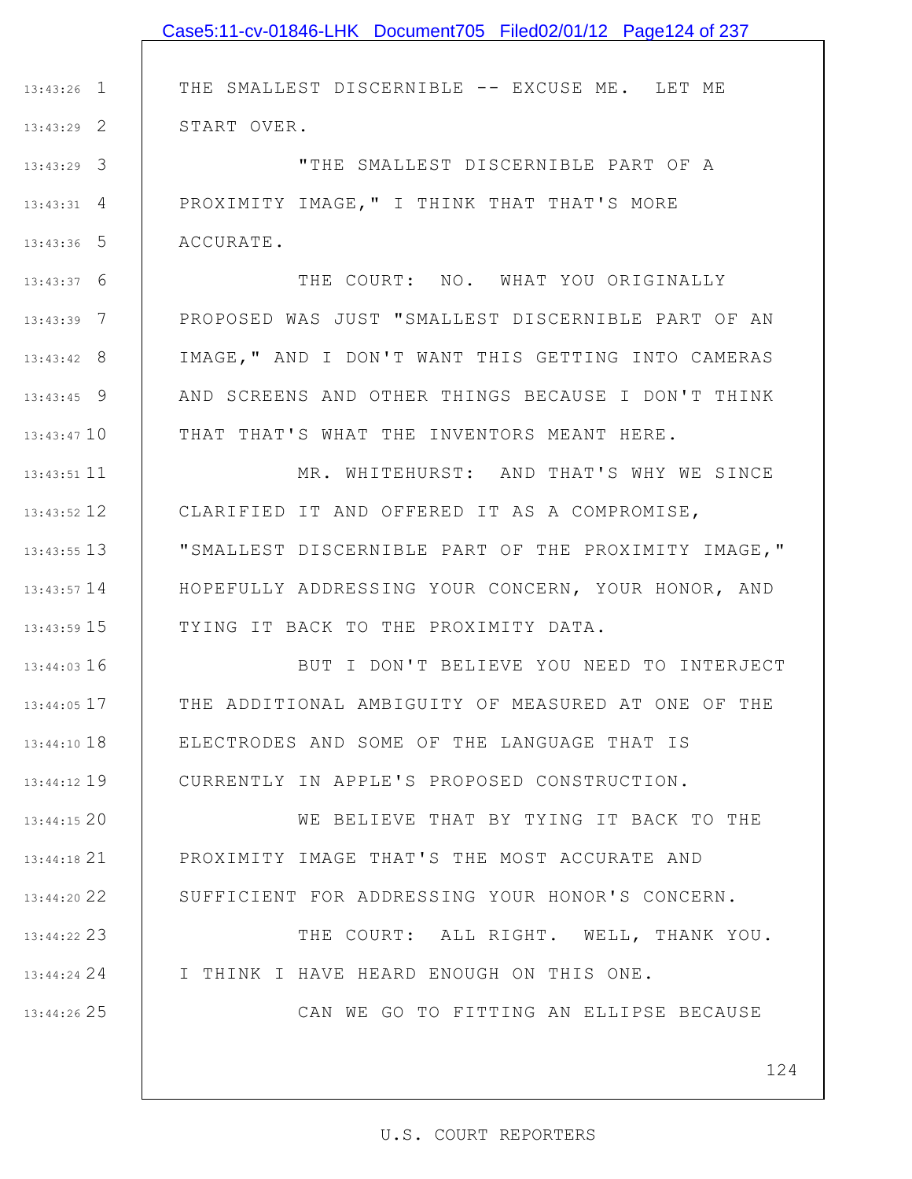# 1 13:43:26 2 13:43:29 3 13:43:29 4 13:43:31 5 13:43:36 6 13:43:37 7 13:43:39 8 13:43:42 9 13:43:45 13:43:47 10 11 13:43:51 12 13:43:52 13 13:43:55 13:43:57 14 15 13:43:59 16 13:44:03 17 13:44:05 18 13:44:10 19 13:44:12 20 13:44:15 21 13:44:18 22 13:44:20 23 13:44:22 24 13:44:24 25 13:44:26 THE SMALLEST DISCERNIBLE -- EXCUSE ME. LET ME START OVER. "THE SMALLEST DISCERNIBLE PART OF A PROXIMITY IMAGE," I THINK THAT THAT'S MORE ACCURATE. THE COURT: NO. WHAT YOU ORIGINALLY PROPOSED WAS JUST "SMALLEST DISCERNIBLE PART OF AN IMAGE," AND I DON'T WANT THIS GETTING INTO CAMERAS AND SCREENS AND OTHER THINGS BECAUSE I DON'T THINK THAT THAT'S WHAT THE INVENTORS MEANT HERE. MR. WHITEHURST: AND THAT'S WHY WE SINCE CLARIFIED IT AND OFFERED IT AS A COMPROMISE, "SMALLEST DISCERNIBLE PART OF THE PROXIMITY IMAGE," HOPEFULLY ADDRESSING YOUR CONCERN, YOUR HONOR, AND TYING IT BACK TO THE PROXIMITY DATA. BUT I DON'T BELIEVE YOU NEED TO INTERJECT THE ADDITIONAL AMBIGUITY OF MEASURED AT ONE OF THE ELECTRODES AND SOME OF THE LANGUAGE THAT IS CURRENTLY IN APPLE'S PROPOSED CONSTRUCTION. WE BELIEVE THAT BY TYING IT BACK TO THE PROXIMITY IMAGE THAT'S THE MOST ACCURATE AND SUFFICIENT FOR ADDRESSING YOUR HONOR'S CONCERN. THE COURT: ALL RIGHT. WELL, THANK YOU. I THINK I HAVE HEARD ENOUGH ON THIS ONE. CAN WE GO TO FITTING AN ELLIPSE BECAUSE Case5:11-cv-01846-LHK Document705 Filed02/01/12 Page124 of 237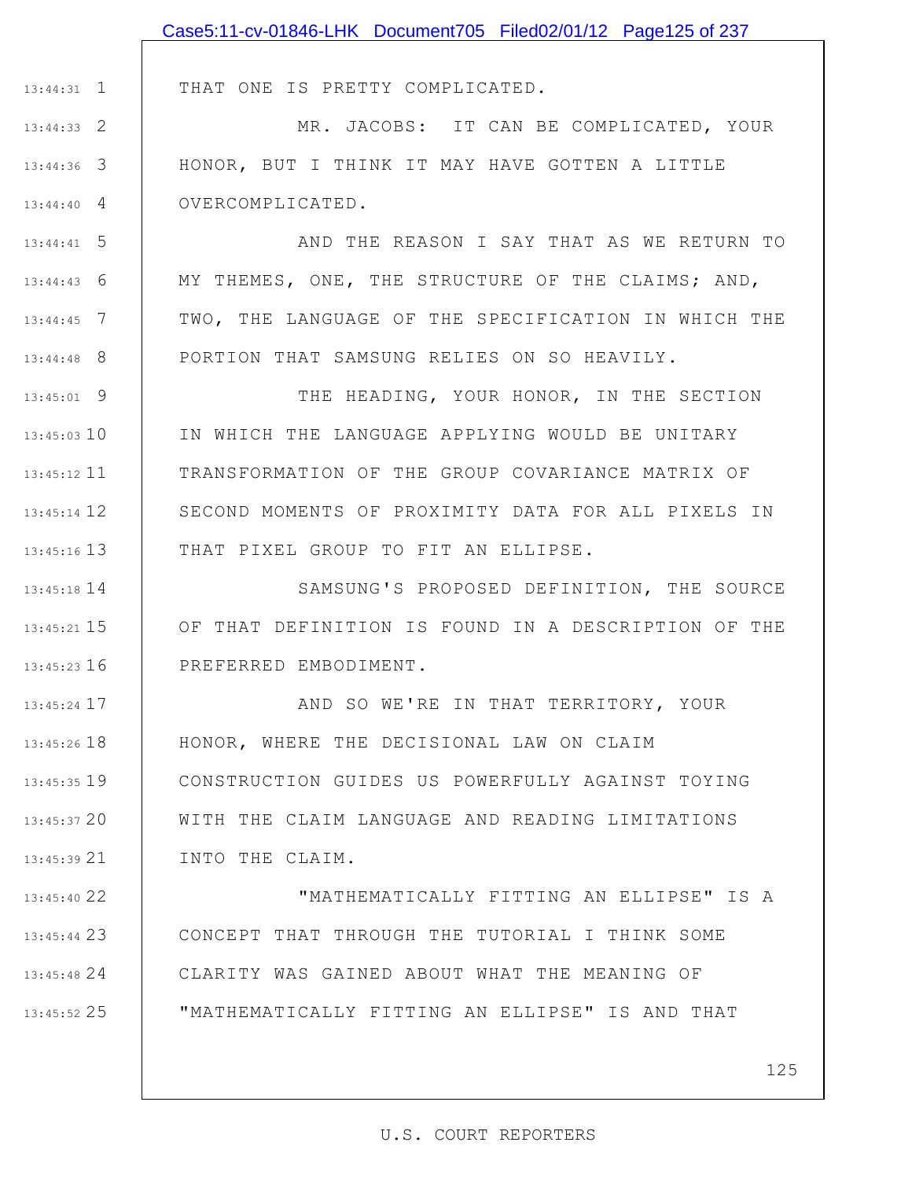|                    | Case5:11-cv-01846-LHK Document705 Filed02/01/12 Page125 of 237    |
|--------------------|-------------------------------------------------------------------|
|                    |                                                                   |
| $13:44:31$ 1       | THAT ONE IS PRETTY COMPLICATED.                                   |
| $13:44:33$ 2       | MR. JACOBS: IT CAN BE COMPLICATED, YOUR                           |
| $13:44:36$ 3       | HONOR, BUT I THINK IT MAY HAVE GOTTEN A LITTLE                    |
| $13:44:40 \quad 4$ | OVERCOMPLICATED.                                                  |
| $13:44:41$ 5       | AND THE REASON I SAY THAT AS WE RETURN TO                         |
| $13:44:43$ 6       | MY THEMES, ONE, THE STRUCTURE OF THE CLAIMS; AND,                 |
| $13:44:45$ 7       | TWO, THE LANGUAGE OF THE SPECIFICATION IN WHICH THE               |
| $13:44:48$ 8       | PORTION THAT SAMSUNG RELIES ON SO HEAVILY.                        |
| $13:45:01$ 9       | THE HEADING, YOUR HONOR, IN THE SECTION                           |
| $13:45:03$ 10      | IN WHICH THE LANGUAGE APPLYING WOULD BE UNITARY                   |
| $13:45:12$ 11      | TRANSFORMATION OF THE GROUP COVARIANCE MATRIX OF                  |
| $13:45:14$ 12      | SECOND MOMENTS OF PROXIMITY DATA FOR ALL PIXELS IN                |
| $13:45:16$ 13      | THAT PIXEL GROUP TO FIT AN ELLIPSE.                               |
| 13:45:18 14        | SAMSUNG'S PROPOSED DEFINITION, THE SOURCE                         |
|                    | 13:45:21 15   OF THAT DEFINITION IS FOUND IN A DESCRIPTION OF THE |
| $13:45:23$ 16      | PREFERRED EMBODIMENT.                                             |
| $13:45:24$ 17      | AND SO WE'RE IN THAT TERRITORY, YOUR                              |
| $13:45:26$ 18      | HONOR, WHERE THE DECISIONAL LAW ON CLAIM                          |
| $13:45:35$ 19      | CONSTRUCTION GUIDES US POWERFULLY AGAINST TOYING                  |
| 13:45:3720         | WITH THE CLAIM LANGUAGE AND READING LIMITATIONS                   |
| $13:45:39$ 21      | INTO THE CLAIM.                                                   |
| 13:45:40 22        | "MATHEMATICALLY FITTING AN ELLIPSE" IS A                          |
| 13:45:44 23        | CONCEPT THAT THROUGH THE TUTORIAL I THINK SOME                    |
| 13:45:48 24        | CLARITY WAS GAINED ABOUT WHAT THE MEANING OF                      |

"MATHEMATICALLY FITTING AN ELLIPSE" IS AND THAT

25 13:45:52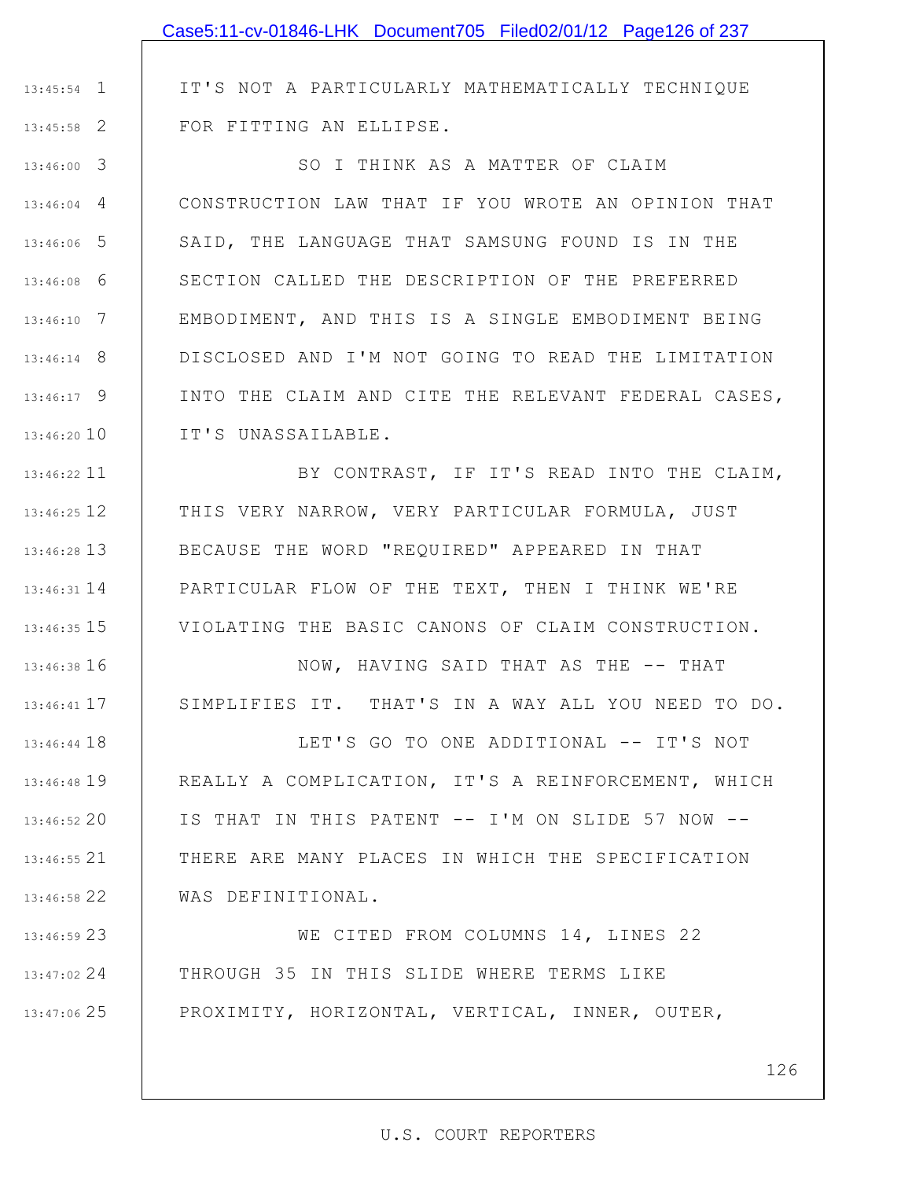# 1 13:45:54 2 13:45:58 3 13:46:00 4 13:46:04 5 13:46:06 6 13:46:08 7 13:46:10 8 13:46:14 9 13:46:17 13:46:20 10 11 13:46:22 12 13:46:25 13 13:46:28 14 13:46:31 15 13:46:35 16 13:46:38 17 13:46:41 18 13:46:44 IT'S NOT A PARTICULARLY MATHEMATICALLY TECHNIQUE FOR FITTING AN ELLIPSE. SO I THINK AS A MATTER OF CLAIM CONSTRUCTION LAW THAT IF YOU WROTE AN OPINION THAT SAID, THE LANGUAGE THAT SAMSUNG FOUND IS IN THE SECTION CALLED THE DESCRIPTION OF THE PREFERRED EMBODIMENT, AND THIS IS A SINGLE EMBODIMENT BEING DISCLOSED AND I'M NOT GOING TO READ THE LIMITATION INTO THE CLAIM AND CITE THE RELEVANT FEDERAL CASES, IT'S UNASSAILABLE. BY CONTRAST, IF IT'S READ INTO THE CLAIM, THIS VERY NARROW, VERY PARTICULAR FORMULA, JUST BECAUSE THE WORD "REQUIRED" APPEARED IN THAT PARTICULAR FLOW OF THE TEXT, THEN I THINK WE'RE VIOLATING THE BASIC CANONS OF CLAIM CONSTRUCTION. NOW, HAVING SAID THAT AS THE -- THAT SIMPLIFIES IT. THAT'S IN A WAY ALL YOU NEED TO DO. LET'S GO TO ONE ADDITIONAL -- IT'S NOT Case5:11-cv-01846-LHK Document705 Filed02/01/12 Page126 of 237

19 13:46:48 20 13:46:52 21 13:46:55 22 13:46:58 REALLY A COMPLICATION, IT'S A REINFORCEMENT, WHICH IS THAT IN THIS PATENT -- I'M ON SLIDE 57 NOW -- THERE ARE MANY PLACES IN WHICH THE SPECIFICATION WAS DEFINITIONAL.

23 13:46:59 24 13:47:02 25 13:47:06 WE CITED FROM COLUMNS 14, LINES 22 THROUGH 35 IN THIS SLIDE WHERE TERMS LIKE PROXIMITY, HORIZONTAL, VERTICAL, INNER, OUTER,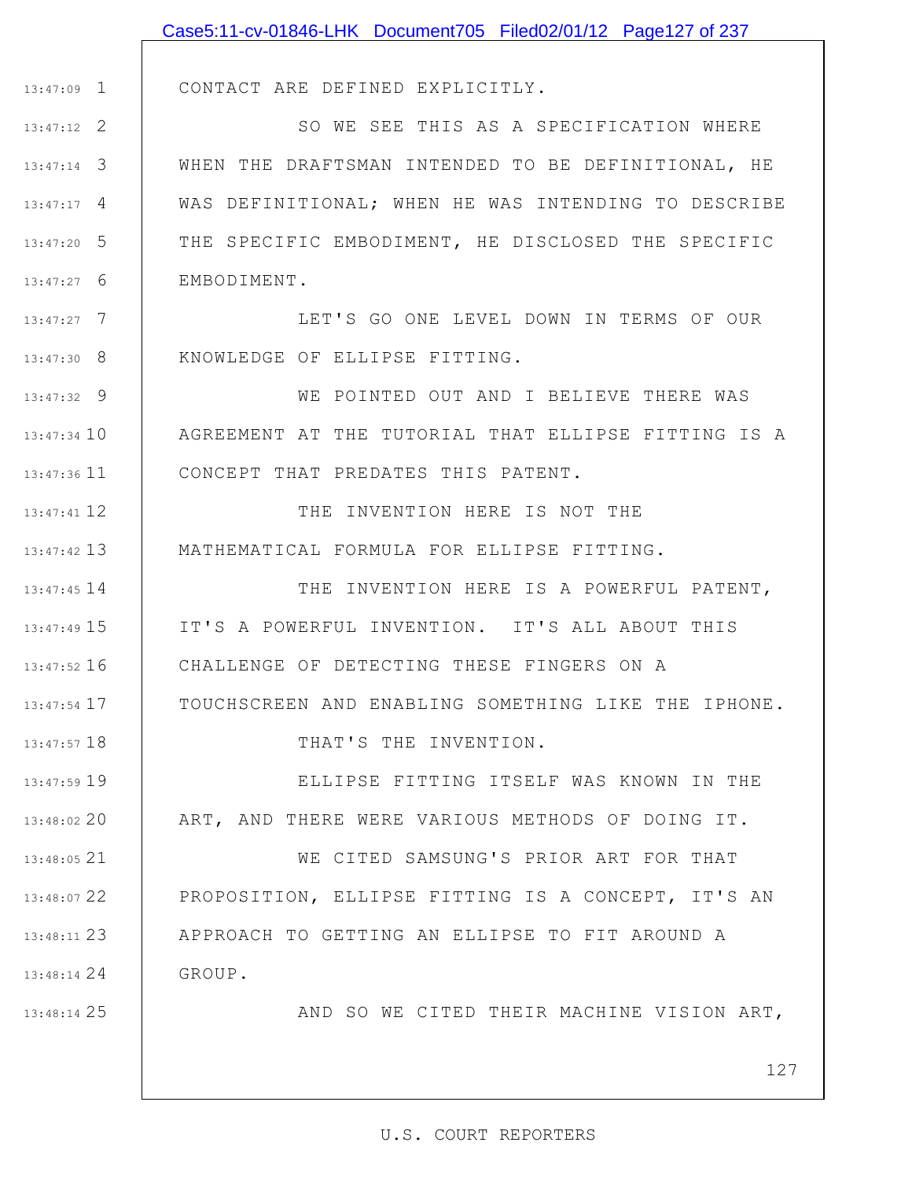|               | Case5:11-cv-01846-LHK Document705 Filed02/01/12 Page127 of 237 |
|---------------|----------------------------------------------------------------|
|               |                                                                |
| $13:47:09$ 1  | CONTACT ARE DEFINED EXPLICITLY.                                |
| $13:47:12$ 2  | SO WE SEE THIS AS A SPECIFICATION WHERE                        |
| $13:47:14$ 3  | WHEN THE DRAFTSMAN INTENDED TO BE DEFINITIONAL, HE             |
| $13:47:17$ 4  | WAS DEFINITIONAL; WHEN HE WAS INTENDING TO DESCRIBE            |
| $13:47:20$ 5  | THE SPECIFIC EMBODIMENT, HE DISCLOSED THE SPECIFIC             |
| $13:47:27$ 6  | EMBODIMENT.                                                    |
| $13:47:27$ 7  | LET'S GO ONE LEVEL DOWN IN TERMS OF OUR                        |
| $13:47:30$ 8  | KNOWLEDGE OF ELLIPSE FITTING.                                  |
| $13:47:32$ 9  | WE POINTED OUT AND I BELIEVE THERE WAS                         |
| $13:47:34$ 10 | AGREEMENT AT THE TUTORIAL THAT ELLIPSE FITTING IS A            |
| 13:47:36 11   | CONCEPT THAT PREDATES THIS PATENT.                             |
| $13:47:41$ 12 | THE INVENTION HERE IS NOT THE                                  |
| $13:47:42$ 13 | MATHEMATICAL FORMULA FOR ELLIPSE FITTING.                      |
| $13:47:45$ 14 | THE INVENTION HERE IS A POWERFUL PATENT,                       |
| 13:47:49 15   | IT'S A POWERFUL INVENTION. IT'S ALL ABOUT THIS                 |
| $13:47:52$ 16 | CHALLENGE OF DETECTING THESE FINGERS ON A                      |
| $13:47:54$ 17 | TOUCHSCREEN AND ENABLING SOMETHING LIKE THE IPHONE.            |
| 13:47:57 18   | THAT'S THE INVENTION.                                          |
| 13:47:59 19   | ELLIPSE FITTING ITSELF WAS KNOWN IN THE                        |
| 13:48:02 20   | ART, AND THERE WERE VARIOUS METHODS OF DOING IT.               |
| 13:48:05 21   | WE CITED SAMSUNG'S PRIOR ART FOR THAT                          |
| 13:48:07 22   | PROPOSITION, ELLIPSE FITTING IS A CONCEPT, IT'S AN             |
| 13:48:11 23   | APPROACH TO GETTING AN ELLIPSE TO FIT AROUND A                 |
| $13:48:14$ 24 | GROUP.                                                         |
| 13:48:14 25   | AND SO WE CITED THEIR MACHINE VISION ART,                      |
|               |                                                                |
|               | 127                                                            |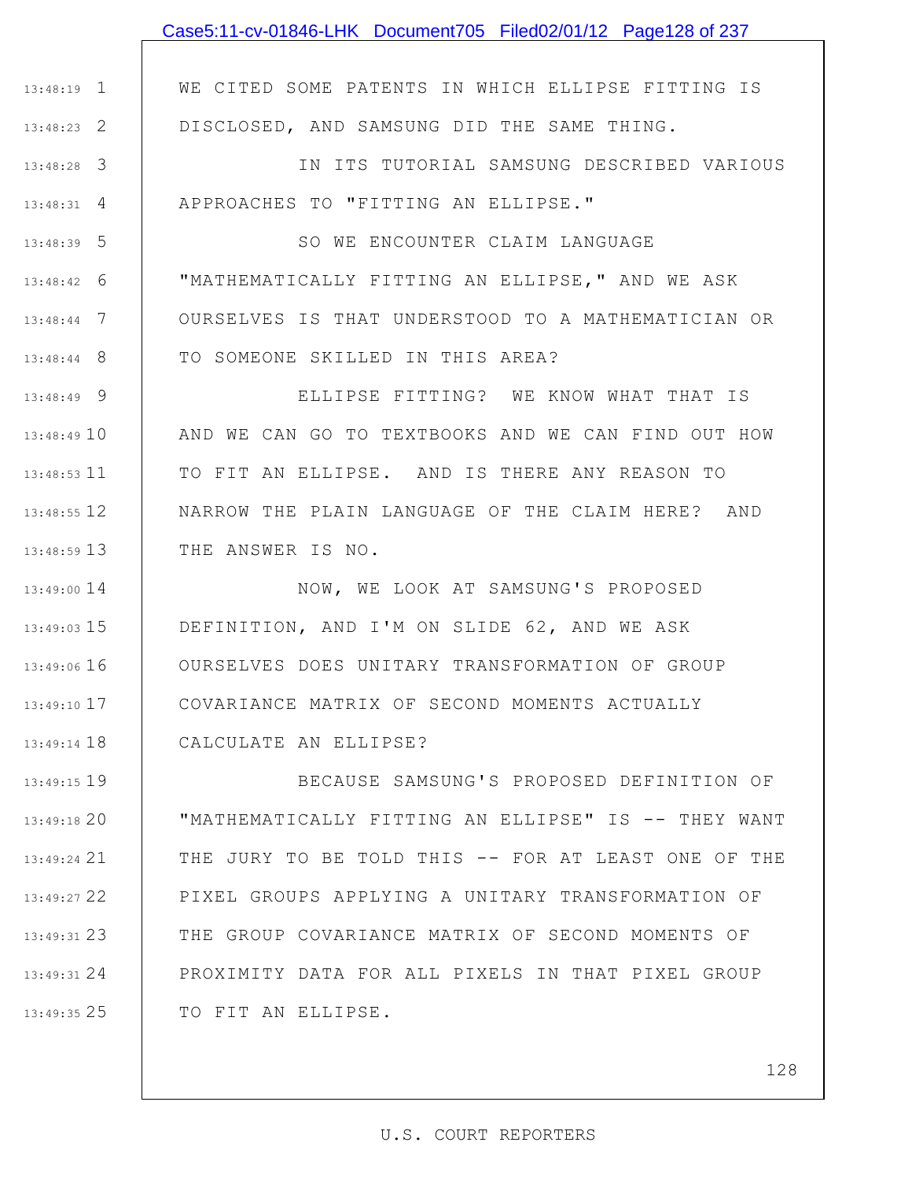# Case5:11-cv-01846-LHK Document705 Filed02/01/12 Page128 of 237

WE CITED SOME PATENTS IN WHICH ELLIPSE FITTING IS DISCLOSED, AND SAMSUNG DID THE SAME THING.

1 13:48:19

2 13:48:23

3 13:48:28 4 13:48:31 IN ITS TUTORIAL SAMSUNG DESCRIBED VARIOUS APPROACHES TO "FITTING AN ELLIPSE."

5 13:48:39 6 13:48:42 7 13:48:44 8 13:48:44 SO WE ENCOUNTER CLAIM LANGUAGE "MATHEMATICALLY FITTING AN ELLIPSE," AND WE ASK OURSELVES IS THAT UNDERSTOOD TO A MATHEMATICIAN OR TO SOMEONE SKILLED IN THIS AREA?

9 13:48:49 13:48:49 10 11 13:48:53 12 13:48:55 13 13:48:59 ELLIPSE FITTING? WE KNOW WHAT THAT IS AND WE CAN GO TO TEXTBOOKS AND WE CAN FIND OUT HOW TO FIT AN ELLIPSE. AND IS THERE ANY REASON TO NARROW THE PLAIN LANGUAGE OF THE CLAIM HERE? AND THE ANSWER IS NO.

13:49:00 14 15 13:49:03 13:49:06 16 17 13:49:10 18 13:49:14 NOW, WE LOOK AT SAMSUNG'S PROPOSED DEFINITION, AND I'M ON SLIDE 62, AND WE ASK OURSELVES DOES UNITARY TRANSFORMATION OF GROUP COVARIANCE MATRIX OF SECOND MOMENTS ACTUALLY CALCULATE AN ELLIPSE?

19 13:49:15 20 13:49:18 21 13:49:24 22 13:49:27 23 13:49:31 24 13:49:31 25 13:49:35 BECAUSE SAMSUNG'S PROPOSED DEFINITION OF "MATHEMATICALLY FITTING AN ELLIPSE" IS -- THEY WANT THE JURY TO BE TOLD THIS -- FOR AT LEAST ONE OF THE PIXEL GROUPS APPLYING A UNITARY TRANSFORMATION OF THE GROUP COVARIANCE MATRIX OF SECOND MOMENTS OF PROXIMITY DATA FOR ALL PIXELS IN THAT PIXEL GROUP TO FIT AN ELLIPSE.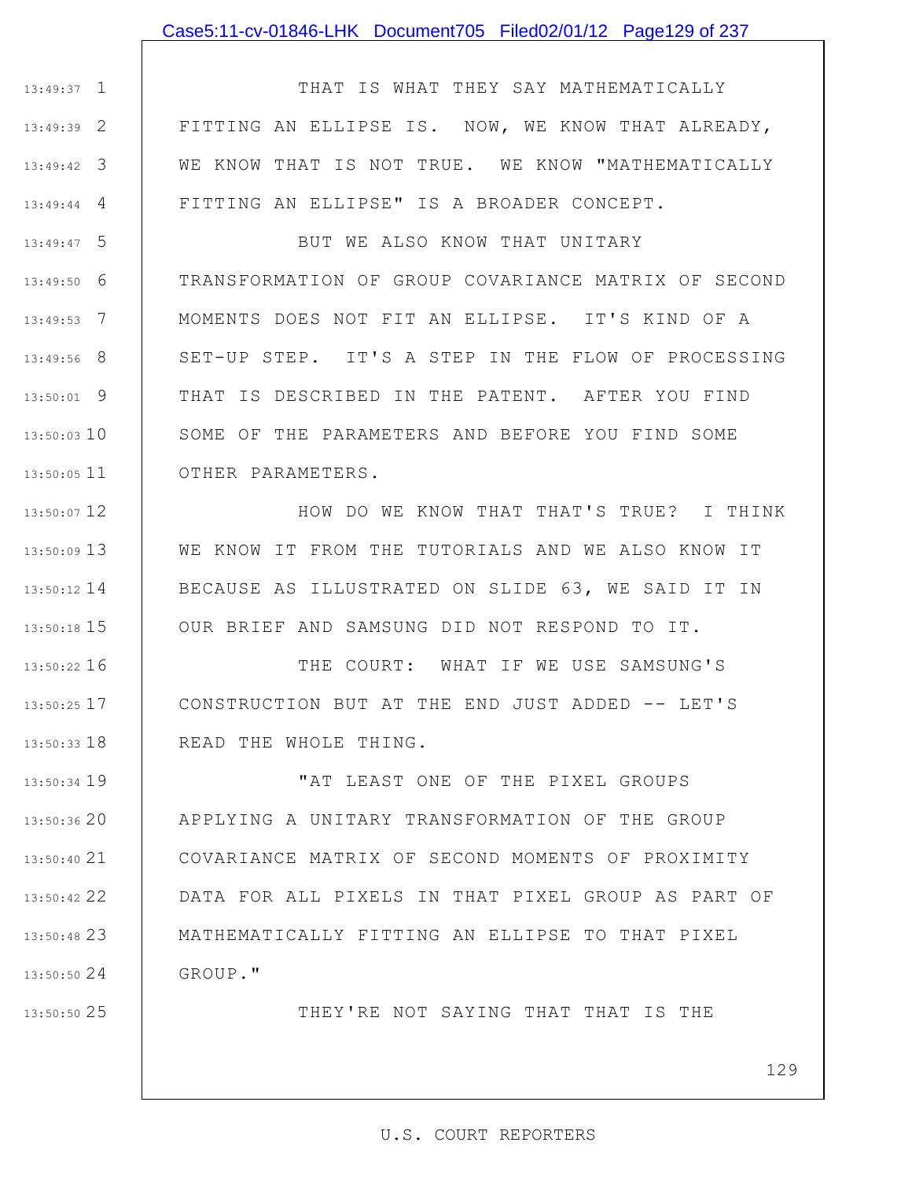### Case5:11-cv-01846-LHK Document705 Filed02/01/12 Page129 of 237

1 13:49:37 2 13:49:39 3 13:49:42 4 13:49:44 THAT IS WHAT THEY SAY MATHEMATICALLY FITTING AN ELLIPSE IS. NOW, WE KNOW THAT ALREADY, WE KNOW THAT IS NOT TRUE. WE KNOW "MATHEMATICALLY FITTING AN ELLIPSE" IS A BROADER CONCEPT.

5 13:49:47 6 13:49:50 7 13:49:53 8 13:49:56 9 13:50:01 13:50:03 10 11 13:50:05 BUT WE ALSO KNOW THAT UNITARY TRANSFORMATION OF GROUP COVARIANCE MATRIX OF SECOND MOMENTS DOES NOT FIT AN ELLIPSE. IT'S KIND OF A SET-UP STEP. IT'S A STEP IN THE FLOW OF PROCESSING THAT IS DESCRIBED IN THE PATENT. AFTER YOU FIND SOME OF THE PARAMETERS AND BEFORE YOU FIND SOME OTHER PARAMETERS.

12 13:50:07 13 13:50:09 14 13:50:12 15 13:50:18 HOW DO WE KNOW THAT THAT'S TRUE? I THINK WE KNOW IT FROM THE TUTORIALS AND WE ALSO KNOW IT BECAUSE AS ILLUSTRATED ON SLIDE 63, WE SAID IT IN OUR BRIEF AND SAMSUNG DID NOT RESPOND TO IT.

16 13:50:22 17 13:50:25 18 13:50:33 THE COURT: WHAT IF WE USE SAMSUNG'S CONSTRUCTION BUT AT THE END JUST ADDED -- LET'S READ THE WHOLE THING.

19 13:50:34 13:50:36 20 21 13:50:40 22 13:50:42 23 13:50:48 24 13:50:50 "AT LEAST ONE OF THE PIXEL GROUPS APPLYING A UNITARY TRANSFORMATION OF THE GROUP COVARIANCE MATRIX OF SECOND MOMENTS OF PROXIMITY DATA FOR ALL PIXELS IN THAT PIXEL GROUP AS PART OF MATHEMATICALLY FITTING AN ELLIPSE TO THAT PIXEL GROUP."

25 13:50:50

THEY'RE NOT SAYING THAT THAT IS THE

129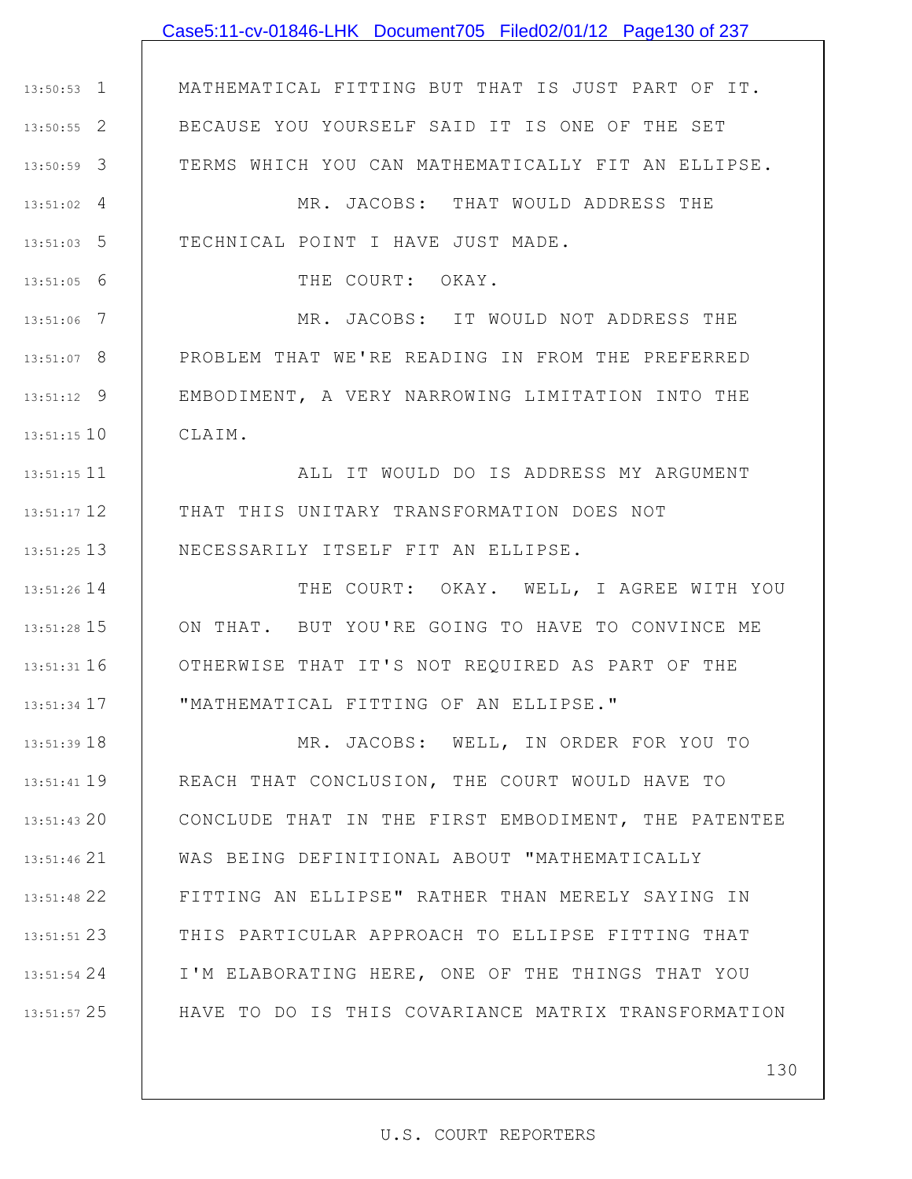# 1 13:50:53 2 13:50:55 3 13:50:59 4 13:51:02 5 13:51:03 6 13:51:05 7 13:51:06 8 13:51:07 9 13:51:12 10 13:51:15 11 13:51:15 12 13:51:17 13 13:51:25 14 13:51:26 15 13:51:28 16 13:51:31 17 13:51:34 18 13:51:39 19 13:51:41 20 13:51:43 21 13:51:46 22 13:51:48 MATHEMATICAL FITTING BUT THAT IS JUST PART OF IT. BECAUSE YOU YOURSELF SAID IT IS ONE OF THE SET TERMS WHICH YOU CAN MATHEMATICALLY FIT AN ELLIPSE. MR. JACOBS: THAT WOULD ADDRESS THE TECHNICAL POINT I HAVE JUST MADE. THE COURT: OKAY. MR. JACOBS: IT WOULD NOT ADDRESS THE PROBLEM THAT WE'RE READING IN FROM THE PREFERRED EMBODIMENT, A VERY NARROWING LIMITATION INTO THE CLAIM. ALL IT WOULD DO IS ADDRESS MY ARGUMENT THAT THIS UNITARY TRANSFORMATION DOES NOT NECESSARILY ITSELF FIT AN ELLIPSE. THE COURT: OKAY. WELL, I AGREE WITH YOU ON THAT. BUT YOU'RE GOING TO HAVE TO CONVINCE ME OTHERWISE THAT IT'S NOT REQUIRED AS PART OF THE "MATHEMATICAL FITTING OF AN ELLIPSE." MR. JACOBS: WELL, IN ORDER FOR YOU TO REACH THAT CONCLUSION, THE COURT WOULD HAVE TO CONCLUDE THAT IN THE FIRST EMBODIMENT, THE PATENTEE WAS BEING DEFINITIONAL ABOUT "MATHEMATICALLY FITTING AN ELLIPSE" RATHER THAN MERELY SAYING IN Case5:11-cv-01846-LHK Document705 Filed02/01/12 Page130 of 237

24 13:51:54

23 13:51:51

25 13:51:57

130

### U.S. COURT REPORTERS

THIS PARTICULAR APPROACH TO ELLIPSE FITTING THAT

I'M ELABORATING HERE, ONE OF THE THINGS THAT YOU

HAVE TO DO IS THIS COVARIANCE MATRIX TRANSFORMATION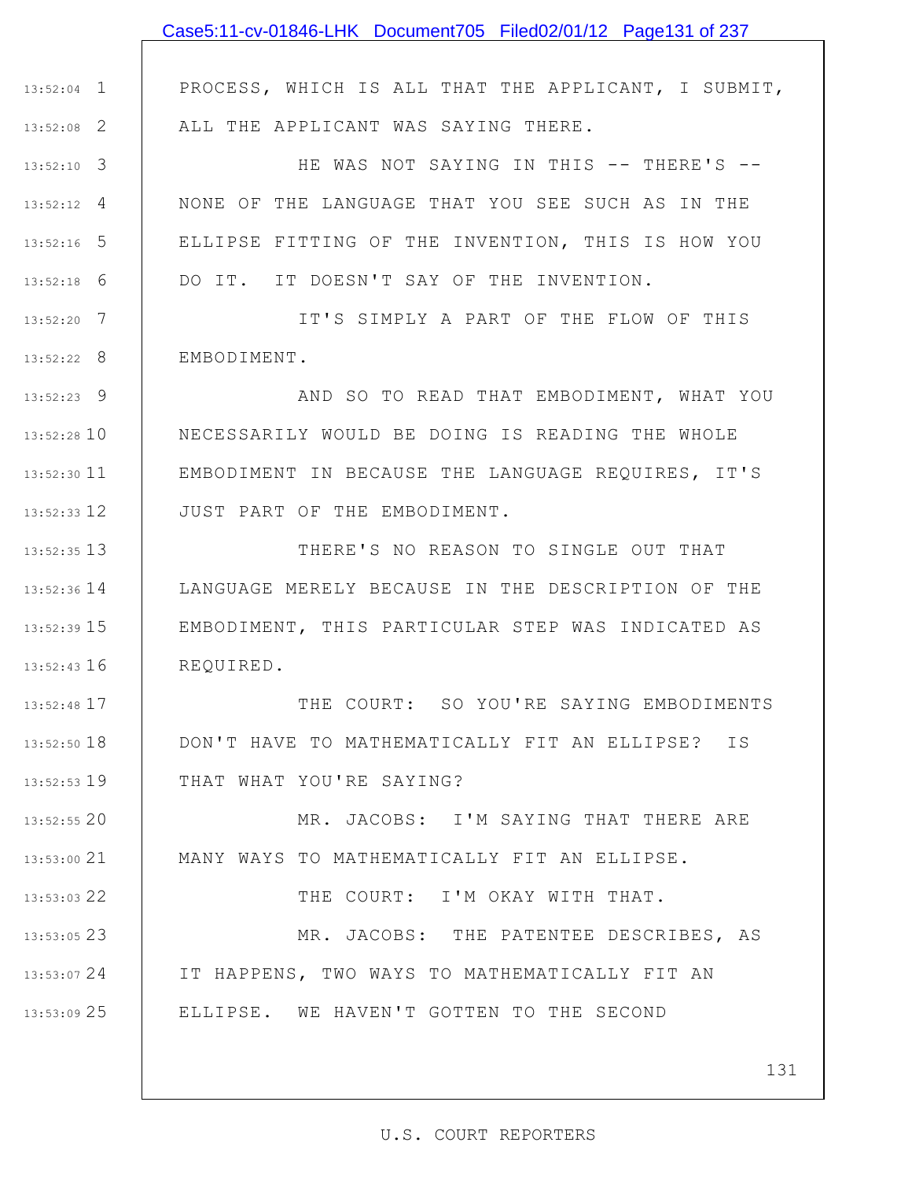# 1 13:52:04 2 13:52:08 3 13:52:10 4 13:52:12 5 13:52:16 6 13:52:18 7 13:52:20 8 13:52:22 9 13:52:23 13:52:28 10 11 13:52:30 12 13:52:33 13 13:52:35 14 13:52:36 15 13:52:39 16 13:52:43 17 13:52:48 18 13:52:50 19 13:52:53 20 13:52:55 21 13:53:00 22 13:53:03 23 13:53:05 24 13:53:07 25 13:53:09 PROCESS, WHICH IS ALL THAT THE APPLICANT, I SUBMIT, ALL THE APPLICANT WAS SAYING THERE. HE WAS NOT SAYING IN THIS -- THERE'S --NONE OF THE LANGUAGE THAT YOU SEE SUCH AS IN THE ELLIPSE FITTING OF THE INVENTION, THIS IS HOW YOU DO IT. IT DOESN'T SAY OF THE INVENTION. IT'S SIMPLY A PART OF THE FLOW OF THIS EMBODIMENT. AND SO TO READ THAT EMBODIMENT, WHAT YOU NECESSARILY WOULD BE DOING IS READING THE WHOLE EMBODIMENT IN BECAUSE THE LANGUAGE REQUIRES, IT'S JUST PART OF THE EMBODIMENT. THERE'S NO REASON TO SINGLE OUT THAT LANGUAGE MERELY BECAUSE IN THE DESCRIPTION OF THE EMBODIMENT, THIS PARTICULAR STEP WAS INDICATED AS REQUIRED. THE COURT: SO YOU'RE SAYING EMBODIMENTS DON'T HAVE TO MATHEMATICALLY FIT AN ELLIPSE? IS THAT WHAT YOU'RE SAYING? MR. JACOBS: I'M SAYING THAT THERE ARE MANY WAYS TO MATHEMATICALLY FIT AN ELLIPSE. THE COURT: I'M OKAY WITH THAT. MR. JACOBS: THE PATENTEE DESCRIBES, AS IT HAPPENS, TWO WAYS TO MATHEMATICALLY FIT AN ELLIPSE. WE HAVEN'T GOTTEN TO THE SECOND Case5:11-cv-01846-LHK Document705 Filed02/01/12 Page131 of 237

131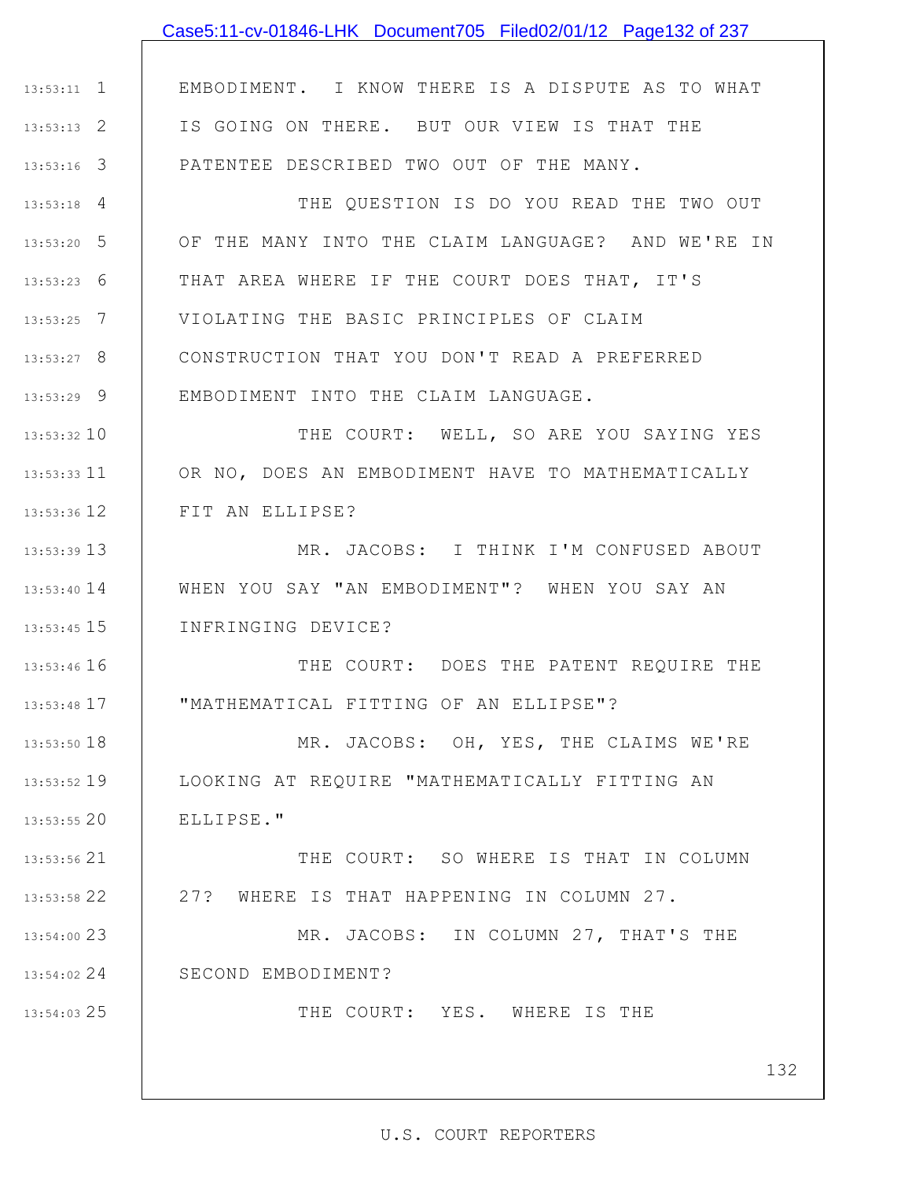|                 | Case5:11-cv-01846-LHK Document705 Filed02/01/12 Page132 of 237 |
|-----------------|----------------------------------------------------------------|
|                 |                                                                |
| $13:53:11$ 1    | EMBODIMENT. I KNOW THERE IS A DISPUTE AS TO WHAT               |
| $13:53:13$ 2    | IS GOING ON THERE. BUT OUR VIEW IS THAT THE                    |
| $13:53:16$ 3    | PATENTEE DESCRIBED TWO OUT OF THE MANY.                        |
| $13:53:18$ 4    | THE QUESTION IS DO YOU READ THE TWO OUT                        |
| $13:53:20$ 5    | OF THE MANY INTO THE CLAIM LANGUAGE? AND WE'RE IN              |
| $13:53:23$ 6    | THAT AREA WHERE IF THE COURT DOES THAT, IT'S                   |
| $13:53:25$ 7    | VIOLATING THE BASIC PRINCIPLES OF CLAIM                        |
| $13:53:27$ 8    | CONSTRUCTION THAT YOU DON'T READ A PREFERRED                   |
| $13:53:29$ 9    | EMBODIMENT INTO THE CLAIM LANGUAGE.                            |
| 13:53:32 10     | THE COURT: WELL, SO ARE YOU SAYING YES                         |
| $13:53:33$ 11   | OR NO, DOES AN EMBODIMENT HAVE TO MATHEMATICALLY               |
| 13:53:36 12     | FIT AN ELLIPSE?                                                |
| 13:53:39 13     | MR. JACOBS: I THINK I'M CONFUSED ABOUT                         |
| $13:53:40$ $14$ | WHEN YOU SAY "AN EMBODIMENT"? WHEN YOU SAY AN                  |
| $13:53:45$ 15   | INFRINGING DEVICE?                                             |
| 13:53:46 16     | THE COURT: DOES THE PATENT REQUIRE THE                         |
| 13:53:48 17     | "MATHEMATICAL FITTING OF AN ELLIPSE"?                          |
| 13:53:50 18     | MR. JACOBS: OH, YES, THE CLAIMS WE'RE                          |
| 13:53:52 19     | LOOKING AT REQUIRE "MATHEMATICALLY FITTING AN                  |
| 13:53:55 20     | ELLIPSE."                                                      |
| 13:53:56 21     | THE COURT: SO WHERE IS THAT IN COLUMN                          |
| 13:53:58 22     | 27? WHERE IS THAT HAPPENING IN COLUMN 27.                      |
| 13:54:00 23     | MR. JACOBS: IN COLUMN 27, THAT'S THE                           |
| 13:54:02 24     | SECOND EMBODIMENT?                                             |
| 13:54:03 25     | THE COURT: YES. WHERE IS THE                                   |
|                 |                                                                |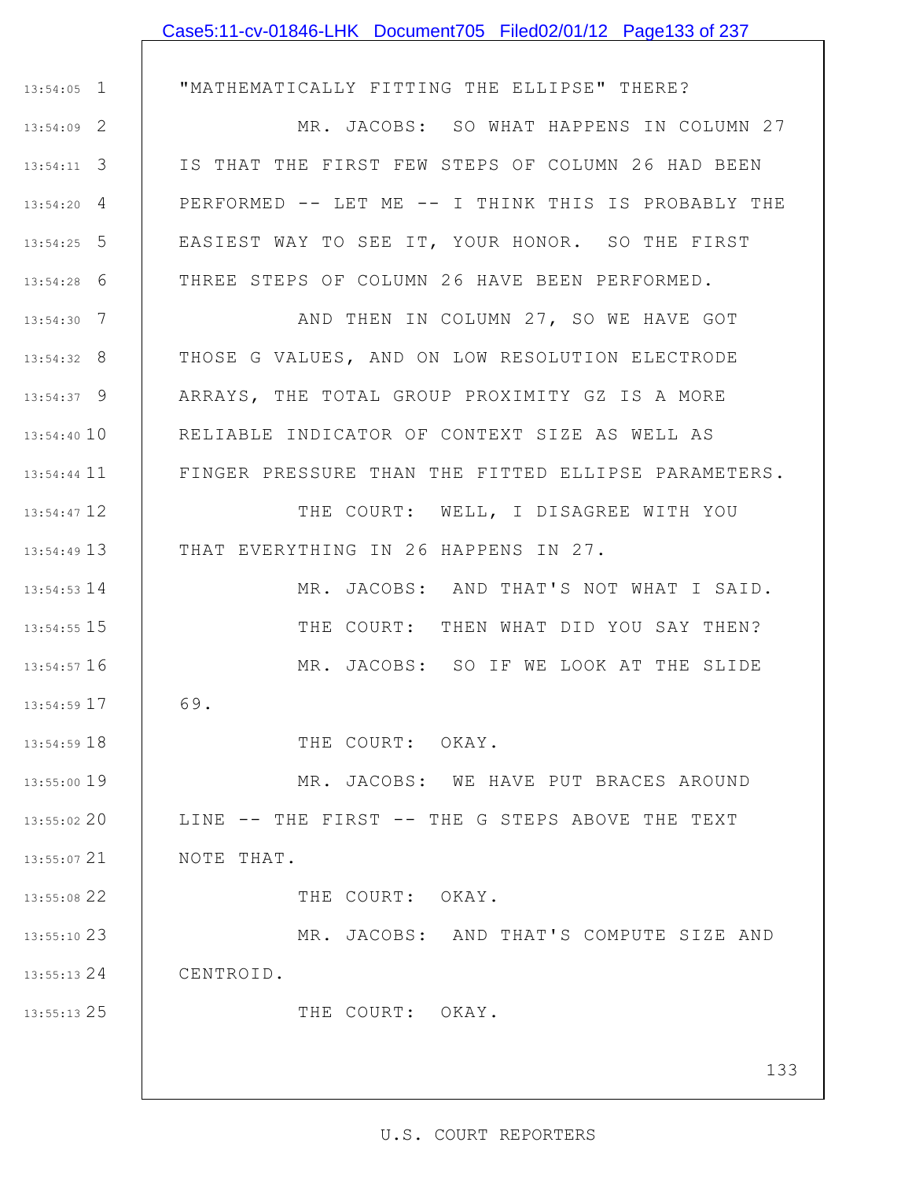## Case5:11-cv-01846-LHK Document705 Filed02/01/12 Page133 of 237

1 13:54:05 2 13:54:09 3 13:54:11 4 13:54:20 5 13:54:25 6 13:54:28 7 13:54:30 8 13:54:32 9 13:54:37 13:54:40 10 13:54:44 11 12 13:54:47 13 13:54:49 14 13:54:53 15 13:54:55 16 13:54:57 17 13:54:59 18 13:54:59 19 13:55:00 20 13:55:02 21 13:55:07 22 13:55:08 23 13:55:10 24 13:55:13 25 13:55:13 133 "MATHEMATICALLY FITTING THE ELLIPSE" THERE? MR. JACOBS: SO WHAT HAPPENS IN COLUMN 27 IS THAT THE FIRST FEW STEPS OF COLUMN 26 HAD BEEN PERFORMED -- LET ME -- I THINK THIS IS PROBABLY THE EASIEST WAY TO SEE IT, YOUR HONOR. SO THE FIRST THREE STEPS OF COLUMN 26 HAVE BEEN PERFORMED. AND THEN IN COLUMN 27, SO WE HAVE GOT THOSE G VALUES, AND ON LOW RESOLUTION ELECTRODE ARRAYS, THE TOTAL GROUP PROXIMITY GZ IS A MORE RELIABLE INDICATOR OF CONTEXT SIZE AS WELL AS FINGER PRESSURE THAN THE FITTED ELLIPSE PARAMETERS. THE COURT: WELL, I DISAGREE WITH YOU THAT EVERYTHING IN 26 HAPPENS IN 27. MR. JACOBS: AND THAT'S NOT WHAT I SAID. THE COURT: THEN WHAT DID YOU SAY THEN? MR. JACOBS: SO IF WE LOOK AT THE SLIDE 69. THE COURT: OKAY. MR. JACOBS: WE HAVE PUT BRACES AROUND LINE -- THE FIRST -- THE G STEPS ABOVE THE TEXT NOTE THAT. THE COURT: OKAY. MR. JACOBS: AND THAT'S COMPUTE SIZE AND CENTROID. THE COURT: OKAY.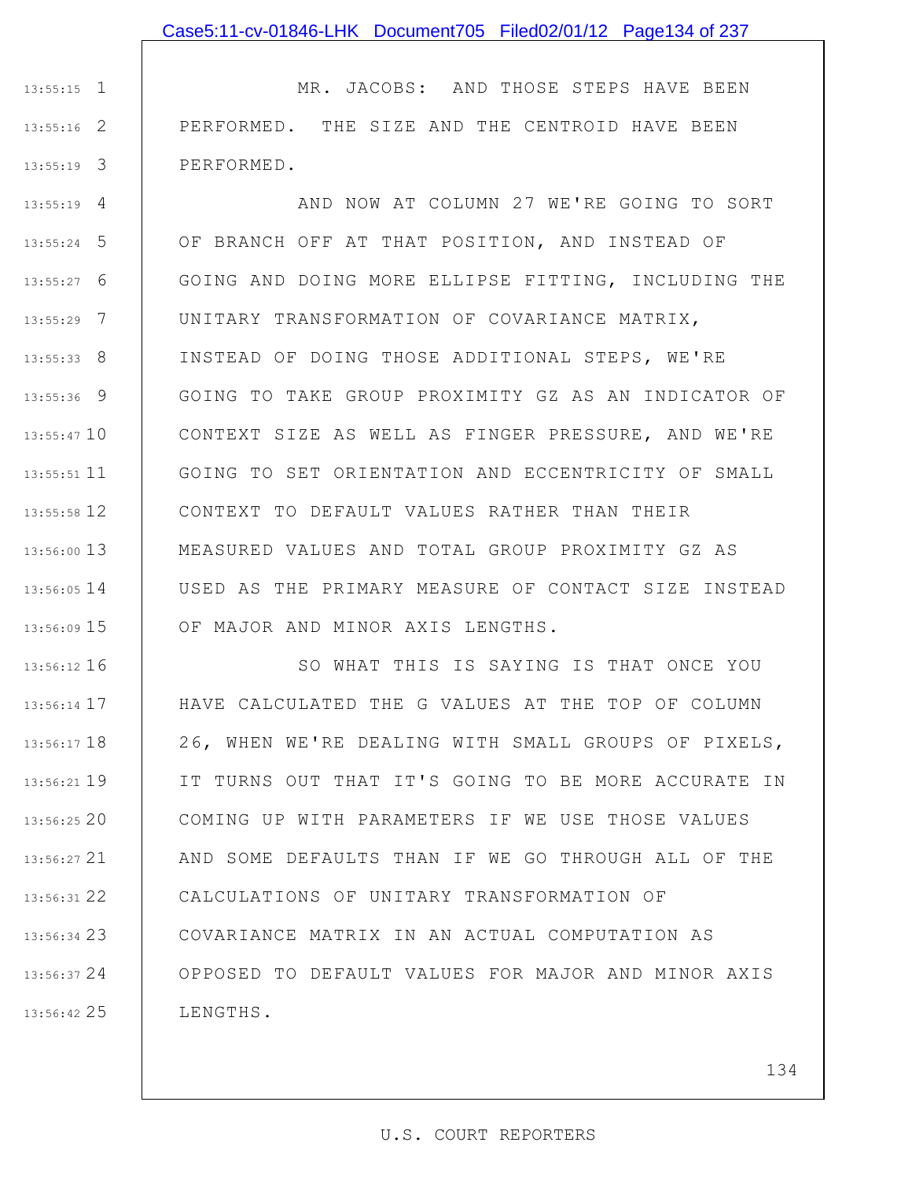1 13:55:15 2 13:55:16 3 13:55:19 MR. JACOBS: AND THOSE STEPS HAVE BEEN PERFORMED. THE SIZE AND THE CENTROID HAVE BEEN PERFORMED.

4 13:55:19 5 13:55:24 6 13:55:27 7 13:55:29 8 13:55:33 9 13:55:36 13:55:47 10 11 13:55:51 12 13:55:58 13 13:56:00 14 13:56:05 15 13:56:09 AND NOW AT COLUMN 27 WE'RE GOING TO SORT OF BRANCH OFF AT THAT POSITION, AND INSTEAD OF GOING AND DOING MORE ELLIPSE FITTING, INCLUDING THE UNITARY TRANSFORMATION OF COVARIANCE MATRIX, INSTEAD OF DOING THOSE ADDITIONAL STEPS, WE'RE GOING TO TAKE GROUP PROXIMITY GZ AS AN INDICATOR OF CONTEXT SIZE AS WELL AS FINGER PRESSURE, AND WE'RE GOING TO SET ORIENTATION AND ECCENTRICITY OF SMALL CONTEXT TO DEFAULT VALUES RATHER THAN THEIR MEASURED VALUES AND TOTAL GROUP PROXIMITY GZ AS USED AS THE PRIMARY MEASURE OF CONTACT SIZE INSTEAD OF MAJOR AND MINOR AXIS LENGTHS.

16 13:56:12 17 13:56:14 18 13:56:17 19 13:56:21 20 13:56:25 21 13:56:27 22 13:56:31 23 13:56:34 24 13:56:37 25 13:56:42 SO WHAT THIS IS SAYING IS THAT ONCE YOU HAVE CALCULATED THE G VALUES AT THE TOP OF COLUMN 26, WHEN WE'RE DEALING WITH SMALL GROUPS OF PIXELS, IT TURNS OUT THAT IT'S GOING TO BE MORE ACCURATE IN COMING UP WITH PARAMETERS IF WE USE THOSE VALUES AND SOME DEFAULTS THAN IF WE GO THROUGH ALL OF THE CALCULATIONS OF UNITARY TRANSFORMATION OF COVARIANCE MATRIX IN AN ACTUAL COMPUTATION AS OPPOSED TO DEFAULT VALUES FOR MAJOR AND MINOR AXIS LENGTHS.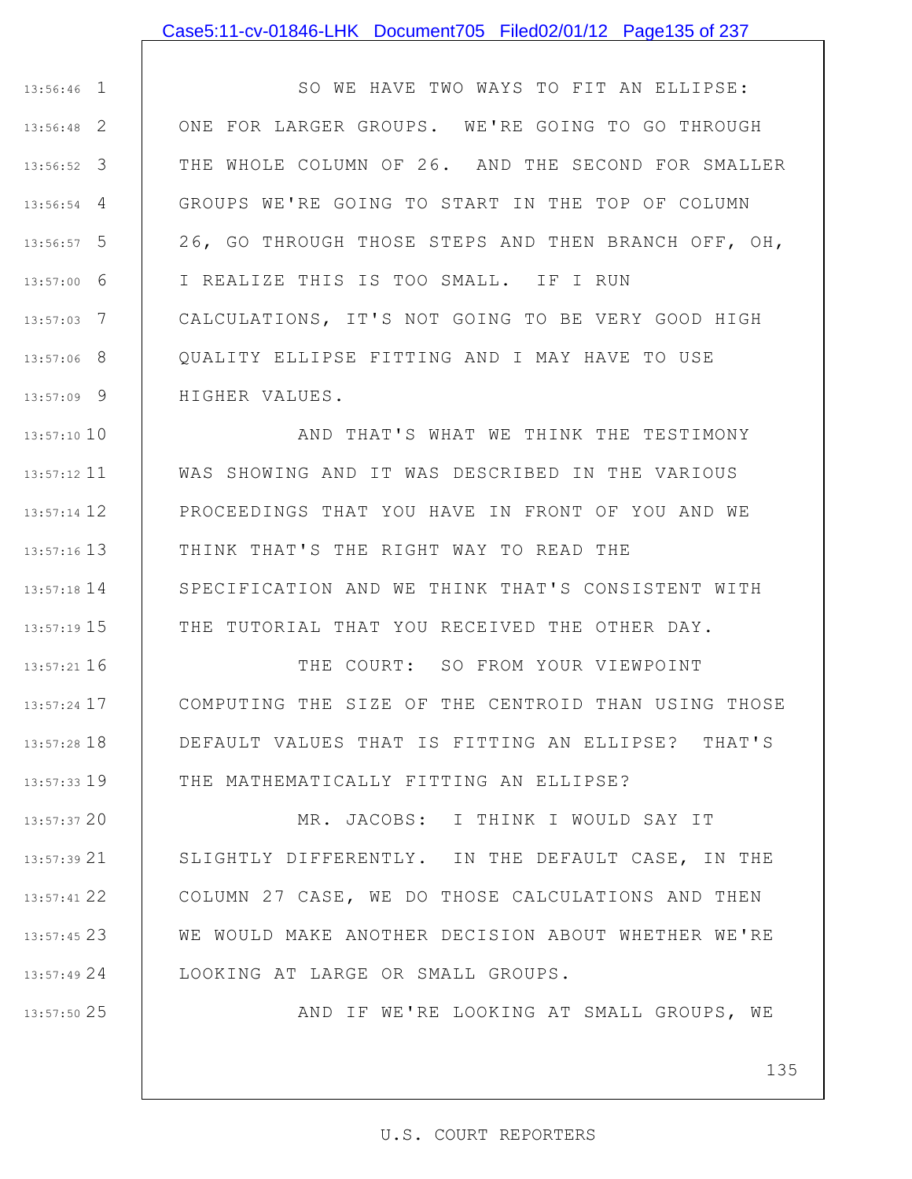### Case5:11-cv-01846-LHK Document705 Filed02/01/12 Page135 of 237

1 13:56:46 2 13:56:48 3 13:56:52 4 13:56:54 5 13:56:57 6 13:57:00 7 13:57:03 8 13:57:06 9 13:57:09 SO WE HAVE TWO WAYS TO FIT AN ELLIPSE: ONE FOR LARGER GROUPS. WE'RE GOING TO GO THROUGH THE WHOLE COLUMN OF 26. AND THE SECOND FOR SMALLER GROUPS WE'RE GOING TO START IN THE TOP OF COLUMN 26, GO THROUGH THOSE STEPS AND THEN BRANCH OFF, OH, I REALIZE THIS IS TOO SMALL. IF I RUN CALCULATIONS, IT'S NOT GOING TO BE VERY GOOD HIGH QUALITY ELLIPSE FITTING AND I MAY HAVE TO USE HIGHER VALUES.

13:57:10 10 11 13:57:12 12 13:57:14 13 13:57:16 14 13:57:18 15 13:57:19 AND THAT'S WHAT WE THINK THE TESTIMONY WAS SHOWING AND IT WAS DESCRIBED IN THE VARIOUS PROCEEDINGS THAT YOU HAVE IN FRONT OF YOU AND WE THINK THAT'S THE RIGHT WAY TO READ THE SPECIFICATION AND WE THINK THAT'S CONSISTENT WITH THE TUTORIAL THAT YOU RECEIVED THE OTHER DAY.

16 13:57:21 17 13:57:24 18 13:57:28 19 13:57:33 THE COURT: SO FROM YOUR VIEWPOINT COMPUTING THE SIZE OF THE CENTROID THAN USING THOSE DEFAULT VALUES THAT IS FITTING AN ELLIPSE? THAT'S THE MATHEMATICALLY FITTING AN ELLIPSE?

20 13:57:37 21 13:57:39 22 13:57:41 23 13:57:45 24 13:57:49 MR. JACOBS: I THINK I WOULD SAY IT SLIGHTLY DIFFERENTLY. IN THE DEFAULT CASE, IN THE COLUMN 27 CASE, WE DO THOSE CALCULATIONS AND THEN WE WOULD MAKE ANOTHER DECISION ABOUT WHETHER WE'RE LOOKING AT LARGE OR SMALL GROUPS.

25 13:57:50

AND IF WE'RE LOOKING AT SMALL GROUPS, WE

135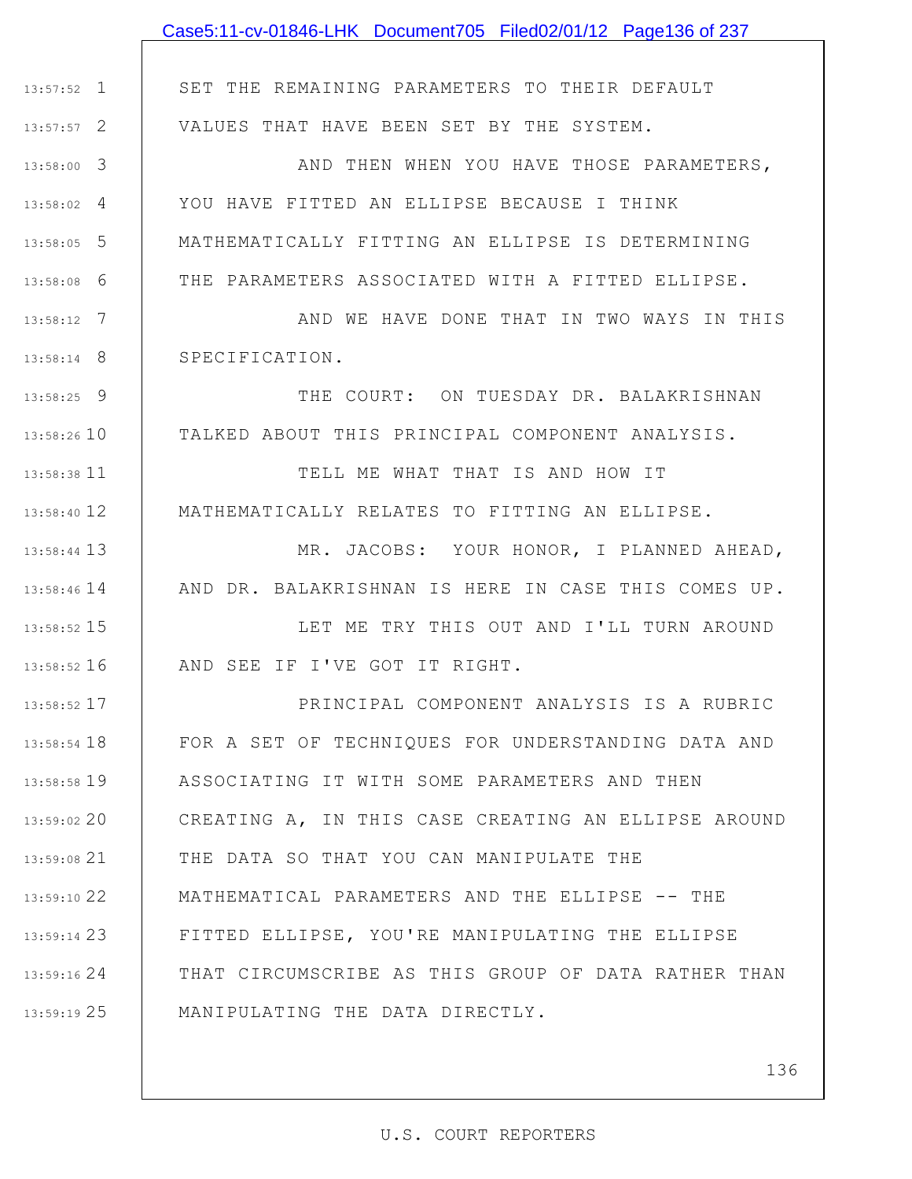|               | Case5:11-cv-01846-LHK Document705 Filed02/01/12 Page136 of 237 |
|---------------|----------------------------------------------------------------|
|               |                                                                |
| $13:57:52$ 1  | SET THE REMAINING PARAMETERS TO THEIR DEFAULT                  |
| $13:57:57$ 2  | VALUES THAT HAVE BEEN SET BY THE SYSTEM.                       |
| $13:58:00$ 3  | AND THEN WHEN YOU HAVE THOSE PARAMETERS,                       |
| $13:58:02$ 4  | YOU HAVE FITTED AN ELLIPSE BECAUSE I THINK                     |
| 13:58:05 5    | MATHEMATICALLY FITTING AN ELLIPSE IS DETERMINING               |
| $13:58:08$ 6  | THE PARAMETERS ASSOCIATED WITH A FITTED ELLIPSE.               |
| $13:58:12$ 7  | AND WE HAVE DONE THAT IN TWO WAYS IN THIS                      |
| $13:58:14$ 8  | SPECIFICATION.                                                 |
| $13:58:25$ 9  | THE COURT: ON TUESDAY DR. BALAKRISHNAN                         |
| 13:58:26 10   | TALKED ABOUT THIS PRINCIPAL COMPONENT ANALYSIS.                |
| 13:58:38 11   | TELL ME WHAT THAT IS AND HOW IT                                |
| 13:58:40 12   | MATHEMATICALLY RELATES TO FITTING AN ELLIPSE.                  |
| 13:58:44 13   | MR. JACOBS: YOUR HONOR, I PLANNED AHEAD,                       |
| $13:58:46$ 14 | AND DR. BALAKRISHNAN IS HERE IN CASE THIS COMES UP.            |
| 13:58:52 15   | LET ME TRY THIS OUT AND I'LL TURN AROUND                       |
| 13:58:52 16   | AND SEE IF I'VE GOT IT RIGHT.                                  |
| $13:58:52$ 17 | PRINCIPAL COMPONENT ANALYSIS IS A RUBRIC                       |
| 13:58:54 18   | FOR A SET OF TECHNIQUES FOR UNDERSTANDING DATA AND             |
| 13:58:58 19   | ASSOCIATING IT WITH SOME PARAMETERS AND THEN                   |
| 13:59:02 20   | CREATING A, IN THIS CASE CREATING AN ELLIPSE AROUND            |
| 13:59:08 21   | THE DATA SO THAT YOU CAN MANIPULATE THE                        |
| 13:59:10 22   | MATHEMATICAL PARAMETERS AND THE ELLIPSE -- THE                 |
| 13:59:14 23   | FITTED ELLIPSE, YOU'RE MANIPULATING THE ELLIPSE                |
| 13:59:16 24   | THAT CIRCUMSCRIBE AS THIS GROUP OF DATA RATHER THAN            |
| 13:59:19 25   | MANIPULATING THE DATA DIRECTLY.                                |
|               |                                                                |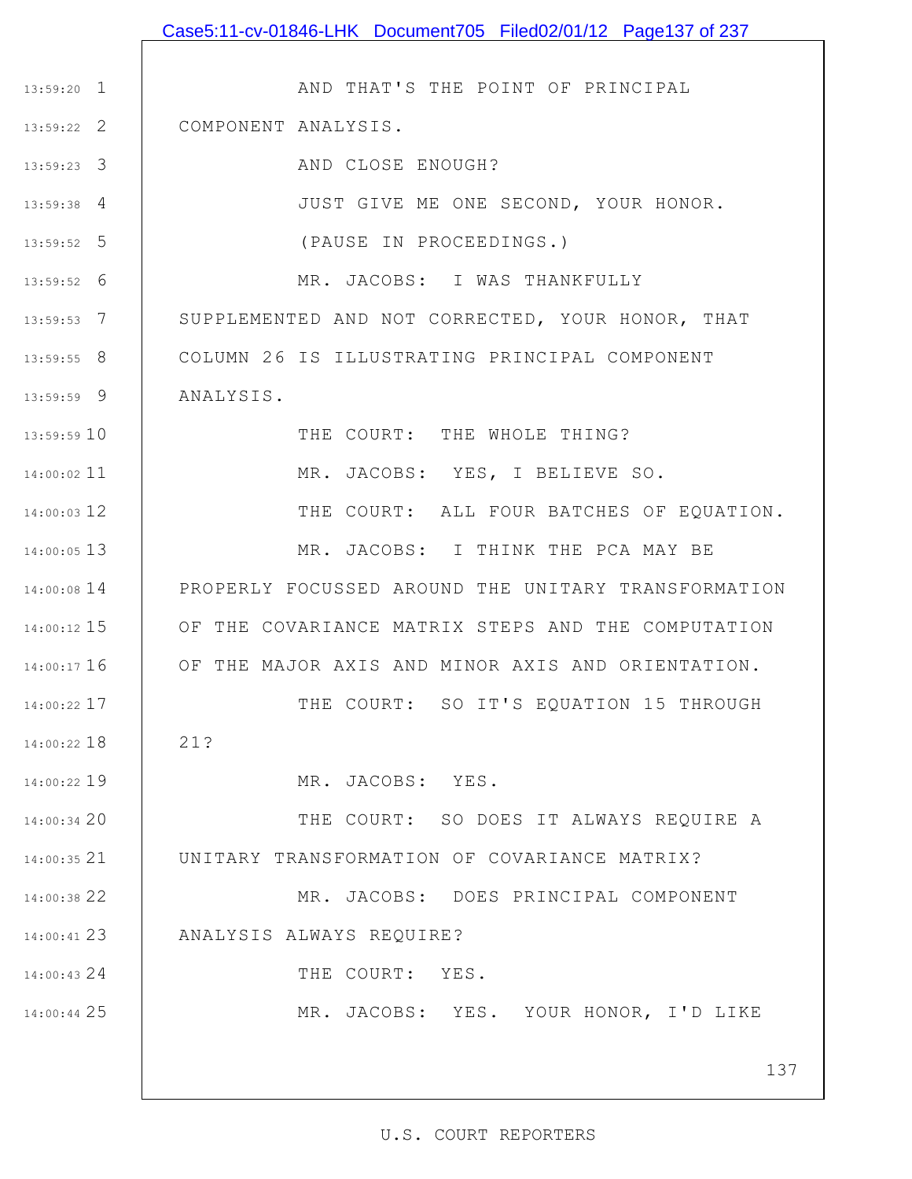|               | Case5:11-cv-01846-LHK Document705 Filed02/01/12 Page137 of 237 |
|---------------|----------------------------------------------------------------|
|               |                                                                |
| $13:59:20$ 1  | AND THAT'S THE POINT OF PRINCIPAL                              |
| 13:59:22 2    | COMPONENT ANALYSIS.                                            |
| 13:59:23 3    | AND CLOSE ENOUGH?                                              |
| $13:59:38$ 4  | JUST GIVE ME ONE SECOND, YOUR HONOR.                           |
| 13:59:52 5    | (PAUSE IN PROCEEDINGS.)                                        |
| $13:59:52$ 6  | MR. JACOBS: I WAS THANKFULLY                                   |
| $13:59:53$ 7  | SUPPLEMENTED AND NOT CORRECTED, YOUR HONOR, THAT               |
| $13:59:55$ 8  | COLUMN 26 IS ILLUSTRATING PRINCIPAL COMPONENT                  |
| 13:59:59 9    | ANALYSIS.                                                      |
| 13:59:59 10   | THE COURT: THE WHOLE THING?                                    |
| $14:00:02$ 11 | MR. JACOBS: YES, I BELIEVE SO.                                 |
| 14:00:03 12   | THE COURT: ALL FOUR BATCHES OF EQUATION.                       |
| 14:00:05 13   | MR. JACOBS: I THINK THE PCA MAY BE                             |
| $14:00:08$ 14 | PROPERLY FOCUSSED AROUND THE UNITARY TRANSFORMATION            |
| $14:00:12$ 15 | OF THE COVARIANCE MATRIX STEPS AND THE COMPUTATION             |
| $14:00:17$ 16 | OF THE MAJOR AXIS AND MINOR AXIS AND ORIENTATION.              |
| 14:00:22 17   | THE COURT: SO IT'S EQUATION 15 THROUGH                         |
| 14:00:22 18   | 21?                                                            |
| 14:00:22 19   | MR. JACOBS: YES.                                               |
| 14:00:34 20   | THE COURT: SO DOES IT ALWAYS REQUIRE A                         |
| $14:00:35$ 21 | UNITARY TRANSFORMATION OF COVARIANCE MATRIX?                   |
| 14:00:38 22   | MR. JACOBS: DOES PRINCIPAL COMPONENT                           |
| 14:00:41 23   | ANALYSIS ALWAYS REQUIRE?                                       |
| 14:00:43 24   | THE COURT: YES.                                                |
| 14:00:44 25   | MR. JACOBS: YES. YOUR HONOR, I'D LIKE                          |
|               |                                                                |
|               | 137                                                            |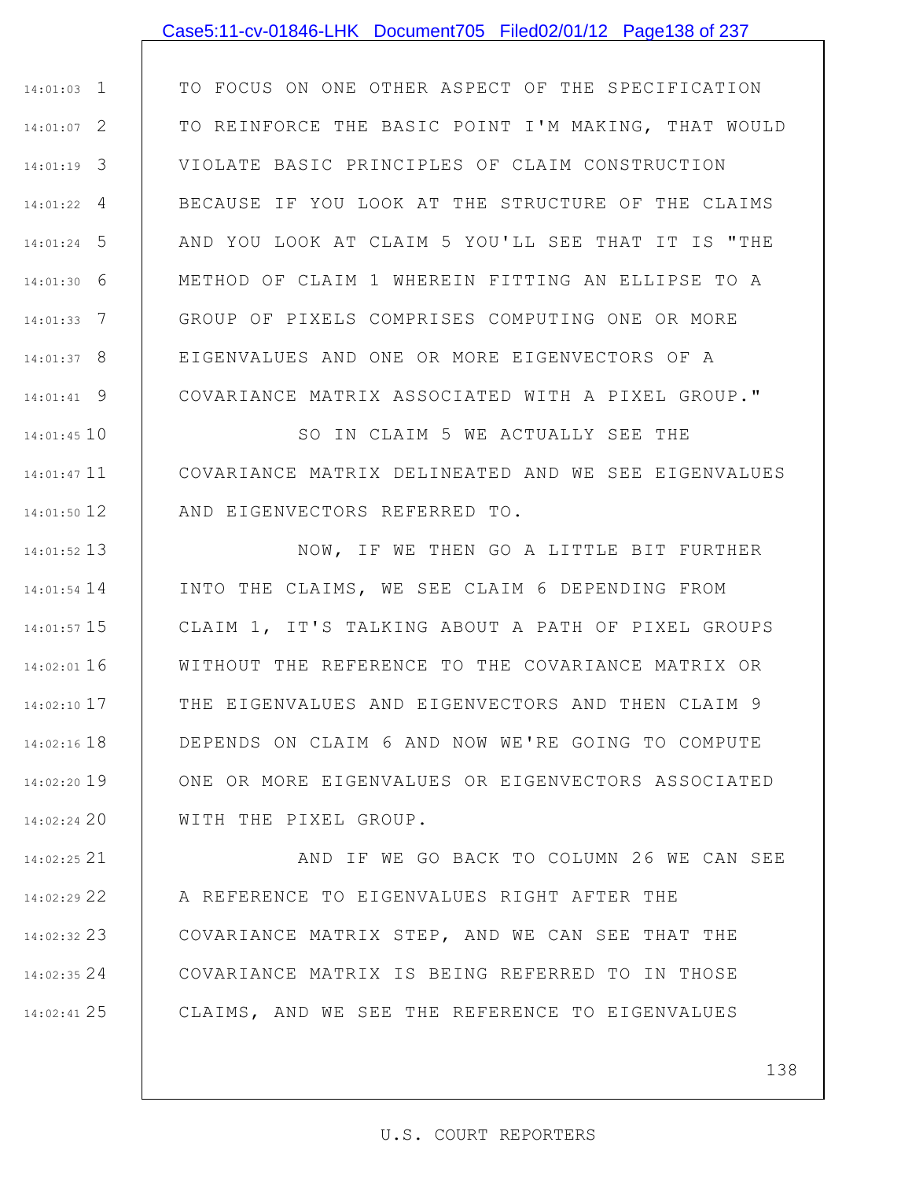### Case5:11-cv-01846-LHK Document705 Filed02/01/12 Page138 of 237

1 14:01:03 2 14:01:07 3 14:01:19 4 14:01:22 5 14:01:24 6 14:01:30 7 14:01:33 8 14:01:37 9 14:01:41 TO FOCUS ON ONE OTHER ASPECT OF THE SPECIFICATION TO REINFORCE THE BASIC POINT I'M MAKING, THAT WOULD VIOLATE BASIC PRINCIPLES OF CLAIM CONSTRUCTION BECAUSE IF YOU LOOK AT THE STRUCTURE OF THE CLAIMS AND YOU LOOK AT CLAIM 5 YOU'LL SEE THAT IT IS "THE METHOD OF CLAIM 1 WHEREIN FITTING AN ELLIPSE TO A GROUP OF PIXELS COMPRISES COMPUTING ONE OR MORE EIGENVALUES AND ONE OR MORE EIGENVECTORS OF A COVARIANCE MATRIX ASSOCIATED WITH A PIXEL GROUP."

10 14:01:45 11 14:01:47 12 14:01:50 SO IN CLAIM 5 WE ACTUALLY SEE THE COVARIANCE MATRIX DELINEATED AND WE SEE EIGENVALUES AND EIGENVECTORS REFERRED TO.

13 14:01:52 14 14:01:54 15 14:01:57 16 14:02:01 17 14:02:10 18 14:02:16 19 14:02:20 20 14:02:24 NOW, IF WE THEN GO A LITTLE BIT FURTHER INTO THE CLAIMS, WE SEE CLAIM 6 DEPENDING FROM CLAIM 1, IT'S TALKING ABOUT A PATH OF PIXEL GROUPS WITHOUT THE REFERENCE TO THE COVARIANCE MATRIX OR THE EIGENVALUES AND EIGENVECTORS AND THEN CLAIM 9 DEPENDS ON CLAIM 6 AND NOW WE'RE GOING TO COMPUTE ONE OR MORE EIGENVALUES OR EIGENVECTORS ASSOCIATED WITH THE PIXEL GROUP.

21 14:02:25 22 14:02:29 23 14:02:32 24 14:02:35 25 14:02:41 AND IF WE GO BACK TO COLUMN 26 WE CAN SEE A REFERENCE TO EIGENVALUES RIGHT AFTER THE COVARIANCE MATRIX STEP, AND WE CAN SEE THAT THE COVARIANCE MATRIX IS BEING REFERRED TO IN THOSE CLAIMS, AND WE SEE THE REFERENCE TO EIGENVALUES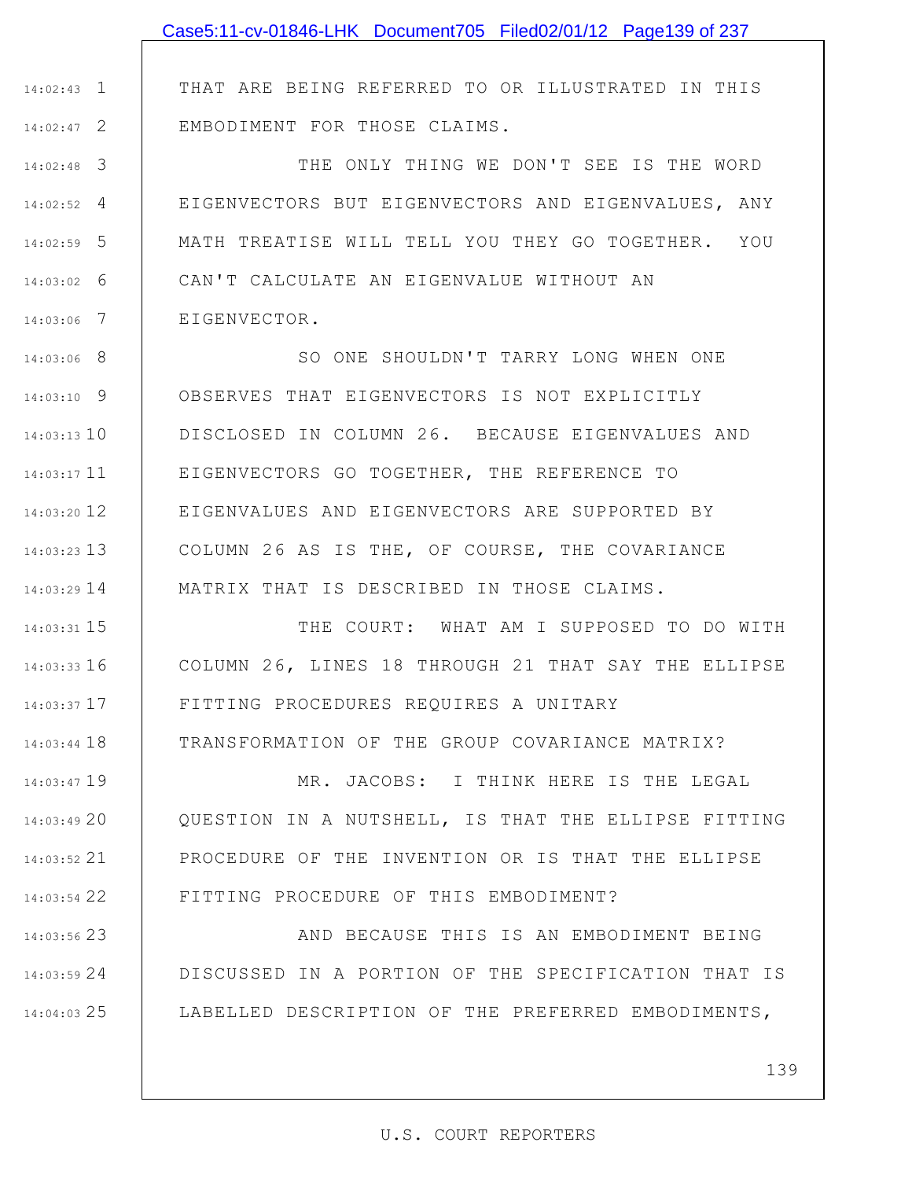1 14:02:43 2 14:02:47 THAT ARE BEING REFERRED TO OR ILLUSTRATED IN THIS EMBODIMENT FOR THOSE CLAIMS.

3 14:02:48 4 14:02:52 5 14:02:59 6 14:03:02 7 14:03:06 THE ONLY THING WE DON'T SEE IS THE WORD EIGENVECTORS BUT EIGENVECTORS AND EIGENVALUES, ANY MATH TREATISE WILL TELL YOU THEY GO TOGETHER. YOU CAN'T CALCULATE AN EIGENVALUE WITHOUT AN EIGENVECTOR.

8 14:03:06 9 14:03:10 10 14:03:13 11 14:03:17 12 14:03:20 13 14:03:23 14 14:03:29 SO ONE SHOULDN'T TARRY LONG WHEN ONE OBSERVES THAT EIGENVECTORS IS NOT EXPLICITLY DISCLOSED IN COLUMN 26. BECAUSE EIGENVALUES AND EIGENVECTORS GO TOGETHER, THE REFERENCE TO EIGENVALUES AND EIGENVECTORS ARE SUPPORTED BY COLUMN 26 AS IS THE, OF COURSE, THE COVARIANCE MATRIX THAT IS DESCRIBED IN THOSE CLAIMS.

15 14:03:31 16 14:03:33 17 14:03:37 18 14:03:44 THE COURT: WHAT AM I SUPPOSED TO DO WITH COLUMN 26, LINES 18 THROUGH 21 THAT SAY THE ELLIPSE FITTING PROCEDURES REQUIRES A UNITARY TRANSFORMATION OF THE GROUP COVARIANCE MATRIX?

19 14:03:47 20 14:03:49 21 14:03:52 22 14:03:54 MR. JACOBS: I THINK HERE IS THE LEGAL QUESTION IN A NUTSHELL, IS THAT THE ELLIPSE FITTING PROCEDURE OF THE INVENTION OR IS THAT THE ELLIPSE FITTING PROCEDURE OF THIS EMBODIMENT?

23 14:03:56 24 14:03:59 25 14:04:03 AND BECAUSE THIS IS AN EMBODIMENT BEING DISCUSSED IN A PORTION OF THE SPECIFICATION THAT IS LABELLED DESCRIPTION OF THE PREFERRED EMBODIMENTS,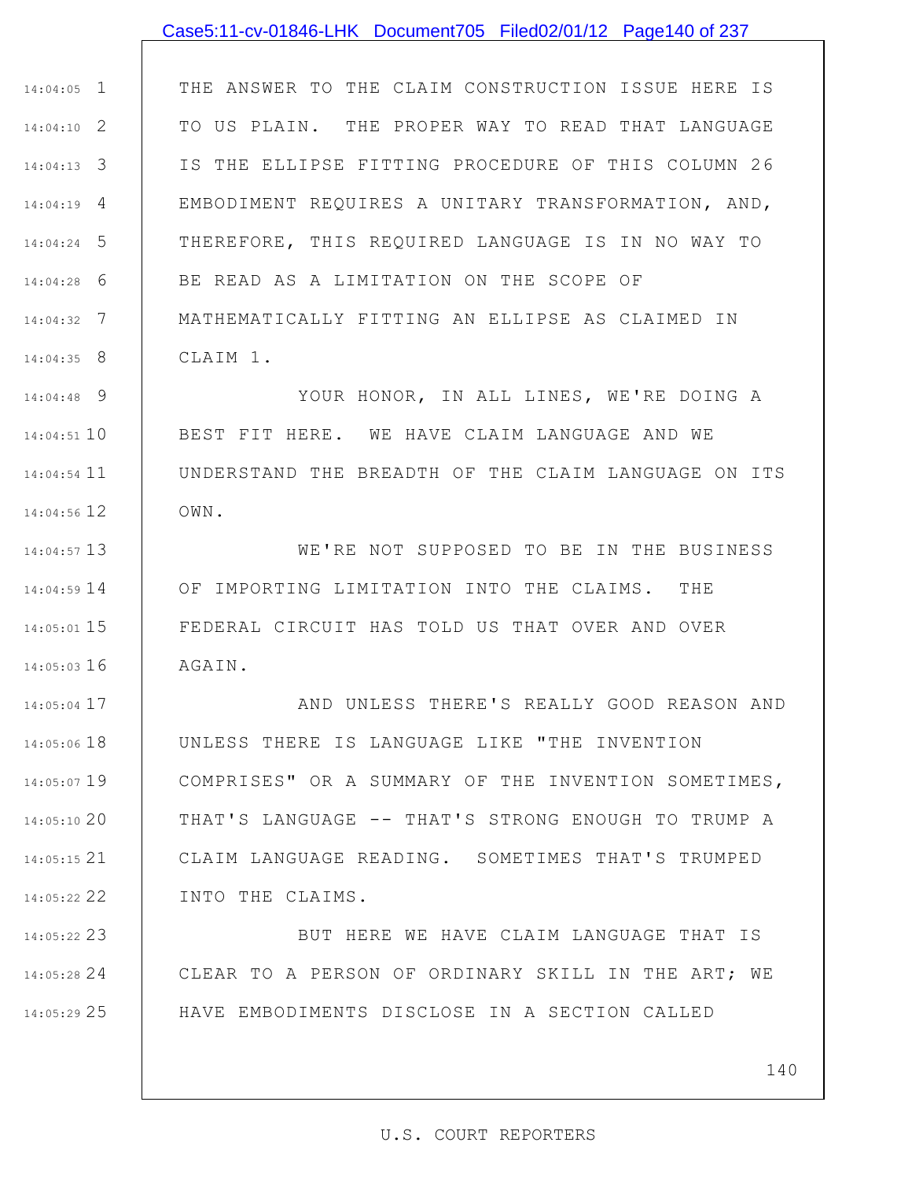### Case5:11-cv-01846-LHK Document705 Filed02/01/12 Page140 of 237

1 14:04:05 2 14:04:10 3 14:04:13 4 14:04:19 5 14:04:24 6 14:04:28 7 14:04:32 8 14:04:35 THE ANSWER TO THE CLAIM CONSTRUCTION ISSUE HERE IS TO US PLAIN. THE PROPER WAY TO READ THAT LANGUAGE IS THE ELLIPSE FITTING PROCEDURE OF THIS COLUMN 26 EMBODIMENT REQUIRES A UNITARY TRANSFORMATION, AND, THEREFORE, THIS REQUIRED LANGUAGE IS IN NO WAY TO BE READ AS A LIMITATION ON THE SCOPE OF MATHEMATICALLY FITTING AN ELLIPSE AS CLAIMED IN CLAIM 1.

9 14:04:48 10 14:04:51 11 14:04:54 12 14:04:56 YOUR HONOR, IN ALL LINES, WE'RE DOING A BEST FIT HERE. WE HAVE CLAIM LANGUAGE AND WE UNDERSTAND THE BREADTH OF THE CLAIM LANGUAGE ON ITS OWN.

13 14:04:57 14 14:04:59 15 14:05:01 16 14:05:03 WE'RE NOT SUPPOSED TO BE IN THE BUSINESS OF IMPORTING LIMITATION INTO THE CLAIMS. THE FEDERAL CIRCUIT HAS TOLD US THAT OVER AND OVER AGAIN.

17 14:05:04 18 14:05:06 19 14:05:07 20 14:05:10 21 14:05:15 22 14:05:22 AND UNLESS THERE'S REALLY GOOD REASON AND UNLESS THERE IS LANGUAGE LIKE "THE INVENTION COMPRISES" OR A SUMMARY OF THE INVENTION SOMETIMES, THAT'S LANGUAGE -- THAT'S STRONG ENOUGH TO TRUMP A CLAIM LANGUAGE READING. SOMETIMES THAT'S TRUMPED INTO THE CLAIMS.

23 14:05:22 24 14:05:28 25 14:05:29 BUT HERE WE HAVE CLAIM LANGUAGE THAT IS CLEAR TO A PERSON OF ORDINARY SKILL IN THE ART; WE HAVE EMBODIMENTS DISCLOSE IN A SECTION CALLED

140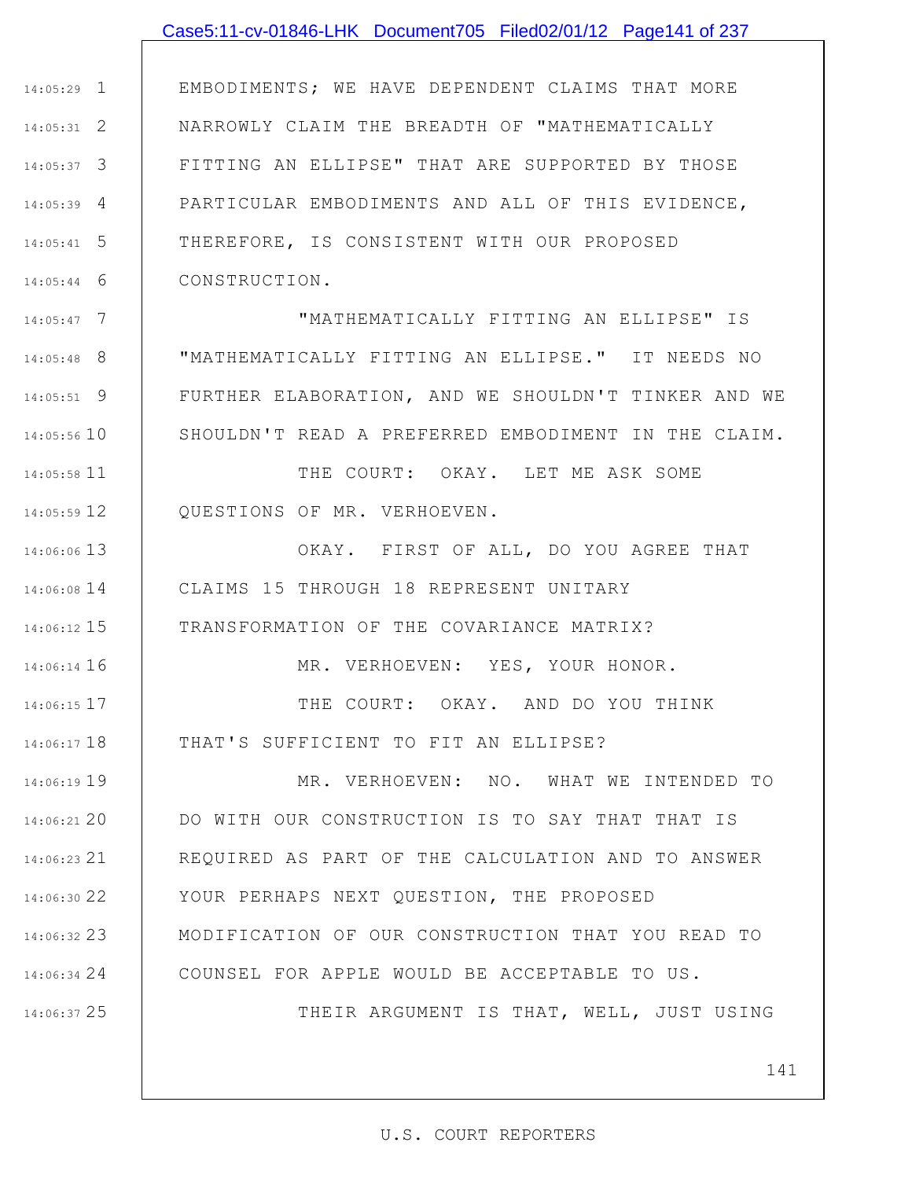### Case5:11-cv-01846-LHK Document705 Filed02/01/12 Page141 of 237

1 14:05:29 2 14:05:31 3 14:05:37 4 14:05:39 5 14:05:41 6 14:05:44 EMBODIMENTS; WE HAVE DEPENDENT CLAIMS THAT MORE NARROWLY CLAIM THE BREADTH OF "MATHEMATICALLY FITTING AN ELLIPSE" THAT ARE SUPPORTED BY THOSE PARTICULAR EMBODIMENTS AND ALL OF THIS EVIDENCE, THEREFORE, IS CONSISTENT WITH OUR PROPOSED CONSTRUCTION.

7 14:05:47 8 14:05:48 9 14:05:51 10 14:05:56 "MATHEMATICALLY FITTING AN ELLIPSE" IS "MATHEMATICALLY FITTING AN ELLIPSE." IT NEEDS NO FURTHER ELABORATION, AND WE SHOULDN'T TINKER AND WE SHOULDN'T READ A PREFERRED EMBODIMENT IN THE CLAIM.

11 14:05:58 12 14:05:59 THE COURT: OKAY. LET ME ASK SOME QUESTIONS OF MR. VERHOEVEN.

16 14:06:14

25 14:06:37

13 14:06:06 14 14:06:08 15 14:06:12 OKAY. FIRST OF ALL, DO YOU AGREE THAT CLAIMS 15 THROUGH 18 REPRESENT UNITARY TRANSFORMATION OF THE COVARIANCE MATRIX?

MR. VERHOEVEN: YES, YOUR HONOR.

17 14:06:15 18 14:06:17 THE COURT: OKAY. AND DO YOU THINK THAT'S SUFFICIENT TO FIT AN ELLIPSE?

19 14:06:19 20 14:06:21 21 14:06:23 22 14:06:30 23 14:06:32 24 14:06:34 MR. VERHOEVEN: NO. WHAT WE INTENDED TO DO WITH OUR CONSTRUCTION IS TO SAY THAT THAT IS REQUIRED AS PART OF THE CALCULATION AND TO ANSWER YOUR PERHAPS NEXT QUESTION, THE PROPOSED MODIFICATION OF OUR CONSTRUCTION THAT YOU READ TO COUNSEL FOR APPLE WOULD BE ACCEPTABLE TO US.

THEIR ARGUMENT IS THAT, WELL, JUST USING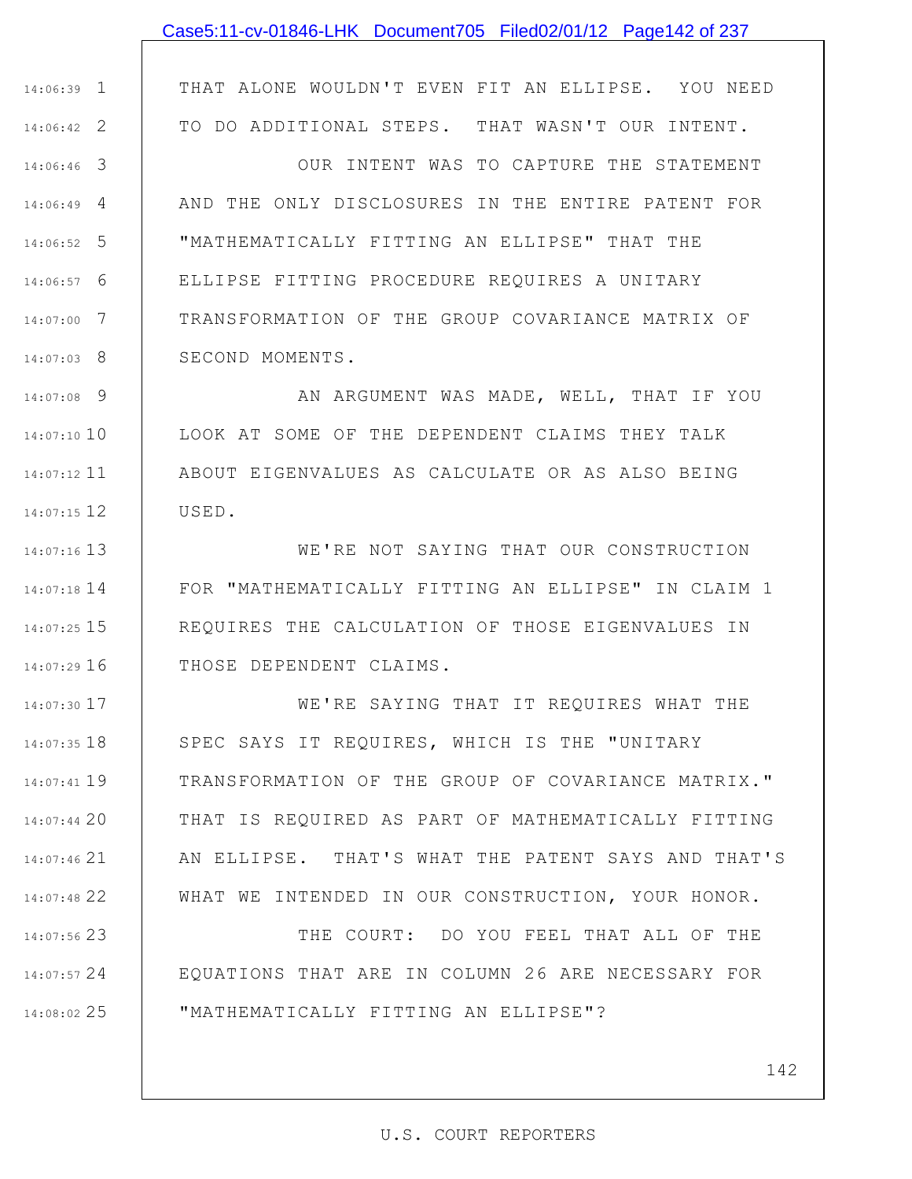## Case5:11-cv-01846-LHK Document705 Filed02/01/12 Page142 of 237

THAT ALONE WOULDN'T EVEN FIT AN ELLIPSE. YOU NEED TO DO ADDITIONAL STEPS. THAT WASN'T OUR INTENT.

1 14:06:39

2 14:06:42

3 14:06:46 4 14:06:49 5 14:06:52 6 14:06:57 7 14:07:00 8 14:07:03 OUR INTENT WAS TO CAPTURE THE STATEMENT AND THE ONLY DISCLOSURES IN THE ENTIRE PATENT FOR "MATHEMATICALLY FITTING AN ELLIPSE" THAT THE ELLIPSE FITTING PROCEDURE REQUIRES A UNITARY TRANSFORMATION OF THE GROUP COVARIANCE MATRIX OF SECOND MOMENTS.

9 14:07:08 10 14:07:10 11 14:07:12 12 14:07:15 AN ARGUMENT WAS MADE, WELL, THAT IF YOU LOOK AT SOME OF THE DEPENDENT CLAIMS THEY TALK ABOUT EIGENVALUES AS CALCULATE OR AS ALSO BEING USED.

13 14:07:16 14 14:07:18 15 14:07:25 16 14:07:29 WE'RE NOT SAYING THAT OUR CONSTRUCTION FOR "MATHEMATICALLY FITTING AN ELLIPSE" IN CLAIM 1 REQUIRES THE CALCULATION OF THOSE EIGENVALUES IN THOSE DEPENDENT CLAIMS.

17 14:07:30 18 14:07:35 19 14:07:41 20 14:07:44 21 14:07:46 22 14:07:48 WE'RE SAYING THAT IT REQUIRES WHAT THE SPEC SAYS IT REQUIRES, WHICH IS THE "UNITARY TRANSFORMATION OF THE GROUP OF COVARIANCE MATRIX." THAT IS REQUIRED AS PART OF MATHEMATICALLY FITTING AN ELLIPSE. THAT'S WHAT THE PATENT SAYS AND THAT'S WHAT WE INTENDED IN OUR CONSTRUCTION, YOUR HONOR.

23 14:07:56 24 14:07:57 25 14:08:02 THE COURT: DO YOU FEEL THAT ALL OF THE EQUATIONS THAT ARE IN COLUMN 26 ARE NECESSARY FOR "MATHEMATICALLY FITTING AN ELLIPSE"?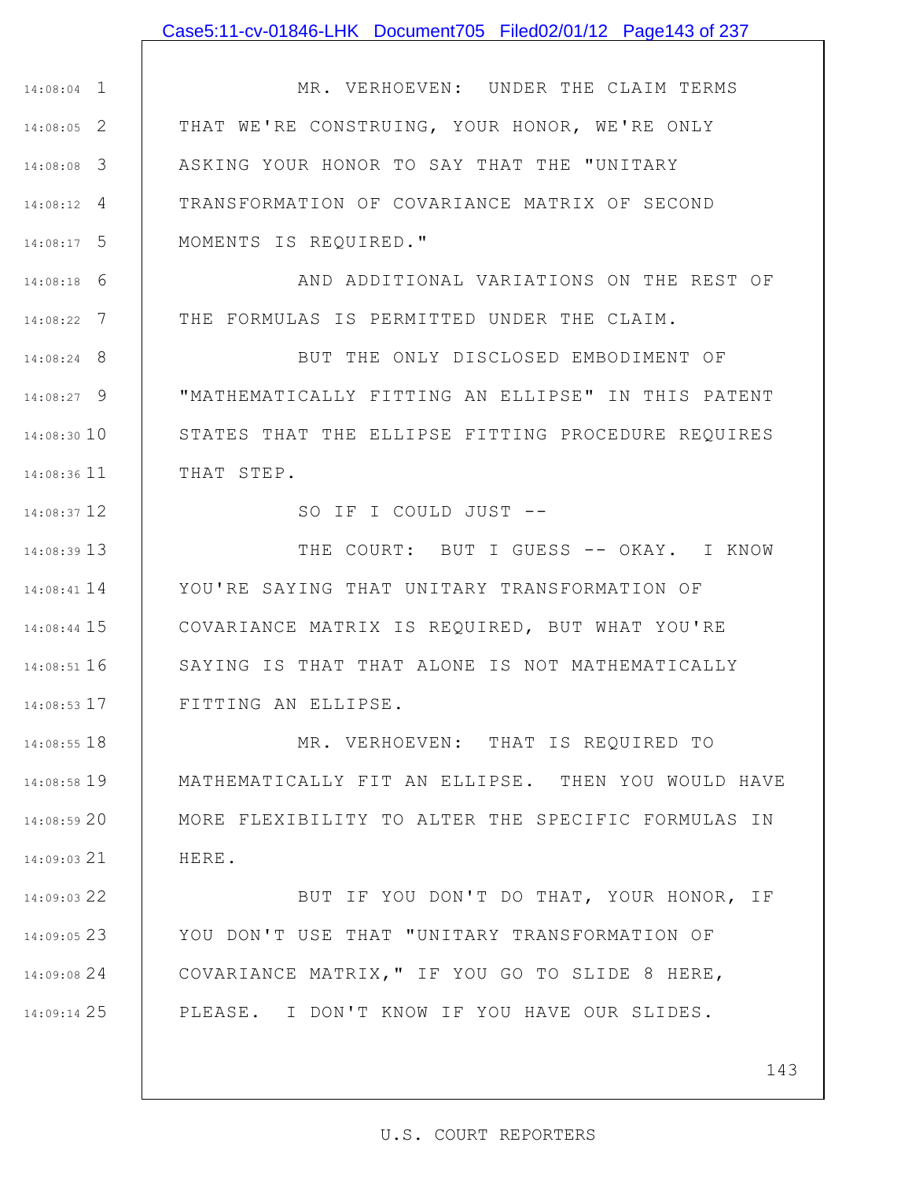### Case5:11-cv-01846-LHK Document705 Filed02/01/12 Page143 of 237

1 14:08:04 2 14:08:05 3 14:08:08 4 14:08:12 5 14:08:17 MR. VERHOEVEN: UNDER THE CLAIM TERMS THAT WE'RE CONSTRUING, YOUR HONOR, WE'RE ONLY ASKING YOUR HONOR TO SAY THAT THE "UNITARY TRANSFORMATION OF COVARIANCE MATRIX OF SECOND MOMENTS IS REQUIRED."

6 14:08:18 7 14:08:22 AND ADDITIONAL VARIATIONS ON THE REST OF THE FORMULAS IS PERMITTED UNDER THE CLAIM.

8 14:08:24 9 14:08:27 14:08:30 10 11 14:08:36 BUT THE ONLY DISCLOSED EMBODIMENT OF "MATHEMATICALLY FITTING AN ELLIPSE" IN THIS PATENT STATES THAT THE ELLIPSE FITTING PROCEDURE REQUIRES THAT STEP.

SO IF I COULD JUST --

12 14:08:37

13 14:08:39 14 14:08:41 15 14:08:44 16 14:08:51 17 14:08:53 THE COURT: BUT I GUESS -- OKAY. I KNOW YOU'RE SAYING THAT UNITARY TRANSFORMATION OF COVARIANCE MATRIX IS REQUIRED, BUT WHAT YOU'RE SAYING IS THAT THAT ALONE IS NOT MATHEMATICALLY FITTING AN ELLIPSE.

18 14:08:55 19 14:08:58 20 14:08:59 21 14:09:03 MR. VERHOEVEN: THAT IS REQUIRED TO MATHEMATICALLY FIT AN ELLIPSE. THEN YOU WOULD HAVE MORE FLEXIBILITY TO ALTER THE SPECIFIC FORMULAS IN HERE.

22 14:09:03 23 14:09:05 24 14:09:08 25 14:09:14 BUT IF YOU DON'T DO THAT, YOUR HONOR, IF YOU DON'T USE THAT "UNITARY TRANSFORMATION OF COVARIANCE MATRIX," IF YOU GO TO SLIDE 8 HERE, PLEASE. I DON'T KNOW IF YOU HAVE OUR SLIDES.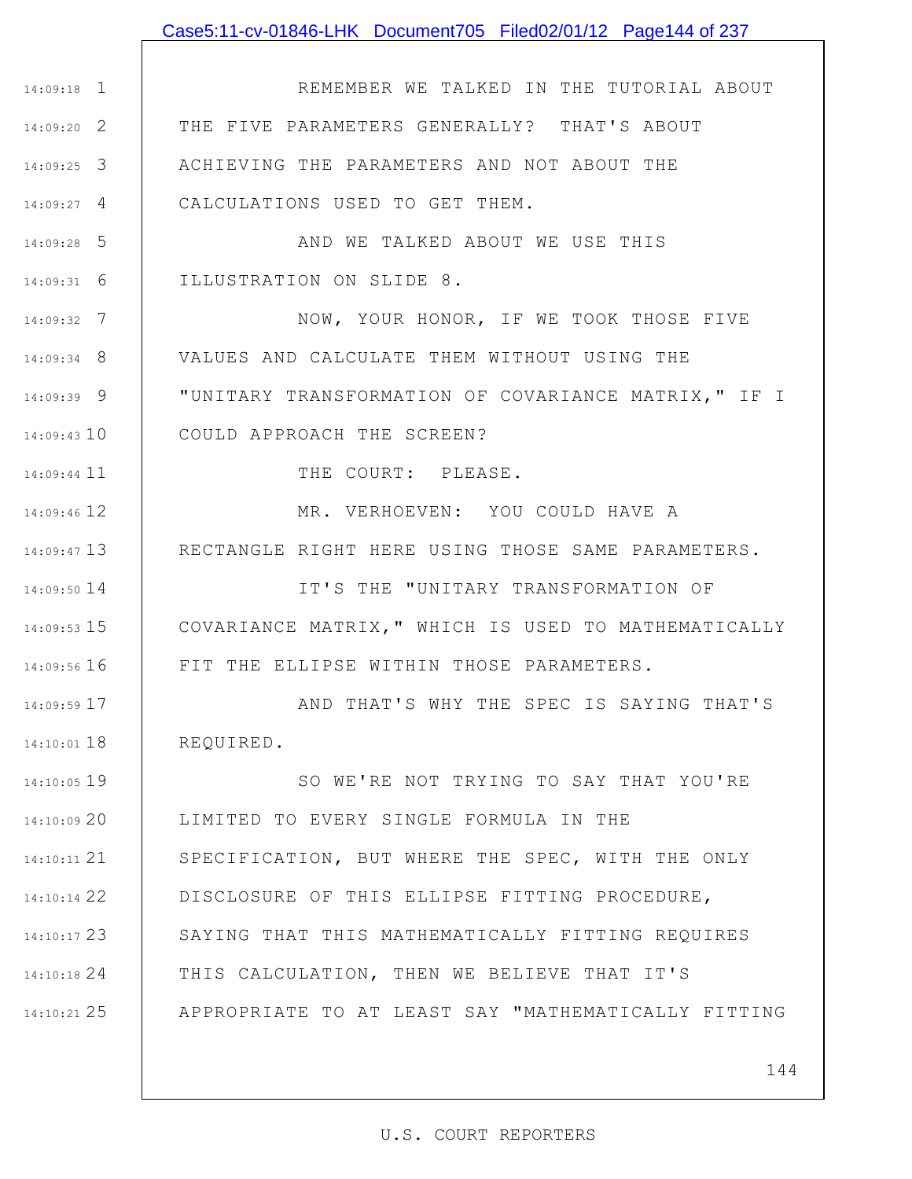### Case5:11-cv-01846-LHK Document705 Filed02/01/12 Page144 of 237

1 14:09:18 2 14:09:20 3 14:09:25 4 14:09:27 5 14:09:28 6 14:09:31 7 14:09:32 8 14:09:34 9 14:09:39 10 14:09:43 11 14:09:44 12 14:09:46 13 14:09:47 14 14:09:50 15 14:09:53 16 14:09:56 17 14:09:59 18 14:10:01 19 14:10:05 20 14:10:09 21 14:10:11 22 14:10:14 23 14:10:17 24 14:10:18 25 14:10:21 REMEMBER WE TALKED IN THE TUTORIAL ABOUT THE FIVE PARAMETERS GENERALLY? THAT'S ABOUT ACHIEVING THE PARAMETERS AND NOT ABOUT THE CALCULATIONS USED TO GET THEM. AND WE TALKED ABOUT WE USE THIS ILLUSTRATION ON SLIDE 8. NOW, YOUR HONOR, IF WE TOOK THOSE FIVE VALUES AND CALCULATE THEM WITHOUT USING THE "UNITARY TRANSFORMATION OF COVARIANCE MATRIX," IF I COULD APPROACH THE SCREEN? THE COURT: PLEASE. MR. VERHOEVEN: YOU COULD HAVE A RECTANGLE RIGHT HERE USING THOSE SAME PARAMETERS. IT'S THE "UNITARY TRANSFORMATION OF COVARIANCE MATRIX," WHICH IS USED TO MATHEMATICALLY FIT THE ELLIPSE WITHIN THOSE PARAMETERS. AND THAT'S WHY THE SPEC IS SAYING THAT'S REQUIRED. SO WE'RE NOT TRYING TO SAY THAT YOU'RE LIMITED TO EVERY SINGLE FORMULA IN THE SPECIFICATION, BUT WHERE THE SPEC, WITH THE ONLY DISCLOSURE OF THIS ELLIPSE FITTING PROCEDURE, SAYING THAT THIS MATHEMATICALLY FITTING REQUIRES THIS CALCULATION, THEN WE BELIEVE THAT IT'S APPROPRIATE TO AT LEAST SAY "MATHEMATICALLY FITTING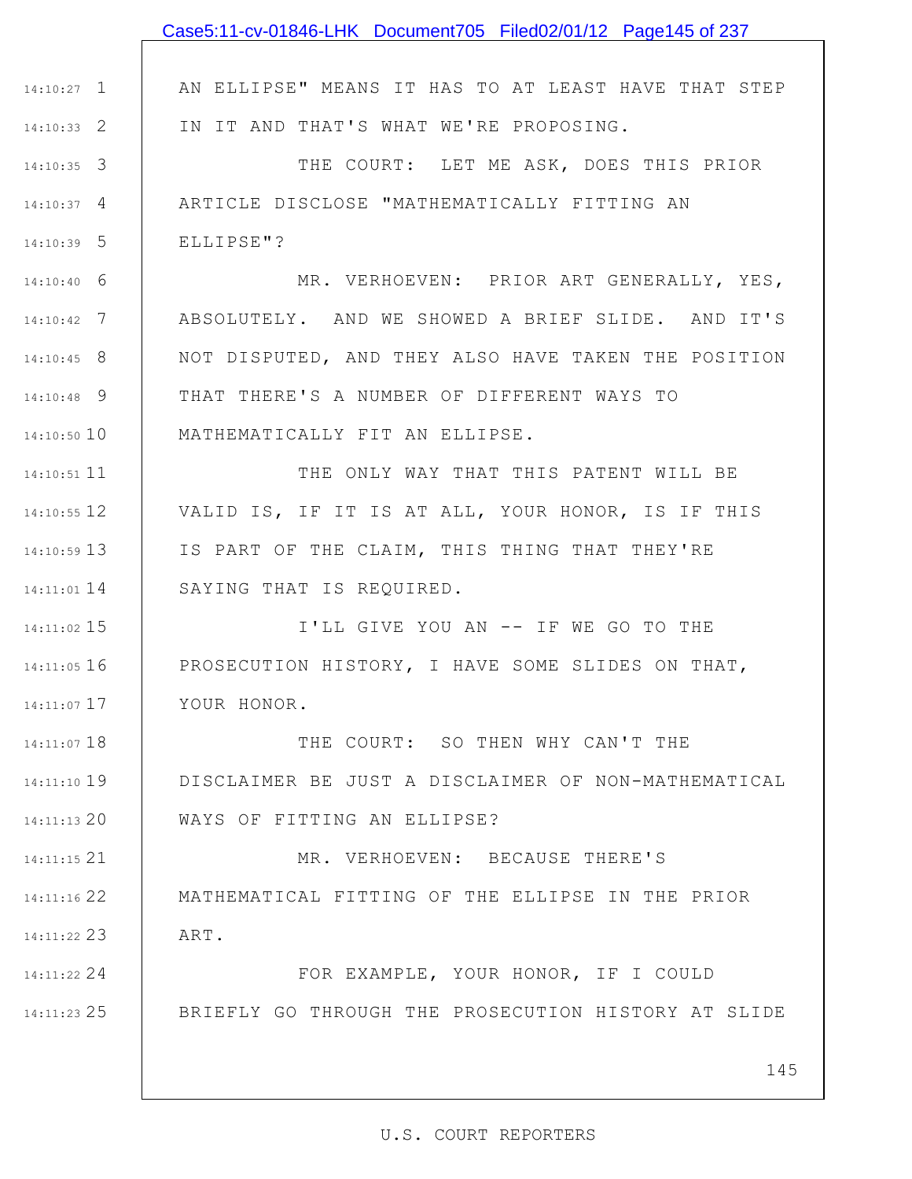|               | Case5:11-cv-01846-LHK Document705 Filed02/01/12 Page145 of 237 |
|---------------|----------------------------------------------------------------|
|               |                                                                |
| $14:10:27$ 1  | AN ELLIPSE" MEANS IT HAS TO AT LEAST HAVE THAT STEP            |
| $14:10:33$ 2  | IN IT AND THAT'S WHAT WE'RE PROPOSING.                         |
| $14:10:35$ 3  | THE COURT: LET ME ASK, DOES THIS PRIOR                         |
| $14:10:37$ 4  | ARTICLE DISCLOSE "MATHEMATICALLY FITTING AN                    |
| $14:10:39$ 5  | ELLIPSE"?                                                      |
| $14:10:40$ 6  | MR. VERHOEVEN: PRIOR ART GENERALLY, YES,                       |
| $14:10:42$ 7  | ABSOLUTELY. AND WE SHOWED A BRIEF SLIDE. AND IT'S              |
| $14:10:45$ 8  | NOT DISPUTED, AND THEY ALSO HAVE TAKEN THE POSITION            |
| $14:10:48$ 9  | THAT THERE'S A NUMBER OF DIFFERENT WAYS TO                     |
| $14:10:50$ 10 | MATHEMATICALLY FIT AN ELLIPSE.                                 |
| $14:10:51$ 11 | THE ONLY WAY THAT THIS PATENT WILL BE                          |
| $14:10:55$ 12 | VALID IS, IF IT IS AT ALL, YOUR HONOR, IS IF THIS              |
| $14:10:59$ 13 | IS PART OF THE CLAIM, THIS THING THAT THEY'RE                  |
| $14:11:01$ 14 | SAYING THAT IS REQUIRED.                                       |
| $14:11:02$ 15 | I'LL GIVE YOU AN -- IF WE GO TO THE                            |
| $14:11:05$ 16 | PROSECUTION HISTORY, I HAVE SOME SLIDES ON THAT,               |
| 14:11:07 17   | YOUR HONOR.                                                    |
| $14:11:07$ 18 | THE COURT: SO THEN WHY CAN'T THE                               |
| 14:11:10 19   | DISCLAIMER BE JUST A DISCLAIMER OF NON-MATHEMATICAL            |
| 14:11:13 20   | WAYS OF FITTING AN ELLIPSE?                                    |
| 14:11:15 21   | MR. VERHOEVEN: BECAUSE THERE'S                                 |
| 14:11:16 22   | MATHEMATICAL FITTING OF THE ELLIPSE IN THE PRIOR               |
| $14:11:22$ 23 | ART.                                                           |
| 14:11:22 24   | FOR EXAMPLE, YOUR HONOR, IF I COULD                            |
| $14:11:23$ 25 | BRIEFLY GO THROUGH THE PROSECUTION HISTORY AT SLIDE            |
|               |                                                                |
|               | 145                                                            |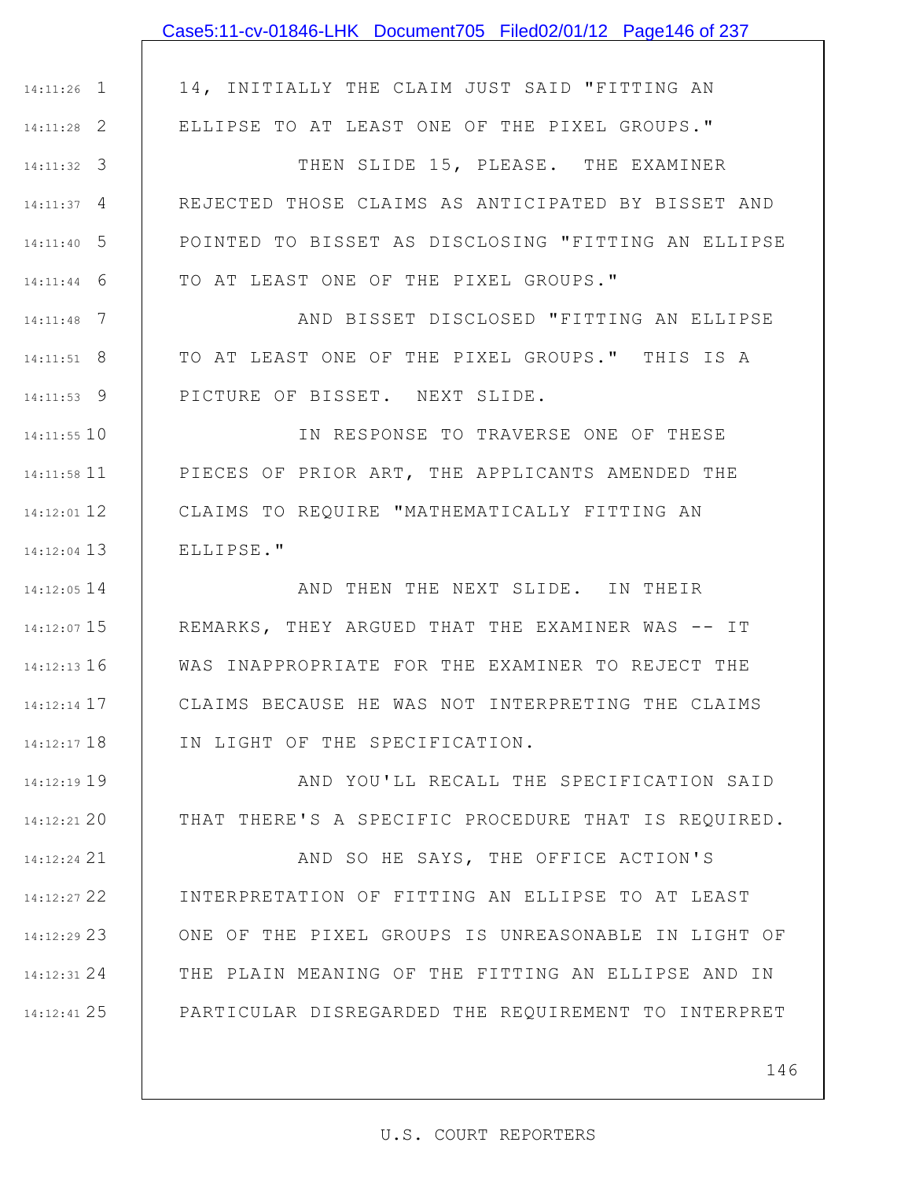|               | Case5:11-cv-01846-LHK Document705 Filed02/01/12 Page146 of 237 |
|---------------|----------------------------------------------------------------|
|               |                                                                |
| $14:11:26$ 1  | 14, INITIALLY THE CLAIM JUST SAID "FITTING AN                  |
| $14:11:28$ 2  | ELLIPSE TO AT LEAST ONE OF THE PIXEL GROUPS."                  |
| $14:11:32$ 3  | THEN SLIDE 15, PLEASE. THE EXAMINER                            |
| $14:11:37$ 4  | REJECTED THOSE CLAIMS AS ANTICIPATED BY BISSET AND             |
| $14:11:40$ 5  | POINTED TO BISSET AS DISCLOSING "FITTING AN ELLIPSE            |
| $14:11:44$ 6  | TO AT LEAST ONE OF THE PIXEL GROUPS."                          |
| $14:11:48$ 7  | AND BISSET DISCLOSED "FITTING AN ELLIPSE                       |
| $14:11:51$ 8  | TO AT LEAST ONE OF THE PIXEL GROUPS." THIS IS A                |
| $14:11:53$ 9  | PICTURE OF BISSET. NEXT SLIDE.                                 |
| 14:11:55 10   | IN RESPONSE TO TRAVERSE ONE OF THESE                           |
|               | 14:11:58 11   PIECES OF PRIOR ART, THE APPLICANTS AMENDED THE  |
| $14:12:01$ 12 | CLAIMS TO REQUIRE "MATHEMATICALLY FITTING AN                   |
| $14:12:04$ 13 | ELLIPSE."                                                      |
| 14:12:05 14   | AND THEN THE NEXT SLIDE. IN THEIR                              |
|               | 14:12:07 15   REMARKS, THEY ARGUED THAT THE EXAMINER WAS -- IT |
| 14:12:13 16   | WAS INAPPROPRIATE FOR THE EXAMINER TO REJECT THE               |
| $14:12:14$ 17 | CLAIMS BECAUSE HE WAS NOT INTERPRETING THE CLAIMS              |
| $14:12:17$ 18 | IN LIGHT OF THE SPECIFICATION.                                 |
| 14:12:19 19   | AND YOU'LL RECALL THE SPECIFICATION SAID                       |
| 14:12:21 20   | THAT THERE'S A SPECIFIC PROCEDURE THAT IS REQUIRED.            |
| 14:12:24 21   | AND SO HE SAYS, THE OFFICE ACTION'S                            |
| 14:12:27 22   | INTERPRETATION OF FITTING AN ELLIPSE TO AT LEAST               |
| 14:12:29 23   | ONE OF THE PIXEL GROUPS IS UNREASONABLE IN LIGHT OF            |
| 14:12:31 24   | THE PLAIN MEANING OF THE FITTING AN ELLIPSE AND IN             |
| 14:12:41 25   | PARTICULAR DISREGARDED THE REQUIREMENT TO INTERPRET            |

146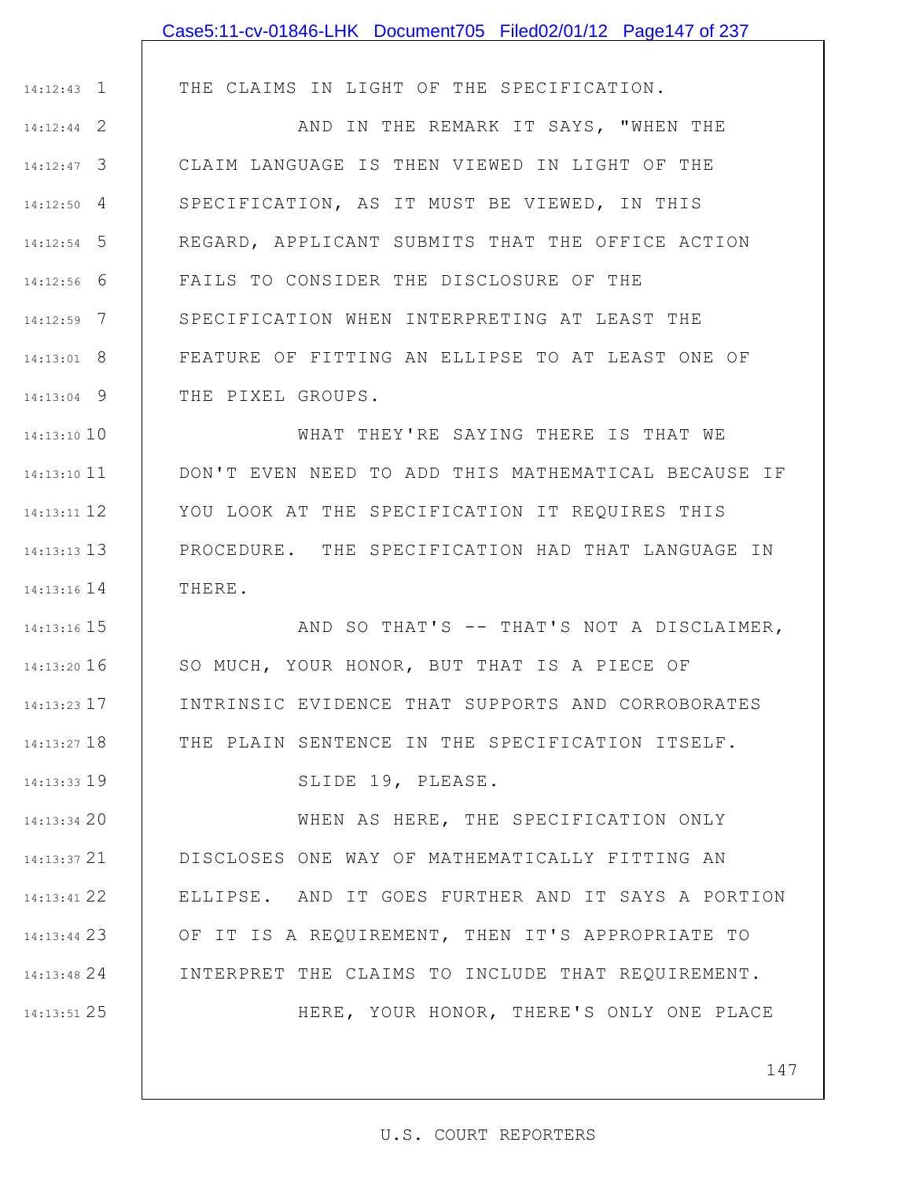|               | Case5:11-cv-01846-LHK Document705 Filed02/01/12 Page147 of 237 |
|---------------|----------------------------------------------------------------|
|               |                                                                |
| $14:12:43$ 1  | THE CLAIMS IN LIGHT OF THE SPECIFICATION.                      |
| $14:12:44$ 2  | AND IN THE REMARK IT SAYS, "WHEN THE                           |
| $14:12:47$ 3  | CLAIM LANGUAGE IS THEN VIEWED IN LIGHT OF THE                  |
| $14:12:50$ 4  | SPECIFICATION, AS IT MUST BE VIEWED, IN THIS                   |
| $14:12:54$ 5  | REGARD, APPLICANT SUBMITS THAT THE OFFICE ACTION               |
| $14:12:56$ 6  | FAILS TO CONSIDER THE DISCLOSURE OF THE                        |
| $14:12:59$ 7  | SPECIFICATION WHEN INTERPRETING AT LEAST THE                   |
| $14:13:01$ 8  | FEATURE OF FITTING AN ELLIPSE TO AT LEAST ONE OF               |
| $14:13:04$ 9  | THE PIXEL GROUPS.                                              |
| $14:13:10$ 10 | WHAT THEY'RE SAYING THERE IS THAT WE                           |
| $14:13:10$ 11 | DON'T EVEN NEED TO ADD THIS MATHEMATICAL BECAUSE IF            |
| 14:13:11 12   | YOU LOOK AT THE SPECIFICATION IT REQUIRES THIS                 |
| $14:13:13$ 13 | PROCEDURE. THE SPECIFICATION HAD THAT LANGUAGE IN              |
| $14:13:16$ 14 | THERE.                                                         |
| 14:13:16 15   | AND SO THAT'S -- THAT'S NOT A DISCLAIMER,                      |
| $14:13:20$ 16 | SO MUCH, YOUR HONOR, BUT THAT IS A PIECE OF                    |
| $14:13:23$ 17 | INTRINSIC EVIDENCE THAT SUPPORTS AND CORROBORATES              |
| 14:13:27 18   | THE PLAIN SENTENCE IN THE SPECIFICATION ITSELF.                |
| 14:13:33 19   | SLIDE 19, PLEASE.                                              |
| 14:13:34 20   | WHEN AS HERE, THE SPECIFICATION ONLY                           |
| $14:13:37$ 21 | DISCLOSES ONE WAY OF MATHEMATICALLY FITTING AN                 |
| 14:13:41 22   | ELLIPSE. AND IT GOES FURTHER AND IT SAYS A PORTION             |
| 14:13:44 23   | OF IT IS A REQUIREMENT, THEN IT'S APPROPRIATE TO               |
| 14:13:48 24   | INTERPRET THE CLAIMS TO INCLUDE THAT REQUIREMENT.              |
| 14:13:51 25   | HERE, YOUR HONOR, THERE'S ONLY ONE PLACE                       |
|               |                                                                |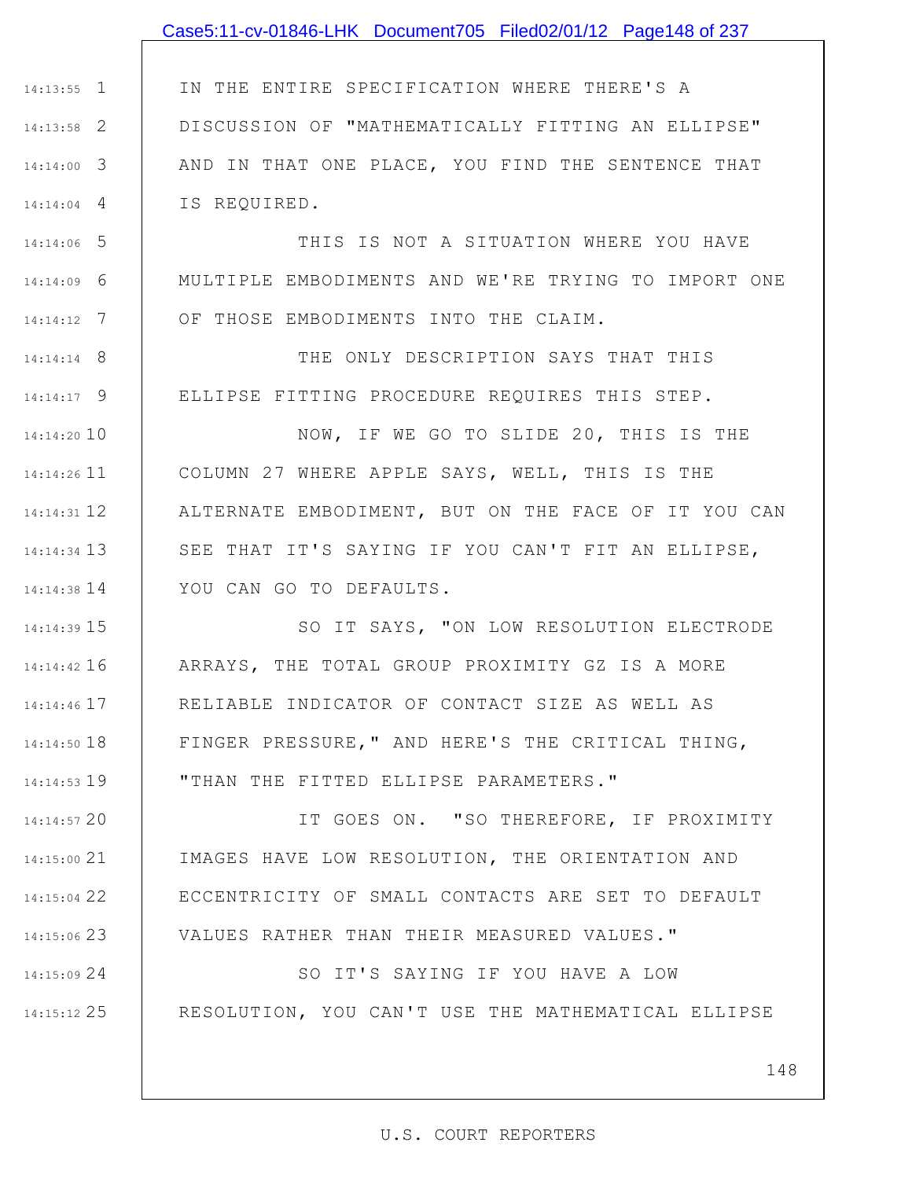## Case5:11-cv-01846-LHK Document705 Filed02/01/12 Page148 of 237

1 14:13:55 2 14:13:58 3 14:14:00 4 14:14:04 IN THE ENTIRE SPECIFICATION WHERE THERE'S A DISCUSSION OF "MATHEMATICALLY FITTING AN ELLIPSE" AND IN THAT ONE PLACE, YOU FIND THE SENTENCE THAT IS REQUIRED.

5 14:14:06 6 14:14:09 7 14:14:12 THIS IS NOT A SITUATION WHERE YOU HAVE MULTIPLE EMBODIMENTS AND WE'RE TRYING TO IMPORT ONE OF THOSE EMBODIMENTS INTO THE CLAIM.

8 14:14:14 9 14:14:17 THE ONLY DESCRIPTION SAYS THAT THIS ELLIPSE FITTING PROCEDURE REQUIRES THIS STEP.

14:14:20 10 11 14:14:26 12 14:14:31 13 14:14:34 14 14:14:38 NOW, IF WE GO TO SLIDE 20, THIS IS THE COLUMN 27 WHERE APPLE SAYS, WELL, THIS IS THE ALTERNATE EMBODIMENT, BUT ON THE FACE OF IT YOU CAN SEE THAT IT'S SAYING IF YOU CAN'T FIT AN ELLIPSE, YOU CAN GO TO DEFAULTS.

15 14:14:39 16 14:14:42 17 14:14:46 18 14:14:50 19 14:14:53 SO IT SAYS, "ON LOW RESOLUTION ELECTRODE ARRAYS, THE TOTAL GROUP PROXIMITY GZ IS A MORE RELIABLE INDICATOR OF CONTACT SIZE AS WELL AS FINGER PRESSURE," AND HERE'S THE CRITICAL THING, "THAN THE FITTED ELLIPSE PARAMETERS."

20 14:14:57 21 14:15:00 22 14:15:04 23 14:15:06 IT GOES ON. "SO THEREFORE, IF PROXIMITY IMAGES HAVE LOW RESOLUTION, THE ORIENTATION AND ECCENTRICITY OF SMALL CONTACTS ARE SET TO DEFAULT VALUES RATHER THAN THEIR MEASURED VALUES."

24 14:15:09 25 14:15:12 SO IT'S SAYING IF YOU HAVE A LOW RESOLUTION, YOU CAN'T USE THE MATHEMATICAL ELLIPSE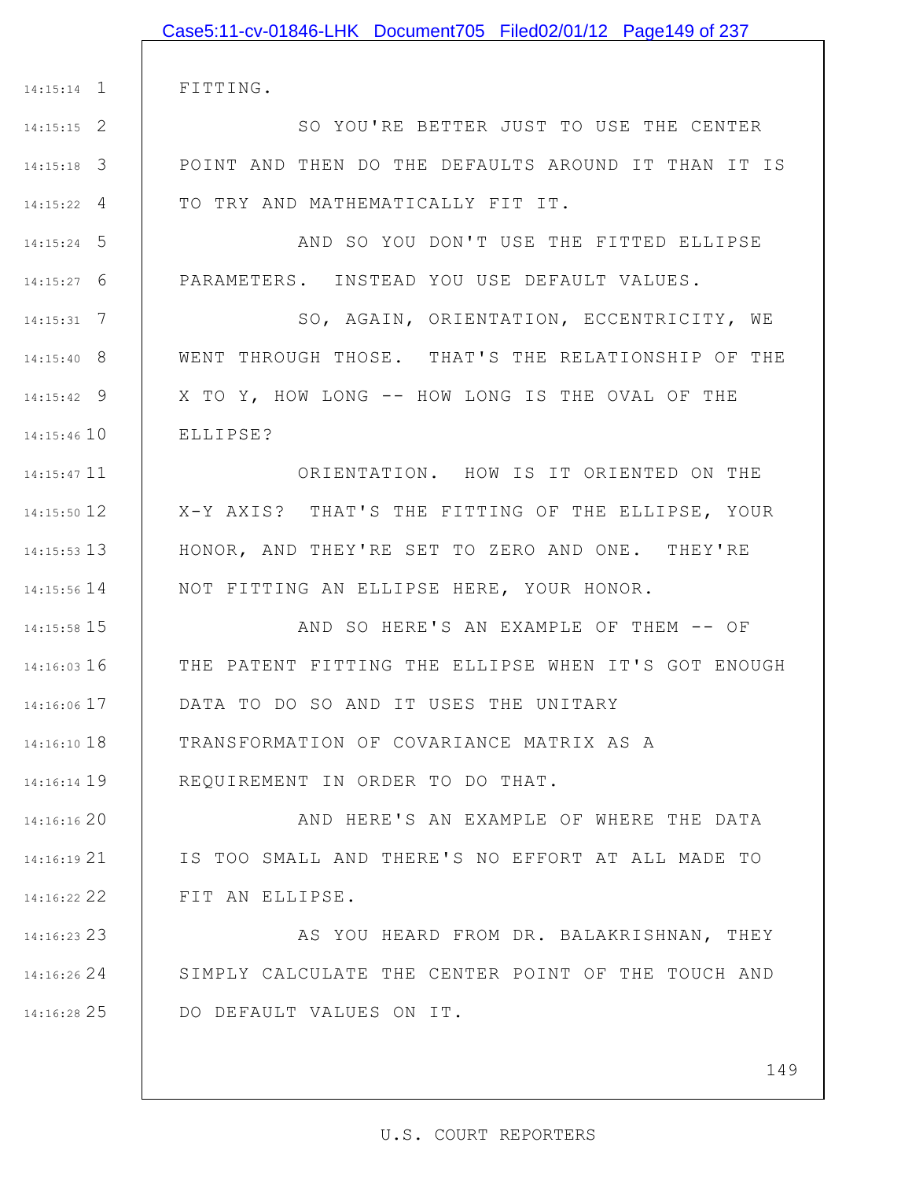|                    | Case5:11-cv-01846-LHK Document705 Filed02/01/12 Page149 of 237 |
|--------------------|----------------------------------------------------------------|
|                    |                                                                |
|                    | 14:15:14 1   FITTING.                                          |
| $14:15:15$ 2       | SO YOU'RE BETTER JUST TO USE THE CENTER                        |
| $14:15:18$ 3       | POINT AND THEN DO THE DEFAULTS AROUND IT THAN IT IS            |
| $14:15:22 \quad 4$ | TO TRY AND MATHEMATICALLY FIT IT.                              |
| $14:15:24$ 5       | AND SO YOU DON'T USE THE FITTED ELLIPSE                        |
| $14:15:27$ 6       | PARAMETERS. INSTEAD YOU USE DEFAULT VALUES.                    |
| $14:15:31$ 7       | SO, AGAIN, ORIENTATION, ECCENTRICITY, WE                       |
| $14:15:40$ 8       | WENT THROUGH THOSE. THAT'S THE RELATIONSHIP OF THE             |
| $14:15:42$ 9       | X TO Y, HOW LONG -- HOW LONG IS THE OVAL OF THE                |
| 14:15:46 10        | ELLIPSE?                                                       |
| 14:15:47 11        | ORIENTATION. HOW IS IT ORIENTED ON THE                         |
| 14:15:50 12        | X-Y AXIS? THAT'S THE FITTING OF THE ELLIPSE, YOUR              |
| $14:15:53$ 13      | HONOR, AND THEY'RE SET TO ZERO AND ONE. THEY'RE                |
| $14:15:56$ 14      | NOT FITTING AN ELLIPSE HERE, YOUR HONOR.                       |
| 14:15:58 15        | AND SO HERE'S AN EXAMPLE OF THEM -- OF                         |
| $14:16:03$ 16      | THE PATENT FITTING THE ELLIPSE WHEN IT'S GOT ENOUGH            |
| $14:16:06$ 17      | DATA TO DO SO AND IT USES THE UNITARY                          |
| 14:16:10 18        | TRANSFORMATION OF COVARIANCE MATRIX AS A                       |
| 14:16:14 19        | REQUIREMENT IN ORDER TO DO THAT.                               |
| 14:16:16 20        | AND HERE'S AN EXAMPLE OF WHERE THE DATA                        |
| 14:16:1921         | IS TOO SMALL AND THERE'S NO EFFORT AT ALL MADE TO              |
| 14:16:22 22        | FIT AN ELLIPSE.                                                |
| 14:16:23 23        | AS YOU HEARD FROM DR. BALAKRISHNAN, THEY                       |
| 14:16:26 24        | SIMPLY CALCULATE THE CENTER POINT OF THE TOUCH AND             |
| 14:16:28 25        | DO DEFAULT VALUES ON IT.                                       |

149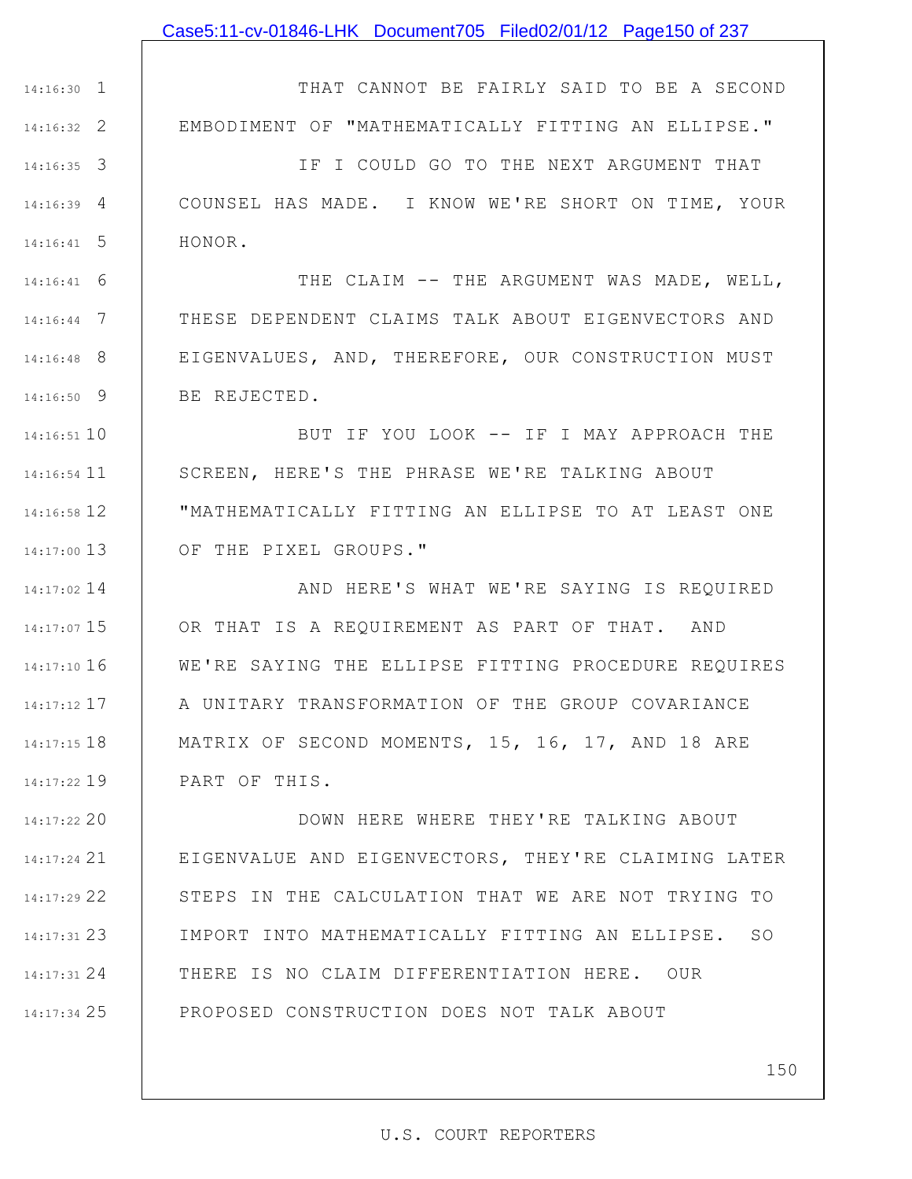### Case5:11-cv-01846-LHK Document705 Filed02/01/12 Page150 of 237

1 14:16:30 2 14:16:32 THAT CANNOT BE FAIRLY SAID TO BE A SECOND EMBODIMENT OF "MATHEMATICALLY FITTING AN ELLIPSE."

3 14:16:35 4 14:16:39 5 14:16:41 IF I COULD GO TO THE NEXT ARGUMENT THAT COUNSEL HAS MADE. I KNOW WE'RE SHORT ON TIME, YOUR HONOR.

6 14:16:41 7 14:16:44 8 14:16:48 9 14:16:50 THE CLAIM -- THE ARGUMENT WAS MADE, WELL, THESE DEPENDENT CLAIMS TALK ABOUT EIGENVECTORS AND EIGENVALUES, AND, THEREFORE, OUR CONSTRUCTION MUST BE REJECTED.

10 14:16:51 11 14:16:54 12 14:16:58 13 14:17:00 BUT IF YOU LOOK -- IF I MAY APPROACH THE SCREEN, HERE'S THE PHRASE WE'RE TALKING ABOUT "MATHEMATICALLY FITTING AN ELLIPSE TO AT LEAST ONE OF THE PIXEL GROUPS."

14 14:17:02 15 14:17:07 16 14:17:10 14:17:12 17 18 14:17:15 19 14:17:22 AND HERE'S WHAT WE'RE SAYING IS REQUIRED OR THAT IS A REQUIREMENT AS PART OF THAT. AND WE'RE SAYING THE ELLIPSE FITTING PROCEDURE REQUIRES A UNITARY TRANSFORMATION OF THE GROUP COVARIANCE MATRIX OF SECOND MOMENTS, 15, 16, 17, AND 18 ARE PART OF THIS.

20 14:17:22 21 14:17:24 22 14:17:29 23 14:17:31 24 14:17:31 25 14:17:34 DOWN HERE WHERE THEY'RE TALKING ABOUT EIGENVALUE AND EIGENVECTORS, THEY'RE CLAIMING LATER STEPS IN THE CALCULATION THAT WE ARE NOT TRYING TO IMPORT INTO MATHEMATICALLY FITTING AN ELLIPSE. SO THERE IS NO CLAIM DIFFERENTIATION HERE. OUR PROPOSED CONSTRUCTION DOES NOT TALK ABOUT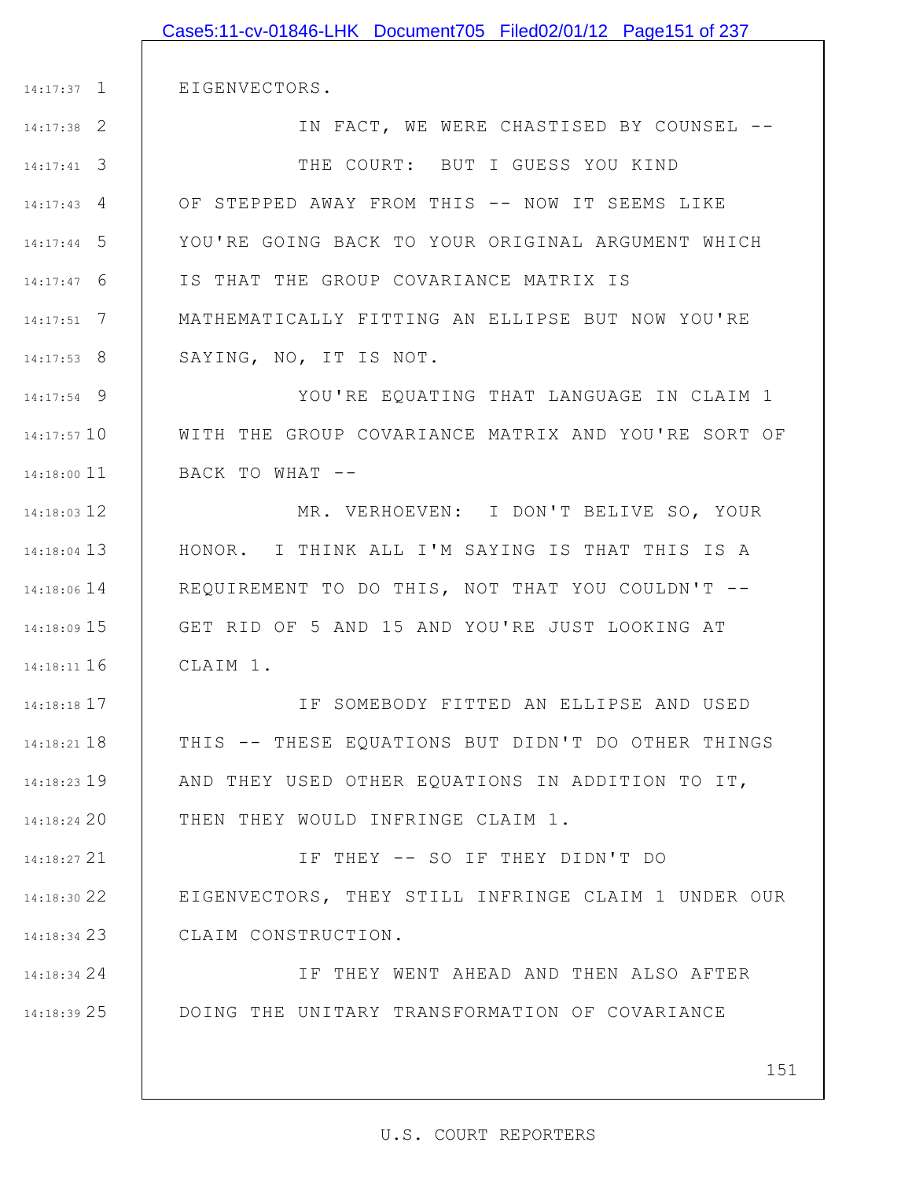|               | Case5:11-cv-01846-LHK Document705 Filed02/01/12 Page151 of 237 |
|---------------|----------------------------------------------------------------|
|               |                                                                |
| $14:17:37$ 1  | EIGENVECTORS.                                                  |
| $14:17:38$ 2  | IN FACT, WE WERE CHASTISED BY COUNSEL --                       |
| $14:17:41$ 3  | THE COURT: BUT I GUESS YOU KIND                                |
| $14:17:43$ 4  | OF STEPPED AWAY FROM THIS -- NOW IT SEEMS LIKE                 |
| $14:17:44$ 5  | YOU'RE GOING BACK TO YOUR ORIGINAL ARGUMENT WHICH              |
| $14:17:47$ 6  | IS THAT THE GROUP COVARIANCE MATRIX IS                         |
| $14:17:51$ 7  | MATHEMATICALLY FITTING AN ELLIPSE BUT NOW YOU'RE               |
| $14:17:53$ 8  | SAYING, NO, IT IS NOT.                                         |
| $14:17:54$ 9  | YOU'RE EQUATING THAT LANGUAGE IN CLAIM 1                       |
| $14:17:57$ 10 | WITH THE GROUP COVARIANCE MATRIX AND YOU'RE SORT OF            |
| $14:18:00$ 11 | BACK TO WHAT --                                                |
| $14:18:03$ 12 | MR. VERHOEVEN: I DON'T BELIVE SO, YOUR                         |
| $14:18:04$ 13 | HONOR. I THINK ALL I'M SAYING IS THAT THIS IS A                |
| $14:18:06$ 14 | REQUIREMENT TO DO THIS, NOT THAT YOU COULDN'T --               |
| $14:18:09$ 15 | GET RID OF 5 AND 15 AND YOU'RE JUST LOOKING AT                 |
| 14:18:11 16   | I CLAIM 1.                                                     |
| $14:18:18$ 17 | IF SOMEBODY FITTED AN ELLIPSE AND USED                         |
| $14:18:21$ 18 | THIS -- THESE EQUATIONS BUT DIDN'T DO OTHER THINGS             |
| 14:18:23 19   | AND THEY USED OTHER EQUATIONS IN ADDITION TO IT,               |
| 14:18:24 20   | THEN THEY WOULD INFRINGE CLAIM 1.                              |
| 14:18:27 21   | IF THEY -- SO IF THEY DIDN'T DO                                |
| 14:18:30 22   | EIGENVECTORS, THEY STILL INFRINGE CLAIM 1 UNDER OUR            |
| 14:18:34 23   | CLAIM CONSTRUCTION.                                            |
| 14:18:34 24   | IF THEY WENT AHEAD AND THEN ALSO AFTER                         |
| 14:18:39 25   | DOING THE UNITARY TRANSFORMATION OF COVARIANCE                 |
|               | 151                                                            |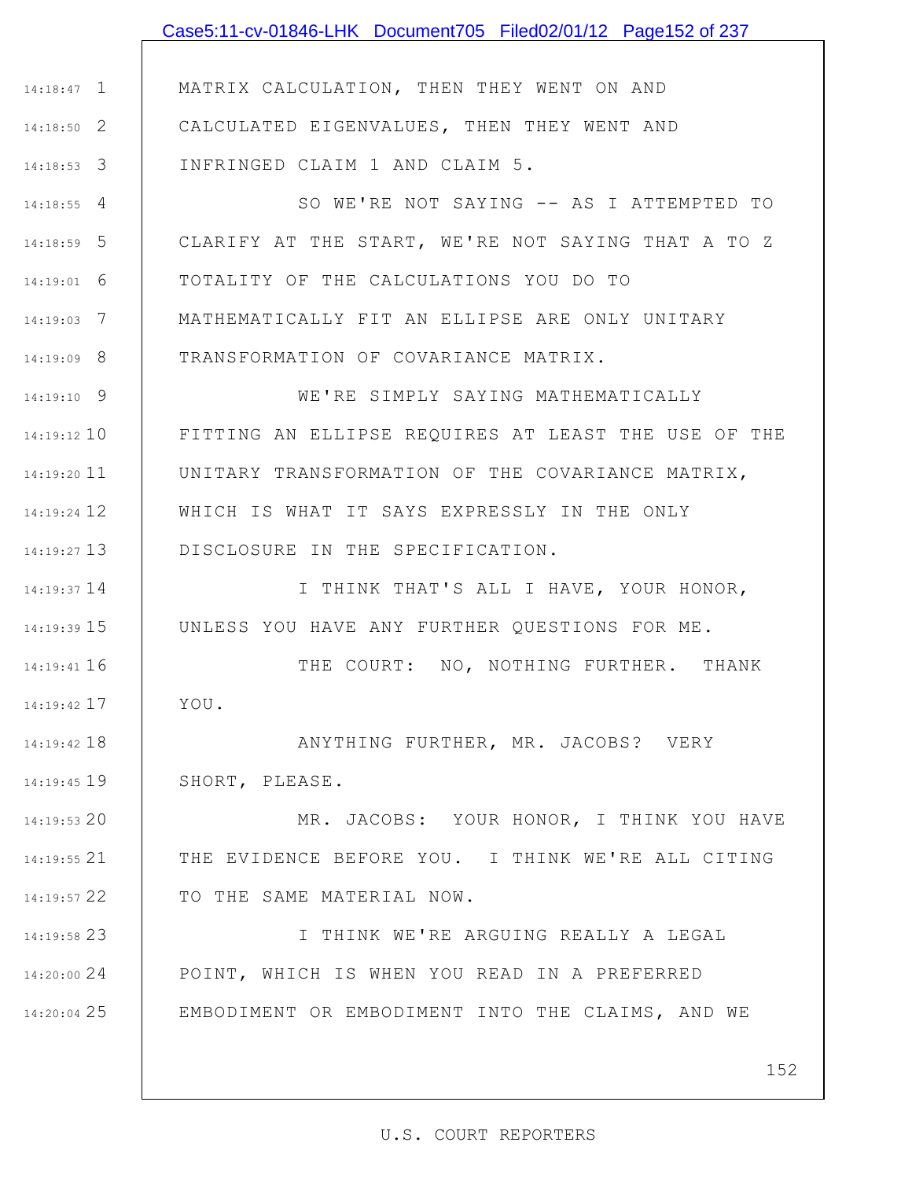|               | Case5:11-cv-01846-LHK Document705 Filed02/01/12 Page152 of 237 |
|---------------|----------------------------------------------------------------|
|               |                                                                |
| $14:18:47$ 1  | MATRIX CALCULATION, THEN THEY WENT ON AND                      |
| $14:18:50$ 2  | CALCULATED EIGENVALUES, THEN THEY WENT AND                     |
| $14:18:53$ 3  | INFRINGED CLAIM 1 AND CLAIM 5.                                 |
| $14:18:55$ 4  | SO WE'RE NOT SAYING -- AS I ATTEMPTED TO                       |
| $14:18:59$ 5  | CLARIFY AT THE START, WE'RE NOT SAYING THAT A TO Z             |
| $14:19:01$ 6  | TOTALITY OF THE CALCULATIONS YOU DO TO                         |
| $14:19:03$ 7  | MATHEMATICALLY FIT AN ELLIPSE ARE ONLY UNITARY                 |
| $14:19:09$ 8  | TRANSFORMATION OF COVARIANCE MATRIX.                           |
| $14:19:10$ 9  | WE'RE SIMPLY SAYING MATHEMATICALLY                             |
| 14:19:12 10   | FITTING AN ELLIPSE REQUIRES AT LEAST THE USE OF THE            |
| $14:19:20$ 11 | UNITARY TRANSFORMATION OF THE COVARIANCE MATRIX,               |
| 14:19:24 12   | WHICH IS WHAT IT SAYS EXPRESSLY IN THE ONLY                    |
| $14:19:27$ 13 | DISCLOSURE IN THE SPECIFICATION.                               |
| 14:19:37 14   | I THINK THAT'S ALL I HAVE, YOUR HONOR,                         |
| $14:19:39$ 15 | UNLESS YOU HAVE ANY FURTHER QUESTIONS FOR ME.                  |
| 14:19:41 16   | THE COURT: NO, NOTHING FURTHER. THANK                          |
| $14:19:42$ 17 | YOU.                                                           |
| 14:19:42 18   | ANYTHING FURTHER, MR. JACOBS? VERY                             |
| 14:19:45 19   | SHORT, PLEASE.                                                 |
| 14:19:53 20   | MR. JACOBS: YOUR HONOR, I THINK YOU HAVE                       |
| 14:19:55 21   | THE EVIDENCE BEFORE YOU. I THINK WE'RE ALL CITING              |
| 14:19:57 22   | TO THE SAME MATERIAL NOW.                                      |
| 14:19:58 23   | I THINK WE'RE ARGUING REALLY A LEGAL                           |
| 14:20:00 24   | POINT, WHICH IS WHEN YOU READ IN A PREFERRED                   |
| 14:20:04 25   | EMBODIMENT OR EMBODIMENT INTO THE CLAIMS, AND WE               |
|               |                                                                |
|               | 152                                                            |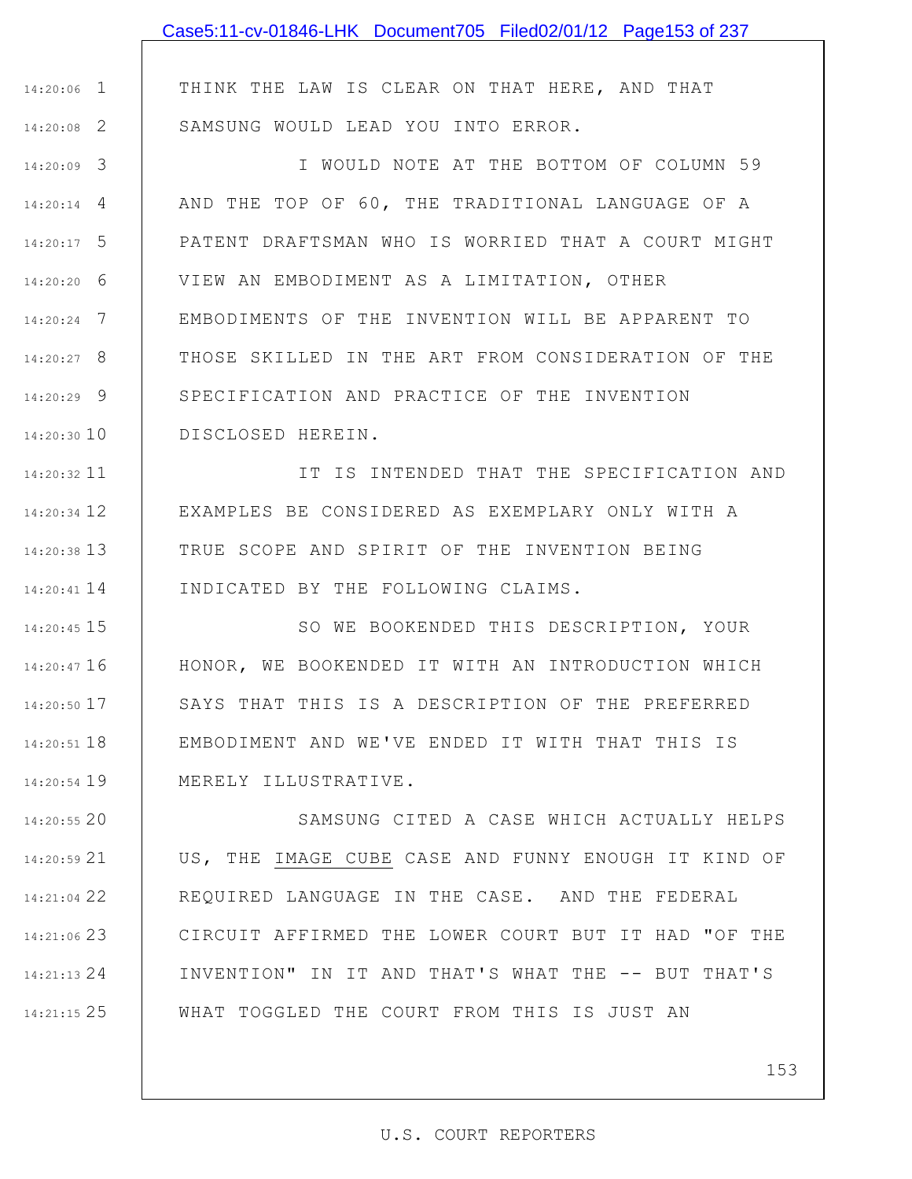|                 | Case5:11-cv-01846-LHK Document705 Filed02/01/12 Page153 of 237 |
|-----------------|----------------------------------------------------------------|
|                 |                                                                |
| $14:20:06$ 1    | THINK THE LAW IS CLEAR ON THAT HERE, AND THAT                  |
| $14:20:08$ 2    | SAMSUNG WOULD LEAD YOU INTO ERROR.                             |
| $14:20:09$ 3    | I WOULD NOTE AT THE BOTTOM OF COLUMN 59                        |
| $14:20:14$ 4    | AND THE TOP OF 60, THE TRADITIONAL LANGUAGE OF A               |
| $14:20:17$ 5    | PATENT DRAFTSMAN WHO IS WORRIED THAT A COURT MIGHT             |
| $14:20:20$ 6    | VIEW AN EMBODIMENT AS A LIMITATION, OTHER                      |
| $14:20:24$ 7    | EMBODIMENTS OF THE INVENTION WILL BE APPARENT TO               |
| $14:20:27$ 8    | THOSE SKILLED IN THE ART FROM CONSIDERATION OF THE             |
| $14:20:29$ 9    | SPECIFICATION AND PRACTICE OF THE INVENTION                    |
| $14:20:30$ $10$ | DISCLOSED HEREIN.                                              |
| $14:20:32$ 11   | IT IS INTENDED THAT THE SPECIFICATION AND                      |
| $14:20:34$ 12   | EXAMPLES BE CONSIDERED AS EXEMPLARY ONLY WITH A                |
| $14:20:38$ 13   | TRUE SCOPE AND SPIRIT OF THE INVENTION BEING                   |
| 14:20:41 14     | INDICATED BY THE FOLLOWING CLAIMS.                             |
| $14.20.45$ 15   | CO ME ROOKENDED THIC DECOPTPTION VOIID                         |

15 14:20:45 16 14:20:47 17 14:20:50 18 14:20:51 19 14:20:54 SO WE BOOKENDED THIS DESCRIPTION, YOUR HONOR, WE BOOKENDED IT WITH AN INTRODUCTION WHICH SAYS THAT THIS IS A DESCRIPTION OF THE PREFERRED EMBODIMENT AND WE'VE ENDED IT WITH THAT THIS IS MERELY ILLUSTRATIVE.

20 14:20:55 21 14:20:59 22 14:21:04 23 14:21:06 24 14:21:13 25 14:21:15 SAMSUNG CITED A CASE WHICH ACTUALLY HELPS US, THE IMAGE CUBE CASE AND FUNNY ENOUGH IT KIND OF REQUIRED LANGUAGE IN THE CASE. AND THE FEDERAL CIRCUIT AFFIRMED THE LOWER COURT BUT IT HAD "OF THE INVENTION" IN IT AND THAT'S WHAT THE -- BUT THAT'S WHAT TOGGLED THE COURT FROM THIS IS JUST AN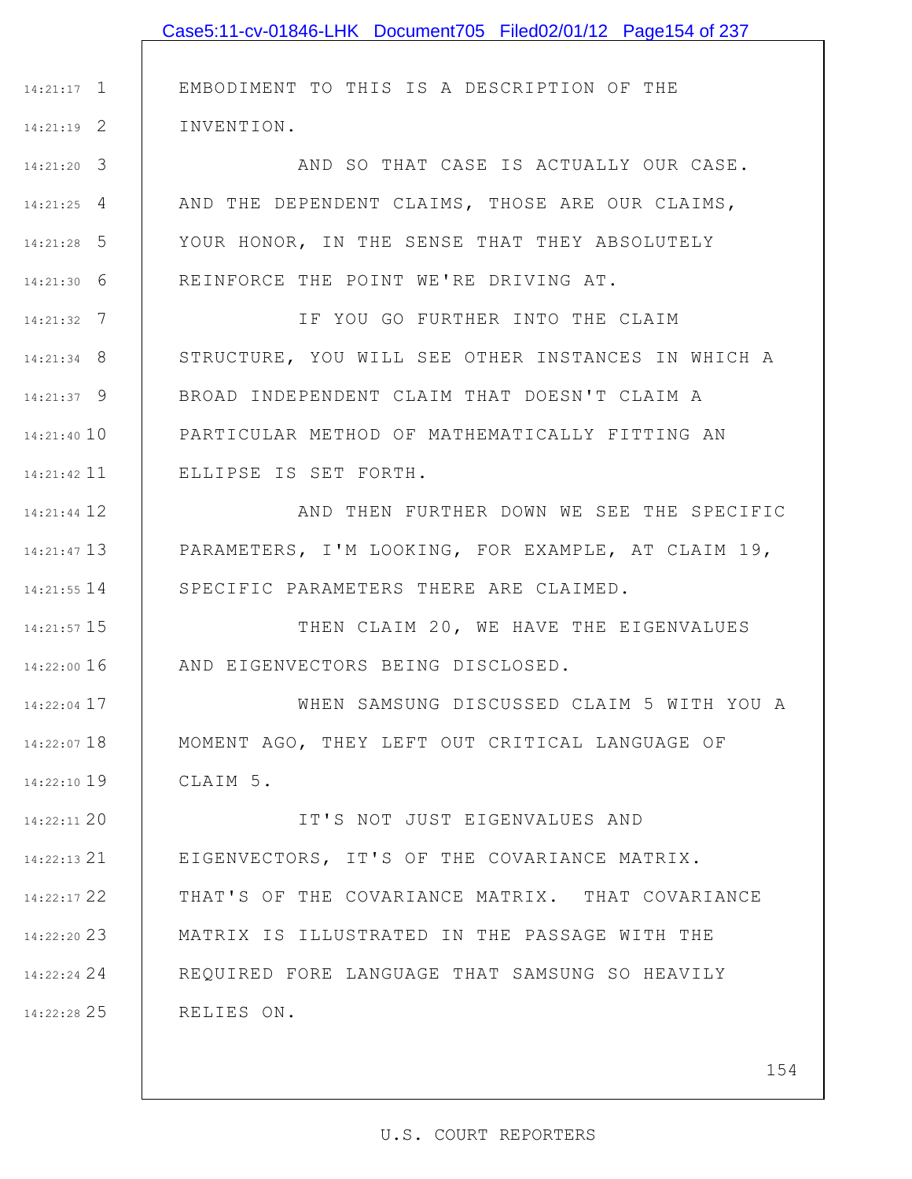|               | Case5:11-cv-01846-LHK Document705 Filed02/01/12 Page154 of 237 |
|---------------|----------------------------------------------------------------|
|               |                                                                |
| $14:21:17$ 1  | EMBODIMENT TO THIS IS A DESCRIPTION OF THE                     |
| $14:21:19$ 2  | INVENTION.                                                     |
| $14:21:20$ 3  | AND SO THAT CASE IS ACTUALLY OUR CASE.                         |
| $14:21:25$ 4  | AND THE DEPENDENT CLAIMS, THOSE ARE OUR CLAIMS,                |
| $14:21:28$ 5  | YOUR HONOR, IN THE SENSE THAT THEY ABSOLUTELY                  |
| $14:21:30$ 6  | REINFORCE THE POINT WE'RE DRIVING AT.                          |
| $14:21:32$ 7  | IF YOU GO FURTHER INTO THE CLAIM                               |
| $14:21:34$ 8  | STRUCTURE, YOU WILL SEE OTHER INSTANCES IN WHICH A             |
| $14:21:37$ 9  | BROAD INDEPENDENT CLAIM THAT DOESN'T CLAIM A                   |
| $14:21:40$ 10 | PARTICULAR METHOD OF MATHEMATICALLY FITTING AN                 |
| 14:21:42 11   | ELLIPSE IS SET FORTH.                                          |
| 14:21:44 12   | AND THEN FURTHER DOWN WE SEE THE SPECIFIC                      |
| $14:21:47$ 13 | PARAMETERS, I'M LOOKING, FOR EXAMPLE, AT CLAIM 19,             |
| 14:21:55 14   | SPECIFIC PARAMETERS THERE ARE CLAIMED.                         |
| 14:21:57 15   | THEN CLAIM 20, WE HAVE THE EIGENVALUES                         |
| $14:22:00$ 16 | AND EIGENVECTORS BEING DISCLOSED.                              |
| $14:22:04$ 17 | WHEN SAMSUNG DISCUSSED CLAIM 5 WITH YOU A                      |
| 14:22:07 18   | MOMENT AGO, THEY LEFT OUT CRITICAL LANGUAGE OF                 |
| 14:22:10 19   | CLAIM 5.                                                       |
| 14:22:11 20   | IT'S NOT JUST EIGENVALUES AND                                  |
| 14:22:13 21   | EIGENVECTORS, IT'S OF THE COVARIANCE MATRIX.                   |
| 14:22:17 22   | THAT'S OF THE COVARIANCE MATRIX. THAT COVARIANCE               |
| 14:22:20 23   | MATRIX IS ILLUSTRATED IN THE PASSAGE WITH THE                  |
| 14:22:24 24   | REQUIRED FORE LANGUAGE THAT SAMSUNG SO HEAVILY                 |
| 14:22:28 25   | RELIES ON.                                                     |
|               |                                                                |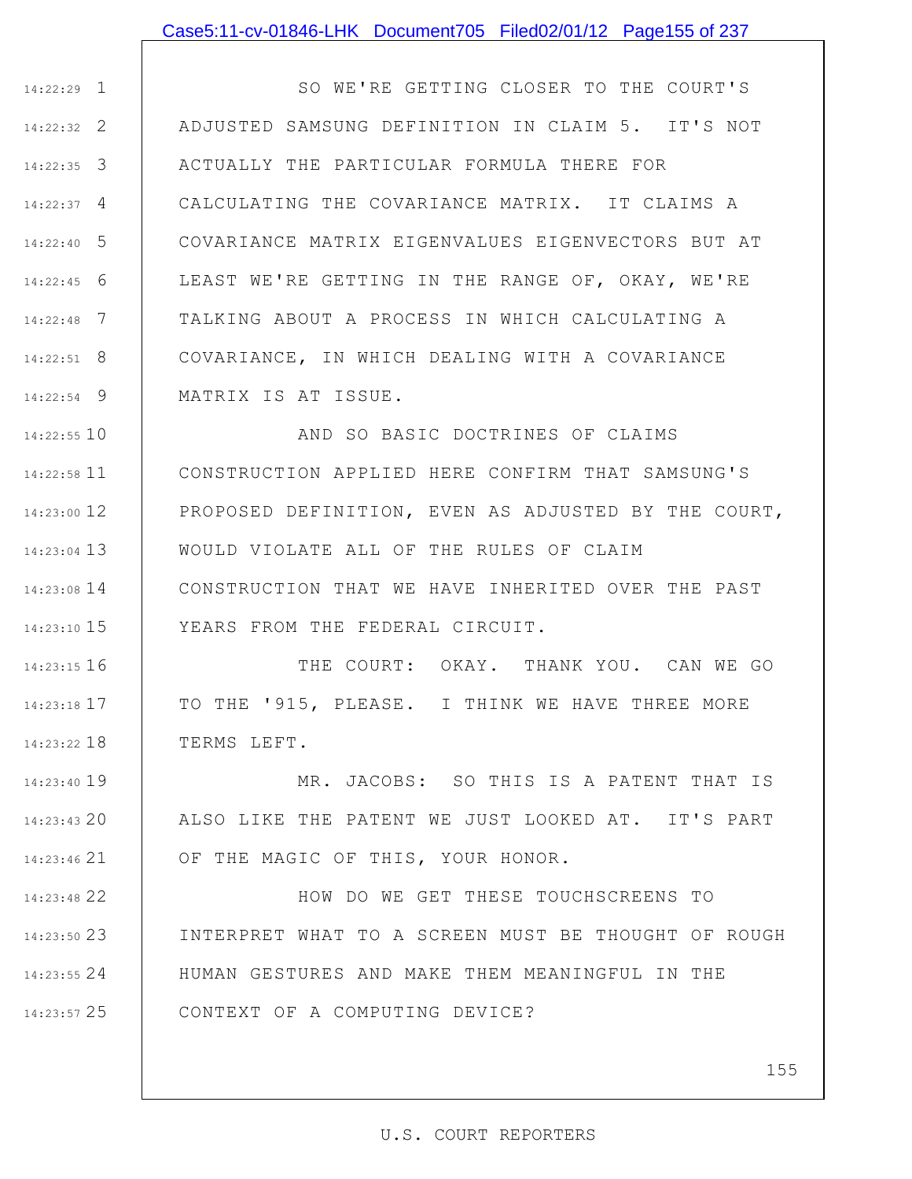#### Case5:11-cv-01846-LHK Document705 Filed02/01/12 Page155 of 237

1 14:22:29 2 14:22:32 3 14:22:35 4 14:22:37 5 14:22:40 6 14:22:45 7 14:22:48 8 14:22:51 9 14:22:54 SO WE'RE GETTING CLOSER TO THE COURT'S ADJUSTED SAMSUNG DEFINITION IN CLAIM 5. IT'S NOT ACTUALLY THE PARTICULAR FORMULA THERE FOR CALCULATING THE COVARIANCE MATRIX. IT CLAIMS A COVARIANCE MATRIX EIGENVALUES EIGENVECTORS BUT AT LEAST WE'RE GETTING IN THE RANGE OF, OKAY, WE'RE TALKING ABOUT A PROCESS IN WHICH CALCULATING A COVARIANCE, IN WHICH DEALING WITH A COVARIANCE MATRIX IS AT ISSUE.

10 14:22:55 11 14:22:58 12 14:23:00 13 14:23:04 14 14:23:08 15 14:23:10 AND SO BASIC DOCTRINES OF CLAIMS CONSTRUCTION APPLIED HERE CONFIRM THAT SAMSUNG'S PROPOSED DEFINITION, EVEN AS ADJUSTED BY THE COURT, WOULD VIOLATE ALL OF THE RULES OF CLAIM CONSTRUCTION THAT WE HAVE INHERITED OVER THE PAST YEARS FROM THE FEDERAL CIRCUIT.

16 14:23:15 17 14:23:18 18 14:23:22 THE COURT: OKAY. THANK YOU. CAN WE GO TO THE '915, PLEASE. I THINK WE HAVE THREE MORE TERMS LEFT.

19 14:23:40 20 14:23:43 21 14:23:46 MR. JACOBS: SO THIS IS A PATENT THAT IS ALSO LIKE THE PATENT WE JUST LOOKED AT. IT'S PART OF THE MAGIC OF THIS, YOUR HONOR.

22 14:23:48 23 14:23:50 24 14:23:55 25 14:23:57 HOW DO WE GET THESE TOUCHSCREENS TO INTERPRET WHAT TO A SCREEN MUST BE THOUGHT OF ROUGH HUMAN GESTURES AND MAKE THEM MEANINGFUL IN THE CONTEXT OF A COMPUTING DEVICE?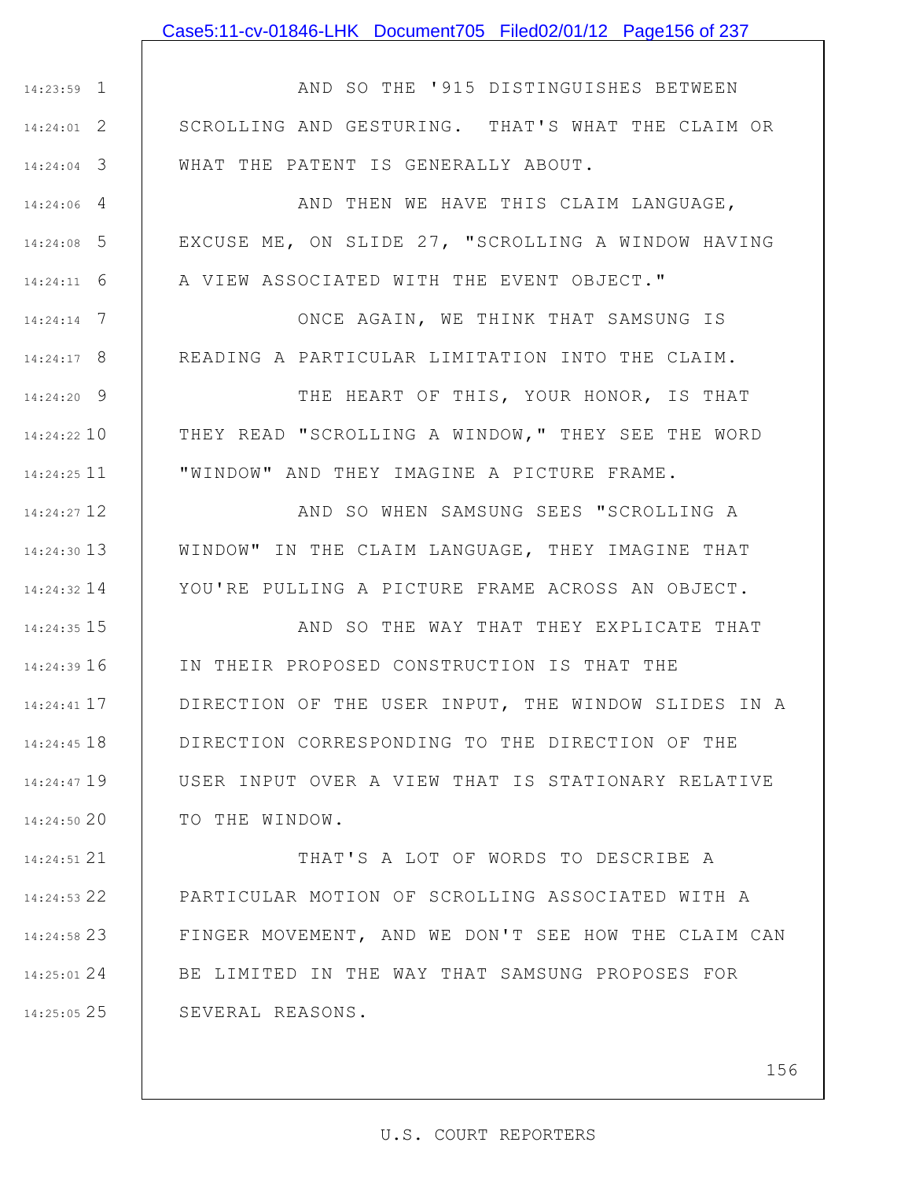### Case5:11-cv-01846-LHK Document705 Filed02/01/12 Page156 of 237

1 14:23:59 2 14:24:01 3 14:24:04 AND SO THE '915 DISTINGUISHES BETWEEN SCROLLING AND GESTURING. THAT'S WHAT THE CLAIM OR WHAT THE PATENT IS GENERALLY ABOUT.

4 14:24:06

5 14:24:08

6 14:24:11

7 14:24:14

8 14:24:17

AND THEN WE HAVE THIS CLAIM LANGUAGE, EXCUSE ME, ON SLIDE 27, "SCROLLING A WINDOW HAVING A VIEW ASSOCIATED WITH THE EVENT OBJECT."

ONCE AGAIN, WE THINK THAT SAMSUNG IS READING A PARTICULAR LIMITATION INTO THE CLAIM.

9 14:24:20 10 14:24:22 11 14:24:25 THE HEART OF THIS, YOUR HONOR, IS THAT THEY READ "SCROLLING A WINDOW," THEY SEE THE WORD "WINDOW" AND THEY IMAGINE A PICTURE FRAME.

12 14:24:27 13 14:24:30 14 14:24:32 AND SO WHEN SAMSUNG SEES "SCROLLING A WINDOW" IN THE CLAIM LANGUAGE, THEY IMAGINE THAT YOU'RE PULLING A PICTURE FRAME ACROSS AN OBJECT.

15 14:24:35 16 14:24:39 17 14:24:41 18 14:24:45 19 14:24:47 20 14:24:50 AND SO THE WAY THAT THEY EXPLICATE THAT IN THEIR PROPOSED CONSTRUCTION IS THAT THE DIRECTION OF THE USER INPUT, THE WINDOW SLIDES IN A DIRECTION CORRESPONDING TO THE DIRECTION OF THE USER INPUT OVER A VIEW THAT IS STATIONARY RELATIVE TO THE WINDOW.

21 14:24:51 22 14:24:53 23 14:24:58 24 14:25:01 25 14:25:05 THAT'S A LOT OF WORDS TO DESCRIBE A PARTICULAR MOTION OF SCROLLING ASSOCIATED WITH A FINGER MOVEMENT, AND WE DON'T SEE HOW THE CLAIM CAN BE LIMITED IN THE WAY THAT SAMSUNG PROPOSES FOR SEVERAL REASONS.

156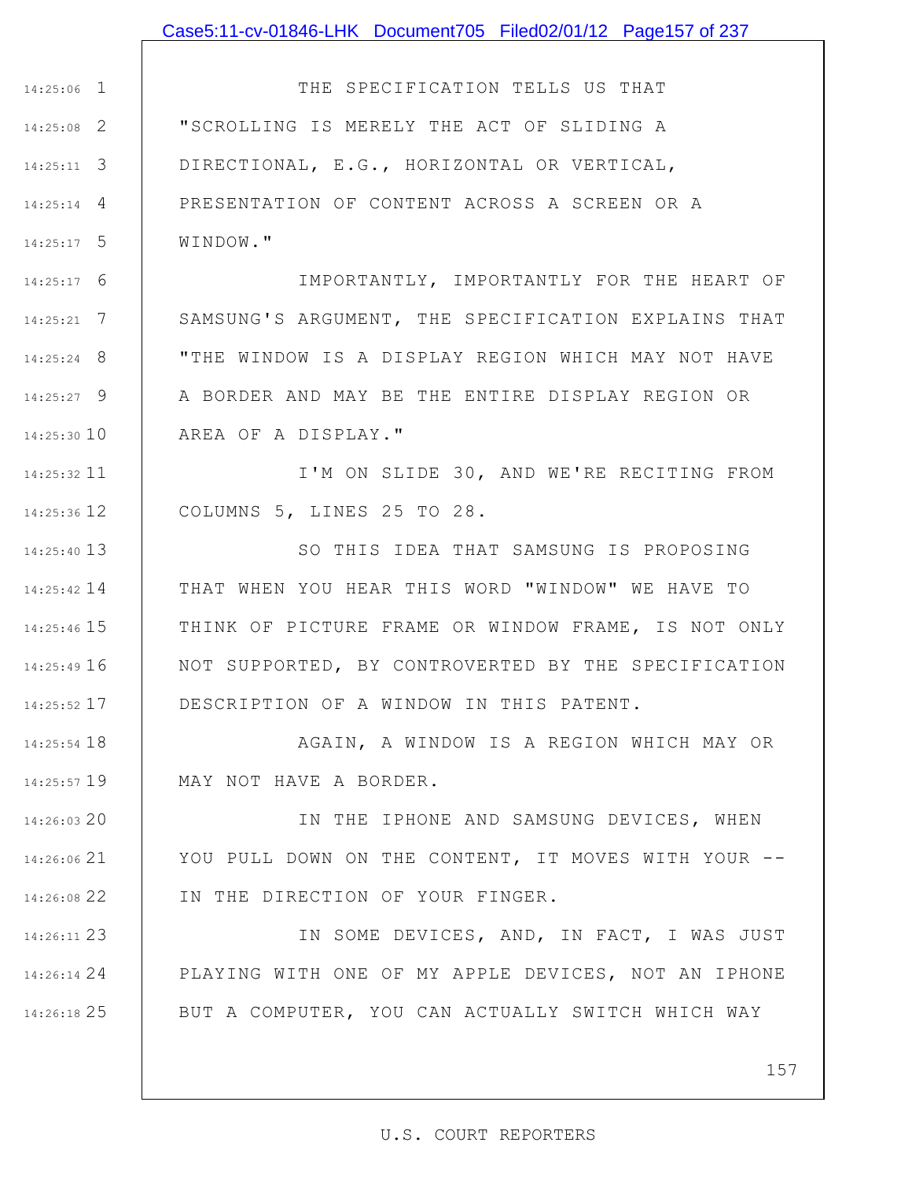### Case5:11-cv-01846-LHK Document705 Filed02/01/12 Page157 of 237

1 14:25:06 2 14:25:08 3 14:25:11 4 14:25:14 5 14:25:17 THE SPECIFICATION TELLS US THAT "SCROLLING IS MERELY THE ACT OF SLIDING A DIRECTIONAL, E.G., HORIZONTAL OR VERTICAL, PRESENTATION OF CONTENT ACROSS A SCREEN OR A WINDOW."

6 14:25:17 7 14:25:21 8 14:25:24 9 14:25:27 14:25:30 10 IMPORTANTLY, IMPORTANTLY FOR THE HEART OF SAMSUNG'S ARGUMENT, THE SPECIFICATION EXPLAINS THAT "THE WINDOW IS A DISPLAY REGION WHICH MAY NOT HAVE A BORDER AND MAY BE THE ENTIRE DISPLAY REGION OR AREA OF A DISPLAY."

11 14:25:32 12 14:25:36 I'M ON SLIDE 30, AND WE'RE RECITING FROM COLUMNS 5, LINES 25 TO 28.

13 14:25:40 14 14:25:42 15 14:25:46 16 14:25:49 17 14:25:52 SO THIS IDEA THAT SAMSUNG IS PROPOSING THAT WHEN YOU HEAR THIS WORD "WINDOW" WE HAVE TO THINK OF PICTURE FRAME OR WINDOW FRAME, IS NOT ONLY NOT SUPPORTED, BY CONTROVERTED BY THE SPECIFICATION DESCRIPTION OF A WINDOW IN THIS PATENT.

18 14:25:54 19 14:25:57 AGAIN, A WINDOW IS A REGION WHICH MAY OR MAY NOT HAVE A BORDER.

14:26:03 20 21 14:26:06 22 14:26:08 IN THE IPHONE AND SAMSUNG DEVICES, WHEN YOU PULL DOWN ON THE CONTENT, IT MOVES WITH YOUR --IN THE DIRECTION OF YOUR FINGER.

23 14:26:11 24 14:26:14 25 14:26:18 IN SOME DEVICES, AND, IN FACT, I WAS JUST PLAYING WITH ONE OF MY APPLE DEVICES, NOT AN IPHONE BUT A COMPUTER, YOU CAN ACTUALLY SWITCH WHICH WAY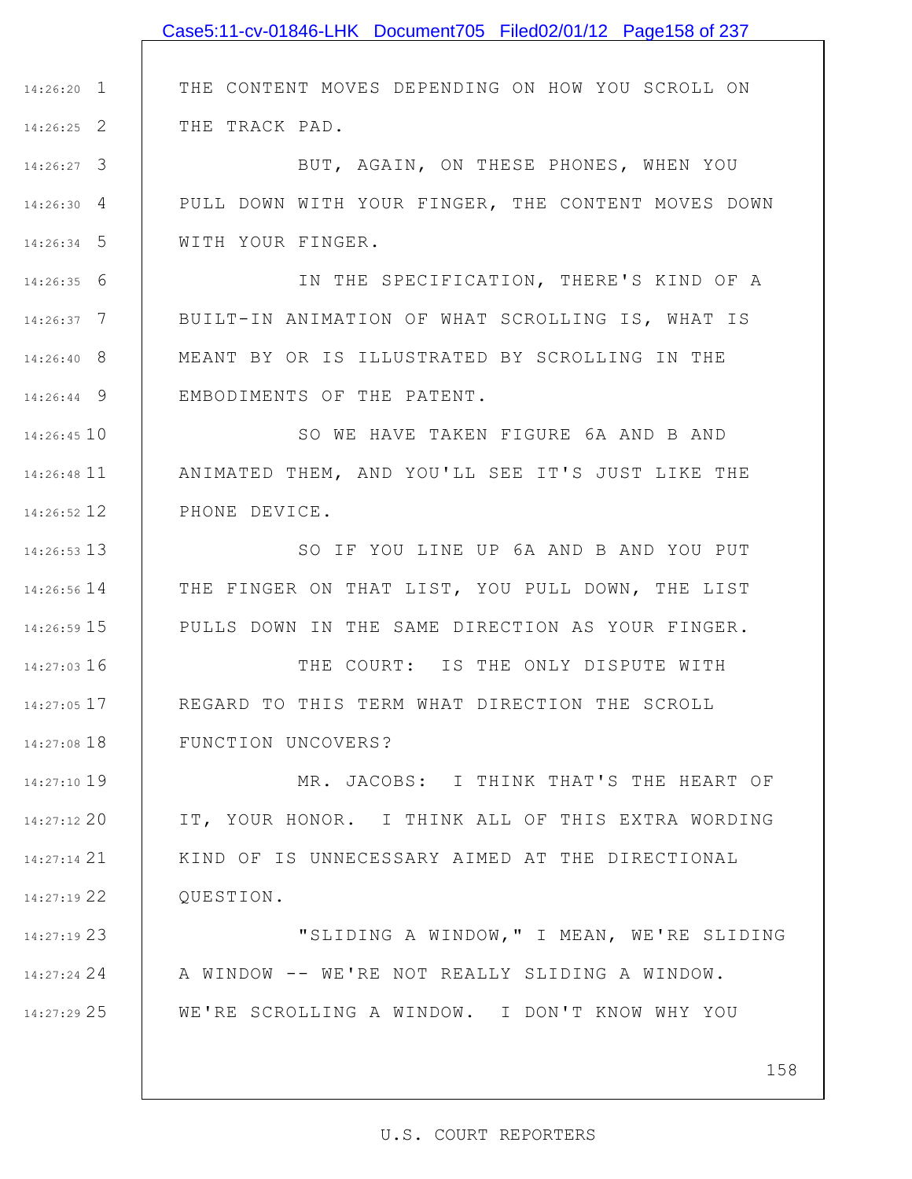|               | Case5:11-cv-01846-LHK Document705 Filed02/01/12 Page158 of 237 |
|---------------|----------------------------------------------------------------|
|               |                                                                |
| $14:26:20$ 1  | THE CONTENT MOVES DEPENDING ON HOW YOU SCROLL ON               |
| $14:26:25$ 2  | THE TRACK PAD.                                                 |
| $14:26:27$ 3  | BUT, AGAIN, ON THESE PHONES, WHEN YOU                          |
| 14:26:30 4    | PULL DOWN WITH YOUR FINGER, THE CONTENT MOVES DOWN             |
| $14:26:34$ 5  | WITH YOUR FINGER.                                              |
| $14:26:35$ 6  | IN THE SPECIFICATION, THERE'S KIND OF A                        |
| $14:26:37$ 7  | BUILT-IN ANIMATION OF WHAT SCROLLING IS, WHAT IS               |
| $14:26:40$ 8  | MEANT BY OR IS ILLUSTRATED BY SCROLLING IN THE                 |
| $14:26:44$ 9  | EMBODIMENTS OF THE PATENT.                                     |
| $14:26:45$ 10 | SO WE HAVE TAKEN FIGURE 6A AND B AND                           |
| 14:26:48 11   | ANIMATED THEM, AND YOU'LL SEE IT'S JUST LIKE THE               |
| 14:26:52 12   | PHONE DEVICE.                                                  |
| 14:26:53 13   | SO IF YOU LINE UP 6A AND B AND YOU PUT                         |
| 14:26:56 14   | THE FINGER ON THAT LIST, YOU PULL DOWN, THE LIST               |
| $14:26:59$ 15 | PULLS DOWN IN THE SAME DIRECTION AS YOUR FINGER.               |
| 14:27:03 16   | THE COURT: IS THE ONLY DISPUTE WITH                            |
| 14:27:05 17   | REGARD TO THIS TERM WHAT DIRECTION THE SCROLL                  |
| 14:27:08 18   | FUNCTION UNCOVERS?                                             |
| 14:27:10 19   | MR. JACOBS: I THINK THAT'S THE HEART OF                        |
| $14:27:12$ 20 | IT, YOUR HONOR. I THINK ALL OF THIS EXTRA WORDING              |
| 14:27:14 21   | KIND OF IS UNNECESSARY AIMED AT THE DIRECTIONAL                |
| 14:27:19 22   | QUESTION.                                                      |
| 14:27:19 23   | "SLIDING A WINDOW, " I MEAN, WE'RE SLIDING                     |
| 14:27:24 24   | A WINDOW -- WE'RE NOT REALLY SLIDING A WINDOW.                 |

WE'RE SCROLLING A WINDOW. I DON'T KNOW WHY YOU

25 14:27:29

158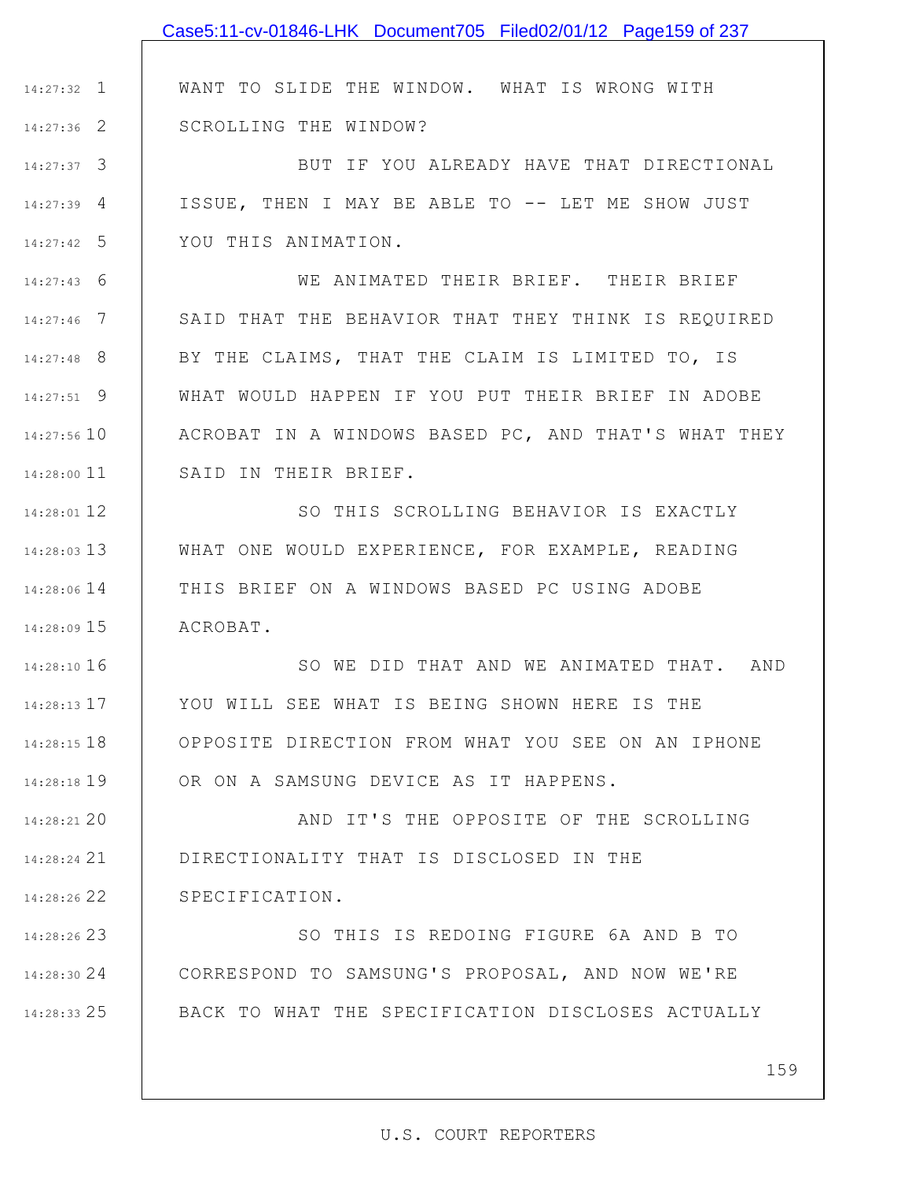|               | Case5:11-cv-01846-LHK Document705 Filed02/01/12 Page159 of 237 |
|---------------|----------------------------------------------------------------|
|               |                                                                |
| $14:27:32$ 1  | WANT TO SLIDE THE WINDOW. WHAT IS WRONG WITH                   |
| 14:27:36 2    | SCROLLING THE WINDOW?                                          |
| 14:27:37 3    | BUT IF YOU ALREADY HAVE THAT DIRECTIONAL                       |
| $14:27:39$ 4  | ISSUE, THEN I MAY BE ABLE TO -- LET ME SHOW JUST               |
| $14:27:42$ 5  | YOU THIS ANIMATION.                                            |
| $14:27:43$ 6  | WE ANIMATED THEIR BRIEF. THEIR BRIEF                           |
| $14:27:46$ 7  | SAID THAT THE BEHAVIOR THAT THEY THINK IS REQUIRED             |
| 14:27:48 8    | BY THE CLAIMS, THAT THE CLAIM IS LIMITED TO, IS                |
| $14:27:51$ 9  | WHAT WOULD HAPPEN IF YOU PUT THEIR BRIEF IN ADOBE              |
| 14:27:56 10   | ACROBAT IN A WINDOWS BASED PC, AND THAT'S WHAT THEY            |
| 14:28:00 11   | SAID IN THEIR BRIEF.                                           |
| 14:28:01 12   | SO THIS SCROLLING BEHAVIOR IS EXACTLY                          |
| 14:28:03 13   | WHAT ONE WOULD EXPERIENCE, FOR EXAMPLE, READING                |
| 14:28:06 14   | THIS BRIEF ON A WINDOWS BASED PC USING ADOBE                   |
| 14:28:09 15   | ACROBAT.                                                       |
| 14:28:10 16   | SO WE DID THAT AND WE ANIMATED THAT. AND                       |
| 14:28:13 17   | YOU WILL SEE WHAT IS BEING SHOWN HERE IS THE                   |
| $14:28:15$ 18 | OPPOSITE DIRECTION FROM WHAT YOU SEE ON AN IPHONE              |
| 14:28:18 19   | OR ON A SAMSUNG DEVICE AS IT HAPPENS.                          |
| 14:28:21 20   | AND IT'S THE OPPOSITE OF THE SCROLLING                         |
| 14:28:24 21   | DIRECTIONALITY THAT IS DISCLOSED IN THE                        |
| 14:28:26 22   | SPECIFICATION.                                                 |
| 14:28:26 23   | SO THIS IS REDOING FIGURE 6A AND B TO                          |
| 14:28:30 24   | CORRESPOND TO SAMSUNG'S PROPOSAL, AND NOW WE'RE                |
| 14:28:33 25   | BACK TO WHAT THE SPECIFICATION DISCLOSES ACTUALLY              |
|               |                                                                |
|               | 159                                                            |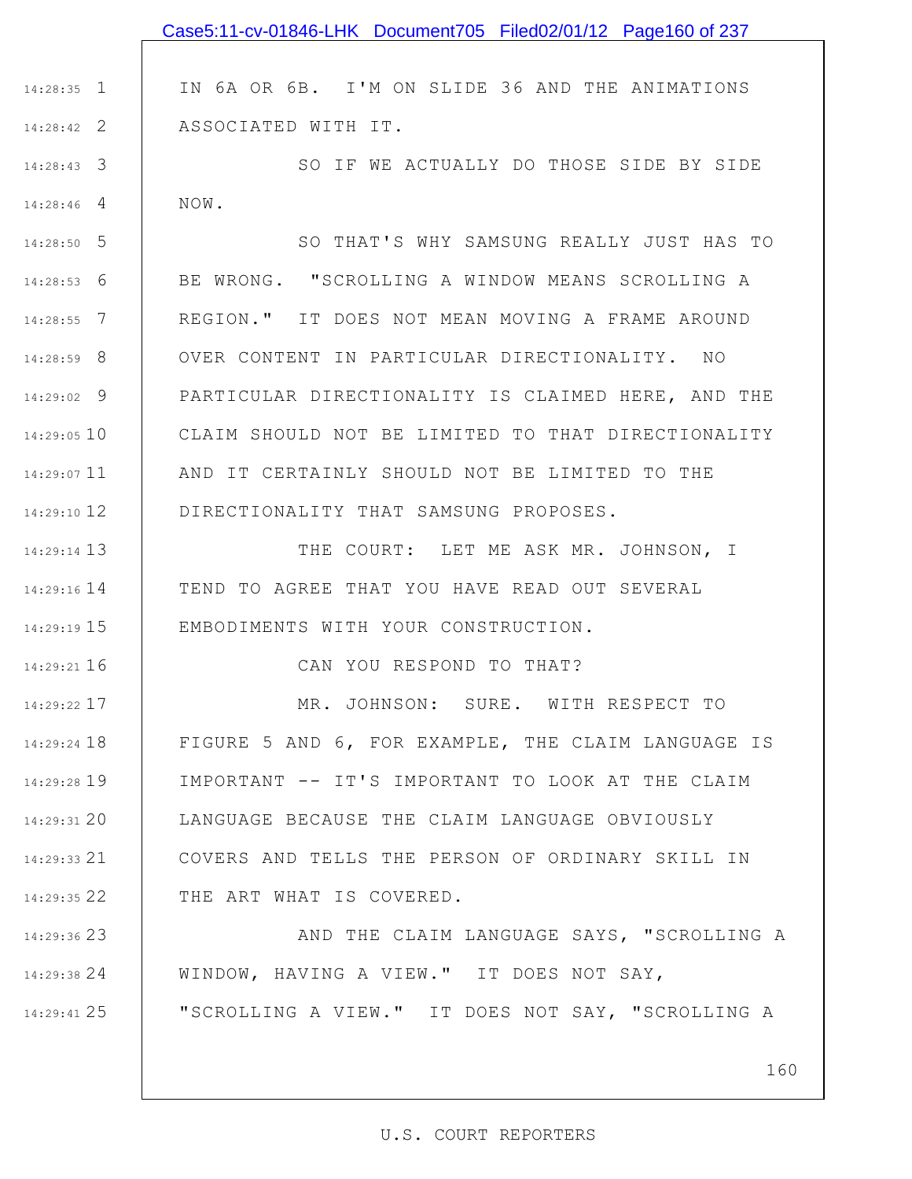1 14:28:35 2 14:28:42 3 14:28:43 4 14:28:46 5 14:28:50 6 14:28:53 7 14:28:55 8 14:28:59 9 14:29:02 14:29:05 10 11 14:29:07 12 14:29:10 13 14:29:14 14 14:29:16 15 14:29:19 16 14:29:21 17 14:29:22 18 14:29:24 19 14:29:28 20 14:29:31 21 14:29:33 22 14:29:35 23 14:29:36 24 14:29:38 25 14:29:41 IN 6A OR 6B. I'M ON SLIDE 36 AND THE ANIMATIONS ASSOCIATED WITH IT. SO IF WE ACTUALLY DO THOSE SIDE BY SIDE NOW. SO THAT'S WHY SAMSUNG REALLY JUST HAS TO BE WRONG. "SCROLLING A WINDOW MEANS SCROLLING A REGION." IT DOES NOT MEAN MOVING A FRAME AROUND OVER CONTENT IN PARTICULAR DIRECTIONALITY. NO PARTICULAR DIRECTIONALITY IS CLAIMED HERE, AND THE CLAIM SHOULD NOT BE LIMITED TO THAT DIRECTIONALITY AND IT CERTAINLY SHOULD NOT BE LIMITED TO THE DIRECTIONALITY THAT SAMSUNG PROPOSES. THE COURT: LET ME ASK MR. JOHNSON, I TEND TO AGREE THAT YOU HAVE READ OUT SEVERAL EMBODIMENTS WITH YOUR CONSTRUCTION. CAN YOU RESPOND TO THAT? MR. JOHNSON: SURE. WITH RESPECT TO FIGURE 5 AND 6, FOR EXAMPLE, THE CLAIM LANGUAGE IS IMPORTANT -- IT'S IMPORTANT TO LOOK AT THE CLAIM LANGUAGE BECAUSE THE CLAIM LANGUAGE OBVIOUSLY COVERS AND TELLS THE PERSON OF ORDINARY SKILL IN THE ART WHAT IS COVERED. AND THE CLAIM LANGUAGE SAYS, "SCROLLING A WINDOW, HAVING A VIEW." IT DOES NOT SAY, "SCROLLING A VIEW." IT DOES NOT SAY, "SCROLLING A Case5:11-cv-01846-LHK Document705 Filed02/01/12 Page160 of 237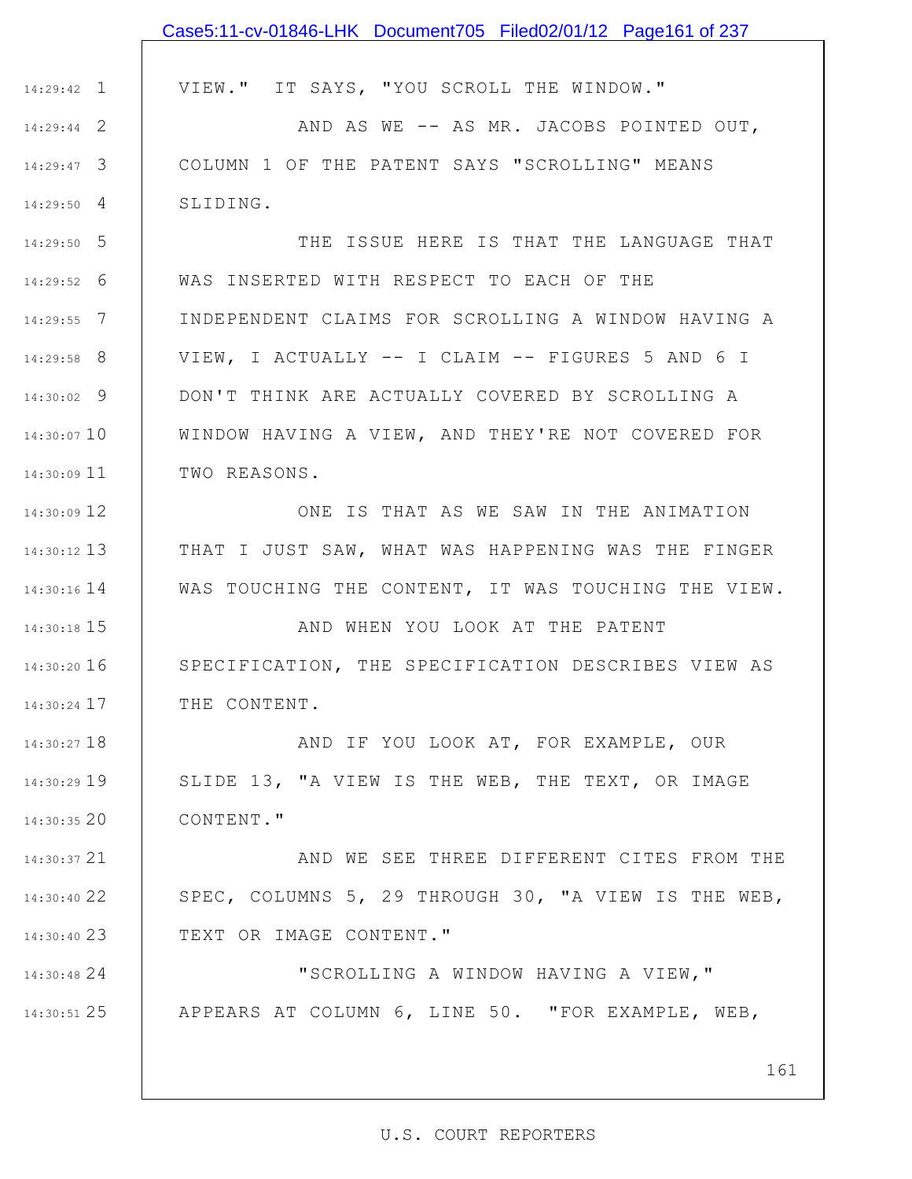|               | Case5:11-cv-01846-LHK Document705 Filed02/01/12 Page161 of 237   |
|---------------|------------------------------------------------------------------|
|               |                                                                  |
| $14:29:42$ 1  | VIEW." IT SAYS, "YOU SCROLL THE WINDOW."                         |
| $14:29:44$ 2  | AND AS WE -- AS MR. JACOBS POINTED OUT,                          |
| $14:29:47$ 3  | COLUMN 1 OF THE PATENT SAYS "SCROLLING" MEANS                    |
| $14:29:50$ 4  | SLIDING.                                                         |
| $14:29:50$ 5  | THE ISSUE HERE IS THAT THE LANGUAGE THAT                         |
| $14:29:52$ 6  | WAS INSERTED WITH RESPECT TO EACH OF THE                         |
| $14:29:55$ 7  | INDEPENDENT CLAIMS FOR SCROLLING A WINDOW HAVING A               |
| $14:29:58$ 8  | VIEW, I ACTUALLY -- I CLAIM -- FIGURES 5 AND 6 I                 |
| $14:30:02$ 9  | DON'T THINK ARE ACTUALLY COVERED BY SCROLLING A                  |
| 14:30:07 10   | WINDOW HAVING A VIEW, AND THEY'RE NOT COVERED FOR                |
| 14:30:09 11   | TWO REASONS.                                                     |
| 14:30:09 12   | ONE IS THAT AS WE SAW IN THE ANIMATION                           |
| $14:30:12$ 13 | THAT I JUST SAW, WHAT WAS HAPPENING WAS THE FINGER               |
| $14:30:16$ 14 | WAS TOUCHING THE CONTENT, IT WAS TOUCHING THE VIEW.              |
| 14:30:18 15   | AND WHEN YOU LOOK AT THE PATENT                                  |
|               | 14:30:20 16   SPECIFICATION, THE SPECIFICATION DESCRIBES VIEW AS |
| 14:30:24 17   | THE CONTENT.                                                     |
| 14:30:27 18   | AND IF YOU LOOK AT, FOR EXAMPLE, OUR                             |
| $14:30:29$ 19 | SLIDE 13, "A VIEW IS THE WEB, THE TEXT, OR IMAGE                 |
| $14:30:35$ 20 | CONTENT."                                                        |
| 14:30:37 21   | AND WE SEE THREE DIFFERENT CITES FROM THE                        |
| 14:30:40 22   | SPEC, COLUMNS 5, 29 THROUGH 30, "A VIEW IS THE WEB,              |
| 14:30:40 23   | TEXT OR IMAGE CONTENT."                                          |
| 14:30:48 24   | "SCROLLING A WINDOW HAVING A VIEW, "                             |
| 14:30:51 25   | APPEARS AT COLUMN 6, LINE 50. "FOR EXAMPLE, WEB,                 |
|               |                                                                  |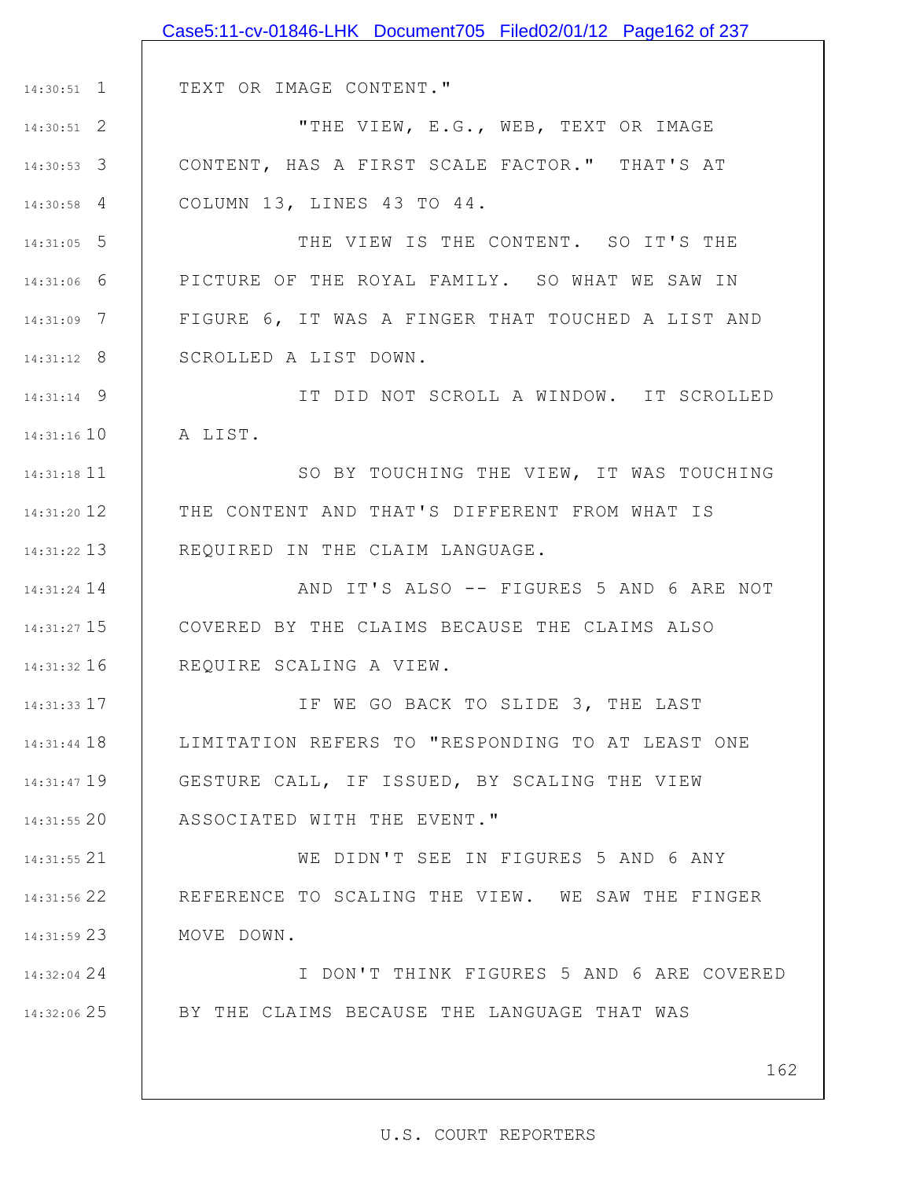|                 | Case5:11-cv-01846-LHK Document705 Filed02/01/12 Page162 of 237 |
|-----------------|----------------------------------------------------------------|
|                 |                                                                |
| $14:30:51$ 1    | TEXT OR IMAGE CONTENT."                                        |
| $14:30:51$ 2    | "THE VIEW, E.G., WEB, TEXT OR IMAGE                            |
| $14:30:53$ 3    | CONTENT, HAS A FIRST SCALE FACTOR." THAT'S AT                  |
| $14:30:58$ 4    | COLUMN 13, LINES 43 TO 44.                                     |
| $14:31:05$ 5    | THE VIEW IS THE CONTENT. SO IT'S THE                           |
| $14:31:06$ 6    | PICTURE OF THE ROYAL FAMILY. SO WHAT WE SAW IN                 |
| $14:31:09$ 7    | FIGURE 6, IT WAS A FINGER THAT TOUCHED A LIST AND              |
| $14:31:12$ 8    | SCROLLED A LIST DOWN.                                          |
| $14:31:14$ 9    | IT DID NOT SCROLL A WINDOW. IT SCROLLED                        |
| $14:31:16$ $10$ | A LIST.                                                        |
| 14:31:18 11     | SO BY TOUCHING THE VIEW, IT WAS TOUCHING                       |
| $14:31:20$ 12   | THE CONTENT AND THAT'S DIFFERENT FROM WHAT IS                  |
| $14:31:22$ 13   | REQUIRED IN THE CLAIM LANGUAGE.                                |
| $14:31:24$ 14   | AND IT'S ALSO -- FIGURES 5 AND 6 ARE NOT                       |
| 14:31:27 15     | COVERED BY THE CLAIMS BECAUSE THE CLAIMS ALSO                  |
| $14:31:32$ 16   | REQUIRE SCALING A VIEW.                                        |
| $14:31:33$ 17   | IF WE GO BACK TO SLIDE 3, THE LAST                             |
| $14:31:44$ 18   | LIMITATION REFERS TO "RESPONDING TO AT LEAST ONE               |
| 14:31:47 19     | GESTURE CALL, IF ISSUED, BY SCALING THE VIEW                   |
| $14:31:55$ 20   | ASSOCIATED WITH THE EVENT."                                    |
| 14:31:55 21     | WE DIDN'T SEE IN FIGURES 5 AND 6 ANY                           |
| 14:31:56 22     | REFERENCE TO SCALING THE VIEW. WE SAW THE FINGER               |
| 14:31:59 23     | MOVE DOWN.                                                     |
| 14:32:04 24     | I DON'T THINK FIGURES 5 AND 6 ARE COVERED                      |
| 14:32:06 25     | BY THE CLAIMS BECAUSE THE LANGUAGE THAT WAS                    |
|                 |                                                                |
|                 | 162                                                            |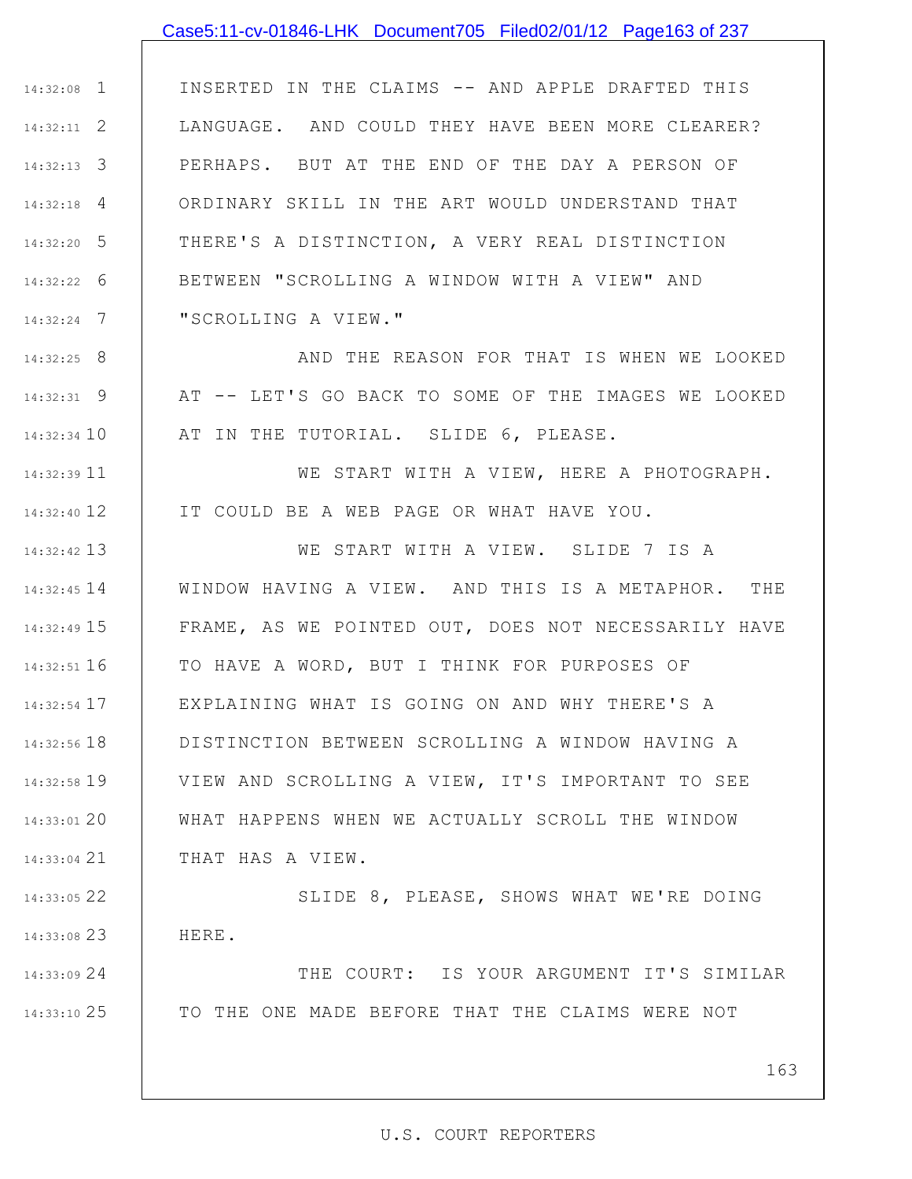### Case5:11-cv-01846-LHK Document705 Filed02/01/12 Page163 of 237

1 14:32:08 2 14:32:11 3 14:32:13 4 14:32:18 5 14:32:20 6 14:32:22 7 14:32:24 INSERTED IN THE CLAIMS -- AND APPLE DRAFTED THIS LANGUAGE. AND COULD THEY HAVE BEEN MORE CLEARER? PERHAPS. BUT AT THE END OF THE DAY A PERSON OF ORDINARY SKILL IN THE ART WOULD UNDERSTAND THAT THERE'S A DISTINCTION, A VERY REAL DISTINCTION BETWEEN "SCROLLING A WINDOW WITH A VIEW" AND "SCROLLING A VIEW."

8 14:32:25 9 14:32:31 14:32:34 10 AND THE REASON FOR THAT IS WHEN WE LOOKED AT -- LET'S GO BACK TO SOME OF THE IMAGES WE LOOKED AT IN THE TUTORIAL. SLIDE 6, PLEASE.

11 14:32:39 12 14:32:40 WE START WITH A VIEW, HERE A PHOTOGRAPH. IT COULD BE A WEB PAGE OR WHAT HAVE YOU.

13 14:32:42 14 14:32:45 15 14:32:49 16 14:32:51 17 14:32:54 18 14:32:56 19 14:32:58 20 14:33:01 21 14:33:04 WE START WITH A VIEW. SLIDE 7 IS A WINDOW HAVING A VIEW. AND THIS IS A METAPHOR. THE FRAME, AS WE POINTED OUT, DOES NOT NECESSARILY HAVE TO HAVE A WORD, BUT I THINK FOR PURPOSES OF EXPLAINING WHAT IS GOING ON AND WHY THERE'S A DISTINCTION BETWEEN SCROLLING A WINDOW HAVING A VIEW AND SCROLLING A VIEW, IT'S IMPORTANT TO SEE WHAT HAPPENS WHEN WE ACTUALLY SCROLL THE WINDOW THAT HAS A VIEW.

22 14:33:05 23 14:33:08 SLIDE 8, PLEASE, SHOWS WHAT WE'RE DOING HERE.

24 14:33:09 25 14:33:10 THE COURT: IS YOUR ARGUMENT IT'S SIMILAR TO THE ONE MADE BEFORE THAT THE CLAIMS WERE NOT

163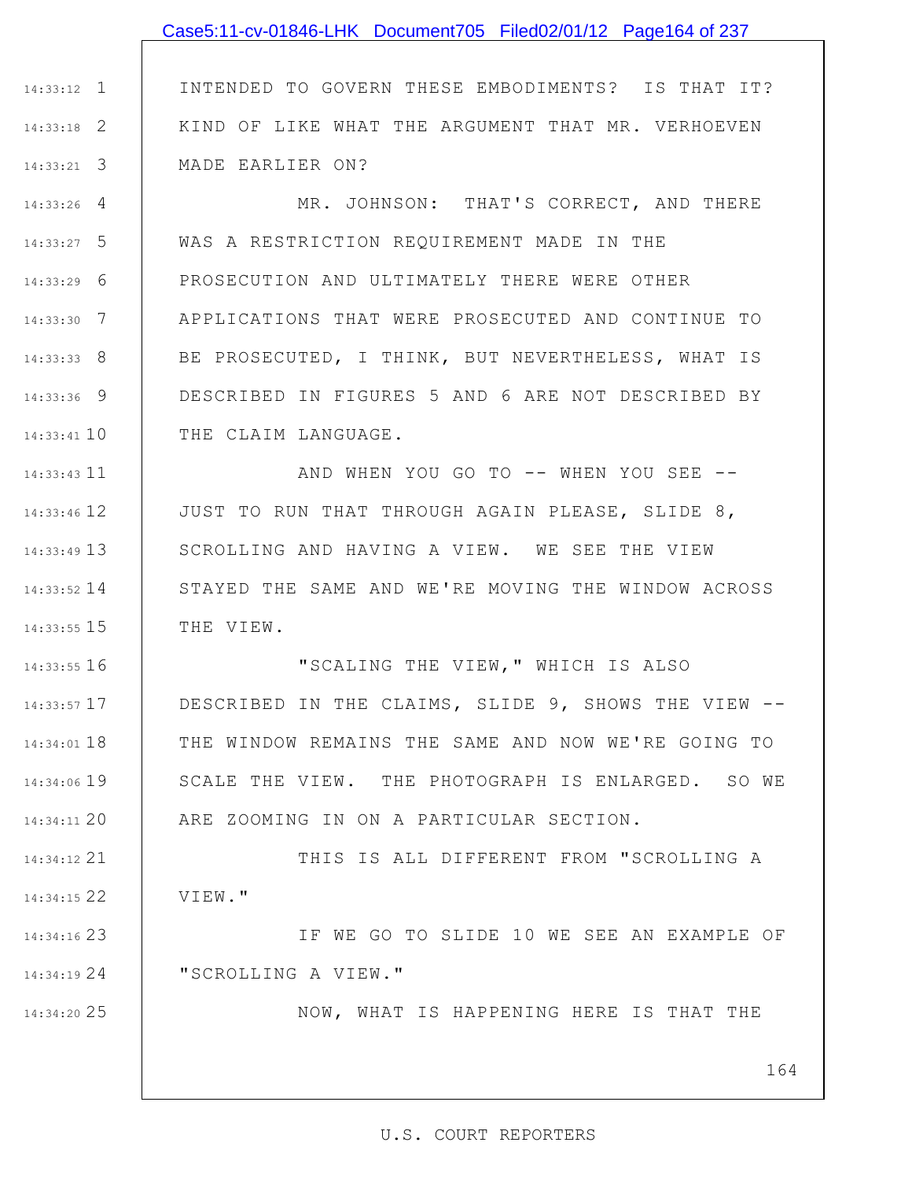## Case5:11-cv-01846-LHK Document705 Filed02/01/12 Page164 of 237

1 14:33:12 2 14:33:18 3 14:33:21 INTENDED TO GOVERN THESE EMBODIMENTS? IS THAT IT? KIND OF LIKE WHAT THE ARGUMENT THAT MR. VERHOEVEN MADE EARLIER ON?

4 14:33:26 5 14:33:27 6 14:33:29 7 14:33:30 8 14:33:33 9 14:33:36 14:33:41 10 MR. JOHNSON: THAT'S CORRECT, AND THERE WAS A RESTRICTION REQUIREMENT MADE IN THE PROSECUTION AND ULTIMATELY THERE WERE OTHER APPLICATIONS THAT WERE PROSECUTED AND CONTINUE TO BE PROSECUTED, I THINK, BUT NEVERTHELESS, WHAT IS DESCRIBED IN FIGURES 5 AND 6 ARE NOT DESCRIBED BY THE CLAIM LANGUAGE.

11 14:33:43 12 14:33:46 13 14:33:49 14 14:33:52 15 14:33:55 AND WHEN YOU GO TO -- WHEN YOU SEE -- JUST TO RUN THAT THROUGH AGAIN PLEASE, SLIDE 8, SCROLLING AND HAVING A VIEW. WE SEE THE VIEW STAYED THE SAME AND WE'RE MOVING THE WINDOW ACROSS THE VIEW.

16 14:33:55 17 14:33:57 18 14:34:01 19 14:34:06 20 14:34:11 "SCALING THE VIEW," WHICH IS ALSO DESCRIBED IN THE CLAIMS, SLIDE 9, SHOWS THE VIEW -- THE WINDOW REMAINS THE SAME AND NOW WE'RE GOING TO SCALE THE VIEW. THE PHOTOGRAPH IS ENLARGED. SO WE ARE ZOOMING IN ON A PARTICULAR SECTION.

21 14:34:12 22 14:34:15 THIS IS ALL DIFFERENT FROM "SCROLLING A VIEW."

23 14:34:16 24 14:34:19 IF WE GO TO SLIDE 10 WE SEE AN EXAMPLE OF "SCROLLING A VIEW."

25 14:34:20

NOW, WHAT IS HAPPENING HERE IS THAT THE

164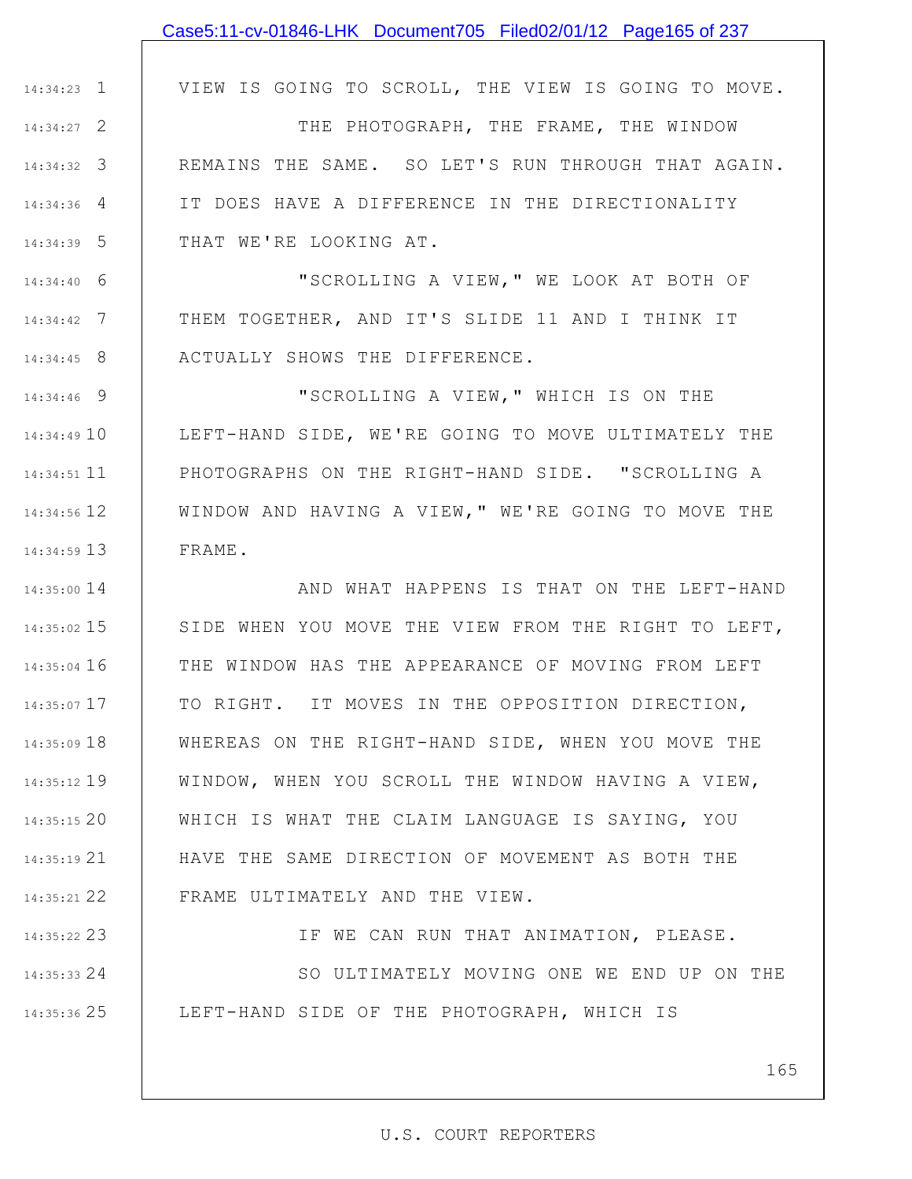|               | Case5:11-cv-01846-LHK Document705 Filed02/01/12 Page165 of 237 |
|---------------|----------------------------------------------------------------|
|               |                                                                |
| $14:34:23$ 1  | VIEW IS GOING TO SCROLL, THE VIEW IS GOING TO MOVE.            |
| $14:34:27$ 2  | THE PHOTOGRAPH, THE FRAME, THE WINDOW                          |
| $14:34:32$ 3  | REMAINS THE SAME. SO LET'S RUN THROUGH THAT AGAIN.             |
| $14:34:36$ 4  | IT DOES HAVE A DIFFERENCE IN THE DIRECTIONALITY                |
| $14:34:39$ 5  | THAT WE'RE LOOKING AT.                                         |
| $14:34:40$ 6  | "SCROLLING A VIEW, " WE LOOK AT BOTH OF                        |
| $14:34:42$ 7  | THEM TOGETHER, AND IT'S SLIDE 11 AND I THINK IT                |
| $14:34:45$ 8  | ACTUALLY SHOWS THE DIFFERENCE.                                 |
| 14:34:46 9    | "SCROLLING A VIEW, " WHICH IS ON THE                           |
| 14:34:49 10   | LEFT-HAND SIDE, WE'RE GOING TO MOVE ULTIMATELY THE             |
| 14:34:51 11   | PHOTOGRAPHS ON THE RIGHT-HAND SIDE. "SCROLLING A               |
| 14:34:56 12   | WINDOW AND HAVING A VIEW, " WE'RE GOING TO MOVE THE            |
| 14:34:59 13   | FRAME.                                                         |
| 14:35:00 14   | AND WHAT HAPPENS IS THAT ON THE LEFT-HAND                      |
| $14:35:02$ 15 | SIDE WHEN YOU MOVE THE VIEW FROM THE RIGHT TO LEFT,            |
| $14:35:04$ 16 | THE WINDOW HAS THE APPEARANCE OF MOVING FROM LEFT              |
| 14:35:07 17   | TO RIGHT. IT MOVES IN THE OPPOSITION DIRECTION,                |
| 14:35:09 18   | WHEREAS ON THE RIGHT-HAND SIDE, WHEN YOU MOVE THE              |
| 14:35:12 19   | WINDOW, WHEN YOU SCROLL THE WINDOW HAVING A VIEW,              |
| 14:35:1520    | WHICH IS WHAT THE CLAIM LANGUAGE IS SAYING, YOU                |
| 14:35:19 21   | HAVE THE SAME DIRECTION OF MOVEMENT AS BOTH THE                |
| 14:35:21 22   | FRAME ULTIMATELY AND THE VIEW.                                 |
| 14:35:22 23   | IF WE CAN RUN THAT ANIMATION, PLEASE.                          |
| 14:35:33 24   | SO ULTIMATELY MOVING ONE WE END UP ON THE                      |
| 14:35:36 25   | LEFT-HAND SIDE OF THE PHOTOGRAPH, WHICH IS                     |
|               |                                                                |

165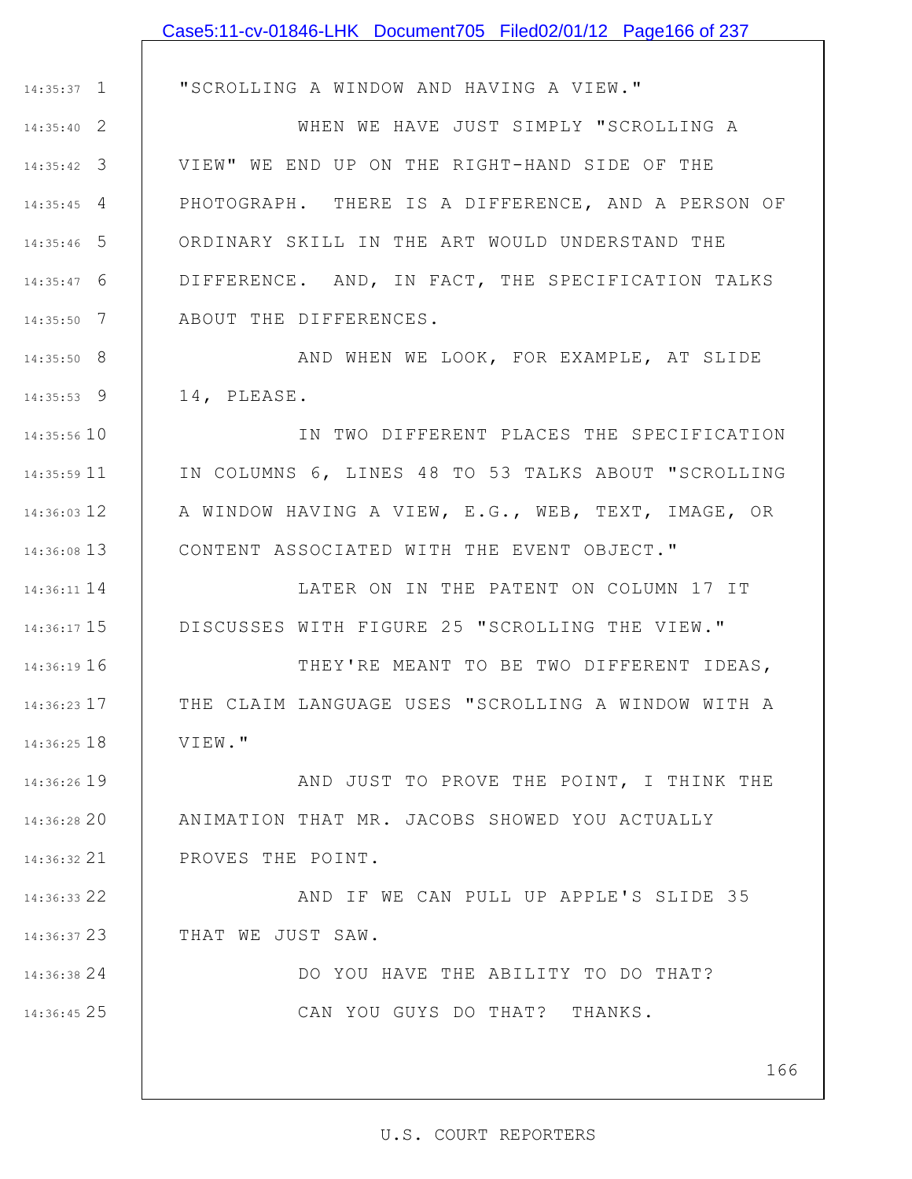# 1 14:35:37 2 14:35:40 3 14:35:42 4 14:35:45 5 14:35:46 6 14:35:47 7 14:35:50 8 14:35:50 9 14:35:53 14:35:56 10 11 14:35:59 14:36:03 12 | A WINDOW HAVING A VIEW, E.G., WEB, TEXT, IMAGE, OR 13 14:36:08 14 14:36:11 15 14:36:17 16 14:36:19 17 14:36:23 18 14:36:25 19 14:36:26 20 14:36:28 21 14:36:32 22 14:36:33 23 14:36:37 24 14:36:38 25 14:36:45 "SCROLLING A WINDOW AND HAVING A VIEW." WHEN WE HAVE JUST SIMPLY "SCROLLING A VIEW" WE END UP ON THE RIGHT-HAND SIDE OF THE PHOTOGRAPH. THERE IS A DIFFERENCE, AND A PERSON OF ORDINARY SKILL IN THE ART WOULD UNDERSTAND THE DIFFERENCE. AND, IN FACT, THE SPECIFICATION TALKS ABOUT THE DIFFERENCES. AND WHEN WE LOOK, FOR EXAMPLE, AT SLIDE 14, PLEASE. IN TWO DIFFERENT PLACES THE SPECIFICATION IN COLUMNS 6, LINES 48 TO 53 TALKS ABOUT "SCROLLING CONTENT ASSOCIATED WITH THE EVENT OBJECT." LATER ON IN THE PATENT ON COLUMN 17 IT DISCUSSES WITH FIGURE 25 "SCROLLING THE VIEW." THEY'RE MEANT TO BE TWO DIFFERENT IDEAS, THE CLAIM LANGUAGE USES "SCROLLING A WINDOW WITH A VIEW." AND JUST TO PROVE THE POINT, I THINK THE ANIMATION THAT MR. JACOBS SHOWED YOU ACTUALLY PROVES THE POINT. AND IF WE CAN PULL UP APPLE'S SLIDE 35 THAT WE JUST SAW. DO YOU HAVE THE ABILITY TO DO THAT? CAN YOU GUYS DO THAT? THANKS. Case5:11-cv-01846-LHK Document705 Filed02/01/12 Page166 of 237

166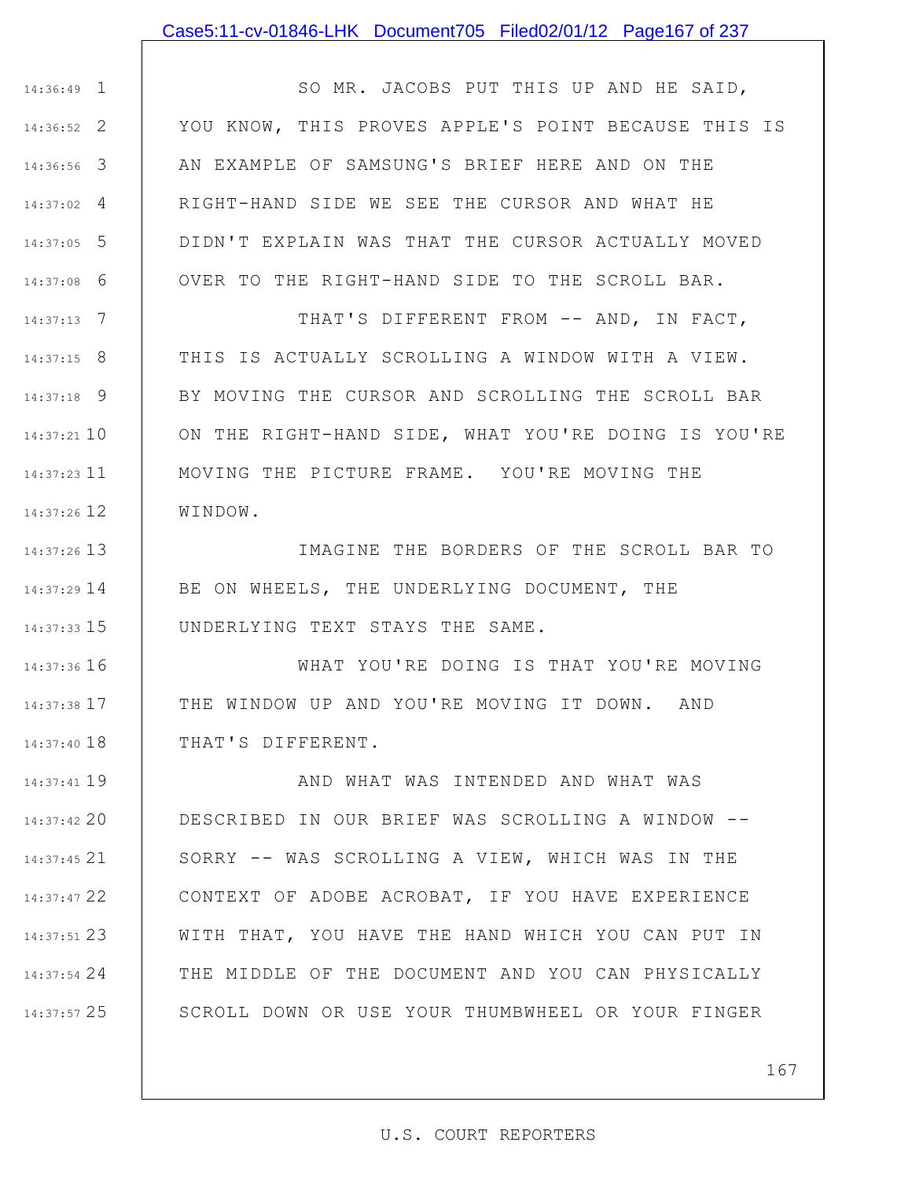### Case5:11-cv-01846-LHK Document705 Filed02/01/12 Page167 of 237

1 14:36:49 2 14:36:52 3 14:36:56 4 14:37:02 5 14:37:05 6 14:37:08 SO MR. JACOBS PUT THIS UP AND HE SAID, YOU KNOW, THIS PROVES APPLE'S POINT BECAUSE THIS IS AN EXAMPLE OF SAMSUNG'S BRIEF HERE AND ON THE RIGHT-HAND SIDE WE SEE THE CURSOR AND WHAT HE DIDN'T EXPLAIN WAS THAT THE CURSOR ACTUALLY MOVED OVER TO THE RIGHT-HAND SIDE TO THE SCROLL BAR.

7 14:37:13 8 14:37:15 9 14:37:18 10 14:37:21 11 14:37:23 12 14:37:26 THAT'S DIFFERENT FROM -- AND, IN FACT, THIS IS ACTUALLY SCROLLING A WINDOW WITH A VIEW. BY MOVING THE CURSOR AND SCROLLING THE SCROLL BAR ON THE RIGHT-HAND SIDE, WHAT YOU'RE DOING IS YOU'RE MOVING THE PICTURE FRAME. YOU'RE MOVING THE WINDOW.

13 14:37:26 14 14:37:29 15 14:37:33 IMAGINE THE BORDERS OF THE SCROLL BAR TO BE ON WHEELS, THE UNDERLYING DOCUMENT, THE UNDERLYING TEXT STAYS THE SAME.

16 14:37:36 17 14:37:38 18 14:37:40 WHAT YOU'RE DOING IS THAT YOU'RE MOVING THE WINDOW UP AND YOU'RE MOVING IT DOWN. AND THAT'S DIFFERENT.

19 14:37:41 20 14:37:42 21 14:37:45 22 14:37:47 23 14:37:51 24 14:37:54 25 14:37:57 AND WHAT WAS INTENDED AND WHAT WAS DESCRIBED IN OUR BRIEF WAS SCROLLING A WINDOW -- SORRY -- WAS SCROLLING A VIEW, WHICH WAS IN THE CONTEXT OF ADOBE ACROBAT, IF YOU HAVE EXPERIENCE WITH THAT, YOU HAVE THE HAND WHICH YOU CAN PUT IN THE MIDDLE OF THE DOCUMENT AND YOU CAN PHYSICALLY SCROLL DOWN OR USE YOUR THUMBWHEEL OR YOUR FINGER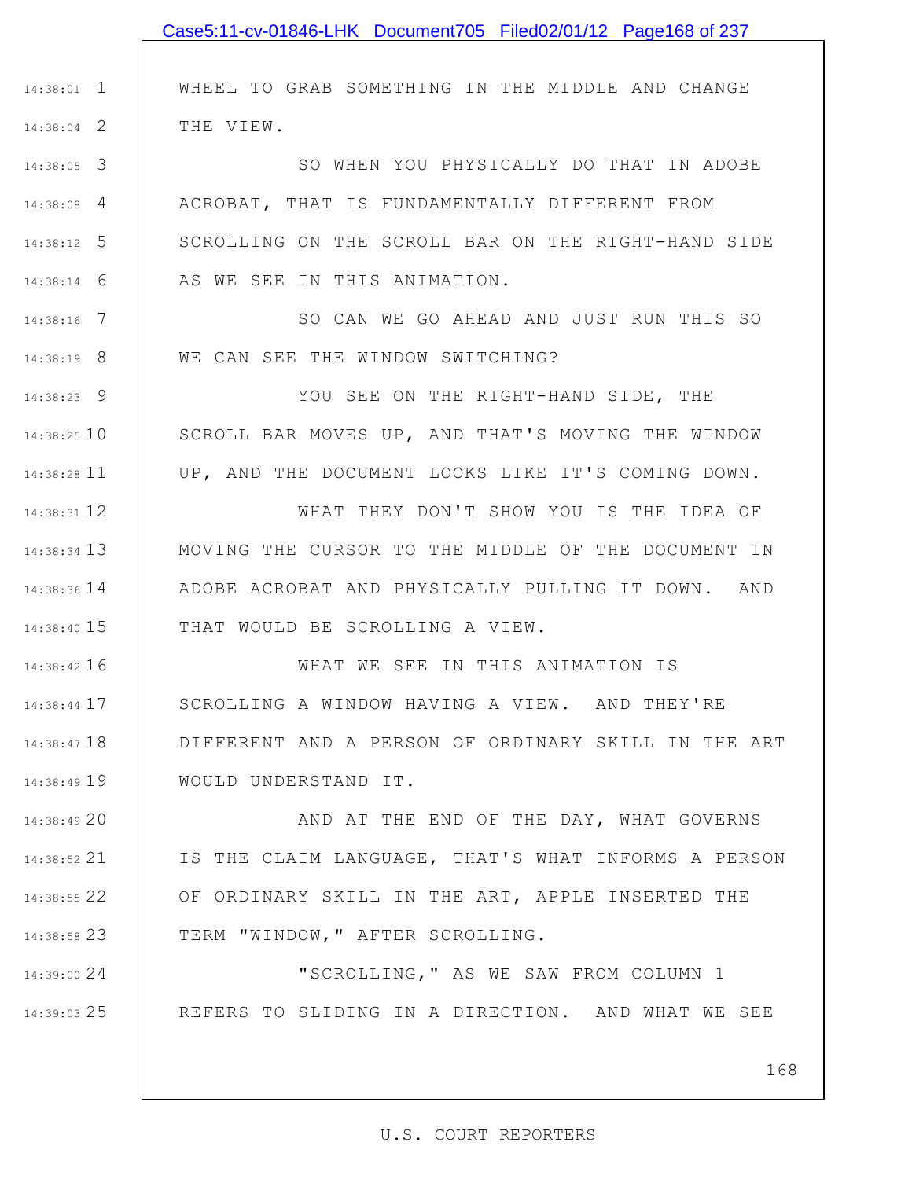|               | Case5:11-cv-01846-LHK Document705 Filed02/01/12 Page168 of 237 |
|---------------|----------------------------------------------------------------|
|               |                                                                |
| $14:38:01$ 1  | WHEEL TO GRAB SOMETHING IN THE MIDDLE AND CHANGE               |
| $14:38:04$ 2  | THE VIEW.                                                      |
| $14:38:05$ 3  | SO WHEN YOU PHYSICALLY DO THAT IN ADOBE                        |
| $14:38:08$ 4  | ACROBAT, THAT IS FUNDAMENTALLY DIFFERENT FROM                  |
| $14:38:12$ 5  | SCROLLING ON THE SCROLL BAR ON THE RIGHT-HAND SIDE             |
| $14:38:14$ 6  | AS WE SEE IN THIS ANIMATION.                                   |
| $14:38:16$ 7  | SO CAN WE GO AHEAD AND JUST RUN THIS SO                        |
| $14:38:19$ 8  | WE CAN SEE THE WINDOW SWITCHING?                               |
| $14:38:23$ 9  | YOU SEE ON THE RIGHT-HAND SIDE, THE                            |
| 14:38:25 10   | SCROLL BAR MOVES UP, AND THAT'S MOVING THE WINDOW              |
| 14:38:28 11   | UP, AND THE DOCUMENT LOOKS LIKE IT'S COMING DOWN.              |
| 14:38:31 12   | WHAT THEY DON'T SHOW YOU IS THE IDEA OF                        |
| 14:38:34 13   | MOVING THE CURSOR TO THE MIDDLE OF THE DOCUMENT IN             |
| 14:38:36 14   | ADOBE ACROBAT AND PHYSICALLY PULLING IT DOWN. AND              |
| 14:38:40 15   | THAT WOULD BE SCROLLING A VIEW.                                |
| 14:38:42 16   | WHAT WE SEE IN THIS ANIMATION IS                               |
| $14:38:44$ 17 | SCROLLING A WINDOW HAVING A VIEW. AND THEY'RE                  |
| 14:38:47 18   | DIFFERENT AND A PERSON OF ORDINARY SKILL IN THE ART            |
| 14:38:49 19   | WOULD UNDERSTAND IT.                                           |
| 14:38:49 20   | AND AT THE END OF THE DAY, WHAT GOVERNS                        |
| $14:38:52$ 21 | IS THE CLAIM LANGUAGE, THAT'S WHAT INFORMS A PERSON            |
| 14:38:55 22   | OF ORDINARY SKILL IN THE ART, APPLE INSERTED THE               |
| 14:38:58 23   | TERM "WINDOW," AFTER SCROLLING.                                |
| 14:39:00 24   | "SCROLLING, " AS WE SAW FROM COLUMN 1                          |
| 14:39:03 25   | REFERS TO SLIDING IN A DIRECTION. AND WHAT WE SEE              |
|               |                                                                |

168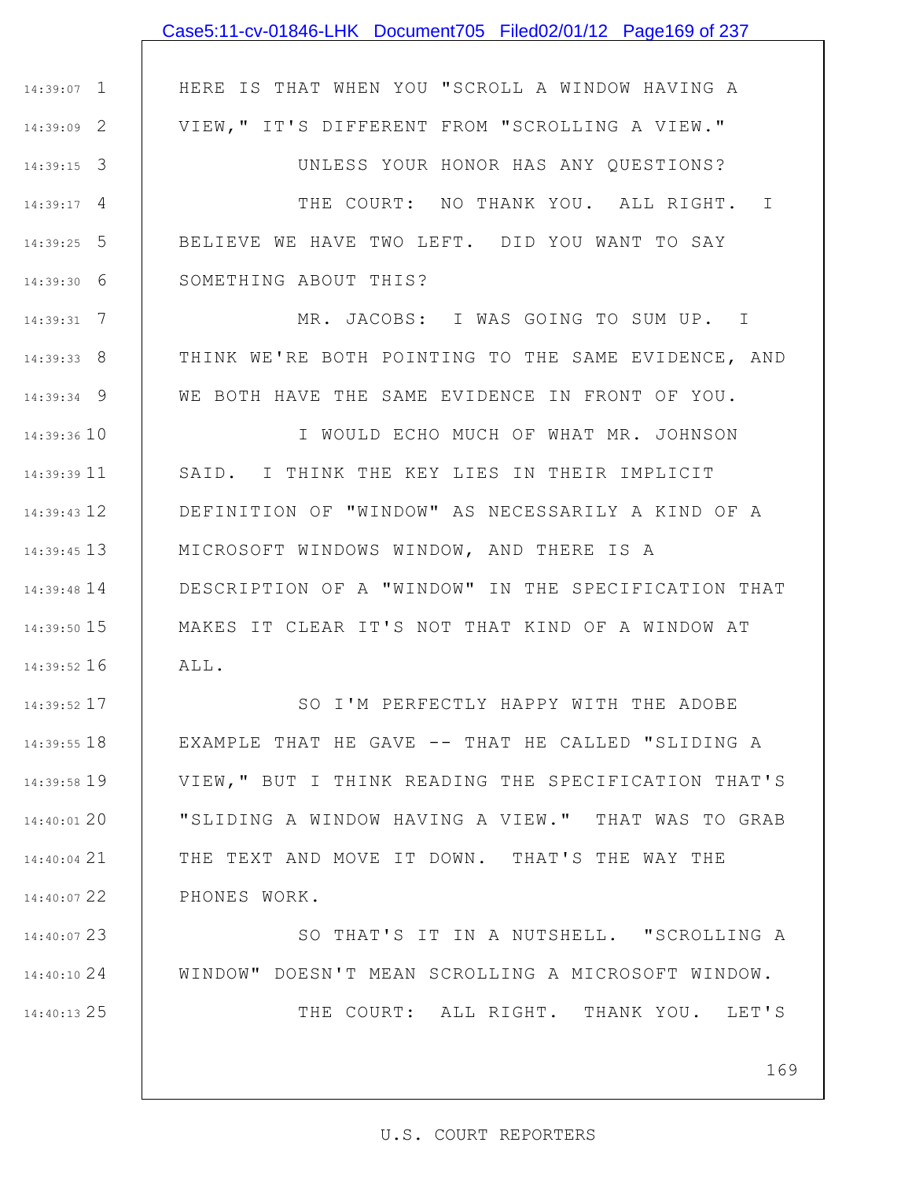|               | Case5:11-cv-01846-LHK Document705 Filed02/01/12 Page169 of 237 |
|---------------|----------------------------------------------------------------|
|               |                                                                |
| $14:39:07$ 1  | HERE IS THAT WHEN YOU "SCROLL A WINDOW HAVING A                |
| 14:39:09 2    | VIEW, " IT'S DIFFERENT FROM "SCROLLING A VIEW."                |
| $14:39:15$ 3  | UNLESS YOUR HONOR HAS ANY QUESTIONS?                           |
| $14:39:17$ 4  | THE COURT: NO THANK YOU. ALL RIGHT. I                          |
| 14:39:25 5    | BELIEVE WE HAVE TWO LEFT. DID YOU WANT TO SAY                  |
| $14:39:30$ 6  | SOMETHING ABOUT THIS?                                          |
| $14:39:31$ 7  | MR. JACOBS: I WAS GOING TO SUM UP. I                           |
| 14:39:33 8    | THINK WE'RE BOTH POINTING TO THE SAME EVIDENCE, AND            |
| 14:39:34 9    | WE BOTH HAVE THE SAME EVIDENCE IN FRONT OF YOU.                |
| 14:39:36 10   | I WOULD ECHO MUCH OF WHAT MR. JOHNSON                          |
| 14:39:39 11   | SAID. I THINK THE KEY LIES IN THEIR IMPLICIT                   |
| $14:39:43$ 12 | DEFINITION OF "WINDOW" AS NECESSARILY A KIND OF A              |
| 14:39:45 13   | MICROSOFT WINDOWS WINDOW, AND THERE IS A                       |
| 14:39:48 14   | DESCRIPTION OF A "WINDOW" IN THE SPECIFICATION THAT            |
| 14:39:50 15   | MAKES IT CLEAR IT'S NOT THAT KIND OF A WINDOW AT               |
| 14:39:52 16   | ALL.                                                           |
| 14:39:52 17   | SO I'M PERFECTLY HAPPY WITH THE ADOBE                          |
| 14:39:55 18   | EXAMPLE THAT HE GAVE -- THAT HE CALLED "SLIDING A              |
| 14:39:58 19   | VIEW, " BUT I THINK READING THE SPECIFICATION THAT'S           |
| 14:40:01 20   | "SLIDING A WINDOW HAVING A VIEW." THAT WAS TO GRAB             |
| $14:40:04$ 21 | THE TEXT AND MOVE IT DOWN. THAT'S THE WAY THE                  |
| 14:40:07 22   | PHONES WORK.                                                   |
| 14:40:07 23   | SO THAT'S IT IN A NUTSHELL. "SCROLLING A                       |
| 14:40:10 24   | WINDOW" DOESN'T MEAN SCROLLING A MICROSOFT WINDOW.             |

THE COURT: ALL RIGHT. THANK YOU. LET'S

169

25 14:40:13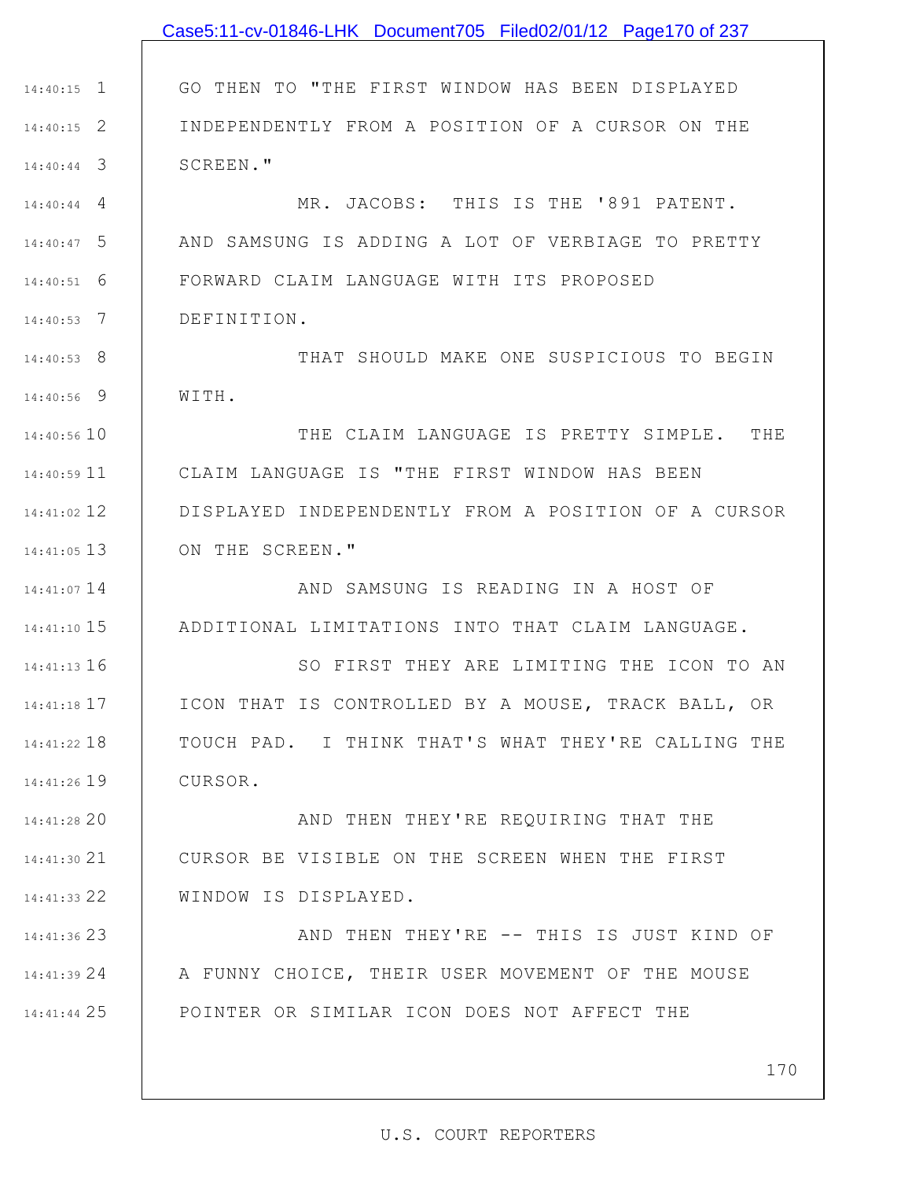|               | Case5:11-cv-01846-LHK Document705 Filed02/01/12 Page170 of 237 |
|---------------|----------------------------------------------------------------|
|               |                                                                |
| $14:40:15$ 1  | GO THEN TO "THE FIRST WINDOW HAS BEEN DISPLAYED                |
| $14:40:15$ 2  | INDEPENDENTLY FROM A POSITION OF A CURSOR ON THE               |
| $14:40:44$ 3  | SCREEN."                                                       |
| 14:40:44<br>4 | MR. JACOBS: THIS IS THE '891 PATENT.                           |
| $14:40:47$ 5  | AND SAMSUNG IS ADDING A LOT OF VERBIAGE TO PRETTY              |
| 6<br>14:40:51 | FORWARD CLAIM LANGUAGE WITH ITS PROPOSED                       |
| $14:40:53$ 7  | DEFINITION.                                                    |
| $14:40:53$ 8  | THAT SHOULD MAKE ONE SUSPICIOUS TO BEGIN                       |
| 14:40:56 9    | WITH.                                                          |
| 14:40:56 10   | THE CLAIM LANGUAGE IS PRETTY SIMPLE.<br>THE                    |
| 14:40:59 11   | CLAIM LANGUAGE IS "THE FIRST WINDOW HAS BEEN                   |
| 14:41:02 12   | DISPLAYED INDEPENDENTLY FROM A POSITION OF A CURSOR            |
| $14:41:05$ 13 | ON THE SCREEN."                                                |
| 14:41:07 14   | AND SAMSUNG IS READING IN A HOST OF                            |
| 14:41:10 15   | ADDITIONAL LIMITATIONS INTO THAT CLAIM LANGUAGE.               |
| 14:41:13 16   | SO FIRST THEY ARE LIMITING THE ICON TO AN                      |
| 14:41:18 17   | ICON THAT IS CONTROLLED BY A MOUSE, TRACK BALL, OR             |
| 14:41:22 18   | TOUCH PAD. I THINK THAT'S WHAT THEY'RE CALLING THE             |
| 14:41:26 19   | CURSOR.                                                        |
| 14:41:28 20   | AND THEN THEY'RE REQUIRING THAT THE                            |
| 14:41:30 21   | CURSOR BE VISIBLE ON THE SCREEN WHEN THE FIRST                 |
| 14:41:33 22   | WINDOW IS DISPLAYED.                                           |
| 14:41:36 23   | AND THEN THEY'RE -- THIS IS JUST KIND OF                       |
| 14:41:39 24   | A FUNNY CHOICE, THEIR USER MOVEMENT OF THE MOUSE               |
| 14:41:44 25   | POINTER OR SIMILAR ICON DOES NOT AFFECT THE                    |
|               |                                                                |

170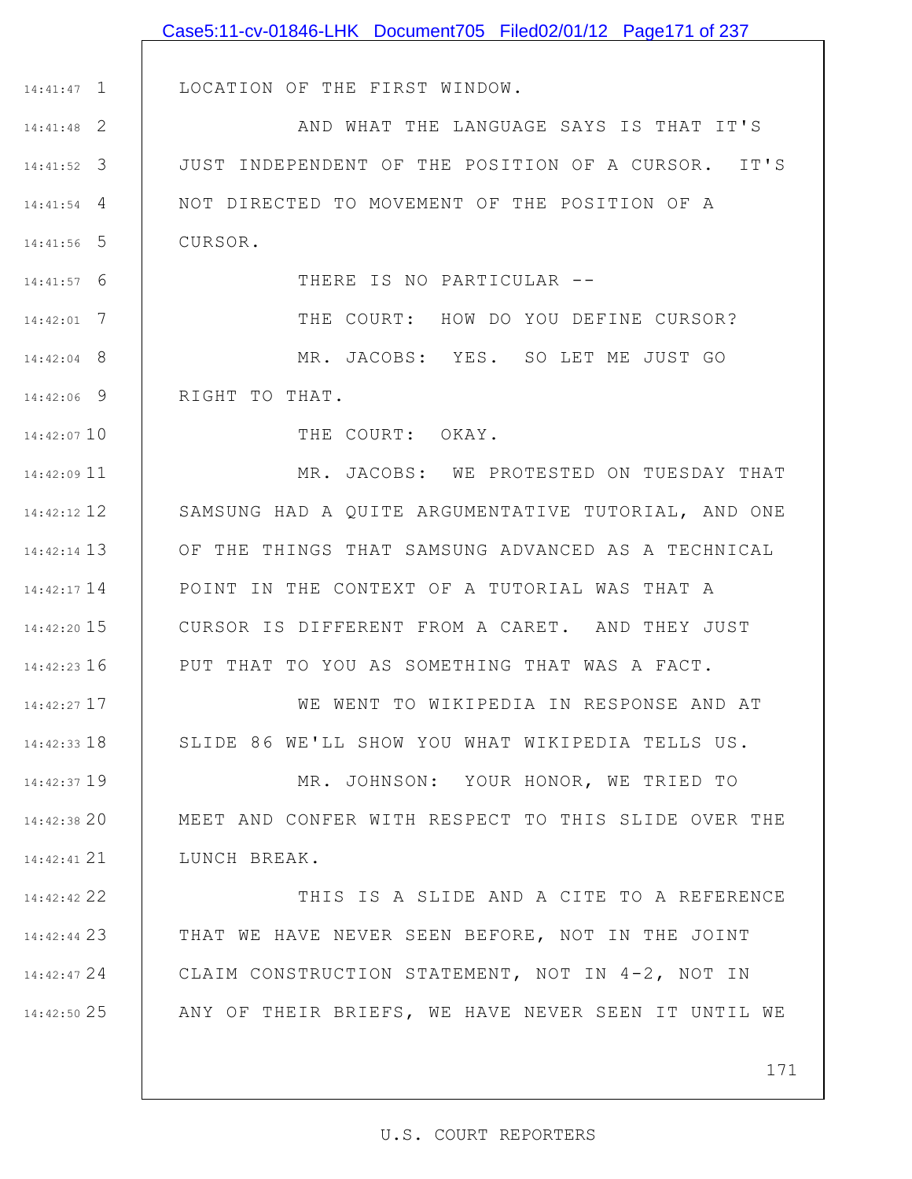|                 | Case5:11-cv-01846-LHK Document705 Filed02/01/12 Page171 of 237 |
|-----------------|----------------------------------------------------------------|
|                 |                                                                |
| $14:41:47$ 1    | LOCATION OF THE FIRST WINDOW.                                  |
| $14:41:48$ 2    | AND WHAT THE LANGUAGE SAYS IS THAT IT'S                        |
| $14:41:52$ 3    | JUST INDEPENDENT OF THE POSITION OF A CURSOR. IT'S             |
| $14:41:54$ 4    | NOT DIRECTED TO MOVEMENT OF THE POSITION OF A                  |
| $14:41:56$ 5    | CURSOR.                                                        |
| $14:41:57$ 6    | THERE IS NO PARTICULAR --                                      |
| $14:42:01$ 7    | THE COURT: HOW DO YOU DEFINE CURSOR?                           |
| 14:42:04 8      | MR. JACOBS: YES. SO LET ME JUST GO                             |
| 14:42:06 9      | RIGHT TO THAT.                                                 |
| 14:42:07 10     | THE COURT: OKAY.                                               |
| $14:42:09$ 11   | MR. JACOBS: WE PROTESTED ON TUESDAY THAT                       |
| 14:42:12 12     | SAMSUNG HAD A QUITE ARGUMENTATIVE TUTORIAL, AND ONE            |
| 14:42:14 13     | OF THE THINGS THAT SAMSUNG ADVANCED AS A TECHNICAL             |
| 14:42:17 14     | POINT IN THE CONTEXT OF A TUTORIAL WAS THAT A                  |
| 14:42:20 15     | CURSOR IS DIFFERENT FROM A CARET. AND THEY JUST                |
| $14:42:23$ 16   | PUT THAT TO YOU AS SOMETHING THAT WAS A FACT.                  |
| 14:42:27 17     | WE WENT TO WIKIPEDIA IN RESPONSE AND AT                        |
| $14:42:33$ $18$ | SLIDE 86 WE'LL SHOW YOU WHAT WIKIPEDIA TELLS US.               |
| 14:42:37 19     | MR. JOHNSON: YOUR HONOR, WE TRIED TO                           |
| 14:42:38 20     | MEET AND CONFER WITH RESPECT TO THIS SLIDE OVER THE            |
| 14:42:41 21     | LUNCH BREAK.                                                   |
| 14:42:42 22     | THIS IS A SLIDE AND A CITE TO A REFERENCE                      |
| 14:42:44 23     | THAT WE HAVE NEVER SEEN BEFORE, NOT IN THE JOINT               |
| 14:42:47 24     | CLAIM CONSTRUCTION STATEMENT, NOT IN 4-2, NOT IN               |
| 14:42:50 25     | ANY OF THEIR BRIEFS, WE HAVE NEVER SEEN IT UNTIL WE            |
|                 |                                                                |
|                 | 171                                                            |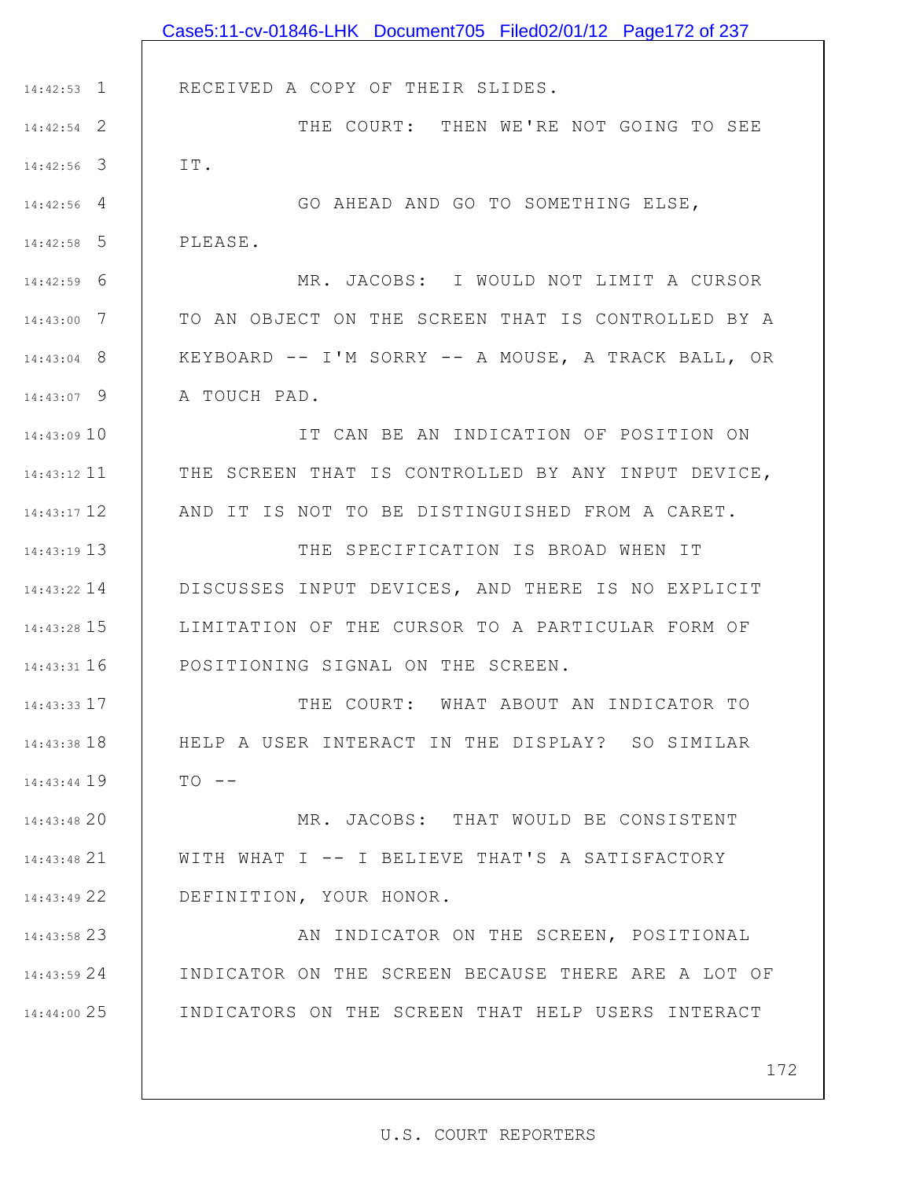|               | Case5:11-cv-01846-LHK Document705 Filed02/01/12 Page172 of 237 |
|---------------|----------------------------------------------------------------|
|               |                                                                |
| $14:42:53$ 1  | RECEIVED A COPY OF THEIR SLIDES.                               |
| $14:42:54$ 2  | THE COURT: THEN WE'RE NOT GOING TO SEE                         |
| $14:42:56$ 3  | IT.                                                            |
| $14:42:56$ 4  | GO AHEAD AND GO TO SOMETHING ELSE,                             |
| $14:42:58$ 5  | PLEASE.                                                        |
| $14:42:59$ 6  | MR. JACOBS: I WOULD NOT LIMIT A CURSOR                         |
| $14:43:00$ 7  | TO AN OBJECT ON THE SCREEN THAT IS CONTROLLED BY A             |
| $14:43:04$ 8  | KEYBOARD -- I'M SORRY -- A MOUSE, A TRACK BALL, OR             |
| $14:43:07$ 9  | A TOUCH PAD.                                                   |
| 14:43:0910    | IT CAN BE AN INDICATION OF POSITION ON                         |
| $14:43:12$ 11 | THE SCREEN THAT IS CONTROLLED BY ANY INPUT DEVICE,             |
| 14:43:17 12   | AND IT IS NOT TO BE DISTINGUISHED FROM A CARET.                |
| 14:43:19 13   | THE SPECIFICATION IS BROAD WHEN IT                             |
| $14:43:22$ 14 | DISCUSSES INPUT DEVICES, AND THERE IS NO EXPLICIT              |
| 14:43:28 15   | LIMITATION OF THE CURSOR TO A PARTICULAR FORM OF               |
| $14:43:31$ 16 | POSITIONING SIGNAL ON THE SCREEN.                              |
| $14:43:33$ 17 | THE COURT: WHAT ABOUT AN INDICATOR TO                          |
| $14:43:38$ 18 | HELP A USER INTERACT IN THE DISPLAY? SO SIMILAR                |
| 14:43:44 19   | $TO - -$                                                       |
| 14:43:48 20   | MR. JACOBS: THAT WOULD BE CONSISTENT                           |
| 14:43:48 21   | WITH WHAT I -- I BELIEVE THAT'S A SATISFACTORY                 |
| 14:43:49 22   | DEFINITION, YOUR HONOR.                                        |
| 14:43:58 23   | AN INDICATOR ON THE SCREEN, POSITIONAL                         |
| $14:43:59$ 24 | INDICATOR ON THE SCREEN BECAUSE THERE ARE A LOT OF             |
| 14:44:00 25   | INDICATORS ON THE SCREEN THAT HELP USERS INTERACT              |
|               |                                                                |
|               | 172                                                            |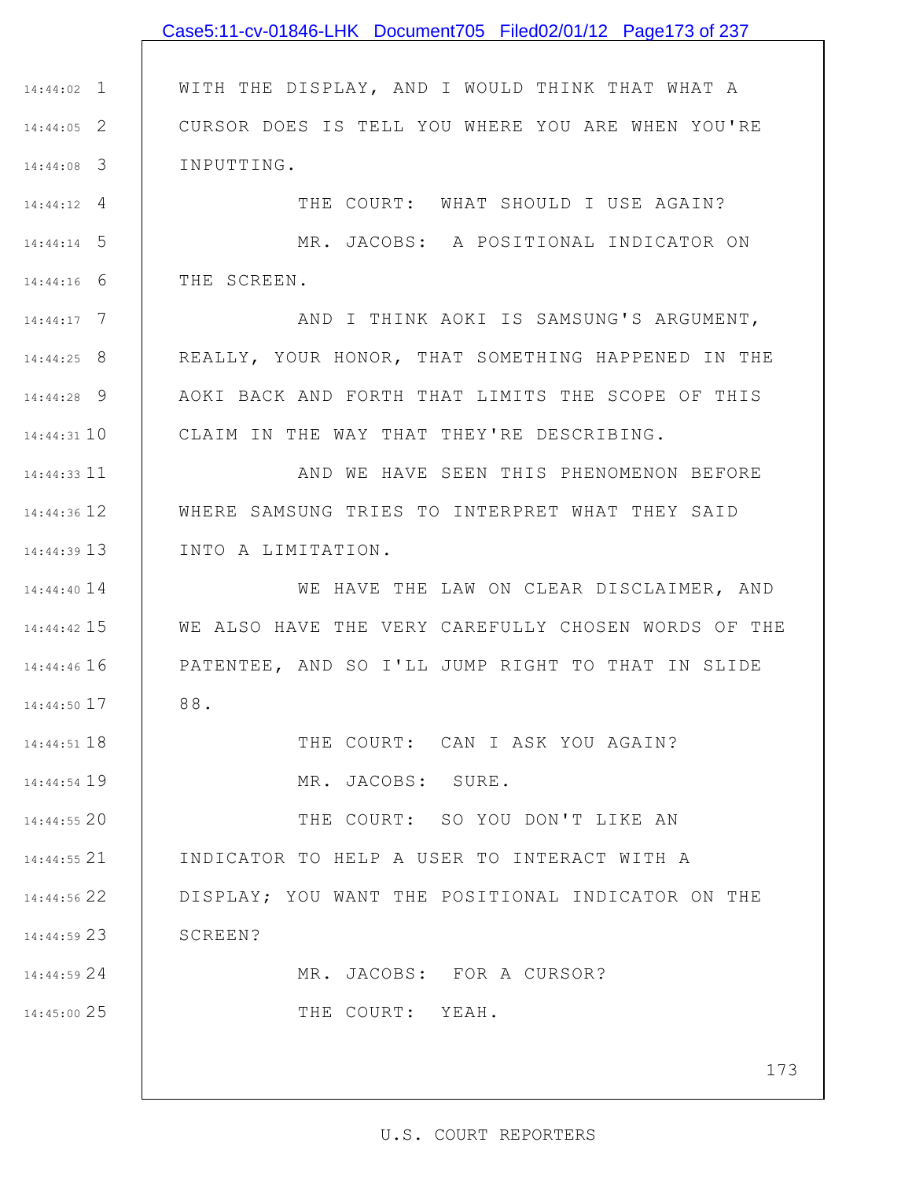## 1 14:44:02 2 14:44:05 3 14:44:08 4 14:44:12 5 14:44:14 6 14:44:16 7 14:44:17 8 14:44:25 9 14:44:28 10 14:44:31 11 14:44:33 12 14:44:36 13 14:44:39 14 14:44:40 15 14:44:42 16 14:44:46 17 14:44:50 18 14:44:51 19 14:44:54 20 14:44:55 21 14:44:55 22 14:44:56 23 14:44:59 24 14:44:59 25 14:45:00 WITH THE DISPLAY, AND I WOULD THINK THAT WHAT A CURSOR DOES IS TELL YOU WHERE YOU ARE WHEN YOU'RE INPUTTING. THE COURT: WHAT SHOULD I USE AGAIN? MR. JACOBS: A POSITIONAL INDICATOR ON THE SCREEN. AND I THINK AOKI IS SAMSUNG'S ARGUMENT, REALLY, YOUR HONOR, THAT SOMETHING HAPPENED IN THE AOKI BACK AND FORTH THAT LIMITS THE SCOPE OF THIS CLAIM IN THE WAY THAT THEY'RE DESCRIBING. AND WE HAVE SEEN THIS PHENOMENON BEFORE WHERE SAMSUNG TRIES TO INTERPRET WHAT THEY SAID INTO A LIMITATION. WE HAVE THE LAW ON CLEAR DISCLAIMER, AND WE ALSO HAVE THE VERY CAREFULLY CHOSEN WORDS OF THE PATENTEE, AND SO I'LL JUMP RIGHT TO THAT IN SLIDE 88. THE COURT: CAN I ASK YOU AGAIN? MR. JACOBS: SURE. THE COURT: SO YOU DON'T LIKE AN INDICATOR TO HELP A USER TO INTERACT WITH A DISPLAY; YOU WANT THE POSITIONAL INDICATOR ON THE SCREEN? MR. JACOBS: FOR A CURSOR? THE COURT: YEAH. Case5:11-cv-01846-LHK Document705 Filed02/01/12 Page173 of 237

173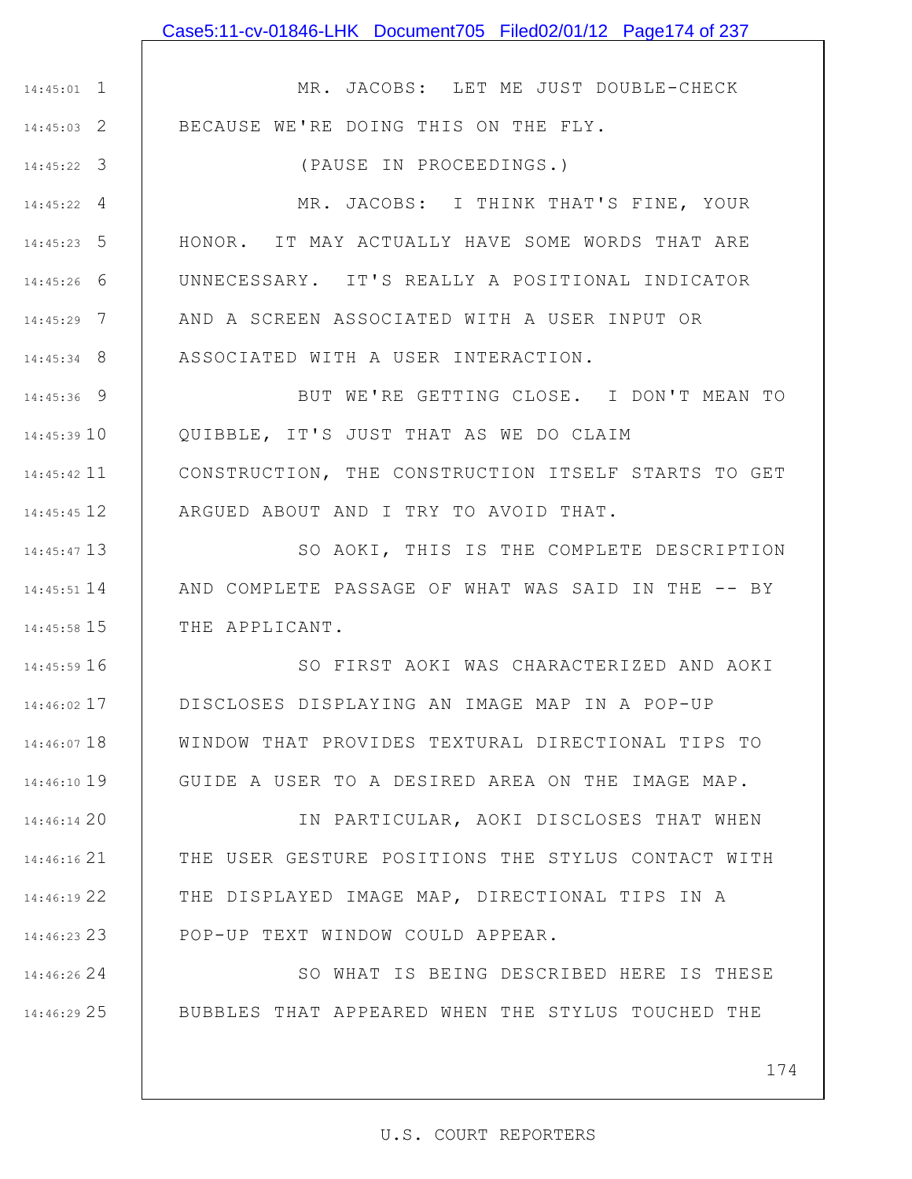## Case5:11-cv-01846-LHK Document705 Filed02/01/12 Page174 of 237

1 14:45:01

2 14:45:03

3 14:45:22

24 14:46:26

25 14:46:29

MR. JACOBS: LET ME JUST DOUBLE-CHECK BECAUSE WE'RE DOING THIS ON THE FLY.

(PAUSE IN PROCEEDINGS.)

4 14:45:22 5 14:45:23 6 14:45:26 7 14:45:29 8 14:45:34 MR. JACOBS: I THINK THAT'S FINE, YOUR HONOR. IT MAY ACTUALLY HAVE SOME WORDS THAT ARE UNNECESSARY. IT'S REALLY A POSITIONAL INDICATOR AND A SCREEN ASSOCIATED WITH A USER INPUT OR ASSOCIATED WITH A USER INTERACTION.

9 14:45:36 10 14:45:39 11 14:45:42 12 14:45:45 BUT WE'RE GETTING CLOSE. I DON'T MEAN TO QUIBBLE, IT'S JUST THAT AS WE DO CLAIM CONSTRUCTION, THE CONSTRUCTION ITSELF STARTS TO GET ARGUED ABOUT AND I TRY TO AVOID THAT.

13 14:45:47 14 14:45:51 15 14:45:58 SO AOKI, THIS IS THE COMPLETE DESCRIPTION AND COMPLETE PASSAGE OF WHAT WAS SAID IN THE -- BY THE APPLICANT.

16 14:45:59 17 14:46:02 18 14:46:07 19 14:46:10 SO FIRST AOKI WAS CHARACTERIZED AND AOKI DISCLOSES DISPLAYING AN IMAGE MAP IN A POP-UP WINDOW THAT PROVIDES TEXTURAL DIRECTIONAL TIPS TO GUIDE A USER TO A DESIRED AREA ON THE IMAGE MAP.

20 14:46:14 21 14:46:16 22 14:46:19 23 14:46:23 IN PARTICULAR, AOKI DISCLOSES THAT WHEN THE USER GESTURE POSITIONS THE STYLUS CONTACT WITH THE DISPLAYED IMAGE MAP, DIRECTIONAL TIPS IN A POP-UP TEXT WINDOW COULD APPEAR.

> SO WHAT IS BEING DESCRIBED HERE IS THESE BUBBLES THAT APPEARED WHEN THE STYLUS TOUCHED THE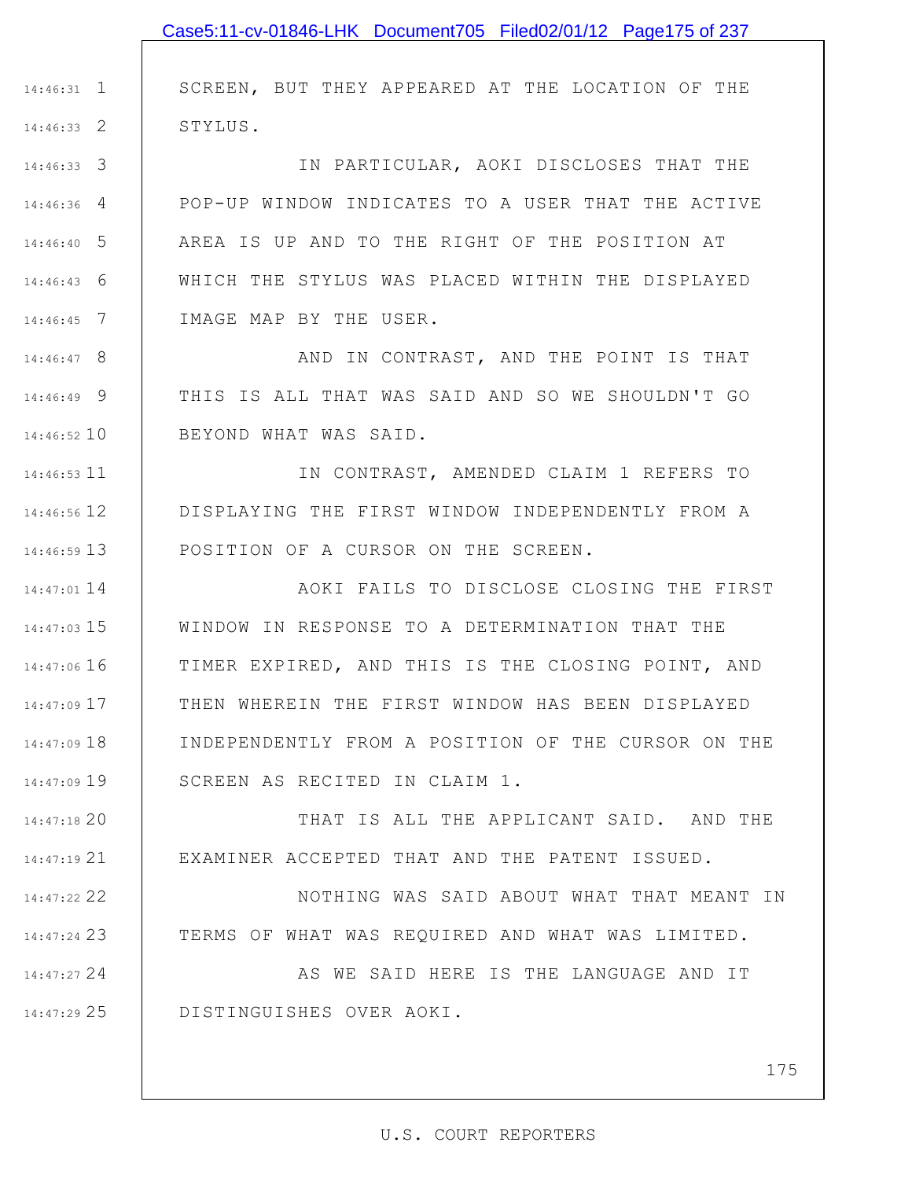|               | Case5:11-cv-01846-LHK Document705 Filed02/01/12 Page175 of 237 |
|---------------|----------------------------------------------------------------|
|               |                                                                |
| $14:46:31$ 1  | SCREEN, BUT THEY APPEARED AT THE LOCATION OF THE               |
| $14:46:33$ 2  | STYLUS.                                                        |
| $14:46:33$ 3  | IN PARTICULAR, AOKI DISCLOSES THAT THE                         |
| $14:46:36$ 4  | POP-UP WINDOW INDICATES TO A USER THAT THE ACTIVE              |
| $14:46:40$ 5  | AREA IS UP AND TO THE RIGHT OF THE POSITION AT                 |
| $14:46:43$ 6  | WHICH THE STYLUS WAS PLACED WITHIN THE DISPLAYED               |
| $14:46:45$ 7  | IMAGE MAP BY THE USER.                                         |
| $14:46:47$ 8  | AND IN CONTRAST, AND THE POINT IS THAT                         |
| 14:46:49 9    | THIS IS ALL THAT WAS SAID AND SO WE SHOULDN'T GO               |
| 14:46:52 10   | BEYOND WHAT WAS SAID.                                          |
| 14:46:53 11   | IN CONTRAST, AMENDED CLAIM 1 REFERS TO                         |
| 14:46:56 12   | DISPLAYING THE FIRST WINDOW INDEPENDENTLY FROM A               |
| $14:46:59$ 13 | POSITION OF A CURSOR ON THE SCREEN.                            |
| 14:47:01 14   | AOKI FAILS TO DISCLOSE CLOSING THE FIRST                       |
| $14:47:03$ 15 | WINDOW IN RESPONSE TO A DETERMINATION THAT THE                 |
| 14:47:06 16   | TIMER EXPIRED, AND THIS IS THE CLOSING POINT, AND              |
| 14:47:09 17   | THEN WHEREIN THE FIRST WINDOW HAS BEEN DISPLAYED               |
| 14:47:09 18   | INDEPENDENTLY FROM A POSITION OF THE CURSOR ON THE             |
| 14:47:09 19   | SCREEN AS RECITED IN CLAIM 1.                                  |
| 14:47:18 20   | THAT IS ALL THE APPLICANT SAID. AND THE                        |
| 14:47:19 21   | EXAMINER ACCEPTED THAT AND THE PATENT ISSUED.                  |
| 14:47:22 22   | NOTHING WAS SAID ABOUT WHAT THAT MEANT IN                      |
| 14:47:24 23   | TERMS OF WHAT WAS REQUIRED AND WHAT WAS LIMITED.               |
| 14:47:27 24   | AS WE SAID HERE IS THE LANGUAGE AND IT                         |
| $14:47:29$ 25 | DISTINGUISHES OVER AOKI.                                       |
|               |                                                                |
|               |                                                                |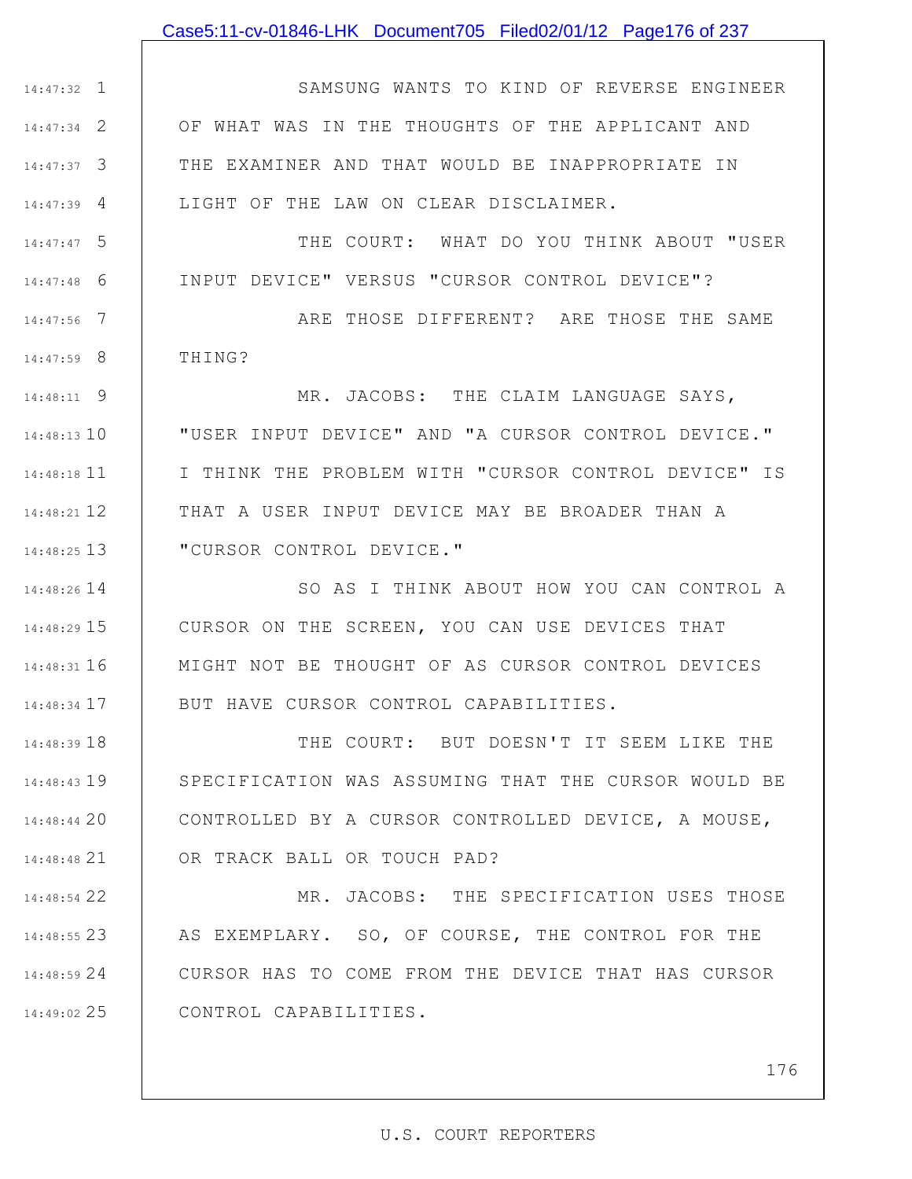#### Case5:11-cv-01846-LHK Document705 Filed02/01/12 Page176 of 237

1 14:47:32 2 14:47:34 3 14:47:37 4 14:47:39 SAMSUNG WANTS TO KIND OF REVERSE ENGINEER OF WHAT WAS IN THE THOUGHTS OF THE APPLICANT AND THE EXAMINER AND THAT WOULD BE INAPPROPRIATE IN LIGHT OF THE LAW ON CLEAR DISCLAIMER.

5 14:47:47 6 14:47:48 THE COURT: WHAT DO YOU THINK ABOUT "USER INPUT DEVICE" VERSUS "CURSOR CONTROL DEVICE"?

7 14:47:56 8 14:47:59 ARE THOSE DIFFERENT? ARE THOSE THE SAME THING?

9 14:48:11 14:48:13 10 11 14:48:18 12 14:48:21 13 14:48:25 MR. JACOBS: THE CLAIM LANGUAGE SAYS, "USER INPUT DEVICE" AND "A CURSOR CONTROL DEVICE." I THINK THE PROBLEM WITH "CURSOR CONTROL DEVICE" IS THAT A USER INPUT DEVICE MAY BE BROADER THAN A "CURSOR CONTROL DEVICE."

14 14:48:26 15 14:48:29 16 14:48:31 17 14:48:34 SO AS I THINK ABOUT HOW YOU CAN CONTROL A CURSOR ON THE SCREEN, YOU CAN USE DEVICES THAT MIGHT NOT BE THOUGHT OF AS CURSOR CONTROL DEVICES BUT HAVE CURSOR CONTROL CAPABILITIES.

18 14:48:39 19 14:48:43 20 14:48:44 21 14:48:48 THE COURT: BUT DOESN'T IT SEEM LIKE THE SPECIFICATION WAS ASSUMING THAT THE CURSOR WOULD BE CONTROLLED BY A CURSOR CONTROLLED DEVICE, A MOUSE, OR TRACK BALL OR TOUCH PAD?

22 14:48:54 23 14:48:55 24 14:48:59 25 14:49:02 MR. JACOBS: THE SPECIFICATION USES THOSE | AS EXEMPLARY. SO, OF COURSE, THE CONTROL FOR THE CURSOR HAS TO COME FROM THE DEVICE THAT HAS CURSOR CONTROL CAPABILITIES.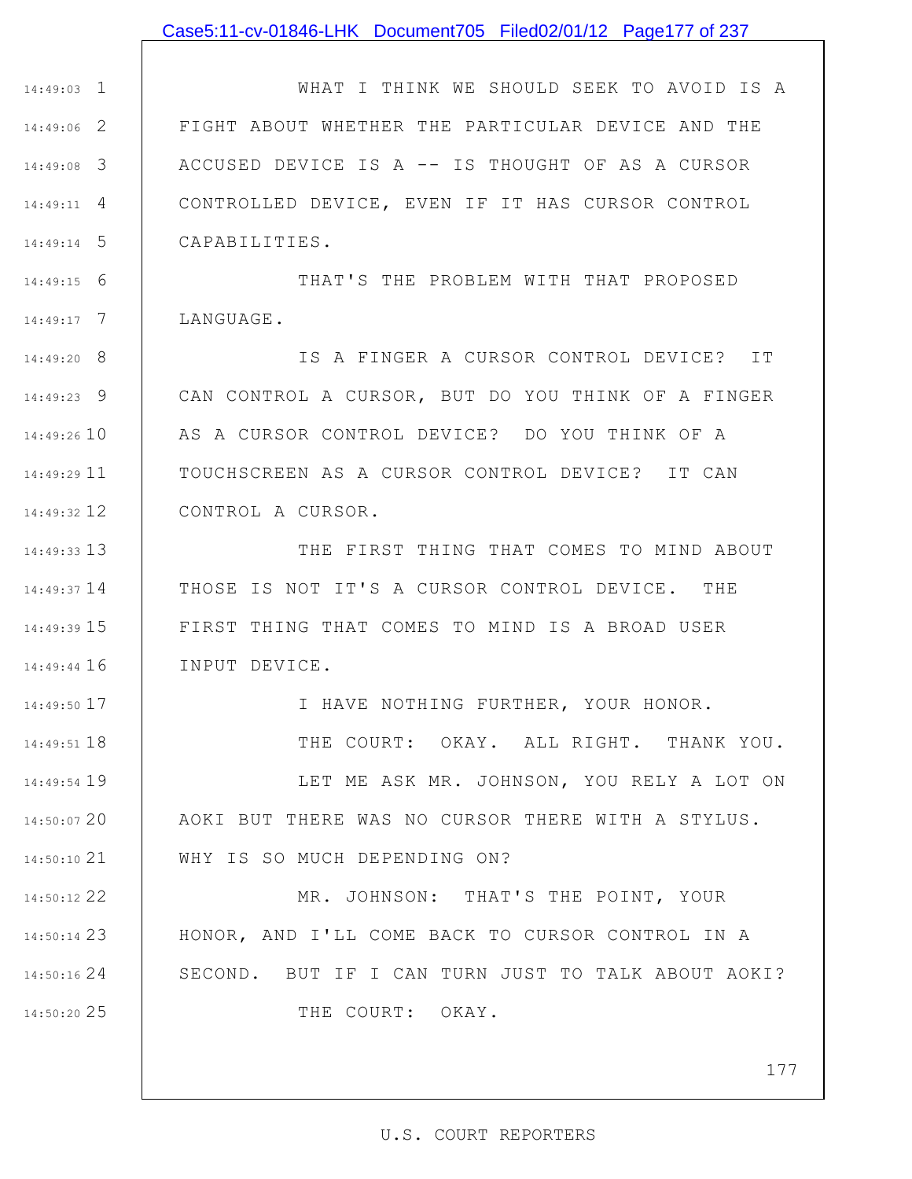#### Case5:11-cv-01846-LHK Document705 Filed02/01/12 Page177 of 237

1 14:49:03 2 14:49:06 3 14:49:08 4 14:49:11 5 14:49:14 WHAT I THINK WE SHOULD SEEK TO AVOID IS A FIGHT ABOUT WHETHER THE PARTICULAR DEVICE AND THE ACCUSED DEVICE IS A -- IS THOUGHT OF AS A CURSOR CONTROLLED DEVICE, EVEN IF IT HAS CURSOR CONTROL CAPABILITIES.

6 14:49:15 7 14:49:17 THAT'S THE PROBLEM WITH THAT PROPOSED LANGUAGE.

8 14:49:20 9 14:49:23 14:49:26 10 11 14:49:29 12 14:49:32 IS A FINGER A CURSOR CONTROL DEVICE? IT CAN CONTROL A CURSOR, BUT DO YOU THINK OF A FINGER AS A CURSOR CONTROL DEVICE? DO YOU THINK OF A TOUCHSCREEN AS A CURSOR CONTROL DEVICE? IT CAN CONTROL A CURSOR.

13 14:49:33 14 14:49:37 15 14:49:39 16 14:49:44 THE FIRST THING THAT COMES TO MIND ABOUT THOSE IS NOT IT'S A CURSOR CONTROL DEVICE. THE FIRST THING THAT COMES TO MIND IS A BROAD USER INPUT DEVICE.

17 14:49:50 18 14:49:51 19 14:49:54 14:50:07 20 21 14:50:10 I HAVE NOTHING FURTHER, YOUR HONOR. THE COURT: OKAY. ALL RIGHT. THANK YOU. LET ME ASK MR. JOHNSON, YOU RELY A LOT ON AOKI BUT THERE WAS NO CURSOR THERE WITH A STYLUS. WHY IS SO MUCH DEPENDING ON?

22 14:50:12 23 14:50:14 24 14:50:16 25 14:50:20 MR. JOHNSON: THAT'S THE POINT, YOUR HONOR, AND I'LL COME BACK TO CURSOR CONTROL IN A SECOND. BUT IF I CAN TURN JUST TO TALK ABOUT AOKI? THE COURT: OKAY.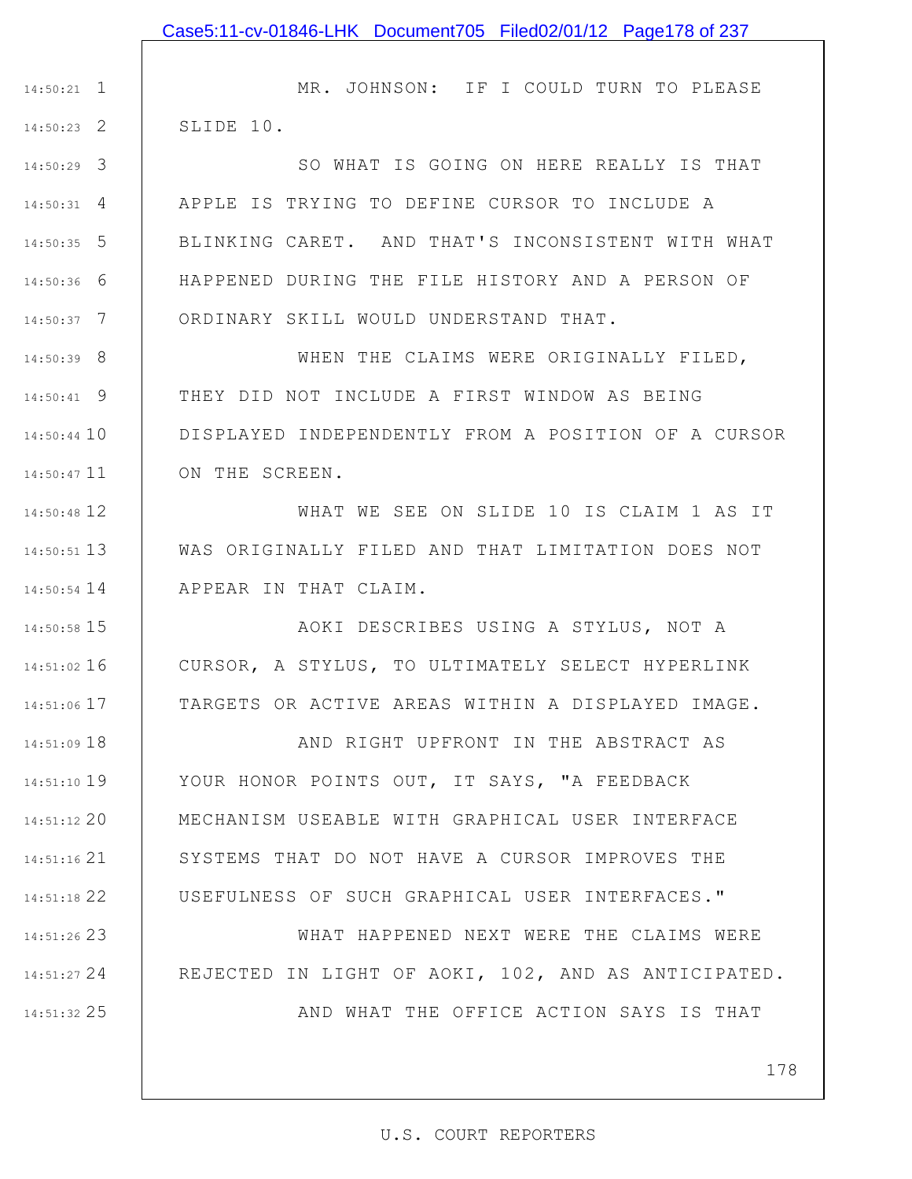1 14:50:21 2 14:50:23 MR. JOHNSON: IF I COULD TURN TO PLEASE SLIDE 10.

3 14:50:29 4 14:50:31 5 14:50:35 6 14:50:36 7 14:50:37 SO WHAT IS GOING ON HERE REALLY IS THAT APPLE IS TRYING TO DEFINE CURSOR TO INCLUDE A BLINKING CARET. AND THAT'S INCONSISTENT WITH WHAT HAPPENED DURING THE FILE HISTORY AND A PERSON OF ORDINARY SKILL WOULD UNDERSTAND THAT.

8 14:50:39 9 14:50:41 14:50:44 10 11 14:50:47 WHEN THE CLAIMS WERE ORIGINALLY FILED, THEY DID NOT INCLUDE A FIRST WINDOW AS BEING DISPLAYED INDEPENDENTLY FROM A POSITION OF A CURSOR ON THE SCREEN.

12 14:50:48 13 14:50:51 14 14:50:54 WHAT WE SEE ON SLIDE 10 IS CLAIM 1 AS IT WAS ORIGINALLY FILED AND THAT LIMITATION DOES NOT APPEAR IN THAT CLAIM.

15 14:50:58

16 14:51:02

17 14:51:06

AOKI DESCRIBES USING A STYLUS, NOT A CURSOR, A STYLUS, TO ULTIMATELY SELECT HYPERLINK TARGETS OR ACTIVE AREAS WITHIN A DISPLAYED IMAGE.

18 14:51:09 19 14:51:10 20 14:51:12 21 14:51:16 22 14:51:18 AND RIGHT UPFRONT IN THE ABSTRACT AS YOUR HONOR POINTS OUT, IT SAYS, "A FEEDBACK MECHANISM USEABLE WITH GRAPHICAL USER INTERFACE SYSTEMS THAT DO NOT HAVE A CURSOR IMPROVES THE USEFULNESS OF SUCH GRAPHICAL USER INTERFACES."

23 14:51:26 24 14:51:27 25 14:51:32 WHAT HAPPENED NEXT WERE THE CLAIMS WERE REJECTED IN LIGHT OF AOKI, 102, AND AS ANTICIPATED. AND WHAT THE OFFICE ACTION SAYS IS THAT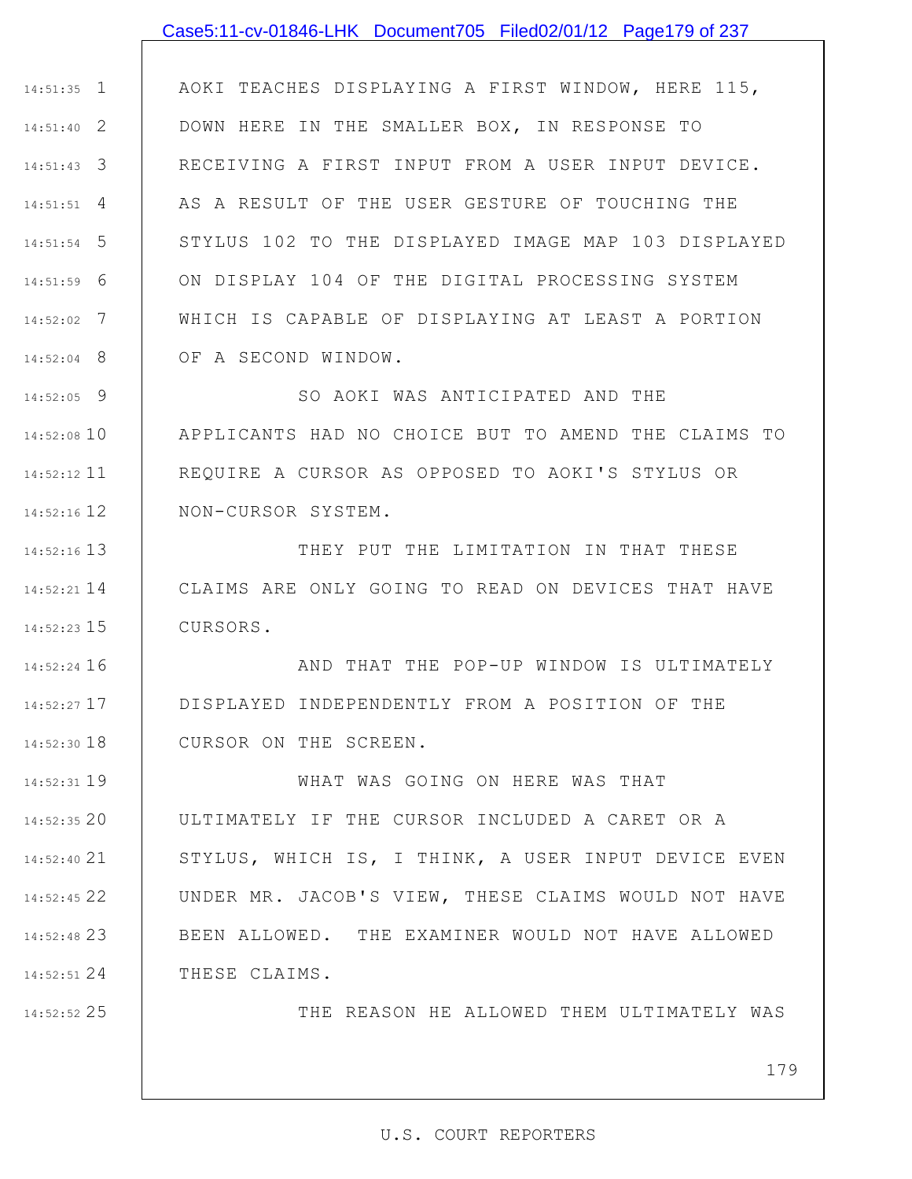### Case5:11-cv-01846-LHK Document705 Filed02/01/12 Page179 of 237

1 14:51:35 2 14:51:40 3 14:51:43 4 14:51:51 5 14:51:54 6 14:51:59 7 14:52:02 8 14:52:04 AOKI TEACHES DISPLAYING A FIRST WINDOW, HERE 115, DOWN HERE IN THE SMALLER BOX, IN RESPONSE TO RECEIVING A FIRST INPUT FROM A USER INPUT DEVICE. AS A RESULT OF THE USER GESTURE OF TOUCHING THE STYLUS 102 TO THE DISPLAYED IMAGE MAP 103 DISPLAYED ON DISPLAY 104 OF THE DIGITAL PROCESSING SYSTEM WHICH IS CAPABLE OF DISPLAYING AT LEAST A PORTION OF A SECOND WINDOW.

9 14:52:05 14:52:08 10 11 14:52:12 12 14:52:16 SO AOKI WAS ANTICIPATED AND THE APPLICANTS HAD NO CHOICE BUT TO AMEND THE CLAIMS TO REQUIRE A CURSOR AS OPPOSED TO AOKI'S STYLUS OR NON-CURSOR SYSTEM.

13 14:52:16 14 14:52:21 15 14:52:23 THEY PUT THE LIMITATION IN THAT THESE CLAIMS ARE ONLY GOING TO READ ON DEVICES THAT HAVE CURSORS.

16 14:52:24 17 14:52:27 18 14:52:30 AND THAT THE POP-UP WINDOW IS ULTIMATELY DISPLAYED INDEPENDENTLY FROM A POSITION OF THE CURSOR ON THE SCREEN.

19 14:52:31 20 14:52:35 21 14:52:40 22 14:52:45 23 14:52:48 24 14:52:51 WHAT WAS GOING ON HERE WAS THAT ULTIMATELY IF THE CURSOR INCLUDED A CARET OR A STYLUS, WHICH IS, I THINK, A USER INPUT DEVICE EVEN UNDER MR. JACOB'S VIEW, THESE CLAIMS WOULD NOT HAVE BEEN ALLOWED. THE EXAMINER WOULD NOT HAVE ALLOWED THESE CLAIMS.

25 14:52:52

THE REASON HE ALLOWED THEM ULTIMATELY WAS

179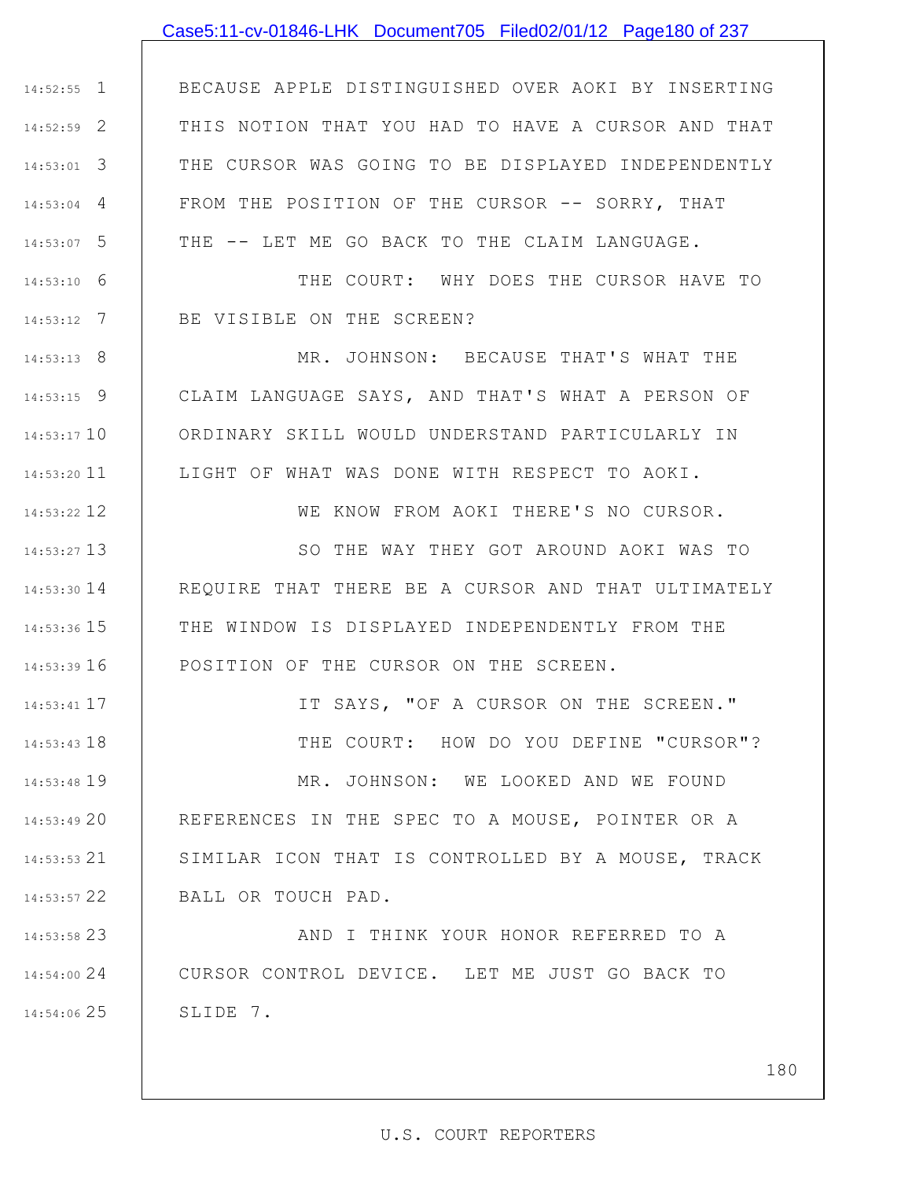## Case5:11-cv-01846-LHK Document705 Filed02/01/12 Page180 of 237

1 14:52:55 2 14:52:59 3 14:53:01 4 14:53:04 5 14:53:07 BECAUSE APPLE DISTINGUISHED OVER AOKI BY INSERTING THIS NOTION THAT YOU HAD TO HAVE A CURSOR AND THAT THE CURSOR WAS GOING TO BE DISPLAYED INDEPENDENTLY FROM THE POSITION OF THE CURSOR -- SORRY, THAT THE -- LET ME GO BACK TO THE CLAIM LANGUAGE.

> THE COURT: WHY DOES THE CURSOR HAVE TO BE VISIBLE ON THE SCREEN?

MR. JOHNSON: BECAUSE THAT'S WHAT THE CLAIM LANGUAGE SAYS, AND THAT'S WHAT A PERSON OF ORDINARY SKILL WOULD UNDERSTAND PARTICULARLY IN LIGHT OF WHAT WAS DONE WITH RESPECT TO AOKI.

WE KNOW FROM AOKI THERE'S NO CURSOR.

13 14:53:27 14 14:53:30 15 14:53:36 16 14:53:39 SO THE WAY THEY GOT AROUND AOKI WAS TO REQUIRE THAT THERE BE A CURSOR AND THAT ULTIMATELY THE WINDOW IS DISPLAYED INDEPENDENTLY FROM THE POSITION OF THE CURSOR ON THE SCREEN.

> IT SAYS, "OF A CURSOR ON THE SCREEN." THE COURT: HOW DO YOU DEFINE "CURSOR"? MR. JOHNSON: WE LOOKED AND WE FOUND REFERENCES IN THE SPEC TO A MOUSE, POINTER OR A SIMILAR ICON THAT IS CONTROLLED BY A MOUSE, TRACK

22 14:53:57 BALL OR TOUCH PAD.

6 14:53:10

7 14:53:12

8 14:53:13

9 14:53:15

14:53:17 10

11 14:53:20

12 14:53:22

17 14:53:41

18 14:53:43

19 14:53:48

20 14:53:49

21 14:53:53

23 14:53:58 24 14:54:00 25 14:54:06 AND I THINK YOUR HONOR REFERRED TO A CURSOR CONTROL DEVICE. LET ME JUST GO BACK TO SLIDE 7.

180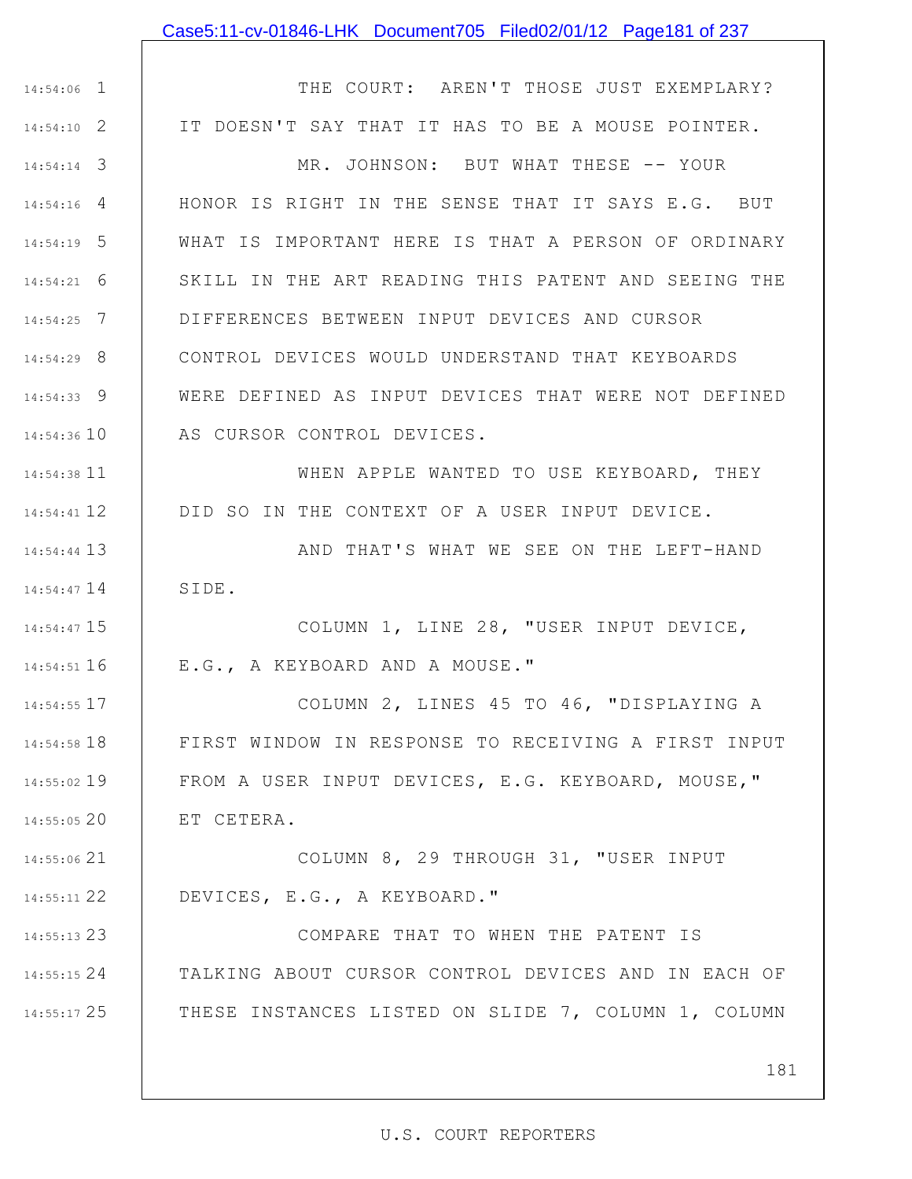### Case5:11-cv-01846-LHK Document705 Filed02/01/12 Page181 of 237

1 14:54:06 2 14:54:10 3 14:54:14 4 14:54:16 5 14:54:19 6 14:54:21 7 14:54:25 8 14:54:29 9 14:54:33 14:54:36 10 11 14:54:38 12 14:54:41 13 14:54:44 14 14:54:47 15 14:54:47 16 14:54:51 17 14:54:55 18 14:54:58 19 14:55:02 20 14:55:05 21 14:55:06 22 14:55:11 23 14:55:13 24 14:55:15 25 14:55:17 THE COURT: AREN'T THOSE JUST EXEMPLARY? IT DOESN'T SAY THAT IT HAS TO BE A MOUSE POINTER. MR. JOHNSON: BUT WHAT THESE -- YOUR HONOR IS RIGHT IN THE SENSE THAT IT SAYS E.G. BUT WHAT IS IMPORTANT HERE IS THAT A PERSON OF ORDINARY SKILL IN THE ART READING THIS PATENT AND SEEING THE DIFFERENCES BETWEEN INPUT DEVICES AND CURSOR CONTROL DEVICES WOULD UNDERSTAND THAT KEYBOARDS WERE DEFINED AS INPUT DEVICES THAT WERE NOT DEFINED AS CURSOR CONTROL DEVICES. WHEN APPLE WANTED TO USE KEYBOARD, THEY DID SO IN THE CONTEXT OF A USER INPUT DEVICE. AND THAT'S WHAT WE SEE ON THE LEFT-HAND SIDE. COLUMN 1, LINE 28, "USER INPUT DEVICE, E.G., A KEYBOARD AND A MOUSE." COLUMN 2, LINES 45 TO 46, "DISPLAYING A FIRST WINDOW IN RESPONSE TO RECEIVING A FIRST INPUT FROM A USER INPUT DEVICES, E.G. KEYBOARD, MOUSE," ET CETERA. COLUMN 8, 29 THROUGH 31, "USER INPUT DEVICES, E.G., A KEYBOARD." COMPARE THAT TO WHEN THE PATENT IS TALKING ABOUT CURSOR CONTROL DEVICES AND IN EACH OF THESE INSTANCES LISTED ON SLIDE 7, COLUMN 1, COLUMN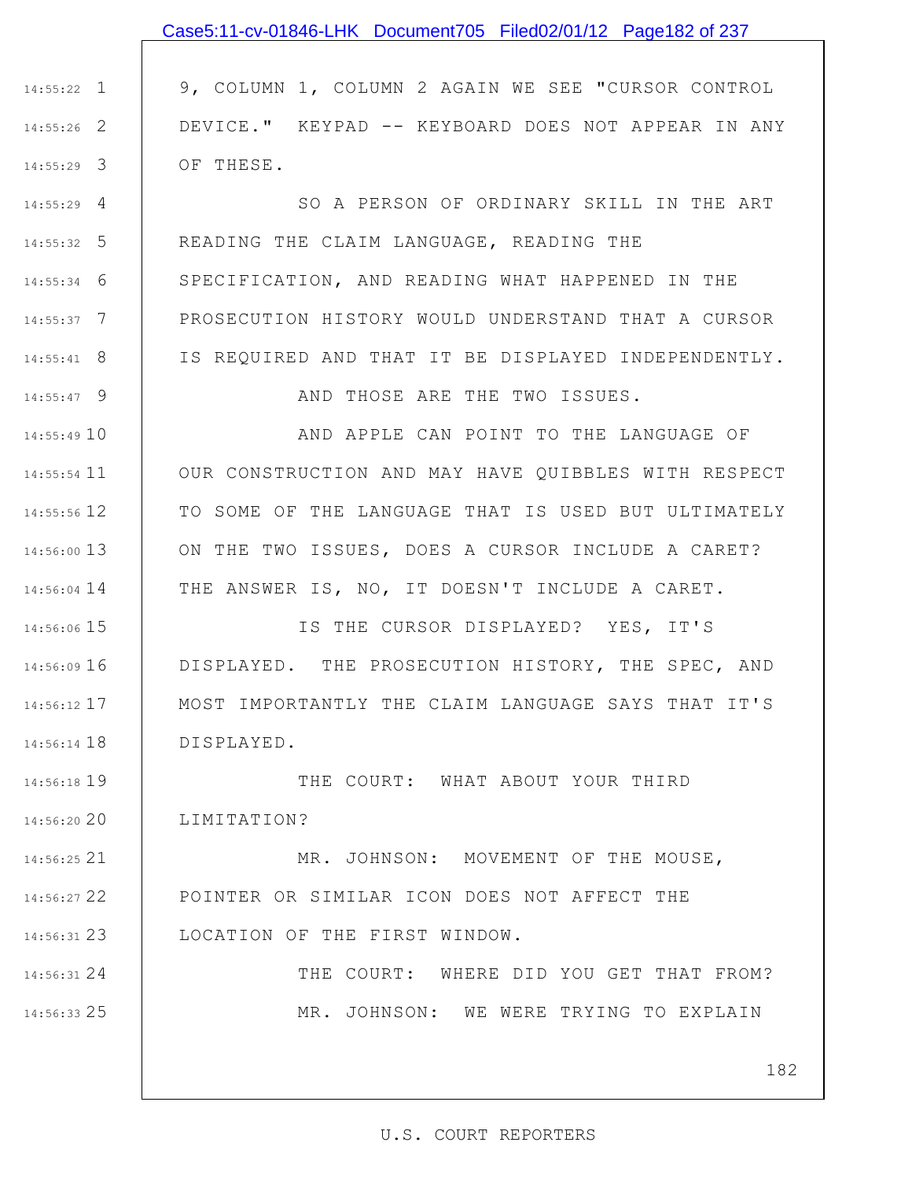## Case5:11-cv-01846-LHK Document705 Filed02/01/12 Page182 of 237

1 14:55:22 2 14:55:26 3 14:55:29 9, COLUMN 1, COLUMN 2 AGAIN WE SEE "CURSOR CONTROL DEVICE." KEYPAD -- KEYBOARD DOES NOT APPEAR IN ANY OF THESE.

4 14:55:29 5 14:55:32 6 14:55:34 7 14:55:37 8 14:55:41 SO A PERSON OF ORDINARY SKILL IN THE ART READING THE CLAIM LANGUAGE, READING THE SPECIFICATION, AND READING WHAT HAPPENED IN THE PROSECUTION HISTORY WOULD UNDERSTAND THAT A CURSOR IS REQUIRED AND THAT IT BE DISPLAYED INDEPENDENTLY.

9 14:55:47

24 14:56:31

25 14:56:33

AND THOSE ARE THE TWO ISSUES.

14:55:49 10 11 14:55:54 12 14:55:56 13 14:56:00 14:56:04 14 | THE ANSWER IS, NO, IT DOESN'T INCLUDE A CARET. AND APPLE CAN POINT TO THE LANGUAGE OF OUR CONSTRUCTION AND MAY HAVE QUIBBLES WITH RESPECT TO SOME OF THE LANGUAGE THAT IS USED BUT ULTIMATELY ON THE TWO ISSUES, DOES A CURSOR INCLUDE A CARET?

15 14:56:06 16 14:56:09 17 14:56:12 18 14:56:14 IS THE CURSOR DISPLAYED? YES, IT'S DISPLAYED. THE PROSECUTION HISTORY, THE SPEC, AND MOST IMPORTANTLY THE CLAIM LANGUAGE SAYS THAT IT'S DISPLAYED.

19 14:56:18 20 14:56:20 THE COURT: WHAT ABOUT YOUR THIRD LIMITATION?

21 14:56:25 22 14:56:27 23 14:56:31 MR. JOHNSON: MOVEMENT OF THE MOUSE, POINTER OR SIMILAR ICON DOES NOT AFFECT THE LOCATION OF THE FIRST WINDOW.

> THE COURT: WHERE DID YOU GET THAT FROM? MR. JOHNSON: WE WERE TRYING TO EXPLAIN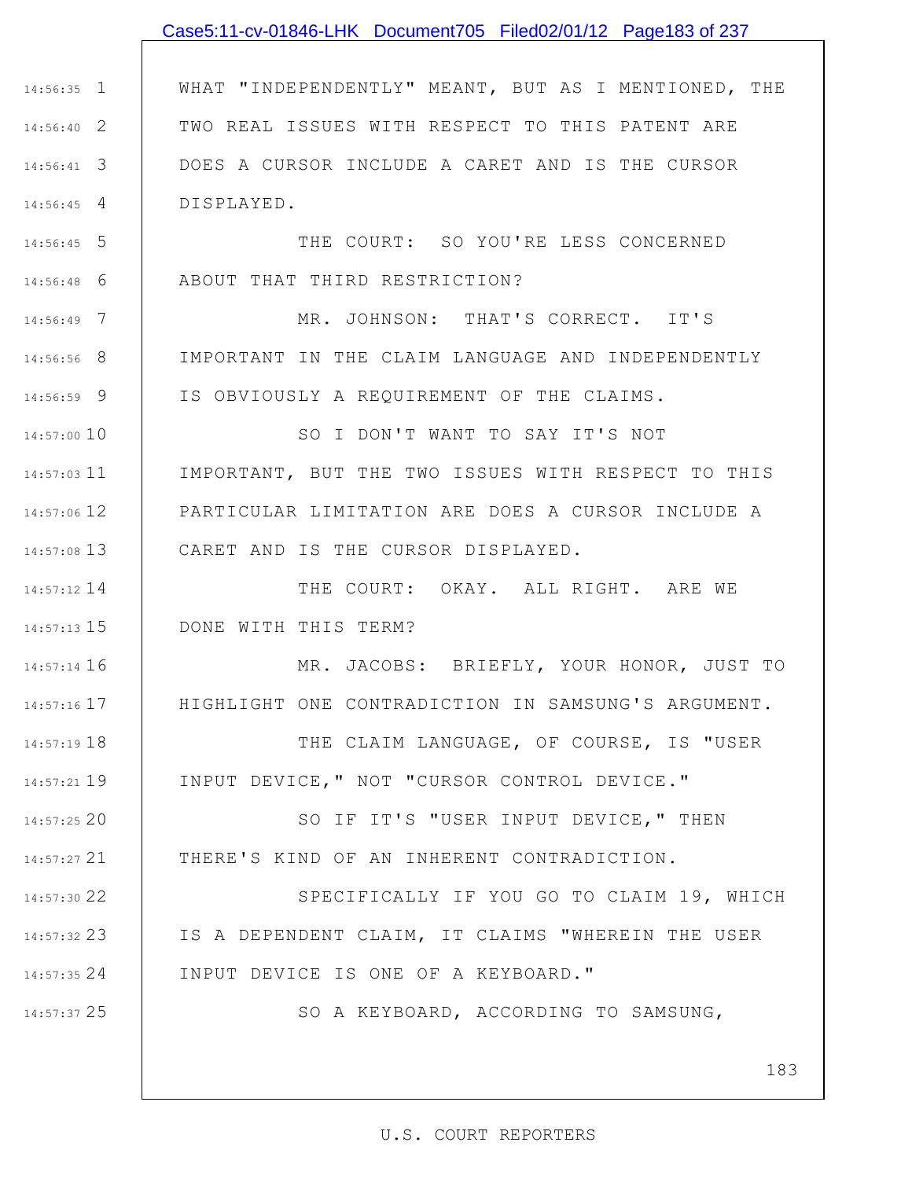#### Case5:11-cv-01846-LHK Document705 Filed02/01/12 Page183 of 237

1 14:56:35 2 14:56:40 3 14:56:41 4 14:56:45 WHAT "INDEPENDENTLY" MEANT, BUT AS I MENTIONED, THE TWO REAL ISSUES WITH RESPECT TO THIS PATENT ARE DOES A CURSOR INCLUDE A CARET AND IS THE CURSOR DISPLAYED.

5 14:56:45 6 14:56:48 THE COURT: SO YOU'RE LESS CONCERNED ABOUT THAT THIRD RESTRICTION?

7 14:56:49 8 14:56:56 9 14:56:59 MR. JOHNSON: THAT'S CORRECT. IT'S IMPORTANT IN THE CLAIM LANGUAGE AND INDEPENDENTLY IS OBVIOUSLY A REQUIREMENT OF THE CLAIMS.

14:57:00 10 11 14:57:03 12 14:57:06 13 14:57:08 SO I DON'T WANT TO SAY IT'S NOT IMPORTANT, BUT THE TWO ISSUES WITH RESPECT TO THIS PARTICULAR LIMITATION ARE DOES A CURSOR INCLUDE A CARET AND IS THE CURSOR DISPLAYED.

14 14:57:12 15 14:57:13 THE COURT: OKAY. ALL RIGHT. ARE WE DONE WITH THIS TERM?

16 14:57:14 17 14:57:16 MR. JACOBS: BRIEFLY, YOUR HONOR, JUST TO HIGHLIGHT ONE CONTRADICTION IN SAMSUNG'S ARGUMENT.

18 14:57:19 19 14:57:21 THE CLAIM LANGUAGE, OF COURSE, IS "USER INPUT DEVICE," NOT "CURSOR CONTROL DEVICE."

20 14:57:25 21 14:57:27 SO IF IT'S "USER INPUT DEVICE," THEN THERE'S KIND OF AN INHERENT CONTRADICTION.

22 14:57:30 23 14:57:32 24 14:57:35 SPECIFICALLY IF YOU GO TO CLAIM 19, WHICH IS A DEPENDENT CLAIM, IT CLAIMS "WHEREIN THE USER INPUT DEVICE IS ONE OF A KEYBOARD."

25 14:57:37

SO A KEYBOARD, ACCORDING TO SAMSUNG,

183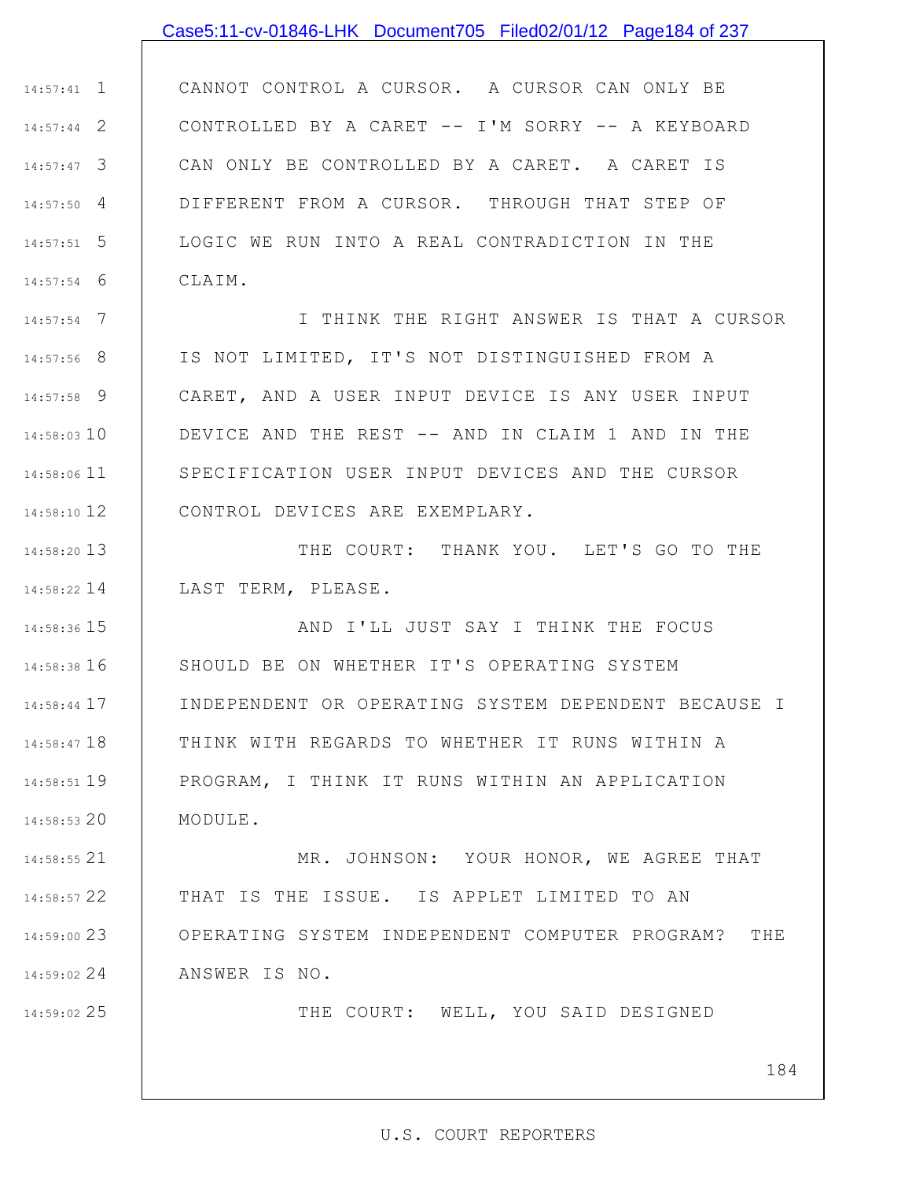#### Case5:11-cv-01846-LHK Document705 Filed02/01/12 Page184 of 237

1 14:57:41 2 14:57:44 3 14:57:47 4 14:57:50 5 14:57:51 6 14:57:54 CANNOT CONTROL A CURSOR. A CURSOR CAN ONLY BE CONTROLLED BY A CARET -- I'M SORRY -- A KEYBOARD CAN ONLY BE CONTROLLED BY A CARET. A CARET IS DIFFERENT FROM A CURSOR. THROUGH THAT STEP OF LOGIC WE RUN INTO A REAL CONTRADICTION IN THE CLAIM.

7 14:57:54 8 14:57:56 9 14:57:58 14:58:03 10 11 14:58:06 12 14:58:10 I THINK THE RIGHT ANSWER IS THAT A CURSOR IS NOT LIMITED, IT'S NOT DISTINGUISHED FROM A CARET, AND A USER INPUT DEVICE IS ANY USER INPUT DEVICE AND THE REST -- AND IN CLAIM 1 AND IN THE SPECIFICATION USER INPUT DEVICES AND THE CURSOR CONTROL DEVICES ARE EXEMPLARY.

13 14:58:20 14 14:58:22 THE COURT: THANK YOU. LET'S GO TO THE LAST TERM, PLEASE.

15 14:58:36 16 14:58:38 17 14:58:44 18 14:58:47 19 14:58:51 20 14:58:53 AND I'LL JUST SAY I THINK THE FOCUS SHOULD BE ON WHETHER IT'S OPERATING SYSTEM INDEPENDENT OR OPERATING SYSTEM DEPENDENT BECAUSE I THINK WITH REGARDS TO WHETHER IT RUNS WITHIN A PROGRAM, I THINK IT RUNS WITHIN AN APPLICATION MODULE.

21 14:58:55 22 14:58:57 23 14:59:00 24 14:59:02 MR. JOHNSON: YOUR HONOR, WE AGREE THAT THAT IS THE ISSUE. IS APPLET LIMITED TO AN OPERATING SYSTEM INDEPENDENT COMPUTER PROGRAM? THE ANSWER IS NO.

25 14:59:02

THE COURT: WELL, YOU SAID DESIGNED

184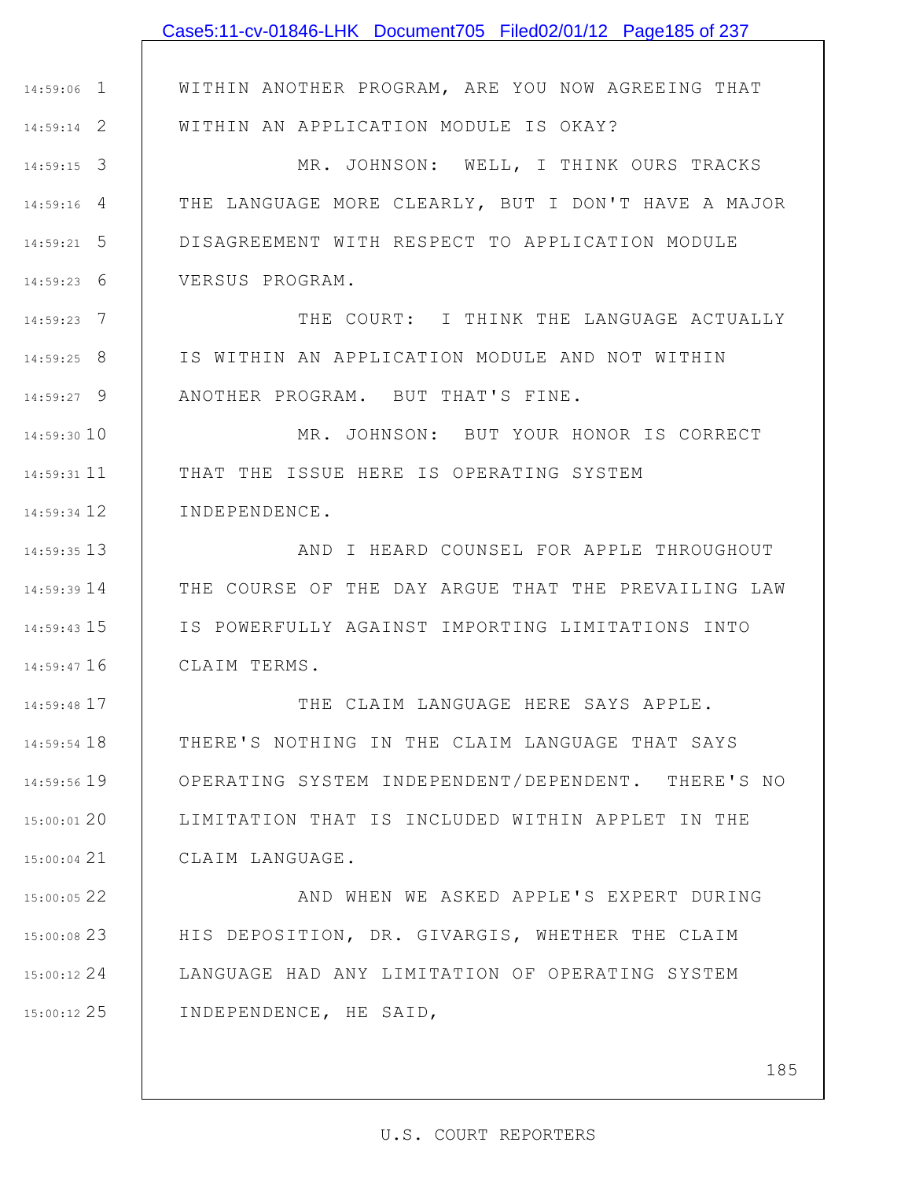|               | Case5:11-cv-01846-LHK Document705 Filed02/01/12 Page185 of 237 |
|---------------|----------------------------------------------------------------|
|               |                                                                |
| $14:59:06$ 1  | WITHIN ANOTHER PROGRAM, ARE YOU NOW AGREEING THAT              |
| $14:59:14$ 2  | WITHIN AN APPLICATION MODULE IS OKAY?                          |
| $14:59:15$ 3  | MR. JOHNSON: WELL, I THINK OURS TRACKS                         |
| $14:59:16$ 4  | THE LANGUAGE MORE CLEARLY, BUT I DON'T HAVE A MAJOR            |
| $14:59:21$ 5  | DISAGREEMENT WITH RESPECT TO APPLICATION MODULE                |
| $14:59:23$ 6  | VERSUS PROGRAM.                                                |
| $14:59:23$ 7  | THE COURT: I THINK THE LANGUAGE ACTUALLY                       |
| $14:59:25$ 8  | IS WITHIN AN APPLICATION MODULE AND NOT WITHIN                 |
| $14:59:27$ 9  | ANOTHER PROGRAM. BUT THAT'S FINE.                              |
| 14:59:30 10   | MR. JOHNSON: BUT YOUR HONOR IS CORRECT                         |
| 14:59:31 11   | THAT THE ISSUE HERE IS OPERATING SYSTEM                        |
| 14:59:34 12   | INDEPENDENCE.                                                  |
| 14:59:35 13   | AND I HEARD COUNSEL FOR APPLE THROUGHOUT                       |
| 14:59:39 14   | THE COURSE OF THE DAY ARGUE THAT THE PREVAILING LAW            |
| 14:59:43 15   | IS POWERFULLY AGAINST IMPORTING LIMITATIONS INTO               |
| 14:59:47 16   | CLAIM TERMS.                                                   |
| 14:59:48 17   | THE CLAIM LANGUAGE HERE SAYS APPLE.                            |
| $14:59:54$ 18 | THERE'S NOTHING IN THE CLAIM LANGUAGE THAT SAYS                |
| 14:59:56 19   | OPERATING SYSTEM INDEPENDENT/DEPENDENT. THERE'S NO             |
| 15:00:01 20   | LIMITATION THAT IS INCLUDED WITHIN APPLET IN THE               |
| $15:00:04$ 21 | CLAIM LANGUAGE.                                                |
| 15:00:05 22   | AND WHEN WE ASKED APPLE'S EXPERT DURING                        |
| 15:00:0823    | HIS DEPOSITION, DR. GIVARGIS, WHETHER THE CLAIM                |
| $15:00:12$ 24 | LANGUAGE HAD ANY LIMITATION OF OPERATING SYSTEM                |
| 15:00:12 25   | INDEPENDENCE, HE SAID,                                         |
|               |                                                                |
|               | 185                                                            |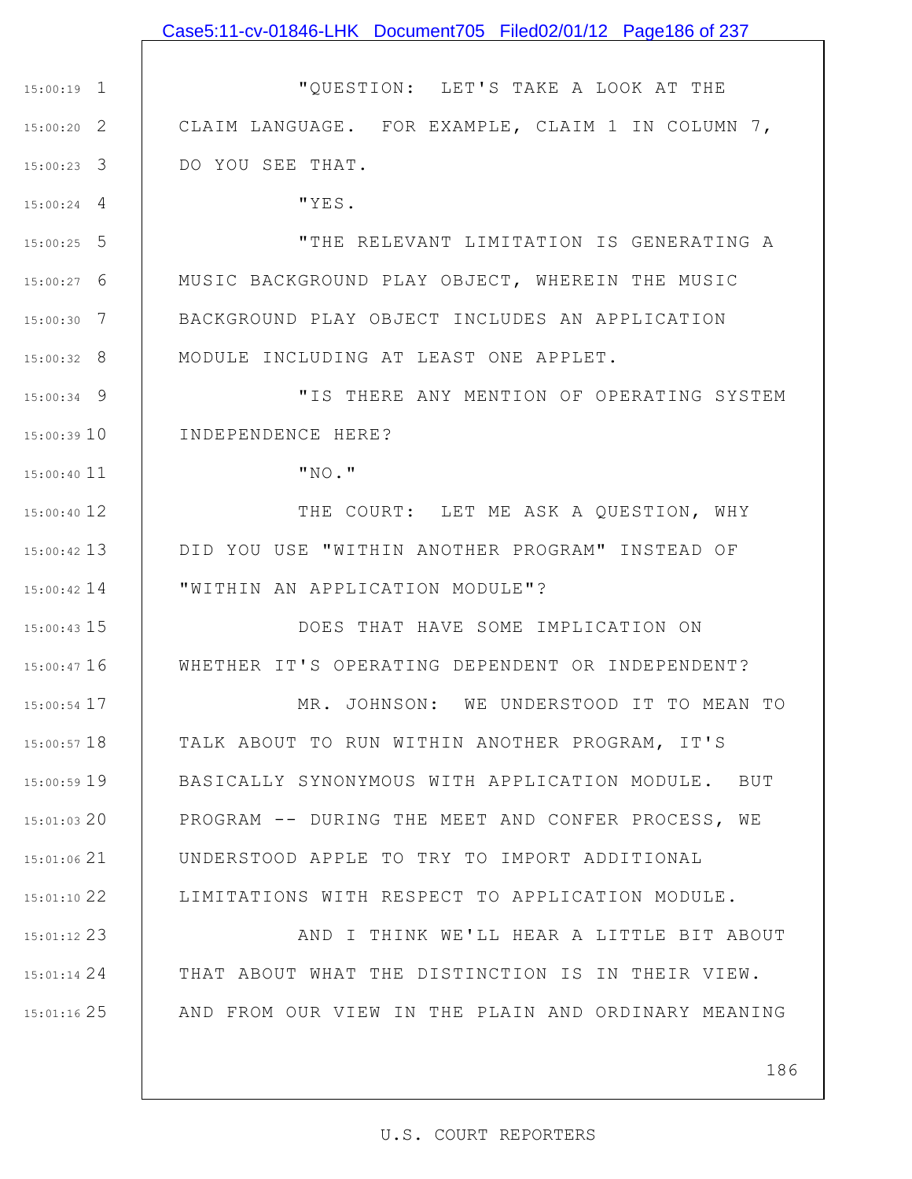### Case5:11-cv-01846-LHK Document705 Filed02/01/12 Page186 of 237

1 15:00:19 2 15:00:20 3 15:00:23 "QUESTION: LET'S TAKE A LOOK AT THE CLAIM LANGUAGE. FOR EXAMPLE, CLAIM 1 IN COLUMN 7, DO YOU SEE THAT.

"YES.

4 15:00:24

11 15:00:40

5 15:00:25 6 15:00:27 7 15:00:30 8 15:00:32 "THE RELEVANT LIMITATION IS GENERATING A MUSIC BACKGROUND PLAY OBJECT, WHEREIN THE MUSIC BACKGROUND PLAY OBJECT INCLUDES AN APPLICATION MODULE INCLUDING AT LEAST ONE APPLET.

9 15:00:34 15:00:39 10 "IS THERE ANY MENTION OF OPERATING SYSTEM INDEPENDENCE HERE?

"NO."

12 15:00:40 13 15:00:42 14 15:00:42 THE COURT: LET ME ASK A QUESTION, WHY DID YOU USE "WITHIN ANOTHER PROGRAM" INSTEAD OF "WITHIN AN APPLICATION MODULE"?

15 15:00:43 16 15:00:47 DOES THAT HAVE SOME IMPLICATION ON WHETHER IT'S OPERATING DEPENDENT OR INDEPENDENT?

17 15:00:54 18 15:00:57 19 15:00:59 20 15:01:03 21 15:01:06 22 15:01:10 MR. JOHNSON: WE UNDERSTOOD IT TO MEAN TO TALK ABOUT TO RUN WITHIN ANOTHER PROGRAM, IT'S BASICALLY SYNONYMOUS WITH APPLICATION MODULE. BUT PROGRAM -- DURING THE MEET AND CONFER PROCESS, WE UNDERSTOOD APPLE TO TRY TO IMPORT ADDITIONAL LIMITATIONS WITH RESPECT TO APPLICATION MODULE.

23 15:01:12 24 15:01:14 25 15:01:16 AND I THINK WE'LL HEAR A LITTLE BIT ABOUT THAT ABOUT WHAT THE DISTINCTION IS IN THEIR VIEW. AND FROM OUR VIEW IN THE PLAIN AND ORDINARY MEANING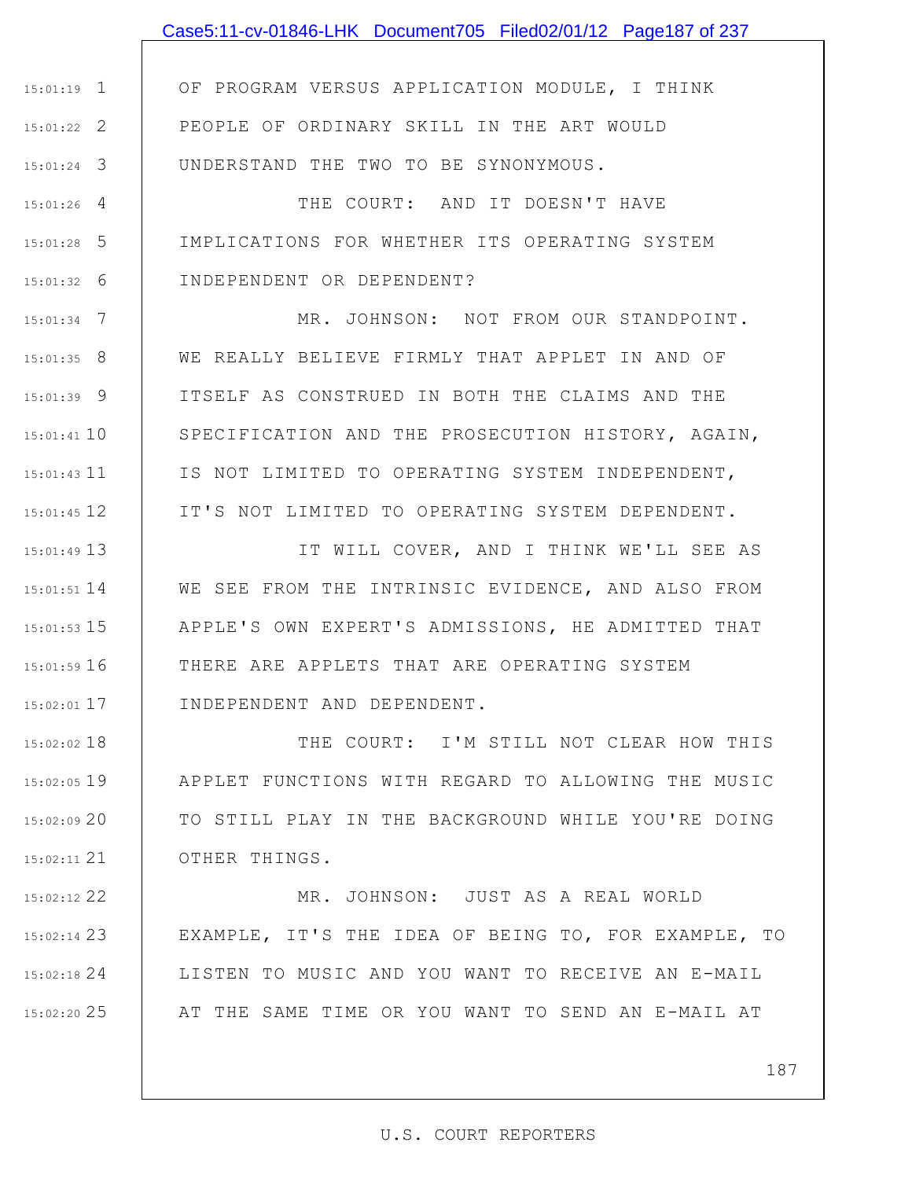# Case5:11-cv-01846-LHK Document705 Filed02/01/12 Page187 of 237

1 15:01:19 2 15:01:22 3 15:01:24 OF PROGRAM VERSUS APPLICATION MODULE, I THINK PEOPLE OF ORDINARY SKILL IN THE ART WOULD UNDERSTAND THE TWO TO BE SYNONYMOUS.

4 15:01:26 5 15:01:28 6 15:01:32 THE COURT: AND IT DOESN'T HAVE IMPLICATIONS FOR WHETHER ITS OPERATING SYSTEM INDEPENDENT OR DEPENDENT?

7 15:01:34 8 15:01:35 9 15:01:39 15:01:41 10 15:01:43 11 12 15:01:45 MR. JOHNSON: NOT FROM OUR STANDPOINT. WE REALLY BELIEVE FIRMLY THAT APPLET IN AND OF ITSELF AS CONSTRUED IN BOTH THE CLAIMS AND THE SPECIFICATION AND THE PROSECUTION HISTORY, AGAIN, IS NOT LIMITED TO OPERATING SYSTEM INDEPENDENT, IT'S NOT LIMITED TO OPERATING SYSTEM DEPENDENT.

13 15:01:49 14 15:01:51 WE SEE FROM THE INTRINSIC EVIDENCE, AND ALSO FROM 15 15:01:53 16 15:01:59 17 15:02:01 IT WILL COVER, AND I THINK WE'LL SEE AS APPLE'S OWN EXPERT'S ADMISSIONS, HE ADMITTED THAT THERE ARE APPLETS THAT ARE OPERATING SYSTEM INDEPENDENT AND DEPENDENT.

18 15:02:02 19 15:02:05 20 15:02:09 21 15:02:11 THE COURT: I'M STILL NOT CLEAR HOW THIS APPLET FUNCTIONS WITH REGARD TO ALLOWING THE MUSIC TO STILL PLAY IN THE BACKGROUND WHILE YOU'RE DOING OTHER THINGS.

22 15:02:12 23 15:02:14 24 15:02:18 25 15:02:20 MR. JOHNSON: JUST AS A REAL WORLD EXAMPLE, IT'S THE IDEA OF BEING TO, FOR EXAMPLE, TO LISTEN TO MUSIC AND YOU WANT TO RECEIVE AN E-MAIL AT THE SAME TIME OR YOU WANT TO SEND AN E-MAIL AT

187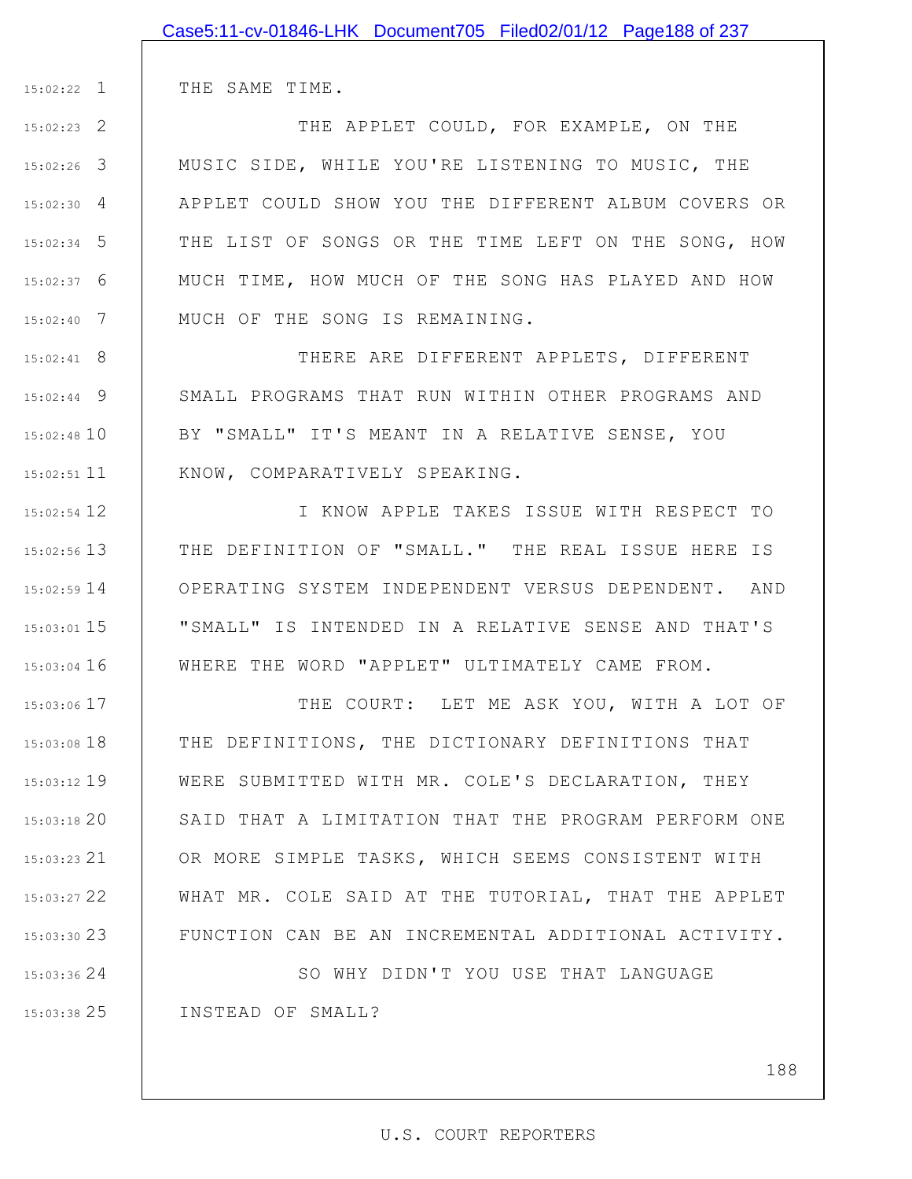THE SAME TIME.

1 15:02:22

2 15:02:23

3 15:02:26

4 15:02:30

5 15:02:34

6 15:02:37

7 15:02:40

THE APPLET COULD, FOR EXAMPLE, ON THE MUSIC SIDE, WHILE YOU'RE LISTENING TO MUSIC, THE APPLET COULD SHOW YOU THE DIFFERENT ALBUM COVERS OR THE LIST OF SONGS OR THE TIME LEFT ON THE SONG, HOW MUCH TIME, HOW MUCH OF THE SONG HAS PLAYED AND HOW MUCH OF THE SONG IS REMAINING.

8 15:02:41 9 15:02:44 15:02:48 10 11 15:02:51 THERE ARE DIFFERENT APPLETS, DIFFERENT SMALL PROGRAMS THAT RUN WITHIN OTHER PROGRAMS AND BY "SMALL" IT'S MEANT IN A RELATIVE SENSE, YOU KNOW, COMPARATIVELY SPEAKING.

12 15:02:54 13 15:02:56 14 15:02:59 15 15:03:01 16 15:03:04 I KNOW APPLE TAKES ISSUE WITH RESPECT TO THE DEFINITION OF "SMALL." THE REAL ISSUE HERE IS OPERATING SYSTEM INDEPENDENT VERSUS DEPENDENT. AND "SMALL" IS INTENDED IN A RELATIVE SENSE AND THAT'S WHERE THE WORD "APPLET" ULTIMATELY CAME FROM.

17 15:03:06 18 15:03:08 19 15:03:12 20 15:03:18 21 15:03:23 22 15:03:27 23 15:03:30 THE COURT: LET ME ASK YOU, WITH A LOT OF THE DEFINITIONS, THE DICTIONARY DEFINITIONS THAT WERE SUBMITTED WITH MR. COLE'S DECLARATION, THEY SAID THAT A LIMITATION THAT THE PROGRAM PERFORM ONE OR MORE SIMPLE TASKS, WHICH SEEMS CONSISTENT WITH WHAT MR. COLE SAID AT THE TUTORIAL, THAT THE APPLET FUNCTION CAN BE AN INCREMENTAL ADDITIONAL ACTIVITY.

24 15:03:36 25 15:03:38 SO WHY DIDN'T YOU USE THAT LANGUAGE INSTEAD OF SMALL?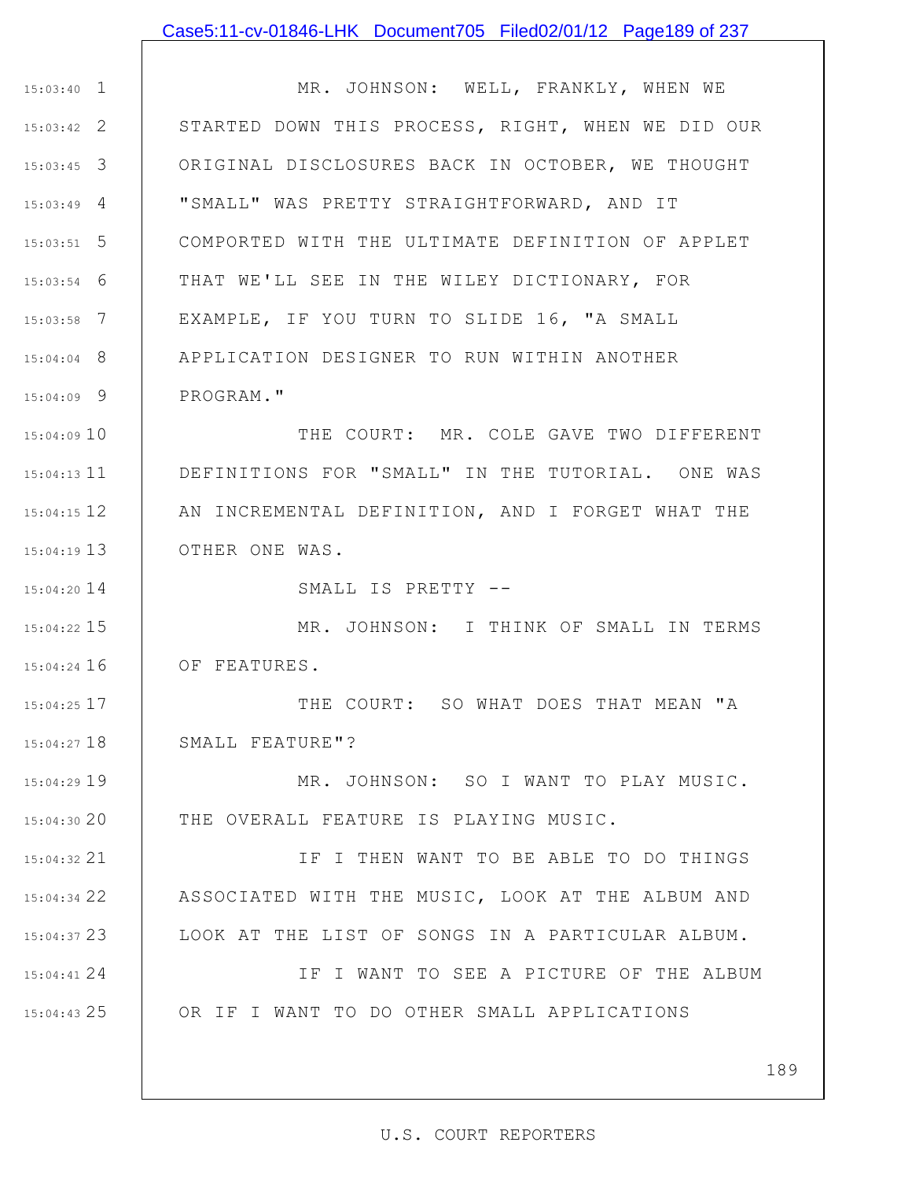### Case5:11-cv-01846-LHK Document705 Filed02/01/12 Page189 of 237

1 15:03:40 2 15:03:42 3 15:03:45 4 15:03:49 5 15:03:51 6 15:03:54 7 15:03:58 8 15:04:04 9 15:04:09 MR. JOHNSON: WELL, FRANKLY, WHEN WE STARTED DOWN THIS PROCESS, RIGHT, WHEN WE DID OUR ORIGINAL DISCLOSURES BACK IN OCTOBER, WE THOUGHT "SMALL" WAS PRETTY STRAIGHTFORWARD, AND IT COMPORTED WITH THE ULTIMATE DEFINITION OF APPLET THAT WE'LL SEE IN THE WILEY DICTIONARY, FOR EXAMPLE, IF YOU TURN TO SLIDE 16, "A SMALL APPLICATION DESIGNER TO RUN WITHIN ANOTHER PROGRAM."

15:04:09 10 15:04:13 11 12 15:04:15 13 15:04:19 THE COURT: MR. COLE GAVE TWO DIFFERENT DEFINITIONS FOR "SMALL" IN THE TUTORIAL. ONE WAS AN INCREMENTAL DEFINITION, AND I FORGET WHAT THE OTHER ONE WAS.

SMALL IS PRETTY --

14 15:04:20

15 15:04:22 16 15:04:24 MR. JOHNSON: I THINK OF SMALL IN TERMS OF FEATURES.

17 15:04:25 18 15:04:27 THE COURT: SO WHAT DOES THAT MEAN "A SMALL FEATURE"?

19 15:04:29 20 15:04:30 MR. JOHNSON: SO I WANT TO PLAY MUSIC. THE OVERALL FEATURE IS PLAYING MUSIC.

21 15:04:32 22 15:04:34 23 15:04:37 IF I THEN WANT TO BE ABLE TO DO THINGS ASSOCIATED WITH THE MUSIC, LOOK AT THE ALBUM AND LOOK AT THE LIST OF SONGS IN A PARTICULAR ALBUM.

24 15:04:41 25 15:04:43 IF I WANT TO SEE A PICTURE OF THE ALBUM OR IF I WANT TO DO OTHER SMALL APPLICATIONS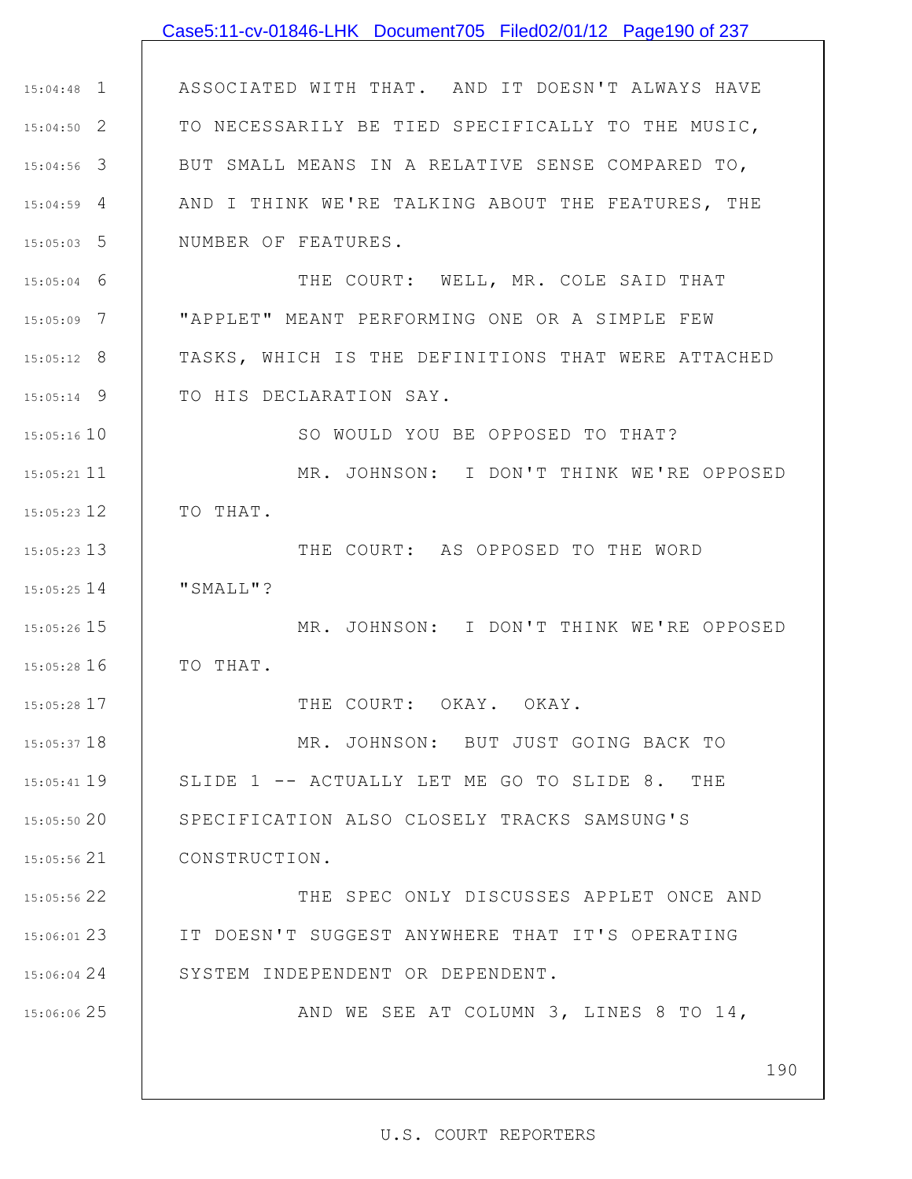|               | Case5:11-cv-01846-LHK Document705 Filed02/01/12 Page190 of 237 |
|---------------|----------------------------------------------------------------|
|               |                                                                |
| $15:04:48$ 1  | ASSOCIATED WITH THAT. AND IT DOESN'T ALWAYS HAVE               |
| $15:04:50$ 2  | TO NECESSARILY BE TIED SPECIFICALLY TO THE MUSIC,              |
| $15:04:56$ 3  | BUT SMALL MEANS IN A RELATIVE SENSE COMPARED TO,               |
| $15:04:59$ 4  | AND I THINK WE'RE TALKING ABOUT THE FEATURES, THE              |
| $15:05:03$ 5  | NUMBER OF FEATURES.                                            |
| $15:05:04$ 6  | THE COURT: WELL, MR. COLE SAID THAT                            |
| $15:05:09$ 7  | "APPLET" MEANT PERFORMING ONE OR A SIMPLE FEW                  |
| $15:05:12$ 8  | TASKS, WHICH IS THE DEFINITIONS THAT WERE ATTACHED             |
| $15:05:14$ 9  | TO HIS DECLARATION SAY.                                        |
| $15:05:16$ 10 | SO WOULD YOU BE OPPOSED TO THAT?                               |
| $15:05:21$ 11 | MR. JOHNSON: I DON'T THINK WE'RE OPPOSED                       |
| 15:05:23 12   | TO THAT.                                                       |
| 15:05:23 13   | THE COURT: AS OPPOSED TO THE WORD                              |
| 15:05:25 14   | "SMALL"?                                                       |
| 15:05:26 15   | MR. JOHNSON: I DON'T THINK WE'RE OPPOSED                       |
| 15:05:28 16   | TO THAT.                                                       |
| 15:05:28 17   | THE COURT: OKAY. OKAY.                                         |
| $15:05:37$ 18 | MR. JOHNSON: BUT JUST GOING BACK TO                            |
| 15:05:41 19   | SLIDE 1 -- ACTUALLY LET ME GO TO SLIDE 8. THE                  |
| 15:05:50 20   | SPECIFICATION ALSO CLOSELY TRACKS SAMSUNG'S                    |
| $15:05:56$ 21 | CONSTRUCTION.                                                  |
| 15:05:56 22   | THE SPEC ONLY DISCUSSES APPLET ONCE AND                        |
| $15:06:01$ 23 | IT DOESN'T SUGGEST ANYWHERE THAT IT'S OPERATING                |
| 15:06:04 24   | SYSTEM INDEPENDENT OR DEPENDENT.                               |
| 15:06:06 25   | AND WE SEE AT COLUMN 3, LINES 8 TO 14,                         |
|               |                                                                |
|               | 190                                                            |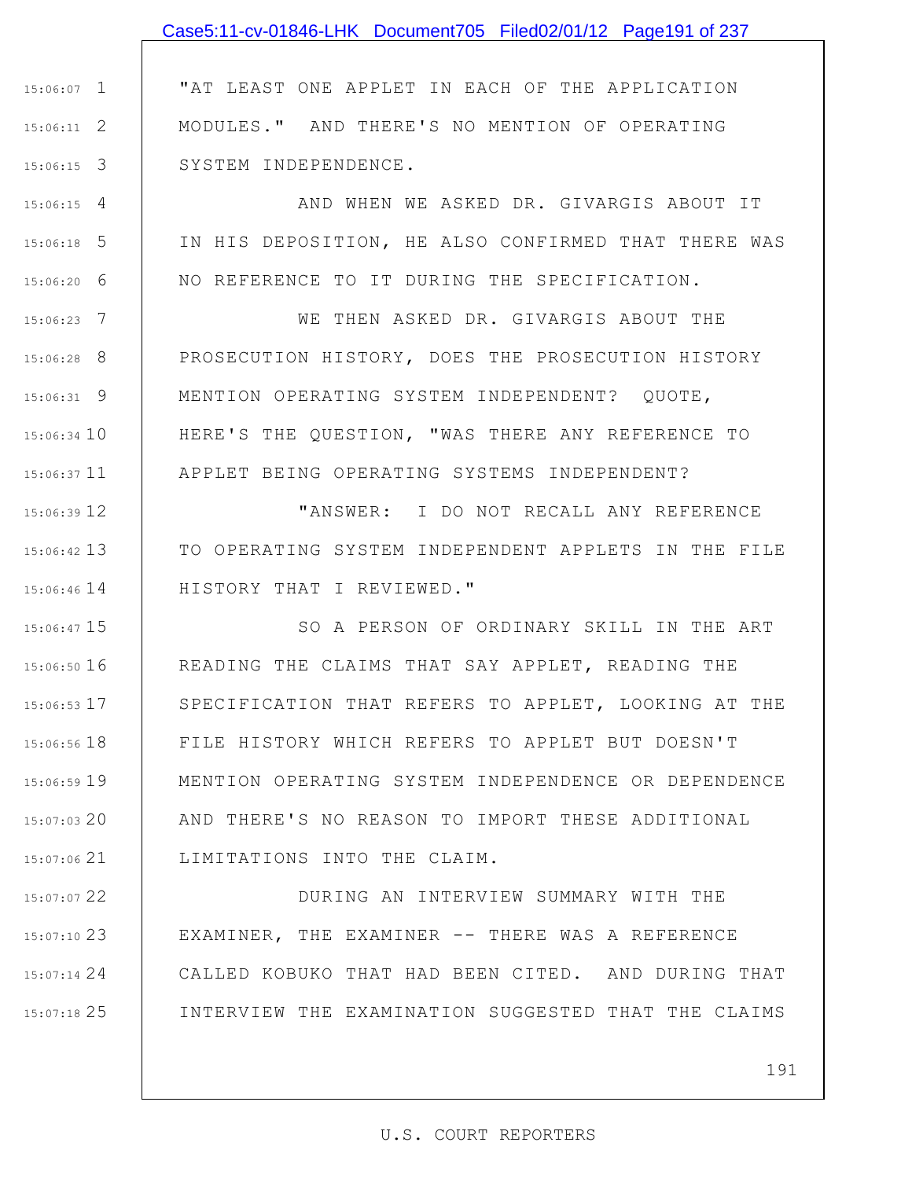## Case5:11-cv-01846-LHK Document705 Filed02/01/12 Page191 of 237

1 15:06:07 2 15:06:11 3 15:06:15 "AT LEAST ONE APPLET IN EACH OF THE APPLICATION MODULES." AND THERE'S NO MENTION OF OPERATING SYSTEM INDEPENDENCE.

4 15:06:15 5 15:06:18 6 15:06:20 AND WHEN WE ASKED DR. GIVARGIS ABOUT IT IN HIS DEPOSITION, HE ALSO CONFIRMED THAT THERE WAS NO REFERENCE TO IT DURING THE SPECIFICATION.

7 15:06:23 8 15:06:28 9 15:06:31 15:06:34 10 15:06:37 11 WE THEN ASKED DR. GIVARGIS ABOUT THE PROSECUTION HISTORY, DOES THE PROSECUTION HISTORY MENTION OPERATING SYSTEM INDEPENDENT? QUOTE, HERE'S THE QUESTION, "WAS THERE ANY REFERENCE TO APPLET BEING OPERATING SYSTEMS INDEPENDENT?

12 15:06:39 13 15:06:42 15:06:46 14 | HISTORY THAT I REVIEWED." "ANSWER: I DO NOT RECALL ANY REFERENCE TO OPERATING SYSTEM INDEPENDENT APPLETS IN THE FILE

15 15:06:47 16 15:06:50 17 15:06:53 18 15:06:56 19 15:06:59 20 15:07:03 21 15:07:06 SO A PERSON OF ORDINARY SKILL IN THE ART READING THE CLAIMS THAT SAY APPLET, READING THE SPECIFICATION THAT REFERS TO APPLET, LOOKING AT THE FILE HISTORY WHICH REFERS TO APPLET BUT DOESN'T MENTION OPERATING SYSTEM INDEPENDENCE OR DEPENDENCE AND THERE'S NO REASON TO IMPORT THESE ADDITIONAL LIMITATIONS INTO THE CLAIM.

22 15:07:07 23 15:07:10 24 15:07:14 25 15:07:18 DURING AN INTERVIEW SUMMARY WITH THE EXAMINER, THE EXAMINER -- THERE WAS A REFERENCE CALLED KOBUKO THAT HAD BEEN CITED. AND DURING THAT INTERVIEW THE EXAMINATION SUGGESTED THAT THE CLAIMS

191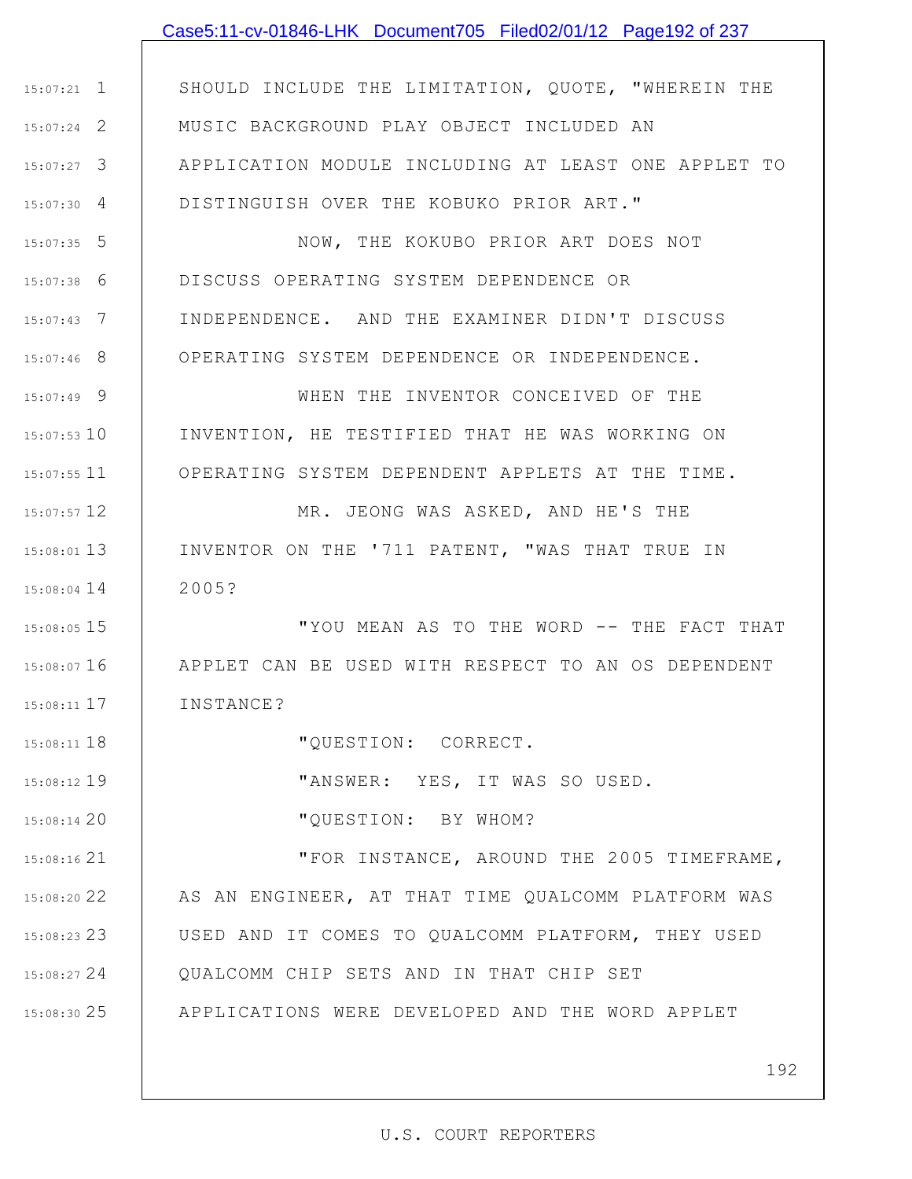### Case5:11-cv-01846-LHK Document705 Filed02/01/12 Page192 of 237

1 15:07:21 2 15:07:24 3 15:07:27 4 15:07:30 SHOULD INCLUDE THE LIMITATION, QUOTE, "WHEREIN THE MUSIC BACKGROUND PLAY OBJECT INCLUDED AN APPLICATION MODULE INCLUDING AT LEAST ONE APPLET TO DISTINGUISH OVER THE KOBUKO PRIOR ART."

5 15:07:35 6 15:07:38 7 15:07:43 8 15:07:46 NOW, THE KOKUBO PRIOR ART DOES NOT DISCUSS OPERATING SYSTEM DEPENDENCE OR INDEPENDENCE. AND THE EXAMINER DIDN'T DISCUSS OPERATING SYSTEM DEPENDENCE OR INDEPENDENCE.

9 15:07:49

10 15:07:53

11 15:07:55

18 15:08:11

19 15:08:12

20 15:08:14

WHEN THE INVENTOR CONCEIVED OF THE INVENTION, HE TESTIFIED THAT HE WAS WORKING ON OPERATING SYSTEM DEPENDENT APPLETS AT THE TIME.

12 15:07:57 13 15:08:01 14 15:08:04 MR. JEONG WAS ASKED, AND HE'S THE INVENTOR ON THE '711 PATENT, "WAS THAT TRUE IN 2005?

15 15:08:05 16 15:08:07 17 15:08:11 "YOU MEAN AS TO THE WORD -- THE FACT THAT APPLET CAN BE USED WITH RESPECT TO AN OS DEPENDENT INSTANCE?

"QUESTION: CORRECT.

"ANSWER: YES, IT WAS SO USED.

"QUESTION: BY WHOM?

21 15:08:16 22 15:08:20 23 15:08:23 USED AND IT COMES TO QUALCOMM PLATFORM, THEY USED 24 15:08:27 25 15:08:30 "FOR INSTANCE, AROUND THE 2005 TIMEFRAME, AS AN ENGINEER, AT THAT TIME QUALCOMM PLATFORM WAS QUALCOMM CHIP SETS AND IN THAT CHIP SET APPLICATIONS WERE DEVELOPED AND THE WORD APPLET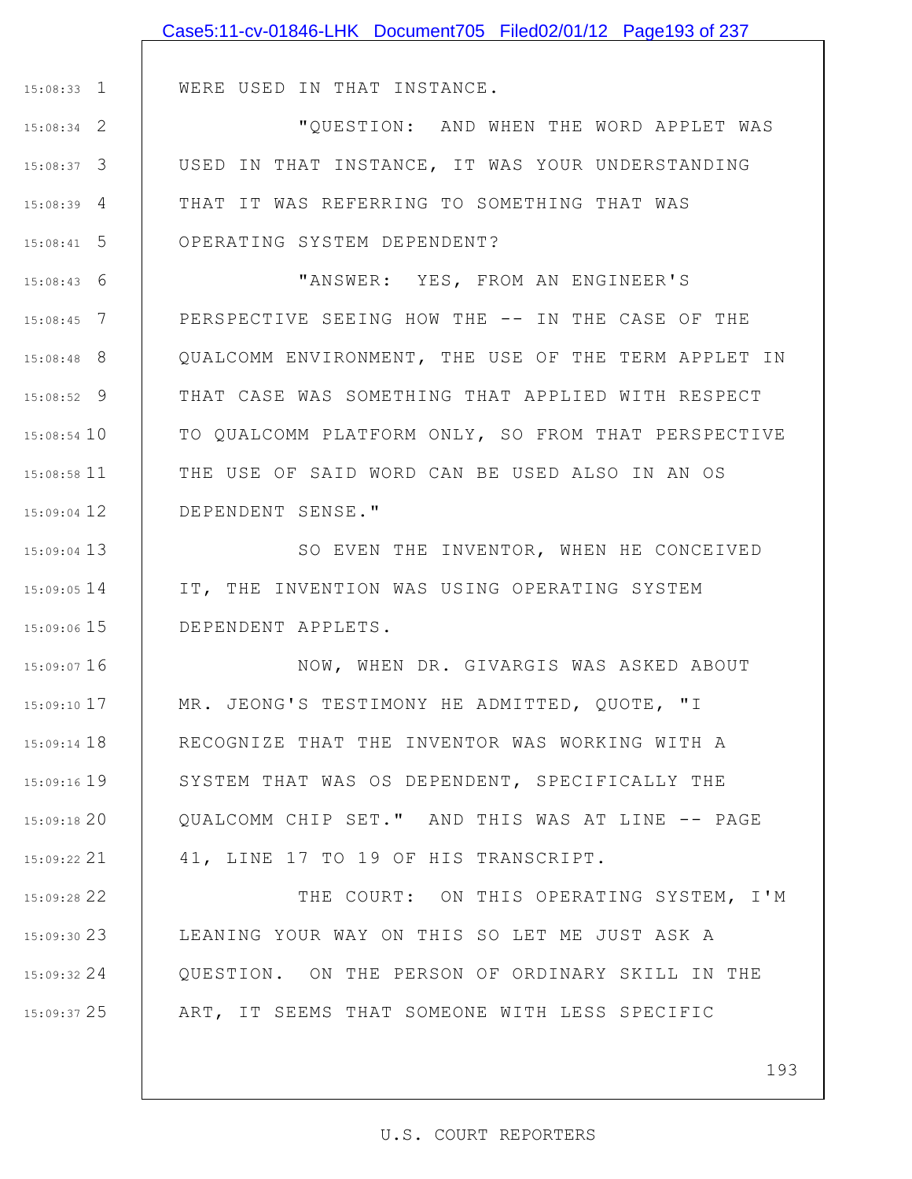|               | Case5:11-cv-01846-LHK Document705 Filed02/01/12 Page193 of 237 |
|---------------|----------------------------------------------------------------|
|               |                                                                |
| $15:08:33$ 1  | WERE USED IN THAT INSTANCE.                                    |
| $15:08:34$ 2  | "QUESTION: AND WHEN THE WORD APPLET WAS                        |
| $15:08:37$ 3  | USED IN THAT INSTANCE, IT WAS YOUR UNDERSTANDING               |
| $15:08:39$ 4  | THAT IT WAS REFERRING TO SOMETHING THAT WAS                    |
| $15:08:41$ 5  | OPERATING SYSTEM DEPENDENT?                                    |
| $15:08:43$ 6  | "ANSWER: YES, FROM AN ENGINEER'S                               |
| $15:08:45$ 7  | PERSPECTIVE SEEING HOW THE -- IN THE CASE OF THE               |
| $15:08:48$ 8  | QUALCOMM ENVIRONMENT, THE USE OF THE TERM APPLET IN            |
| $15:08:52$ 9  | THAT CASE WAS SOMETHING THAT APPLIED WITH RESPECT              |
| 15:08:54 10   | TO QUALCOMM PLATFORM ONLY, SO FROM THAT PERSPECTIVE            |
| 15:08:58 11   | THE USE OF SAID WORD CAN BE USED ALSO IN AN OS                 |
| 15:09:04 12   | DEPENDENT SENSE."                                              |
| 15:09:04 13   | SO EVEN THE INVENTOR, WHEN HE CONCEIVED                        |
| $15:09:05$ 14 | IT, THE INVENTION WAS USING OPERATING SYSTEM                   |
| $15:09:06$ 15 | DEPENDENT APPLETS.                                             |
| 15:09:07 16   | NOW, WHEN DR. GIVARGIS WAS ASKED ABOUT                         |
| $15:09:10$ 17 | MR. JEONG'S TESTIMONY HE ADMITTED, QUOTE, "I                   |
| $15:09:14$ 18 | RECOGNIZE THAT THE INVENTOR WAS WORKING WITH A                 |
| $15:09:16$ 19 | SYSTEM THAT WAS OS DEPENDENT, SPECIFICALLY THE                 |
| 15:09:18 20   | QUALCOMM CHIP SET." AND THIS WAS AT LINE -- PAGE               |
| 15:09:22 21   | 41, LINE 17 TO 19 OF HIS TRANSCRIPT.                           |
| 15:09:28 22   | THE COURT: ON THIS OPERATING SYSTEM, I'M                       |
| 15:09:3023    | LEANING YOUR WAY ON THIS SO LET ME JUST ASK A                  |
| $15:09:32$ 24 | QUESTION. ON THE PERSON OF ORDINARY SKILL IN THE               |
| 15:09:37 25   | ART, IT SEEMS THAT SOMEONE WITH LESS SPECIFIC                  |
|               |                                                                |
|               | 193                                                            |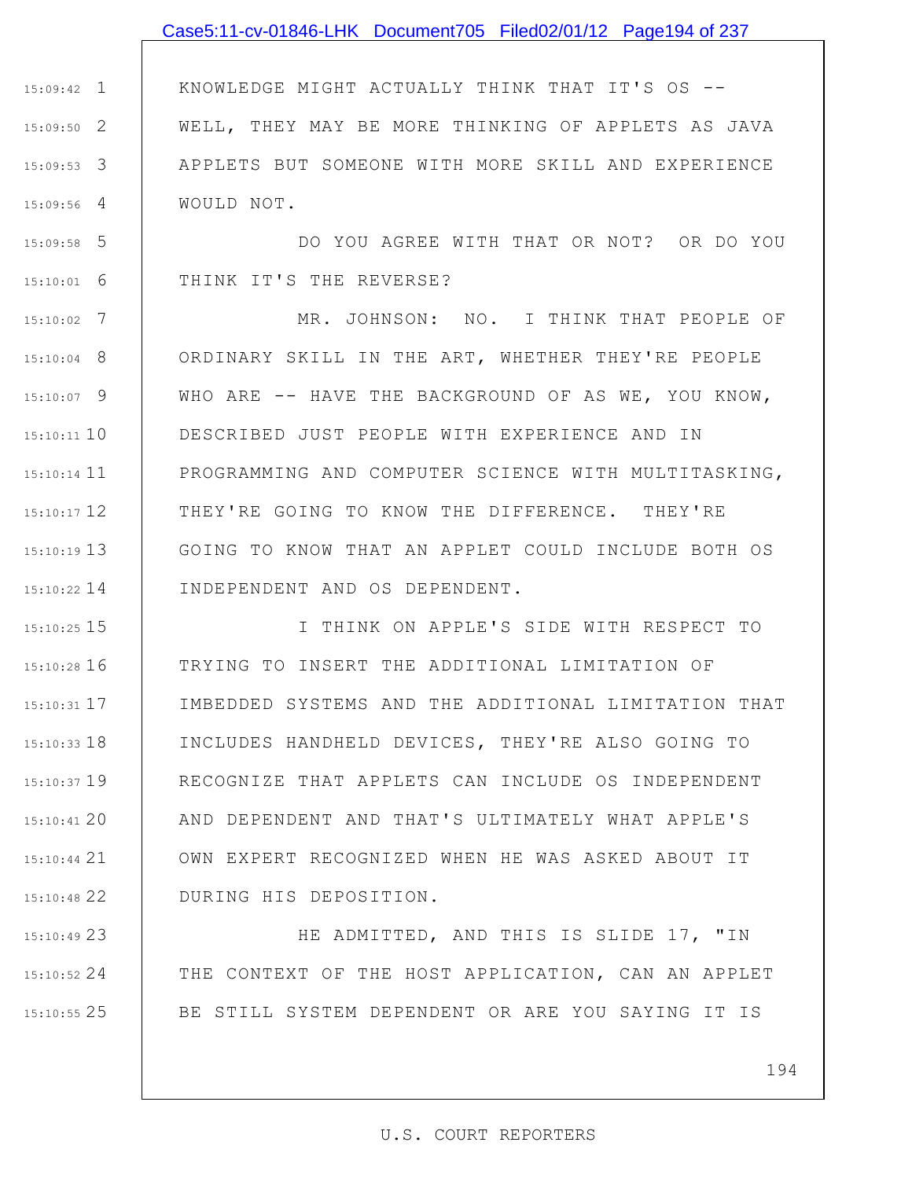#### Case5:11-cv-01846-LHK Document705 Filed02/01/12 Page194 of 237

1 15:09:42 2 15:09:50 3 15:09:53 4 15:09:56 KNOWLEDGE MIGHT ACTUALLY THINK THAT IT'S OS -- WELL, THEY MAY BE MORE THINKING OF APPLETS AS JAVA APPLETS BUT SOMEONE WITH MORE SKILL AND EXPERIENCE WOULD NOT.

5 15:09:58 6 15:10:01 DO YOU AGREE WITH THAT OR NOT? OR DO YOU THINK IT'S THE REVERSE?

7 15:10:02 8 15:10:04 9 15:10:07 10 15:10:11 15:10:14 11 12 15:10:17 13 15:10:19 14 15:10:22 MR. JOHNSON: NO. I THINK THAT PEOPLE OF ORDINARY SKILL IN THE ART, WHETHER THEY'RE PEOPLE WHO ARE -- HAVE THE BACKGROUND OF AS WE, YOU KNOW, DESCRIBED JUST PEOPLE WITH EXPERIENCE AND IN PROGRAMMING AND COMPUTER SCIENCE WITH MULTITASKING, THEY'RE GOING TO KNOW THE DIFFERENCE. THEY'RE GOING TO KNOW THAT AN APPLET COULD INCLUDE BOTH OS INDEPENDENT AND OS DEPENDENT.

15 15:10:25 16 15:10:28 17 15:10:31 18 15:10:33 19 15:10:37 20 15:10:41 21 15:10:44 22 15:10:48 I THINK ON APPLE'S SIDE WITH RESPECT TO TRYING TO INSERT THE ADDITIONAL LIMITATION OF IMBEDDED SYSTEMS AND THE ADDITIONAL LIMITATION THAT INCLUDES HANDHELD DEVICES, THEY'RE ALSO GOING TO RECOGNIZE THAT APPLETS CAN INCLUDE OS INDEPENDENT AND DEPENDENT AND THAT'S ULTIMATELY WHAT APPLE'S OWN EXPERT RECOGNIZED WHEN HE WAS ASKED ABOUT IT DURING HIS DEPOSITION.

23 15:10:49 24 15:10:52 25 15:10:55 HE ADMITTED, AND THIS IS SLIDE 17, "IN THE CONTEXT OF THE HOST APPLICATION, CAN AN APPLET BE STILL SYSTEM DEPENDENT OR ARE YOU SAYING IT IS

194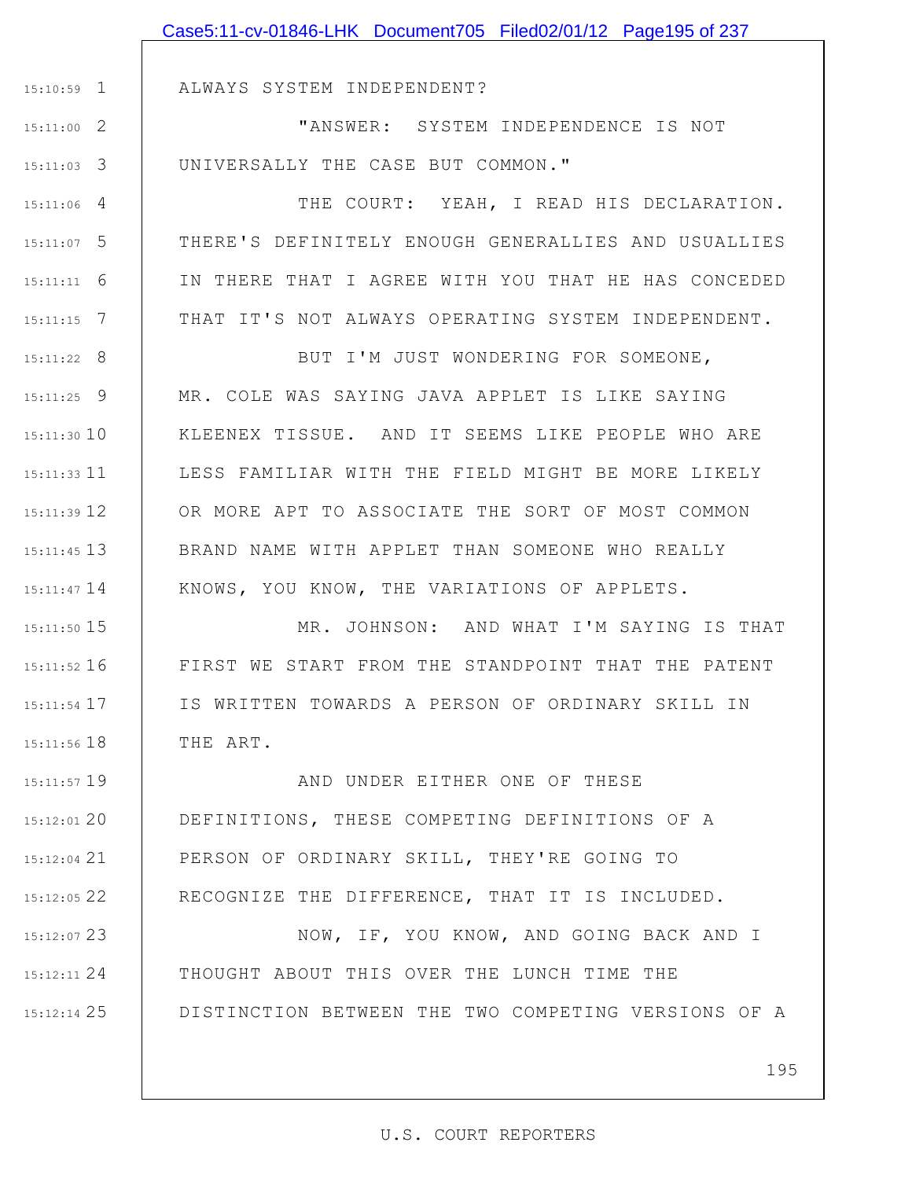|               | Case5:11-cv-01846-LHK Document705 Filed02/01/12 Page195 of 237 |
|---------------|----------------------------------------------------------------|
|               |                                                                |
| $15:10:59$ 1  | ALWAYS SYSTEM INDEPENDENT?                                     |
| $15:11:00$ 2  | "ANSWER: SYSTEM INDEPENDENCE IS NOT                            |
| $15:11:03$ 3  | UNIVERSALLY THE CASE BUT COMMON."                              |
| $15:11:06$ 4  | THE COURT: YEAH, I READ HIS DECLARATION.                       |
| $15:11:07$ 5  | THERE'S DEFINITELY ENOUGH GENERALLIES AND USUALLIES            |
| 6<br>15:11:11 | IN THERE THAT I AGREE WITH YOU THAT HE HAS CONCEDED            |
| 7<br>15:11:15 | THAT IT'S NOT ALWAYS OPERATING SYSTEM INDEPENDENT.             |
| $15:11:22$ 8  | BUT I'M JUST WONDERING FOR SOMEONE,                            |
| $15:11:25$ 9  | MR. COLE WAS SAYING JAVA APPLET IS LIKE SAYING                 |
| $15:11:30$ 10 | KLEENEX TISSUE. AND IT SEEMS LIKE PEOPLE WHO ARE               |
| $15:11:33$ 11 | LESS FAMILIAR WITH THE FIELD MIGHT BE MORE LIKELY              |
| 15:11:39 12   | OR MORE APT TO ASSOCIATE THE SORT OF MOST COMMON               |
| $15:11:45$ 13 | BRAND NAME WITH APPLET THAN SOMEONE WHO REALLY                 |
| 15:11:47 14   | KNOWS, YOU KNOW, THE VARIATIONS OF APPLETS.                    |
| $15:11:50$ 15 | MR. JOHNSON: AND WHAT I'M SAYING IS THAT                       |
| 15:11:52 16   | FIRST WE START FROM THE STANDPOINT THAT THE PATENT             |
| 15:11:54 17   | IS WRITTEN TOWARDS A PERSON OF ORDINARY SKILL IN               |
| 15:11:56 18   | THE ART.                                                       |
| $15:11:57$ 19 | AND UNDER EITHER ONE OF THESE                                  |
| $15:12:01$ 20 | DEFINITIONS, THESE COMPETING DEFINITIONS OF A                  |
| $15:12:04$ 21 | PERSON OF ORDINARY SKILL, THEY'RE GOING TO                     |
| 15:12:05 22   | RECOGNIZE THE DIFFERENCE, THAT IT IS INCLUDED.                 |
| 15:12:07 23   | NOW, IF, YOU KNOW, AND GOING BACK AND I                        |
| 15:12:11 24   | THOUGHT ABOUT THIS OVER THE LUNCH TIME THE                     |
| 15:12:14 25   | DISTINCTION BETWEEN THE TWO COMPETING VERSIONS OF A            |
|               |                                                                |

195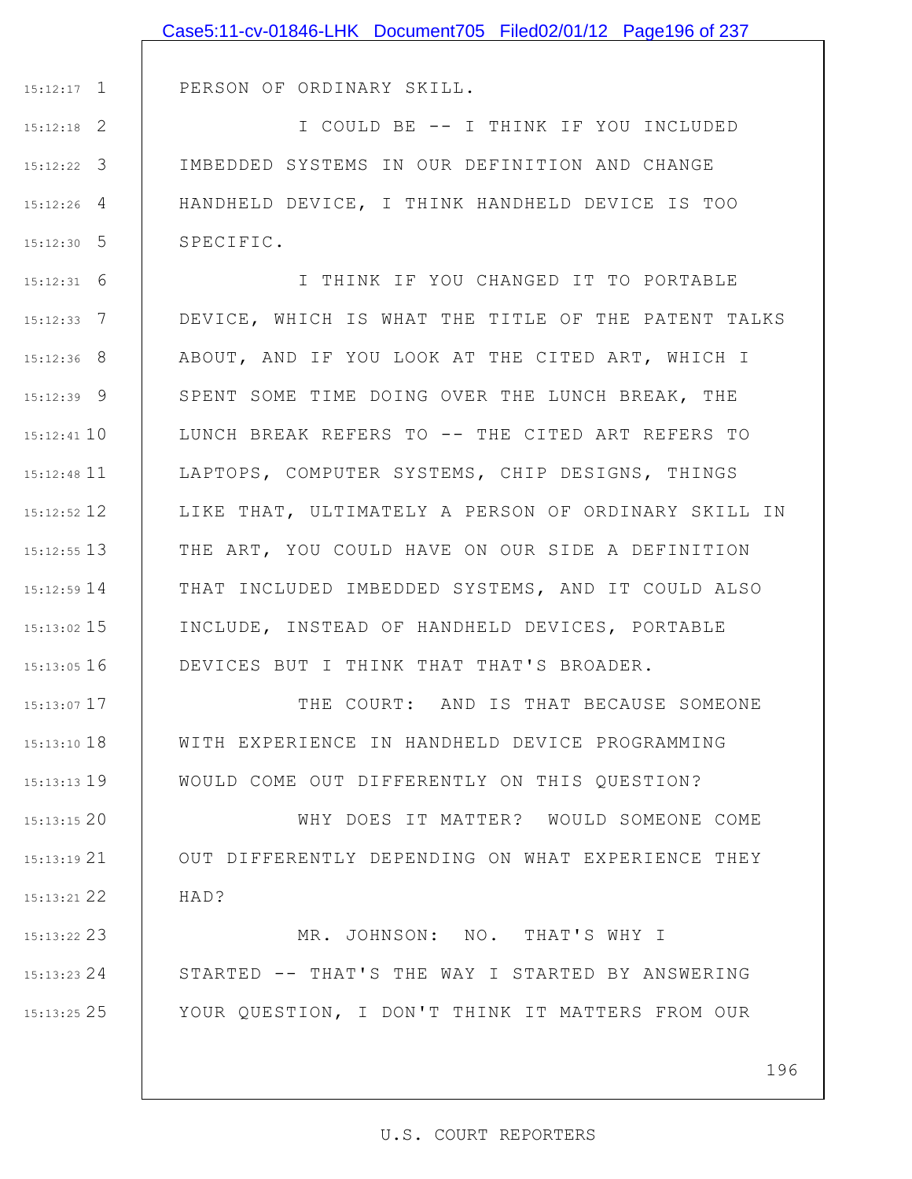|                 | Case5:11-cv-01846-LHK Document705 Filed02/01/12 Page196 of 237 |
|-----------------|----------------------------------------------------------------|
|                 |                                                                |
| $15:12:17$ 1    | PERSON OF ORDINARY SKILL.                                      |
| $15:12:18$ 2    | I COULD BE -- I THINK IF YOU INCLUDED                          |
| $15:12:22$ 3    | IMBEDDED SYSTEMS IN OUR DEFINITION AND CHANGE                  |
| $15:12:26$ 4    | HANDHELD DEVICE, I THINK HANDHELD DEVICE IS TOO                |
| $15:12:30$ 5    | SPECIFIC.                                                      |
| $15:12:31$ 6    | I THINK IF YOU CHANGED IT TO PORTABLE                          |
| $15:12:33$ 7    | DEVICE, WHICH IS WHAT THE TITLE OF THE PATENT TALKS            |
| $15:12:36$ 8    | ABOUT, AND IF YOU LOOK AT THE CITED ART, WHICH I               |
| $15:12:39$ 9    | SPENT SOME TIME DOING OVER THE LUNCH BREAK, THE                |
| $15:12:41$ 10   | LUNCH BREAK REFERS TO -- THE CITED ART REFERS TO               |
| $15:12:48$ 11   | LAPTOPS, COMPUTER SYSTEMS, CHIP DESIGNS, THINGS                |
| $15:12:52$ 12   | LIKE THAT, ULTIMATELY A PERSON OF ORDINARY SKILL IN            |
| $15:12:55$ 13   | THE ART, YOU COULD HAVE ON OUR SIDE A DEFINITION               |
| $15:12:59$ $14$ | THAT INCLUDED IMBEDDED SYSTEMS, AND IT COULD ALSO              |
| $15:13:02$ 15   | INCLUDE, INSTEAD OF HANDHELD DEVICES, PORTABLE                 |
| $15:13:05$ 16   | DEVICES BUT I THINK THAT THAT'S BROADER.                       |
| $15:13:07$ 17   | THE COURT: AND IS THAT BECAUSE SOMEONE                         |
| 15:13:10 18     | WITH EXPERIENCE IN HANDHELD DEVICE PROGRAMMING                 |
| $15:13:13$ 19   | WOULD COME OUT DIFFERENTLY ON THIS QUESTION?                   |
| 15:13:1520      | WHY DOES IT MATTER? WOULD SOMEONE COME                         |
| $15:13:19$ 21   | OUT DIFFERENTLY DEPENDING ON WHAT EXPERIENCE THEY              |
| 15:13:21 22     | HAD?                                                           |
| 15:13:22 23     | MR. JOHNSON: NO. THAT'S WHY I                                  |
| $15:13:23$ 24   | STARTED -- THAT'S THE WAY I STARTED BY ANSWERING               |
| 15:13:25 25     | YOUR QUESTION, I DON'T THINK IT MATTERS FROM OUR               |

196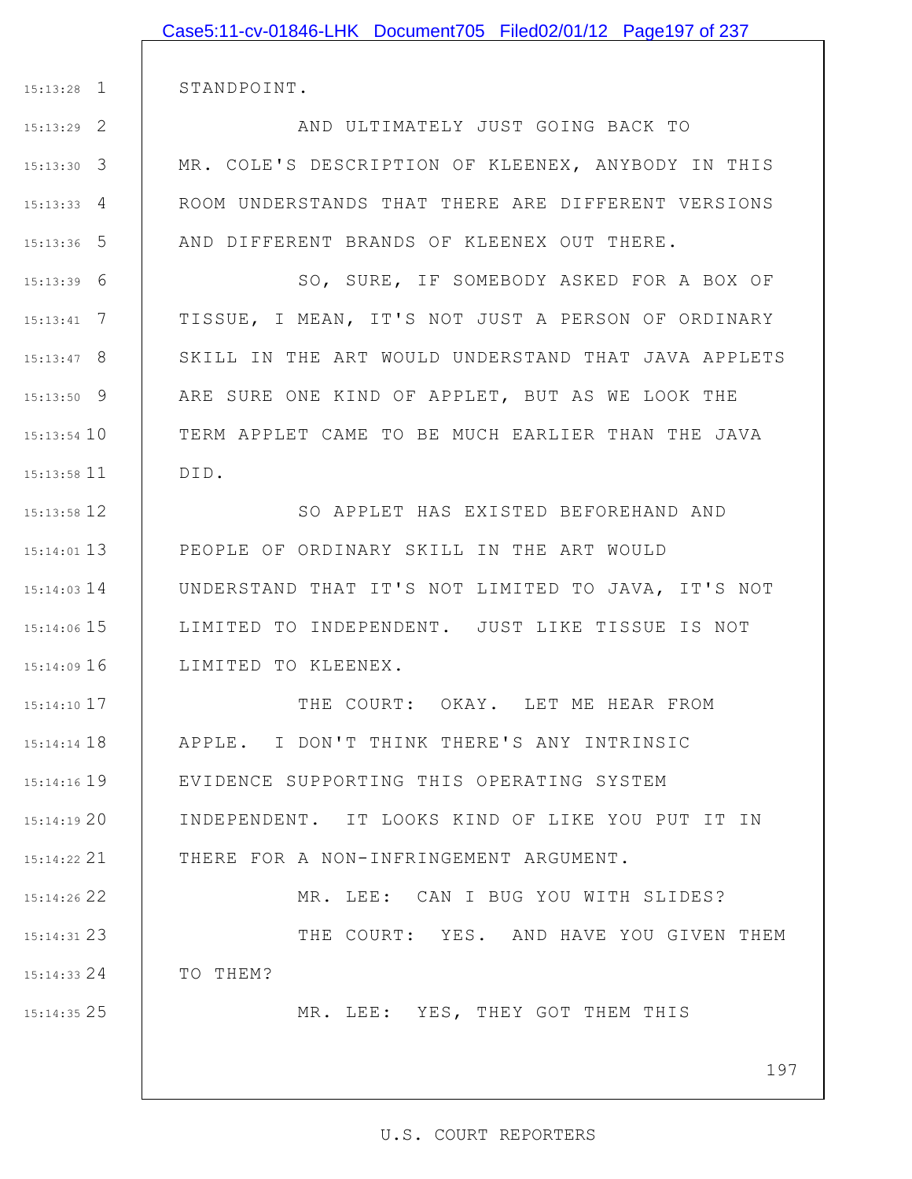|                 | Case5:11-cv-01846-LHK Document705 Filed02/01/12 Page197 of 237 |
|-----------------|----------------------------------------------------------------|
|                 |                                                                |
| $15:13:28$ 1    | STANDPOINT.                                                    |
| $15:13:29$ 2    | AND ULTIMATELY JUST GOING BACK TO                              |
| $15:13:30$ 3    | MR. COLE'S DESCRIPTION OF KLEENEX, ANYBODY IN THIS             |
| $15:13:33$ 4    | ROOM UNDERSTANDS THAT THERE ARE DIFFERENT VERSIONS             |
| $15:13:36$ 5    | AND DIFFERENT BRANDS OF KLEENEX OUT THERE.                     |
| $15:13:39$ 6    | SO, SURE, IF SOMEBODY ASKED FOR A BOX OF                       |
| $15:13:41$ 7    | TISSUE, I MEAN, IT'S NOT JUST A PERSON OF ORDINARY             |
| $15:13:47$ 8    | SKILL IN THE ART WOULD UNDERSTAND THAT JAVA APPLETS            |
| $15:13:50$ 9    | ARE SURE ONE KIND OF APPLET, BUT AS WE LOOK THE                |
| $15:13:54$ 10   | TERM APPLET CAME TO BE MUCH EARLIER THAN THE JAVA              |
| $15:13:58$ 11   | DID.                                                           |
| $15:13:58$ 12   | SO APPLET HAS EXISTED BEFOREHAND AND                           |
| $15:14:01$ 13   | PEOPLE OF ORDINARY SKILL IN THE ART WOULD                      |
| $15:14:03$ 14   | UNDERSTAND THAT IT'S NOT LIMITED TO JAVA, IT'S NOT             |
| 15:14:06 15     | LIMITED TO INDEPENDENT. JUST LIKE TISSUE IS NOT                |
| $15:14:09$ 16   | LIMITED TO KLEENEX.                                            |
| $15:14:10$ 17   | THE COURT: OKAY. LET ME HEAR FROM                              |
| $15:14:14$ $18$ | APPLE. I DON'T THINK THERE'S ANY INTRINSIC                     |
| 15:14:16 19     | EVIDENCE SUPPORTING THIS OPERATING SYSTEM                      |
| 15:14:1920      | INDEPENDENT. IT LOOKS KIND OF LIKE YOU PUT IT IN               |
| 15:14:22 21     | THERE FOR A NON-INFRINGEMENT ARGUMENT.                         |
| 15:14:26 22     | MR. LEE: CAN I BUG YOU WITH SLIDES?                            |
| 15:14:31 23     | THE COURT: YES. AND HAVE YOU GIVEN THEM                        |
| $15:14:33$ 24   | TO THEM?                                                       |
| $15:14:35$ 25   | MR. LEE: YES, THEY GOT THEM THIS                               |
|                 |                                                                |
|                 | 197                                                            |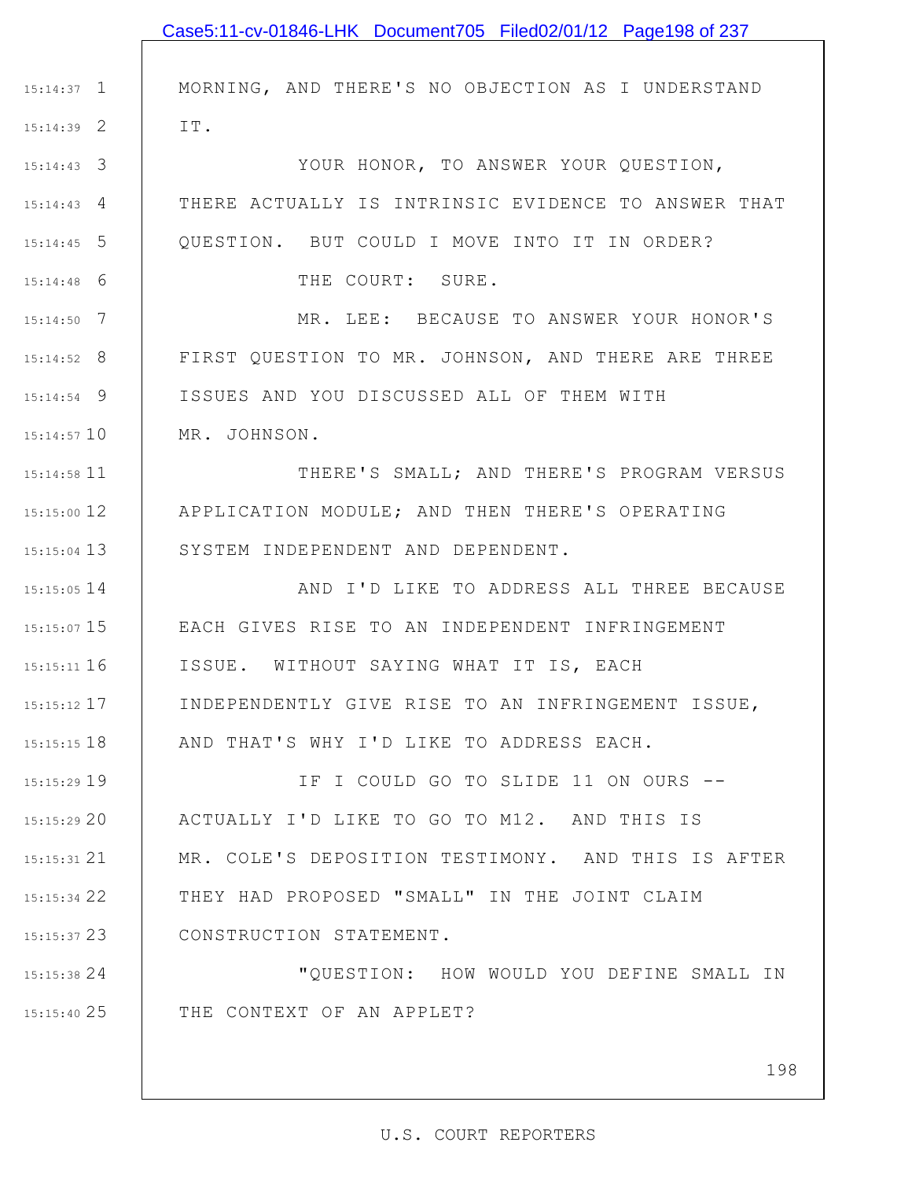|               | Case5:11-cv-01846-LHK Document705 Filed02/01/12 Page198 of 237 |
|---------------|----------------------------------------------------------------|
|               |                                                                |
| $15:14:37$ 1  | MORNING, AND THERE'S NO OBJECTION AS I UNDERSTAND              |
| $15:14:39$ 2  | IT.                                                            |
| $15:14:43$ 3  | YOUR HONOR, TO ANSWER YOUR QUESTION,                           |
| $15:14:43$ 4  | THERE ACTUALLY IS INTRINSIC EVIDENCE TO ANSWER THAT            |
| $15:14:45$ 5  | QUESTION. BUT COULD I MOVE INTO IT IN ORDER?                   |
| $15:14:48$ 6  | THE COURT: SURE.                                               |
| $15:14:50$ 7  | MR. LEE: BECAUSE TO ANSWER YOUR HONOR'S                        |
| $15:14:52$ 8  | FIRST QUESTION TO MR. JOHNSON, AND THERE ARE THREE             |
| $15:14:54$ 9  | ISSUES AND YOU DISCUSSED ALL OF THEM WITH                      |
| $15:14:57$ 10 | MR. JOHNSON.                                                   |
| 15:14:58 11   | THERE'S SMALL; AND THERE'S PROGRAM VERSUS                      |
| 15:15:00 12   | APPLICATION MODULE; AND THEN THERE'S OPERATING                 |
| $15:15:04$ 13 | SYSTEM INDEPENDENT AND DEPENDENT.                              |
| 15:15:05 14   | AND I'D LIKE TO ADDRESS ALL THREE BECAUSE                      |
|               | 15:15:07 15   EACH GIVES RISE TO AN INDEPENDENT INFRINGEMENT   |
| $15:15:11$ 16 | ISSUE. WITHOUT SAYING WHAT IT IS, EACH                         |
| $15:15:12$ 17 | INDEPENDENTLY GIVE RISE TO AN INFRINGEMENT ISSUE,              |
| 15:15:15 18   | AND THAT'S WHY I'D LIKE TO ADDRESS EACH.                       |
| 15:15:29 19   | IF I COULD GO TO SLIDE 11 ON OURS --                           |
| 15:15:2920    | ACTUALLY I'D LIKE TO GO TO M12. AND THIS IS                    |
| 15:15:31 21   | MR. COLE'S DEPOSITION TESTIMONY. AND THIS IS AFTER             |
| 15:15:34 22   | THEY HAD PROPOSED "SMALL" IN THE JOINT CLAIM                   |
| $15:15:37$ 23 | CONSTRUCTION STATEMENT.                                        |
| 15:15:38 24   | "QUESTION: HOW WOULD YOU DEFINE SMALL IN                       |
| 15:15:40 25   | THE CONTEXT OF AN APPLET?                                      |
|               |                                                                |
|               | 198                                                            |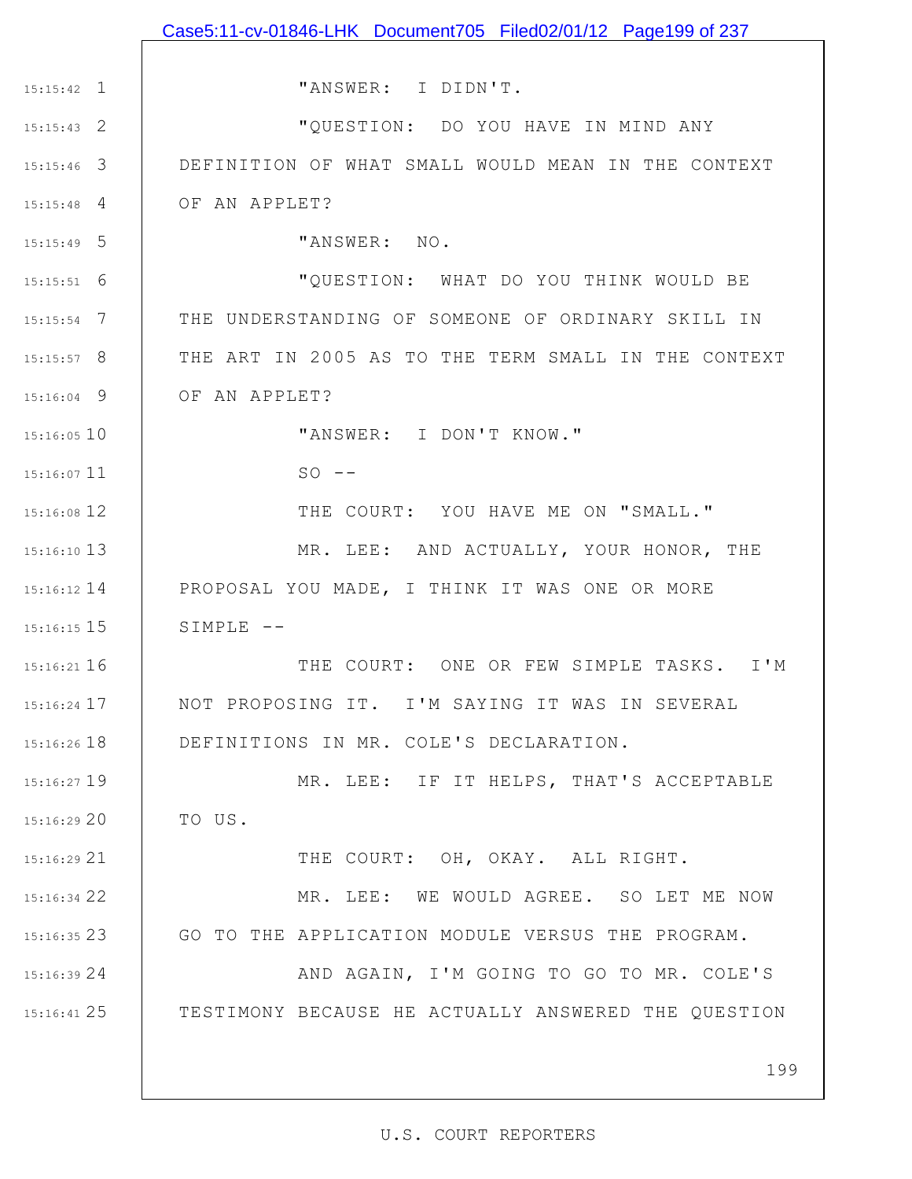1 15:15:42 2 15:15:43 3 15:15:46 4 15:15:48 5 15:15:49 6 15:15:51 7 15:15:54 8 15:15:57 9 15:16:04 15:16:05 10 15:16:07 11 12 15:16:08 13 15:16:10 15:16:12 14 PROPOSAL YOU MADE, I THINK IT WAS ONE OR MORE 15 15:16:15 16 15:16:21 17 15:16:24 18 15:16:26 19 15:16:27 20 15:16:29 21 15:16:29 22 15:16:34 23 15:16:35 24 15:16:39 25 15:16:41 199 "ANSWER: I DIDN'T. "QUESTION: DO YOU HAVE IN MIND ANY DEFINITION OF WHAT SMALL WOULD MEAN IN THE CONTEXT OF AN APPLET? "ANSWER: NO. "QUESTION: WHAT DO YOU THINK WOULD BE THE UNDERSTANDING OF SOMEONE OF ORDINARY SKILL IN THE ART IN 2005 AS TO THE TERM SMALL IN THE CONTEXT OF AN APPLET? "ANSWER: I DON'T KNOW."  $SO$   $--$ THE COURT: YOU HAVE ME ON "SMALL." MR. LEE: AND ACTUALLY, YOUR HONOR, THE SIMPLE -- THE COURT: ONE OR FEW SIMPLE TASKS. I'M NOT PROPOSING IT. I'M SAYING IT WAS IN SEVERAL DEFINITIONS IN MR. COLE'S DECLARATION. MR. LEE: IF IT HELPS, THAT'S ACCEPTABLE TO US. THE COURT: OH, OKAY. ALL RIGHT. MR. LEE: WE WOULD AGREE. SO LET ME NOW GO TO THE APPLICATION MODULE VERSUS THE PROGRAM. AND AGAIN, I'M GOING TO GO TO MR. COLE'S TESTIMONY BECAUSE HE ACTUALLY ANSWERED THE QUESTION Case5:11-cv-01846-LHK Document705 Filed02/01/12 Page199 of 237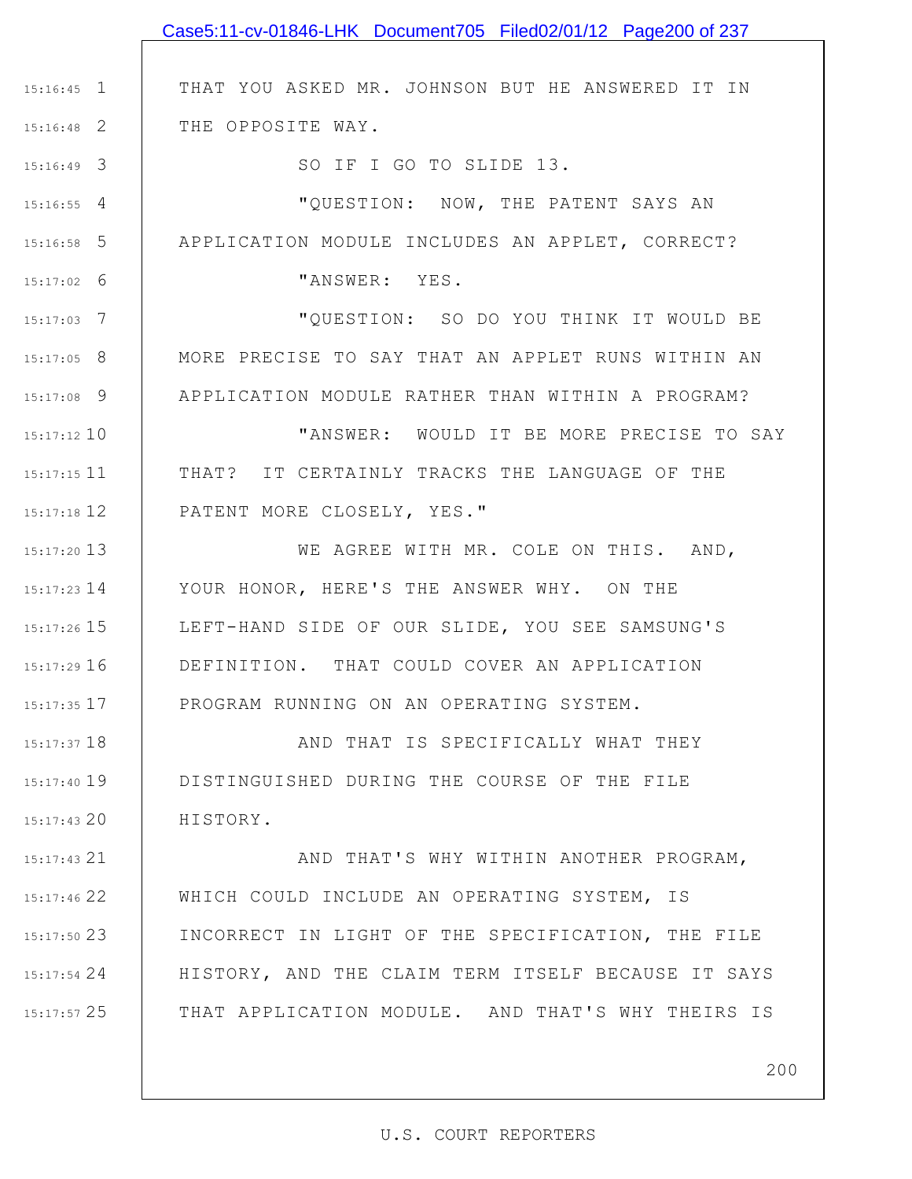|               | Case5:11-cv-01846-LHK Document705 Filed02/01/12 Page200 of 237 |
|---------------|----------------------------------------------------------------|
|               |                                                                |
| $15:16:45$ 1  | THAT YOU ASKED MR. JOHNSON BUT HE ANSWERED IT IN               |
| $15:16:48$ 2  | THE OPPOSITE WAY.                                              |
| $15:16:49$ 3  | SO IF I GO TO SLIDE 13.                                        |
| $15:16:55$ 4  | "QUESTION: NOW, THE PATENT SAYS AN                             |
| $15:16:58$ 5  | APPLICATION MODULE INCLUDES AN APPLET, CORRECT?                |
| $15:17:02$ 6  | "ANSWER: YES.                                                  |
| $15:17:03$ 7  | "QUESTION: SO DO YOU THINK IT WOULD BE                         |
| $15:17:05$ 8  | MORE PRECISE TO SAY THAT AN APPLET RUNS WITHIN AN              |
| $15:17:08$ 9  | APPLICATION MODULE RATHER THAN WITHIN A PROGRAM?               |
| $15:17:12$ 10 | "ANSWER: WOULD IT BE MORE PRECISE TO SAY                       |
| $15:17:15$ 11 | THAT? IT CERTAINLY TRACKS THE LANGUAGE OF THE                  |
| 15:17:18 12   | PATENT MORE CLOSELY, YES."                                     |
| 15:17:20 13   | WE AGREE WITH MR. COLE ON THIS. AND,                           |
| $15:17:23$ 14 | YOUR HONOR, HERE'S THE ANSWER WHY. ON THE                      |
| $15:17:26$ 15 | LEFT-HAND SIDE OF OUR SLIDE, YOU SEE SAMSUNG'S                 |
| $15:17:29$ 16 | DEFINITION. THAT COULD COVER AN APPLICATION                    |
| $15:17:35$ 17 | PROGRAM RUNNING ON AN OPERATING SYSTEM.                        |
| $15:17:37$ 18 | AND THAT IS SPECIFICALLY WHAT THEY                             |
| 15:17:40 19   | DISTINGUISHED DURING THE COURSE OF THE FILE                    |
| $15:17:43$ 20 | HISTORY.                                                       |
| $15:17:43$ 21 | AND THAT'S WHY WITHIN ANOTHER PROGRAM,                         |
| 15:17:46 22   | WHICH COULD INCLUDE AN OPERATING SYSTEM, IS                    |
| $15:17:50$ 23 | INCORRECT IN LIGHT OF THE SPECIFICATION, THE FILE              |
| $15:17:54$ 24 | HISTORY, AND THE CLAIM TERM ITSELF BECAUSE IT SAYS             |
| $15:17:57$ 25 | THAT APPLICATION MODULE. AND THAT'S WHY THEIRS IS              |
|               |                                                                |
|               | 200                                                            |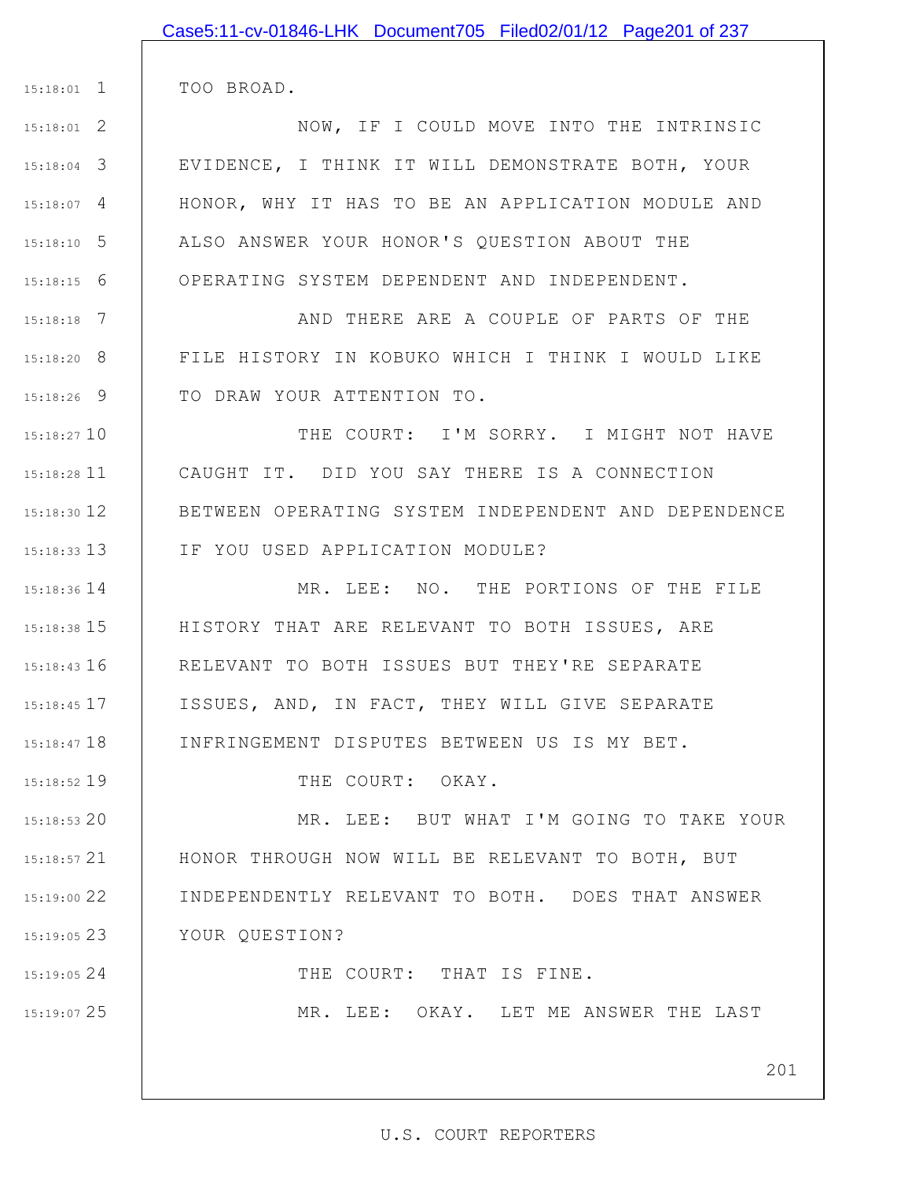| $15:18:01$ 1  | TOO BROAD.                                          |
|---------------|-----------------------------------------------------|
| $15:18:01$ 2  | NOW, IF I COULD MOVE INTO THE INTRINSIC             |
| $15:18:04$ 3  | EVIDENCE, I THINK IT WILL DEMONSTRATE BOTH, YOUR    |
| $15:18:07$ 4  | HONOR, WHY IT HAS TO BE AN APPLICATION MODULE AND   |
| $15:18:10$ 5  | ALSO ANSWER YOUR HONOR'S QUESTION ABOUT THE         |
| $15:18:15$ 6  | OPERATING SYSTEM DEPENDENT AND INDEPENDENT.         |
| $15:18:18$ 7  | AND THERE ARE A COUPLE OF PARTS OF THE              |
| $15:18:20$ 8  | FILE HISTORY IN KOBUKO WHICH I THINK I WOULD LIKE   |
| $15:18:26$ 9  | TO DRAW YOUR ATTENTION TO.                          |
| $15:18:27$ 10 | THE COURT: I'M SORRY. I MIGHT NOT HAVE              |
| $15:18:28$ 11 | CAUGHT IT. DID YOU SAY THERE IS A CONNECTION        |
| $15:18:30$ 12 | BETWEEN OPERATING SYSTEM INDEPENDENT AND DEPENDENCE |
| $15:18:33$ 13 | IF YOU USED APPLICATION MODULE?                     |
| 15:18:36 14   | MR. LEE: NO. THE PORTIONS OF THE FILE               |
| $15:18:38$ 15 | HISTORY THAT ARE RELEVANT TO BOTH ISSUES, ARE       |
| $15:18:43$ 16 | RELEVANT TO BOTH ISSUES BUT THEY'RE SEPARATE        |
| 15:18:45 17   | ISSUES, AND, IN FACT, THEY WILL GIVE SEPARATE       |
| $15:18:47$ 18 | INFRINGEMENT DISPUTES BETWEEN US IS MY BET.         |
| 15:18:52 19   | THE COURT: OKAY.                                    |
| $15:18:53$ 20 | MR. LEE: BUT WHAT I'M GOING TO TAKE YOUR            |
| $15:18:57$ 21 | HONOR THROUGH NOW WILL BE RELEVANT TO BOTH, BUT     |
| 15:19:00 22   | INDEPENDENTLY RELEVANT TO BOTH. DOES THAT ANSWER    |
| 15:19:0523    | YOUR QUESTION?                                      |
| 15:19:05 24   | THE COURT: THAT IS FINE.                            |
| 15:19:07 25   | MR. LEE: OKAY. LET ME ANSWER THE LAST               |
|               |                                                     |
|               | 201                                                 |

Case5:11-cv-01846-LHK Document705 Filed02/01/12 Page201 of 237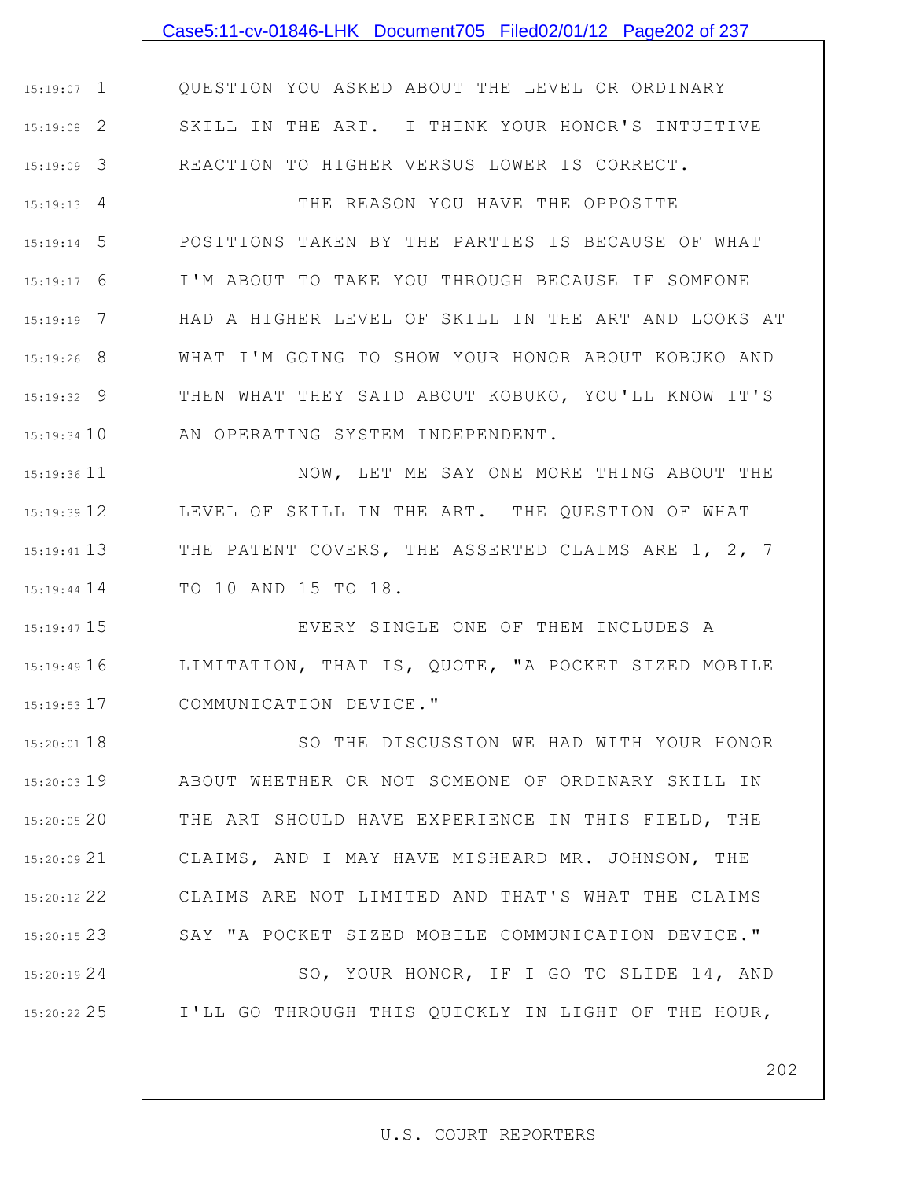### Case5:11-cv-01846-LHK Document705 Filed02/01/12 Page202 of 237

1 15:19:07 2 15:19:08 3 15:19:09 QUESTION YOU ASKED ABOUT THE LEVEL OR ORDINARY SKILL IN THE ART. I THINK YOUR HONOR'S INTUITIVE REACTION TO HIGHER VERSUS LOWER IS CORRECT.

4 15:19:13 5 15:19:14 6 15:19:17 7 15:19:19 8 15:19:26 9 15:19:32 15:19:34 10 THE REASON YOU HAVE THE OPPOSITE POSITIONS TAKEN BY THE PARTIES IS BECAUSE OF WHAT I'M ABOUT TO TAKE YOU THROUGH BECAUSE IF SOMEONE HAD A HIGHER LEVEL OF SKILL IN THE ART AND LOOKS AT WHAT I'M GOING TO SHOW YOUR HONOR ABOUT KOBUKO AND THEN WHAT THEY SAID ABOUT KOBUKO, YOU'LL KNOW IT'S AN OPERATING SYSTEM INDEPENDENT.

15:19:36 11 15:19:39 12 13 15:19:41 15:19:44 14 NOW, LET ME SAY ONE MORE THING ABOUT THE LEVEL OF SKILL IN THE ART. THE QUESTION OF WHAT THE PATENT COVERS, THE ASSERTED CLAIMS ARE 1, 2, 7 TO 10 AND 15 TO 18.

15 15:19:47 16 15:19:49 17 15:19:53 EVERY SINGLE ONE OF THEM INCLUDES A LIMITATION, THAT IS, QUOTE, "A POCKET SIZED MOBILE COMMUNICATION DEVICE."

18 15:20:01 19 15:20:03 20 15:20:05 21 15:20:09 22 15:20:12 23 15:20:15 SO THE DISCUSSION WE HAD WITH YOUR HONOR ABOUT WHETHER OR NOT SOMEONE OF ORDINARY SKILL IN THE ART SHOULD HAVE EXPERIENCE IN THIS FIELD, THE CLAIMS, AND I MAY HAVE MISHEARD MR. JOHNSON, THE CLAIMS ARE NOT LIMITED AND THAT'S WHAT THE CLAIMS SAY "A POCKET SIZED MOBILE COMMUNICATION DEVICE."

24 15:20:19

25 15:20:22

SO, YOUR HONOR, IF I GO TO SLIDE 14, AND I'LL GO THROUGH THIS QUICKLY IN LIGHT OF THE HOUR,

202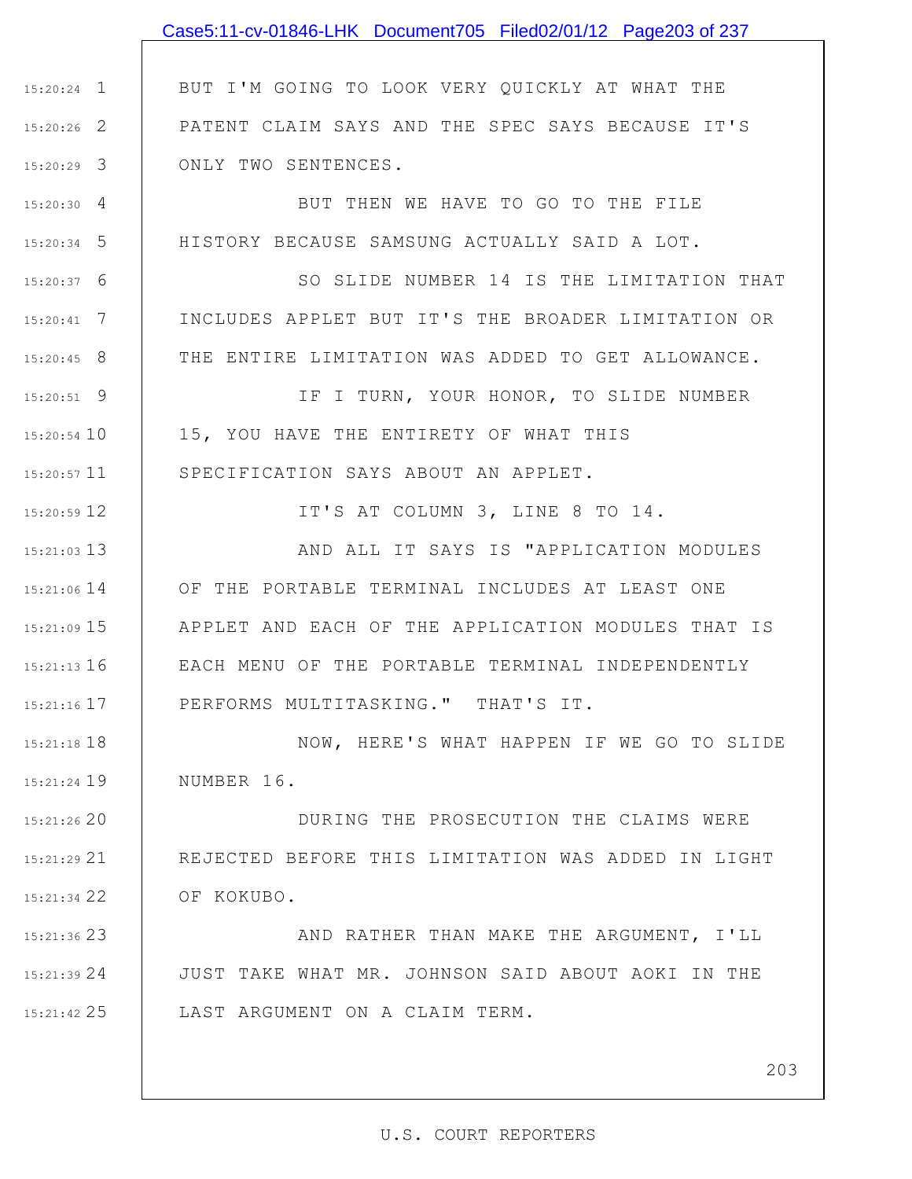|                 | Case5:11-cv-01846-LHK Document705 Filed02/01/12 Page203 of 237 |
|-----------------|----------------------------------------------------------------|
|                 |                                                                |
| $15:20:24$ 1    | BUT I'M GOING TO LOOK VERY QUICKLY AT WHAT THE                 |
| $15:20:26$ 2    | PATENT CLAIM SAYS AND THE SPEC SAYS BECAUSE IT'S               |
| $15:20:29$ 3    | ONLY TWO SENTENCES.                                            |
| $15:20:30$ 4    | BUT THEN WE HAVE TO GO TO THE FILE                             |
| $15:20:34$ 5    | HISTORY BECAUSE SAMSUNG ACTUALLY SAID A LOT.                   |
| $15:20:37$ 6    | SO SLIDE NUMBER 14 IS THE LIMITATION THAT                      |
| $15:20:41$ 7    | INCLUDES APPLET BUT IT'S THE BROADER LIMITATION OR             |
| $15:20:45$ 8    | THE ENTIRE LIMITATION WAS ADDED TO GET ALLOWANCE.              |
| $15:20:51$ 9    | IF I TURN, YOUR HONOR, TO SLIDE NUMBER                         |
| 15:20:54 10     | 15, YOU HAVE THE ENTIRETY OF WHAT THIS                         |
| $15:20:57$ 11   | SPECIFICATION SAYS ABOUT AN APPLET.                            |
| 15:20:59 12     | IT'S AT COLUMN 3, LINE 8 TO 14.                                |
| $15:21:03$ 13   | AND ALL IT SAYS IS "APPLICATION MODULES                        |
| 15:21:06 14     | OF THE PORTABLE TERMINAL INCLUDES AT LEAST ONE                 |
| 15:21:09 15     | APPLET AND EACH OF THE APPLICATION MODULES THAT IS             |
| $15:21:13$ 16   | EACH MENU OF THE PORTABLE TERMINAL INDEPENDENTLY               |
| $15:21:16$ $17$ | PERFORMS MULTITASKING." THAT'S IT.                             |
| $15:21:18$ 18   | NOW, HERE'S WHAT HAPPEN IF WE GO TO SLIDE                      |
| 15:21:24 19     | NUMBER 16.                                                     |
| 15:21:26 20     | DURING THE PROSECUTION THE CLAIMS WERE                         |
| 15:21:29 21     | REJECTED BEFORE THIS LIMITATION WAS ADDED IN LIGHT             |
| 15:21:34 22     | OF KOKUBO.                                                     |
| 15:21:36 23     | AND RATHER THAN MAKE THE ARGUMENT, I'LL                        |
| 15:21:39 24     | JUST TAKE WHAT MR. JOHNSON SAID ABOUT AOKI IN THE              |
|                 |                                                                |

25 15:21:42 LAST ARGUMENT ON A CLAIM TERM.

203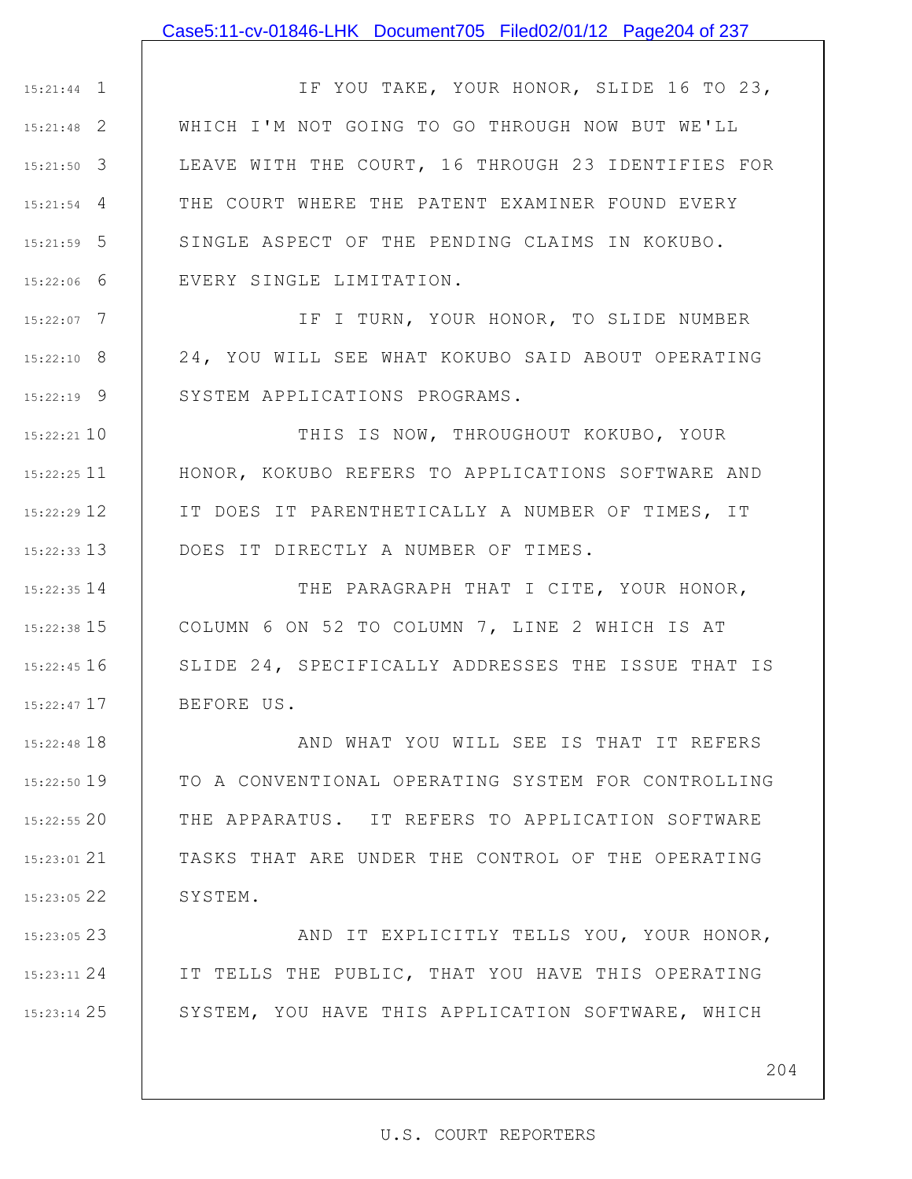### Case5:11-cv-01846-LHK Document705 Filed02/01/12 Page204 of 237

1 15:21:44 2 15:21:48 3 15:21:50 4 15:21:54 5 15:21:59 6 15:22:06 IF YOU TAKE, YOUR HONOR, SLIDE 16 TO 23, WHICH I'M NOT GOING TO GO THROUGH NOW BUT WE'LL LEAVE WITH THE COURT, 16 THROUGH 23 IDENTIFIES FOR THE COURT WHERE THE PATENT EXAMINER FOUND EVERY SINGLE ASPECT OF THE PENDING CLAIMS IN KOKUBO. EVERY SINGLE LIMITATION.

7 15:22:07 8 15:22:10 9 15:22:19 IF I TURN, YOUR HONOR, TO SLIDE NUMBER 24, YOU WILL SEE WHAT KOKUBO SAID ABOUT OPERATING SYSTEM APPLICATIONS PROGRAMS.

10 15:22:21 11 15:22:25 12 15:22:29 13 15:22:33 THIS IS NOW, THROUGHOUT KOKUBO, YOUR HONOR, KOKUBO REFERS TO APPLICATIONS SOFTWARE AND IT DOES IT PARENTHETICALLY A NUMBER OF TIMES, IT DOES IT DIRECTLY A NUMBER OF TIMES.

14 15:22:35 15 15:22:38 16 15:22:45 17 15:22:47 THE PARAGRAPH THAT I CITE, YOUR HONOR, COLUMN 6 ON 52 TO COLUMN 7, LINE 2 WHICH IS AT SLIDE 24, SPECIFICALLY ADDRESSES THE ISSUE THAT IS BEFORE US.

18 15:22:48 19 15:22:50 20 15:22:55 21 15:23:01 22 15:23:05 AND WHAT YOU WILL SEE IS THAT IT REFERS TO A CONVENTIONAL OPERATING SYSTEM FOR CONTROLLING THE APPARATUS. IT REFERS TO APPLICATION SOFTWARE TASKS THAT ARE UNDER THE CONTROL OF THE OPERATING SYSTEM.

23 15:23:05 24 15:23:11 25 15:23:14 AND IT EXPLICITLY TELLS YOU, YOUR HONOR, IT TELLS THE PUBLIC, THAT YOU HAVE THIS OPERATING SYSTEM, YOU HAVE THIS APPLICATION SOFTWARE, WHICH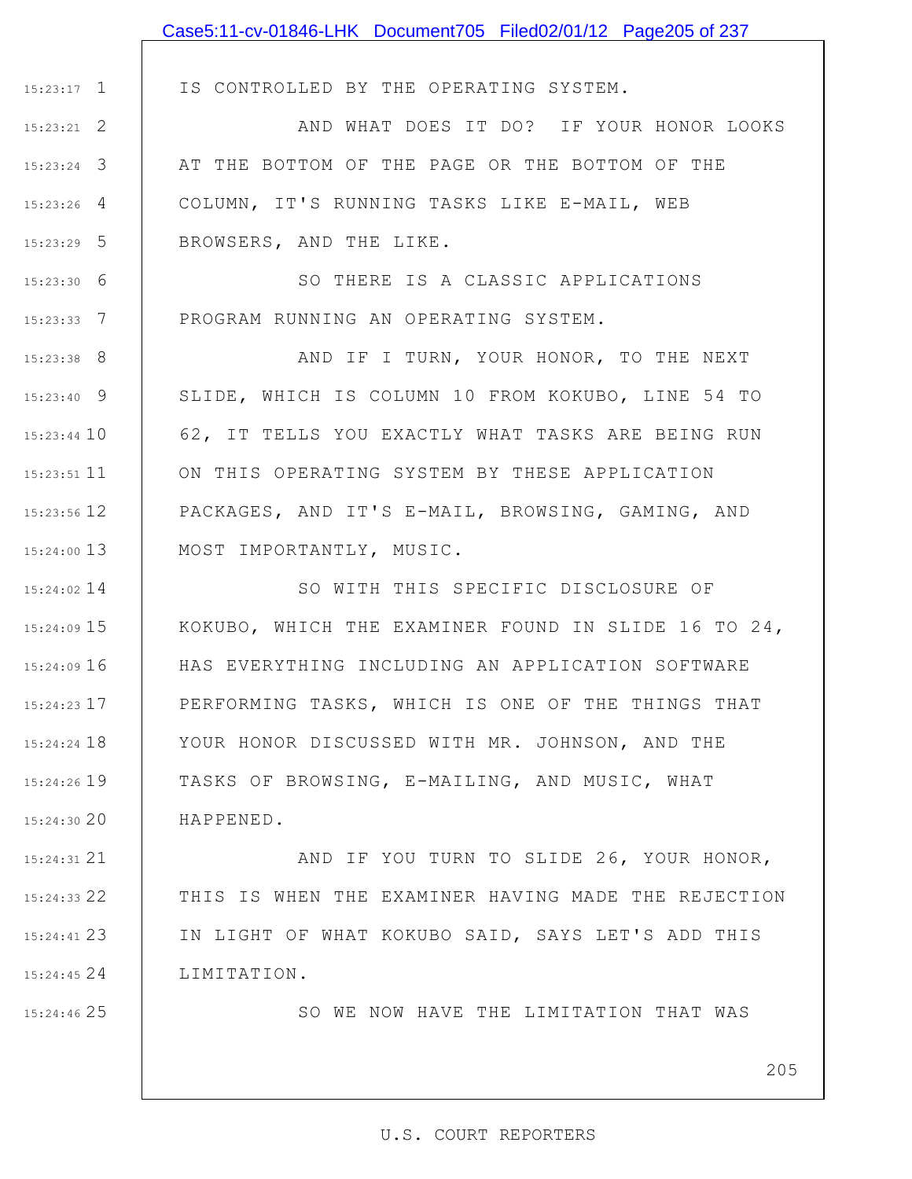|               | Case5:11-cv-01846-LHK Document705 Filed02/01/12 Page205 of 237 |
|---------------|----------------------------------------------------------------|
|               |                                                                |
| $15:23:17$ 1  | IS CONTROLLED BY THE OPERATING SYSTEM.                         |
| $15:23:21$ 2  | AND WHAT DOES IT DO? IF YOUR HONOR LOOKS                       |
| $15:23:24$ 3  | AT THE BOTTOM OF THE PAGE OR THE BOTTOM OF THE                 |
| $15:23:26$ 4  | COLUMN, IT'S RUNNING TASKS LIKE E-MAIL, WEB                    |
| $15:23:29$ 5  | BROWSERS, AND THE LIKE.                                        |
| $15:23:30$ 6  | SO THERE IS A CLASSIC APPLICATIONS                             |
| $15:23:33$ 7  | PROGRAM RUNNING AN OPERATING SYSTEM.                           |
| $15:23:38$ 8  | AND IF I TURN, YOUR HONOR, TO THE NEXT                         |
| $15:23:40$ 9  | SLIDE, WHICH IS COLUMN 10 FROM KOKUBO, LINE 54 TO              |
| $15:23:44$ 10 | 62, IT TELLS YOU EXACTLY WHAT TASKS ARE BEING RUN              |
| $15:23:51$ 11 | ON THIS OPERATING SYSTEM BY THESE APPLICATION                  |
| 15:23:56 12   | PACKAGES, AND IT'S E-MAIL, BROWSING, GAMING, AND               |
| $15:24:00$ 13 | MOST IMPORTANTLY, MUSIC.                                       |
| $15:24:02$ 14 | SO WITH THIS SPECIFIC DISCLOSURE OF                            |
| $15:24:09$ 15 | KOKUBO, WHICH THE EXAMINER FOUND IN SLIDE 16 TO 24,            |
| $15:24:09$ 16 | HAS EVERYTHING INCLUDING AN APPLICATION SOFTWARE               |
| 15:24:23 17   | PERFORMING TASKS, WHICH IS ONE OF THE THINGS THAT              |
| $15:24:24$ 18 | YOUR HONOR DISCUSSED WITH MR. JOHNSON, AND THE                 |
| $15:24:26$ 19 | TASKS OF BROWSING, E-MAILING, AND MUSIC, WHAT                  |
| 15:24:30 20   | HAPPENED.                                                      |
| 15:24:31 21   | AND IF YOU TURN TO SLIDE 26, YOUR HONOR,                       |
| $15:24:33$ 22 | THIS IS WHEN THE EXAMINER HAVING MADE THE REJECTION            |
| $15:24:41$ 23 | IN LIGHT OF WHAT KOKUBO SAID, SAYS LET'S ADD THIS              |
| 15:24:45 24   | LIMITATION.                                                    |
| 15:24:46 25   | SO WE NOW HAVE THE LIMITATION THAT WAS                         |
|               |                                                                |
|               | 205                                                            |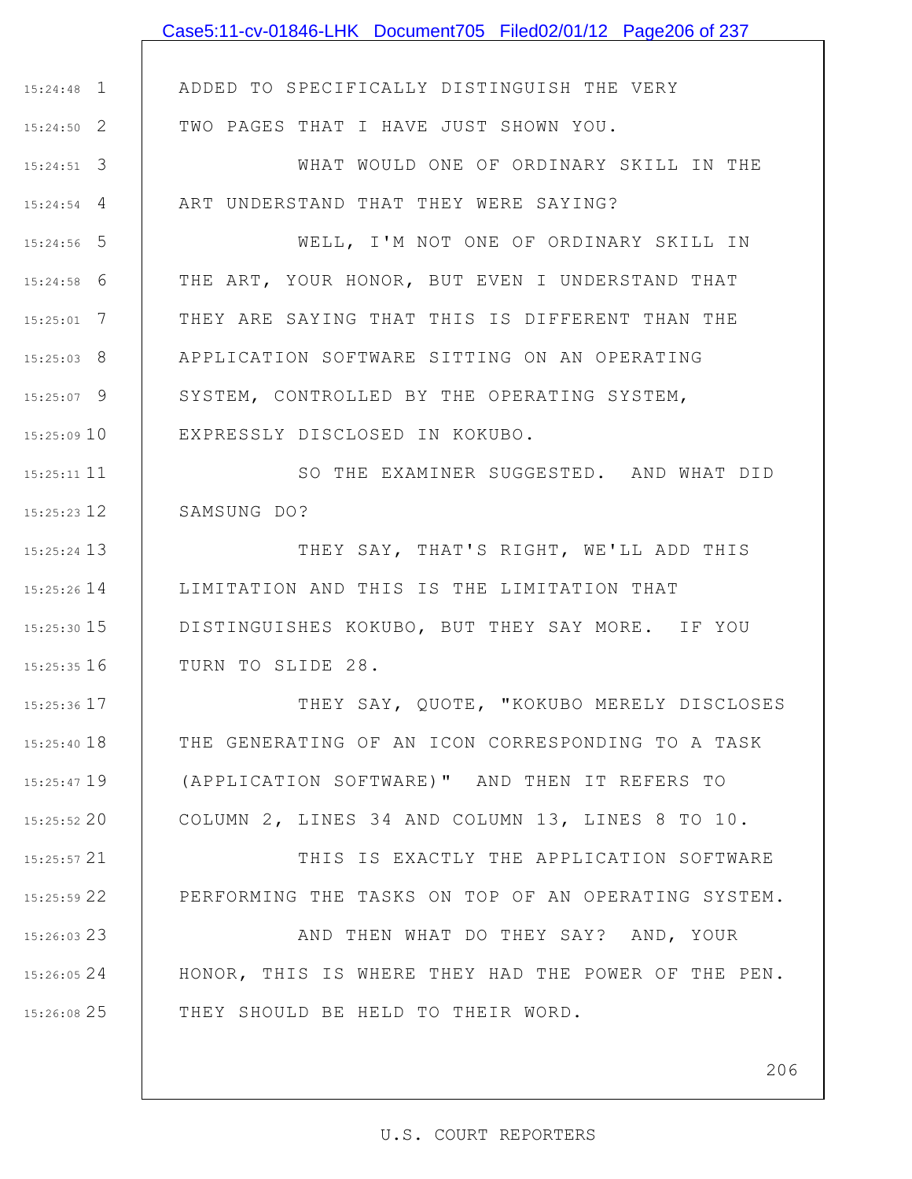|               | Case5:11-cv-01846-LHK Document705 Filed02/01/12 Page206 of 237 |
|---------------|----------------------------------------------------------------|
|               |                                                                |
| $15:24:48$ 1  | ADDED TO SPECIFICALLY DISTINGUISH THE VERY                     |
| $15:24:50$ 2  | TWO PAGES THAT I HAVE JUST SHOWN YOU.                          |
| $15:24:51$ 3  | WHAT WOULD ONE OF ORDINARY SKILL IN THE                        |
| $15:24:54$ 4  | ART UNDERSTAND THAT THEY WERE SAYING?                          |
| $15:24:56$ 5  | WELL, I'M NOT ONE OF ORDINARY SKILL IN                         |
| $15:24:58$ 6  | THE ART, YOUR HONOR, BUT EVEN I UNDERSTAND THAT                |
| $15:25:01$ 7  | THEY ARE SAYING THAT THIS IS DIFFERENT THAN THE                |
| $15:25:03$ 8  | APPLICATION SOFTWARE SITTING ON AN OPERATING                   |
| $15:25:07$ 9  | SYSTEM, CONTROLLED BY THE OPERATING SYSTEM,                    |
| $15:25:09$ 10 | EXPRESSLY DISCLOSED IN KOKUBO.                                 |
| 15:25:11 11   | SO THE EXAMINER SUGGESTED. AND WHAT DID                        |
| $15:25:23$ 12 | SAMSUNG DO?                                                    |
| 15:25:24 13   | THEY SAY, THAT'S RIGHT, WE'LL ADD THIS                         |
| 15:25:26 14   | LIMITATION AND THIS IS THE LIMITATION THAT                     |
| $15:25:30$ 15 | DISTINGUISHES KOKUBO, BUT THEY SAY MORE. IF YOU                |
| 15:25:35 16   | TURN TO SLIDE 28.                                              |
| 15:25:36 17   | THEY SAY, QUOTE, "KOKUBO MERELY DISCLOSES                      |
| 15:25:40 18   | THE GENERATING OF AN ICON CORRESPONDING TO A TASK              |
| $15:25:47$ 19 | (APPLICATION SOFTWARE)" AND THEN IT REFERS TO                  |
| 15:25:52 20   | COLUMN 2, LINES 34 AND COLUMN 13, LINES 8 TO 10.               |
| $15:25:57$ 21 | THIS IS EXACTLY THE APPLICATION SOFTWARE                       |
| 15:25:59 22   | PERFORMING THE TASKS ON TOP OF AN OPERATING SYSTEM.            |
| 15:26:03 23   | AND THEN WHAT DO THEY SAY? AND, YOUR                           |
| 15:26:05 24   | HONOR, THIS IS WHERE THEY HAD THE POWER OF THE PEN.            |
| 15:26:08 25   | THEY SHOULD BE HELD TO THEIR WORD.                             |
|               |                                                                |
|               | 206                                                            |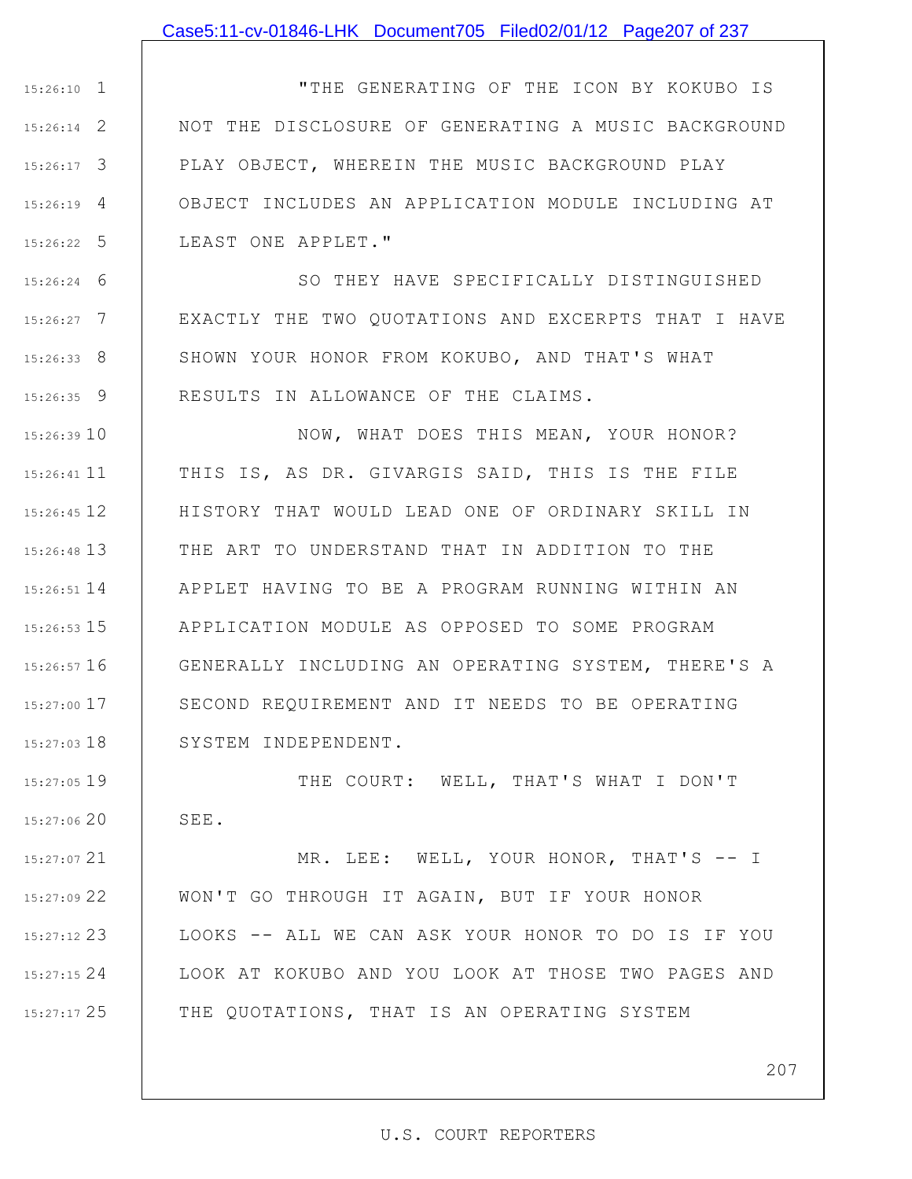### Case5:11-cv-01846-LHK Document705 Filed02/01/12 Page207 of 237

1 15:26:10 2 15:26:14 3 15:26:17 4 15:26:19 5 15:26:22 "THE GENERATING OF THE ICON BY KOKUBO IS NOT THE DISCLOSURE OF GENERATING A MUSIC BACKGROUND PLAY OBJECT, WHEREIN THE MUSIC BACKGROUND PLAY OBJECT INCLUDES AN APPLICATION MODULE INCLUDING AT LEAST ONE APPLET."

6 15:26:24 7 15:26:27 8 15:26:33 9 15:26:35 SO THEY HAVE SPECIFICALLY DISTINGUISHED EXACTLY THE TWO QUOTATIONS AND EXCERPTS THAT I HAVE SHOWN YOUR HONOR FROM KOKUBO, AND THAT'S WHAT RESULTS IN ALLOWANCE OF THE CLAIMS.

15:26:39 10 15:26:41 11 12 15:26:45 13 15:26:48 14 15:26:51 15 15:26:53 16 15:26:57 17 15:27:00 18 15:27:03 NOW, WHAT DOES THIS MEAN, YOUR HONOR? THIS IS, AS DR. GIVARGIS SAID, THIS IS THE FILE HISTORY THAT WOULD LEAD ONE OF ORDINARY SKILL IN THE ART TO UNDERSTAND THAT IN ADDITION TO THE APPLET HAVING TO BE A PROGRAM RUNNING WITHIN AN APPLICATION MODULE AS OPPOSED TO SOME PROGRAM GENERALLY INCLUDING AN OPERATING SYSTEM, THERE'S A SECOND REQUIREMENT AND IT NEEDS TO BE OPERATING SYSTEM INDEPENDENT.

19 15:27:05 15:27:06 20 THE COURT: WELL, THAT'S WHAT I DON'T SEE.

21 15:27:07 22 15:27:09 23 15:27:12 24 15:27:15 25 15:27:17 MR. LEE: WELL, YOUR HONOR, THAT'S -- I WON'T GO THROUGH IT AGAIN, BUT IF YOUR HONOR LOOKS -- ALL WE CAN ASK YOUR HONOR TO DO IS IF YOU LOOK AT KOKUBO AND YOU LOOK AT THOSE TWO PAGES AND THE QUOTATIONS, THAT IS AN OPERATING SYSTEM

207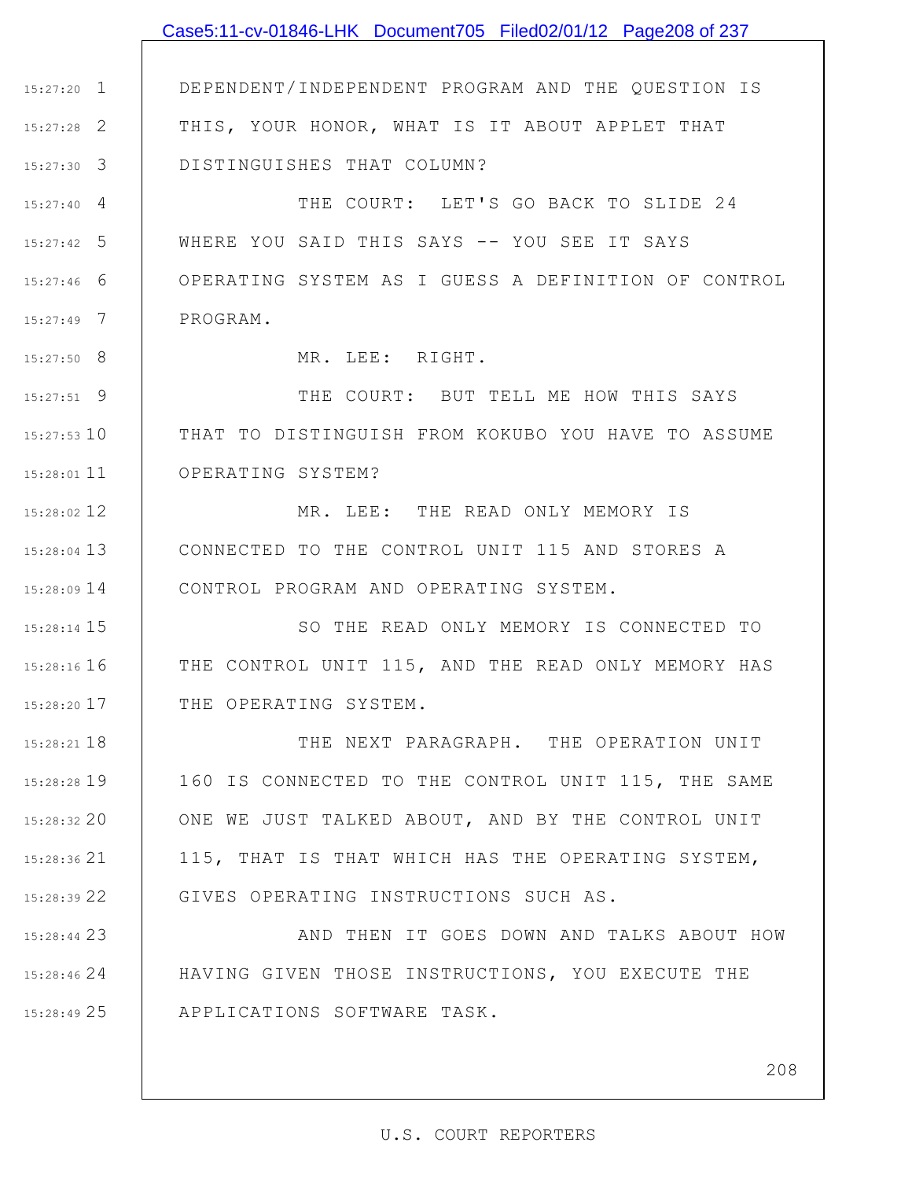## 1 15:27:20 2 15:27:28 3 15:27:30 4 15:27:40 5 15:27:42 6 15:27:46 7 15:27:49 8 15:27:50 9 15:27:51 15:27:53 10 11 15:28:01 12 15:28:02 13 15:28:04 14 15:28:09 15 15:28:14 16 15:28:16 THE CONTROL UNIT 115, AND THE READ ONLY MEMORY HAS 17 15:28:20 18 15:28:21 19 15:28:28 20 15:28:32 21 15:28:36 22 15:28:39 23 15:28:44 24 15:28:46 25 15:28:49 DEPENDENT/INDEPENDENT PROGRAM AND THE QUESTION IS THIS, YOUR HONOR, WHAT IS IT ABOUT APPLET THAT DISTINGUISHES THAT COLUMN? THE COURT: LET'S GO BACK TO SLIDE 24 WHERE YOU SAID THIS SAYS -- YOU SEE IT SAYS OPERATING SYSTEM AS I GUESS A DEFINITION OF CONTROL PROGRAM. MR. LEE: RIGHT. THE COURT: BUT TELL ME HOW THIS SAYS THAT TO DISTINGUISH FROM KOKUBO YOU HAVE TO ASSUME OPERATING SYSTEM? MR. LEE: THE READ ONLY MEMORY IS CONNECTED TO THE CONTROL UNIT 115 AND STORES A CONTROL PROGRAM AND OPERATING SYSTEM. SO THE READ ONLY MEMORY IS CONNECTED TO THE OPERATING SYSTEM. THE NEXT PARAGRAPH. THE OPERATION UNIT 160 IS CONNECTED TO THE CONTROL UNIT 115, THE SAME ONE WE JUST TALKED ABOUT, AND BY THE CONTROL UNIT 115, THAT IS THAT WHICH HAS THE OPERATING SYSTEM, GIVES OPERATING INSTRUCTIONS SUCH AS. AND THEN IT GOES DOWN AND TALKS ABOUT HOW HAVING GIVEN THOSE INSTRUCTIONS, YOU EXECUTE THE APPLICATIONS SOFTWARE TASK. Case5:11-cv-01846-LHK Document705 Filed02/01/12 Page208 of 237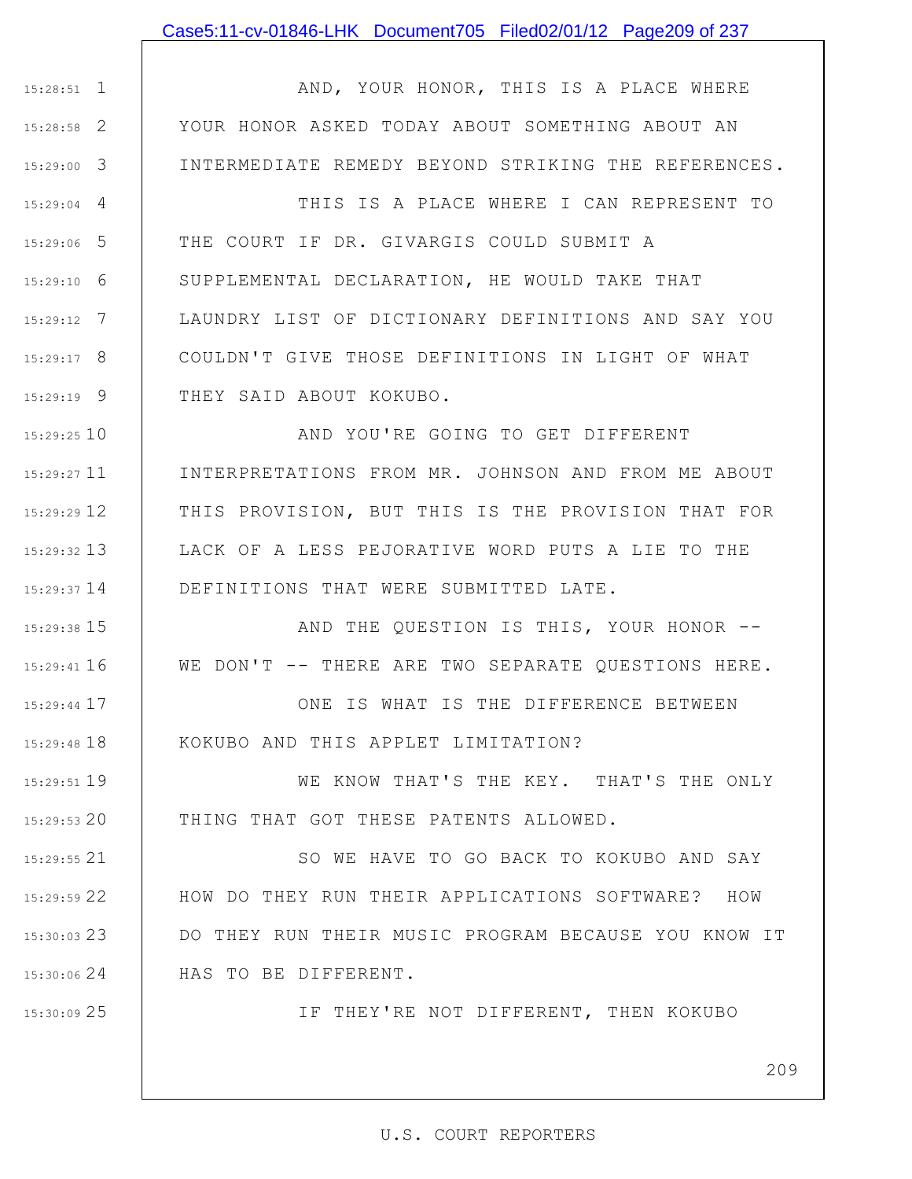### Case5:11-cv-01846-LHK Document705 Filed02/01/12 Page209 of 237

1 15:28:51 2 15:28:58 3 15:29:00 4 15:29:04 5 15:29:06 6 15:29:10 7 15:29:12 8 15:29:17 9 15:29:19 10 15:29:25 11 15:29:27 12 15:29:29 13 15:29:32 14 15:29:37 15 15:29:38 16 15:29:41 17 15:29:44 AND, YOUR HONOR, THIS IS A PLACE WHERE YOUR HONOR ASKED TODAY ABOUT SOMETHING ABOUT AN INTERMEDIATE REMEDY BEYOND STRIKING THE REFERENCES. THIS IS A PLACE WHERE I CAN REPRESENT TO THE COURT IF DR. GIVARGIS COULD SUBMIT A SUPPLEMENTAL DECLARATION, HE WOULD TAKE THAT LAUNDRY LIST OF DICTIONARY DEFINITIONS AND SAY YOU COULDN'T GIVE THOSE DEFINITIONS IN LIGHT OF WHAT THEY SAID ABOUT KOKUBO. AND YOU'RE GOING TO GET DIFFERENT INTERPRETATIONS FROM MR. JOHNSON AND FROM ME ABOUT THIS PROVISION, BUT THIS IS THE PROVISION THAT FOR LACK OF A LESS PEJORATIVE WORD PUTS A LIE TO THE DEFINITIONS THAT WERE SUBMITTED LATE. AND THE QUESTION IS THIS, YOUR HONOR -- WE DON'T -- THERE ARE TWO SEPARATE QUESTIONS HERE. ONE IS WHAT IS THE DIFFERENCE BETWEEN

KOKUBO AND THIS APPLET LIMITATION?

19 15:29:51 20 15:29:53 WE KNOW THAT'S THE KEY. THAT'S THE ONLY THING THAT GOT THESE PATENTS ALLOWED.

21 15:29:55 22 15:29:59 23 15:30:03 24 15:30:06 SO WE HAVE TO GO BACK TO KOKUBO AND SAY HOW DO THEY RUN THEIR APPLICATIONS SOFTWARE? HOW DO THEY RUN THEIR MUSIC PROGRAM BECAUSE YOU KNOW IT HAS TO BE DIFFERENT.

25 15:30:09

18 15:29:48

IF THEY'RE NOT DIFFERENT, THEN KOKUBO

209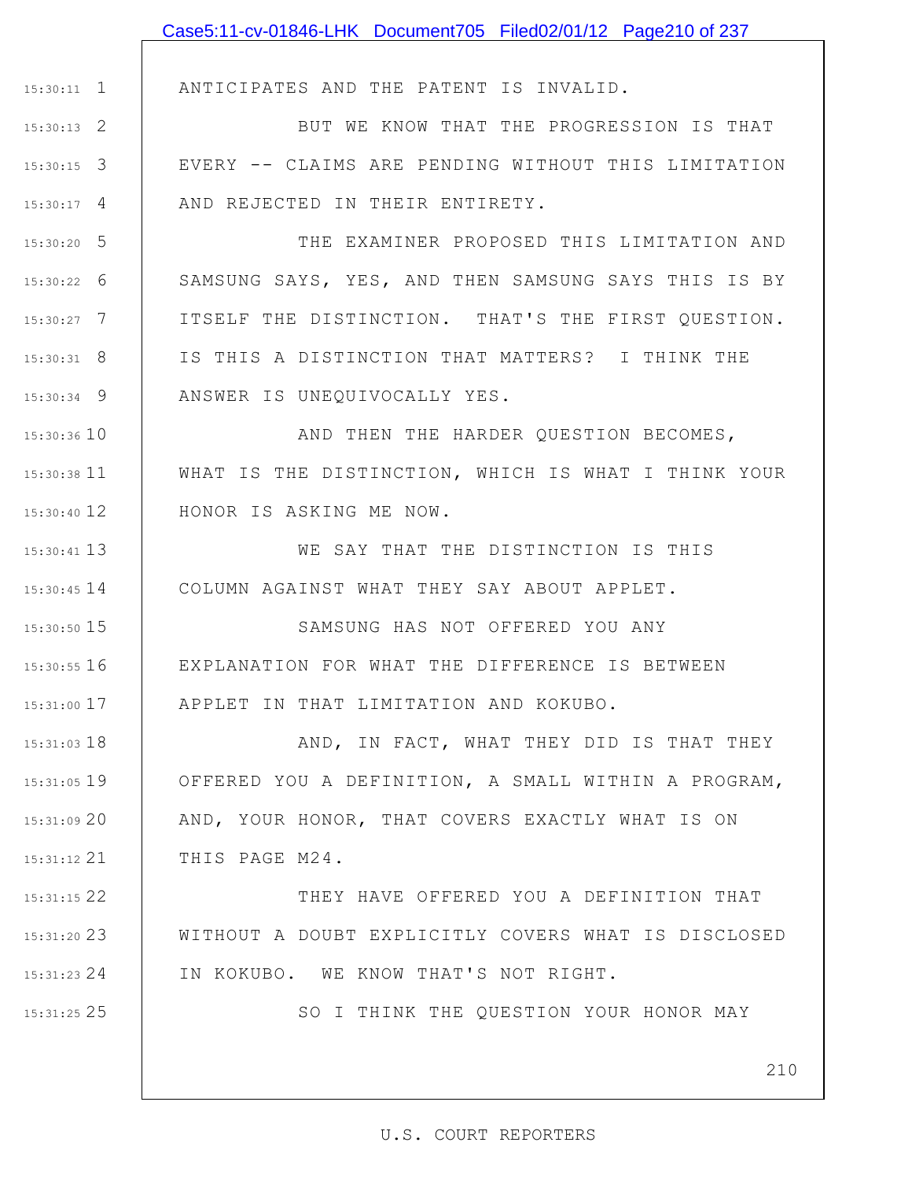|               | Case5:11-cv-01846-LHK Document705 Filed02/01/12 Page210 of 237 |
|---------------|----------------------------------------------------------------|
|               |                                                                |
| $15:30:11$ 1  | ANTICIPATES AND THE PATENT IS INVALID.                         |
| $15:30:13$ 2  | BUT WE KNOW THAT THE PROGRESSION IS THAT                       |
| $15:30:15$ 3  | EVERY -- CLAIMS ARE PENDING WITHOUT THIS LIMITATION            |
| $15:30:17$ 4  | AND REJECTED IN THEIR ENTIRETY.                                |
| $15:30:20$ 5  | THE EXAMINER PROPOSED THIS LIMITATION AND                      |
| $15:30:22$ 6  | SAMSUNG SAYS, YES, AND THEN SAMSUNG SAYS THIS IS BY            |
| $15:30:27$ 7  | ITSELF THE DISTINCTION. THAT'S THE FIRST QUESTION.             |
| $15:30:31$ 8  | IS THIS A DISTINCTION THAT MATTERS? I THINK THE                |
| $15:30:34$ 9  | ANSWER IS UNEQUIVOCALLY YES.                                   |
| 15:30:36 10   | AND THEN THE HARDER QUESTION BECOMES,                          |
| 15:30:38 11   | WHAT IS THE DISTINCTION, WHICH IS WHAT I THINK YOUR            |
| 15:30:40 12   | HONOR IS ASKING ME NOW.                                        |
| 15:30:41 13   | WE SAY THAT THE DISTINCTION IS THIS                            |
| $15:30:45$ 14 | COLUMN AGAINST WHAT THEY SAY ABOUT APPLET.                     |
| 15:30:50 15   | SAMSUNG HAS NOT OFFERED YOU ANY                                |
| $15:30:55$ 16 | EXPLANATION FOR WHAT THE DIFFERENCE IS BETWEEN                 |
| $15:31:00$ 17 | APPLET IN THAT LIMITATION AND KOKUBO.                          |
| $15:31:03$ 18 | AND, IN FACT, WHAT THEY DID IS THAT THEY                       |
| $15:31:05$ 19 | OFFERED YOU A DEFINITION, A SMALL WITHIN A PROGRAM,            |
| 15:31:0920    | AND, YOUR HONOR, THAT COVERS EXACTLY WHAT IS ON                |
| $15:31:12$ 21 | THIS PAGE M24.                                                 |
| 15:31:15 22   | THEY HAVE OFFERED YOU A DEFINITION THAT                        |
| 15:31:20 23   | WITHOUT A DOUBT EXPLICITLY COVERS WHAT IS DISCLOSED            |
| 15:31:23 24   | IN KOKUBO. WE KNOW THAT'S NOT RIGHT.                           |
| 15:31:25 25   | SO I THINK THE QUESTION YOUR HONOR MAY                         |
|               |                                                                |
|               | 210                                                            |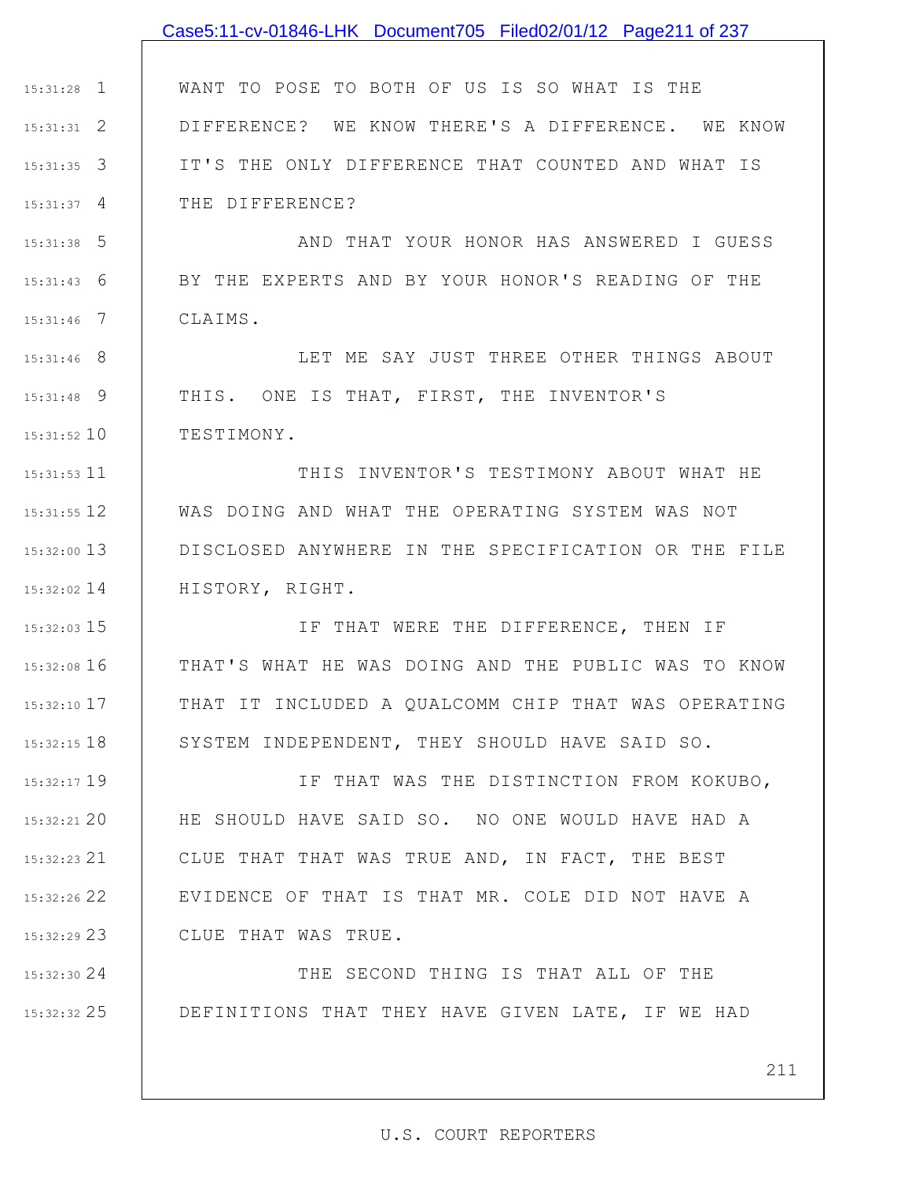## 1 15:31:28 2 15:31:31 3 15:31:35 4 15:31:37 5 15:31:38 6 15:31:43 7 15:31:46 8 15:31:46 9 15:31:48 10 15:31:52 11 15:31:53 12 15:31:55 13 15:32:00 14 15:32:02 15 15:32:03 16 15:32:08 17 15:32:10 18 15:32:15 19 15:32:17 20 15:32:21 21 15:32:23 22 15:32:26 23 15:32:29 24 15:32:30 WANT TO POSE TO BOTH OF US IS SO WHAT IS THE DIFFERENCE? WE KNOW THERE'S A DIFFERENCE. WE KNOW IT'S THE ONLY DIFFERENCE THAT COUNTED AND WHAT IS THE DIFFERENCE? AND THAT YOUR HONOR HAS ANSWERED I GUESS BY THE EXPERTS AND BY YOUR HONOR'S READING OF THE CLAIMS. LET ME SAY JUST THREE OTHER THINGS ABOUT THIS. ONE IS THAT, FIRST, THE INVENTOR'S TESTIMONY. THIS INVENTOR'S TESTIMONY ABOUT WHAT HE WAS DOING AND WHAT THE OPERATING SYSTEM WAS NOT DISCLOSED ANYWHERE IN THE SPECIFICATION OR THE FILE HISTORY, RIGHT. IF THAT WERE THE DIFFERENCE, THEN IF THAT'S WHAT HE WAS DOING AND THE PUBLIC WAS TO KNOW THAT IT INCLUDED A QUALCOMM CHIP THAT WAS OPERATING SYSTEM INDEPENDENT, THEY SHOULD HAVE SAID SO. IF THAT WAS THE DISTINCTION FROM KOKUBO, HE SHOULD HAVE SAID SO. NO ONE WOULD HAVE HAD A CLUE THAT THAT WAS TRUE AND, IN FACT, THE BEST EVIDENCE OF THAT IS THAT MR. COLE DID NOT HAVE A CLUE THAT WAS TRUE. THE SECOND THING IS THAT ALL OF THE Case5:11-cv-01846-LHK Document705 Filed02/01/12 Page211 of 237

25 15:32:32 DEFINITIONS THAT THEY HAVE GIVEN LATE, IF WE HAD

211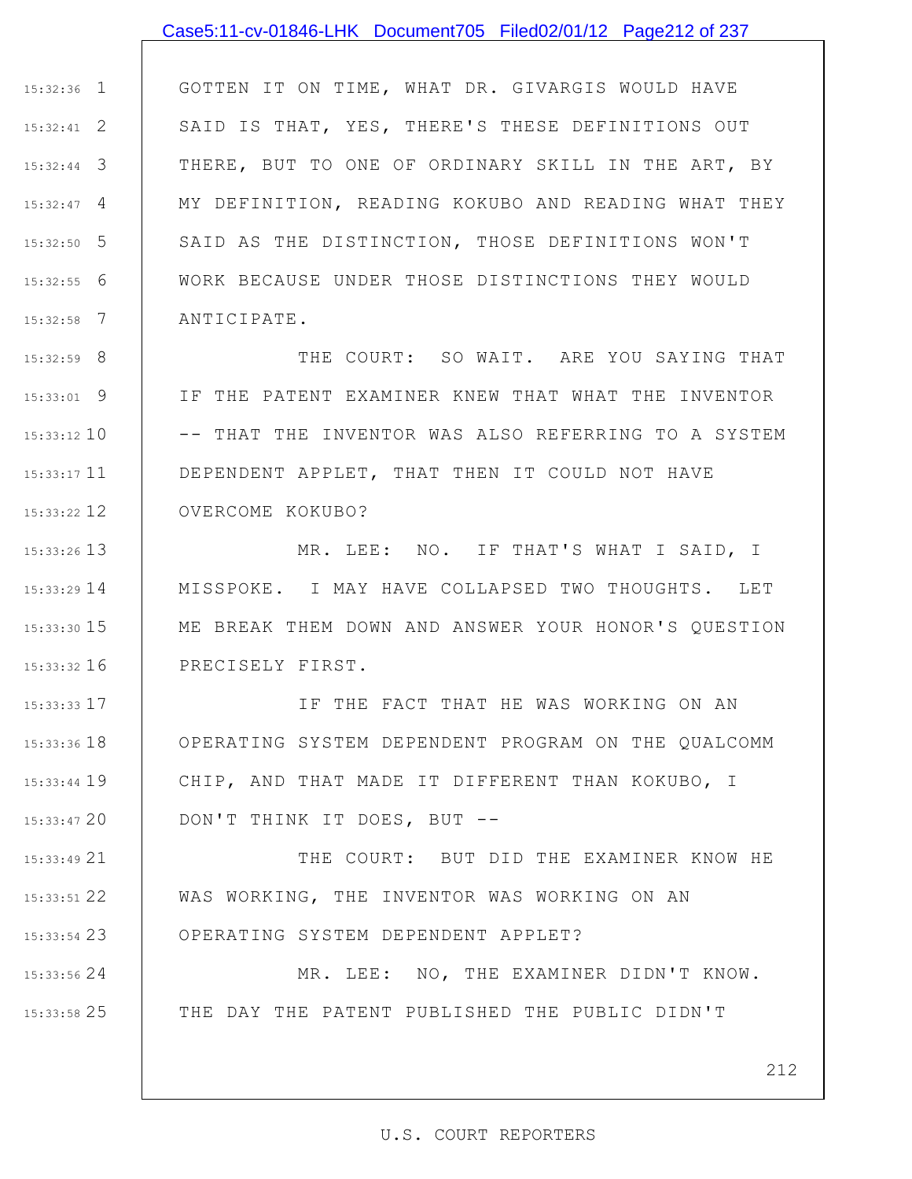### Case5:11-cv-01846-LHK Document705 Filed02/01/12 Page212 of 237

1 15:32:36 2 15:32:41 3 15:32:44 4 15:32:47 5 15:32:50 6 15:32:55 7 15:32:58 GOTTEN IT ON TIME, WHAT DR. GIVARGIS WOULD HAVE SAID IS THAT, YES, THERE'S THESE DEFINITIONS OUT THERE, BUT TO ONE OF ORDINARY SKILL IN THE ART, BY MY DEFINITION, READING KOKUBO AND READING WHAT THEY SAID AS THE DISTINCTION, THOSE DEFINITIONS WON'T WORK BECAUSE UNDER THOSE DISTINCTIONS THEY WOULD ANTICIPATE.

8 15:32:59 9 15:33:01 15:33:12 10 15:33:17 11 15:33:22 12 THE COURT: SO WAIT. ARE YOU SAYING THAT IF THE PATENT EXAMINER KNEW THAT WHAT THE INVENTOR -- THAT THE INVENTOR WAS ALSO REFERRING TO A SYSTEM DEPENDENT APPLET, THAT THEN IT COULD NOT HAVE OVERCOME KOKUBO?

13 15:33:26 14 15:33:29 15 15:33:30 16 15:33:32 MR. LEE: NO. IF THAT'S WHAT I SAID, I MISSPOKE. I MAY HAVE COLLAPSED TWO THOUGHTS. LET ME BREAK THEM DOWN AND ANSWER YOUR HONOR'S QUESTION PRECISELY FIRST.

17 15:33:33 18 15:33:36 19 15:33:44 20 15:33:47 IF THE FACT THAT HE WAS WORKING ON AN OPERATING SYSTEM DEPENDENT PROGRAM ON THE QUALCOMM CHIP, AND THAT MADE IT DIFFERENT THAN KOKUBO, I DON'T THINK IT DOES, BUT --

21 15:33:49 22 15:33:51 23 15:33:54 THE COURT: BUT DID THE EXAMINER KNOW HE WAS WORKING, THE INVENTOR WAS WORKING ON AN OPERATING SYSTEM DEPENDENT APPLET?

24 15:33:56

25 15:33:58

MR. LEE: NO, THE EXAMINER DIDN'T KNOW. THE DAY THE PATENT PUBLISHED THE PUBLIC DIDN'T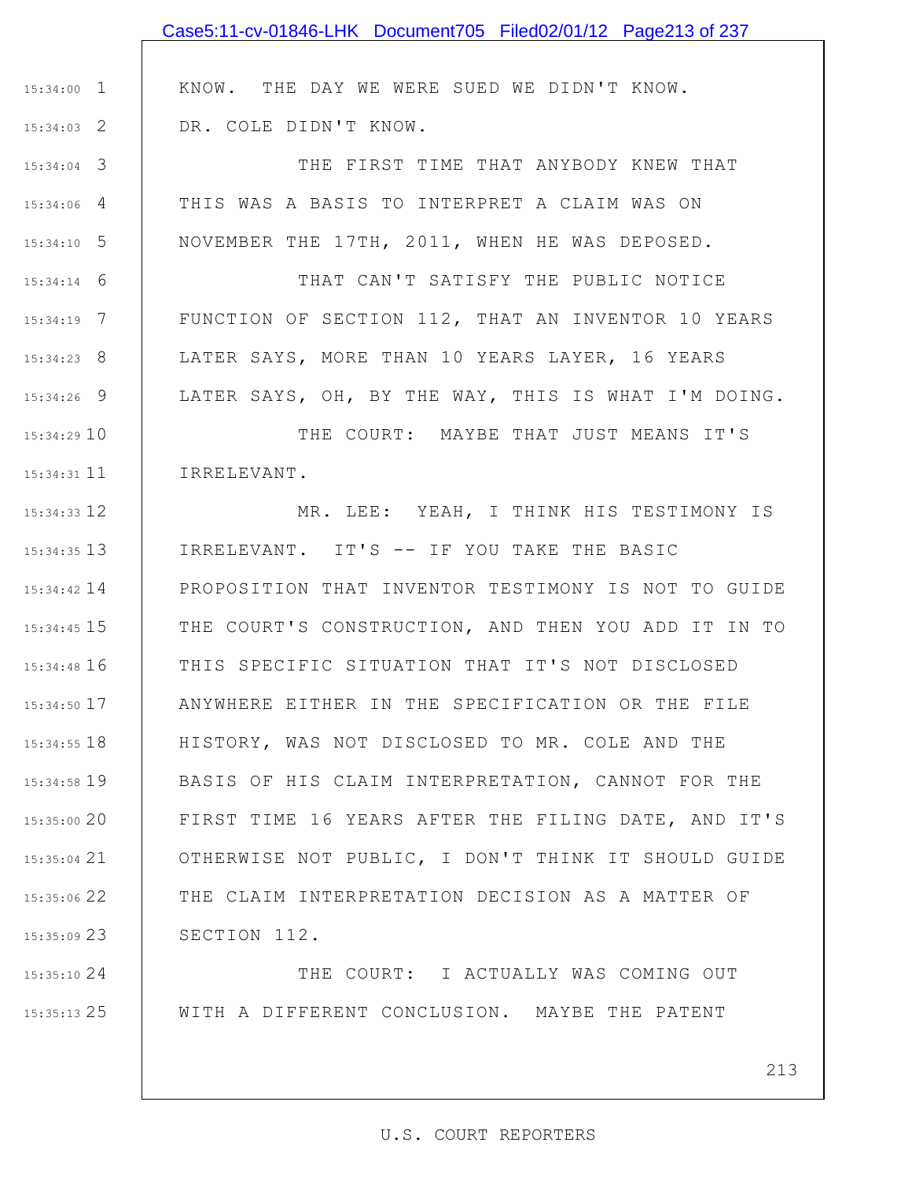|                 | Case5:11-cv-01846-LHK Document705 Filed02/01/12 Page213 of 237 |
|-----------------|----------------------------------------------------------------|
|                 |                                                                |
| $15:34:00$ 1    | KNOW. THE DAY WE WERE SUED WE DIDN'T KNOW.                     |
| $15:34:03$ 2    | DR. COLE DIDN'T KNOW.                                          |
| $15:34:04$ 3    | THE FIRST TIME THAT ANYBODY KNEW THAT                          |
| $15:34:06$ 4    | THIS WAS A BASIS TO INTERPRET A CLAIM WAS ON                   |
| $15:34:10$ 5    | NOVEMBER THE 17TH, 2011, WHEN HE WAS DEPOSED.                  |
| $15:34:14$ 6    | THAT CAN'T SATISFY THE PUBLIC NOTICE                           |
| $15:34:19$ 7    | FUNCTION OF SECTION 112, THAT AN INVENTOR 10 YEARS             |
| $15:34:23$ 8    | LATER SAYS, MORE THAN 10 YEARS LAYER, 16 YEARS                 |
| $15:34:26$ 9    | LATER SAYS, OH, BY THE WAY, THIS IS WHAT I'M DOING.            |
| 15:34:2910      | THE COURT: MAYBE THAT JUST MEANS IT'S                          |
| $15:34:31$ 11   | IRRELEVANT.                                                    |
| 15:34:33 12     | MR. LEE: YEAH, I THINK HIS TESTIMONY IS                        |
| $15:34:35$ 13   | IRRELEVANT. IT'S -- IF YOU TAKE THE BASIC                      |
| $15:34:42$ 14   | PROPOSITION THAT INVENTOR TESTIMONY IS NOT TO GUIDE            |
| $15:34:45$ $15$ | THE COURT'S CONSTRUCTION, AND THEN YOU ADD IT IN TO            |
|                 | 15:34:48 16   THIS SPECIFIC SITUATION THAT IT'S NOT DISCLOSED  |
| 15:34:50 17     | ANYWHERE EITHER IN THE SPECIFICATION OR THE FILE               |
| $15:34:55$ 18   | HISTORY, WAS NOT DISCLOSED TO MR. COLE AND THE                 |
| $15:34:58$ 19   | BASIS OF HIS CLAIM INTERPRETATION, CANNOT FOR THE              |
| 15:35:00 20     | FIRST TIME 16 YEARS AFTER THE FILING DATE, AND IT'S            |
| $15:35:04$ 21   | OTHERWISE NOT PUBLIC, I DON'T THINK IT SHOULD GUIDE            |
| 15:35:06 22     | THE CLAIM INTERPRETATION DECISION AS A MATTER OF               |
| 15:35:09 23     | SECTION 112.                                                   |
| 15:35:1024      | THE COURT: I ACTUALLY WAS COMING OUT                           |

WITH A DIFFERENT CONCLUSION. MAYBE THE PATENT

25 15:35:13

213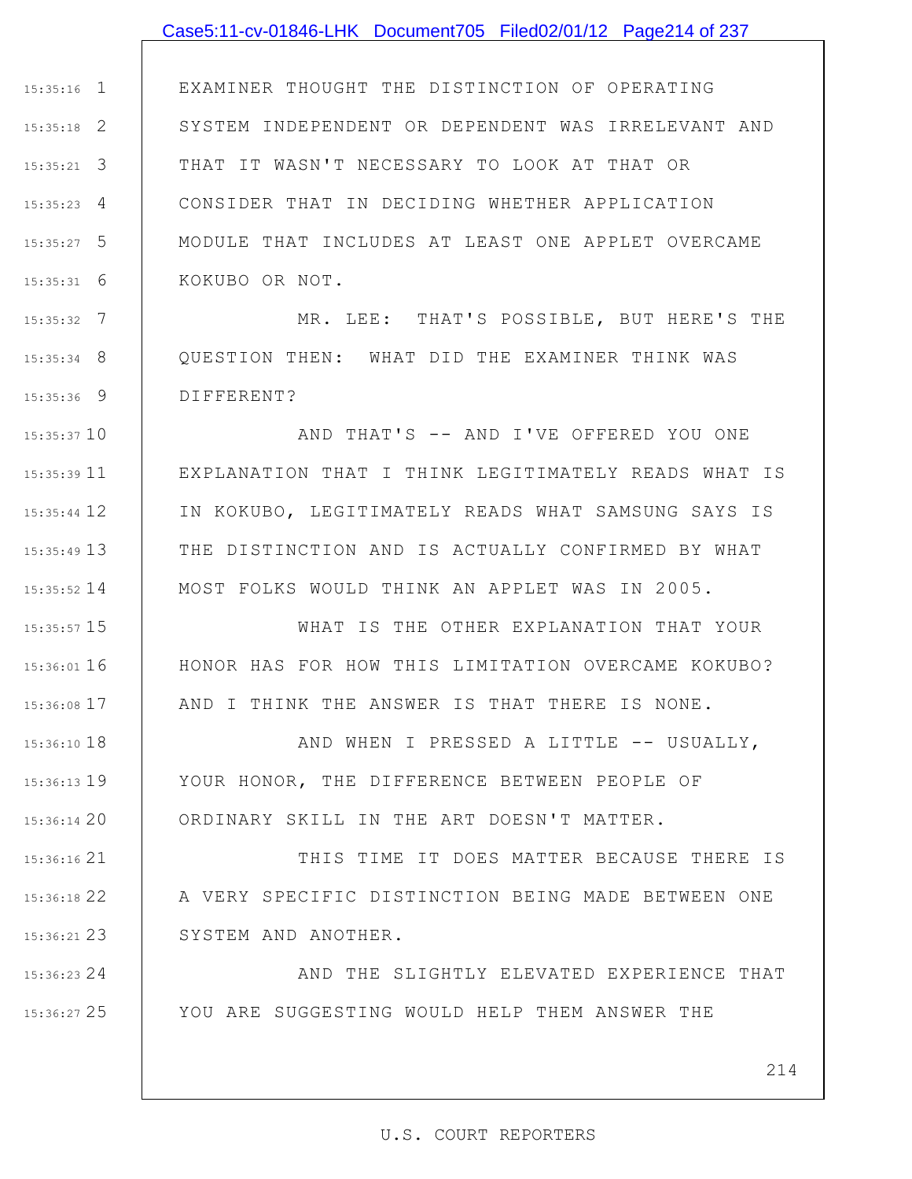#### Case5:11-cv-01846-LHK Document705 Filed02/01/12 Page214 of 237

1 15:35:16 2 15:35:18 3 15:35:21 4 15:35:23 5 15:35:27 6 15:35:31 EXAMINER THOUGHT THE DISTINCTION OF OPERATING SYSTEM INDEPENDENT OR DEPENDENT WAS IRRELEVANT AND THAT IT WASN'T NECESSARY TO LOOK AT THAT OR CONSIDER THAT IN DECIDING WHETHER APPLICATION MODULE THAT INCLUDES AT LEAST ONE APPLET OVERCAME KOKUBO OR NOT.

7 15:35:32 8 15:35:34 9 15:35:36 MR. LEE: THAT'S POSSIBLE, BUT HERE'S THE QUESTION THEN: WHAT DID THE EXAMINER THINK WAS DIFFERENT?

15:35:37 10 11 15:35:39 12 15:35:44 13 15:35:49 14 15:35:52 AND THAT'S -- AND I'VE OFFERED YOU ONE EXPLANATION THAT I THINK LEGITIMATELY READS WHAT IS IN KOKUBO, LEGITIMATELY READS WHAT SAMSUNG SAYS IS THE DISTINCTION AND IS ACTUALLY CONFIRMED BY WHAT MOST FOLKS WOULD THINK AN APPLET WAS IN 2005.

15 15:35:57

16 15:36:01

17 15:36:08

24 15:36:23

25 15:36:27

WHAT IS THE OTHER EXPLANATION THAT YOUR HONOR HAS FOR HOW THIS LIMITATION OVERCAME KOKUBO? AND I THINK THE ANSWER IS THAT THERE IS NONE.

18 15:36:10 19 15:36:13 20 15:36:14 AND WHEN I PRESSED A LITTLE -- USUALLY, YOUR HONOR, THE DIFFERENCE BETWEEN PEOPLE OF ORDINARY SKILL IN THE ART DOESN'T MATTER.

21 15:36:16 22 15:36:18 23 15:36:21 THIS TIME IT DOES MATTER BECAUSE THERE IS A VERY SPECIFIC DISTINCTION BEING MADE BETWEEN ONE SYSTEM AND ANOTHER.

> AND THE SLIGHTLY ELEVATED EXPERIENCE THAT YOU ARE SUGGESTING WOULD HELP THEM ANSWER THE

> > 214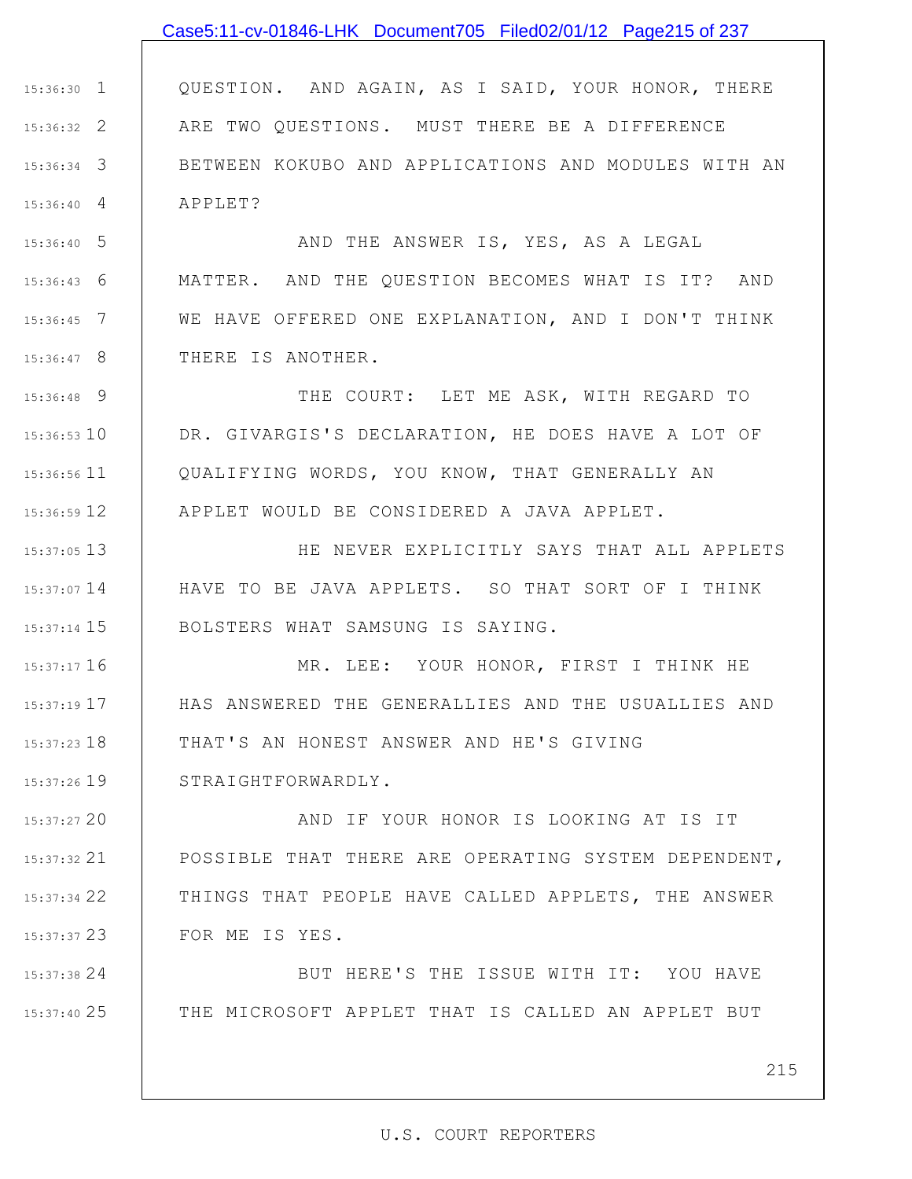### Case5:11-cv-01846-LHK Document705 Filed02/01/12 Page215 of 237

1 15:36:30 2 15:36:32 3 15:36:34 4 15:36:40 QUESTION. AND AGAIN, AS I SAID, YOUR HONOR, THERE ARE TWO QUESTIONS. MUST THERE BE A DIFFERENCE BETWEEN KOKUBO AND APPLICATIONS AND MODULES WITH AN APPLET?

5 15:36:40 6 15:36:43 7 15:36:45 8 15:36:47 AND THE ANSWER IS, YES, AS A LEGAL MATTER. AND THE QUESTION BECOMES WHAT IS IT? AND WE HAVE OFFERED ONE EXPLANATION, AND I DON'T THINK THERE IS ANOTHER.

9 15:36:48 15:36:53 10 11 15:36:56 12 15:36:59 THE COURT: LET ME ASK, WITH REGARD TO DR. GIVARGIS'S DECLARATION, HE DOES HAVE A LOT OF QUALIFYING WORDS, YOU KNOW, THAT GENERALLY AN APPLET WOULD BE CONSIDERED A JAVA APPLET.

13 15:37:05 14 15:37:07 15 15:37:14 HE NEVER EXPLICITLY SAYS THAT ALL APPLETS HAVE TO BE JAVA APPLETS. SO THAT SORT OF I THINK BOLSTERS WHAT SAMSUNG IS SAYING.

16 15:37:17 17 15:37:19 18 15:37:23 19 15:37:26 MR. LEE: YOUR HONOR, FIRST I THINK HE HAS ANSWERED THE GENERALLIES AND THE USUALLIES AND THAT'S AN HONEST ANSWER AND HE'S GIVING STRAIGHTFORWARDLY.

20 15:37:27 21 15:37:32 22 15:37:34 23 15:37:37 AND IF YOUR HONOR IS LOOKING AT IS IT POSSIBLE THAT THERE ARE OPERATING SYSTEM DEPENDENT, THINGS THAT PEOPLE HAVE CALLED APPLETS, THE ANSWER FOR ME IS YES.

24 15:37:38 25 15:37:40 BUT HERE'S THE ISSUE WITH IT: YOU HAVE THE MICROSOFT APPLET THAT IS CALLED AN APPLET BUT

215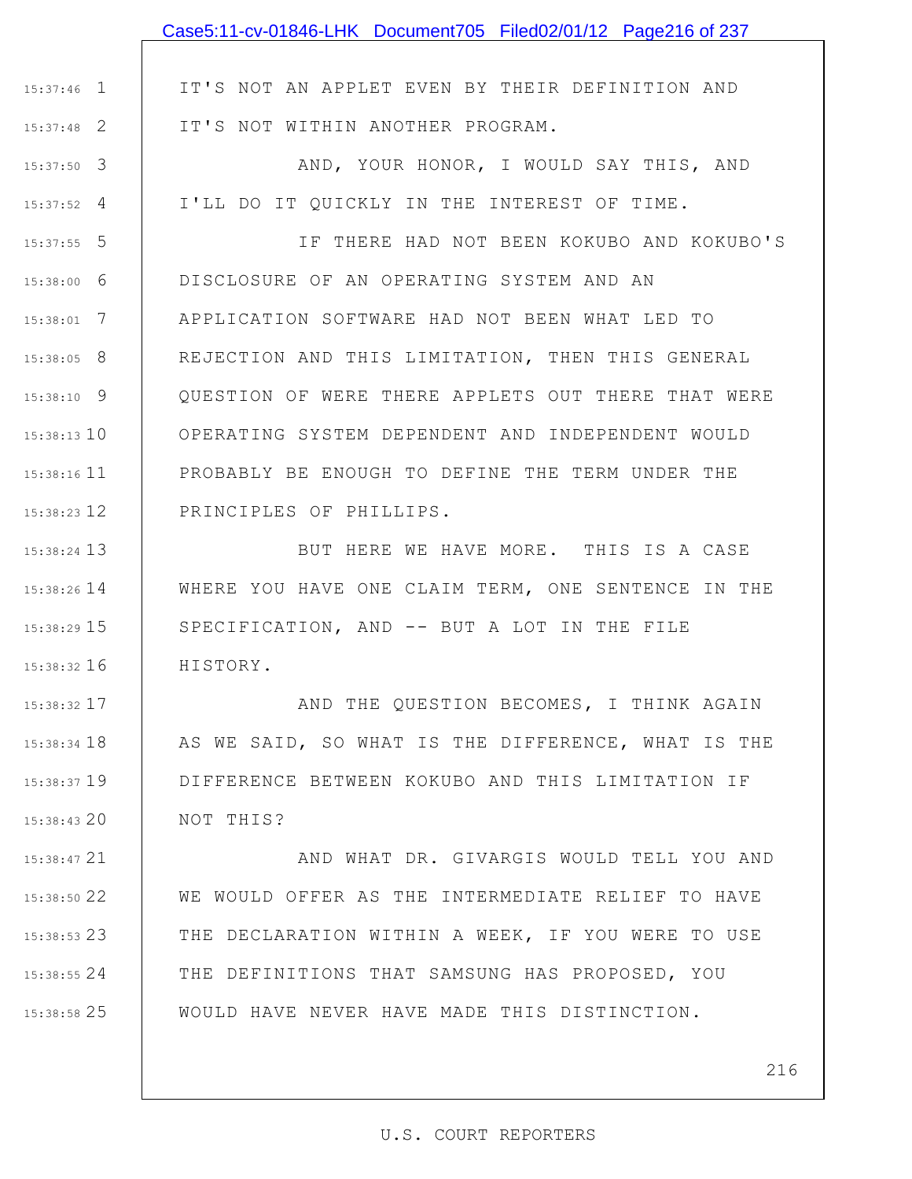|               | Case5:11-cv-01846-LHK Document705 Filed02/01/12 Page216 of 237 |
|---------------|----------------------------------------------------------------|
|               |                                                                |
| $15:37:46$ 1  | IT'S NOT AN APPLET EVEN BY THEIR DEFINITION AND                |
| $15:37:48$ 2  | IT'S NOT WITHIN ANOTHER PROGRAM.                               |
| $15:37:50$ 3  | AND, YOUR HONOR, I WOULD SAY THIS, AND                         |
| $15:37:52$ 4  | I'LL DO IT QUICKLY IN THE INTEREST OF TIME.                    |
| $15:37:55$ 5  | IF THERE HAD NOT BEEN KOKUBO AND KOKUBO'S                      |
| $15:38:00$ 6  | DISCLOSURE OF AN OPERATING SYSTEM AND AN                       |
| $15:38:01$ 7  | APPLICATION SOFTWARE HAD NOT BEEN WHAT LED TO                  |
| $15:38:05$ 8  | REJECTION AND THIS LIMITATION, THEN THIS GENERAL               |
| $15:38:10$ 9  | QUESTION OF WERE THERE APPLETS OUT THERE THAT WERE             |
| $15:38:13$ 10 | OPERATING SYSTEM DEPENDENT AND INDEPENDENT WOULD               |
| 15:38:16 11   | PROBABLY BE ENOUGH TO DEFINE THE TERM UNDER THE                |
| 15:38:23 12   | PRINCIPLES OF PHILLIPS.                                        |
| 15:38:24 13   | BUT HERE WE HAVE MORE. THIS IS A CASE                          |
| $15:38:26$ 14 | WHERE YOU HAVE ONE CLAIM TERM, ONE SENTENCE IN THE             |
| 15:38:29 15   | SPECIFICATION, AND -- BUT A LOT IN THE FILE                    |
| $15:38:32$ 16 | HISTORY.                                                       |
| 15:38:32 17   | AND THE QUESTION BECOMES, I THINK AGAIN                        |
| 15:38:34 18   | AS WE SAID, SO WHAT IS THE DIFFERENCE, WHAT IS THE             |
| $15:38:37$ 19 | DIFFERENCE BETWEEN KOKUBO AND THIS LIMITATION IF               |
| 15:38:43 20   | NOT THIS?                                                      |
| 15:38:47 21   | AND WHAT DR. GIVARGIS WOULD TELL YOU AND                       |
| 15:38:50 22   | WE WOULD OFFER AS THE INTERMEDIATE RELIEF TO HAVE              |
| $15:38:53$ 23 | THE DECLARATION WITHIN A WEEK, IF YOU WERE TO USE              |
| $15:38:55$ 24 | THE DEFINITIONS THAT SAMSUNG HAS PROPOSED, YOU                 |
| 15:38:58 25   | WOULD HAVE NEVER HAVE MADE THIS DISTINCTION.                   |
|               |                                                                |
|               | 216                                                            |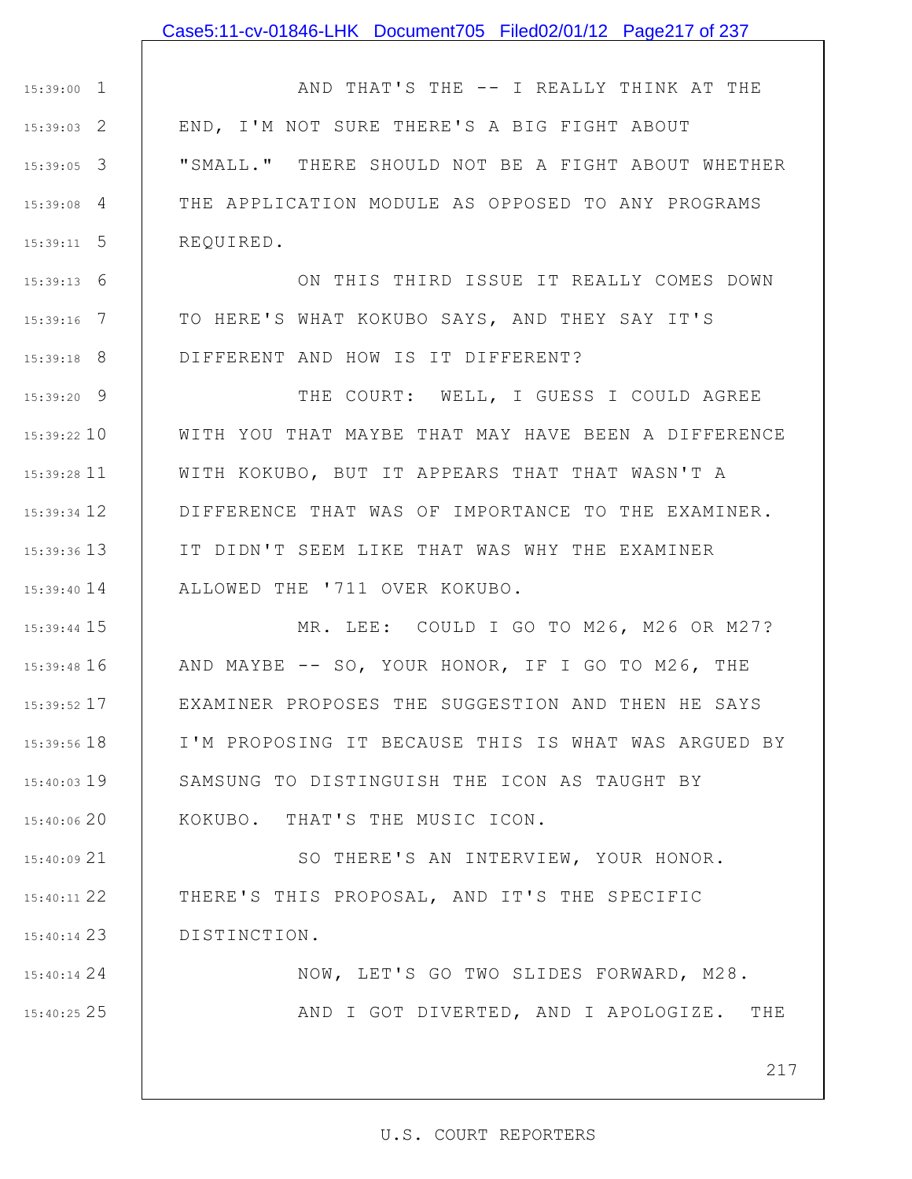### Case5:11-cv-01846-LHK Document705 Filed02/01/12 Page217 of 237

1 15:39:00 2 15:39:03 3 15:39:05 4 15:39:08 5 15:39:11 AND THAT'S THE -- I REALLY THINK AT THE END, I'M NOT SURE THERE'S A BIG FIGHT ABOUT "SMALL." THERE SHOULD NOT BE A FIGHT ABOUT WHETHER THE APPLICATION MODULE AS OPPOSED TO ANY PROGRAMS REQUIRED.

6 15:39:13 7 15:39:16 8 15:39:18 ON THIS THIRD ISSUE IT REALLY COMES DOWN TO HERE'S WHAT KOKUBO SAYS, AND THEY SAY IT'S DIFFERENT AND HOW IS IT DIFFERENT?

9 15:39:20 15:39:22 10 11 15:39:28 15:39:34 12 13 15:39:36 15:39:40 14 THE COURT: WELL, I GUESS I COULD AGREE WITH YOU THAT MAYBE THAT MAY HAVE BEEN A DIFFERENCE WITH KOKUBO, BUT IT APPEARS THAT THAT WASN'T A DIFFERENCE THAT WAS OF IMPORTANCE TO THE EXAMINER. IT DIDN'T SEEM LIKE THAT WAS WHY THE EXAMINER ALLOWED THE '711 OVER KOKUBO.

15 15:39:44 16 15:39:48 17 15:39:52 18 15:39:56 19 15:40:03 15:40:06 20 MR. LEE: COULD I GO TO M26, M26 OR M27? AND MAYBE -- SO, YOUR HONOR, IF I GO TO M26, THE EXAMINER PROPOSES THE SUGGESTION AND THEN HE SAYS I'M PROPOSING IT BECAUSE THIS IS WHAT WAS ARGUED BY SAMSUNG TO DISTINGUISH THE ICON AS TAUGHT BY KOKUBO. THAT'S THE MUSIC ICON.

21 15:40:09 22 15:40:11 23 15:40:14 SO THERE'S AN INTERVIEW, YOUR HONOR. THERE'S THIS PROPOSAL, AND IT'S THE SPECIFIC DISTINCTION.

24 15:40:14 25 15:40:25 NOW, LET'S GO TWO SLIDES FORWARD, M28. AND I GOT DIVERTED, AND I APOLOGIZE. THE

217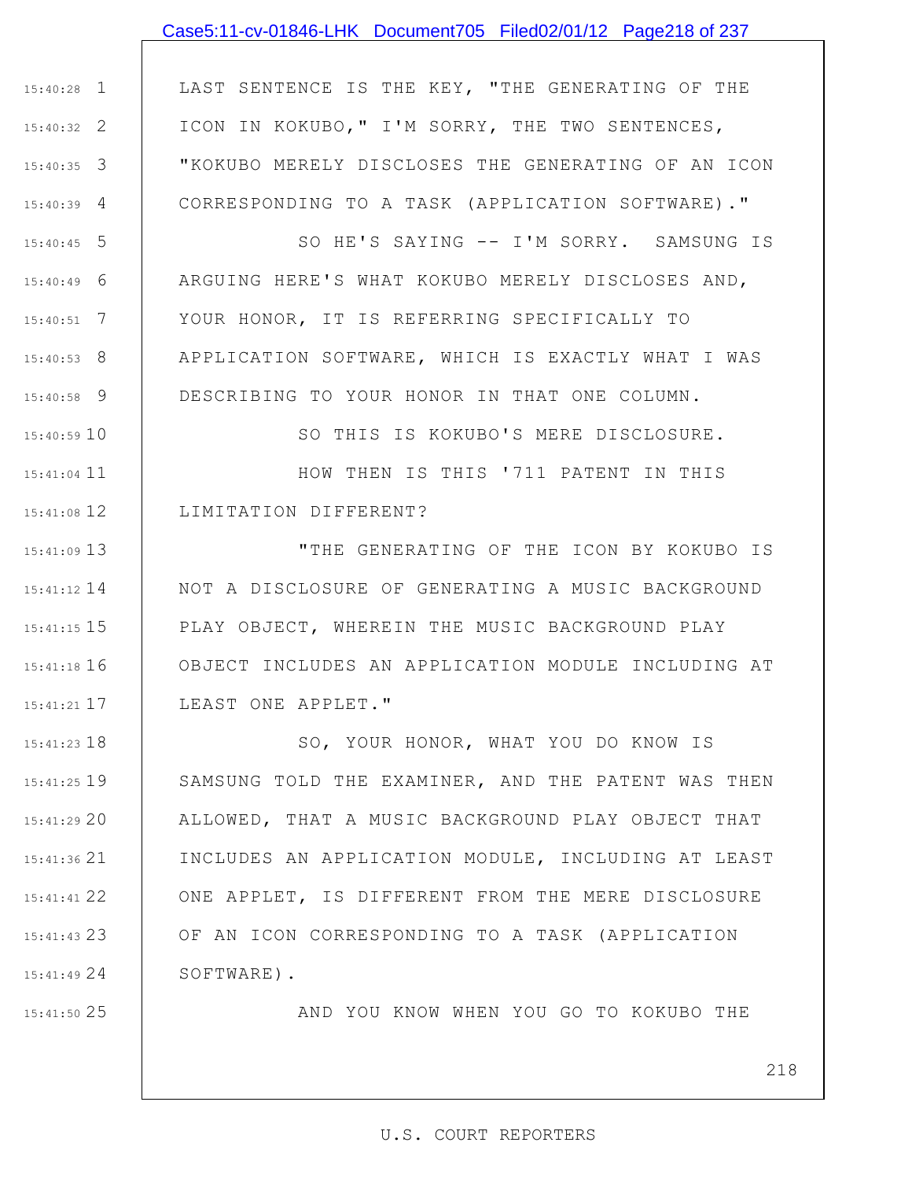## Case5:11-cv-01846-LHK Document705 Filed02/01/12 Page218 of 237

1 15:40:28 2 15:40:32 3 15:40:35 4 15:40:39 LAST SENTENCE IS THE KEY, "THE GENERATING OF THE ICON IN KOKUBO," I'M SORRY, THE TWO SENTENCES, "KOKUBO MERELY DISCLOSES THE GENERATING OF AN ICON CORRESPONDING TO A TASK (APPLICATION SOFTWARE)."

5 15:40:45 6 15:40:49 7 15:40:51 8 15:40:53 9 15:40:58 SO HE'S SAYING -- I'M SORRY. SAMSUNG IS ARGUING HERE'S WHAT KOKUBO MERELY DISCLOSES AND, YOUR HONOR, IT IS REFERRING SPECIFICALLY TO APPLICATION SOFTWARE, WHICH IS EXACTLY WHAT I WAS DESCRIBING TO YOUR HONOR IN THAT ONE COLUMN.

15:40:59 10 15:41:04 11 12 15:41:08 SO THIS IS KOKUBO'S MERE DISCLOSURE. HOW THEN IS THIS '711 PATENT IN THIS LIMITATION DIFFERENT?

13 15:41:09 15:41:12 14 15 15:41:15 16 15:41:18 17 15:41:21 "THE GENERATING OF THE ICON BY KOKUBO IS NOT A DISCLOSURE OF GENERATING A MUSIC BACKGROUND PLAY OBJECT, WHEREIN THE MUSIC BACKGROUND PLAY OBJECT INCLUDES AN APPLICATION MODULE INCLUDING AT LEAST ONE APPLET."

18 15:41:23 19 15:41:25 20 15:41:29 21 15:41:36 22 15:41:41 23 15:41:43 24 15:41:49 SO, YOUR HONOR, WHAT YOU DO KNOW IS SAMSUNG TOLD THE EXAMINER, AND THE PATENT WAS THEN ALLOWED, THAT A MUSIC BACKGROUND PLAY OBJECT THAT INCLUDES AN APPLICATION MODULE, INCLUDING AT LEAST ONE APPLET, IS DIFFERENT FROM THE MERE DISCLOSURE OF AN ICON CORRESPONDING TO A TASK (APPLICATION SOFTWARE).

25 15:41:50

AND YOU KNOW WHEN YOU GO TO KOKUBO THE

218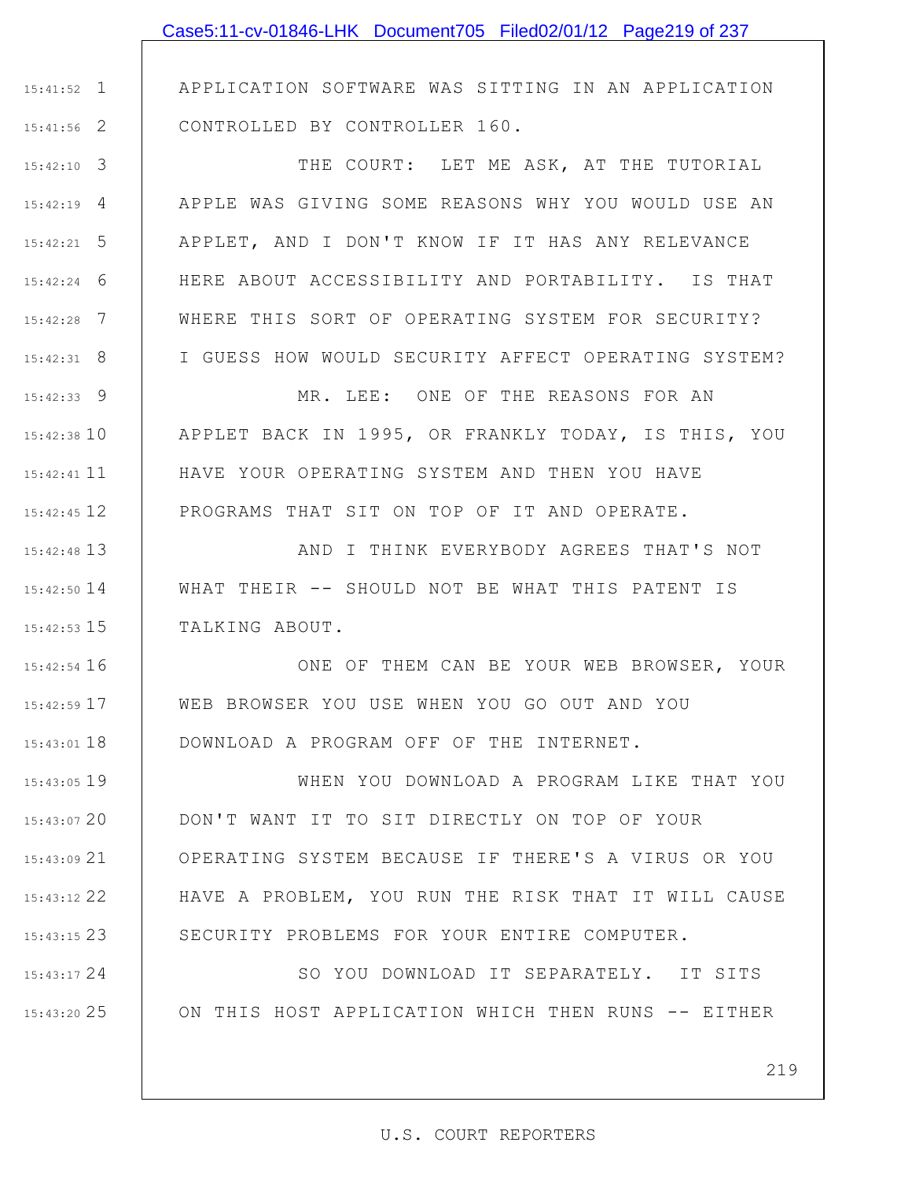1 15:41:52 2 15:41:56 APPLICATION SOFTWARE WAS SITTING IN AN APPLICATION CONTROLLED BY CONTROLLER 160.

3 15:42:10 4 15:42:19 5 15:42:21 6 15:42:24 7 15:42:28 8 15:42:31 THE COURT: LET ME ASK, AT THE TUTORIAL APPLE WAS GIVING SOME REASONS WHY YOU WOULD USE AN APPLET, AND I DON'T KNOW IF IT HAS ANY RELEVANCE HERE ABOUT ACCESSIBILITY AND PORTABILITY. IS THAT WHERE THIS SORT OF OPERATING SYSTEM FOR SECURITY? I GUESS HOW WOULD SECURITY AFFECT OPERATING SYSTEM?

9 15:42:33 15:42:38 10 15:42:41 11 12 15:42:45 MR. LEE: ONE OF THE REASONS FOR AN APPLET BACK IN 1995, OR FRANKLY TODAY, IS THIS, YOU HAVE YOUR OPERATING SYSTEM AND THEN YOU HAVE PROGRAMS THAT SIT ON TOP OF IT AND OPERATE.

13 15:42:48 14 15:42:50 15 15:42:53 AND I THINK EVERYBODY AGREES THAT'S NOT WHAT THEIR -- SHOULD NOT BE WHAT THIS PATENT IS TALKING ABOUT.

16 15:42:54 17 15:42:59 18 15:43:01 ONE OF THEM CAN BE YOUR WEB BROWSER, YOUR WEB BROWSER YOU USE WHEN YOU GO OUT AND YOU DOWNLOAD A PROGRAM OFF OF THE INTERNET.

19 15:43:05 20 15:43:07 21 15:43:09 22 15:43:12 23 15:43:15 WHEN YOU DOWNLOAD A PROGRAM LIKE THAT YOU DON'T WANT IT TO SIT DIRECTLY ON TOP OF YOUR OPERATING SYSTEM BECAUSE IF THERE'S A VIRUS OR YOU HAVE A PROBLEM, YOU RUN THE RISK THAT IT WILL CAUSE SECURITY PROBLEMS FOR YOUR ENTIRE COMPUTER.

24 15:43:17 25 15:43:20 SO YOU DOWNLOAD IT SEPARATELY. IT SITS ON THIS HOST APPLICATION WHICH THEN RUNS -- EITHER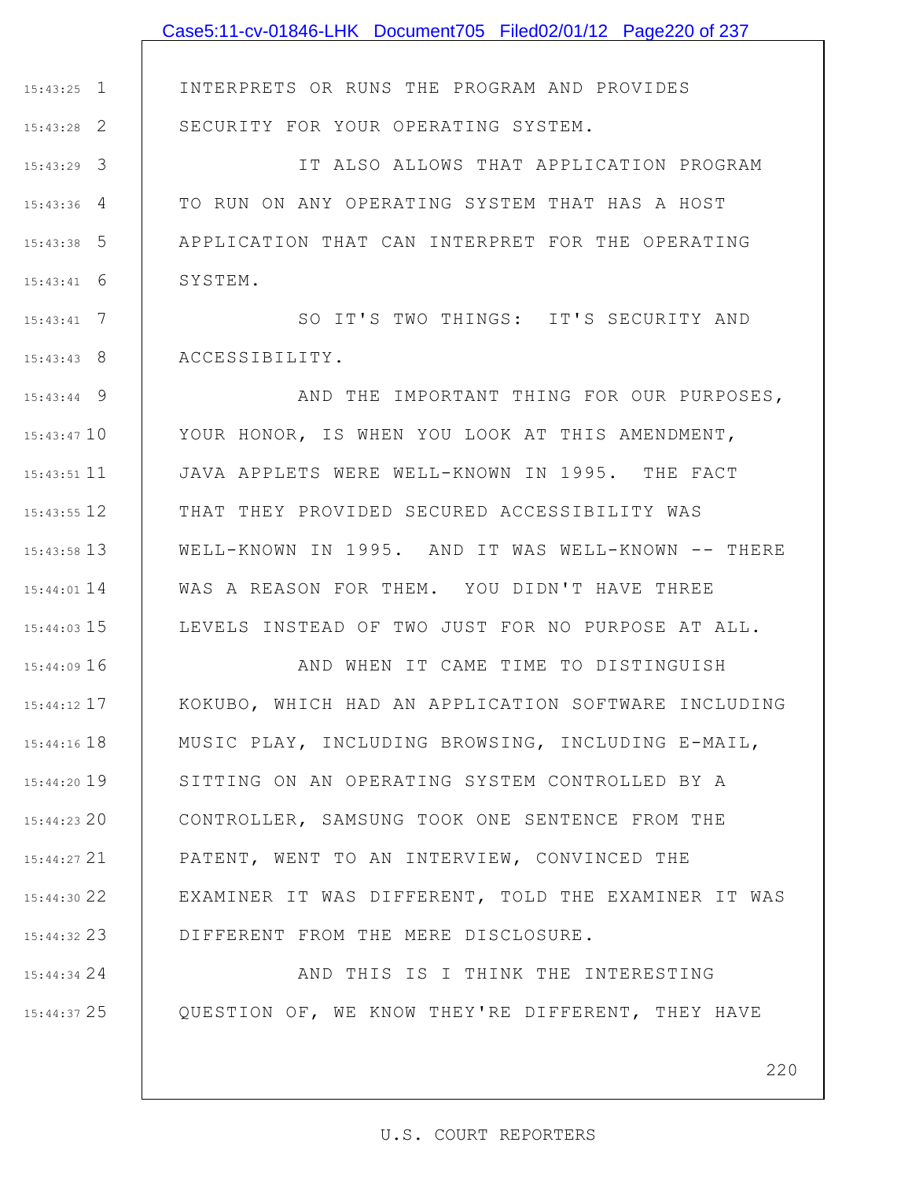|                 | Case5:11-cv-01846-LHK Document705 Filed02/01/12 Page220 of 237 |
|-----------------|----------------------------------------------------------------|
|                 |                                                                |
| $15:43:25$ 1    | INTERPRETS OR RUNS THE PROGRAM AND PROVIDES                    |
| $15:43:28$ 2    | SECURITY FOR YOUR OPERATING SYSTEM.                            |
| $15:43:29$ 3    | IT ALSO ALLOWS THAT APPLICATION PROGRAM                        |
| $15:43:36$ 4    | TO RUN ON ANY OPERATING SYSTEM THAT HAS A HOST                 |
| $15:43:38$ 5    | APPLICATION THAT CAN INTERPRET FOR THE OPERATING               |
| 6<br>15:43:41   | SYSTEM.                                                        |
| $15:43:41$ 7    | SO IT'S TWO THINGS: IT'S SECURITY AND                          |
| $15:43:43$ 8    | ACCESSIBILITY.                                                 |
| $15:43:44$ 9    | AND THE IMPORTANT THING FOR OUR PURPOSES,                      |
| $15:43:47$ 10   | YOUR HONOR, IS WHEN YOU LOOK AT THIS AMENDMENT,                |
| $15:43:51$ 11   | JAVA APPLETS WERE WELL-KNOWN IN 1995. THE FACT                 |
| 15:43:55 12     | THAT THEY PROVIDED SECURED ACCESSIBILITY WAS                   |
| $15:43:58$ 13   | WELL-KNOWN IN 1995. AND IT WAS WELL-KNOWN -- THERE             |
| $15:44:01$ 14   | WAS A REASON FOR THEM. YOU DIDN'T HAVE THREE                   |
| $15:44:03$ 15   | LEVELS INSTEAD OF TWO JUST FOR NO PURPOSE AT ALL.              |
| $15:44:09$ 16   | AND WHEN IT CAME TIME TO DISTINGUISH                           |
| $15:44:12$ 17   | KOKUBO, WHICH HAD AN APPLICATION SOFTWARE INCLUDING            |
| $15:44:16$ $18$ | MUSIC PLAY, INCLUDING BROWSING, INCLUDING E-MAIL,              |
| 15:44:20 19     | SITTING ON AN OPERATING SYSTEM CONTROLLED BY A                 |
| $15:44:23$ 20   | CONTROLLER, SAMSUNG TOOK ONE SENTENCE FROM THE                 |
| $15:44:27$ 21   | PATENT, WENT TO AN INTERVIEW, CONVINCED THE                    |
| 15:44:30 22     | EXAMINER IT WAS DIFFERENT, TOLD THE EXAMINER IT WAS            |
| 15:44:32 23     | DIFFERENT FROM THE MERE DISCLOSURE.                            |
| $15:44:34$ 24   | AND THIS IS I THINK THE INTERESTING                            |
| 15:44:37 25     | QUESTION OF, WE KNOW THEY'RE DIFFERENT, THEY HAVE              |

220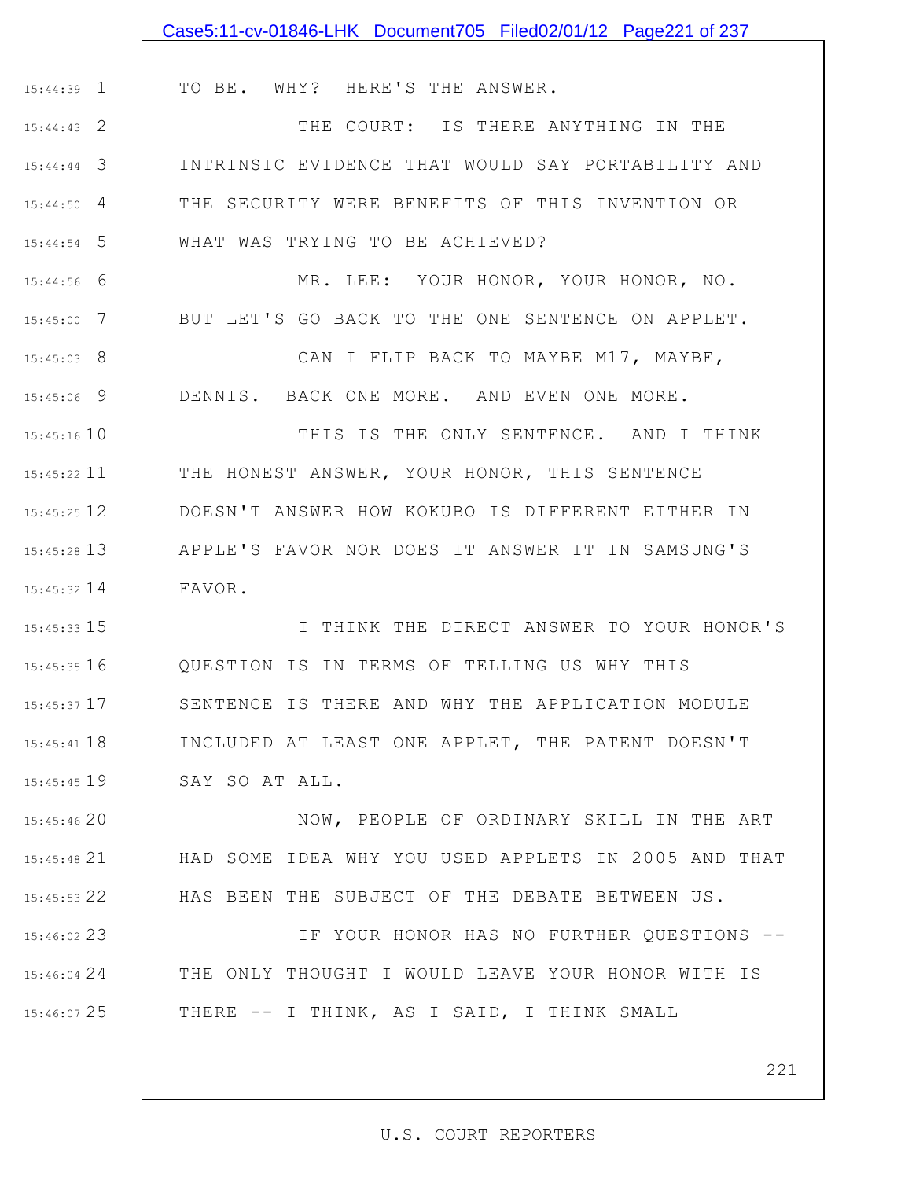|                    | Case5:11-cv-01846-LHK Document705 Filed02/01/12 Page221 of 237 |
|--------------------|----------------------------------------------------------------|
|                    |                                                                |
| $15:44:39$ $\perp$ | TO BE. WHY? HERE'S THE ANSWER.                                 |
| $15:44:43$ 2       | THE COURT: IS THERE ANYTHING IN THE                            |
| $15:44:44$ 3       | INTRINSIC EVIDENCE THAT WOULD SAY PORTABILITY AND              |
| $15:44:50$ 4       | THE SECURITY WERE BENEFITS OF THIS INVENTION OR                |
| $15:44:54$ 5       | WHAT WAS TRYING TO BE ACHIEVED?                                |
| $15:44:56$ 6       | MR. LEE: YOUR HONOR, YOUR HONOR, NO.                           |
| $15:45:00$ 7       | BUT LET'S GO BACK TO THE ONE SENTENCE ON APPLET.               |
| $15:45:03$ 8       | CAN I FLIP BACK TO MAYBE M17, MAYBE,                           |
| $15:45:06$ 9       | DENNIS. BACK ONE MORE. AND EVEN ONE MORE.                      |
| $15:45:16$ 10      | THIS IS THE ONLY SENTENCE. AND I THINK                         |
| 15:45:22 11        | THE HONEST ANSWER, YOUR HONOR, THIS SENTENCE                   |
| 15:45:25 12        | DOESN'T ANSWER HOW KOKUBO IS DIFFERENT EITHER IN               |
| 15:45:28 13        | APPLE'S FAVOR NOR DOES IT ANSWER IT IN SAMSUNG'S               |
| 15:45:32 14        | FAVOR.                                                         |
| 15:45:33 15        | I THINK THE DIRECT ANSWER TO YOUR HONOR'S                      |
| $15:45:35$ 16      | OUESTION IS IN TERMS OF TELLING US WHY THIS                    |
| $15:45:37$ 17      | SENTENCE IS THERE AND WHY THE APPLICATION MODULE               |
| 15:45:41 18        | INCLUDED AT LEAST ONE APPLET, THE PATENT DOESN'T               |
| $15:45:45$ 19      | SAY SO AT ALL.                                                 |
| 15:45:46 20        | NOW, PEOPLE OF ORDINARY SKILL IN THE ART                       |
| 15:45:48 21        | HAD SOME IDEA WHY YOU USED APPLETS IN 2005 AND THAT            |
| 15:45:53 22        | HAS BEEN THE SUBJECT OF THE DEBATE BETWEEN US.                 |
| 15:46:02 23        | IF YOUR HONOR HAS NO FURTHER QUESTIONS --                      |
| 15:46:04 24        | THE ONLY THOUGHT I WOULD LEAVE YOUR HONOR WITH IS              |
| 15:46:07 25        | THERE -- I THINK, AS I SAID, I THINK SMALL                     |
|                    |                                                                |

221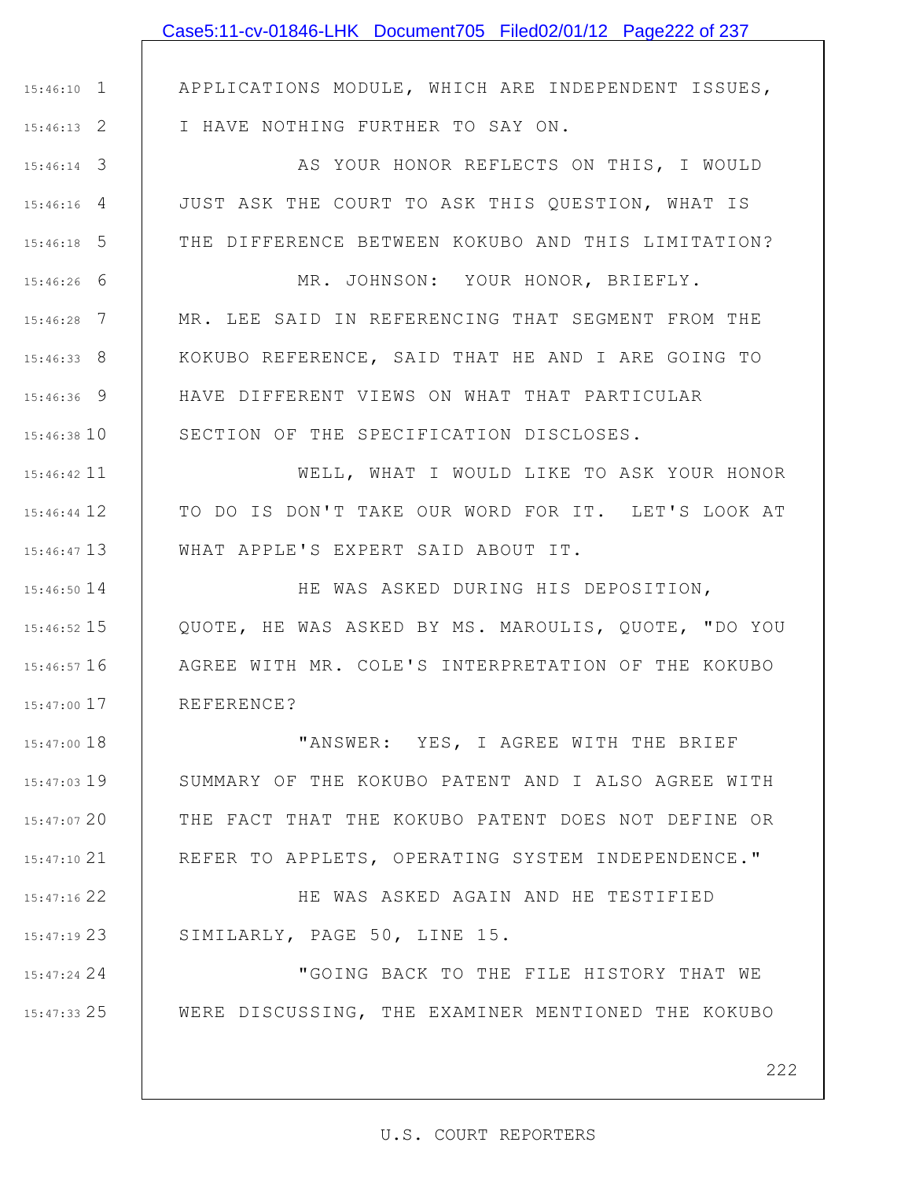1 15:46:10

2 15:46:13

3 15:46:14

4 15:46:16

5 15:46:18

6 15:46:26

7 15:46:28

8 15:46:33

9 15:46:36

15:46:38 10

15:46:42 11

12 15:46:44

13 15:46:47

14 15:46:50

15 15:46:52

16 15:46:57

17 15:47:00

18 15:47:00

19 15:47:03

20 15:47:07

21 15:47:10

22 15:47:16

23 15:47:19

24 15:47:24

25 15:47:33

APPLICATIONS MODULE, WHICH ARE INDEPENDENT ISSUES, I HAVE NOTHING FURTHER TO SAY ON.

AS YOUR HONOR REFLECTS ON THIS, I WOULD JUST ASK THE COURT TO ASK THIS QUESTION, WHAT IS THE DIFFERENCE BETWEEN KOKUBO AND THIS LIMITATION?

MR. JOHNSON: YOUR HONOR, BRIEFLY. MR. LEE SAID IN REFERENCING THAT SEGMENT FROM THE KOKUBO REFERENCE, SAID THAT HE AND I ARE GOING TO HAVE DIFFERENT VIEWS ON WHAT THAT PARTICULAR SECTION OF THE SPECIFICATION DISCLOSES.

WELL, WHAT I WOULD LIKE TO ASK YOUR HONOR TO DO IS DON'T TAKE OUR WORD FOR IT. LET'S LOOK AT WHAT APPLE'S EXPERT SAID ABOUT IT.

HE WAS ASKED DURING HIS DEPOSITION, QUOTE, HE WAS ASKED BY MS. MAROULIS, QUOTE, "DO YOU AGREE WITH MR. COLE'S INTERPRETATION OF THE KOKUBO REFERENCE?

"ANSWER: YES, I AGREE WITH THE BRIEF SUMMARY OF THE KOKUBO PATENT AND I ALSO AGREE WITH THE FACT THAT THE KOKUBO PATENT DOES NOT DEFINE OR REFER TO APPLETS, OPERATING SYSTEM INDEPENDENCE."

HE WAS ASKED AGAIN AND HE TESTIFIED SIMILARLY, PAGE 50, LINE 15.

"GOING BACK TO THE FILE HISTORY THAT WE WERE DISCUSSING, THE EXAMINER MENTIONED THE KOKUBO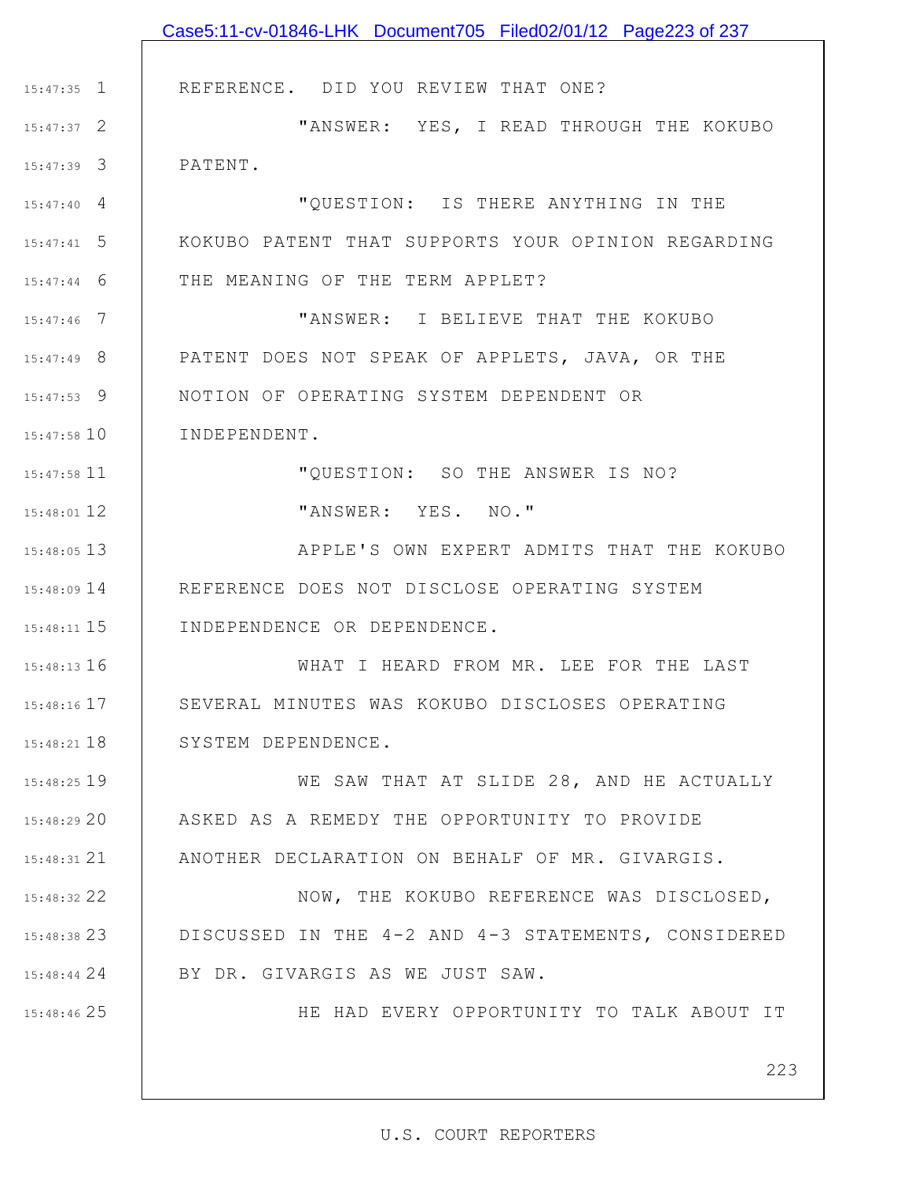|                    | Case5:11-cv-01846-LHK Document705 Filed02/01/12 Page223 of 237 |
|--------------------|----------------------------------------------------------------|
|                    |                                                                |
| $15:47:35$ 1       | REFERENCE. DID YOU REVIEW THAT ONE?                            |
| $15:47:37$ 2       | "ANSWER: YES, I READ THROUGH THE KOKUBO                        |
| $15:47:39$ 3       | PATENT.                                                        |
| $15:47:40 \quad 4$ | "QUESTION: IS THERE ANYTHING IN THE                            |
| $15:47:41$ 5       | KOKUBO PATENT THAT SUPPORTS YOUR OPINION REGARDING             |
| $15:47:44$ 6       | THE MEANING OF THE TERM APPLET?                                |
| $15:47:46$ 7       | "ANSWER: I BELIEVE THAT THE KOKUBO                             |
| $15:47:49$ 8       | PATENT DOES NOT SPEAK OF APPLETS, JAVA, OR THE                 |
| $15:47:53$ 9       | NOTION OF OPERATING SYSTEM DEPENDENT OR                        |
| $15:47:58$ 10      | INDEPENDENT.                                                   |
| 15:47:58 11        | "QUESTION: SO THE ANSWER IS NO?                                |
| 15:48:01 12        | "ANSWER: YES. NO."                                             |
| $15:48:05$ 13      | APPLE'S OWN EXPERT ADMITS THAT THE KOKUBO                      |
| 15:48:09 14        | REFERENCE DOES NOT DISCLOSE OPERATING SYSTEM                   |
| $15:48:11$ $15$    | INDEPENDENCE OR DEPENDENCE.                                    |
| 15:48:13 16        | WHAT I HEARD FROM MR. LEE FOR THE LAST                         |
| $15:48:16$ $17$    | SEVERAL MINUTES WAS KOKUBO DISCLOSES OPERATING                 |
| 15:48:21 18        | SYSTEM DEPENDENCE.                                             |
| 15:48:25 19        | WE SAW THAT AT SLIDE 28, AND HE ACTUALLY                       |
| 15:48:29 20        | ASKED AS A REMEDY THE OPPORTUNITY TO PROVIDE                   |
| $15:48:31$ $21$    | ANOTHER DECLARATION ON BEHALF OF MR. GIVARGIS.                 |
| 15:48:32 22        | NOW, THE KOKUBO REFERENCE WAS DISCLOSED,                       |
| 15:48:38 23        | DISCUSSED IN THE 4-2 AND 4-3 STATEMENTS, CONSIDERED            |
| 15:48:44 24        | BY DR. GIVARGIS AS WE JUST SAW.                                |
| 15:48:46 25        | HE HAD EVERY OPPORTUNITY TO TALK ABOUT IT                      |
|                    |                                                                |
|                    | 223                                                            |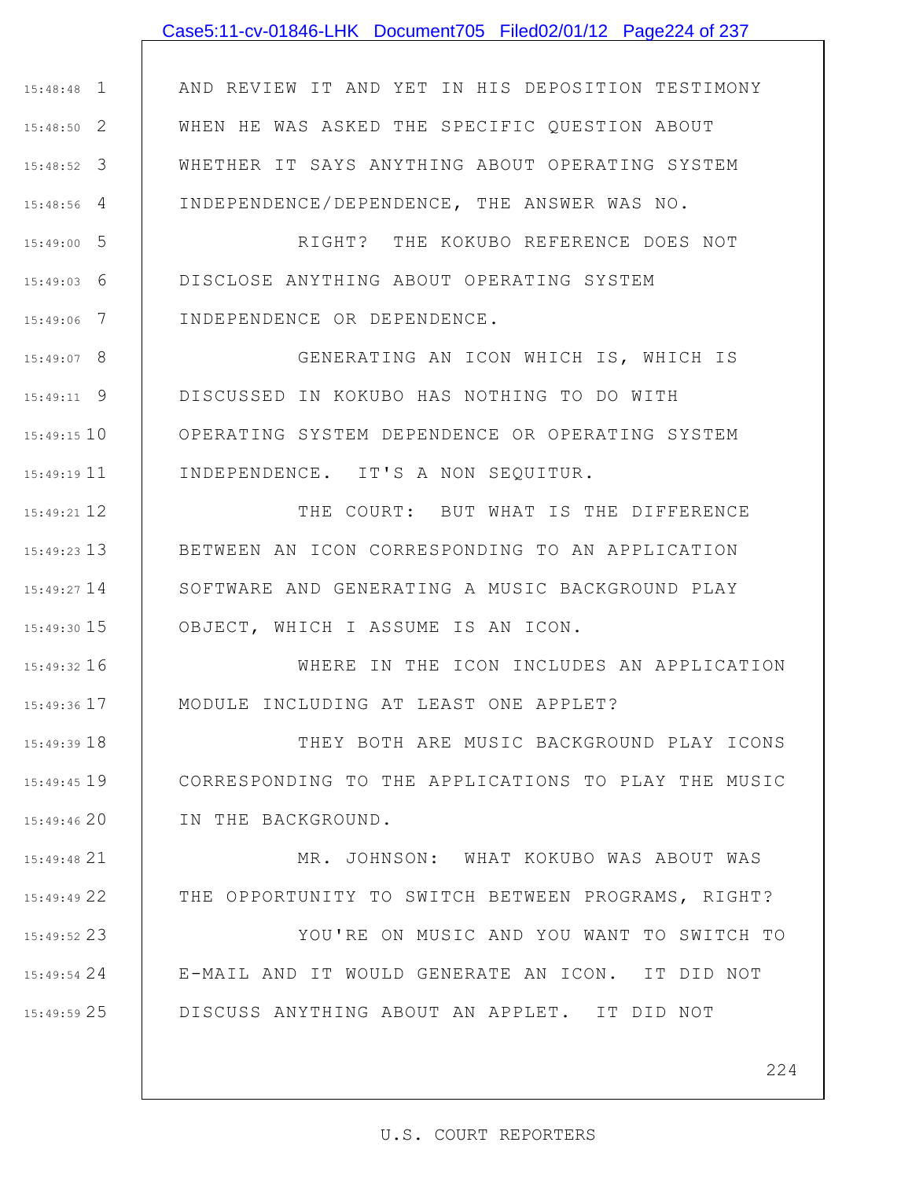## Case5:11-cv-01846-LHK Document705 Filed02/01/12 Page224 of 237

1 15:48:48 2 15:48:50 3 15:48:52 4 15:48:56 AND REVIEW IT AND YET IN HIS DEPOSITION TESTIMONY WHEN HE WAS ASKED THE SPECIFIC QUESTION ABOUT WHETHER IT SAYS ANYTHING ABOUT OPERATING SYSTEM INDEPENDENCE/DEPENDENCE, THE ANSWER WAS NO.

5 15:49:00 6 15:49:03 7 15:49:06 RIGHT? THE KOKUBO REFERENCE DOES NOT DISCLOSE ANYTHING ABOUT OPERATING SYSTEM INDEPENDENCE OR DEPENDENCE.

8 15:49:07 9 15:49:11 15:49:15 10 11 15:49:19 GENERATING AN ICON WHICH IS, WHICH IS DISCUSSED IN KOKUBO HAS NOTHING TO DO WITH OPERATING SYSTEM DEPENDENCE OR OPERATING SYSTEM INDEPENDENCE. IT'S A NON SEQUITUR.

12 15:49:21 13 15:49:23 15:49:27 14 15 15:49:30 THE COURT: BUT WHAT IS THE DIFFERENCE BETWEEN AN ICON CORRESPONDING TO AN APPLICATION SOFTWARE AND GENERATING A MUSIC BACKGROUND PLAY OBJECT, WHICH I ASSUME IS AN ICON.

16 15:49:32 17 15:49:36 WHERE IN THE ICON INCLUDES AN APPLICATION MODULE INCLUDING AT LEAST ONE APPLET?

18 15:49:39 19 15:49:45 20 15:49:46 THEY BOTH ARE MUSIC BACKGROUND PLAY ICONS CORRESPONDING TO THE APPLICATIONS TO PLAY THE MUSIC IN THE BACKGROUND.

21 15:49:48 22 15:49:49 MR. JOHNSON: WHAT KOKUBO WAS ABOUT WAS THE OPPORTUNITY TO SWITCH BETWEEN PROGRAMS, RIGHT?

23 15:49:52 24 15:49:54 25 15:49:59 YOU'RE ON MUSIC AND YOU WANT TO SWITCH TO E-MAIL AND IT WOULD GENERATE AN ICON. IT DID NOT DISCUSS ANYTHING ABOUT AN APPLET. IT DID NOT

224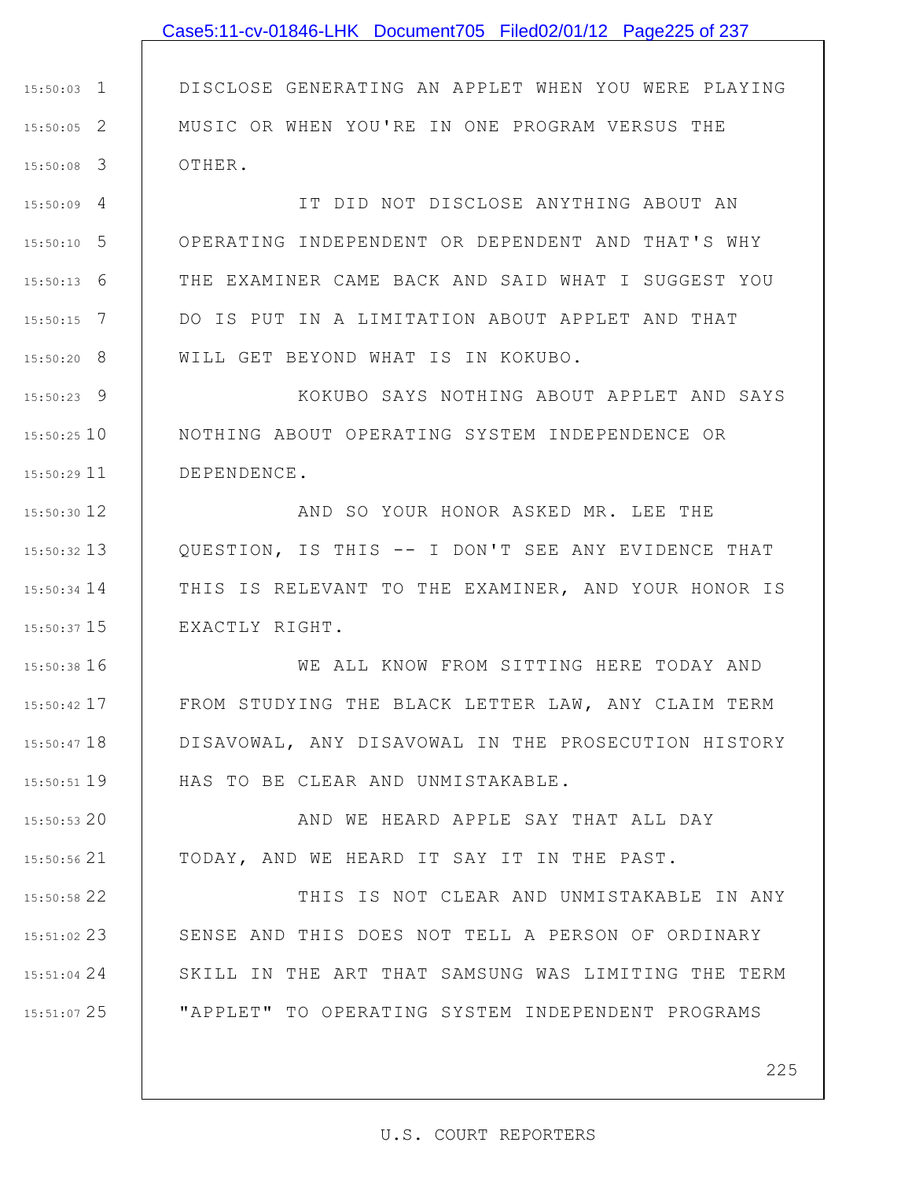## Case5:11-cv-01846-LHK Document705 Filed02/01/12 Page225 of 237

1 15:50:03 2 15:50:05 3 15:50:08 DISCLOSE GENERATING AN APPLET WHEN YOU WERE PLAYING MUSIC OR WHEN YOU'RE IN ONE PROGRAM VERSUS THE OTHER.

4 15:50:09 5 15:50:10 6 15:50:13 7 15:50:15 8 15:50:20 IT DID NOT DISCLOSE ANYTHING ABOUT AN OPERATING INDEPENDENT OR DEPENDENT AND THAT'S WHY THE EXAMINER CAME BACK AND SAID WHAT I SUGGEST YOU DO IS PUT IN A LIMITATION ABOUT APPLET AND THAT WILL GET BEYOND WHAT IS IN KOKUBO.

9 15:50:23 15:50:25 10 11 15:50:29 KOKUBO SAYS NOTHING ABOUT APPLET AND SAYS NOTHING ABOUT OPERATING SYSTEM INDEPENDENCE OR DEPENDENCE.

12 15:50:30 13 15:50:32 14 15:50:34 15 15:50:37 AND SO YOUR HONOR ASKED MR. LEE THE QUESTION, IS THIS -- I DON'T SEE ANY EVIDENCE THAT THIS IS RELEVANT TO THE EXAMINER, AND YOUR HONOR IS EXACTLY RIGHT.

16 15:50:38 17 15:50:42 18 15:50:47 19 15:50:51 WE ALL KNOW FROM SITTING HERE TODAY AND FROM STUDYING THE BLACK LETTER LAW, ANY CLAIM TERM DISAVOWAL, ANY DISAVOWAL IN THE PROSECUTION HISTORY HAS TO BE CLEAR AND UNMISTAKABLE.

20 15:50:53 21 15:50:56 AND WE HEARD APPLE SAY THAT ALL DAY TODAY, AND WE HEARD IT SAY IT IN THE PAST.

22 15:50:58 23 15:51:02 24 15:51:04 25 15:51:07 THIS IS NOT CLEAR AND UNMISTAKABLE IN ANY SENSE AND THIS DOES NOT TELL A PERSON OF ORDINARY SKILL IN THE ART THAT SAMSUNG WAS LIMITING THE TERM "APPLET" TO OPERATING SYSTEM INDEPENDENT PROGRAMS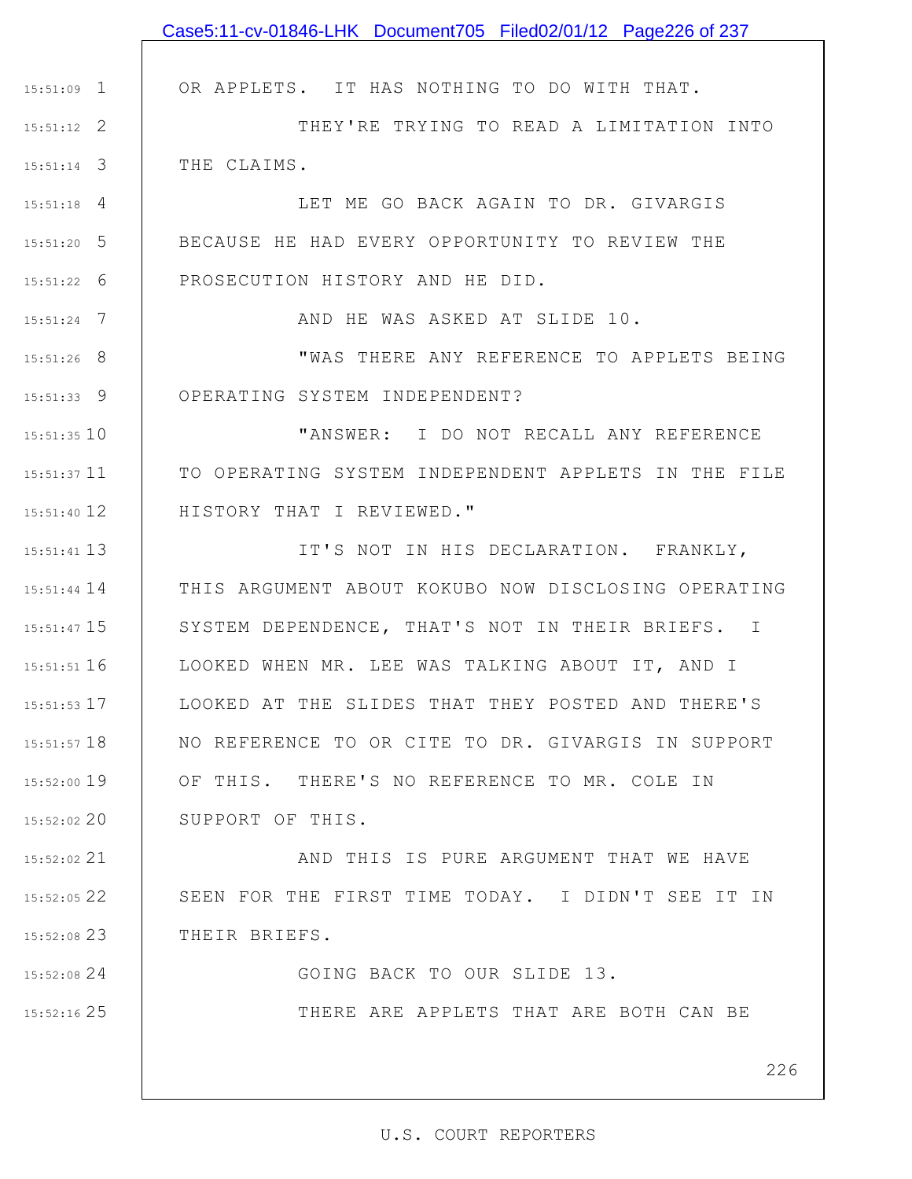|               | Case5:11-cv-01846-LHK Document705 Filed02/01/12 Page226 of 237 |
|---------------|----------------------------------------------------------------|
|               |                                                                |
| $15:51:09$ 1  | OR APPLETS. IT HAS NOTHING TO DO WITH THAT.                    |
| $15:51:12$ 2  | THEY'RE TRYING TO READ A LIMITATION INTO                       |
| $15:51:14$ 3  | THE CLAIMS.                                                    |
| $15:51:18$ 4  | LET ME GO BACK AGAIN TO DR. GIVARGIS                           |
| $15:51:20$ 5  | BECAUSE HE HAD EVERY OPPORTUNITY TO REVIEW THE                 |
| $15:51:22$ 6  | PROSECUTION HISTORY AND HE DID.                                |
| $15:51:24$ 7  | AND HE WAS ASKED AT SLIDE 10.                                  |
| $15:51:26$ 8  | "WAS THERE ANY REFERENCE TO APPLETS BEING                      |
| $15:51:33$ 9  | OPERATING SYSTEM INDEPENDENT?                                  |
| $15:51:35$ 10 | "ANSWER: I DO NOT RECALL ANY REFERENCE                         |
| 15:51:37 11   | TO OPERATING SYSTEM INDEPENDENT APPLETS IN THE FILE            |
| 15:51:40 12   | HISTORY THAT I REVIEWED."                                      |
| 15:51:41 13   | IT'S NOT IN HIS DECLARATION. FRANKLY,                          |
| $15:51:44$ 14 | THIS ARGUMENT ABOUT KOKUBO NOW DISCLOSING OPERATING            |
| 15:51:47 15   | SYSTEM DEPENDENCE, THAT'S NOT IN THEIR BRIEFS. I               |
| $15:51:51$ 16 | LOOKED WHEN MR. LEE WAS TALKING ABOUT IT, AND I                |
| $15:51:53$ 17 | LOOKED AT THE SLIDES THAT THEY POSTED AND THERE'S              |
| $15:51:57$ 18 | NO REFERENCE TO OR CITE TO DR. GIVARGIS IN SUPPORT             |
| 15:52:00 19   | OF THIS. THERE'S NO REFERENCE TO MR. COLE IN                   |
| 15:52:02 20   | SUPPORT OF THIS.                                               |
| 15:52:02 21   | AND THIS IS PURE ARGUMENT THAT WE HAVE                         |
| 15:52:05 22   | SEEN FOR THE FIRST TIME TODAY. I DIDN'T SEE IT IN              |
| $15:52:08$ 23 | THEIR BRIEFS.                                                  |
| 15:52:08 24   | GOING BACK TO OUR SLIDE 13.                                    |
| 15:52:16 25   | THERE ARE APPLETS THAT ARE BOTH CAN BE                         |
|               |                                                                |
|               | 226                                                            |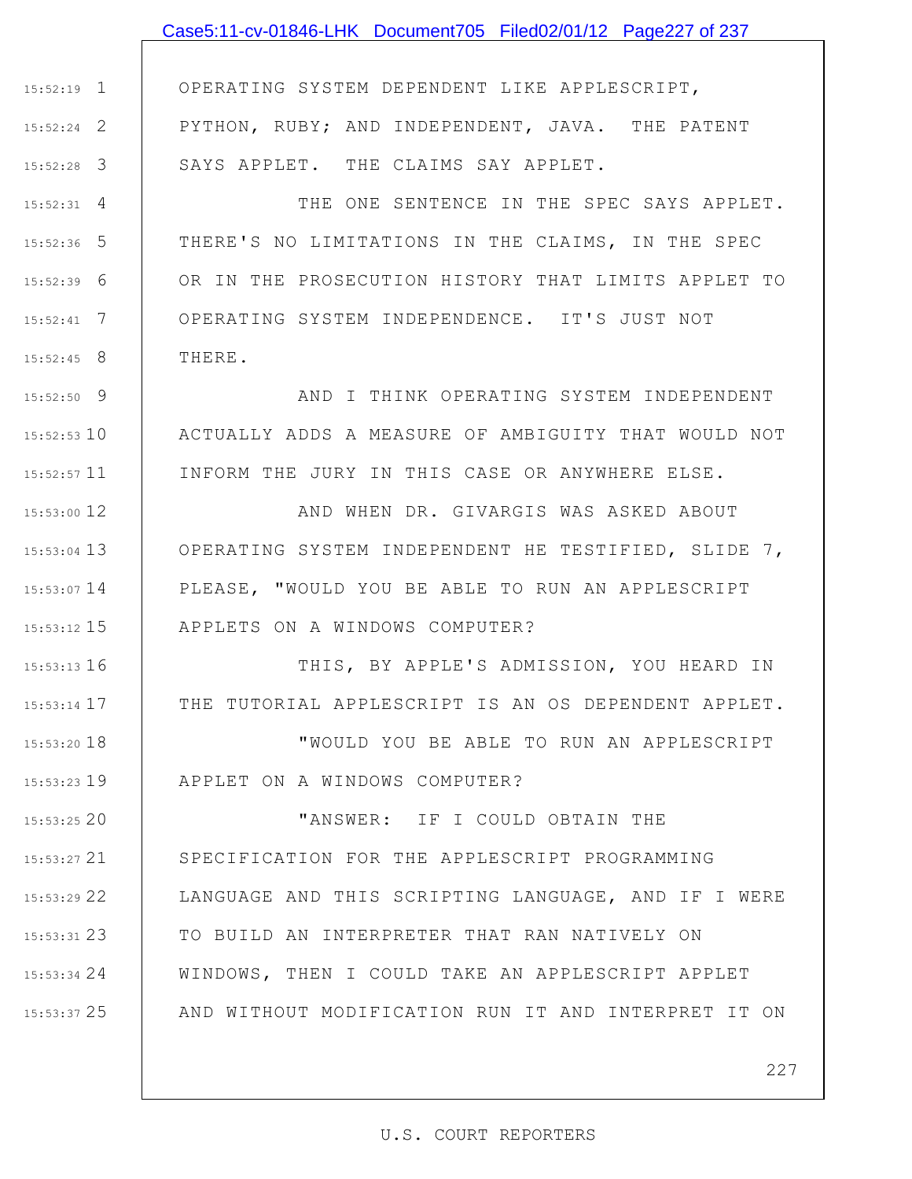# 1 15:52:19 2 15:52:24 3 15:52:28 4 15:52:31 5 15:52:36 6 15:52:39 7 15:52:41 8 15:52:45 9 15:52:50 10 15:52:53 11 15:52:57 12 15:53:00 13 15:53:04 14 15:53:07 15 15:53:12 16 15:53:13 17 15:53:14 18 15:53:20 19 15:53:23 20 15:53:25 21 15:53:27 22 15:53:29 OPERATING SYSTEM DEPENDENT LIKE APPLESCRIPT, PYTHON, RUBY; AND INDEPENDENT, JAVA. THE PATENT SAYS APPLET. THE CLAIMS SAY APPLET. THE ONE SENTENCE IN THE SPEC SAYS APPLET. THERE'S NO LIMITATIONS IN THE CLAIMS, IN THE SPEC OR IN THE PROSECUTION HISTORY THAT LIMITS APPLET TO OPERATING SYSTEM INDEPENDENCE. IT'S JUST NOT THERE. AND I THINK OPERATING SYSTEM INDEPENDENT ACTUALLY ADDS A MEASURE OF AMBIGUITY THAT WOULD NOT INFORM THE JURY IN THIS CASE OR ANYWHERE ELSE. AND WHEN DR. GIVARGIS WAS ASKED ABOUT OPERATING SYSTEM INDEPENDENT HE TESTIFIED, SLIDE 7, PLEASE, "WOULD YOU BE ABLE TO RUN AN APPLESCRIPT APPLETS ON A WINDOWS COMPUTER? THIS, BY APPLE'S ADMISSION, YOU HEARD IN THE TUTORIAL APPLESCRIPT IS AN OS DEPENDENT APPLET. "WOULD YOU BE ABLE TO RUN AN APPLESCRIPT APPLET ON A WINDOWS COMPUTER? "ANSWER: IF I COULD OBTAIN THE SPECIFICATION FOR THE APPLESCRIPT PROGRAMMING LANGUAGE AND THIS SCRIPTING LANGUAGE, AND IF I WERE Case5:11-cv-01846-LHK Document705 Filed02/01/12 Page227 of 237

23 15:53:31 24 15:53:34 25 15:53:37 TO BUILD AN INTERPRETER THAT RAN NATIVELY ON WINDOWS, THEN I COULD TAKE AN APPLESCRIPT APPLET AND WITHOUT MODIFICATION RUN IT AND INTERPRET IT ON

227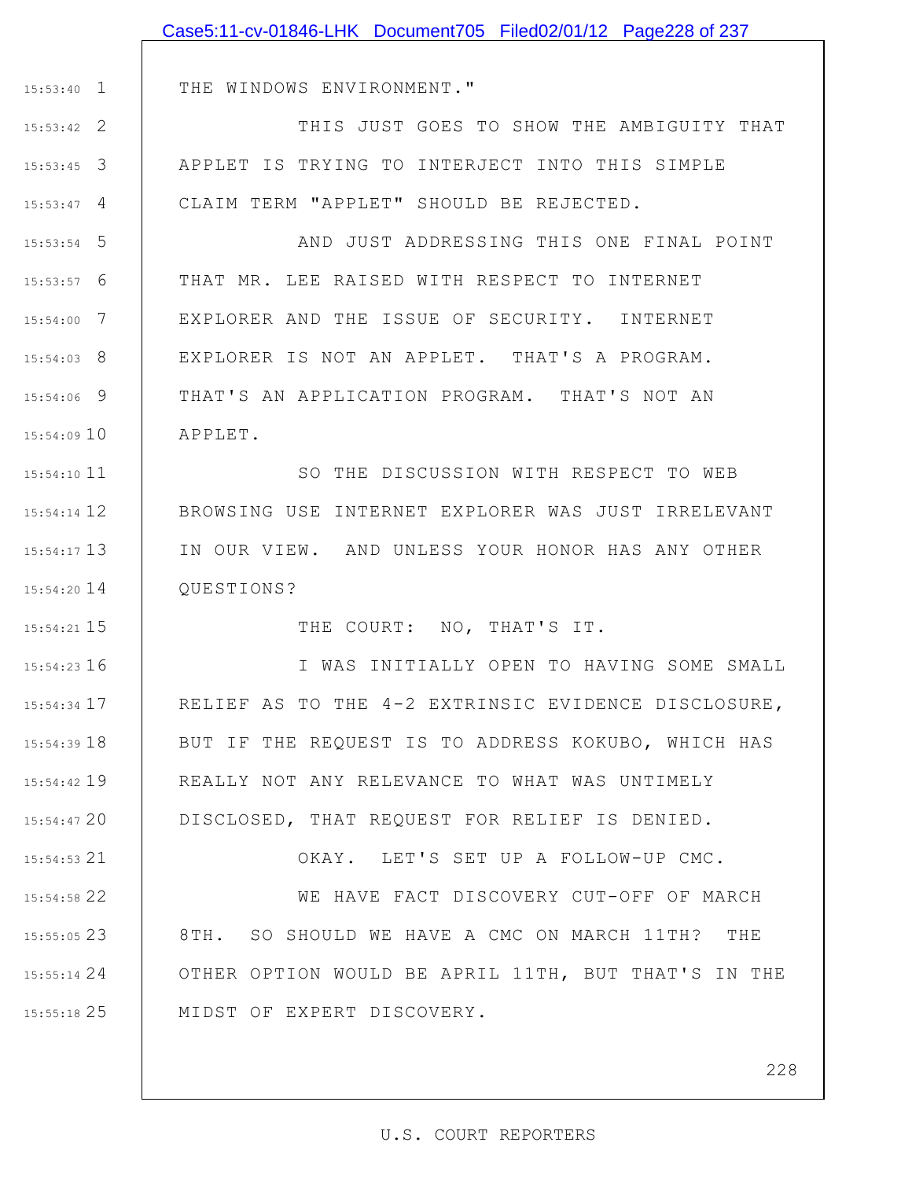|                 | Case5:11-cv-01846-LHK Document705 Filed02/01/12 Page228 of 237 |
|-----------------|----------------------------------------------------------------|
|                 |                                                                |
| $15:53:40$ 1    | THE WINDOWS ENVIRONMENT."                                      |
| $15:53:42$ 2    | THIS JUST GOES TO SHOW THE AMBIGUITY THAT                      |
| $15:53:45$ 3    | APPLET IS TRYING TO INTERJECT INTO THIS SIMPLE                 |
| $15:53:47$ 4    | CLAIM TERM "APPLET" SHOULD BE REJECTED.                        |
| $15:53:54$ 5    | AND JUST ADDRESSING THIS ONE FINAL POINT                       |
| $15:53:57$ 6    | THAT MR. LEE RAISED WITH RESPECT TO INTERNET                   |
| $15:54:00$ 7    | EXPLORER AND THE ISSUE OF SECURITY. INTERNET                   |
| $15:54:03$ 8    | EXPLORER IS NOT AN APPLET. THAT'S A PROGRAM.                   |
| 15:54:06 9      | THAT'S AN APPLICATION PROGRAM. THAT'S NOT AN                   |
| 15:54:0910      | APPLET.                                                        |
| 15:54:10 11     | SO THE DISCUSSION WITH RESPECT TO WEB                          |
| 15:54:14 12     | BROWSING USE INTERNET EXPLORER WAS JUST IRRELEVANT             |
| $15:54:17$ 13   | IN OUR VIEW. AND UNLESS YOUR HONOR HAS ANY OTHER               |
| $15:54:20$ 14   | QUESTIONS?                                                     |
| 15:54:21 15     | THE COURT: NO, THAT'S IT.                                      |
| $15:54:23$ 16   | I WAS INITIALLY OPEN TO HAVING SOME SMALL                      |
| 15:54:34 17     | RELIEF AS TO THE 4-2 EXTRINSIC EVIDENCE DISCLOSURE,            |
| $15:54:39$ $18$ | BUT IF THE REQUEST IS TO ADDRESS KOKUBO, WHICH HAS             |
| 15:54:42 19     | REALLY NOT ANY RELEVANCE TO WHAT WAS UNTIMELY                  |
| 15:54:47 20     | DISCLOSED, THAT REQUEST FOR RELIEF IS DENIED.                  |
| 15:54:53 21     | OKAY. LET'S SET UP A FOLLOW-UP CMC.                            |
| 15:54:58 22     | WE HAVE FACT DISCOVERY CUT-OFF OF MARCH                        |
| 15:55:05 23     | 8TH. SO SHOULD WE HAVE A CMC ON MARCH 11TH? THE                |
| 15:55:14 24     | OTHER OPTION WOULD BE APRIL 11TH, BUT THAT'S IN THE            |
| 15:55:18 25     | MIDST OF EXPERT DISCOVERY.                                     |
|                 |                                                                |
|                 | 228                                                            |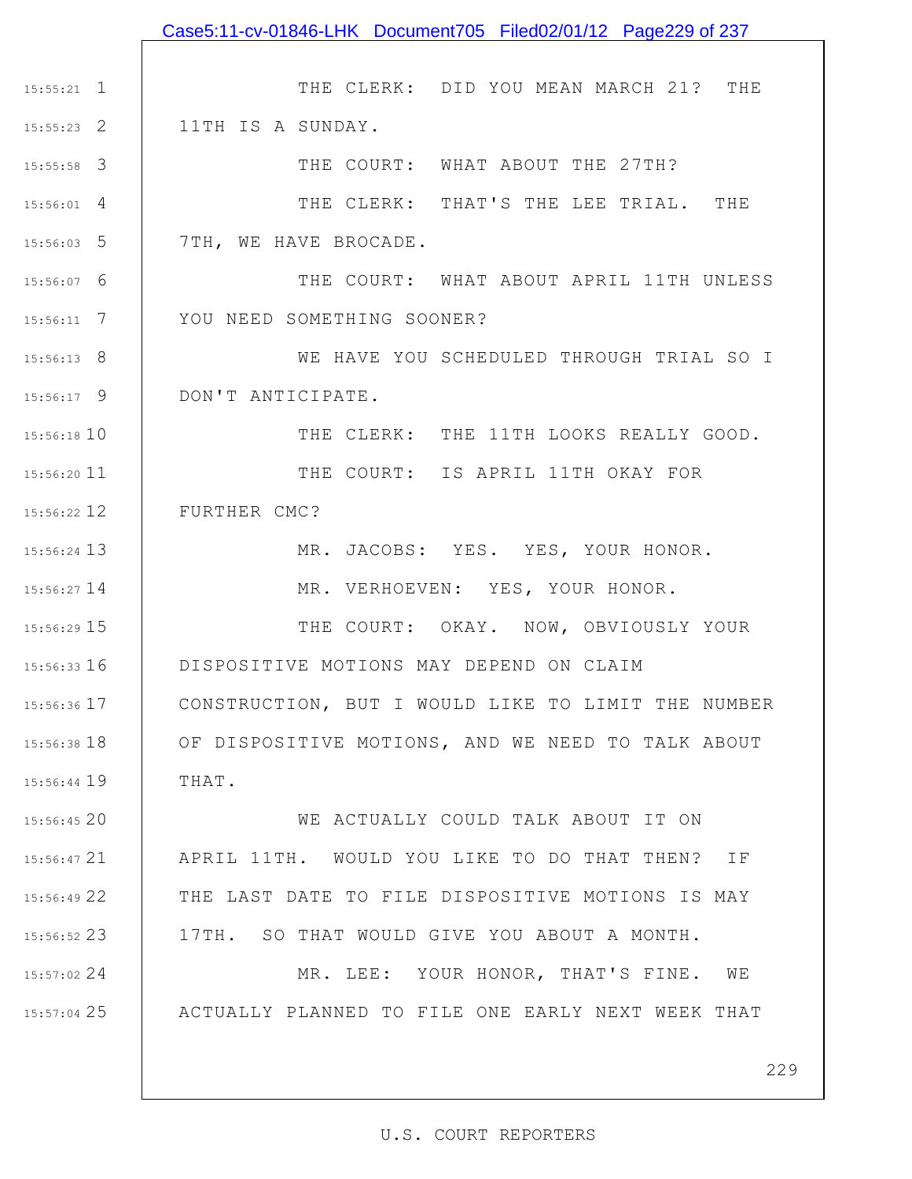|               | Case5:11-cv-01846-LHK Document705 Filed02/01/12 Page229 of 237 |
|---------------|----------------------------------------------------------------|
|               |                                                                |
| $15:55:21$ 1  | THE CLERK: DID YOU MEAN MARCH 21? THE                          |
| $15:55:23$ 2  | 11TH IS A SUNDAY.                                              |
| $15:55:58$ 3  | THE COURT: WHAT ABOUT THE 27TH?                                |
| $15:56:01$ 4  | THE CLERK: THAT'S THE LEE TRIAL. THE                           |
| $15:56:03$ 5  | 7TH, WE HAVE BROCADE.                                          |
| 15:56:07 6    | THE COURT: WHAT ABOUT APRIL 11TH UNLESS                        |
| $15:56:11$ 7  | YOU NEED SOMETHING SOONER?                                     |
| 15:56:13 8    | WE HAVE YOU SCHEDULED THROUGH TRIAL SO I                       |
| $15:56:17$ 9  | DON'T ANTICIPATE.                                              |
| 15:56:18 10   | THE CLERK: THE 11TH LOOKS REALLY GOOD.                         |
| 15:56:20 11   | THE COURT: IS APRIL 11TH OKAY FOR                              |
| $15:56:22$ 12 | FURTHER CMC?                                                   |
| 15:56:24 13   | MR. JACOBS: YES. YES, YOUR HONOR.                              |
| 15:56:27 14   | MR. VERHOEVEN: YES, YOUR HONOR.                                |
| 15:56:29 15   | THE COURT: OKAY. NOW, OBVIOUSLY YOUR                           |
| 15:56:33 16   | DISPOSITIVE MOTIONS MAY DEPEND ON CLAIM                        |
| 15:56:36 17   | CONSTRUCTION, BUT I WOULD LIKE TO LIMIT THE NUMBER             |
| 15:56:38 18   | OF DISPOSITIVE MOTIONS, AND WE NEED TO TALK ABOUT              |
| 15:56:44 19   | THAT.                                                          |
| 15:56:45 20   | WE ACTUALLY COULD TALK ABOUT IT ON                             |
| 15:56:47 21   | APRIL 11TH. WOULD YOU LIKE TO DO THAT THEN?<br>ΙF              |
| 15:56:49 22   | THE LAST DATE TO FILE DISPOSITIVE MOTIONS IS MAY               |
| 15:56:52 23   | 17TH. SO THAT WOULD GIVE YOU ABOUT A MONTH.                    |
| 15:57:02 24   | MR. LEE: YOUR HONOR, THAT'S FINE. WE                           |
| 15:57:04 25   | ACTUALLY PLANNED TO FILE ONE EARLY NEXT WEEK THAT              |
|               |                                                                |
|               | 229                                                            |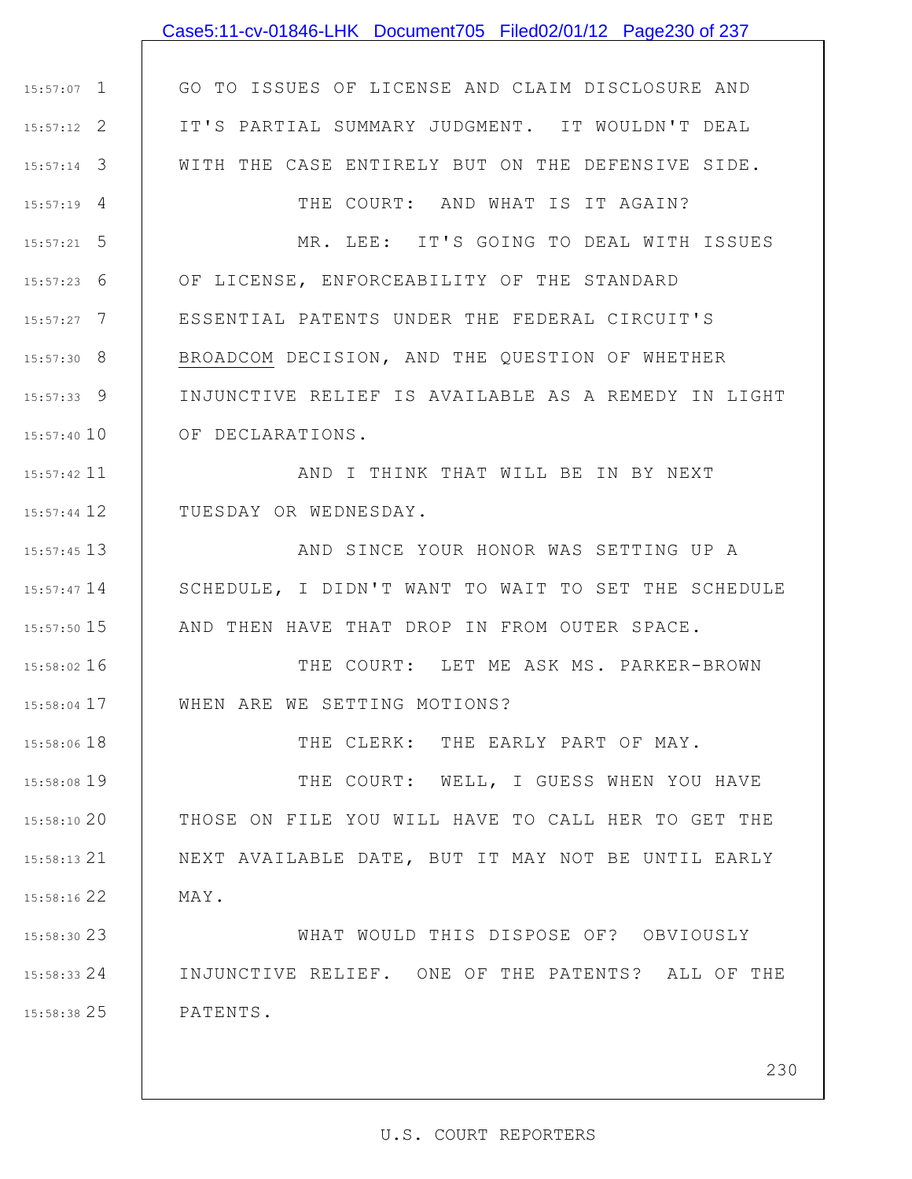## 1 15:57:07 2 15:57:12 3 15:57:14 4 15:57:19 5 15:57:21 6 15:57:23 7 15:57:27 8 15:57:30 9 15:57:33 15:57:40 10 11 15:57:42 12 15:57:44 13 15:57:45 15:57:47 14 15 15:57:50 16 15:58:02 17 15:58:04 18 15:58:06 19 15:58:08 20 15:58:10 21 15:58:13 22 15:58:16 23 15:58:30 24 15:58:33 GO TO ISSUES OF LICENSE AND CLAIM DISCLOSURE AND IT'S PARTIAL SUMMARY JUDGMENT. IT WOULDN'T DEAL WITH THE CASE ENTIRELY BUT ON THE DEFENSIVE SIDE. THE COURT: AND WHAT IS IT AGAIN? MR. LEE: IT'S GOING TO DEAL WITH ISSUES OF LICENSE, ENFORCEABILITY OF THE STANDARD ESSENTIAL PATENTS UNDER THE FEDERAL CIRCUIT'S BROADCOM DECISION, AND THE QUESTION OF WHETHER INJUNCTIVE RELIEF IS AVAILABLE AS A REMEDY IN LIGHT OF DECLARATIONS. AND I THINK THAT WILL BE IN BY NEXT TUESDAY OR WEDNESDAY. AND SINCE YOUR HONOR WAS SETTING UP A SCHEDULE, I DIDN'T WANT TO WAIT TO SET THE SCHEDULE AND THEN HAVE THAT DROP IN FROM OUTER SPACE. THE COURT: LET ME ASK MS. PARKER-BROWN WHEN ARE WE SETTING MOTIONS? THE CLERK: THE EARLY PART OF MAY. THE COURT: WELL, I GUESS WHEN YOU HAVE THOSE ON FILE YOU WILL HAVE TO CALL HER TO GET THE NEXT AVAILABLE DATE, BUT IT MAY NOT BE UNTIL EARLY MAY. WHAT WOULD THIS DISPOSE OF? OBVIOUSLY INJUNCTIVE RELIEF. ONE OF THE PATENTS? ALL OF THE Case5:11-cv-01846-LHK Document705 Filed02/01/12 Page230 of 237

25 15:58:38 PATENTS.

230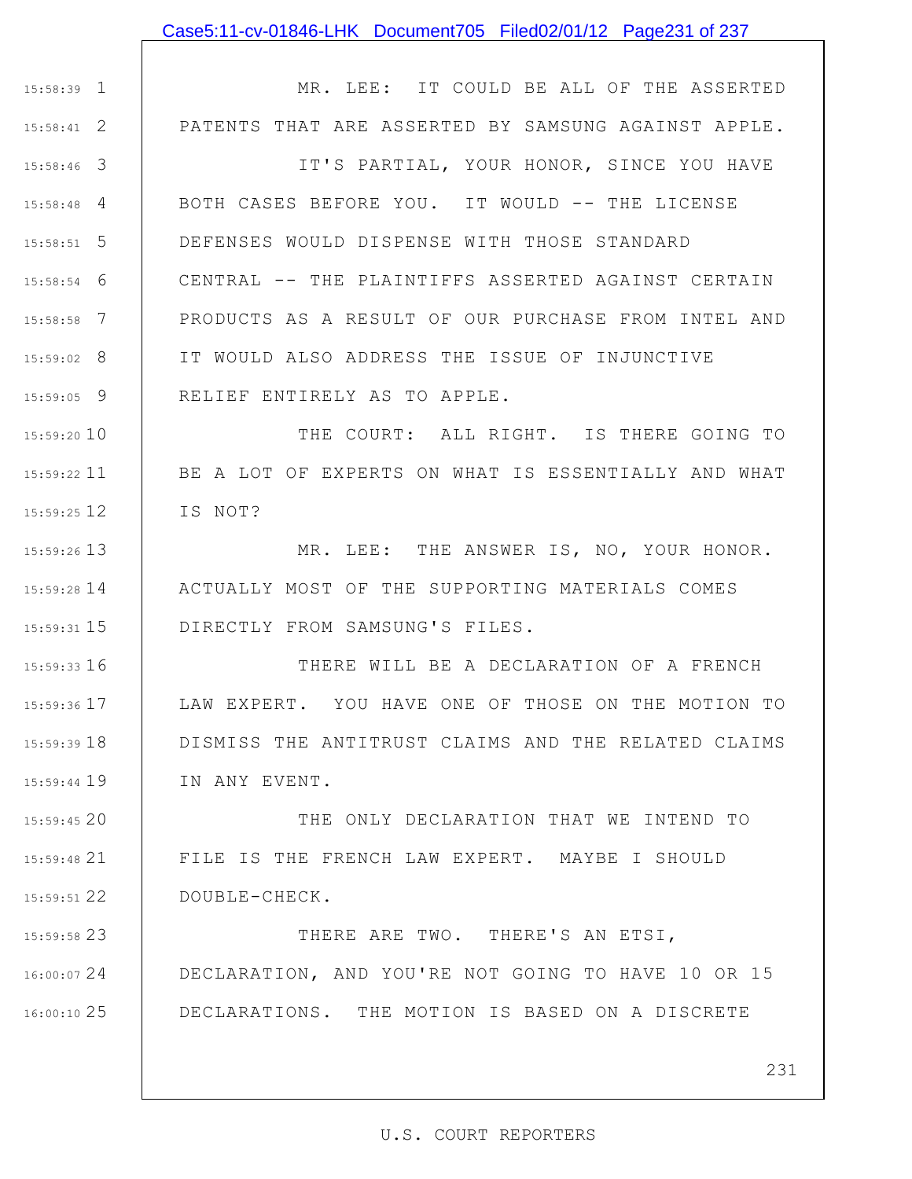#### Case5:11-cv-01846-LHK Document705 Filed02/01/12 Page231 of 237

1 15:58:39 2 15:58:41 3 15:58:46 4 15:58:48 5 15:58:51 6 15:58:54 7 15:58:58 8 15:59:02 9 15:59:05 15:59:20 10 11 15:59:22 12 15:59:25 13 15:59:26 14 15:59:28 15 15:59:31 16 15:59:33 17 15:59:36 18 15:59:39 19 15:59:44 20 15:59:45 MR. LEE: IT COULD BE ALL OF THE ASSERTED PATENTS THAT ARE ASSERTED BY SAMSUNG AGAINST APPLE. IT'S PARTIAL, YOUR HONOR, SINCE YOU HAVE BOTH CASES BEFORE YOU. IT WOULD -- THE LICENSE DEFENSES WOULD DISPENSE WITH THOSE STANDARD CENTRAL -- THE PLAINTIFFS ASSERTED AGAINST CERTAIN PRODUCTS AS A RESULT OF OUR PURCHASE FROM INTEL AND IT WOULD ALSO ADDRESS THE ISSUE OF INJUNCTIVE RELIEF ENTIRELY AS TO APPLE. THE COURT: ALL RIGHT. IS THERE GOING TO BE A LOT OF EXPERTS ON WHAT IS ESSENTIALLY AND WHAT IS NOT? MR. LEE: THE ANSWER IS, NO, YOUR HONOR. ACTUALLY MOST OF THE SUPPORTING MATERIALS COMES DIRECTLY FROM SAMSUNG'S FILES. THERE WILL BE A DECLARATION OF A FRENCH LAW EXPERT. YOU HAVE ONE OF THOSE ON THE MOTION TO DISMISS THE ANTITRUST CLAIMS AND THE RELATED CLAIMS IN ANY EVENT. THE ONLY DECLARATION THAT WE INTEND TO

21 15:59:48 22 15:59:51 FILE IS THE FRENCH LAW EXPERT. MAYBE I SHOULD DOUBLE-CHECK.

23 15:59:58 24 16:00:07 25 16:00:10 THERE ARE TWO. THERE'S AN ETSI, DECLARATION, AND YOU'RE NOT GOING TO HAVE 10 OR 15 DECLARATIONS. THE MOTION IS BASED ON A DISCRETE

231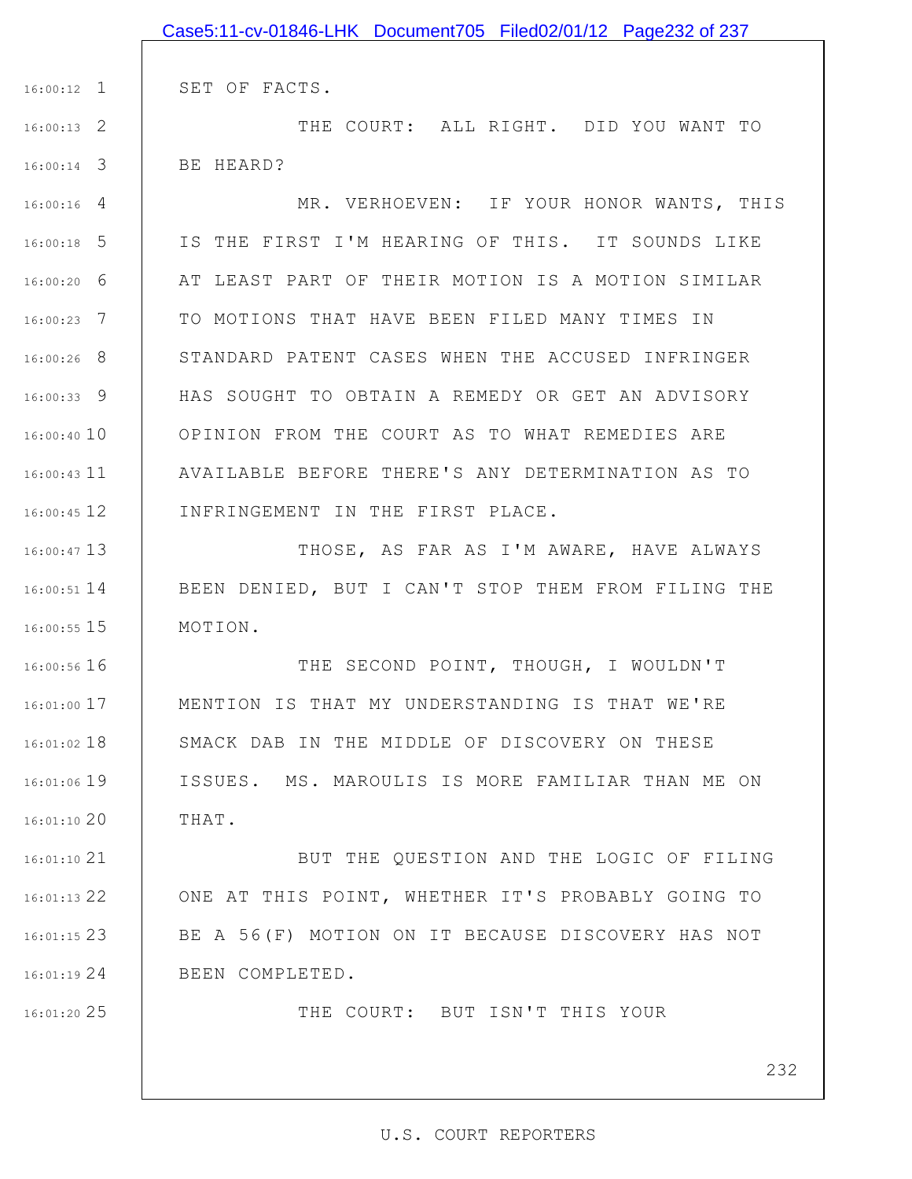|               | 16:00:12 1   SET OF FACTS.                         |
|---------------|----------------------------------------------------|
| $16:00:13$ 2  | THE COURT: ALL RIGHT. DID YOU WANT TO              |
| $16:00:14$ 3  | BE HEARD?                                          |
| $16:00:16$ 4  | MR. VERHOEVEN: IF YOUR HONOR WANTS, THIS           |
| $16:00:18$ 5  | IS THE FIRST I'M HEARING OF THIS. IT SOUNDS LIKE   |
| $16:00:20$ 6  | AT LEAST PART OF THEIR MOTION IS A MOTION SIMILAR  |
| $16:00:23$ 7  | TO MOTIONS THAT HAVE BEEN FILED MANY TIMES IN      |
| 16:00:26 8    | STANDARD PATENT CASES WHEN THE ACCUSED INFRINGER   |
| $16:00:33$ 9  | HAS SOUGHT TO OBTAIN A REMEDY OR GET AN ADVISORY   |
| 16:00:40 10   | OPINION FROM THE COURT AS TO WHAT REMEDIES ARE     |
| $16:00:43$ 11 | AVAILABLE BEFORE THERE'S ANY DETERMINATION AS TO   |
| $16:00:45$ 12 | INFRINGEMENT IN THE FIRST PLACE.                   |
| $16:00:47$ 13 | THOSE, AS FAR AS I'M AWARE, HAVE ALWAYS            |
| $16:00:51$ 14 | BEEN DENIED, BUT I CAN'T STOP THEM FROM FILING THE |
| $16:00:55$ 15 | MOTION.                                            |
| 16:00:56 16   | THE SECOND POINT, THOUGH, I WOULDN'T               |
| $16:01:00$ 17 | MENTION IS THAT MY UNDERSTANDING IS THAT WE'RE     |
| $16:01:02$ 18 | SMACK DAB IN THE MIDDLE OF DISCOVERY ON THESE      |
| 16:01:06 19   | ISSUES. MS. MAROULIS IS MORE FAMILIAR THAN ME ON   |
| 16:01:1020    | THAT.                                              |
| $16:01:10$ 21 | BUT THE QUESTION AND THE LOGIC OF FILING           |
| 16:01:13 22   | ONE AT THIS POINT, WHETHER IT'S PROBABLY GOING TO  |
| 16:01:15 23   | BE A 56(F) MOTION ON IT BECAUSE DISCOVERY HAS NOT  |
| 16:01:1924    | BEEN COMPLETED.                                    |
| 16:01:20 25   | THE COURT: BUT ISN'T THIS YOUR                     |
|               |                                                    |
|               | 23                                                 |

Case5:11-cv-01846-LHK Document705 Filed02/01/12 Page232 of 237

## U.S. COURT REPORTERS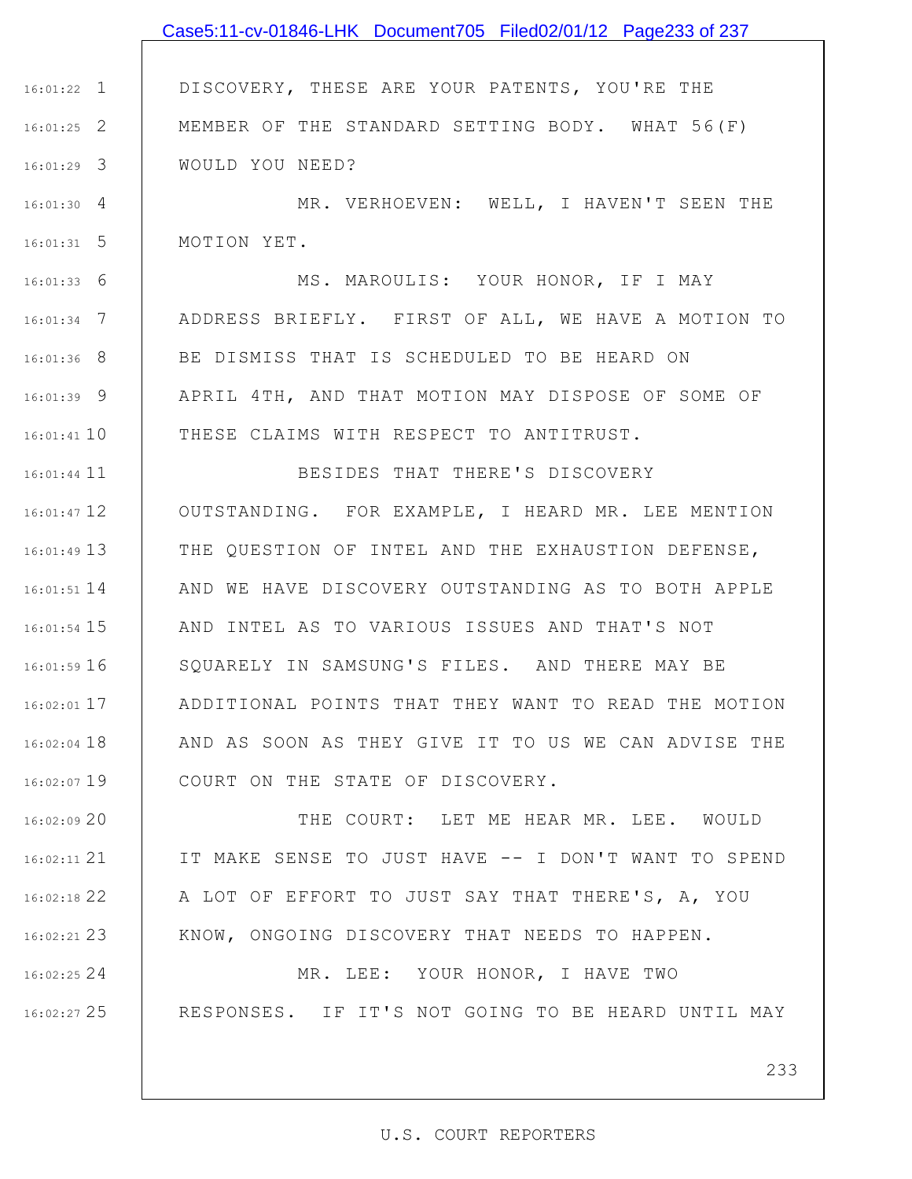## Case5:11-cv-01846-LHK Document705 Filed02/01/12 Page233 of 237

1 16:01:22 2 16:01:25 3 16:01:29 DISCOVERY, THESE ARE YOUR PATENTS, YOU'RE THE MEMBER OF THE STANDARD SETTING BODY. WHAT 56(F) WOULD YOU NEED?

4 16:01:30 5 16:01:31 MR. VERHOEVEN: WELL, I HAVEN'T SEEN THE MOTION YET.

6 16:01:33 7 16:01:34 8 16:01:36 9 16:01:39 10 16:01:41 MS. MAROULIS: YOUR HONOR, IF I MAY ADDRESS BRIEFLY. FIRST OF ALL, WE HAVE A MOTION TO BE DISMISS THAT IS SCHEDULED TO BE HEARD ON APRIL 4TH, AND THAT MOTION MAY DISPOSE OF SOME OF THESE CLAIMS WITH RESPECT TO ANTITRUST.

16:01:44 11 16:01:47 12 13 16:01:49 14 16:01:51 AND WE HAVE DISCOVERY OUTSTANDING AS TO BOTH APPLE 15 16:01:54 16 16:01:59 17 16:02:01 18 16:02:04 19 16:02:07 BESIDES THAT THERE'S DISCOVERY OUTSTANDING. FOR EXAMPLE, I HEARD MR. LEE MENTION THE QUESTION OF INTEL AND THE EXHAUSTION DEFENSE, AND INTEL AS TO VARIOUS ISSUES AND THAT'S NOT SQUARELY IN SAMSUNG'S FILES. AND THERE MAY BE ADDITIONAL POINTS THAT THEY WANT TO READ THE MOTION AND AS SOON AS THEY GIVE IT TO US WE CAN ADVISE THE COURT ON THE STATE OF DISCOVERY.

20 16:02:09 21 16:02:11 22 16:02:18 23 16:02:21 THE COURT: LET ME HEAR MR. LEE. WOULD IT MAKE SENSE TO JUST HAVE -- I DON'T WANT TO SPEND A LOT OF EFFORT TO JUST SAY THAT THERE'S, A, YOU KNOW, ONGOING DISCOVERY THAT NEEDS TO HAPPEN.

> MR. LEE: YOUR HONOR, I HAVE TWO RESPONSES. IF IT'S NOT GOING TO BE HEARD UNTIL MAY

24 16:02:25

25 16:02:27

233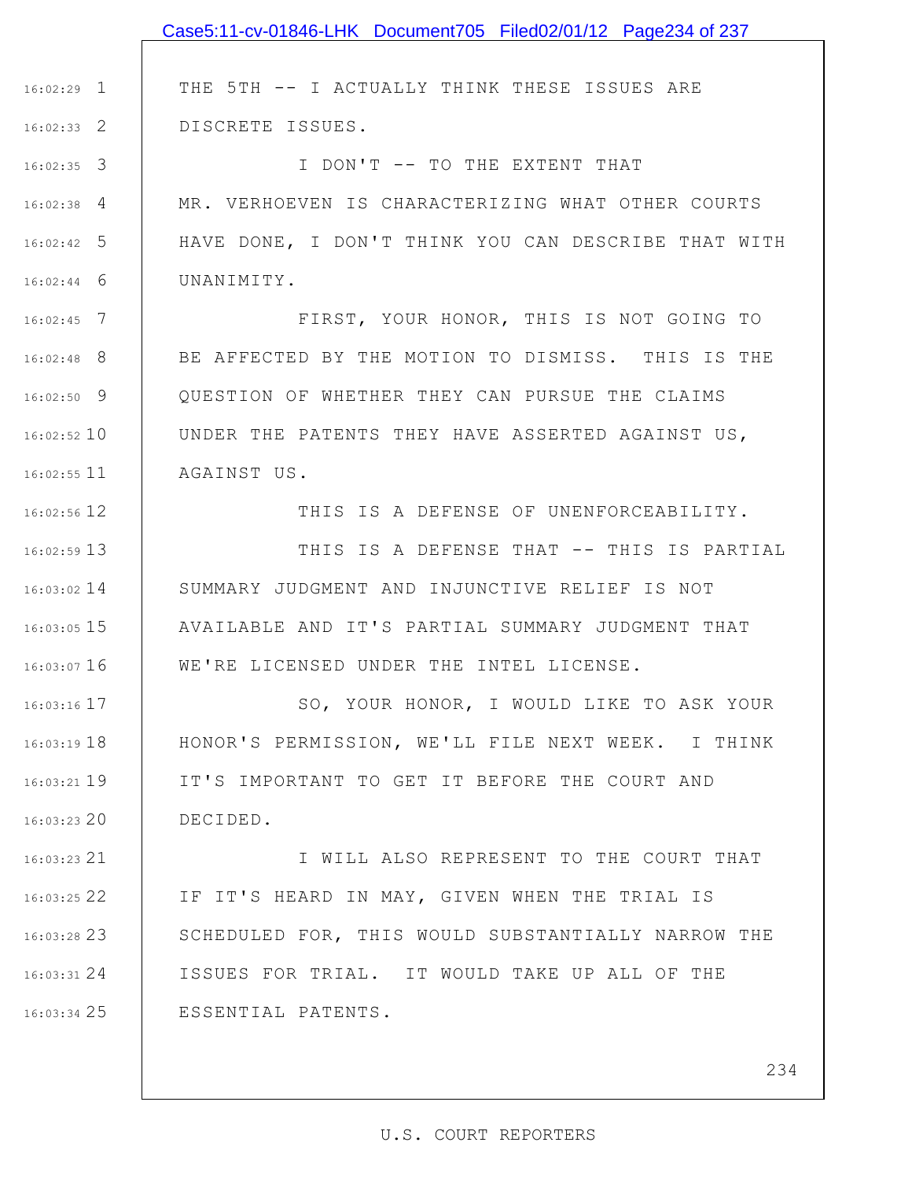|                 | Case5:11-cv-01846-LHK Document705 Filed02/01/12 Page234 of 237 |
|-----------------|----------------------------------------------------------------|
|                 |                                                                |
| $16:02:29$ 1    | THE 5TH -- I ACTUALLY THINK THESE ISSUES ARE                   |
| $16:02:33$ 2    | DISCRETE ISSUES.                                               |
| $16:02:35$ 3    | I DON'T -- TO THE EXTENT THAT                                  |
| $16:02:38$ 4    | MR. VERHOEVEN IS CHARACTERIZING WHAT OTHER COURTS              |
| $16:02:42$ 5    | HAVE DONE, I DON'T THINK YOU CAN DESCRIBE THAT WITH            |
| $16:02:44$ 6    | UNANIMITY.                                                     |
| $16:02:45$ 7    | FIRST, YOUR HONOR, THIS IS NOT GOING TO                        |
| $16:02:48$ 8    | BE AFFECTED BY THE MOTION TO DISMISS. THIS IS THE              |
| $16:02:50$ 9    | OUESTION OF WHETHER THEY CAN PURSUE THE CLAIMS                 |
| $16:02:52$ 10   | UNDER THE PATENTS THEY HAVE ASSERTED AGAINST US,               |
| $16:02:55$ 11   | AGAINST US.                                                    |
| $16:02:56$ 12   | THIS IS A DEFENSE OF UNENFORCEABILITY.                         |
| 16:02:59 13     | THIS IS A DEFENSE THAT -- THIS IS PARTIAL                      |
| $16:03:02$ 14   | SUMMARY JUDGMENT AND INJUNCTIVE RELIEF IS NOT                  |
| $16:03:05$ 15   | AVAILABLE AND IT'S PARTIAL SUMMARY JUDGMENT THAT               |
| $16:03:07$ 16   | WE'RE LICENSED UNDER THE INTEL LICENSE.                        |
| $16:03:16$ 17   | SO, YOUR HONOR, I WOULD LIKE TO ASK YOUR                       |
| $16:03:19$ $18$ | HONOR'S PERMISSION, WE'LL FILE NEXT WEEK. I THINK              |
| $16:03:21$ 19   | IT'S IMPORTANT TO GET IT BEFORE THE COURT AND                  |
| $16:03:23$ 20   | DECIDED.                                                       |
| 16:03:23 21     | I WILL ALSO REPRESENT TO THE COURT THAT                        |
| 16:03:25 22     | IF IT'S HEARD IN MAY, GIVEN WHEN THE TRIAL IS                  |
| 16:03:28 23     | SCHEDULED FOR, THIS WOULD SUBSTANTIALLY NARROW THE             |
| 16:03:3124      | ISSUES FOR TRIAL. IT WOULD TAKE UP ALL OF THE                  |
| 16:03:34 25     | ESSENTIAL PATENTS.                                             |
|                 |                                                                |
|                 | 234                                                            |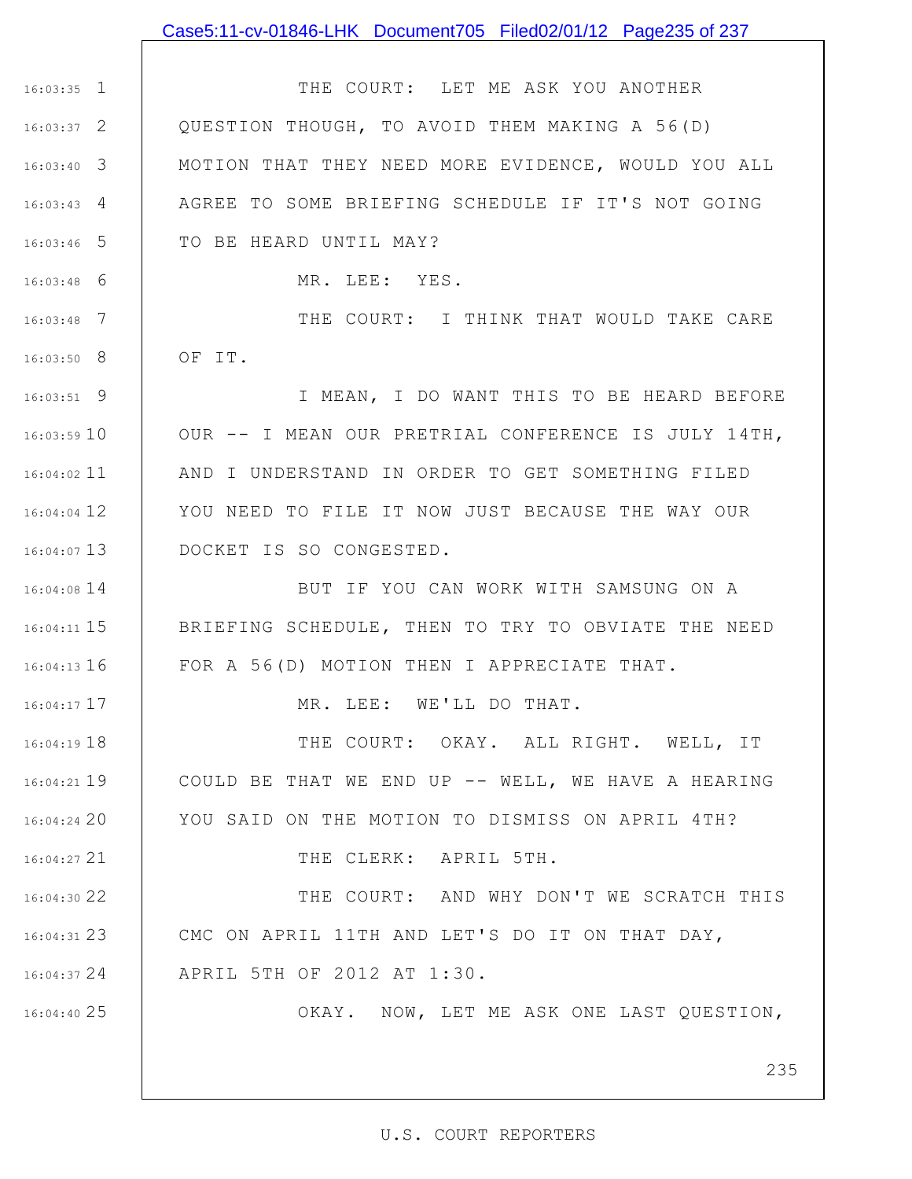## Case5:11-cv-01846-LHK Document705 Filed02/01/12 Page235 of 237

1 16:03:35 2 16:03:37 3 16:03:40 4 16:03:43 5 16:03:46 THE COURT: LET ME ASK YOU ANOTHER QUESTION THOUGH, TO AVOID THEM MAKING A 56(D) MOTION THAT THEY NEED MORE EVIDENCE, WOULD YOU ALL AGREE TO SOME BRIEFING SCHEDULE IF IT'S NOT GOING TO BE HEARD UNTIL MAY?

MR. LEE: YES.

6 16:03:48

17 16:04:17

21 16:04:27

25 16:04:40

7 16:03:48 8 16:03:50 THE COURT: I THINK THAT WOULD TAKE CARE OF IT.

9 16:03:51 10 16:03:59 11 16:04:02 12 16:04:04 13 16:04:07 I MEAN, I DO WANT THIS TO BE HEARD BEFORE OUR -- I MEAN OUR PRETRIAL CONFERENCE IS JULY 14TH, AND I UNDERSTAND IN ORDER TO GET SOMETHING FILED YOU NEED TO FILE IT NOW JUST BECAUSE THE WAY OUR DOCKET IS SO CONGESTED.

14 16:04:08 15 16:04:11 16 16:04:13 BUT IF YOU CAN WORK WITH SAMSUNG ON A BRIEFING SCHEDULE, THEN TO TRY TO OBVIATE THE NEED FOR A 56(D) MOTION THEN I APPRECIATE THAT.

MR. LEE: WE'LL DO THAT.

18 16:04:19 19 16:04:21 20 16:04:24 THE COURT: OKAY. ALL RIGHT. WELL, IT COULD BE THAT WE END UP -- WELL, WE HAVE A HEARING YOU SAID ON THE MOTION TO DISMISS ON APRIL 4TH?

THE CLERK: APRIL 5TH.

22 16:04:30 23 16:04:31 24 16:04:37 THE COURT: AND WHY DON'T WE SCRATCH THIS CMC ON APRIL 11TH AND LET'S DO IT ON THAT DAY, APRIL 5TH OF 2012 AT 1:30.

OKAY. NOW, LET ME ASK ONE LAST QUESTION,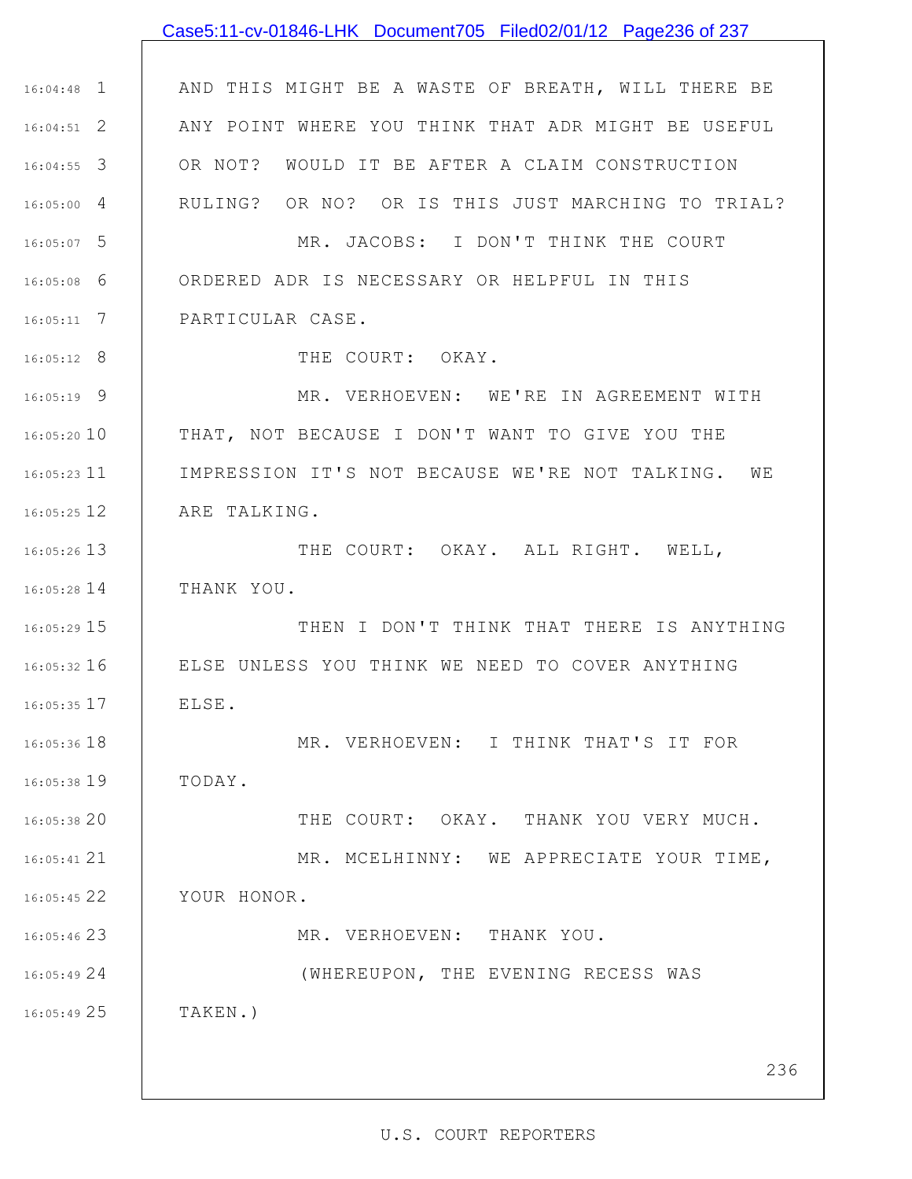# 1 16:04:48 2 16:04:51 3 16:04:55 4 16:05:00 5 16:05:07 6 16:05:08 7 16:05:11 8 16:05:12 9 16:05:19 10 16:05:20 16:05:23 11 12 16:05:25 13 16:05:26 14 16:05:28 15 16:05:29 16 16:05:32 17 16:05:35 18 16:05:36 19 16:05:38 20 16:05:38 21 16:05:41 22 16:05:45 23 16:05:46 24 16:05:49 25 16:05:49 AND THIS MIGHT BE A WASTE OF BREATH, WILL THERE BE ANY POINT WHERE YOU THINK THAT ADR MIGHT BE USEFUL OR NOT? WOULD IT BE AFTER A CLAIM CONSTRUCTION RULING? OR NO? OR IS THIS JUST MARCHING TO TRIAL? MR. JACOBS: I DON'T THINK THE COURT ORDERED ADR IS NECESSARY OR HELPFUL IN THIS PARTICULAR CASE. THE COURT: OKAY. MR. VERHOEVEN: WE'RE IN AGREEMENT WITH THAT, NOT BECAUSE I DON'T WANT TO GIVE YOU THE IMPRESSION IT'S NOT BECAUSE WE'RE NOT TALKING. WE ARE TALKING. THE COURT: OKAY. ALL RIGHT. WELL, THANK YOU. THEN I DON'T THINK THAT THERE IS ANYTHING ELSE UNLESS YOU THINK WE NEED TO COVER ANYTHING ELSE. MR. VERHOEVEN: I THINK THAT'S IT FOR TODAY. THE COURT: OKAY. THANK YOU VERY MUCH. MR. MCELHINNY: WE APPRECIATE YOUR TIME, YOUR HONOR. MR. VERHOEVEN: THANK YOU. (WHEREUPON, THE EVENING RECESS WAS TAKEN.) Case5:11-cv-01846-LHK Document705 Filed02/01/12 Page236 of 237

### U.S. COURT REPORTERS